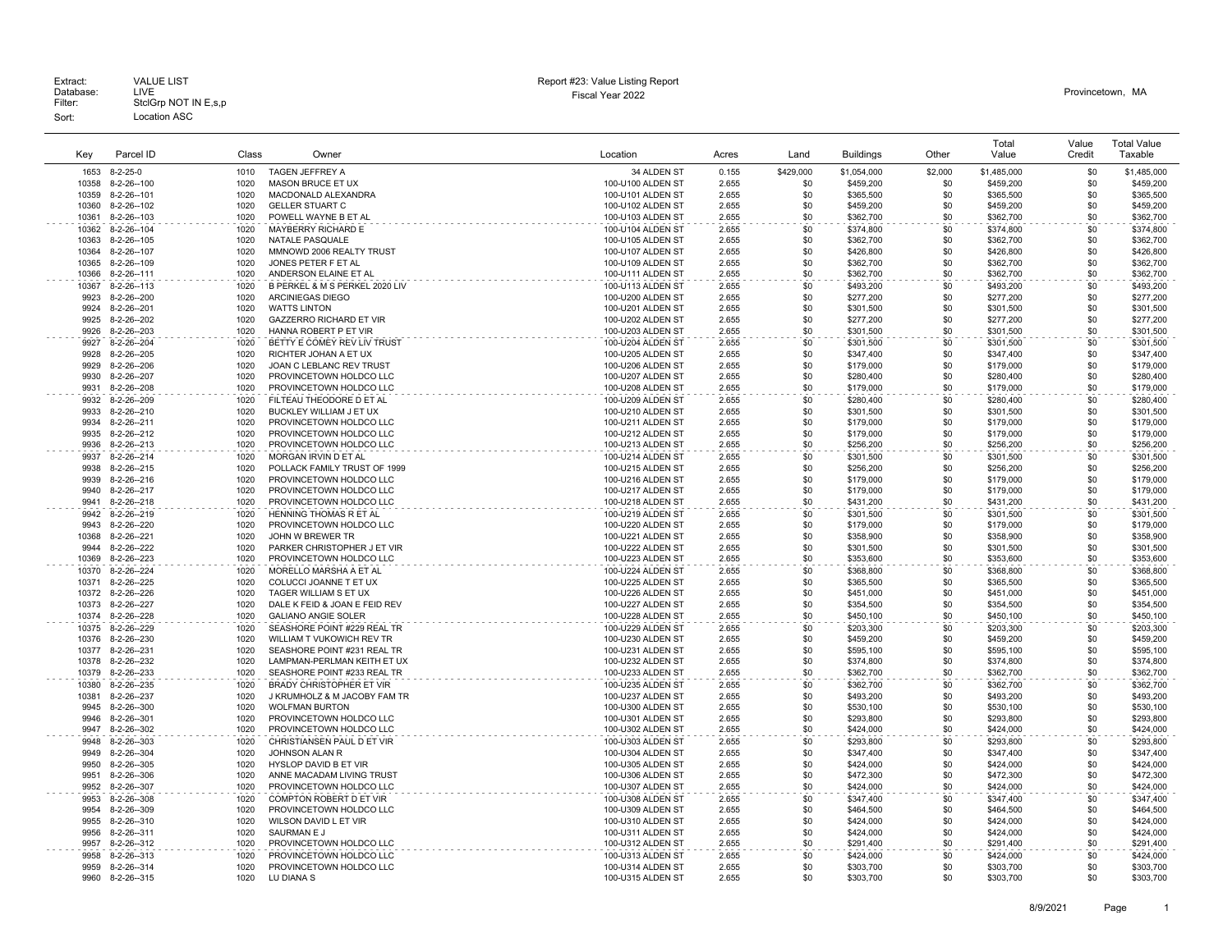Extract.<br>Database: LIVE<br>Filter: StclGrp NOT IN E,s,p

Sort: Location ASC

### Fiscal Year 2022 Database: LIVE Provincetown, MA Extract: VALUE LIST Report #23: Value Listing Report

| Kev            | Parcel ID                  | Class        | Owner                                                           | Location                               | Acres          | l and             | <b>Buildings</b>       | Other      | Total<br>Value         | Value<br>Credit | <b>Total Value</b><br>Taxable |
|----------------|----------------------------|--------------|-----------------------------------------------------------------|----------------------------------------|----------------|-------------------|------------------------|------------|------------------------|-----------------|-------------------------------|
| 1653           | $8 - 2 - 25 - 0$           | 1010         | <b>TAGEN JEFFREY A</b>                                          | 34 ALDEN ST                            | 0.155          | \$429,000         | \$1,054,000            | \$2,000    | \$1,485,000            | \$0             | \$1,485,000                   |
| 10358          | $8-2-26-100$               | 1020         | MASON BRUCE ET UX                                               | 100-U100 ALDEN ST                      | 2.655          | \$0               | \$459,200              | \$0        | \$459,200              | \$0             | \$459,200                     |
| 10359          | 8-2-26--101                | 1020         | MACDONALD ALEXANDRA                                             | 100-U101 ALDEN ST                      | 2.655          | \$0               | \$365,500              | \$0        | \$365,500              | \$0             | \$365,500                     |
| 10360          | 8-2-26--102                | 1020         | <b>GELLER STUART C</b>                                          | 100-U102 ALDEN ST                      | 2.655          | \$0               | \$459,200              | \$0        | \$459,200              | \$0             | \$459,200                     |
| 10361          | 8-2-26--103                | 1020         | POWELL WAYNE B ET AL                                            | 100-U103 ALDEN ST                      | 2.655          | \$0               | \$362,700              | \$0        | \$362,700              | \$0             | \$362,700                     |
| 10362          | 8-2-26--104                | 1020         | MAYBERRY RICHARD E                                              | 100-U104 ALDEN ST                      | 2.655          | \$0               | \$374,800              | \$0        | \$374,800              | \$0             | \$374,800                     |
| 10363          | 8-2-26--105                | 1020         | NATALE PASQUALE                                                 | 100-U105 ALDEN ST                      | 2.655          | \$0               | \$362,700              | \$0        | \$362,700              | \$0             | \$362,700                     |
| 10364          | 8-2-26--107                | 1020         | MMNOWD 2006 REALTY TRUST                                        | 100-U107 ALDEN ST                      | 2.655          | \$0               | \$426,800              | \$0        | \$426,800              | \$0             | \$426,800                     |
| 10365          | 8-2-26--109                | 1020         | JONES PETER F ET AL                                             | 100-U109 ALDEN ST                      | 2.655          | \$0               | \$362,700              | \$0        | \$362,700              | \$0             | \$362,700                     |
| 10366          | 8-2-26--111                | 1020         | ANDERSON ELAINE ET AL                                           | 100-U111 ALDEN ST                      | 2.655          | \$0               | \$362,700              | \$0        | \$362,700              | \$0             | \$362,700                     |
| 10367          | 8-2-26--113                | 1020         | B PERKEL & M S PERKEL 2020 LIV                                  | 100-U113 ALDEN ST                      | 2.655          | \$0               | \$493,200              | \$0        | \$493,200              | \$0             | \$493,200                     |
| 9923           | 8-2-26--200                | 1020         | ARCINIEGAS DIEGO                                                | 100-U200 ALDEN ST                      | 2.655          | \$0               | \$277,200              | \$0        | \$277,200              | \$0             | \$277,200                     |
| 9924<br>9925   | 8-2-26--201<br>8-2-26--202 | 1020<br>1020 | <b>WATTS LINTON</b><br>GAZZERRO RICHARD ET VIR                  | 100-U201 ALDEN ST<br>100-U202 ALDEN ST | 2.655<br>2.655 | \$0<br>\$0        | \$301,500<br>\$277,200 | \$0<br>\$0 | \$301,500<br>\$277,200 | \$0<br>\$0      | \$301,500<br>\$277,200        |
| 9926           | 8-2-26--203                | 1020         | HANNA ROBERT P ET VIR                                           | 100-U203 ALDEN ST                      | 2.655          | \$0               | \$301,500              | \$0        | \$301,500              | \$0             | \$301,500                     |
| 9927           | 8-2-26--204                | 1020         | BETTY E COMEY REV LIV TRUST                                     | 100-U204 ALDEN ST                      | 2.655          | \$0               | \$301,500              | \$0        | \$301,500              | \$0             | \$301,500                     |
| 9928           | 8-2-26--205                | 1020         | RICHTER JOHAN A ET UX                                           | 100-U205 ALDEN ST                      | 2.655          | \$0               | \$347,400              | \$0        | \$347,400              | \$0             | \$347,400                     |
| 9929           | 8-2-26--206                | 1020         | JOAN C LEBLANC REV TRUST                                        | 100-U206 ALDEN ST                      | 2.655          | \$0               | \$179,000              | \$0        | \$179,000              | \$0             | \$179,000                     |
| 9930           | 8-2-26--207                | 1020         | PROVINCETOWN HOLDCO LLC                                         | 100-U207 ALDEN ST                      | 2.655          | \$0               | \$280,400              | \$0        | \$280,400              | \$0             | \$280,400                     |
| 9931           | 8-2-26--208                | 1020         | PROVINCETOWN HOLDCO LLC                                         | 100-U208 ALDEN ST                      | 2.655          | \$0               | \$179,000              | \$0        | \$179,000              | \$0             | \$179,000                     |
| 9932           | 8-2-26--209                | 1020         | FILTEAU THEODORE D ET AL                                        | 100-U209 ALDEN ST                      | 2.655          | \$0               | \$280,400              | \$0        | \$280,400              | \$0             | \$280,400                     |
| 9933           | 8-2-26--210                | 1020         | BUCKLEY WILLIAM J ET UX                                         | 100-U210 ALDEN ST                      | 2.655          | \$0               | \$301,500              | \$0        | \$301,500              | \$0             | \$301,500                     |
| 9934           | 8-2-26--211                | 1020         | PROVINCETOWN HOLDCO LLC                                         | 100-U211 ALDEN ST                      | 2.655          | \$0               | \$179,000              | \$0        | \$179,000              | \$0             | \$179,000                     |
| 9935           | 8-2-26--212                | 1020         | PROVINCETOWN HOLDCO LLC                                         | 100-U212 ALDEN ST                      | 2.655          | \$0               | \$179,000              | \$0        | \$179,000              | \$0             | \$179,000                     |
| 9936           | 8-2-26--213                | 1020         | PROVINCETOWN HOLDCO LLC                                         | 100-U213 ALDEN ST                      | 2.655          | \$0               | \$256,200              | \$0        | \$256,200              | \$0             | \$256,200                     |
| 9937           | 8-2-26--214                | 1020         | MORGAN IRVIN D ET AL                                            | 100-U214 ALDEN ST                      | 2.655          | \$0               | \$301,500              | \$0        | \$301,500              | \$0             | \$301.500                     |
| 9938           | 8-2-26-215                 | 1020         | POLLACK FAMILY TRUST OF 1999                                    | 100-U215 ALDEN ST                      | 2.655          | \$0               | \$256,200              | \$0        | \$256,200              | \$0             | \$256,200                     |
| 9939           | $8-2-26-216$               | 1020         | PROVINCETOWN HOLDCO LLC                                         | 100-U216 ALDEN ST                      | 2.655          | \$0               | \$179,000              | \$0        | \$179,000              | \$0             | \$179,000                     |
| 9940<br>9941   | 8-2-26--217                | 1020<br>1020 | PROVINCETOWN HOLDCO LLC                                         | 100-U217 ALDEN ST                      | 2.655<br>2.655 | \$0<br>\$0        | \$179,000              | \$0<br>\$0 | \$179,000              | \$0<br>\$0      | \$179,000                     |
| 9942           | 8-2-26--218                | 1020         | PROVINCETOWN HOLDCO LLC<br>HENNING THOMAS R ET AL               | 100-U218 ALDEN ST                      | 2.655          | \$0               | \$431,200              | \$0        | \$431,200              | \$0             | \$431,200                     |
| 9943           | 8-2-26--219<br>8-2-26--220 | 1020         | PROVINCETOWN HOLDCO LLC                                         | 100-U219 ALDEN ST<br>100-U220 ALDEN ST | 2.655          | \$0               | \$301,500<br>\$179,000 | \$0        | \$301,500<br>\$179,000 | \$0             | \$301,500<br>\$179,000        |
| 10368          | 8-2-26--221                | 1020         | JOHN W BREWER TR                                                | 100-U221 ALDEN ST                      | 2.655          | \$0               | \$358,900              | \$0        | \$358,900              | \$0             | \$358,900                     |
| 9944           | 8-2-26--222                | 1020         | PARKER CHRISTOPHER J ET VIR                                     | 100-U222 ALDEN ST                      | 2.655          | \$0               | \$301,500              | \$0        | \$301,500              | \$0             | \$301.500                     |
| 10369          | 8-2-26--223                | 1020         | PROVINCETOWN HOLDCO LLC                                         | 100-U223 ALDEN ST                      | 2.655          | \$0               | \$353,600              | \$0        | \$353,600              | \$0             | \$353,600                     |
| 10370          | 8-2-26--224                | 1020         | MORELLO MARSHA A ET AL                                          | 100-U224 ALDEN ST                      | 2.655          | \$0               | \$368,800              | \$0        | \$368,800              | \$0             | \$368,800                     |
| 10371          | 8-2-26--225                | 1020         | COLUCCI JOANNE T ET UX                                          | 100-U225 ALDEN ST                      | 2.655          | \$0               | \$365,500              | \$0        | \$365,500              | \$0             | \$365,500                     |
|                | 10372 8-2-26--226          | 1020         | TAGER WILLIAM S ET UX                                           | 100-U226 ALDEN ST                      | 2.655          | \$0               | \$451,000              | \$0        | \$451,000              | \$0             | \$451,000                     |
| 10373          | 8-2-26--227                | 1020         | DALE K FEID & JOAN E FEID REV                                   | 100-U227 ALDEN ST                      | 2.655          | \$0               | \$354,500              | \$0        | \$354,500              | \$0             | \$354,500                     |
| 10374          | 8-2-26--228                | 1020         | <b>GALIANO ANGIE SOLER</b>                                      | 100-U228 ALDEN ST                      | 2.655          | \$0               | \$450,100              | \$0        | \$450,100              | \$0             | \$450,100                     |
| 10375          | 8-2-26--229                | 1020         | SEASHORE POINT #229 REAL TR                                     | 100-U229 ALDEN ST                      | 2.655          | \$0               | \$203,300              | \$0        | \$203,300              | \$0             | \$203,300                     |
| 10376          | 8-2-26--230                | 1020         | WILLIAM T VUKOWICH REV TR                                       | 100-U230 ALDEN ST                      | 2.655          | \$0               | \$459,200              | \$0        | \$459,200              | \$0             | \$459,200                     |
| 10377          | 8-2-26--231                | 1020         | SEASHORE POINT #231 REAL TR                                     | 100-U231 ALDEN ST                      | 2.655          | \$0               | \$595,100              | \$0        | \$595,100              | \$0             | \$595,100                     |
| 10378          | 8-2-26--232                | 1020         | LAMPMAN-PERLMAN KEITH ET UX                                     | 100-U232 ALDEN ST                      | 2.655          | \$0               | \$374,800              | \$0        | \$374,800              | \$0             | \$374,800                     |
| 10379          | 8-2-26--233                | 1020         | SEASHORE POINT #233 REAL TR                                     | 100-U233 ALDEN ST                      | 2.655          | \$0               | \$362,700              | \$0        | \$362,700              | \$0             | \$362,700                     |
| 10380<br>10381 | 8-2-26--235<br>8-2-26--237 | 1020<br>1020 | <b>BRADY CHRISTOPHER ET VIR</b><br>J KRUMHOLZ & M JACOBY FAM TR | 100-U235 ALDEN ST<br>100-U237 ALDEN ST | 2.655<br>2.655 | \$0<br>\$0        | \$362,700<br>\$493,200 | \$0<br>\$0 | \$362,700<br>\$493,200 | \$0<br>\$0      | \$362,700<br>\$493,200        |
| 9945           | 8-2-26--300                | 1020         | <b>WOLFMAN BURTON</b>                                           | 100-U300 ALDEN ST                      | 2.655          | \$0               | \$530,100              | \$0        | \$530,100              | \$0             | \$530,100                     |
| 9946           | 8-2-26-301                 | 1020         | PROVINCETOWN HOLDCO LLC                                         | 100-U301 ALDEN ST                      | 2.655          | \$0               | \$293,800              | \$0        | \$293,800              | \$0             | \$293,800                     |
| 9947           | 8-2-26--302                | 1020         | PROVINCETOWN HOLDCO LLC                                         | 100-U302 ALDEN ST                      | 2.655          | \$0               | \$424,000              | \$0        | \$424,000              | \$0             | \$424,000                     |
| 9948           | 8-2-26-303                 | 1020         | CHRISTIANSEN PAUL D ET VIR                                      | 100-U303 ALDEN ST                      | 2.655          | \$0               | \$293.800              | \$0        | \$293,800              | \$0             | \$293,800                     |
| 9949           | 8-2-26--304                | 1020         | JOHNSON ALAN R                                                  | 100-U304 ALDEN ST                      | 2.655          | \$0               | \$347,400              | \$0        | \$347,400              | \$0             | \$347,400                     |
| 9950           | 8-2-26-305                 | 1020         | <b>HYSLOP DAVID B ET VIR</b>                                    | 100-U305 ALDEN ST                      | 2.655          | \$0               | \$424,000              | \$0        | \$424,000              | \$0             | \$424,000                     |
| 9951           | 8-2-26--306                | 1020         | ANNE MACADAM LIVING TRUST                                       | 100-U306 ALDEN ST                      | 2.655          | \$0               | \$472,300              | \$0        | \$472,300              | \$0             | \$472,300                     |
| 9952           | 8-2-26--307                | 1020         | PROVINCETOWN HOLDCO LLC                                         | 100-U307 ALDEN ST                      | 2.655          | \$0               | \$424,000              | \$0        | \$424,000              | \$0             | \$424,000                     |
| 9953           | 8-2-26--308                | 1020         | COMPTON ROBERT D ET VIR                                         | 100-U308 ALDEN ST                      | 2.655          | \$0               | \$347,400              | \$0        | \$347,400              | \$0             | \$347,400                     |
| 9954           | 8-2-26-309                 | 1020         | PROVINCETOWN HOLDCO LLC                                         | 100-U309 ALDEN ST                      | 2.655          | \$0               | \$464,500              | \$0        | \$464,500              | \$0             | \$464,500                     |
| 9955           | 8-2-26-310                 | 1020         | WILSON DAVID L ET VIR                                           | 100-U310 ALDEN ST                      | 2.655          | \$0               | \$424,000              | \$0        | \$424,000              | \$0             | \$424,000                     |
| 9956           | 8-2-26-311                 | 1020         | SAURMAN E J                                                     | 100-U311 ALDEN ST                      | 2.655          | \$0               | \$424,000              | \$0        | \$424,000              | \$0             | \$424,000                     |
| 9957           | 8-2-26-312                 | 1020         | PROVINCETOWN HOLDCO LLC                                         | 100-U312 ALDEN ST                      | 2.655          | \$0               | \$291,400              | \$0        | \$291,400              | \$0             | \$291,400                     |
| 9958           | 8-2-26-313                 | 1020         | PROVINCETOWN HOLDCO LLC                                         | 100-U313 ALDEN ST                      | 2.655          | \$0<br><b>\$0</b> | \$424,000              | \$0        | \$424,000              | \$0             | \$424,000                     |
| 9959<br>9960   | 8-2-26-314<br>8-2-26-315   | 1020<br>1020 | PROVINCETOWN HOLDCO LLC<br>LU DIANA S                           | 100-U314 ALDEN ST<br>100-U315 ALDEN ST | 2.655<br>2.655 | \$0               | \$303,700<br>\$303,700 | \$0<br>\$0 | \$303,700<br>\$303,700 | \$0<br>\$0      | \$303,700<br>\$303,700        |
|                |                            |              |                                                                 |                                        |                |                   |                        |            |                        |                 |                               |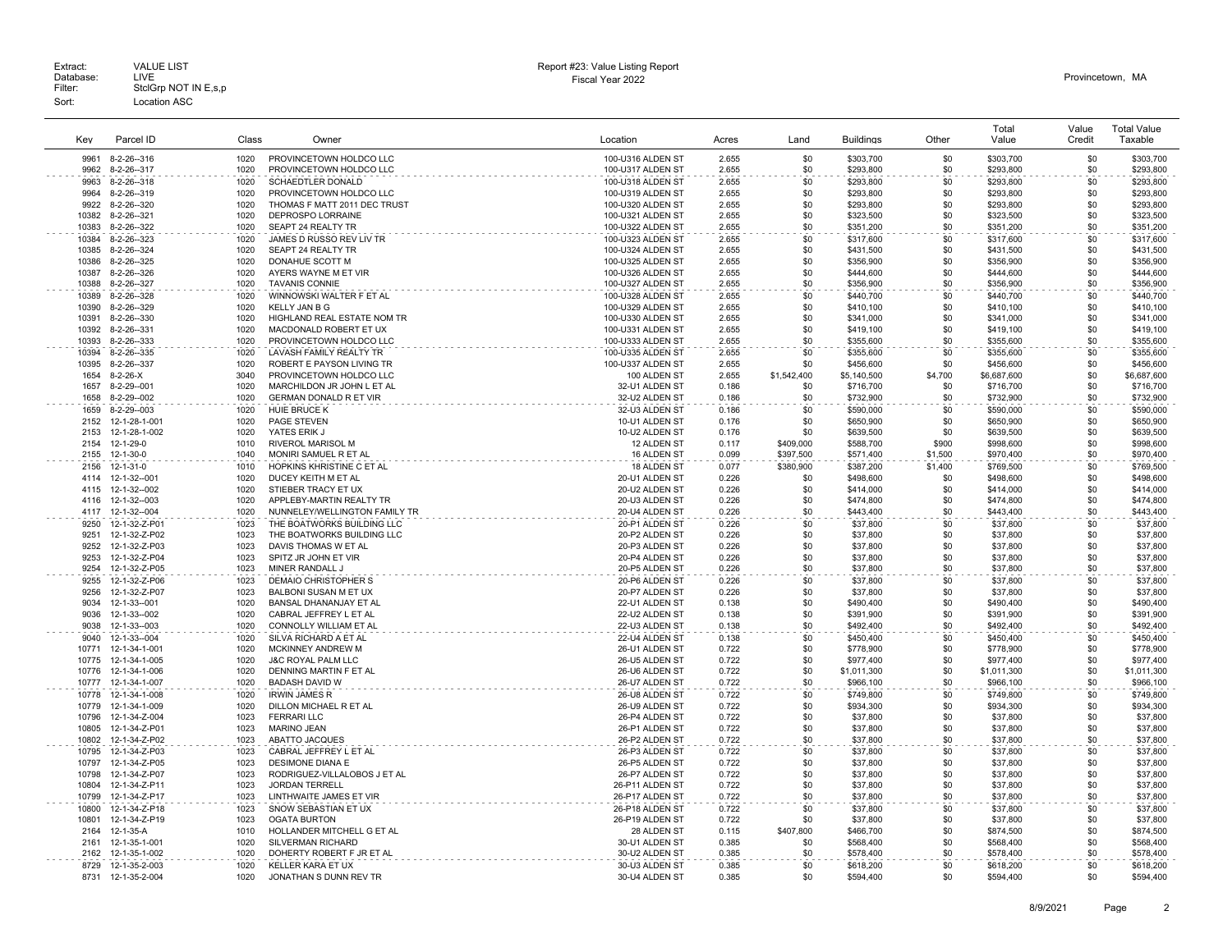| Kev            | Parcel ID                      | Class        | Owner                                                     | Location                               | Acres          | Land        | <b>Buildings</b>         | Other      | Total<br>Value           | Value<br>Credit | <b>Total Value</b><br>Taxable |
|----------------|--------------------------------|--------------|-----------------------------------------------------------|----------------------------------------|----------------|-------------|--------------------------|------------|--------------------------|-----------------|-------------------------------|
| 9961           | 8-2-26-316                     | 1020         | PROVINCETOWN HOLDCO LLC                                   | 100-U316 ALDEN ST                      | 2.655          | \$0         | \$303.700                | \$0        | \$303,700                | \$0             | \$303.700                     |
| 9962           | 8-2-26--317                    | 1020         | PROVINCETOWN HOLDCO LLC                                   | 100-U317 ALDEN ST                      | 2.655          | \$0         | \$293,800                | \$0        | \$293,800                | \$0             | \$293,800                     |
| 9963           | 8-2-26-318                     | 1020         | <b>SCHAEDTLER DONALD</b>                                  | 100-U318 ALDEN ST                      | 2.655          | \$0         | \$293,800                | \$0        | \$293,800                | \$0             | \$293,800                     |
| 9964           | 8-2-26-319                     | 1020         | PROVINCETOWN HOLDCO LLC                                   | 100-U319 ALDEN ST                      | 2.655          | \$0         | \$293,800                | \$0        | \$293,800                | \$0             | \$293,800                     |
| 9922           | 8-2-26--320                    | 1020         | THOMAS F MATT 2011 DEC TRUST                              | 100-U320 ALDEN ST                      | 2.655          | \$0         | \$293,800                | \$0        | \$293,800                | \$0             | \$293,800                     |
| 10382          | 8-2-26-321                     | 1020         | <b>DEPROSPO LORRAINE</b>                                  | 100-U321 ALDEN ST                      | 2.655          | \$0         | \$323,500                | \$0        | \$323,500                | \$0             | \$323,500                     |
| 10383          | 8-2-26-322                     | 1020         | SEAPT 24 REALTY TR                                        | 100-U322 ALDEN ST                      | 2.655          | \$0         | \$351,200                | \$0        | \$351,200                | \$0             | \$351,200                     |
| 10384          | 8-2-26--323                    | 1020         | JAMES D RUSSO REV LIV TR                                  | 100-U323 ALDEN ST                      | 2.655          | \$0         | \$317,600                | \$0        | \$317,600                | \$0             | \$317,600                     |
| 10385          | 8-2-26--324                    | 1020         | SEAPT 24 REALTY TR                                        | 100-U324 ALDEN ST                      | 2.655          | \$0         | \$431,500                | \$0        | \$431,500                | \$0             | \$431,500                     |
| 10386          | 8-2-26--325                    | 1020         | DONAHUE SCOTT M                                           | 100-U325 ALDEN ST                      | 2.655          | \$0         | \$356,900                | \$0        | \$356,900                | \$0             | \$356,900                     |
| 10387          | 8-2-26--326                    | 1020         | AYERS WAYNE M ET VIR                                      | 100-U326 ALDEN ST                      | 2.655          | \$0         | \$444,600                | \$0        | \$444,600                | \$0             | \$444,600                     |
| 10388          | 8-2-26--327                    | 1020         | <b>TAVANIS CONNIE</b>                                     | 100-U327 ALDEN ST                      | 2.655          | \$0         | \$356,900                | \$0        | \$356,900                | \$0             | \$356,900                     |
| 10389          | 8-2-26-328                     | 1020         | WINNOWSKI WALTER F ET AL                                  | 100-U328 ALDEN ST                      | 2.655          | \$0         | \$440,700                | \$0        | \$440,700                | \$0             | \$440,700                     |
| 10390<br>10391 | 8-2-26-329                     | 1020<br>1020 | <b>KELLY JAN B G</b><br>HIGHLAND REAL ESTATE NOM TR       | 100-U329 ALDEN ST<br>100-U330 ALDEN ST | 2.655<br>2.655 | \$0<br>\$0  | \$410,100                | \$0<br>\$0 | \$410,100<br>\$341,000   | \$0<br>\$0      | \$410,100<br>\$341,000        |
| 10392          | 8-2-26--330<br>8-2-26--331     | 1020         | MACDONALD ROBERT ET UX                                    | 100-U331 ALDEN ST                      | 2.655          | \$0         | \$341,000<br>\$419,100   | \$0        | \$419,100                | \$0             | \$419,100                     |
| 10393          | 8-2-26-333                     | 1020         | PROVINCETOWN HOLDCO LLC                                   | 100-U333 ALDEN ST                      | 2.655          | \$0         | \$355,600                | \$0        | \$355,600                | \$0             | \$355,600                     |
| 10394          | 8-2-26-335                     | 1020         | LAVASH FAMILY REALTY TR                                   | 100-U335 ALDEN ST                      | 2.655          | \$0         | \$355,600                | \$0        | \$355,600                | \$0             | \$355,600                     |
| 10395          | 8-2-26--337                    | 1020         | ROBERT E PAYSON LIVING TR                                 | 100-U337 ALDEN ST                      | 2.655          | \$0         | \$456,600                | \$0        | \$456,600                | \$0             | \$456,600                     |
| 1654           | $8-2-26-X$                     | 3040         | PROVINCETOWN HOLDCO LLC                                   | 100 ALDEN ST                           | 2.655          | \$1,542,400 | \$5,140,500              | \$4,700    | \$6,687,600              | \$0             | \$6,687,600                   |
| 1657           | 8-2-29--001                    | 1020         | MARCHILDON JR JOHN L ET AL                                | 32-U1 ALDEN ST                         | 0.186          | \$0         | \$716,700                | \$0        | \$716,700                | \$0             | \$716,700                     |
| 1658           | 8-2-29--002                    | 1020         | GERMAN DONALD R ET VIR                                    | 32-U2 ALDEN ST                         | 0.186          | \$0         | \$732,900                | \$0        | \$732,900                | \$0             | \$732,900                     |
| 1659           | 8-2-29--003                    | 1020         | <b>HUIE BRUCE K</b>                                       | 32-U3 ALDEN ST                         | 0.186          | \$0         | \$590,000                | \$0        | \$590,000                | \$0             | \$590,000                     |
| 2152           | 12-1-28-1-001                  | 1020         | <b>PAGE STEVEN</b>                                        | 10-U1 ALDEN ST                         | 0.176          | \$0         | \$650,900                | \$0        | \$650,900                | \$0             | \$650,900                     |
| 2153           | 12-1-28-1-002                  | 1020         | YATES ERIK J                                              | 10-U2 ALDEN ST                         | 0.176          | \$0         | \$639,500                | \$0        | \$639,500                | \$0             | \$639,500                     |
| 2154           | 12-1-29-0                      | 1010         | <b>RIVEROL MARISOL M</b>                                  | 12 ALDEN ST                            | 0.117          | \$409,000   | \$588,700                | \$900      | \$998,600                | \$0             | \$998,600                     |
| 2155           | 12-1-30-0                      | 1040         | MONIRI SAMUEL R ET AL                                     | 16 ALDEN ST                            | 0.099          | \$397,500   | \$571,400                | \$1,500    | \$970,400                | \$0             | \$970,400                     |
| 2156           | 12-1-31-0                      | 1010         | HOPKINS KHRISTINE C ET AL                                 | 18 ALDEN ST                            | 0.077          | \$380,900   | \$387,200                | \$1,400    | \$769,500                | \$0             | \$769,500                     |
| 4114           | 12-1-32--001                   | 1020         | DUCEY KEITH M ET AL                                       | 20-U1 ALDEN ST                         | 0.226          | \$0         | \$498,600                | \$0        | \$498,600                | \$0             | \$498,600                     |
| 4115           | 12-1-32--002                   | 1020         | STIEBER TRACY ET UX                                       | 20-U2 ALDEN ST                         | 0.226          | \$0         | \$414,000                | \$0        | \$414,000                | \$0             | \$414,000                     |
| 4116<br>4117   | 12-1-32--003<br>12-1-32--004   | 1020<br>1020 | APPLEBY-MARTIN REALTY TR<br>NUNNELEY/WELLINGTON FAMILY TR | 20-U3 ALDEN ST<br>20-U4 ALDEN ST       | 0.226<br>0.226 | \$0<br>\$0  | \$474,800                | \$0<br>\$0 | \$474,800<br>\$443,400   | \$0<br>\$0      | \$474,800<br>\$443,400        |
| 9250           |                                | 1023         | THE BOATWORKS BUILDING LLC                                | 20-P1 ALDEN ST                         |                | \$0         | \$443,400                | \$0        |                          | \$0             | \$37,800                      |
| 9251           | 12-1-32-Z-P01<br>12-1-32-Z-P02 | 1023         | THE BOATWORKS BUILDING LLC                                | 20-P2 ALDEN ST                         | 0.226<br>0.226 | \$0         | \$37,800<br>\$37,800     | \$0        | \$37,800<br>\$37,800     | \$0             | \$37,800                      |
| 9252           | 12-1-32-Z-P03                  | 1023         | DAVIS THOMAS W ET AL                                      | 20-P3 ALDEN ST                         | 0.226          | \$0         | \$37,800                 | \$0        | \$37,800                 | \$0             | \$37,800                      |
| 9253           | 12-1-32-Z-P04                  | 1023         | SPITZ JR JOHN ET VIR                                      | 20-P4 ALDEN ST                         | 0.226          | \$0         | \$37,800                 | \$0        | \$37,800                 | \$0             | \$37,800                      |
| 9254           | 12-1-32-Z-P05                  | 1023         | MINER RANDALL J                                           | 20-P5 ALDEN ST                         | 0.226          | \$0         | \$37,800                 | \$0        | \$37,800                 | \$0             | \$37,800                      |
| 9255           | 12-1-32-Z-P06                  | 1023         | DEMAIO CHRISTOPHER S                                      | 20-P6 ALDEN ST                         | 0.226          | \$0         | \$37,800                 | \$0        | \$37,800                 | \$0             | \$37,800                      |
| 9256           | 12-1-32-Z-P07                  | 1023         | BALBONI SUSAN M ET UX                                     | 20-P7 ALDEN ST                         | 0.226          | \$0         | \$37,800                 | \$0        | \$37,800                 | \$0             | \$37,800                      |
| 9034           | 12-1-33--001                   | 1020         | BANSAL DHANANJAY ET AL                                    | 22-U1 ALDEN ST                         | 0.138          | \$0         | \$490,400                | \$0        | \$490,400                | \$0             | \$490,400                     |
| 9036           | 12-1-33--002                   | 1020         | CABRAL JEFFREY L ET AL                                    | 22-U2 ALDEN ST                         | 0.138          | \$0         | \$391,900                | \$0        | \$391,900                | \$0             | \$391.900                     |
| 9038           | 12-1-33--003                   | 1020         | CONNOLLY WILLIAM ET AL                                    | 22-U3 ALDEN ST                         | 0.138          | \$0         | \$492,400                | \$0        | \$492,400                | \$0             | \$492,400                     |
| 9040           | 12-1-33--004                   | 1020         | SILVA RICHARD A ET AL                                     | 22-U4 ALDEN ST                         | 0.138          | \$0         | \$450,400                | \$0        | \$450,400                | \$0             | \$450,400                     |
| 10771          | 12-1-34-1-001                  | 1020         | MCKINNEY ANDREW M                                         | 26-U1 ALDEN ST                         | 0.722          | \$0         | \$778,900                | \$0        | \$778,900                | \$0             | \$778,900                     |
| 10775          | 12-1-34-1-005                  | 1020         | <b>J&amp;C ROYAL PALM LLC</b>                             | 26-U5 ALDEN ST                         | 0.722          | \$0<br>\$0  | \$977,400                | \$0<br>\$0 | \$977,400                | \$0<br>\$0      | \$977,400                     |
| 10776<br>10777 | 12-1-34-1-006<br>12-1-34-1-007 | 1020<br>1020 | DENNING MARTIN F ET AL<br><b>BADASH DAVID W</b>           | 26-U6 ALDEN ST<br>26-U7 ALDEN ST       | 0.722<br>0.722 | \$0         | \$1,011,300<br>\$966,100 | \$0        | \$1,011,300<br>\$966,100 | \$0             | \$1,011,300<br>\$966,100      |
| 10778          | 12-1-34-1-008                  | 1020         | <b>IRWIN JAMES R</b>                                      | 26-U8 ALDEN ST                         | 0.722          | \$0         | \$749,800                | \$0        | \$749,800                | \$0             | \$749,800                     |
| 10779          | 12-1-34-1-009                  | 1020         | DILLON MICHAEL R ET AL                                    | 26-U9 ALDEN ST                         | 0.722          | \$0         | \$934,300                | \$0        | \$934,300                | \$0             | \$934,300                     |
| 10796          | 12-1-34-Z-004                  | 1023         | <b>FERRARI LLC</b>                                        | 26-P4 ALDEN ST                         | 0.722          | \$0         | \$37,800                 | \$0        | \$37,800                 | \$0             | \$37,800                      |
| 10805          | 12-1-34-Z-P01                  | 1023         | <b>MARINO JEAN</b>                                        | 26-P1 ALDEN ST                         | 0.722          | \$0         | \$37,800                 | \$0        | \$37,800                 | \$0             | \$37,800                      |
| 10802          | 12-1-34-Z-P02                  | 1023         | ABATTO JACQUES                                            | 26-P2 ALDEN ST                         | 0.722          | \$0         | \$37,800                 | \$0        | \$37,800                 | \$0             | \$37,800                      |
| 10795          | 12-1-34-Z-P03                  | 1023         | CABRAL JEFFREY L ET AL                                    | 26-P3 ALDEN ST                         | 0.722          | \$0         | \$37,800                 | \$0        | \$37,800                 | \$0             | \$37,800                      |
| 10797          | 12-1-34-Z-P05                  | 1023         | <b>DESIMONE DIANA E</b>                                   | 26-P5 ALDEN ST                         | 0.722          | \$0         | \$37,800                 | \$0        | \$37,800                 | \$0             | \$37,800                      |
| 10798          | 12-1-34-Z-P07                  | 1023         | RODRIGUEZ-VILLALOBOS J ET AL                              | 26-P7 ALDEN ST                         | 0.722          | \$0         | \$37,800                 | \$0        | \$37,800                 | \$0             | \$37,800                      |
| 10804          | 12-1-34-Z-P11                  | 1023         | <b>JORDAN TERRELL</b>                                     | 26-P11 ALDEN ST                        | 0.722          | \$0         | \$37,800                 | \$0        | \$37,800                 | \$0             | \$37,800                      |
| 10799          | 12-1-34-Z-P17                  | 1023         | LINTHWAITE JAMES ET VIR                                   | 26-P17 ALDEN ST                        | 0.722          | \$0         | \$37,800                 | \$0        | \$37,800                 | \$0             | \$37,800                      |
| 10800          | 12-1-34-Z-P18                  | 1023         | SNOW SEBASTIAN ET UX                                      | 26-P18 ALDEN ST                        | 0.722          | \$0         | \$37,800                 | \$0        | \$37,800                 | \$0             | \$37,800                      |
| 10801          | 12-1-34-Z-P19                  | 1023         | OGATA BURTON                                              | 26-P19 ALDEN ST                        | 0.722          | \$0         | \$37,800                 | \$0        | \$37,800                 | \$0             | \$37,800                      |
| 2164           | 12-1-35-A                      | 1010         | HOLLANDER MITCHELL G ET AL                                | 28 ALDEN ST                            | 0.115          | \$407,800   | \$466,700                | \$0        | \$874,500                | \$0             | \$874,500                     |
| 2161<br>2162   | 12-1-35-1-001<br>12-1-35-1-002 | 1020<br>1020 | SILVERMAN RICHARD<br>DOHERTY ROBERT F JR ET AL            | 30-U1 ALDEN ST<br>30-U2 ALDEN ST       | 0.385<br>0.385 | \$0<br>\$0  | \$568,400<br>\$578,400   | \$0<br>\$0 | \$568,400<br>\$578,400   | \$0<br>\$0      | \$568,400<br>\$578,400        |
| 8729           | 12-1-35-2-003                  | 1020         | KELLER KARA ET UX                                         | 30-U3 ALDEN ST                         | 0.385          | \$0         |                          | \$0        |                          | \$0             | \$618,200                     |
| 8731           | 12-1-35-2-004                  | 1020         | JONATHAN S DUNN REV TR                                    | 30-U4 ALDEN ST                         | 0.385          | \$0         | \$618,200<br>\$594,400   | \$0        | \$618,200<br>\$594,400   | \$0             | \$594,400                     |
|                |                                |              |                                                           |                                        |                |             |                          |            |                          |                 |                               |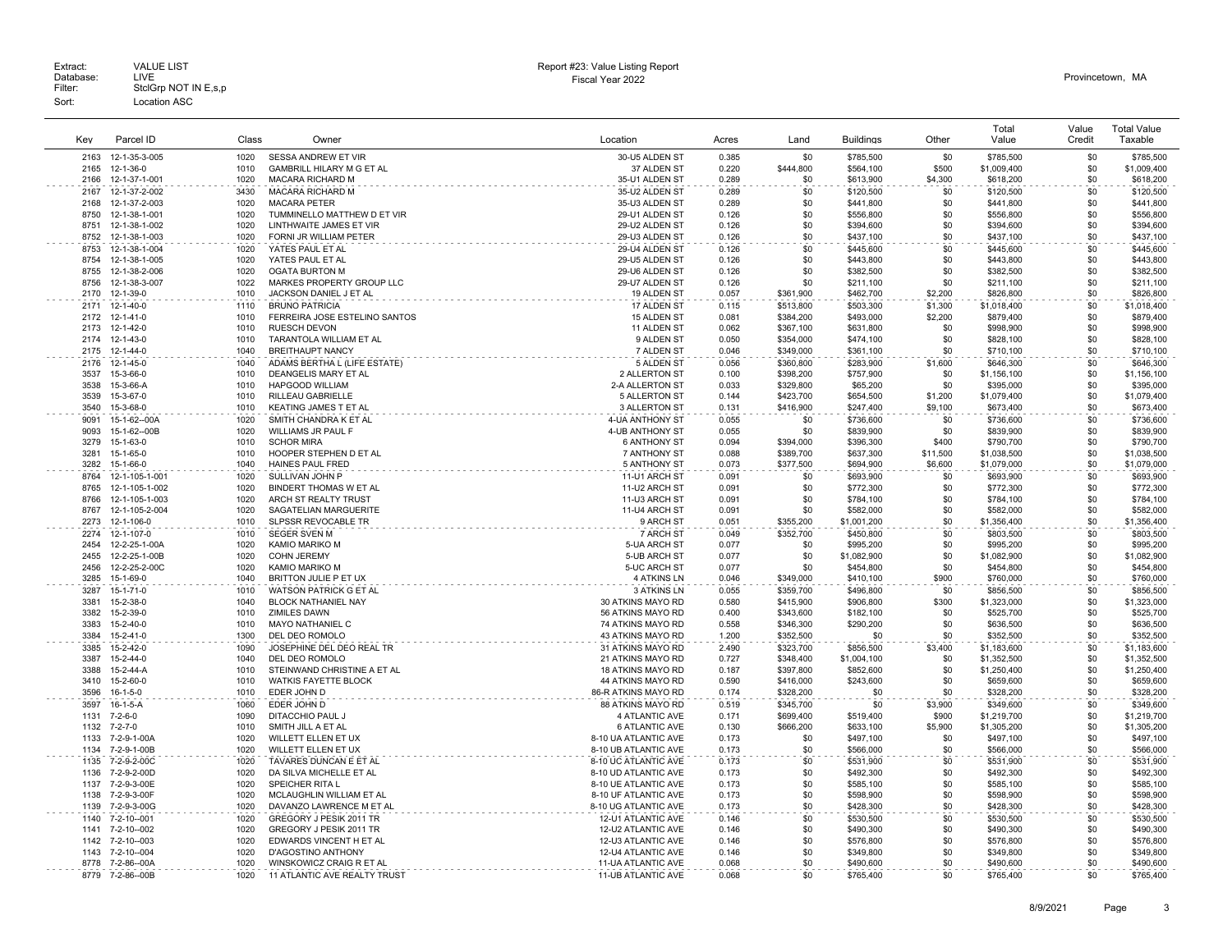|              | Parcel ID                      |              |                                                      |                                                      |                |                        |                          |                    | Total                    | Value      | <b>Total Value</b><br>Taxable |
|--------------|--------------------------------|--------------|------------------------------------------------------|------------------------------------------------------|----------------|------------------------|--------------------------|--------------------|--------------------------|------------|-------------------------------|
| Key          |                                | Class        | Owner                                                | Location                                             | Acres          | Land                   | <b>Buildings</b>         | Other              | Value                    | Credit     |                               |
| 2163         | 12-1-35-3-005                  | 1020         | SESSA ANDREW ET VIR                                  | 30-U5 ALDEN ST                                       | 0.385          | \$0                    | \$785,500                | \$0                | \$785,500                | \$0        | \$785,500                     |
| 2165         | 12-1-36-0                      | 1010         | GAMBRILL HILARY M G ET AL                            | 37 ALDEN ST                                          | 0.220          | \$444,800              | \$564,100                | \$500              | \$1,009,400              | \$0        | \$1,009,400                   |
| 2166<br>2167 | 12-1-37-1-001<br>12-1-37-2-002 | 1020<br>3430 | MACARA RICHARD M<br><b>MACARA RICHARD M</b>          | 35-U1 ALDEN ST<br>35-U2 ALDEN ST                     | 0.289<br>0.289 | \$0<br>\$0             | \$613,900                | \$4,300<br>\$0     | \$618,200                | \$0<br>\$0 | \$618,200                     |
| 2168         | 12-1-37-2-003                  | 1020         | <b>MACARA PETER</b>                                  | 35-U3 ALDEN ST                                       | 0.289          | \$0                    | \$120,500<br>\$441,800   | \$0                | \$120,500<br>\$441,800   | \$0        | \$120,500<br>\$441,800        |
| 8750         | 12-1-38-1-001                  | 1020         | TUMMINELLO MATTHEW D ET VIR                          | 29-U1 ALDEN ST                                       | 0.126          | \$0                    | \$556,800                | \$0                | \$556,800                | \$0        | \$556,800                     |
| 8751         | 12-1-38-1-002                  | 1020         | LINTHWAITE JAMES ET VIR                              | 29-U2 ALDEN ST                                       | 0.126          | \$0                    | \$394,600                | \$0                | \$394.600                | \$0        | \$394,600                     |
| 8752         | 12-1-38-1-003                  | 1020         | FORNI JR WILLIAM PETER                               | 29-U3 ALDEN ST                                       | 0.126          | \$0                    | \$437,100                | \$0                | \$437,100                | \$0        | \$437,100                     |
| 8753         | 12-1-38-1-004                  | 1020         | YATES PAUL ET AL                                     | 29-U4 ALDEN ST                                       | 0.126          | \$0                    | \$445,600                | \$0                | \$445,600                | \$0        | \$445,600                     |
| 8754         | 12-1-38-1-005                  | 1020         | YATES PAUL ET AL                                     | 29-U5 ALDEN ST                                       | 0.126          | \$0                    | \$443,800                | \$0                | \$443,800                | \$0        | \$443,800                     |
| 8755         | 12-1-38-2-006                  | 1020         | <b>OGATA BURTON M</b>                                | 29-U6 ALDEN ST                                       | 0.126          | \$0                    | \$382.500                | \$0                | \$382.500                | \$0        | \$382,500                     |
| 8756         | 12-1-38-3-007                  | 1022         | MARKES PROPERTY GROUP LLC                            | 29-U7 ALDEN ST                                       | 0.126          | \$0                    | \$211,100                | \$0                | \$211,100                | \$0        | \$211,100                     |
| 2170<br>2171 | 12-1-39-0                      | 1010<br>1110 | JACKSON DANIEL J ET AL<br><b>BRUNO PATRICIA</b>      | 19 ALDEN ST<br>17 ALDEN ST                           | 0.057          | \$361,900              | \$462,700                | \$2,200            | \$826,800                | \$0<br>\$0 | \$826,800                     |
| 2172         | 12-1-40-0<br>12-1-41-0         | 1010         | FERREIRA JOSE ESTELINO SANTOS                        | 15 ALDEN ST                                          | 0.115<br>0.081 | \$513,800<br>\$384,200 | \$503,300<br>\$493,000   | \$1,300<br>\$2,200 | \$1,018,400<br>\$879,400 | \$0        | \$1,018,400<br>\$879,400      |
| 2173         | 12-1-42-0                      | 1010         | <b>RUESCH DEVON</b>                                  | 11 ALDEN ST                                          | 0.062          | \$367,100              | \$631,800                | \$0                | \$998,900                | \$0        | \$998,900                     |
| 2174         | 12-1-43-0                      | 1010         | TARANTOLA WILLIAM ET AL                              | 9 ALDEN ST                                           | 0.050          | \$354,000              | \$474,100                | \$0                | \$828,100                | \$0        | \$828,100                     |
| 2175         | 12-1-44-0                      | 1040         | <b>BREITHAUPT NANCY</b>                              | 7 ALDEN ST                                           | 0.046          | \$349,000              | \$361.100                | \$0                | \$710,100                | \$0        | \$710,100                     |
| 2176         | 12-1-45-0                      | 1040         | ADAMS BERTHA L (LIFE ESTATE)                         | 5 ALDEN ST                                           | 0.056          | \$360,800              | \$283,900                | \$1,600            | \$646,300                | \$0        | \$646,300                     |
| 3537         | 15-3-66-0                      | 1010         | <b>DEANGELIS MARY ET AL</b>                          | 2 ALLERTON ST                                        | 0.100          | \$398,200              | \$757,900                | \$0                | \$1,156,100              | \$0        | \$1,156,100                   |
| 3538         | 15-3-66-A                      | 1010         | <b>HAPGOOD WILLIAM</b>                               | 2-A ALLERTON ST                                      | 0.033          | \$329,800              | \$65,200                 | \$0                | \$395,000                | \$0        | \$395,000                     |
| 3539         | 15-3-67-0                      | 1010         | <b>RILLEAU GABRIELLE</b>                             | <b>5 ALLERTON ST</b>                                 | 0.144          | \$423,700              | \$654.500                | \$1.200            | \$1,079,400              | \$0        | \$1,079,400                   |
| 3540         | 15-3-68-0                      | 1010         | KEATING JAMES T ET AL                                | 3 ALLERTON ST                                        | 0.131          | \$416,900              | \$247,400                | \$9,100            | \$673,400                | \$0        | \$673,400                     |
| 9091         | 15-1-62--00A                   | 1020         | SMITH CHANDRA K ET AL                                | 4-UA ANTHONY ST                                      | 0.055          | \$0                    | \$736,600                | \$0                | \$736,600                | \$0        | \$736,600                     |
| 9093<br>3279 | 15-1-62--00B<br>15-1-63-0      | 1020<br>1010 | WILLIAMS JR PAUL F<br><b>SCHOR MIRA</b>              | 4-UB ANTHONY ST<br><b>6 ANTHONY ST</b>               | 0.055<br>0.094 | \$0<br>\$394,000       | \$839,900<br>\$396,300   | \$0<br>\$400       | \$839,900<br>\$790,700   | \$0<br>\$0 | \$839,900<br>\$790,700        |
| 3281         | 15-1-65-0                      | 1010         | HOOPER STEPHEN D ET AL                               | 7 ANTHONY ST                                         | 0.088          | \$389,700              | \$637,300                | \$11,500           | \$1,038,500              | \$0        | \$1,038,500                   |
| 3282         | 15-1-66-0                      | 1040         | HAINES PAUL FRED                                     | 5 ANTHONY ST                                         | 0.073          | \$377,500              | \$694,900                | \$6,600            | \$1,079,000              | \$0        | \$1,079,000                   |
| 8764         | 12-1-105-1-001                 | 1020         | SULLIVAN JOHN P                                      | 11-U1 ARCH ST                                        | 0.091          | \$0                    | \$693,900                | \$0                | \$693,900                | \$0        | \$693,900                     |
| 8765         | 12-1-105-1-002                 | 1020         | BINDERT THOMAS W ET AL                               | 11-U2 ARCH ST                                        | 0.091          | \$0                    | \$772,300                | \$0                | \$772,300                | \$0        | \$772,300                     |
| 8766         | 12-1-105-1-003                 | 1020         | ARCH ST REALTY TRUST                                 | 11-U3 ARCH ST                                        | 0.091          | \$0                    | \$784,100                | \$0                | \$784,100                | \$0        | \$784,100                     |
| 8767         | 12-1-105-2-004                 | 1020         | SAGATELIAN MARGUERITE                                | 11-U4 ARCH ST                                        | 0.091          | \$0                    | \$582,000                | \$0                | \$582,000                | \$0        | \$582,000                     |
| 2273         | 12-1-106-0                     | 1010         | SLPSSR REVOCABLE TR                                  | 9 ARCH ST                                            | 0.051          | \$355,200              | \$1,001,200              | \$0                | \$1,356,400              | \$0        | \$1,356,400                   |
| 2274         | 12-1-107-0                     | 1010         | <b>SEGER SVEN M</b>                                  | 7 ARCH ST                                            | 0.049          | \$352,700              | \$450,800                | \$0                | \$803,500                | \$0        | \$803,500                     |
| 2454         | 12-2-25-1-00A                  | 1020         | KAMIO MARIKO M                                       | 5-UA ARCH ST                                         | 0.077          | \$0                    | \$995,200                | \$0                | \$995,200                | \$0        | \$995,200                     |
| 2455<br>2456 | 12-2-25-1-00B<br>12-2-25-2-00C | 1020<br>1020 | COHN JEREMY<br>KAMIO MARIKO M                        | 5-UB ARCH ST<br>5-UC ARCH ST                         | 0.077<br>0.077 | \$0<br>\$0             | \$1,082,900<br>\$454,800 | \$0<br>\$0         | \$1,082,900<br>\$454,800 | \$0<br>\$0 | \$1,082,900<br>\$454,800      |
| 3285         | 15-1-69-0                      | 1040         | BRITTON JULIE P ET UX                                | 4 ATKINS LN                                          | 0.046          | \$349,000              | \$410,100                | \$900              | \$760,000                | \$0        | \$760,000                     |
| 3287         | 15-1-71-0                      | 1010         | WATSON PATRICK G ET AL                               | <b>3 ATKINS LN</b>                                   | 0.055          | \$359,700              | \$496,800                | \$0                | \$856,500                | \$0        | \$856,500                     |
| 3381         | 15-2-38-0                      | 1040         | <b>BLOCK NATHANIEL NAY</b>                           | 30 ATKINS MAYO RD                                    | 0.580          | \$415,900              | \$906,800                | \$300              | \$1,323,000              | \$0        | \$1,323,000                   |
| 3382         | 15-2-39-0                      | 1010         | ZIMILES DAWN                                         | 56 ATKINS MAYO RD                                    | 0.400          | \$343,600              | \$182,100                | \$0                | \$525,700                | \$0        | \$525,700                     |
| 3383         | $15 - 2 - 40 - 0$              | 1010         | <b>MAYO NATHANIEL C</b>                              | 74 ATKINS MAYO RD                                    | 0.558          | \$346.300              | \$290.200                | \$0                | \$636,500                | \$0        | \$636,500                     |
| 3384         | 15-2-41-0                      | 1300         | DEL DEO ROMOLO                                       | 43 ATKINS MAYO RD                                    | 1.200          | \$352,500              | \$0                      | \$0                | \$352,500                | \$0        | \$352,500                     |
| 3385         | 15-2-42-0                      | 1090         | JOSEPHINE DEL DEO REAL TR                            | 31 ATKINS MAYO RD                                    | 2.490          | \$323,700              | \$856,500                | \$3,400            | \$1,183,600              | \$0        | \$1,183,600                   |
| 3387         | 15-2-44-0                      | 1040<br>1010 | DEL DEO ROMOLO                                       | 21 ATKINS MAYO RD                                    | 0.727          | \$348,400              | \$1,004,100              | \$0                | \$1,352,500              | \$0        | \$1,352,500                   |
| 3388<br>3410 | 15-2-44-A<br>15-2-60-0         | 1010         | STEINWAND CHRISTINE A ET AL<br>WATKIS FAYETTE BLOCK  | <b>18 ATKINS MAYO RD</b><br><b>44 ATKINS MAYO RD</b> | 0.187<br>0.590 | \$397,800<br>\$416,000 | \$852,600<br>\$243,600   | \$0<br>\$0         | \$1,250,400<br>\$659,600 | \$0<br>\$0 | \$1,250,400<br>\$659,600      |
| 3596         | $16 - 1 - 5 - 0$               | 1010         | EDER JOHN D                                          | 86-R ATKINS MAYO RD                                  | 0.174          | \$328,200              | \$0                      | \$0                | \$328,200                | \$0        | \$328,200                     |
| 3597         | $16-1-5-A$                     | 1060         | EDER JOHN D                                          | 88 ATKINS MAYO RD                                    | 0.519          | \$345,700              | \$0                      | \$3,900            | \$349,600                | \$0        | \$349,600                     |
| 1131         | $7 - 2 - 6 - 0$                | 1090         | DITACCHIO PAUL J                                     | 4 ATLANTIC AVE                                       | 0.171          | \$699,400              | \$519,400                | \$900              | \$1,219,700              | \$0        | \$1,219,700                   |
| 1132         | $7 - 2 - 7 - 0$                | 1010         | SMITH JILL A ET AL                                   | <b>6 ATLANTIC AVE</b>                                | 0.130          | \$666,200              | \$633,100                | \$5,900            | \$1,305,200              | \$0        | \$1,305,200                   |
| 1133         | 7-2-9-1-00A                    | 1020         | WILLETT ELLEN ET UX                                  | 8-10 UA ATLANTIC AVE                                 | 0.173          | \$0                    | \$497,100                | \$0                | \$497,100                | \$0        | \$497,100                     |
| 1134         | 7-2-9-1-00B                    | 1020         | WILLETT ELLEN ET UX                                  | 8-10 UB ATLANTIC AVE                                 | 0.173          | \$0                    | \$566,000                | \$0                | \$566,000                | \$0        | \$566,000                     |
| 1135         | 7-2-9-2-00C                    | 1020         | TAVARES DUNCAN E ET AL                               | 8-10 UC ATLANTIC AVE                                 | 0.173          | \$0                    | \$531,900                | \$0                | \$531,900                | \$0        | \$531,900                     |
| 1136         | 7-2-9-2-00D                    | 1020         | DA SILVA MICHELLE ET AL                              | 8-10 UD ATLANTIC AVE                                 | 0.173          | \$0                    | \$492,300                | \$0                | \$492,300                | \$0        | \$492,300                     |
| 1137         | 7-2-9-3-00E                    | 1020         | SPEICHER RITA L                                      | 8-10 UE ATLANTIC AVE                                 | 0.173          | \$0                    | \$585,100                | \$0                | \$585,100                | \$0        | \$585,100                     |
| 1138<br>1139 | 7-2-9-3-00F<br>7-2-9-3-00G     | 1020<br>1020 | MCLAUGHLIN WILLIAM ET AL<br>DAVANZO LAWRENCE M ET AL | 8-10 UF ATLANTIC AVE<br>8-10 UG ATLANTIC AVE         | 0.173<br>0.173 | \$0<br>\$0             | \$598,900<br>\$428,300   | \$0<br>\$0         | \$598,900<br>\$428,300   | \$0<br>\$0 | \$598,900<br>\$428,300        |
| 1140         | 7-2-10--001                    | 1020         | GREGORY J PESIK 2011 TR                              | 12-U1 ATLANTIC AVE                                   | 0.146          | \$0                    | \$530,500                | \$0                | \$530,500                | \$0        | \$530,500                     |
| 1141         | 7-2-10--002                    | 1020         | GREGORY J PESIK 2011 TR                              | 12-U2 ATLANTIC AVE                                   | 0.146          | \$0                    | \$490,300                | \$0                | \$490,300                | \$0        | \$490,300                     |
| 1142         | 7-2-10--003                    | 1020         | EDWARDS VINCENT H ET AL                              | 12-U3 ATLANTIC AVE                                   | 0.146          | \$0                    | \$576,800                | \$0                | \$576,800                | \$0        | \$576,800                     |
|              | 1143 7-2-10--004               | 1020         | D'AGOSTINO ANTHONY                                   | 12-U4 ATLANTIC AVE                                   | 0.146          | \$0                    | \$349,800                | \$0                | \$349,800                | \$0        | \$349,800                     |
|              | 8778 7-2-86--00A               | 1020         | WINSKOWICZ CRAIG R ET AL                             | 11-UA ATLANTIC AVE                                   | 0.068          | \$0                    | \$490,600                | \$0                | \$490,600                | \$0        | \$490,600                     |
| 8779         | 7-2-86--00B                    | 1020         | 11 ATLANTIC AVE REALTY TRUST                         | 11-UB ATLANTIC AVE                                   | 0.068          | \$0                    | \$765.400                | \$0                | \$765.400                | \$0        | \$765,400                     |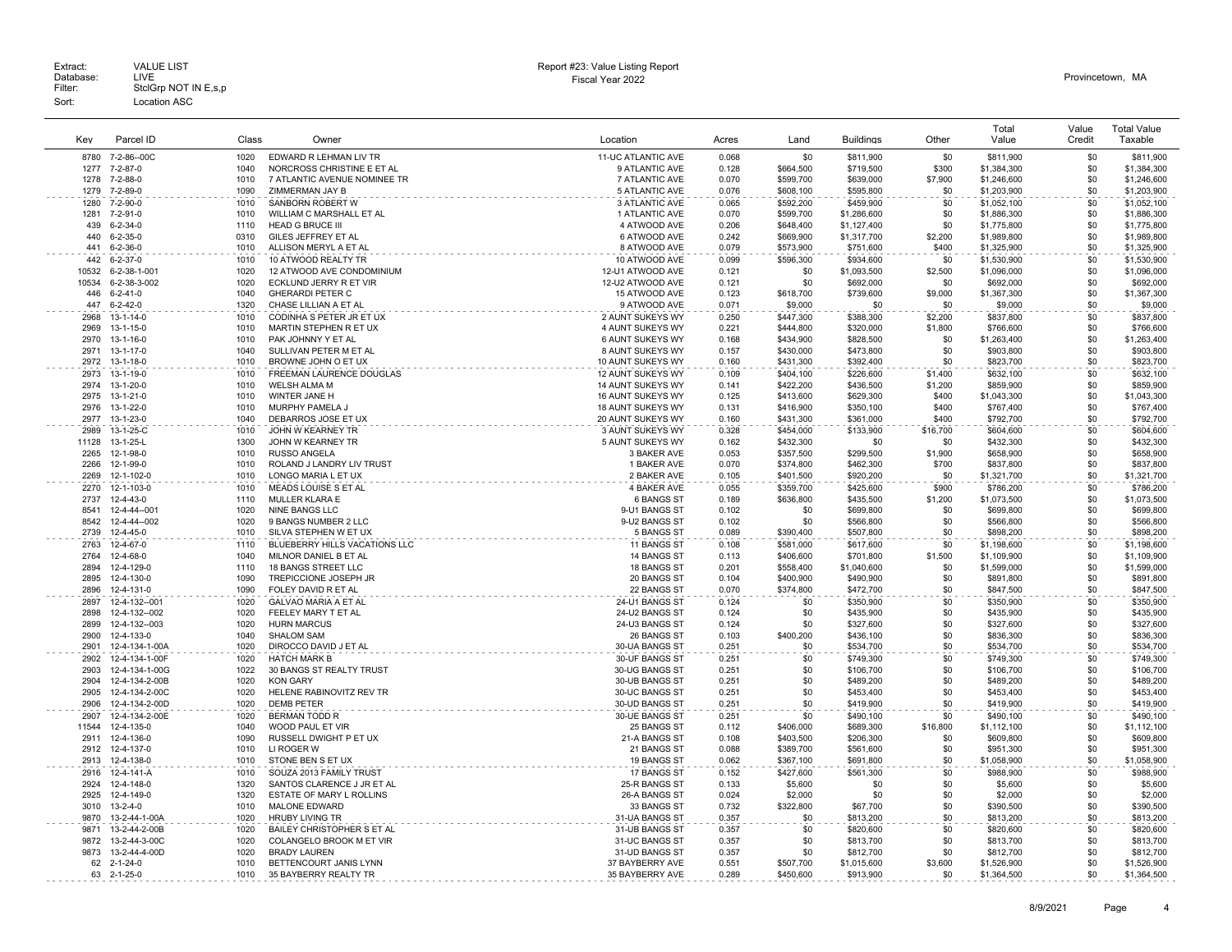|              |                              |              |                                                        |                             |                |            |                        |                | Total                      | Value      | <b>Total Value</b>         |
|--------------|------------------------------|--------------|--------------------------------------------------------|-----------------------------|----------------|------------|------------------------|----------------|----------------------------|------------|----------------------------|
| Key          | Parcel ID                    | Class        | Owner                                                  | Location                    | Acres          | Land       | <b>Buildings</b>       | Other          | Value                      | Credit     | Taxable                    |
| 8780         | 7-2-86--00C                  | 1020         | EDWARD R LEHMAN LIV TR                                 | 11-UC ATLANTIC AVE          | 0.068          | \$0        | \$811,900              | \$0            | \$811,900                  | \$0        | \$811,900                  |
| 1277         | 7-2-87-0                     | 1040         | NORCROSS CHRISTINE E ET AL                             | 9 ATLANTIC AVE              | 0.128          | \$664.500  | \$719,500              | \$300          | \$1,384,300                | \$0        | \$1,384,300                |
| 1278         | 7-2-88-0                     | 1010         | 7 ATLANTIC AVENUE NOMINEE TR                           | 7 ATLANTIC AVE              | 0.070          | \$599,700  | \$639,000              | \$7,900        | \$1,246,600                | \$0        | \$1,246,600                |
| 1279         | $7 - 2 - 89 - 0$             | 1090         | ZIMMERMAN JAY B                                        | 5 ATLANTIC AVE              | 0.076          | \$608,100  | \$595,800              | \$0            | \$1,203,900                | \$0        | \$1,203,900                |
| 1280         | 7-2-90-0                     | 1010         | SANBORN ROBERT W                                       | 3 ATLANTIC AVE              | 0.065          | \$592,200  | \$459,900              | \$0            | \$1,052,100                | \$0        | \$1,052,100                |
| 1281         | $7 - 2 - 91 - 0$             | 1010         | WILLIAM C MARSHALL ET AL                               | 1 ATLANTIC AVE              | 0.070          | \$599,700  | \$1,286,600            | \$0            | \$1,886,300                | \$0        | \$1,886,300                |
| 439          | $6 - 2 - 34 - 0$             | 1110         | <b>HEAD G BRUCE III</b>                                | 4 ATWOOD AVE                | 0.206          | \$648.400  | \$1,127,400            | \$0            | \$1,775,800                | \$0        | \$1,775,800                |
| 440          | $6 - 2 - 35 - 0$             | 0310         | GILES JEFFREY ET AL                                    | 6 ATWOOD AVE                | 0.242          | \$669,900  | \$1,317,700            | \$2,200        | \$1,989,800                | \$0        | \$1,989,800                |
| 441          | $6 - 2 - 36 - 0$             | 1010         | ALLISON MERYL A ET AL                                  | 8 ATWOOD AVE                | 0.079          | \$573,900  | \$751,600              | \$400          | \$1,325,900                | \$0        | \$1,325,900                |
| 442          | $6 - 2 - 37 - 0$             | 1010         | 10 ATWOOD REALTY TR                                    | 10 ATWOOD AVE               | 0.099          | \$596,300  | \$934,600              | \$0            | \$1,530,900                | \$0        | \$1,530,900                |
| 10532        | 6-2-38-1-001                 | 1020         | 12 ATWOOD AVE CONDOMINIUM                              | 12-U1 ATWOOD AVE            | 0.121          | \$0        | \$1,093,500            | \$2,500        | \$1,096,000                | \$0        | \$1,096,000                |
| 10534        | 6-2-38-3-002                 | 1020         | ECKLUND JERRY R ET VIR                                 | 12-U2 ATWOOD AVE            | 0.121          | \$0        | \$692,000              | \$0            | \$692,000                  | \$0        | \$692,000                  |
| 446          | $6 - 2 - 41 - 0$             | 1040         | GHERARDI PETER C                                       | 15 ATWOOD AVE               | 0.123          | \$618,700  | \$739,600              | \$9,000        | \$1,367,300                | \$0        | \$1,367,300                |
| 447          | $6 - 2 - 42 - 0$             | 1320         | CHASE LILLIAN A ET AL                                  | 9 ATWOOD AVE                | 0.071          | \$9,000    | \$0                    | \$0            | \$9,000                    | \$0        | \$9,000                    |
| 2968         | 13-1-14-0                    | 1010         | CODINHA S PETER JR ET UX                               | 2 AUNT SUKEYS WY            | 0.250          | \$447,300  | \$388,300              | \$2,200        | \$837,800                  | \$0        | \$837,800                  |
| 2969         | $13 - 1 - 15 - 0$            | 1010         | MARTIN STEPHEN R ET UX                                 | 4 AUNT SUKEYS WY            | 0.221          | \$444.800  | \$320,000              | \$1,800        | \$766,600                  | \$0        | \$766,600                  |
| 2970         | 13-1-16-0                    | 1010         | PAK JOHNNY Y ET AL                                     | 6 AUNT SUKEYS WY            | 0.168          | \$434,900  | \$828,500              | \$0            | \$1,263,400                | \$0        | \$1,263,400                |
| 2971         | $13 - 1 - 17 - 0$            | 1040         | SULLIVAN PETER M ET AL                                 | 8 AUNT SUKEYS WY            | 0.157          | \$430.000  | \$473,800              | \$0            | \$903,800                  | \$0        | \$903,800                  |
| 2972         | 13-1-18-0                    | 1010         | BROWNE JOHN O ET UX                                    | 10 AUNT SUKEYS WY           | 0.160          | \$431.300  | \$392,400              | \$0            | \$823,700                  | \$0        | \$823,700                  |
| 2973         | $13 - 1 - 19 - 0$            | 1010         | <b>FREEMAN LAURENCE DOUGLAS</b>                        | 12 AUNT SUKEYS WY           | 0.109          | \$404,100  | \$226,600              | \$1,400        | \$632,100                  | \$0        | \$632,100                  |
| 2974         | 13-1-20-0                    | 1010         | <b>WELSH ALMA M</b>                                    | 14 AUNT SUKEYS WY           | 0.141          | \$422,200  | \$436,500              | \$1,200        | \$859,900                  | \$0        | \$859,900                  |
| 2975         | 13-1-21-0                    | 1010         | WINTER JANE H                                          | 16 AUNT SUKEYS WY           | 0.125          | \$413,600  | \$629,300              | \$400          | \$1,043,300                | \$0        | \$1,043,300                |
| 2976         | 13-1-22-0                    | 1010         | MURPHY PAMELA J                                        | 18 AUNT SUKEYS WY           | 0.131          | \$416,900  | \$350,100              | \$400          | \$767,400                  | \$0        | \$767,400                  |
| 2977         | 13-1-23-0                    | 1040         | DEBARROS JOSE ET UX                                    | 20 AUNT SUKEYS WY           | 0.160          | \$431,300  | \$361,000              | \$400          | \$792,700                  | \$0        | \$792,700                  |
| 2989         | 13-1-25-C                    | 1010         | JOHN W KEARNEY TR                                      | 3 AUNT SUKEYS WY            | 0.328          | \$454.000  | \$133,900              | \$16,700       | \$604,600                  | \$0        | \$604.600                  |
| 11128        | 13-1-25-L                    | 1300         | JOHN W KEARNEY TR                                      | 5 AUNT SUKEYS WY            | 0.162          | \$432,300  | \$0                    | \$0            | \$432,300                  | \$0        | \$432,300                  |
| 2265         | 12-1-98-0                    | 1010         | <b>RUSSO ANGELA</b>                                    | 3 BAKER AVE                 | 0.053          | \$357,500  | \$299,500              | \$1,900        | \$658,900                  | \$0        | \$658,900                  |
| 2266         | 12-1-99-0                    | 1010         | ROLAND J LANDRY LIV TRUST                              | 1 BAKER AVE                 | 0.070          | \$374,800  | \$462,300              | \$700          | \$837,800                  | \$0        | \$837,800                  |
| 2269         | 12-1-102-0                   | 1010         | LONGO MARIA L ET UX                                    | 2 BAKER AVE                 | 0.105          | \$401,500  | \$920,200              | \$0            | \$1,321,700                | \$0        | \$1,321,700                |
| 2270         | 12-1-103-0                   | 1010         | MEADS LOUISE S ET AL                                   | 4 BAKER AVE                 | 0.055          | \$359,700  | \$425,600              | \$900          | \$786,200                  | \$0        | \$786,200                  |
| 2737         | 12-4-43-0                    | 1110         | MULLER KLARA E                                         | 6 BANGS ST                  | 0.189          | \$636,800  | \$435,500              | \$1,200        | \$1,073,500                | \$0        | \$1,073,500                |
| 8541<br>8542 | 12-4-44--001<br>12-4-44--002 | 1020<br>1020 | NINE BANGS LLC<br>9 BANGS NUMBER 2 LLC                 | 9-U1 BANGS ST               | 0.102<br>0.102 | \$0<br>\$0 | \$699,800              | \$0<br>\$0     | \$699,800                  | \$0<br>\$0 | \$699,800                  |
| 2739         | 12-4-45-0                    | 1010         |                                                        | 9-U2 BANGS ST<br>5 BANGS ST | 0.089          | \$390,400  | \$566,800              | \$0            | \$566,800<br>\$898,200     | \$0        | \$566,800<br>\$898,200     |
| 2763         | 12-4-67-0                    | 1110         | SILVA STEPHEN W ET UX<br>BLUEBERRY HILLS VACATIONS LLC | 11 BANGS ST                 | 0.108          | \$581,000  | \$507,800<br>\$617,600 | \$0            | \$1,198,600                | \$0        | \$1,198,600                |
| 2764         | 12-4-68-0                    | 1040         | MILNOR DANIEL B ET AL                                  | 14 BANGS ST                 |                | \$406,600  | \$701,800              |                |                            | \$0        |                            |
| 2894         | 12-4-129-0                   | 1110         | <b>18 BANGS STREET LLC</b>                             | 18 BANGS ST                 | 0.113<br>0.201 | \$558.400  | \$1,040,600            | \$1,500<br>\$0 | \$1,109,900<br>\$1,599,000 | \$0        | \$1,109,900<br>\$1,599,000 |
| 2895         | 12-4-130-0                   | 1090         | TREPICCIONE JOSEPH JR                                  | 20 BANGS ST                 | 0.104          | \$400,900  | \$490,900              | \$0            | \$891,800                  | \$0        | \$891,800                  |
| 2896         | 12-4-131-0                   | 1090         | FOLEY DAVID R ET AL                                    | 22 BANGS ST                 | 0.070          | \$374,800  | \$472,700              | \$0            | \$847,500                  | \$0        | \$847,500                  |
| 2897         | 12-4-132--001                | 1020         | GALVAO MARIA A ET AL                                   | 24-U1 BANGS ST              | 0.124          | \$0        | \$350,900              | \$0            | \$350,900                  | \$0        | \$350,900                  |
| 2898         | 12-4-132--002                | 1020         | FEELEY MARY T ET AL                                    | 24-U2 BANGS ST              | 0.124          | \$0        | \$435,900              | \$0            | \$435,900                  | \$0        | \$435,900                  |
| 2899         | 12-4-132--003                | 1020         | <b>HURN MARCUS</b>                                     | 24-U3 BANGS ST              | 0.124          | \$0        | \$327,600              | \$0            | \$327,600                  | \$0        | \$327,600                  |
| 2900         | 12-4-133-0                   | 1040         | SHALOM SAM                                             | 26 BANGS ST                 | 0.103          | \$400,200  | \$436,100              | \$0            | \$836,300                  | \$0        | \$836,300                  |
| 2901         | 12-4-134-1-00A               | 1020         | DIROCCO DAVID J ET AL                                  | 30-UA BANGS ST              | 0.251          | \$0        | \$534,700              | \$0            | \$534,700                  | \$0        | \$534,700                  |
| 2902         | 12-4-134-1-00F               | 1020         | <b>HATCH MARK B</b>                                    | 30-UF BANGS ST              | 0.251          | \$0        | \$749,300              | \$0            | \$749,300                  | \$0        | \$749,300                  |
| 2903         | 12-4-134-1-00G               | 1022         | 30 BANGS ST REALTY TRUST                               | 30-UG BANGS ST              | 0.251          | \$0        | \$106,700              | \$0            | \$106,700                  | \$0        | \$106,700                  |
| 2904         | 12-4-134-2-00B               | 1020         | <b>KON GARY</b>                                        | 30-UB BANGS ST              | 0.251          | \$0        | \$489,200              | \$0            | \$489,200                  | \$0        | \$489,200                  |
| 2905         | 12-4-134-2-00C               | 1020         | HELENE RABINOVITZ REV TR                               | 30-UC BANGS ST              | 0.251          | \$0        | \$453,400              | \$0            | \$453,400                  | \$0        | \$453,400                  |
| 2906         | 12-4-134-2-00D               | 1020         | <b>DEMB PETER</b>                                      | 30-UD BANGS ST              | 0.251          | \$0        | \$419,900              | \$0            | \$419,900                  | \$0        | \$419,900                  |
| 2907         | 12-4-134-2-00E               | 1020         | <b>BERMAN TODD R</b>                                   | 30-UE BANGS ST              | 0.251          | \$0        | \$490,100              | \$0            | \$490,100                  | \$0        | \$490,100                  |
| 11544        | 12-4-135-0                   | 1040         | WOOD PAUL ET VIR                                       | 25 BANGS ST                 | 0.112          | \$406.000  | \$689,300              | \$16,800       | \$1,112,100                | \$0        | \$1,112,100                |
| 2911         | 12-4-136-0                   | 1090         | RUSSELL DWIGHT P ET UX                                 | 21-A BANGS ST               | 0.108          | \$403,500  | \$206,300              | \$0            | \$609,800                  | \$0        | \$609,800                  |
| 2912         | 12-4-137-0                   | 1010         | LI ROGER W                                             | 21 BANGS ST                 | 0.088          | \$389,700  | \$561,600              | \$0            | \$951,300                  | \$0        | \$951,300                  |
| 2913         | 12-4-138-0                   | 1010         | STONE BEN S ET UX                                      | 19 BANGS ST                 | 0.062          | \$367.100  | \$691,800              | \$0            | \$1,058,900                | \$0        | \$1,058,900                |
| 2916         | 12-4-141-A                   | 1010         | SOUZA 2013 FAMILY TRUST                                | 17 BANGS ST                 | 0.152          | \$427,600  | \$561,300              | \$0            | \$988,900                  | \$0        | \$988,900                  |
| 2924         | 12-4-148-0                   | 1320         | SANTOS CLARENCE J JR ET AL                             | 25-R BANGS ST               | 0.133          | \$5,600    | \$0                    | \$0            | \$5,600                    | \$0        | \$5,600                    |
| 2925         | 12-4-149-0                   | 1320         | ESTATE OF MARY L ROLLINS                               | 26-A BANGS ST               | 0.024          | \$2,000    | \$0                    | \$0            | \$2,000                    | \$0        | \$2,000                    |
| 3010         | $13 - 2 - 4 - 0$             | 1010         | MALONE EDWARD                                          | 33 BANGS ST                 | 0.732          | \$322,800  | \$67,700               | \$0            | \$390,500                  | \$0        | \$390,500                  |
| 9870         | 13-2-44-1-00A                | 1020         | <b>HRUBY LIVING TR</b>                                 | 31-UA BANGS ST              | 0.357          | \$0        | \$813,200              | \$0            | \$813,200                  | \$0        | \$813,200                  |
| 9871         | 13-2-44-2-00B                | 1020         | BAILEY CHRISTOPHER S ET AL                             | 31-UB BANGS ST              | 0.357          | \$0        | \$820,600              | \$0            | \$820,600                  | \$0        | \$820,600                  |
| 9872         | 13-2-44-3-00C                | 1020         | COLANGELO BROOK M ET VIR                               | 31-UC BANGS ST              | 0.357          | \$0        | \$813,700              | \$0            | \$813,700                  | \$0        | \$813,700                  |
| 9873         | 13-2-44-4-00D                | 1020         | <b>BRADY LAUREN</b>                                    | 31-UD BANGS ST              | 0.357          | \$0        | \$812,700              | \$0            | \$812,700                  | \$0        | \$812,700                  |
| 62           | $2 - 1 - 24 - 0$             | 1010         | BETTENCOURT JANIS LYNN                                 | 37 BAYBERRY AVE             | 0.551          | \$507.700  | \$1,015,600            | \$3,600        | \$1,526,900                | \$0        | \$1,526,900                |
|              | 63 2-1-25-0                  | 1010         | 35 BAYBERRY REALTY TR                                  | 35 BAYBERRY AVE             | 0.289          | \$450,600  | \$913,900              | \$0            | \$1,364,500                | \$0        | \$1,364,500                |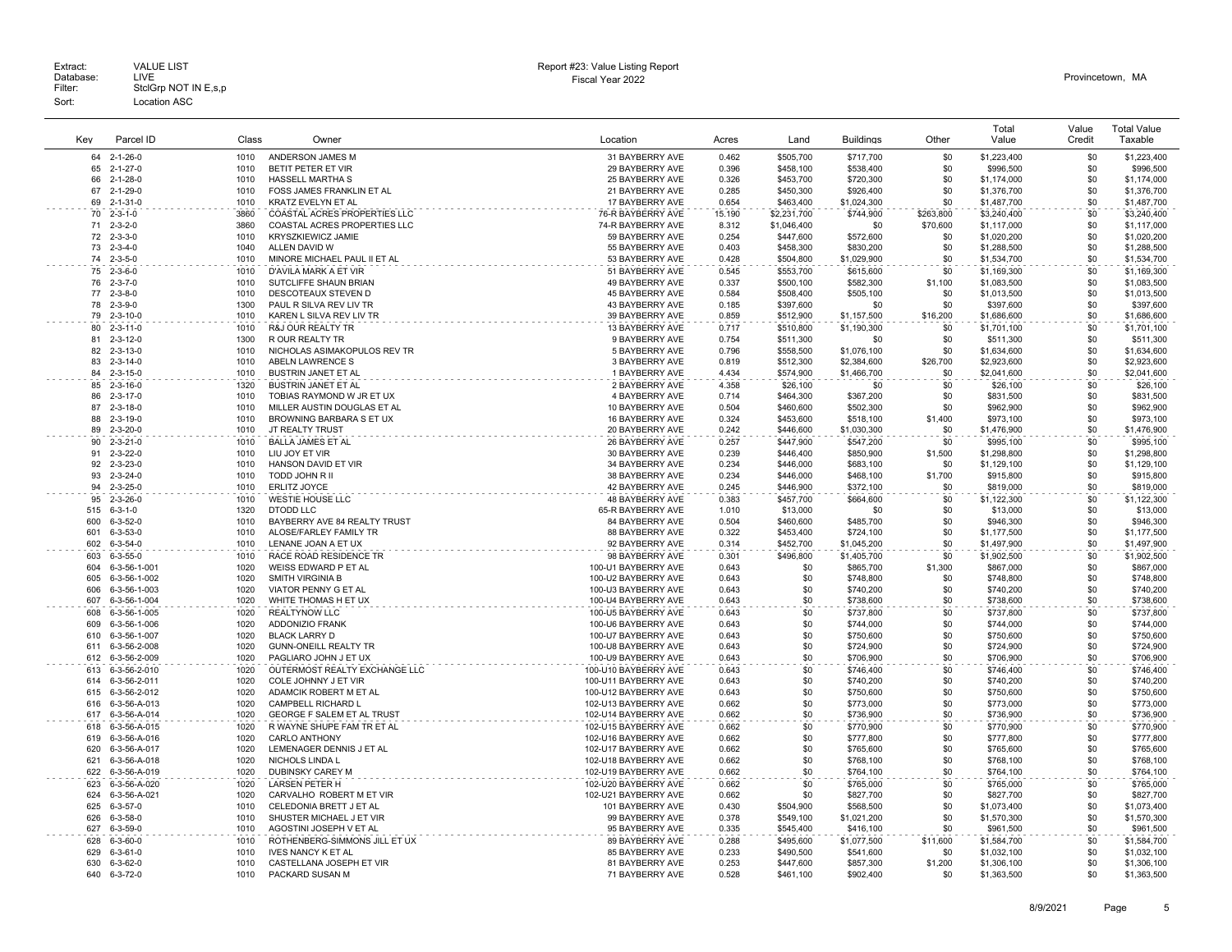| Key        | Parcel ID                            | Class        | Owner                                                   | Location                                    | Acres          | Land                   | <b>Buildings</b>       | Other      | Total<br>Value           | Value<br>Credit | <b>Total Value</b><br>Taxable |
|------------|--------------------------------------|--------------|---------------------------------------------------------|---------------------------------------------|----------------|------------------------|------------------------|------------|--------------------------|-----------------|-------------------------------|
|            |                                      |              |                                                         |                                             |                |                        |                        |            |                          | \$0             | \$1,223,400                   |
| 64<br>65   | $2 - 1 - 26 - 0$<br>$2 - 1 - 27 - 0$ | 1010<br>1010 | ANDERSON JAMES M<br>BETIT PETER ET VIR                  | 31 BAYBERRY AVE<br>29 BAYBERRY AVE          | 0.462<br>0.396 | \$505,700<br>\$458,100 | \$717,700<br>\$538,400 | \$0<br>\$0 | \$1,223,400<br>\$996,500 | \$0             | \$996,500                     |
| 66         | $2 - 1 - 28 - 0$                     | 1010         | HASSELL MARTHA S                                        | 25 BAYBERRY AVE                             | 0.326          | \$453,700              | \$720,300              | \$0        | \$1,174,000              | \$0             | \$1,174,000                   |
| 67         | 2-1-29-0                             | 1010         | FOSS JAMES FRANKLIN ET AL                               | 21 BAYBERRY AVE                             | 0.285          | \$450,300              | \$926,400              | \$0        | \$1,376,700              | \$0             | \$1,376,700                   |
| 69         | $2 - 1 - 31 - 0$                     | 1010         | KRATZ EVELYN ET AL                                      | 17 BAYBERRY AVE                             | 0.654          | \$463,400              | \$1,024,300            | \$0        | \$1,487,700              | \$0             | \$1,487,700                   |
| 70         | $2 - 3 - 1 - 0$                      | 3860         | COASTAL ACRES PROPERTIES LLC                            | 76-R BAYBERRY AVE                           | 15.190         | \$2,231,700            | \$744,900              | \$263,800  | \$3,240,400              | \$0             | \$3,240,400                   |
| 71         | $2 - 3 - 2 - 0$                      | 3860         | COASTAL ACRES PROPERTIES LLC                            | 74-R BAYBERRY AVE                           | 8.312          | \$1,046,400            | \$0                    | \$70,600   | \$1,117,000              | \$0             | \$1,117,000                   |
| 72         | $2 - 3 - 3 - 0$                      | 1010         | <b>KRYSZKIEWICZ JAMIE</b>                               | 59 BAYBERRY AVE                             | 0.254          | \$447,600              | \$572,600              | \$0        | \$1,020,200              | \$0             | \$1,020,200                   |
|            | $73, 2 - 3 - 4 - 0$                  | 1040         | ALLEN DAVID W                                           | 55 BAYBERRY AVE                             | 0.403          | \$458,300              | \$830,200              | .\$በ       | \$1,288,500              | \$0             | \$1,288,500                   |
| 74         | $2 - 3 - 5 - 0$                      | 1010         | MINORE MICHAEL PAUL II ET AL                            | 53 BAYBERRY AVE                             | 0.428          | \$504,800              | \$1,029,900            | \$0        | \$1,534,700              | \$0             | \$1,534,700                   |
| 75         | $2 - 3 - 6 - 0$                      | 1010         | D'AVILA MARK A ET VIR                                   | 51 BAYBERRY AVE                             | 0.545          | \$553,700              | \$615,600              | \$0        | \$1,169,300              | \$0             | \$1,169,300                   |
| 76         | $2 - 3 - 7 - 0$                      | 1010         | SUTCLIFFE SHAUN BRIAN                                   | 49 BAYBERRY AVE                             | 0.337          | \$500,100              | \$582,300              | \$1,100    | \$1,083,500              | \$0             | \$1,083,500                   |
| 77         | $2 - 3 - 8 - 0$                      | 1010         | DESCOTEAUX STEVEN D                                     | 45 BAYBERRY AVE                             | 0.584          | \$508,400              | \$505,100              | \$0        | \$1,013,500              | \$0             | \$1,013,500                   |
| 78         | $2 - 3 - 9 - 0$                      | 1300         | PAUL R SILVA REV LIV TR                                 | 43 BAYBERRY AVE                             | 0.185          | \$397,600              | \$0                    | \$0        | \$397,600                | \$0             | \$397,600                     |
| 79         | $2 - 3 - 10 - 0$                     | 1010         | KAREN L SILVA REV LIV TR                                | 39 BAYBERRY AVE                             | 0.859          | \$512,900              | \$1,157,500            | \$16,200   | \$1,686,600              | \$0             | \$1,686,600                   |
| 80         | $2 - 3 - 11 - 0$                     | 1010         | R&J OUR REALTY TR                                       | 13 BAYBERRY AVE                             | 0.717          | \$510,800              | \$1,190,300            | \$0        | \$1,701,100              | \$0             | \$1,701,100                   |
| 81         | $2 - 3 - 12 - 0$                     | 1300         | R OUR REALTY TR                                         | 9 BAYBERRY AVE                              | 0.754          | \$511.300              | \$0                    | \$0        | \$511,300                | \$0             | \$511,300                     |
| 82         | $2 - 3 - 13 - 0$                     | 1010         | NICHOLAS ASIMAKOPULOS REV TR                            | 5 BAYBERRY AVE                              | 0.796          | \$558,500              | \$1,076,100            | \$0        | \$1,634,600              | \$0             | \$1,634,600                   |
| 83<br>84   | $2 - 3 - 14 - 0$                     | 1010         | ABELN LAWRENCE S                                        | 3 BAYBERRY AVE                              | 0.819          | \$512,300              | \$2,384,600            | \$26,700   | \$2,923,600              | \$0<br>\$0      | \$2,923,600                   |
|            | $2 - 3 - 15 - 0$                     | 1010         | <b>BUSTRIN JANET ET AL</b>                              | 1 BAYBERRY AVE                              | 4.434          | \$574,900              | \$1,466,700            | \$0        | \$2,041,600              | \$0             | \$2,041,600                   |
| 85<br>86   | $2 - 3 - 16 - 0$<br>$2 - 3 - 17 - 0$ | 1320<br>1010 | <b>BUSTRIN JANET ET AL</b><br>TOBIAS RAYMOND W JR ET UX | 2 BAYBERRY AVE<br>4 BAYBERRY AVE            | 4.358<br>0.714 | \$26,100<br>\$464,300  | \$0<br>\$367,200       | \$0<br>\$0 | \$26,100<br>\$831,500    | \$0             | \$26,100<br>\$831,500         |
| 87         | $2 - 3 - 18 - 0$                     | 1010         | MILLER AUSTIN DOUGLAS ET AL                             | 10 BAYBERRY AVE                             | 0.504          | \$460,600              | \$502,300              | \$0        | \$962,900                | \$0             | \$962,900                     |
| 88         | $2 - 3 - 19 - 0$                     | 1010         | BROWNING BARBARA S ET UX                                | 16 BAYBERRY AVE                             | 0.324          | \$453,600              | \$518,100              | \$1,400    | \$973.100                | \$0             | \$973,100                     |
| 89         | $2 - 3 - 20 - 0$                     | 1010         | JT REALTY TRUST                                         | 20 BAYBERRY AVE                             | 0.242          | \$446,600              | \$1,030,300            | \$0        | \$1,476,900              | \$0             | \$1,476,900                   |
| 90         | $2 - 3 - 21 - 0$                     | 1010         | <b>BALLA JAMES ET AL</b>                                | 26 BAYBERRY AVE                             | 0.257          | \$447.900              | \$547,200              | \$0        | \$995,100                | \$0             | \$995,100                     |
| 91         | $2 - 3 - 22 - 0$                     | 1010         | LIU JOY ET VIR                                          | 30 BAYBERRY AVE                             | 0.239          | \$446,400              | \$850,900              | \$1,500    | \$1,298,800              | \$0             | \$1,298,800                   |
| 92         | $2 - 3 - 23 - 0$                     | 1010         | HANSON DAVID ET VIR                                     | 34 BAYBERRY AVE                             | 0.234          | \$446,000              | \$683,100              | \$0        | \$1,129,100              | \$0             | \$1,129,100                   |
| 93         | $2 - 3 - 24 - 0$                     | 1010         | TODD JOHN R II                                          | 38 BAYBERRY AVE                             | 0.234          | \$446,000              | \$468,100              | \$1,700    | \$915,800                | \$0             | \$915,800                     |
| 94         | $2 - 3 - 25 - 0$                     | 1010         | <b>ERLITZ JOYCE</b>                                     | 42 BAYBERRY AVE                             | 0.245          | \$446,900              | \$372,100              | \$0        | \$819,000                | \$0             | \$819,000                     |
| 95         | $2 - 3 - 26 - 0$                     | 1010         | WESTIE HOUSE LLC                                        | 48 BAYBERRY AVE                             | 0.383          | \$457,700              | \$664,600              | \$0        | \$1,122,300              | \$0             | \$1,122,300                   |
| 515        | $6 - 3 - 1 - 0$                      | 1320         | <b>DTODD LLC</b>                                        | 65-R BAYBERRY AVE                           | 1.010          | \$13,000               | \$0                    | \$0        | \$13,000                 | \$0             | \$13,000                      |
| 600        | $6 - 3 - 52 - 0$                     | 1010         | BAYBERRY AVE 84 REALTY TRUST                            | 84 BAYBERRY AVE                             | 0.504          | \$460,600              | \$485,700              | \$0        | \$946,300                | \$0             | \$946,300                     |
| 601        | $6 - 3 - 53 - 0$                     | 1010         | ALOSE/FARLEY FAMILY TR                                  | 88 BAYBERRY AVE                             | 0.322          | \$453,400              | \$724,100              | \$0        | \$1,177,500              | \$0             | \$1,177,500                   |
| 602        | $6 - 3 - 54 - 0$                     | 1010         | LENANE JOAN A ET UX                                     | 92 BAYBERRY AVE                             | 0.314          | \$452.700              | \$1,045,200            | \$0        | \$1,497,900              | \$0             | \$1,497,900                   |
| 603        | $6 - 3 - 55 - 0$                     | 1010         | RACE ROAD RESIDENCE TR                                  | 98 BAYBERRY AVE                             | 0.301          | \$496,800              | \$1,405,700            | \$0        | \$1,902,500              | \$0             | \$1,902,500                   |
| 604        | 6-3-56-1-001                         | 1020         | WEISS EDWARD P ET AL                                    | 100-U1 BAYBERRY AVE                         | 0.643          | \$0                    | \$865,700              | \$1,300    | \$867,000                | \$0             | \$867,000                     |
| 605        | 6-3-56-1-002                         | 1020         | SMITH VIRGINIA B                                        | 100-U2 BAYBERRY AVE                         | 0.643          | \$0                    | \$748,800              | \$0        | \$748,800                | \$0             | \$748,800                     |
| 606        | 6-3-56-1-003                         | 1020         | VIATOR PENNY G ET AL                                    | 100-U3 BAYBERRY AVE                         | 0.643          | \$0                    | \$740,200              | \$0        | \$740,200                | \$0             | \$740,200                     |
| 607        | 6-3-56-1-004                         | 1020         | WHITE THOMAS H ET UX                                    | 100-U4 BAYBERRY AVE                         | 0.643          | \$0                    | \$738,600              | \$0        | \$738,600                | \$0             | \$738,600                     |
| 608        | 6-3-56-1-005                         | 1020         | <b>REALTYNOW LLC</b>                                    | 100-U5 BAYBERRY AVE                         | 0.643          | \$0                    | \$737,800              | \$0        | \$737,800                | \$0             | \$737,800                     |
| 609        | 6-3-56-1-006                         | 1020         | ADDONIZIO FRANK                                         | 100-U6 BAYBERRY AVE                         | 0.643          | \$0                    | \$744,000              | \$0        | \$744,000                | \$0             | \$744,000                     |
| 610        | 6-3-56-1-007                         | 1020         | <b>BLACK LARRY D</b>                                    | 100-U7 BAYBERRY AVE                         | 0.643          | \$0                    | \$750,600              | \$0        | \$750,600                | \$0             | \$750,600                     |
| 611<br>612 | 6-3-56-2-008                         | 1020<br>1020 | <b>GUNN-ONEILL REALTY TR</b><br>PAGLIARO JOHN J ET UX   | 100-U8 BAYBERRY AVE                         | 0.643<br>0.643 | \$0<br>\$0             | \$724,900              | \$0<br>\$0 | \$724,900<br>\$706,900   | \$0<br>\$0      | \$724,900<br>\$706,900        |
| 613        | 6-3-56-2-009                         | 1020         | OUTERMOST REALTY EXCHANGE LLC                           | 100-U9 BAYBERRY AVE<br>100-U10 BAYBERRY AVE | 0.643          | \$0                    | \$706,900              | \$0        | \$746,400                | \$0             |                               |
| 614        | 6-3-56-2-010<br>6-3-56-2-011         | 1020         | COLE JOHNNY J ET VIR                                    | 100-U11 BAYBERRY AVE                        | 0.643          | \$0                    | \$746,400<br>\$740,200 | \$0        | \$740,200                | \$0             | \$746,400<br>\$740,200        |
| 615        | 6-3-56-2-012                         | 1020         | ADAMCIK ROBERT M ET AL                                  | 100-U12 BAYBERRY AVE                        | 0.643          | \$0                    | \$750,600              | \$0        | \$750,600                | \$0             | \$750,600                     |
| 616        | 6-3-56-A-013                         | 1020         | CAMPBELL RICHARD L                                      | 102-U13 BAYBERRY AVE                        | 0.662          | \$0                    | \$773,000              | \$0        | \$773,000                | \$0             | \$773,000                     |
| 617        | 6-3-56-A-014                         | 1020         | GEORGE F SALEM ET AL TRUST                              | 102-U14 BAYBERRY AVE                        | 0.662          | \$0                    | \$736,900              | \$0        | \$736,900                | \$0             | \$736,900                     |
| 618        | 6-3-56-A-015                         | 1020         | R WAYNE SHUPE FAM TR ET AL                              | 102-U15 BAYBERRY AVE                        | 0.662          | \$0                    | \$770,900              | \$0        | \$770,900                | \$0             | \$770,900                     |
| 619        | 6-3-56-A-016                         | 1020         | <b>CARLO ANTHONY</b>                                    | 102-U16 BAYBERRY AVE                        | 0.662          | \$0                    | \$777,800              | \$0        | \$777,800                | \$0             | \$777,800                     |
| 620        | 6-3-56-A-017                         | 1020         | LEMENAGER DENNIS J ET AL                                | 102-U17 BAYBERRY AVE                        | 0.662          | \$0                    | \$765,600              | \$0        | \$765,600                | \$0             | \$765,600                     |
| 621        | 6-3-56-A-018                         | 1020         | NICHOLS LINDA L                                         | 102-U18 BAYBERRY AVE                        | 0.662          | \$0                    | \$768,100              | \$0        | \$768,100                | \$0             | \$768,100                     |
| 622        | 6-3-56-A-019                         | 1020         | DUBINSKY CAREY M                                        | 102-U19 BAYBERRY AVE                        | 0.662          | \$0                    | \$764,100              | \$0        | \$764,100                | \$0             | \$764,100                     |
| 623        | 6-3-56-A-020                         | 1020         | <b>LARSEN PETER H</b>                                   | 102-U20 BAYBERRY AVE                        | 0.662          | \$0                    | \$765,000              | \$0        | \$765,000                | \$0             | \$765,000                     |
| 624        | 6-3-56-A-021                         | 1020         | CARVALHO ROBERT M ET VIR                                | 102-U21 BAYBERRY AVE                        | 0.662          | \$0                    | \$827,700              | \$0        | \$827,700                | \$0             | \$827,700                     |
| 625        | $6 - 3 - 57 - 0$                     | 1010         | CELEDONIA BRETT J ET AL                                 | 101 BAYBERRY AVE                            | 0.430          | \$504,900              | \$568,500              | \$0        | \$1,073,400              | \$0             | \$1,073,400                   |
| 626        | $6 - 3 - 58 - 0$                     | 1010         | SHUSTER MICHAEL J ET VIR                                | 99 BAYBERRY AVE                             | 0.378          | \$549,100              | \$1,021,200            | \$0        | \$1,570,300              | \$0             | \$1,570,300                   |
| 627        | $6 - 3 - 59 - 0$                     | 1010         | AGOSTINI JOSEPH V ET AL                                 | 95 BAYBERRY AVE                             | 0.335          | \$545,400              | \$416,100              | \$0        | \$961,500                | \$0             | \$961,500                     |
| 628        | $6 - 3 - 60 - 0$                     | 1010         | ROTHENBERG-SIMMONS JILL ET UX                           | 89 BAYBERRY AVE                             | 0.288          | \$495,600              | \$1,077,500            | \$11,600   | \$1,584,700              | \$0             | \$1,584,700                   |
| 629        | $6 - 3 - 61 - 0$                     | 1010         | <b>IVES NANCY K ET AL</b>                               | 85 BAYBERRY AVE                             | 0.233          | \$490,500              | \$541,600              | \$0        | \$1,032,100              | \$0             | \$1,032,100                   |
| 630        | $6 - 3 - 62 - 0$                     | 1010         | CASTELLANA JOSEPH ET VIR                                | 81 BAYBERRY AVE                             | 0.253          | \$447,600              | \$857,300              | \$1,200    | \$1,306,100              | \$0             | \$1,306,100                   |
| 640        | $6 - 3 - 72 - 0$                     | 1010         | PACKARD SUSAN M                                         | 71 BAYBERRY AVE                             | 0.528          | \$461,100              | \$902.400              | \$0        | \$1,363,500              | \$0             | \$1,363,500                   |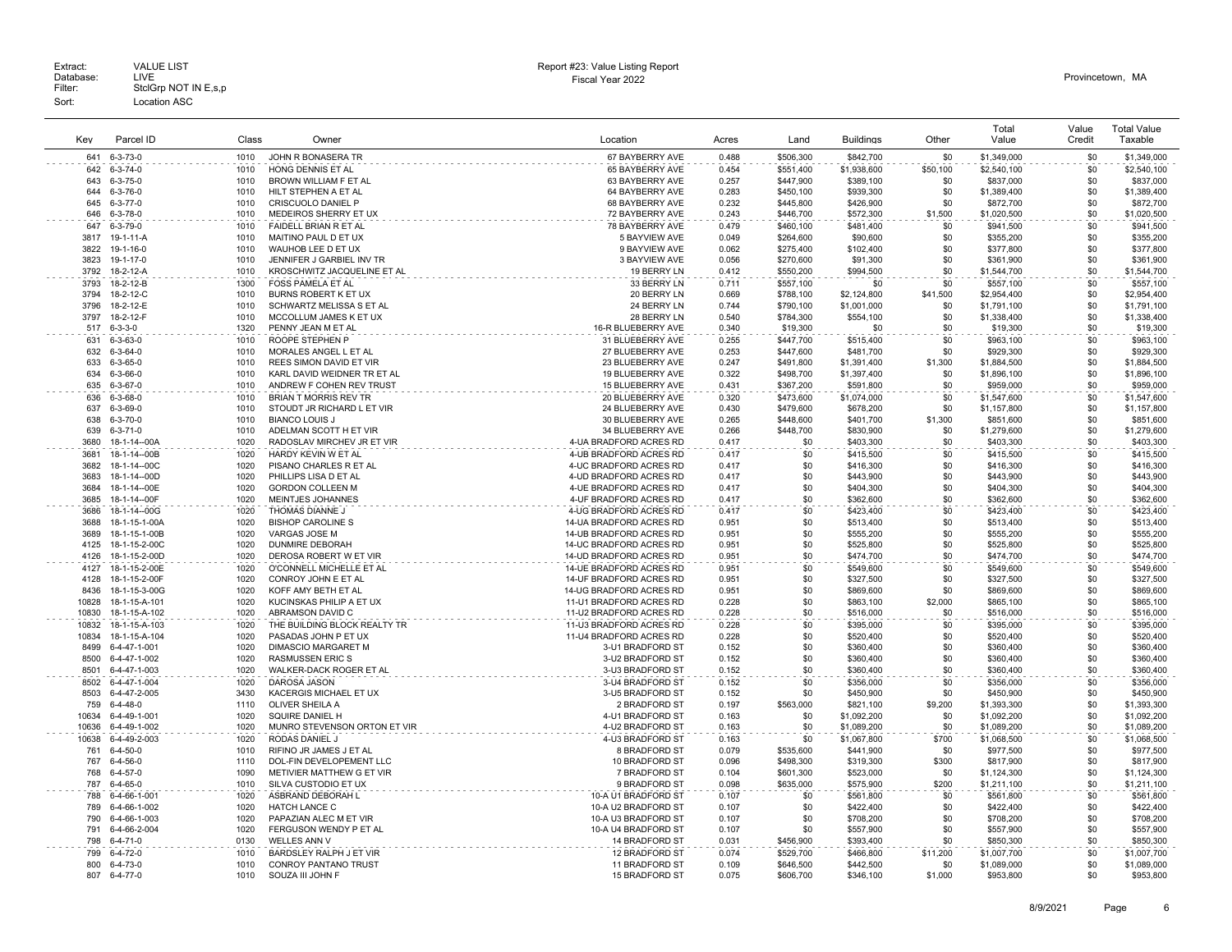| Kev          | Parcel ID                           | Class        | Owner                                     | Location                                           | Acres          | Land                   | <b>Buildings</b>       | Other        | Total<br>Value           | Value<br>Credit | <b>Total Value</b><br>Taxable |
|--------------|-------------------------------------|--------------|-------------------------------------------|----------------------------------------------------|----------------|------------------------|------------------------|--------------|--------------------------|-----------------|-------------------------------|
| 641          | $6 - 3 - 73 - 0$                    | 1010         | JOHN R BONASERA TR                        | 67 BAYBERRY AVE                                    | 0.488          | \$506,300              | \$842,700              | \$0          | \$1,349,000              | \$0             | \$1,349,000                   |
| 642          | $6 - 3 - 74 - 0$                    | 1010         | HONG DENNIS ET AL                         | 65 BAYBERRY AVE                                    | 0.454          | \$551,400              | \$1,938,600            | \$50,100     | \$2,540,100              | \$0             | \$2,540,100                   |
| 643          | $6 - 3 - 75 - 0$                    | 1010         | BROWN WILLIAM F ET AL                     | 63 BAYBERRY AVE                                    | 0.257          | \$447,900              | \$389,100              | \$0          | \$837,000                | \$0             | \$837,000                     |
| 644          | $6 - 3 - 76 - 0$                    | 1010         | HILT STEPHEN A ET AL                      | 64 BAYBERRY AVE                                    | 0.283          | \$450,100              | \$939,300              | \$0          | \$1,389,400              | \$0             | \$1,389,400                   |
| 645          | $6 - 3 - 77 - 0$                    | 1010         | CRISCUOLO DANIEL P                        | 68 BAYBERRY AVE                                    | 0.232          | \$445,800              | \$426,900              | \$0          | \$872,700                | \$0             | \$872,700                     |
| 646          | $6 - 3 - 78 - 0$                    | 1010         | MEDEIROS SHERRY ET UX                     | 72 BAYBERRY AVE                                    | 0.243          | \$446,700              | \$572,300              | \$1,500      | \$1,020,500              | \$0             | \$1,020,500                   |
| 647          | 6-3-79-0                            | 1010         | FAIDELL BRIAN R ET AL                     | 78 BAYBERRY AVE                                    | 0.479          | \$460,100              | \$481,400              | \$0          | \$941,500                | \$0             | \$941,500                     |
| 3817         | 19-1-11-A                           | 1010         | MAITINO PAUL D ET UX                      | 5 BAYVIEW AVE                                      | 0.049          | \$264.600              | \$90,600               | \$0          | \$355,200                | \$0             | \$355,200                     |
| 3822         | 19-1-16-0                           | 1010         | WAUHOB LEE D ET UX                        | 9 BAYVIEW AVE                                      | 0.062          | \$275,400              | \$102,400              | \$0          | \$377,800                | \$0             | \$377,800                     |
| 3823         | 19-1-17-0                           | 1010         | JENNIFER J GARBIEL INV TR                 | 3 BAYVIEW AVE                                      | 0.056          | \$270,600              | \$91,300               | \$0          | \$361,900                | \$0             | \$361,900                     |
| 3792         | 18-2-12-A                           | 1010         | KROSCHWITZ JACQUELINE ET AL               | 19 BERRY LN                                        | 0.412          | \$550,200              | \$994,500              | \$0          | \$1,544,700              | \$0             | \$1,544,700                   |
| 3793         | 18-2-12-B                           | 1300         | <b>FOSS PAMELA ET AL</b>                  | 33 BERRY LN                                        | 0.711          | \$557,100              | \$0                    | \$0          | \$557,100                | \$0             | \$557,100                     |
| 3794         | 18-2-12-C                           | 1010         | <b>BURNS ROBERT K ET UX</b>               | 20 BERRY LN                                        | 0.669          | \$788,100              | \$2,124,800            | \$41,500     | \$2,954,400              | \$0             | \$2,954,400                   |
| 3796         | 18-2-12-E                           | 1010         | SCHWARTZ MELISSA S ET AL                  | 24 BERRY LN                                        | 0.744          | \$790,100              | \$1,001,000            | \$0          | \$1,791,100              | \$0             | \$1,791,100                   |
| 3797         | 18-2-12-F                           | 1010         | MCCOLLUM JAMES K ET UX                    | 28 BERRY LN                                        | 0.540          | \$784,300              | \$554,100              | \$0          | \$1,338,400              | \$0             | \$1,338,400                   |
| 517<br>631   | $6 - 3 - 3 - 0$<br>$6 - 3 - 63 - 0$ | 1320<br>1010 | PENNY JEAN M ET AL<br>ROOPE STEPHEN P     | 16-R BLUEBERRY AVE<br>31 BLUEBERRY AVE             | 0.340<br>0.255 | \$19,300               | \$0                    | \$0<br>\$0   | \$19,300                 | \$0<br>\$0      | \$19,300<br>\$963,100         |
| 632          | $6 - 3 - 64 - 0$                    | 1010         | MORALES ANGEL L ET AL                     | 27 BLUEBERRY AVE                                   | 0.253          | \$447,700<br>\$447,600 | \$515,400<br>\$481,700 | \$0          | \$963,100<br>\$929,300   | \$0             | \$929,300                     |
| 633          | $6 - 3 - 65 - 0$                    | 1010         | REES SIMON DAVID ET VIR                   | 23 BLUEBERRY AVE                                   | 0.247          | \$491,800              | \$1,391,400            | \$1,300      | \$1,884,500              | \$0             | \$1,884,500                   |
| 634          | $6 - 3 - 66 - 0$                    | 1010         | KARL DAVID WEIDNER TR ET AL               | 19 BLUEBERRY AVE                                   | 0.322          | \$498,700              | \$1,397,400            | \$0          | \$1,896,100              | \$0             | \$1,896,100                   |
| 635          | $6 - 3 - 67 - 0$                    | 1010         | ANDREW F COHEN REV TRUST                  | 15 BLUEBERRY AVE                                   | 0.431          | \$367,200              | \$591,800              | \$0          | \$959,000                | \$0             | \$959,000                     |
| 636          | $6 - 3 - 68 - 0$                    | 1010         | BRIAN T MORRIS REV TR                     | 20 BLUEBERRY AVE                                   | 0.320          | \$473,600              | \$1,074,000            | \$0          | \$1,547,600              | \$0             | \$1,547,600                   |
| 637          | $6 - 3 - 69 - 0$                    | 1010         | STOUDT JR RICHARD L ET VIR                | 24 BLUEBERRY AVE                                   | 0.430          | \$479,600              | \$678,200              | \$0          | \$1,157,800              | \$0             | \$1,157,800                   |
| 638          | $6 - 3 - 70 - 0$                    | 1010         | <b>BIANCO LOUIS J</b>                     | 30 BLUEBERRY AVE                                   | 0.265          | \$448,600              | \$401.700              | \$1,300      | \$851,600                | \$0             | \$851,600                     |
| 639          | $6 - 3 - 71 - 0$                    | 1010         | ADELMAN SCOTT H ET VIR                    | 34 BLUEBERRY AVE                                   | 0.266          | \$448,700              | \$830,900              | \$0          | \$1,279,600              | \$0             | \$1,279,600                   |
| 3680         | 18-1-14--00A                        | 1020         | RADOSLAV MIRCHEV JR ET VIR                | 4-UA BRADFORD ACRES RD                             | 0.417          | \$0                    | \$403,300              | \$0          | \$403,300                | \$0             | \$403,300                     |
| 3681         | 18-1-14--00B                        | 1020         | HARDY KEVIN W ET AL                       | 4-UB BRADFORD ACRES RD                             | 0.417          | \$0                    | \$415,500              | \$0          | \$415,500                | \$0             | \$415,500                     |
| 3682         | 18-1-14--00C                        | 1020         | PISANO CHARLES R ET AL                    | 4-UC BRADFORD ACRES RD                             | 0.417          | \$0                    | \$416,300              | \$0          | \$416,300                | \$0             | \$416,300                     |
| 3683         | 18-1-14--00D                        | 1020         | PHILLIPS LISA D ET AL                     | 4-UD BRADFORD ACRES RD                             | 0.417          | \$0                    | \$443,900              | \$0          | \$443,900                | \$0             | \$443,900                     |
| 3684         | 18-1-14--00E                        | 1020         | <b>GORDON COLLEEN M</b>                   | 4-UE BRADFORD ACRES RD                             | 0.417          | \$0                    | \$404,300              | \$0          | \$404,300                | \$0             | \$404,300                     |
| 3685         | 18-1-14--00F                        | 1020         | MEINTJES JOHANNES                         | 4-UF BRADFORD ACRES RD                             | 0.417          | \$0                    | \$362,600              | \$0          | \$362,600                | \$0             | \$362,600                     |
| 3686         | 18-1-14--00G                        | 1020         | THOMAS DIANNE J                           | 4-UG BRADFORD ACRES RD                             | 0.417          | \$0                    | \$423,400              | \$0          | \$423,400                | \$0             | \$423.400                     |
| 3688         | 18-1-15-1-00A                       | 1020         | <b>BISHOP CAROLINE S</b>                  | 14-UA BRADFORD ACRES RD                            | 0.951          | \$0                    | \$513,400              | \$0          | \$513,400                | \$0             | \$513,400                     |
| 3689<br>4125 | 18-1-15-1-00B<br>18-1-15-2-00C      | 1020<br>1020 | VARGAS JOSE M<br><b>DUNMIRE DEBORAH</b>   | 14-UB BRADFORD ACRES RD<br>14-UC BRADFORD ACRES RD | 0.951<br>0.951 | \$0<br>\$0             | \$555,200<br>\$525,800 | \$0<br>\$0   | \$555,200<br>\$525,800   | \$0<br>\$0      | \$555,200<br>\$525,800        |
| 4126         | 18-1-15-2-00D                       | 1020         | DEROSA ROBERT W ET VIR                    | 14-UD BRADFORD ACRES RD                            | 0.951          | \$0                    | \$474,700              | \$0          | \$474,700                | \$0             | \$474,700                     |
| 4127         | 18-1-15-2-00E                       | 1020         | O'CONNELL MICHELLE ET AL                  | 14-UE BRADFORD ACRES RD                            | 0.951          | \$0                    | \$549,600              | \$0          | \$549,600                | \$0             | \$549,600                     |
| 4128         | 18-1-15-2-00F                       | 1020         | CONROY JOHN E ET AL                       | 14-UF BRADFORD ACRES RD                            | 0.951          | \$0                    | \$327,500              | \$0          | \$327,500                | \$0             | \$327,500                     |
| 8436         | 18-1-15-3-00G                       | 1020         | KOFF AMY BETH ET AL                       | 14-UG BRADFORD ACRES RD                            | 0.951          | \$0                    | \$869,600              | \$0          | \$869,600                | \$0             | \$869,600                     |
| 10828        | 18-1-15-A-101                       | 1020         | KUCINSKAS PHILIP A ET UX                  | 11-U1 BRADFORD ACRES RD                            | 0.228          | \$0                    | \$863,100              | \$2,000      | \$865,100                | \$0             | \$865,100                     |
| 10830        | 18-1-15-A-102                       | 1020         | ABRAMSON DAVID C                          | 11-U2 BRADFORD ACRES RD                            | 0.228          | \$0                    | \$516,000              | \$0          | \$516,000                | \$0             | \$516,000                     |
| 10832        | 18-1-15-A-103                       | 1020         | THE BUILDING BLOCK REALTY TR              | 11-U3 BRADFORD ACRES RD                            | 0.228          | \$0                    | \$395,000              | \$0          | \$395,000                | \$0             | \$395,000                     |
| 10834        | 18-1-15-A-104                       | 1020         | PASADAS JOHN P ET UX                      | 11-U4 BRADFORD ACRES RD                            | 0.228          | \$0                    | \$520,400              | \$0          | \$520,400                | \$0             | \$520,400                     |
| 8499         | 6-4-47-1-001                        | 1020         | <b>DIMASCIO MARGARET M</b>                | 3-U1 BRADFORD ST                                   | 0.152          | \$0                    | \$360,400              | \$0          | \$360,400                | \$0             | \$360,400                     |
| 8500         | 6-4-47-1-002                        | 1020         | <b>RASMUSSEN ERIC S</b>                   | 3-U2 BRADFORD ST                                   | 0.152          | \$0                    | \$360,400              | \$0          | \$360,400                | \$0             | \$360,400                     |
| 8501         | 6-4-47-1-003                        | 1020         | WALKER-DACK ROGER ET AL                   | 3-U3 BRADFORD ST                                   | 0.152          | \$0                    | \$360,400              | \$0          | \$360,400                | \$0             | \$360,400                     |
| 8502         | 6-4-47-1-004                        | 1020         | DAROSA JASON                              | 3-U4 BRADFORD ST                                   | 0.152          | \$0                    | \$356,000              | \$0          | \$356,000                | \$0             | \$356,000                     |
| 8503         | 6-4-47-2-005                        | 3430         | KACERGIS MICHAEL ET UX                    | 3-U5 BRADFORD ST                                   | 0.152          | \$0                    | \$450,900              | \$0          | \$450,900                | \$0             | \$450,900                     |
| 759          | $6 - 4 - 48 - 0$                    | 1110         | OLIVER SHEILA A                           | 2 BRADFORD ST                                      | 0.197          | \$563,000              | \$821,100              | \$9,200      | \$1,393,300              | \$0             | \$1,393,300                   |
| 10634        | 6-4-49-1-001                        | 1020         | SQUIRE DANIEL H                           | 4-U1 BRADFORD ST                                   | 0.163          | \$0                    | \$1,092,200            | \$0          | \$1,092,200              | \$0             | \$1,092,200                   |
| 10636        | 6-4-49-1-002                        | 1020         | MUNRO STEVENSON ORTON ET VIR              | 4-U2 BRADFORD ST                                   | 0.163          | \$0                    | \$1,089,200            | \$0          | \$1,089,200              | \$0             | \$1,089,200                   |
| 10638<br>761 | 6-4-49-2-003<br>$6 - 4 - 50 - 0$    | 1020<br>1010 | RODAS DANIEL J<br>RIFINO JR JAMES J ET AL | 4-U3 BRADFORD ST                                   | 0.163<br>0.079 | \$0                    | \$1,067.800            | \$700        | \$1,068,500<br>\$977,500 | \$0<br>\$0      | \$1,068,500                   |
| 767          | $6-4-56-0$                          | 1110         | DOL-FIN DEVELOPEMENT LLC                  | 8 BRADFORD ST<br>10 BRADFORD ST                    | 0.096          | \$535,600<br>\$498,300 | \$441,900<br>\$319,300 | \$0<br>\$300 | \$817,900                | \$0             | \$977,500<br>\$817,900        |
| 768          | $6 - 4 - 57 - 0$                    | 1090         | METIVIER MATTHEW G ET VIR                 | 7 BRADFORD ST                                      | 0.104          | \$601,300              | \$523,000              | \$0          | \$1,124,300              | \$0             | \$1,124,300                   |
| 787          | $6 - 4 - 65 - 0$                    | 1010         | SILVA CUSTODIO ET UX                      | 9 BRADFORD ST                                      | 0.098          | \$635,000              | \$575,900              | \$200        | \$1,211,100              | \$0             | \$1,211,100                   |
| 788          | 6-4-66-1-001                        | 1020         | ASBRAND DEBORAH L                         | 10-A U1 BRADFORD ST                                | 0.107          | \$0                    | \$561,800              | \$0          | \$561,800                | \$0             | \$561,800                     |
| 789          | 6-4-66-1-002                        | 1020         | <b>HATCH LANCE C</b>                      | 10-A U2 BRADFORD ST                                | 0.107          | \$0                    | \$422,400              | \$0          | \$422,400                | \$0             | \$422,400                     |
| 790          | 6-4-66-1-003                        | 1020         | PAPAZIAN ALEC M ET VIR                    | 10-A U3 BRADFORD ST                                | 0.107          | \$0                    | \$708,200              | \$0          | \$708,200                | \$0             | \$708,200                     |
| 791          | 6-4-66-2-004                        | 1020         | FERGUSON WENDY P ET AL                    | 10-A U4 BRADFORD ST                                | 0.107          | \$0                    | \$557,900              | \$0          | \$557,900                | \$0             | \$557,900                     |
| 798          | $6 - 4 - 71 - 0$                    | 0130         | <b>WELLES ANN V</b>                       | 14 BRADFORD ST                                     | 0.031          | \$456,900              | \$393,400              | \$0          | \$850,300                | \$0             | \$850,300                     |
| 799          | $6 - 4 - 72 - 0$                    | 1010         | BARDSLEY RALPH J ET VIR                   | 12 BRADFORD ST                                     | 0.074          | \$529,700              | \$466,800              | \$11,200     | \$1,007,700              | \$0             | \$1,007,700                   |
| 800          | 6-4-73-0                            | 1010         | <b>CONROY PANTANO TRUST</b>               | 11 BRADFORD ST                                     | 0.109          | \$646,500              | \$442,500              | \$0          | \$1,089,000              | \$0             | \$1,089,000                   |
| 807          | $6 - 4 - 77 - 0$                    | 1010         | SOUZA III JOHN F                          | 15 BRADFORD ST                                     | 0.075          | \$606.700              | \$346.100              | \$1,000      | \$953,800                | \$0             | \$953,800                     |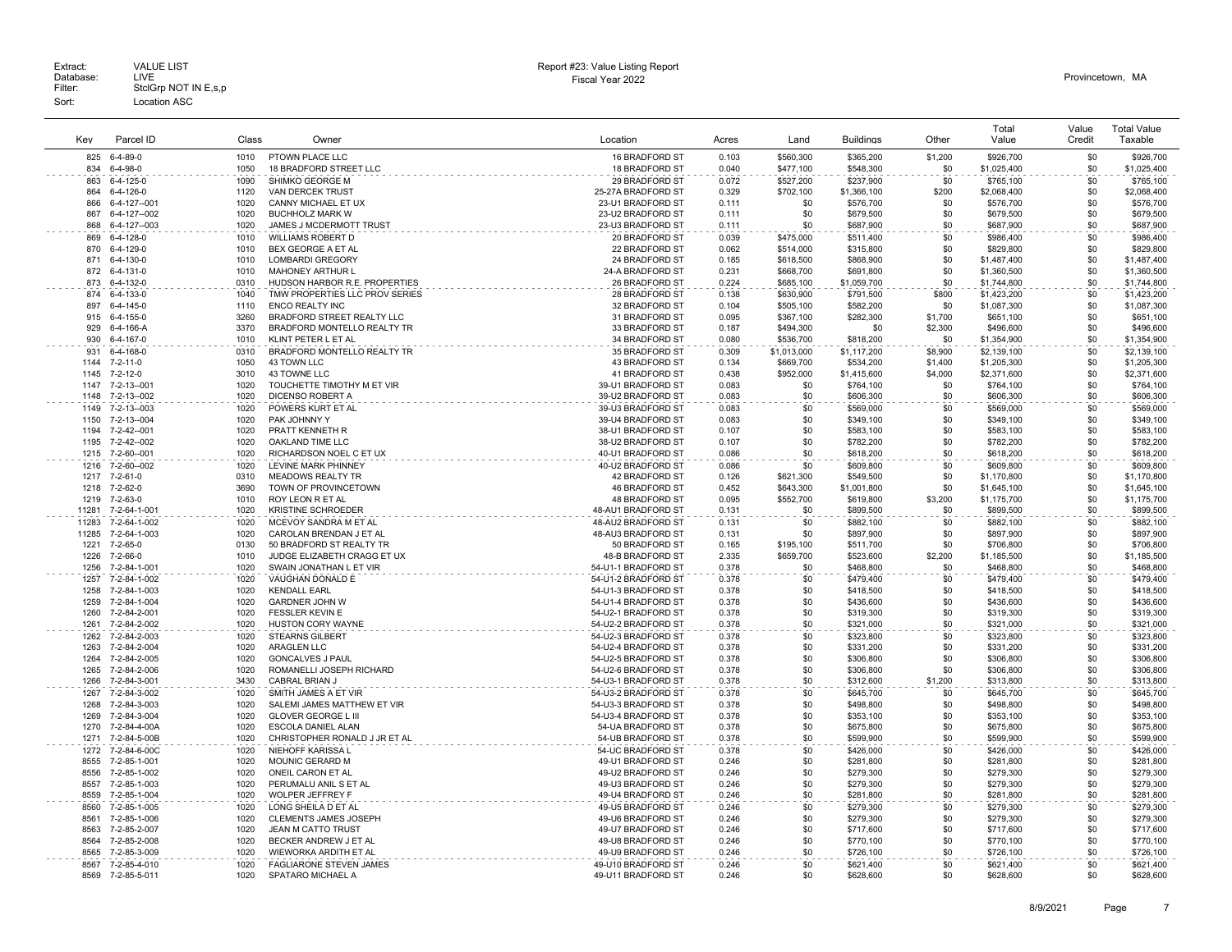Extract: VALUE LIST<br>Database: LIVE<br>Filter: StclGrp NOT IN E,s,p Fiscal Year 2022 Database: LIVE Provincetown, MA Extract: Call VALUE LIST CHARGE STATES AND REPORT HERE AND REPORT HERE AND REPORT THE REPORT OF DETAILS AND REPORT CHARGE STATES AND REPORT CHARGE STATES AND REPORT OF DETAILS AND REPORT CHARGE STATES OF DETAILS AND REPORT Sort: Location ASC

| Key           | Parcel ID                    | Class        | Owner                                               | Location                                   | Acres          | Land             | <b>Buildings</b>         | Other          | Total<br>Value           | Value<br>Credit | <b>Total Value</b><br>Taxable |
|---------------|------------------------------|--------------|-----------------------------------------------------|--------------------------------------------|----------------|------------------|--------------------------|----------------|--------------------------|-----------------|-------------------------------|
| 825           | 6-4-89-0                     | 1010         | PTOWN PLACE LLC                                     | 16 BRADFORD ST                             | 0.103          | \$560,300        | \$365,200                | \$1,200        | \$926,700                | \$0             | \$926,700                     |
| 834           | $6 - 4 - 98 - 0$             | 1050         | 18 BRADFORD STREET LLC                              | 18 BRADFORD ST                             | 0.040          | \$477.100        | \$548.300                | \$0            | \$1,025,400              | \$0             | \$1,025,400                   |
| 863           | $6-4-125-0$                  | 1090         | SHIMKO GEORGE M                                     | 29 BRADFORD ST                             | 0.072          | \$527,200        | \$237,900                | \$0            | \$765,100                | \$0             | \$765,100                     |
| 864           | 6-4-126-0                    | 1120         | <b>VAN DERCEK TRUST</b>                             | 25-27A BRADFORD ST                         | 0.329          | \$702,100        | \$1,366,100              | \$200          | \$2,068,400              | \$0             | \$2,068,400                   |
| 866           | 6-4-127--001                 | 1020         | CANNY MICHAEL ET UX                                 | 23-U1 BRADFORD ST                          | 0.111          | \$0              | \$576,700                | \$0            | \$576,700                | \$0             | \$576,700                     |
| 867<br>868    | 6-4-127--002<br>6-4-127--003 | 1020<br>1020 | <b>BUCHHOLZ MARK W</b><br>JAMES J MCDERMOTT TRUST   | 23-U2 BRADFORD ST<br>23-U3 BRADFORD ST     | 0.111<br>0.111 | \$0<br>\$0       | \$679,500<br>\$687,900   | \$0<br>\$0     | \$679,500<br>\$687,900   | \$0<br>\$0      | \$679,500<br>\$687,900        |
| 869           | 6-4-128-0                    | 1010         | <b>WILLIAMS ROBERT D</b>                            | 20 BRADFORD ST                             | 0.039          | \$475,000        | \$511,400                | \$0            | \$986,400                | \$0             | \$986,400                     |
| 870           | 6-4-129-0                    | 1010         | BEX GEORGE A ET AL                                  | 22 BRADFORD ST                             | 0.062          | \$514,000        | \$315,800                | \$0            | \$829,800                | \$0             | \$829,800                     |
| 871           | 6-4-130-0                    | 1010         | <b>LOMBARDI GREGORY</b>                             | 24 BRADFORD ST                             | 0.185          | \$618,500        | \$868,900                | \$0            | \$1,487,400              | \$0             | \$1,487,400                   |
| 872           | 6-4-131-0                    | 1010         | <b>MAHONEY ARTHUR L</b>                             | 24-A BRADFORD ST                           | 0.231          | \$668,700        | \$691,800                | \$0            | \$1,360,500              | \$0             | \$1,360,500                   |
| 873           | 6-4-132-0                    | 0310         | HUDSON HARBOR R.E. PROPERTIES                       | 26 BRADFORD ST                             | 0.224          | \$685,100        | \$1,059,700              | \$0            | \$1,744,800              | \$0             | \$1,744,800                   |
| 874           | 6-4-133-0                    | 1040         | TMW PROPERTIES LLC PROV SERIES                      | 28 BRADFORD ST                             | 0.138          | \$630,900        | \$791,500                | \$800          | \$1,423,200              | \$0             | \$1,423,200                   |
| 897           | 6-4-145-0                    | 1110         | <b>ENCO REALTY INC</b>                              | 32 BRADFORD ST                             | 0.104          | \$505,100        | \$582,200                | \$0            | \$1,087,300              | \$0             | \$1,087,300                   |
| 915           | 6-4-155-0                    | 3260         | BRADFORD STREET REALTY LLC                          | 31 BRADFORD ST                             | 0.095          | \$367,100        | \$282,300                | \$1,700        | \$651,100                | \$0             | \$651,100                     |
| 929           | 6-4-166-A                    | 3370         | BRADFORD MONTELLO REALTY TR                         | 33 BRADFORD ST                             | 0.187          | \$494,300        | \$0                      | \$2,300        | \$496,600                | \$0             | \$496,600                     |
| 930           | 6-4-167-0                    | 1010         | KLINT PETER L ET AL                                 | 34 BRADFORD ST                             | 0.080          | \$536,700        | \$818,200                | \$0            | \$1,354,900              | \$0             | \$1,354,900                   |
| 931           | 6-4-168-0                    | 0310         | BRADFORD MONTELLO REALTY TR                         | 35 BRADFORD ST                             | 0.309          | \$1,013,000      | \$1,117,200              | \$8,900        | \$2,139,100              | \$0             | \$2,139,100                   |
| 1144<br>1145  | 7-2-11-0                     | 1050<br>3010 | 43 TOWN LLC                                         | 43 BRADFORD ST                             | 0.134          | \$669,700        | \$534,200                | \$1,400        | \$1,205,300              | \$0             | \$1,205,300                   |
| 1147          | 7-2-12-0<br>7-2-13--001      | 1020         | 43 TOWNE LLC<br>TOUCHETTE TIMOTHY M ET VIR          | 41 BRADFORD ST<br>39-U1 BRADFORD ST        | 0.438<br>0.083 | \$952,000<br>\$0 | \$1,415,600<br>\$764,100 | \$4,000<br>\$0 | \$2,371,600<br>\$764,100 | \$0<br>\$0      | \$2,371,600<br>\$764,100      |
| 1148          | 7-2-13--002                  | 1020         | DICENSO ROBERT A                                    | 39-U2 BRADFORD ST                          | 0.083          | \$0              | \$606,300                | \$0            | \$606,300                | \$0             | \$606,300                     |
| 1149          | 7-2-13--003                  | 1020         | POWERS KURT ET AL                                   | 39-U3 BRADFORD ST                          | 0.083          | \$0              | \$569,000                | \$0            | \$569,000                | \$0             | \$569,000                     |
| 1150          | 7-2-13--004                  | 1020         | PAK JOHNNY Y                                        | 39-U4 BRADFORD ST                          | 0.083          | \$0              | \$349,100                | \$0            | \$349,100                | \$0             | \$349,100                     |
| 1194          | 7-2-42--001                  | 1020         | PRATT KENNETH R                                     | 38-U1 BRADFORD ST                          | 0.107          | \$0              | \$583,100                | \$0            | \$583,100                | \$0             | \$583,100                     |
| 1195          | 7-2-42--002                  | 1020         | OAKLAND TIME LLC                                    | 38-U2 BRADFORD ST                          | 0.107          | \$0              | \$782,200                | \$0            | \$782,200                | \$0             | \$782,200                     |
| 1215          | 7-2-60--001                  | 1020         | RICHARDSON NOEL C ET UX                             | 40-U1 BRADFORD ST                          | 0.086          | \$0              | \$618,200                | \$0            | \$618,200                | \$0             | \$618,200                     |
| 1216          | 7-2-60--002                  | 1020         | LEVINE MARK PHINNEY                                 | 40-U2 BRADFORD ST                          | 0.086          | \$0              | \$609,800                | \$0            | \$609,800                | \$0             | \$609,800                     |
| 1217          | 7-2-61-0                     | 0310         | <b>MEADOWS REALTY TR</b>                            | 42 BRADFORD ST                             | 0.126          | \$621,300        | \$549,500                | \$0            | \$1,170,800              | \$0             | \$1,170,800                   |
| 1218          | 7-2-62-0                     | 3690         | TOWN OF PROVINCETOWN                                | 46 BRADFORD ST                             | 0.452          | \$643,300        | \$1,001,800              | \$0            | \$1,645,100              | \$0             | \$1,645,100                   |
| 1219          | 7-2-63-0                     | 1010         | ROY LEON R ET AL                                    | 48 BRADFORD ST                             | 0.095          | \$552,700        | \$619,800                | \$3,200        | \$1,175,700              | \$0             | \$1,175,700                   |
| 11281         | 7-2-64-1-001                 | 1020         | <b>KRISTINE SCHROEDER</b>                           | 48-AU1 BRADFORD ST                         | 0.131          | \$0              | \$899,500                | \$0            | \$899,500                | \$0             | \$899,500                     |
| 11283         | 7-2-64-1-002                 | 1020         | MCEVOY SANDRA M ET AL                               | 48-AU2 BRADFORD ST                         | 0.131          | \$0              | \$882,100                | \$0            | \$882,100                | \$0             | \$882,100                     |
| 11285<br>1221 | 7-2-64-1-003<br>7-2-65-0     | 1020<br>0130 | CAROLAN BRENDAN J ET AL<br>50 BRADFORD ST REALTY TR | 48-AU3 BRADFORD ST<br>50 BRADFORD ST       | 0.131<br>0.165 | \$0<br>\$195,100 | \$897,900<br>\$511,700   | \$0<br>\$0     | \$897,900<br>\$706,800   | \$0<br>\$0      | \$897,900<br>\$706,800        |
| 1226          | 7-2-66-0                     | 1010         | JUDGE ELIZABETH CRAGG ET UX                         | 48-B BRADFORD ST                           | 2.335          | \$659,700        | \$523,600                | \$2,200        | \$1,185,500              | \$0             | \$1,185,500                   |
| 1256          | 7-2-84-1-001                 | 1020         | SWAIN JONATHAN L ET VIR                             | 54-U1-1 BRADFORD ST                        | 0.378          | \$0              | \$468,800                | \$0            | \$468,800                | \$0             | \$468,800                     |
| 1257          | 7-2-84-1-002                 | 1020         | VAUGHAN DONALD E                                    | 54-U1-2 BRADFORD ST                        | 0.378          | \$0              | \$479,400                | \$0            | \$479,400                | \$0             | \$479,400                     |
| 1258          | 7-2-84-1-003                 | 1020         | <b>KENDALL EARL</b>                                 | 54-U1-3 BRADFORD ST                        | 0.378          | \$0              | \$418,500                | \$0            | \$418,500                | \$0             | \$418,500                     |
| 1259          | 7-2-84-1-004                 | 1020         | <b>GARDNER JOHN W</b>                               | 54-U1-4 BRADFORD ST                        | 0.378          | \$0              | \$436,600                | \$0            | \$436,600                | \$0             | \$436,600                     |
| 1260          | 7-2-84-2-001                 | 1020         | FESSLER KEVIN E                                     | 54-U2-1 BRADFORD ST                        | 0.378          | \$0              | \$319,300                | \$0            | \$319,300                | \$0             | \$319,300                     |
| 1261          | 7-2-84-2-002                 | 1020         | <b>HUSTON CORY WAYNE</b>                            | 54-U2-2 BRADFORD ST                        | 0.378          | \$0              | \$321,000                | \$0            | \$321,000                | \$0             | \$321,000                     |
| 1262          | 7-2-84-2-003                 | 1020         | <b>STEARNS GILBERT</b>                              | 54-U2-3 BRADFORD ST                        | 0.378          | \$0              | \$323,800                | \$0            | \$323,800                | \$0             | \$323,800                     |
| 1263          | 7-2-84-2-004                 | 1020         | <b>ARAGLEN LLC</b>                                  | 54-U2-4 BRADFORD ST                        | 0.378          | \$0              | \$331,200                | \$0            | \$331,200                | \$0             | \$331,200                     |
| 1264          | 7-2-84-2-005                 | 1020         | <b>GONCALVES J PAUL</b><br>ROMANELLI JOSEPH RICHARD | 54-U2-5 BRADFORD ST                        | 0.378          | \$0<br>\$0       | \$306,800                | \$0<br>\$0     | \$306,800                | \$0<br>\$0      | \$306,800                     |
| 1265<br>1266  | 7-2-84-2-006<br>7-2-84-3-001 | 1020<br>3430 | CABRAL BRIAN J                                      | 54-U2-6 BRADFORD ST<br>54-U3-1 BRADFORD ST | 0.378<br>0.378 | \$0              | \$306,800<br>\$312,600   | \$1,200        | \$306,800<br>\$313,800   | \$0             | \$306,800<br>\$313,800        |
| 1267          | 7-2-84-3-002                 | 1020         | SMITH JAMES A ET VIR                                | 54-U3-2 BRADFORD ST                        | 0.378          | \$0              | \$645.700                | \$0            | \$645.700                | \$0             | \$645,700                     |
| 1268          | 7-2-84-3-003                 | 1020         | SALEMI JAMES MATTHEW ET VIR                         | 54-U3-3 BRADFORD ST                        | 0.378          | \$0              | \$498,800                | \$0            | \$498,800                | \$0             | \$498,800                     |
| 1269          | 7-2-84-3-004                 | 1020         | <b>GLOVER GEORGE L III</b>                          | 54-U3-4 BRADFORD ST                        | 0.378          | \$0              | \$353,100                | \$0            | \$353,100                | \$0             | \$353,100                     |
| 1270          | 7-2-84-4-00A                 | 1020         | <b>ESCOLA DANIEL ALAN</b>                           | 54-UA BRADFORD ST                          | 0.378          | \$0              | \$675,800                | \$0            | \$675,800                | \$0             | \$675,800                     |
| 1271          | 7-2-84-5-00B                 | 1020         | CHRISTOPHER RONALD J JR ET AL                       | 54-UB BRADFORD ST                          | 0.378          | \$0              | \$599,900                | \$0            | \$599,900                | \$0             | \$599,900                     |
| 1272          | 7-2-84-6-00C                 | 1020         | NIEHOFF KARISSA L                                   | 54-UC BRADFORD ST                          | 0.378          | \$0              | \$426,000                | \$0            | \$426,000                | \$0             | \$426,000                     |
| 8555          | 7-2-85-1-001                 | 1020         | MOUNIC GERARD M                                     | 49-U1 BRADFORD ST                          | 0.246          | \$0              | \$281,800                | \$0            | \$281,800                | \$0             | \$281,800                     |
| 8556          | 7-2-85-1-002                 | 1020         | ONEIL CARON ET AL                                   | 49-U2 BRADFORD ST                          | 0.246          | \$0              | \$279.300                | \$0            | \$279.300                | \$0             | \$279,300                     |
| 8557          | 7-2-85-1-003                 | 1020         | PERUMALU ANIL S ET AL                               | 49-U3 BRADFORD ST                          | 0.246          | \$0              | \$279,300                | \$0            | \$279,300                | \$0             | \$279,300                     |
| 8559          | 7-2-85-1-004                 | 1020         | <b>WOLPER JEFFREY F</b>                             | 49-U4 BRADFORD ST                          | 0.246          | \$0              | \$281,800                | \$0            | \$281,800                | \$0             | \$281,800                     |
| 8560<br>8561  | 7-2-85-1-005<br>7-2-85-1-006 | 1020<br>1020 | LONG SHEILA D ET AL<br><b>CLEMENTS JAMES JOSEPH</b> | 49-U5 BRADFORD ST<br>49-U6 BRADFORD ST     | 0.246<br>0.246 | \$0<br>\$0       | \$279,300<br>\$279.300   | \$0<br>\$0     | \$279,300<br>\$279.300   | \$0<br>\$0      | \$279,300<br>\$279,300        |
| 8563          | 7-2-85-2-007                 | 1020         | JEAN M CATTO TRUST                                  | 49-U7 BRADFORD ST                          | 0.246          | \$0              | \$717,600                | \$0            | \$717,600                | \$0             | \$717,600                     |
| 8564          | 7-2-85-2-008                 | 1020         | BECKER ANDREW J ET AL                               | 49-U8 BRADFORD ST                          | 0.246          | \$0              | \$770,100                | \$0            | \$770,100                | \$0             | \$770,100                     |
| 8565          | 7-2-85-3-009                 | 1020         | WIEWORKA ARDITH ET AL                               | 49-U9 BRADFORD ST                          | 0.246          | \$0              | \$726.100                | \$0            | \$726,100                | \$0             | \$726,100                     |
| 8567          | 7-2-85-4-010                 | 1020         | <b>FAGLIARONE STEVEN JAMES</b>                      | 49-U10 BRADFORD ST                         | 0.246          | \$0              | \$621,400                | \$0            | \$621,400                | \$0             | \$621,400                     |
| 8569          | 7-2-85-5-011                 | 1020         | SPATARO MICHAEL A                                   | 49-U11 BRADFORD ST                         | 0.246          | \$0              | \$628,600                | \$0            | \$628,600                | \$0             | \$628,600                     |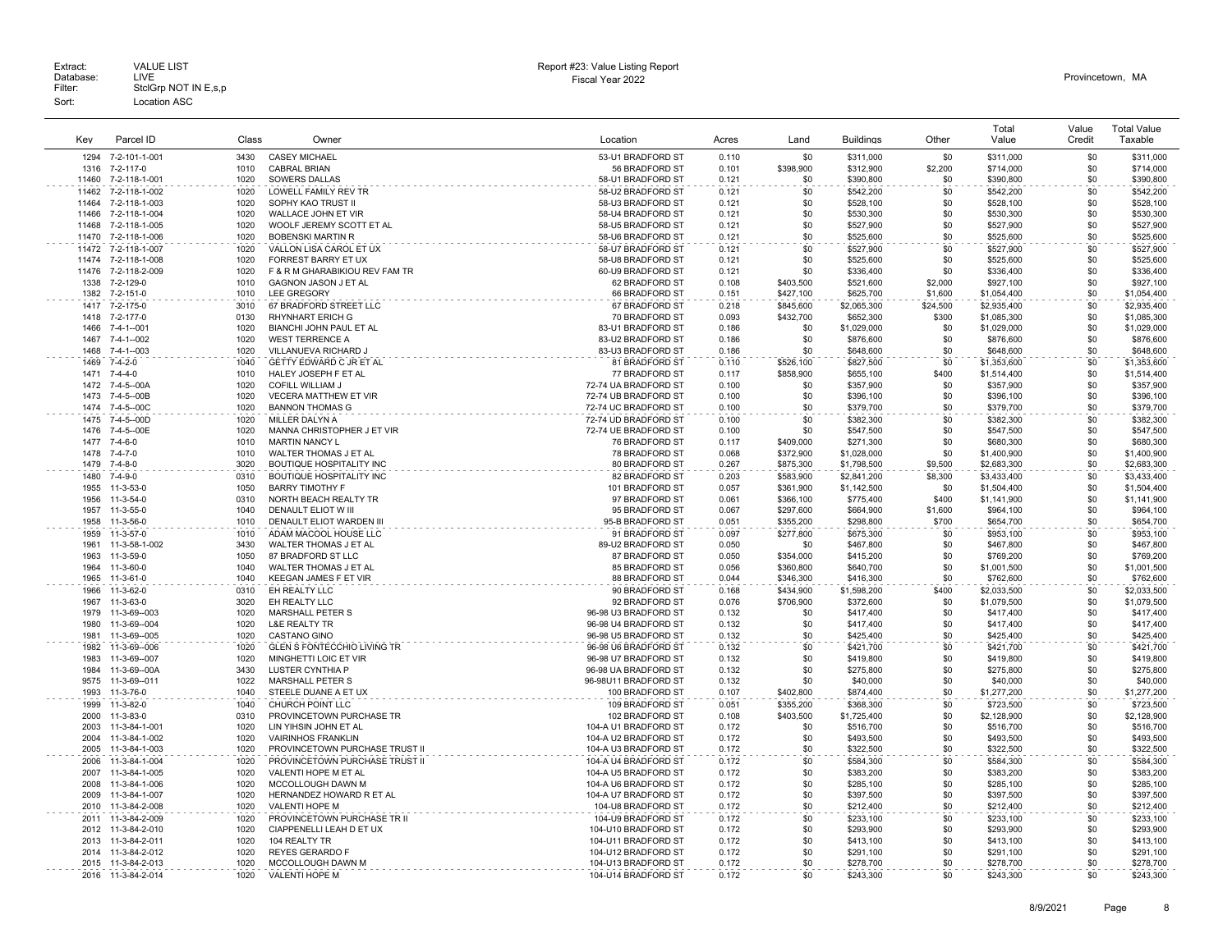Extract: VALUE LIST<br>Database: LIVE<br>Filter: StclGrp NOT IN E,s,p Fiscal Year 2022 Database: LIVE Provincetown, MA Extract: Call VALUE LIST CHARGE STATES AND REPORT HERE AND REPORT HERE AND REPORT THE REPORT OF DETAILS AND REPORT CHARGE STATES AND REPORT CHARGE STATES AND REPORT OF DETAILS AND REPORT CHARGE STATES OF DETAILS AND REPORT Sort: Location ASC

| Kev            | Parcel ID                           | Class        | Owner                                                | Location                                   | Acres          | Land                   | <b>Buildings</b>           | Other          | Total<br>Value             | Value<br>Credit | <b>Total Value</b><br>Taxable |
|----------------|-------------------------------------|--------------|------------------------------------------------------|--------------------------------------------|----------------|------------------------|----------------------------|----------------|----------------------------|-----------------|-------------------------------|
| 1294           | 7-2-101-1-001                       | 3430         | <b>CASEY MICHAEL</b>                                 | 53-U1 BRADFORD ST                          | 0.110          | \$0                    | \$311,000                  | \$0            | \$311,000                  | \$0             | \$311,000                     |
| 1316           | 7-2-117-0                           | 1010         | <b>CABRAL BRIAN</b>                                  | 56 BRADFORD ST                             | 0.101          | \$398,900              | \$312,900                  | \$2,200        | \$714,000                  | \$0             | \$714,000                     |
| 11460          | 7-2-118-1-001                       | 1020         | <b>SOWERS DALLAS</b>                                 | 58-U1 BRADFORD ST                          | 0.121          | \$0                    | \$390,800                  | \$0            | \$390,800                  | \$0             | \$390,800                     |
| 11462          | 7-2-118-1-002                       | 1020         | <b>LOWELL FAMILY REV TR</b>                          | 58-U2 BRADFORD ST                          | 0.121          | \$0                    | \$542,200                  | \$0            | \$542,200                  | \$0             | \$542,200                     |
| 11464          | 7-2-118-1-003                       | 1020         | SOPHY KAO TRUST II                                   | 58-U3 BRADFORD ST                          | 0.121          | \$0                    | \$528,100                  | \$0            | \$528,100                  | \$0             | \$528,100                     |
| 11466<br>11468 | 7-2-118-1-004                       | 1020<br>1020 | WALLACE JOHN ET VIR                                  | 58-U4 BRADFORD ST                          | 0.121<br>0.121 | \$0<br>\$0             | \$530,300                  | \$0<br>\$0     | \$530,300                  | \$0<br>\$0      | \$530,300                     |
| 11470          | 7-2-118-1-005<br>7-2-118-1-006      | 1020         | WOOLF JEREMY SCOTT ET AL<br><b>BOBENSKI MARTIN R</b> | 58-U5 BRADFORD ST<br>58-U6 BRADFORD ST     | 0.121          | \$0                    | \$527,900<br>\$525,600     | \$0            | \$527,900<br>\$525,600     | \$0             | \$527,900<br>\$525,600        |
| 11472          | 7-2-118-1-007                       | 1020         | VALLON LISA CAROL ET UX                              | 58-U7 BRADFORD ST                          | 0.121          | \$0                    | \$527,900                  | \$0            | \$527,900                  | \$0             | \$527,900                     |
| 11474          | 7-2-118-1-008                       | 1020         | FORREST BARRY ET UX                                  | 58-U8 BRADFORD ST                          | 0.121          | \$0                    | \$525,600                  | \$0            | \$525,600                  | \$0             | \$525,600                     |
| 11476          | 7-2-118-2-009                       | 1020         | F & R M GHARABIKIOU REV FAM TR                       | 60-U9 BRADFORD ST                          | 0.121          | \$0                    | \$336,400                  | \$0            | \$336,400                  | \$0             | \$336,400                     |
| 1338           | 7-2-129-0                           | 1010         | GAGNON JASON J ET AL                                 | 62 BRADFORD ST                             | 0.108          | \$403,500              | \$521,600                  | \$2,000        | \$927,100                  | \$0             | \$927,100                     |
| 1382           | 7-2-151-0                           | 1010         | <b>LEE GREGORY</b>                                   | 66 BRADFORD ST                             | 0.151          | \$427,100              | \$625,700                  | \$1,600        | \$1,054,400                | \$0             | \$1,054,400                   |
| 1417           | 7-2-175-0                           | 3010         | 67 BRADFORD STREET LLC                               | 67 BRADFORD ST                             | 0.218          | \$845,600              | \$2,065,300                | \$24,500       | \$2,935,400                | \$0             | \$2,935,400                   |
| 1418           | 7-2-177-0                           | 0130         | RHYNHART ERICH G                                     | 70 BRADFORD ST                             | 0.093          | \$432,700              | \$652,300                  | \$300          | \$1,085,300                | \$0             | \$1,085,300                   |
| 1466<br>1467   | $7 - 4 - 1 - 001$<br>7-4-1--002     | 1020<br>1020 | BIANCHI JOHN PAUL ET AL                              | 83-U1 BRADFORD ST                          | 0.186          | \$0<br>\$0             | \$1,029,000                | \$0            | \$1,029,000                | \$0             | \$1,029,000                   |
| 1468           | 7-4-1--003                          | 1020         | <b>WEST TERRENCE A</b><br>VILLANUEVA RICHARD J       | 83-U2 BRADFORD ST<br>83-U3 BRADFORD ST     | 0.186<br>0.186 | \$0                    | \$876,600<br>\$648,600     | \$0<br>\$0     | \$876,600<br>\$648,600     | \$0<br>\$0      | \$876,600<br>\$648,600        |
| 1469           | 7-4-2-0                             | 1040         | GETTY EDWARD C JR ET AL                              | 81 BRADFORD ST                             | 0.110          | \$526,100              | \$827,500                  | \$0            | \$1,353,600                | \$0             | \$1,353,600                   |
| 1471           | $7 - 4 - 4 - 0$                     | 1010         | HALEY JOSEPH F ET AL                                 | 77 BRADFORD ST                             | 0.117          | \$858.900              | \$655,100                  | \$400          | \$1,514,400                | \$0             | \$1,514,400                   |
| 1472           | 7-4-5--00A                          | 1020         | <b>COFILL WILLIAM J</b>                              | 72-74 UA BRADFORD ST                       | 0.100          | \$0                    | \$357,900                  | \$0            | \$357,900                  | \$0             | \$357,900                     |
| 1473           | 7-4-5--00B                          | 1020         | <b>VECERA MATTHEW ET VIR</b>                         | 72-74 UB BRADFORD ST                       | 0.100          | \$0                    | \$396,100                  | \$0            | \$396,100                  | \$0             | \$396,100                     |
| 1474           | 7-4-5--00C                          | 1020         | <b>BANNON THOMAS G</b>                               | 72-74 UC BRADFORD ST                       | 0.100          | \$0                    | \$379,700                  | \$0            | \$379,700                  | \$0             | \$379,700                     |
| 1475           | 7-4-5--00D                          | 1020         | MILLER DALYN A                                       | 72-74 UD BRADFORD ST                       | 0.100          | \$0                    | \$382,300                  | \$0            | \$382,300                  | \$0             | \$382.300                     |
| 1476           | 7-4-5--00E                          | 1020         | MANNA CHRISTOPHER J ET VIR                           | 72-74 UE BRADFORD ST                       | 0.100          | \$0                    | \$547,500                  | \$0            | \$547,500                  | \$0             | \$547,500                     |
| 1477           | 7-4-6-0                             | 1010         | <b>MARTIN NANCY L</b>                                | 76 BRADFORD ST                             | 0.117          | \$409,000              | \$271,300                  | \$0            | \$680,300                  | \$0             | \$680,300                     |
| 1478           | $7 - 4 - 7 - 0$                     | 1010         | WALTER THOMAS J ET AL                                | 78 BRADFORD ST                             | 0.068          | \$372,900              | \$1,028,000                | \$0            | \$1,400,900                | \$0             | \$1,400,900                   |
| 1479           | 7-4-8-0                             | 3020         | BOUTIQUE HOSPITALITY INC                             | 80 BRADFORD ST                             | 0.267          | \$875,300              | \$1,798,500                | \$9,500        | \$2,683,300                | \$0<br>\$0      | \$2,683,300                   |
| 1480<br>1955   | 7-4-9-0<br>11-3-53-0                | 0310<br>1050 | BOUTIQUE HOSPITALITY INC<br><b>BARRY TIMOTHY F</b>   | 82 BRADFORD ST<br>101 BRADFORD ST          | 0.203<br>0.057 | \$583,900<br>\$361,900 | \$2,841,200<br>\$1,142,500 | \$8,300<br>\$0 | \$3,433,400<br>\$1,504,400 | \$0             | \$3,433,400<br>\$1,504,400    |
| 1956           | 11-3-54-0                           | 0310         | NORTH BEACH REALTY TR                                | 97 BRADFORD ST                             | 0.061          | \$366,100              | \$775,400                  | \$400          | \$1,141,900                | \$0             | \$1,141,900                   |
| 1957           | 11-3-55-0                           | 1040         | DENAULT ELIOT W III                                  | 95 BRADFORD ST                             | 0.067          | \$297,600              | \$664,900                  | \$1,600        | \$964,100                  | \$0             | \$964,100                     |
| 1958           | 11-3-56-0                           | 1010         | DENAULT ELIOT WARDEN III                             | 95-B BRADFORD ST                           | 0.051          | \$355,200              | \$298,800                  | \$700          | \$654,700                  | \$0             | \$654,700                     |
| 1959           | 11-3-57-0                           | 1010         | ADAM MACOOL HOUSE LLC                                | 91 BRADFORD ST                             | 0.097          | \$277,800              | \$675,300                  | \$0            | \$953,100                  | \$0             | \$953,100                     |
| 1961           | 11-3-58-1-002                       | 3430         | WALTER THOMAS J ET AL                                | 89-U2 BRADFORD ST                          | 0.050          | \$0                    | \$467,800                  | \$0            | \$467,800                  | \$0             | \$467,800                     |
| 1963           | 11-3-59-0                           | 1050         | 87 BRADFORD ST LLC                                   | 87 BRADFORD ST                             | 0.050          | \$354,000              | \$415,200                  | \$0            | \$769,200                  | \$0             | \$769,200                     |
| 1964           | 11-3-60-0                           | 1040         | WALTER THOMAS J ET AL                                | 85 BRADFORD ST                             | 0.056          | \$360,800              | \$640,700                  | \$0            | \$1,001,500                | \$0             | \$1,001,500                   |
| 1965           | 11-3-61-0                           | 1040         | KEEGAN JAMES F ET VIR                                | 88 BRADFORD ST                             | 0.044          | \$346,300              | \$416,300                  | \$0            | \$762,600                  | \$0             | \$762,600                     |
| 1966<br>1967   | 11-3-62-0                           | 0310<br>3020 | EH REALTY LLC<br>EH REALTY LLC                       | 90 BRADFORD ST<br>92 BRADFORD ST           | 0.168          | \$434,900              | \$1,598,200                | \$400          | \$2,033,500                | \$0<br>\$0      | \$2,033,500                   |
| 1979           | 11-3-63-0<br>11-3-69--003           | 1020         | <b>MARSHALL PETER S</b>                              | 96-98 U3 BRADFORD ST                       | 0.076<br>0.132 | \$706,900<br>\$0       | \$372,600<br>\$417,400     | \$0<br>\$0     | \$1,079,500<br>\$417,400   | \$0             | \$1,079,500<br>\$417,400      |
| 1980           | 11-3-69--004                        | 1020         | <b>L&amp;E REALTY TR</b>                             | 96-98 U4 BRADFORD ST                       | 0.132          | \$0                    | \$417,400                  | \$0            | \$417,400                  | \$0             | \$417,400                     |
| 1981           | 11-3-69--005                        | 1020         | <b>CASTANO GINO</b>                                  | 96-98 U5 BRADFORD ST                       | 0.132          | \$0                    | \$425,400                  | \$0            | \$425,400                  | \$0             | \$425,400                     |
| 1982           | 11-3-69--006                        | 1020         | <b>GLEN S FONTECCHIO LIVING TR</b>                   | 96-98 U6 BRADFORD ST                       | 0.132          | \$0                    | \$421,700                  | \$0            | \$421,700                  | \$0             | \$421,700                     |
| 1983           | 11-3-69--007                        | 1020         | MINGHETTI LOIC ET VIR                                | 96-98 U7 BRADFORD ST                       | 0.132          | \$0                    | \$419,800                  | \$0            | \$419,800                  | \$0             | \$419,800                     |
| 1984           | 11-3-69--00A                        | 3430         | LUSTER CYNTHIA P                                     | 96-98 UA BRADFORD ST                       | 0.132          | \$0                    | \$275,800                  | \$0            | \$275,800                  | \$0             | \$275,800                     |
| 9575           | 11-3-69--011                        | 1022         | MARSHALL PETER S                                     | 96-98U11 BRADFORD ST                       | 0.132          | \$0                    | \$40,000                   | \$0            | \$40,000                   | \$0             | \$40,000                      |
| 1993           | 11-3-76-0                           | 1040         | STEELE DUANE A ET UX                                 | 100 BRADFORD ST                            | 0.107          | \$402,800              | \$874,400                  | \$0            | \$1,277,200                | \$0             | \$1,277,200                   |
| 1999           | 11-3-82-0                           | 1040         | CHURCH POINT LLC                                     | 109 BRADFORD ST                            | 0.051          | \$355,200              | \$368,300                  | \$0            | \$723,500                  | \$0             | \$723,500                     |
| 2000<br>2003   | 11-3-83-0<br>11-3-84-1-001          | 0310<br>1020 | PROVINCETOWN PURCHASE TR<br>LIN YIHSIN JOHN ET AL    | 102 BRADFORD ST<br>104-A U1 BRADFORD ST    | 0.108<br>0.172 | \$403,500<br>\$0       | \$1,725,400<br>\$516,700   | \$0<br>\$0     | \$2,128,900<br>\$516,700   | \$0<br>\$0      | \$2,128,900<br>\$516,700      |
| 2004           | 11-3-84-1-002                       | 1020         | <b>VAIRINHOS FRANKLIN</b>                            | 104-A U2 BRADFORD ST                       | 0.172          | \$0                    | \$493,500                  | \$0            | \$493,500                  | \$0             | \$493,500                     |
| 2005           | 11-3-84-1-003                       | 1020         | PROVINCETOWN PURCHASE TRUST II                       | 104-A U3 BRADFORD ST                       | 0.172          | \$0                    | \$322,500                  | \$0            | \$322,500                  | \$0             | \$322,500                     |
| 2006           | 11-3-84-1-004                       | 1020         | PROVINCETOWN PURCHASE TRUST II                       | 104-A U4 BRADFORD ST                       | 0.172          | \$0                    | \$584,300                  | \$0            | \$584,300                  | \$0             | \$584,300                     |
| 2007           | 11-3-84-1-005                       | 1020         | VALENTI HOPE M ET AL                                 | 104-A U5 BRADFORD ST                       | 0.172          | \$0                    | \$383,200                  | \$0            | \$383,200                  | \$0             | \$383,200                     |
| 2008           | 11-3-84-1-006                       | 1020         | MCCOLLOUGH DAWN M                                    | 104-A U6 BRADFORD ST                       | 0.172          | \$0                    | \$285,100                  | \$0            | \$285,100                  | \$0             | \$285,100                     |
| 2009           | 11-3-84-1-007                       | 1020         | HERNANDEZ HOWARD R ET AL                             | 104-A U7 BRADFORD ST                       | 0.172          | \$0                    | \$397,500                  | \$0            | \$397,500                  | \$0             | \$397,500                     |
| 2010           | 11-3-84-2-008                       | 1020         | VALENTI HOPE M                                       | 104-U8 BRADFORD ST                         | 0.172          | \$0                    | \$212,400                  | \$0            | \$212,400                  | \$0             | \$212,400                     |
| 2011           | 11-3-84-2-009                       | 1020         | PROVINCETOWN PURCHASE TR II                          | 104-U9 BRADFORD ST                         | 0.172          | \$0                    | \$233,100                  | \$0            | \$233,100                  | \$0             | \$233,100                     |
| 2012           | 11-3-84-2-010                       | 1020         | CIAPPENELLI LEAH D ET UX                             | 104-U10 BRADFORD ST                        | 0.172          | \$0                    | \$293,900                  | \$0            | \$293,900                  | \$0             | \$293,900                     |
| 2013           | 11-3-84-2-011<br>2014 11-3-84-2-012 | 1020<br>1020 | 104 REALTY TR<br><b>REYES GERARDO F</b>              | 104-U11 BRADFORD ST<br>104-U12 BRADFORD ST | 0.172<br>0.172 | \$0<br>\$0             | \$413,100<br>\$291,100     | \$0<br>\$0     | \$413,100<br>\$291,100     | \$0<br>\$0      | \$413,100<br>\$291,100        |
|                | 2015 11-3-84-2-013                  | 1020         | MCCOLLOUGH DAWN M                                    | 104-U13 BRADFORD ST                        | 0.172          | \$0                    | \$278,700                  | \$0            | \$278,700                  | \$0             | \$278,700                     |
|                | 2016 11-3-84-2-014                  | 1020         | <b>VALENTI HOPE M</b>                                | 104-U14 BRADFORD ST                        | 0.172          | \$0                    | \$243.300                  | \$0            | \$243.300                  | \$0             | \$243.300                     |
|                |                                     |              |                                                      |                                            |                |                        |                            |                |                            |                 |                               |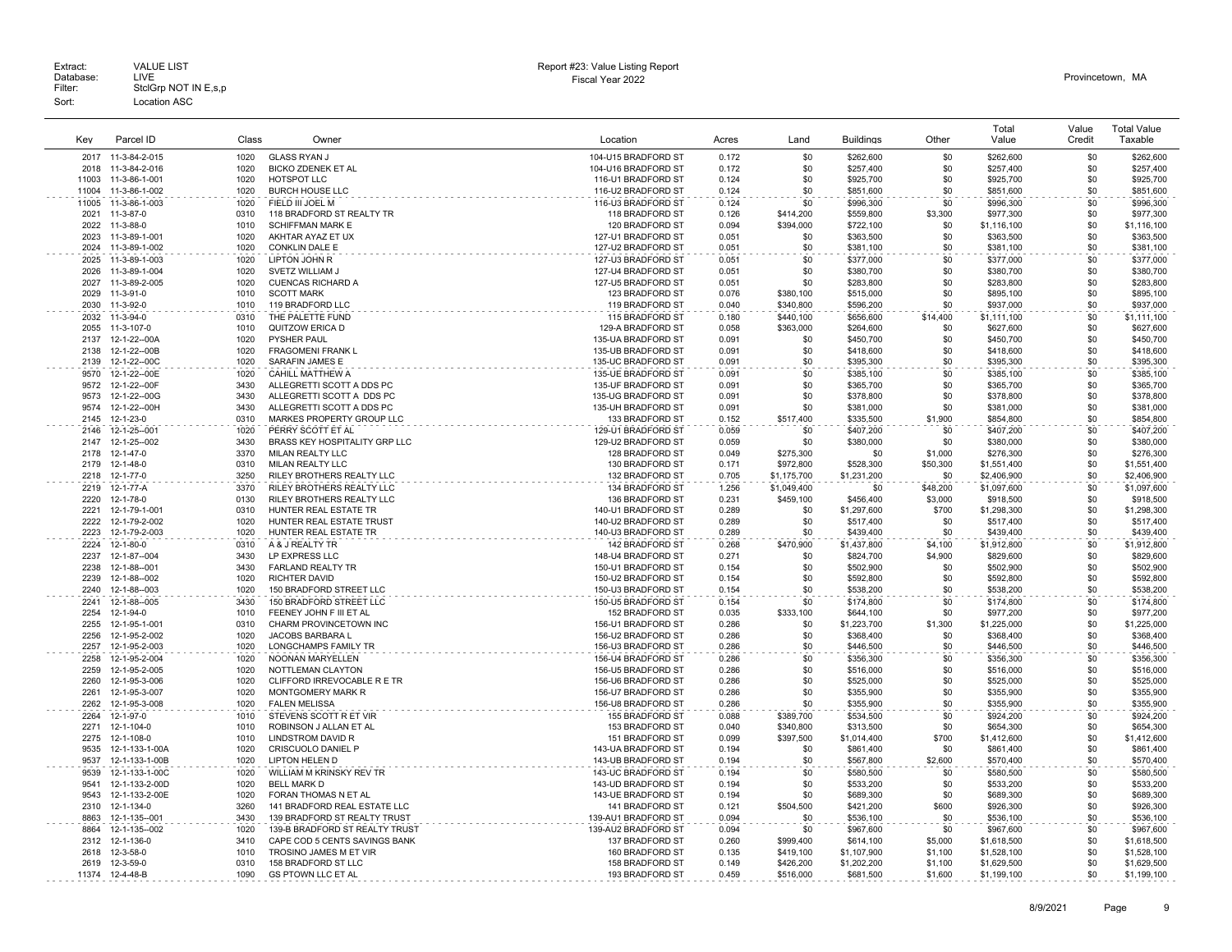|              |                                |              |                                                         |                                          |                |                  |                          |                    | Total                      | Value      | <b>Total Value</b>         |
|--------------|--------------------------------|--------------|---------------------------------------------------------|------------------------------------------|----------------|------------------|--------------------------|--------------------|----------------------------|------------|----------------------------|
| Key          | Parcel ID                      | Class        | Owner                                                   | Location                                 | Acres          | Land             | <b>Buildings</b>         | Other              | Value                      | Credit     | Taxable                    |
| 2017         | 11-3-84-2-015                  | 1020         | <b>GLASS RYAN J</b>                                     | 104-U15 BRADFORD ST                      | 0.172          | \$0              | \$262,600                | \$0                | \$262,600                  | \$0        | \$262,600                  |
| 2018         | 11-3-84-2-016                  | 1020         | <b>BICKO ZDENEK ET AL</b>                               | 104-U16 BRADFORD ST                      | 0.172          | \$0              | \$257.400                | \$0                | \$257,400                  | \$0        | \$257.400                  |
| 11003        | 11-3-86-1-001                  | 1020         | HOTSPOT LLC                                             | 116-U1 BRADFORD ST                       | 0.124          | \$0              | \$925,700                | \$0                | \$925,700                  | \$0        | \$925,700                  |
| 11004        | 11-3-86-1-002                  | 1020         | <b>BURCH HOUSE LLC</b>                                  | 116-U2 BRADFORD ST                       | 0.124          | \$0              | \$851,600                | \$0                | \$851,600                  | \$0        | \$851,600                  |
| 11005        | 11-3-86-1-003                  | 1020         | FIELD III JOEL M                                        | 116-U3 BRADFORD ST                       | 0.124          | \$0              | \$996,300                | \$0                | \$996,300                  | \$0        | \$996,300                  |
| 2021         | 11-3-87-0                      | 0310         | 118 BRADFORD ST REALTY TR                               | 118 BRADFORD ST                          | 0.126          | \$414,200        | \$559,800                | \$3,300            | \$977,300                  | \$0        | \$977,300                  |
| 2022         | 11-3-88-0                      | 1010         | <b>SCHIFFMAN MARK E</b>                                 | 120 BRADFORD ST                          | 0.094          | \$394.000        | \$722.100                | \$0                | \$1,116,100                | \$0        | \$1,116,100                |
| 2023<br>2024 | 11-3-89-1-001                  | 1020<br>1020 | AKHTAR AYAZ ET UX                                       | 127-U1 BRADFORD ST                       | 0.051          | \$0              | \$363,500                | \$0                | \$363,500                  | \$0        | \$363,500                  |
|              | 11-3-89-1-002                  |              | CONKLIN DALE E                                          | 127-U2 BRADFORD ST                       | 0.051          | \$0              | \$381,100                | \$0                | \$381,100                  | \$0        | \$381,100                  |
| 2025<br>2026 | 11-3-89-1-003<br>11-3-89-1-004 | 1020<br>1020 | LIPTON JOHN R<br>SVETZ WILLIAM J                        | 127-U3 BRADFORD ST<br>127-U4 BRADFORD ST | 0.051<br>0.051 | \$0<br>\$0       | \$377,000<br>\$380,700   | \$0<br>\$0         | \$377,000<br>\$380,700     | \$0<br>\$0 | \$377,000<br>\$380,700     |
| 2027         | 11-3-89-2-005                  | 1020         | <b>CUENCAS RICHARD A</b>                                | 127-U5 BRADFORD ST                       | 0.051          | \$0              | \$283,800                | \$0                | \$283,800                  | \$0        | \$283,800                  |
| 2029         | 11-3-91-0                      | 1010         | <b>SCOTT MARK</b>                                       | 123 BRADFORD ST                          | 0.076          | \$380,100        | \$515,000                | \$0                | \$895,100                  | \$0        | \$895,100                  |
| 2030         | 11-3-92-0                      | 1010         | 119 BRADFORD LLC                                        | 119 BRADFORD ST                          | 0.040          | \$340,800        | \$596,200                | \$0                | \$937,000                  | \$0        | \$937,000                  |
| 2032         | 11-3-94-0                      | 0310         | THE PALETTE FUND                                        | 115 BRADFORD ST                          | 0.180          | \$440,100        | \$656,600                | \$14,400           | \$1,111,100                | \$0        | \$1,111,100                |
| 2055         | 11-3-107-0                     | 1010         | QUITZOW ERICA D                                         | 129-A BRADFORD ST                        | 0.058          | \$363,000        | \$264.600                | \$0                | \$627,600                  | \$0        | \$627,600                  |
| 2137         | 12-1-22--00A                   | 1020         | PYSHER PAUL                                             | 135-UA BRADFORD ST                       | 0.091          | \$0              | \$450,700                | \$0                | \$450,700                  | \$0        | \$450,700                  |
| 2138         | 12-1-22--00B                   | 1020         | <b>FRAGOMENI FRANK L</b>                                | 135-UB BRADFORD ST                       | 0.091          | \$0              | \$418,600                | \$0                | \$418,600                  | \$0        | \$418,600                  |
| 2139         | 12-1-22--00C                   | 1020         | SARAFIN JAMES E                                         | 135-UC BRADFORD ST                       | 0.091          | \$0              | \$395,300                | \$0                | \$395,300                  | \$0        | \$395,300                  |
| 9570         | 12-1-22--00E                   | 1020         | CAHILL MATTHEW A                                        | 135-UE BRADFORD ST                       | 0.091          | \$0              | \$385,100                | \$0                | \$385,100                  | \$0        | \$385,100                  |
| 9572         | 12-1-22--00F                   | 3430         | ALLEGRETTI SCOTT A DDS PC                               | 135-UF BRADFORD ST                       | 0.091          | \$0              | \$365,700                | \$0                | \$365,700                  | \$0        | \$365,700                  |
| 9573<br>9574 | 12-1-22--00G<br>12-1-22--00H   | 3430<br>3430 | ALLEGRETTI SCOTT A DDS PC<br>ALLEGRETTI SCOTT A DDS PC  | 135-UG BRADFORD ST<br>135-UH BRADFORD ST | 0.091          | \$0              | \$378,800                | \$0<br>\$0         | \$378,800                  | \$0<br>\$0 | \$378,800                  |
| 2145         | 12-1-23-0                      | 0310         | MARKES PROPERTY GROUP LLC                               | 133 BRADFORD ST                          | 0.091<br>0.152 | \$0<br>\$517,400 | \$381,000<br>\$335,500   | \$1,900            | \$381,000<br>\$854,800     | \$0        | \$381,000<br>\$854,800     |
| 2146         | 12-1-25--001                   | 1020         | PERRY SCOTT ET AL                                       | 129-U1 BRADFORD ST                       | 0.059          | \$0              | \$407,200                | \$0                | \$407,200                  | \$0        | \$407.200                  |
| 2147         | 12-1-25--002                   | 3430         | BRASS KEY HOSPITALITY GRP LLC                           | 129-U2 BRADFORD ST                       | 0.059          | \$0              | \$380,000                | \$0                | \$380,000                  | \$0        | \$380,000                  |
| 2178         | 12-1-47-0                      | 3370         | MILAN REALTY LLC                                        | 128 BRADFORD ST                          | 0.049          | \$275,300        | \$0                      | \$1,000            | \$276,300                  | \$0        | \$276,300                  |
| 2179         | 12-1-48-0                      | 0310         | MILAN REALTY LLC                                        | 130 BRADFORD ST                          | 0.171          | \$972,800        | \$528,300                | \$50,300           | \$1,551,400                | \$0        | \$1,551,400                |
| 2218         | $12 - 1 - 77 - 0$              | 3250         | RILEY BROTHERS REALTY LLC                               | 132 BRADFORD ST                          | 0.705          | \$1,175,700      | \$1,231,200              | \$0                | \$2,406,900                | \$0        | \$2,406,900                |
| 2219         | 12-1-77-A                      | 3370         | RILEY BROTHERS REALTY LLC                               | 134 BRADFORD ST                          | 1.256          | \$1,049,400      | \$0                      | \$48,200           | \$1,097,600                | \$0        | \$1,097,600                |
| 2220         | 12-1-78-0                      | 0130         | RILEY BROTHERS REALTY LLC                               | 136 BRADFORD ST                          | 0.231          | \$459,100        | \$456,400                | \$3,000            | \$918,500                  | \$0        | \$918,500                  |
| 2221         | 12-1-79-1-001                  | 0310         | HUNTER REAL ESTATE TR                                   | 140-U1 BRADFORD ST                       | 0.289          | \$0              | \$1,297,600              | \$700              | \$1,298,300                | \$0        | \$1,298,300                |
| 2222         | 12-1-79-2-002                  | 1020         | HUNTER REAL ESTATE TRUST                                | 140-U2 BRADFORD ST                       | 0.289          | \$0              | \$517,400                | \$0                | \$517,400                  | \$0        | \$517,400                  |
| 2223         | 12-1-79-2-003                  | 1020         | HUNTER REAL ESTATE TR                                   | 140-U3 BRADFORD ST                       | 0.289          | \$0              | \$439,400                | \$0                | \$439,400                  | \$0        | \$439,400                  |
| 2224         | 12-1-80-0                      | 0310<br>3430 | A & J REALTY TR                                         | 142 BRADFORD ST                          | 0.268          | \$470,900        | \$1,437,800              | \$4,100            | \$1,912,800                | \$0<br>\$0 | \$1,912,800                |
| 2237<br>2238 | 12-1-87--004<br>12-1-88--001   | 3430         | LP EXPRESS LLC<br><b>FARLAND REALTY TR</b>              | 148-U4 BRADFORD ST<br>150-U1 BRADFORD ST | 0.271<br>0.154 | \$0<br>\$0       | \$824,700<br>\$502,900   | \$4,900<br>\$0     | \$829,600<br>\$502,900     | \$0        | \$829,600<br>\$502,900     |
| 2239         | 12-1-88--002                   | 1020         | <b>RICHTER DAVID</b>                                    | 150-U2 BRADFORD ST                       | 0.154          | \$0              | \$592,800                | \$0                | \$592,800                  | \$0        | \$592,800                  |
| 2240         | 12-1-88--003                   | 1020         | 150 BRADFORD STREET LLC                                 | 150-U3 BRADFORD ST                       | 0.154          | \$0              | \$538,200                | \$0                | \$538,200                  | \$0        | \$538,200                  |
| 2241         | 12-1-88--005                   | 3430         | 150 BRADFORD STREET LLC                                 | 150-U5 BRADFORD ST                       | 0.154          | \$0              | \$174,800                | \$0                | \$174,800                  | \$0        | \$174,800                  |
| 2254         | 12-1-94-0                      | 1010         | FEENEY JOHN F III ET AL                                 | 152 BRADFORD ST                          | 0.035          | \$333,100        | \$644,100                | \$0                | \$977,200                  | \$0        | \$977,200                  |
| 2255         | 12-1-95-1-001                  | 0310         | CHARM PROVINCETOWN INC                                  | 156-U1 BRADFORD ST                       | 0.286          | \$0              | \$1,223,700              | \$1,300            | \$1,225,000                | \$0        | \$1,225,000                |
| 2256         | 12-1-95-2-002                  | 1020         | JACOBS BARBARA L                                        | 156-U2 BRADFORD ST                       | 0.286          | \$0              | \$368,400                | \$0                | \$368,400                  | \$0        | \$368,400                  |
| 2257         | 12-1-95-2-003                  | 1020         | LONGCHAMPS FAMILY TR                                    | 156-U3 BRADFORD ST                       | 0.286          | \$0              | \$446,500                | \$0                | \$446,500                  | \$0        | \$446,500                  |
| 2258         | 12-1-95-2-004                  | 1020         | NOONAN MARYELLEN                                        | 156-U4 BRADFORD ST                       | 0.286          | \$0              | \$356,300                | \$0                | \$356,300                  | \$0        | \$356,300                  |
| 2259         | 12-1-95-2-005                  | 1020         | NOTTLEMAN CLAYTON                                       | 156-U5 BRADFORD ST                       | 0.286          | \$0              | \$516,000                | \$0                | \$516,000                  | \$0        | \$516,000                  |
| 2260<br>2261 | 12-1-95-3-006<br>12-1-95-3-007 | 1020<br>1020 | CLIFFORD IRREVOCABLE R E TR<br>MONTGOMERY MARK R        | 156-U6 BRADFORD ST<br>156-U7 BRADFORD ST | 0.286<br>0.286 | \$0<br>\$0       | \$525,000<br>\$355,900   | \$0<br>\$0         | \$525,000<br>\$355,900     | \$0<br>\$0 | \$525,000<br>\$355,900     |
| 2262         | 12-1-95-3-008                  | 1020         | <b>FALEN MELISSA</b>                                    | 156-U8 BRADFORD ST                       | 0.286          | \$0              | \$355,900                | \$0                | \$355,900                  | \$0        | \$355,900                  |
| 2264         | 12-1-97-0                      | 1010         | STEVENS SCOTT R ET VIR                                  | 155 BRADFORD ST                          | 0.088          | \$389,700        | \$534,500                | \$0                | \$924,200                  | \$0        | \$924,200                  |
| 2271         | 12-1-104-0                     | 1010         | ROBINSON J ALLAN ET AL                                  | 153 BRADFORD ST                          | 0.040          | \$340.800        | \$313,500                | \$0                | \$654,300                  | \$0        | \$654,300                  |
| 2275         | 12-1-108-0                     | 1010         | <b>LINDSTROM DAVID R</b>                                | 151 BRADFORD ST                          | 0.099          | \$397,500        | \$1,014,400              | \$700              | \$1,412,600                | \$0        | \$1,412,600                |
| 9535         | 12-1-133-1-00A                 | 1020         | CRISCUOLO DANIEL P                                      | 143-UA BRADFORD ST                       | 0.194          | \$0              | \$861,400                | \$0                | \$861,400                  | \$0        | \$861,400                  |
| 9537         | 12-1-133-1-00B                 | 1020         | <b>LIPTON HELEN D</b>                                   | 143-UB BRADFORD ST                       | 0.194          | \$0              | \$567,800                | \$2,600            | \$570,400                  | \$0        | \$570,400                  |
| 9539         | 12-1-133-1-00C                 | 1020         | WILLIAM M KRINSKY REV TR                                | 143-UC BRADFORD ST                       | 0.194          | \$0              | \$580,500                | \$0                | \$580,500                  | \$0        | \$580.500                  |
| 9541         | 12-1-133-2-00D                 | 1020         | <b>BELL MARK D</b>                                      | 143-UD BRADFORD ST                       | 0.194          | \$0              | \$533,200                | \$0                | \$533,200                  | \$0        | \$533,200                  |
| 9543         | 12-1-133-2-00E                 | 1020         | FORAN THOMAS N ET AL                                    | 143-UE BRADFORD ST                       | 0.194          | \$0              | \$689,300                | \$0                | \$689,300                  | \$0        | \$689,300                  |
| 2310         | 12-1-134-0                     | 3260         | 141 BRADFORD REAL ESTATE LLC                            | 141 BRADFORD ST                          | 0.121          | \$504,500        | \$421,200                | \$600              | \$926,300                  | \$0        | \$926,300                  |
| 8863         | 12-1-135--001                  | 3430         | 139 BRADFORD ST REALTY TRUST                            | 139-AU1 BRADFORD ST                      | 0.094          | \$0              | \$536,100                | \$0                | \$536,100                  | \$0        | \$536,100                  |
| 8864<br>2312 | 12-1-135--002<br>12-1-136-0    | 1020<br>3410 | 139-B BRADFORD ST REALTY TRUST                          | 139-AU2 BRADFORD ST<br>137 BRADFORD ST   | 0.094          | \$0<br>\$999.400 | \$967,600                | \$0                | \$967,600                  | \$0        | \$967,600                  |
| 2618         | 12-3-58-0                      | 1010         | CAPE COD 5 CENTS SAVINGS BANK<br>TROSINO JAMES M ET VIR | 160 BRADFORD ST                          | 0.260<br>0.135 | \$419,100        | \$614,100<br>\$1,107,900 | \$5,000<br>\$1,100 | \$1,618,500<br>\$1,528,100 | \$0<br>\$0 | \$1,618,500<br>\$1,528,100 |
| 2619         | 12-3-59-0                      | 0310         | 158 BRADFORD ST LLC                                     | 158 BRADFORD ST                          | 0.149          | \$426.200        | \$1,202,200              | \$1,100            | \$1,629,500                | \$0        | \$1,629,500                |
| 11374        | 12-4-48-B                      | 1090         | <b>GS PTOWN LLC ET AL</b>                               | 193 BRADFORD ST                          | 0.459          | \$516,000        | \$681,500                | \$1,600            | \$1,199,100                | \$0        | \$1,199,100                |
|              |                                |              |                                                         |                                          |                |                  |                          |                    |                            |            |                            |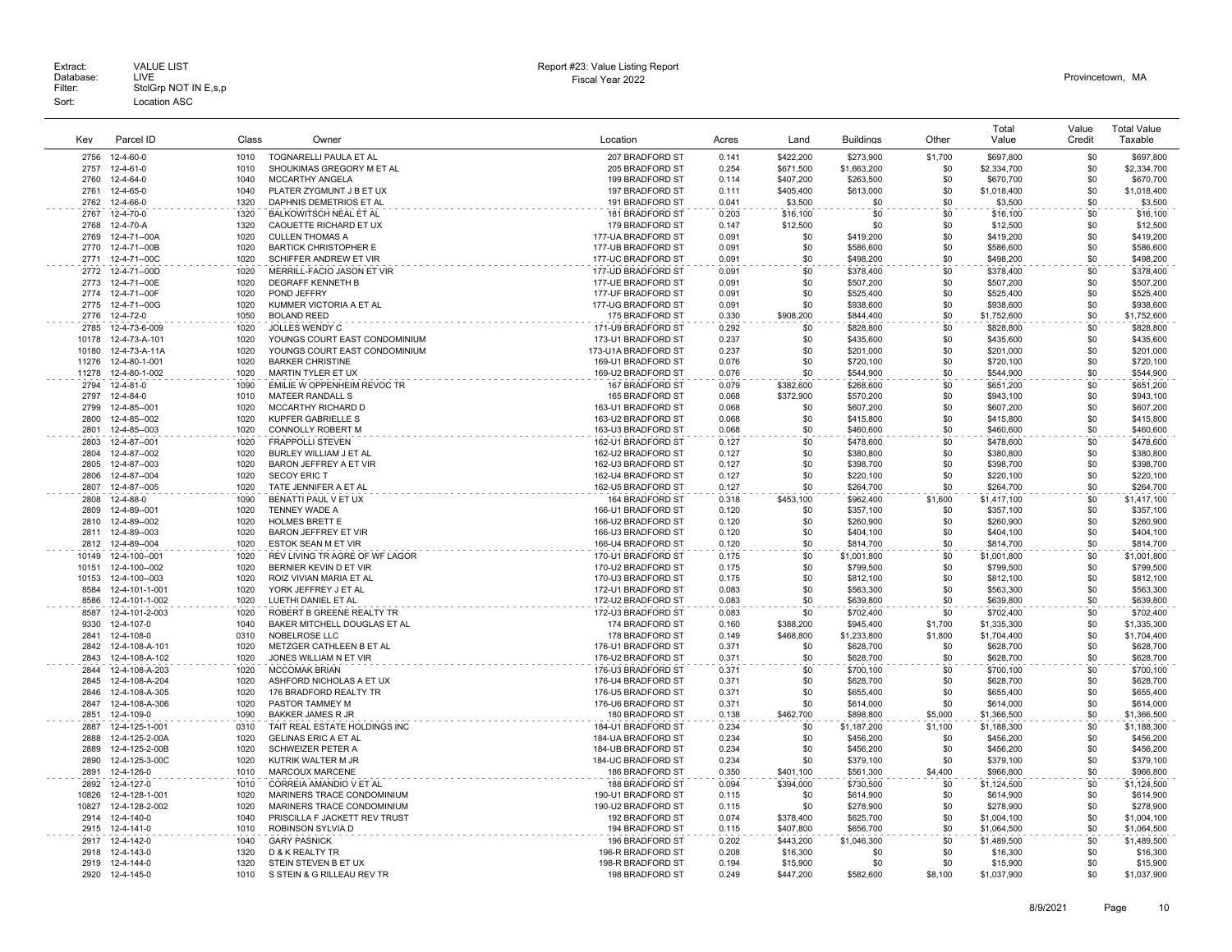| Kev            | Parcel ID                            | Class        | Owner                                                       | Location                                 | Acres          | Land                   | <b>Buildings</b>         | Other          | Total<br>Value           | Value<br>Credit | <b>Total Value</b><br>Taxable |
|----------------|--------------------------------------|--------------|-------------------------------------------------------------|------------------------------------------|----------------|------------------------|--------------------------|----------------|--------------------------|-----------------|-------------------------------|
|                |                                      |              |                                                             |                                          |                |                        |                          |                |                          |                 |                               |
| 2756<br>2757   | 12-4-60-0<br>12-4-61-0               | 1010<br>1010 | TOGNARELLI PAULA ET AL<br>SHOUKIMAS GREGORY M ET AL         | 207 BRADFORD ST<br>205 BRADFORD ST       | 0.141<br>0.254 | \$422,200<br>\$671,500 | \$273,900<br>\$1,663,200 | \$1,700<br>\$0 | \$697,800<br>\$2,334,700 | \$0<br>\$0      | \$697,800<br>\$2,334,700      |
| 2760           | 12-4-64-0                            | 1040         | MCCARTHY ANGELA                                             | 199 BRADFORD ST                          | 0.114          | \$407,200              | \$263,500                | \$0            | \$670,700                | \$0             | \$670,700                     |
| 2761           | 12-4-65-0                            | 1040         | PLATER ZYGMUNT J B ET UX                                    | 197 BRADFORD ST                          | 0.111          | \$405,400              | \$613,000                | \$0            | \$1,018,400              | \$0             | \$1,018,400                   |
| 2762           | 12-4-66-0                            | 1320         | DAPHNIS DEMETRIOS ET AL                                     | 191 BRADFORD ST                          | 0.041          | \$3,500                | \$0                      | \$0            | \$3,500                  | \$0             | \$3,500                       |
| 2767           | 12-4-70-0                            | 1320         | BALKOWITSCH NEAL ET AL                                      | 181 BRADFORD ST                          | 0.203          | \$16,100               | \$0                      | \$0            | \$16,100                 | \$0             | \$16,100                      |
| 2768           | $12 - 4 - 70 - A$                    | 1320         | CAOUETTE RICHARD ET UX                                      | 179 BRADFORD ST                          | 0.147          | \$12,500               | \$0                      | \$0            | \$12,500                 | \$0             | \$12,500                      |
| 2769           | 12-4-71--00A                         | 1020         | <b>CULLEN THOMAS A</b>                                      | 177-UA BRADFORD ST                       | 0.091          | \$0                    | \$419,200                | \$0            | \$419,200                | \$0             | \$419,200                     |
| 2770           | 12-4-71--00B                         | 1020         | <b>BARTICK CHRISTOPHER E</b>                                | 177-UB BRADFORD ST                       | 0.091          | \$0                    | \$586,600                | \$0            | \$586,600                | \$0             | \$586,600                     |
| 2771           | 12-4-71--00C                         | 1020         | SCHIFFER ANDREW ET VIR                                      | 177-UC BRADFORD ST                       | 0.091          | \$0                    | \$498,200                | \$0            | \$498,200                | \$0             | \$498,200                     |
| 2772           | 12-4-71--00D                         | 1020         | MERRILL-FACIO JASON ET VIR                                  | 177-UD BRADFORD ST                       | 0.091          | \$0                    | \$378,400                | \$0            | \$378,400                | \$0             | \$378,400                     |
| 2773<br>2774   | 12-4-71--00E<br>12-4-71--00F         | 1020<br>1020 | <b>DEGRAFF KENNETH B</b><br>POND JEFFRY                     | 177-UE BRADFORD ST<br>177-UF BRADFORD ST | 0.091<br>0.091 | \$0<br>\$0             | \$507,200<br>\$525,400   | \$0<br>\$0     | \$507,200<br>\$525,400   | \$0<br>\$0      | \$507,200<br>\$525,400        |
| 2775           | 12-4-71--00G                         | 1020         | KUMMER VICTORIA A ET AL                                     | 177-UG BRADFORD ST                       | 0.091          | \$0                    | \$938,600                | \$0            | \$938,600                | \$0             | \$938,600                     |
| 2776           | 12-4-72-0                            | 1050         | <b>BOLAND REED</b>                                          | 175 BRADFORD ST                          | 0.330          | \$908,200              | \$844,400                | \$0            | \$1,752,600              | \$0             | \$1,752,600                   |
| 2785           | 12-4-73-6-009                        | 1020         | <b>JOLLES WENDY C</b>                                       | 171-U9 BRADFORD ST                       | 0.292          | \$0                    | \$828,800                | \$0            | \$828,800                | \$0             | \$828,800                     |
| 10178          | 12-4-73-A-101                        | 1020         | YOUNGS COURT EAST CONDOMINIUM                               | 173-U1 BRADFORD ST                       | 0.237          | \$0                    | \$435,600                | \$0            | \$435,600                | \$0             | \$435,600                     |
| 10180          | 12-4-73-A-11A                        | 1020         | YOUNGS COURT EAST CONDOMINIUM                               | 173-U1A BRADFORD ST                      | 0.237          | \$0                    | \$201,000                | \$0            | \$201,000                | \$0             | \$201,000                     |
| 11276          | 12-4-80-1-001                        | 1020         | <b>BARKER CHRISTINE</b>                                     | 169-U1 BRADFORD ST                       | 0.076          | \$0                    | \$720,100                | \$0            | \$720,100                | \$0             | \$720,100                     |
| 11278          | 12-4-80-1-002                        | 1020         | MARTIN TYLER ET UX                                          | 169-U2 BRADFORD ST                       | 0.076          | \$0                    | \$544,900                | \$0            | \$544,900                | \$0             | \$544,900                     |
| 2794           | 12-4-81-0                            | 1090         | EMILIE W OPPENHEIM REVOC TR                                 | 167 BRADFORD ST                          | 0.079          | \$382,600              | \$268,600                | \$0            | \$651,200                | \$0             | \$651,200                     |
| 2797           | 12-4-84-0                            | 1010         | MATEER RANDALL S                                            | 165 BRADFORD ST                          | 0.068          | \$372,900              | \$570,200                | \$0            | \$943,100                | \$0             | \$943,100                     |
| 2799           | 12-4-85--001                         | 1020         | MCCARTHY RICHARD D                                          | 163-U1 BRADFORD ST                       | 0.068          | \$0                    | \$607,200                | \$0            | \$607,200                | \$0             | \$607,200                     |
| 2800<br>2801   | 12-4-85--002<br>12-4-85--003         | 1020<br>1020 | <b>KUPFER GABRIELLE S</b><br><b>CONNOLLY ROBERT M</b>       | 163-U2 BRADFORD ST<br>163-U3 BRADFORD ST | 0.068<br>0.068 | \$0<br>\$0             | \$415,800<br>\$460,600   | \$0<br>\$0     | \$415,800<br>\$460,600   | \$0<br>\$0      | \$415,800<br>\$460,600        |
| 2803           | 12-4-87--001                         | 1020         | <b>FRAPPOLLI STEVEN</b>                                     | 162-U1 BRADFORD ST                       | 0.127          | \$0                    | \$478,600                | \$0            | \$478,600                | \$0             | \$478,600                     |
| 2804           | 12-4-87--002                         | 1020         | BURLEY WILLIAM J ET AL                                      | 162-U2 BRADFORD ST                       | 0.127          | \$0                    | \$380,800                | \$0            | \$380,800                | \$0             | \$380,800                     |
| 2805           | 12-4-87--003                         | 1020         | BARON JEFFREY A ET VIR                                      | 162-U3 BRADFORD ST                       | 0.127          | \$0                    | \$398,700                | \$0            | \$398,700                | \$0             | \$398,700                     |
| 2806           | 12-4-87--004                         | 1020         | <b>SECOY ERIC T</b>                                         | 162-U4 BRADFORD ST                       | 0.127          | \$0                    | \$220,100                | \$0            | \$220,100                | \$0             | \$220,100                     |
| 2807           | 12-4-87--005                         | 1020         | TATE JENNIFER A ET AL                                       | 162-U5 BRADFORD ST                       | 0.127          | \$0                    | \$264,700                | \$0            | \$264,700                | \$0             | \$264,700                     |
| 2808           | 12-4-88-0                            | 1090         | BENATTI PAUL V ET UX                                        | 164 BRADFORD ST                          | 0.318          | \$453,100              | \$962,400                | \$1,600        | \$1,417,100              | \$0             | \$1,417,100                   |
| 2809           | 12-4-89--001                         | 1020         | TENNEY WADE A                                               | 166-U1 BRADFORD ST                       | 0.120          | \$0                    | \$357,100                | \$0            | \$357,100                | \$0             | \$357,100                     |
| 2810           | 12-4-89--002                         | 1020         | HOLMES BRETT E                                              | 166-U2 BRADFORD ST                       | 0.120          | \$0                    | \$260,900                | \$0            | \$260,900                | \$0             | \$260,900                     |
| 2811           | 12-4-89--003                         | 1020         | BARON JEFFREY ET VIR                                        | 166-U3 BRADFORD ST                       | 0.120          | \$0                    | \$404,100                | \$0            | \$404,100                | \$0             | \$404,100                     |
| 2812           | 12-4-89--004                         | 1020<br>1020 | <b>ESTOK SEAN M ET VIR</b>                                  | 166-U4 BRADFORD ST                       | 0.120          | \$0                    | \$814,700                | \$0<br>\$0     | \$814,700                | \$0             | \$814,700                     |
| 10149<br>10151 | 12-4-100--001<br>12-4-100--002       | 1020         | REV LIVING TR AGRE OF WF LAGOR<br>BERNIER KEVIN D ET VIR    | 170-U1 BRADFORD ST<br>170-U2 BRADFORD ST | 0.175<br>0.175 | \$0<br>\$0             | \$1,001,800<br>\$799,500 | \$0            | \$1,001,800<br>\$799,500 | \$0<br>\$0      | \$1,001,800<br>\$799,500      |
| 10153          | 12-4-100--003                        | 1020         | ROIZ VIVIAN MARIA ET AL                                     | 170-U3 BRADFORD ST                       | 0.175          | \$0                    | \$812,100                | \$0            | \$812,100                | \$0             | \$812,100                     |
| 8584           | 12-4-101-1-001                       | 1020         | YORK JEFFREY J ET AL                                        | 172-U1 BRADFORD ST                       | 0.083          | \$0                    | \$563,300                | \$0            | \$563,300                | \$0             | \$563,300                     |
| 8586           | 12-4-101-1-002                       | 1020         | LUETHI DANIEL ET AL                                         | 172-U2 BRADFORD ST                       | 0.083          | \$0                    | \$639,800                | \$0            | \$639,800                | \$0             | \$639,800                     |
| 8587           | 12-4-101-2-003                       | 1020         | ROBERT B GREENE REALTY TR                                   | 172-U3 BRADFORD ST                       | 0.083          | \$0                    | \$702,400                | \$0            | \$702,400                | \$0             | \$702,400                     |
| 9330           | 12-4-107-0                           | 1040         | BAKER MITCHELL DOUGLAS ET AL                                | 174 BRADFORD ST                          | 0.160          | \$388,200              | \$945,400                | \$1,700        | \$1,335,300              | \$0             | \$1,335,300                   |
| 2841           | 12-4-108-0                           | 0310         | NOBELROSE LLC                                               | 178 BRADFORD ST                          | 0.149          | \$468,800              | \$1,233,800              | \$1,800        | \$1,704,400              | \$0             | \$1,704,400                   |
| 2842           | 12-4-108-A-101                       | 1020         | METZGER CATHLEEN B ET AL                                    | 176-U1 BRADFORD ST                       | 0.371          | \$0                    | \$628,700                | \$0            | \$628,700                | \$0             | \$628,700                     |
| 2843           | 12-4-108-A-102                       | 1020         | JONES WILLIAM N ET VIR                                      | 176-U2 BRADFORD ST                       | 0.371          | \$0                    | \$628,700                | \$0            | \$628,700                | \$0             | \$628,700                     |
| 2844<br>2845   | 12-4-108-A-203                       | 1020<br>1020 | <b>MCCOMAK BRIAN</b>                                        | 176-U3 BRADFORD ST                       | 0.371<br>0.371 | \$0<br>\$0             | \$700,100                | \$0<br>\$0     | \$700,100                | \$0<br>\$0      | \$700,100                     |
| 2846           | 12-4-108-A-204<br>12-4-108-A-305     | 1020         | ASHFORD NICHOLAS A ET UX<br>176 BRADFORD REALTY TR          | 176-U4 BRADFORD ST<br>176-U5 BRADFORD ST | 0.371          | \$0                    | \$628,700<br>\$655,400   | \$0            | \$628,700<br>\$655,400   | \$0             | \$628,700<br>\$655,400        |
| 2847           | 12-4-108-A-306                       | 1020         | PASTOR TAMMEY M                                             | 176-U6 BRADFORD ST                       | 0.371          | \$0                    | \$614,000                | \$0            | \$614,000                | \$0             | \$614,000                     |
| 2851           | 12-4-109-0                           | 1090         | <b>BAKKER JAMES R JR</b>                                    | 180 BRADFORD ST                          | 0.138          | \$462,700              | \$898,800                | \$5,000        | \$1,366,500              | \$0             | \$1,366,500                   |
| 2887           | 12-4-125-1-001                       | 0310         | TAIT REAL ESTATE HOLDINGS INC                               | 184-U1 BRADFORD ST                       | 0.234          | \$0                    | \$1,187,200              | \$1,100        | \$1,188,300              | \$0             | \$1,188,300                   |
| 2888           | 12-4-125-2-00A                       | 1020         | <b>GELINAS ERIC A ET AL</b>                                 | 184-UA BRADFORD ST                       | 0.234          | \$0                    | \$456,200                | \$0            | \$456,200                | \$0             | \$456,200                     |
| 2889           | 12-4-125-2-00B                       | 1020         | SCHWEIZER PETER A                                           | 184-UB BRADFORD ST                       | 0.234          | \$0                    | \$456,200                | \$0            | \$456,200                | \$0             | \$456,200                     |
| 2890           | 12-4-125-3-00C                       | 1020         | KUTRIK WALTER M JR                                          | 184-UC BRADFORD ST                       | 0.234          | \$0                    | \$379,100                | \$0            | \$379,100                | \$0             | \$379,100                     |
| 2891           | 12-4-126-0                           | 1010         | MARCOUX MARCENE                                             | 186 BRADFORD ST                          | 0.350          | \$401,100              | \$561,300                | \$4,400        | \$966,800                | \$0             | \$966,800                     |
| 2892           | 12-4-127-0                           | 1010         | CORREIA AMANDIO V ET AL                                     | 188 BRADFORD ST                          | 0.094          | \$394,000              | \$730,500                | \$0            | \$1,124,500              | \$0             | \$1,124,500                   |
| 10826          | 12-4-128-1-001                       | 1020         | MARINERS TRACE CONDOMINIUM                                  | 190-U1 BRADFORD ST                       | 0.115          | \$0                    | \$614,900                | \$0            | \$614,900                | \$0             | \$614,900                     |
| 10827<br>2914  | 12-4-128-2-002<br>$12 - 4 - 140 - 0$ | 1020<br>1040 | MARINERS TRACE CONDOMINIUM<br>PRISCILLA F JACKETT REV TRUST | 190-U2 BRADFORD ST<br>192 BRADFORD ST    | 0.115<br>0.074 | \$0<br>\$378,400       | \$278,900<br>\$625,700   | \$0<br>\$0     | \$278,900<br>\$1,004,100 | \$0<br>\$0      | \$278,900<br>\$1,004,100      |
| 2915           | 12-4-141-0                           | 1010         | ROBINSON SYLVIA D                                           | 194 BRADFORD ST                          | 0.115          | \$407,800              | \$656,700                | \$0            | \$1,064,500              | \$0             | \$1,064,500                   |
| 2917           | 12-4-142-0                           | 1040         | <b>GARY PASNICK</b>                                         | 196 BRADFORD ST                          | 0.202          | \$443,200              | \$1,046,300              | \$0            | \$1,489,500              | \$0             | \$1,489,500                   |
| 2918           | 12-4-143-0                           | 1320         | D & K REALTY TR                                             | 196-R BRADFORD ST                        | 0.208          | \$16,300               | \$0                      | \$0            | \$16,300                 | \$0             | \$16,300                      |
|                | 2919 12-4-144-0                      | 1320         | STEIN STEVEN B ET UX                                        | 198-R BRADFORD ST                        | 0.194          | \$15,900               | \$0                      | \$0            | \$15,900                 | \$0             | \$15,900                      |
| 2920           | 12-4-145-0                           | 1010         | S STEIN & G RILLEAU REV TR                                  | 198 BRADFORD ST                          | 0.249          | \$447.200              | \$582,600                | \$8,100        | \$1,037,900              | \$0             | \$1,037,900                   |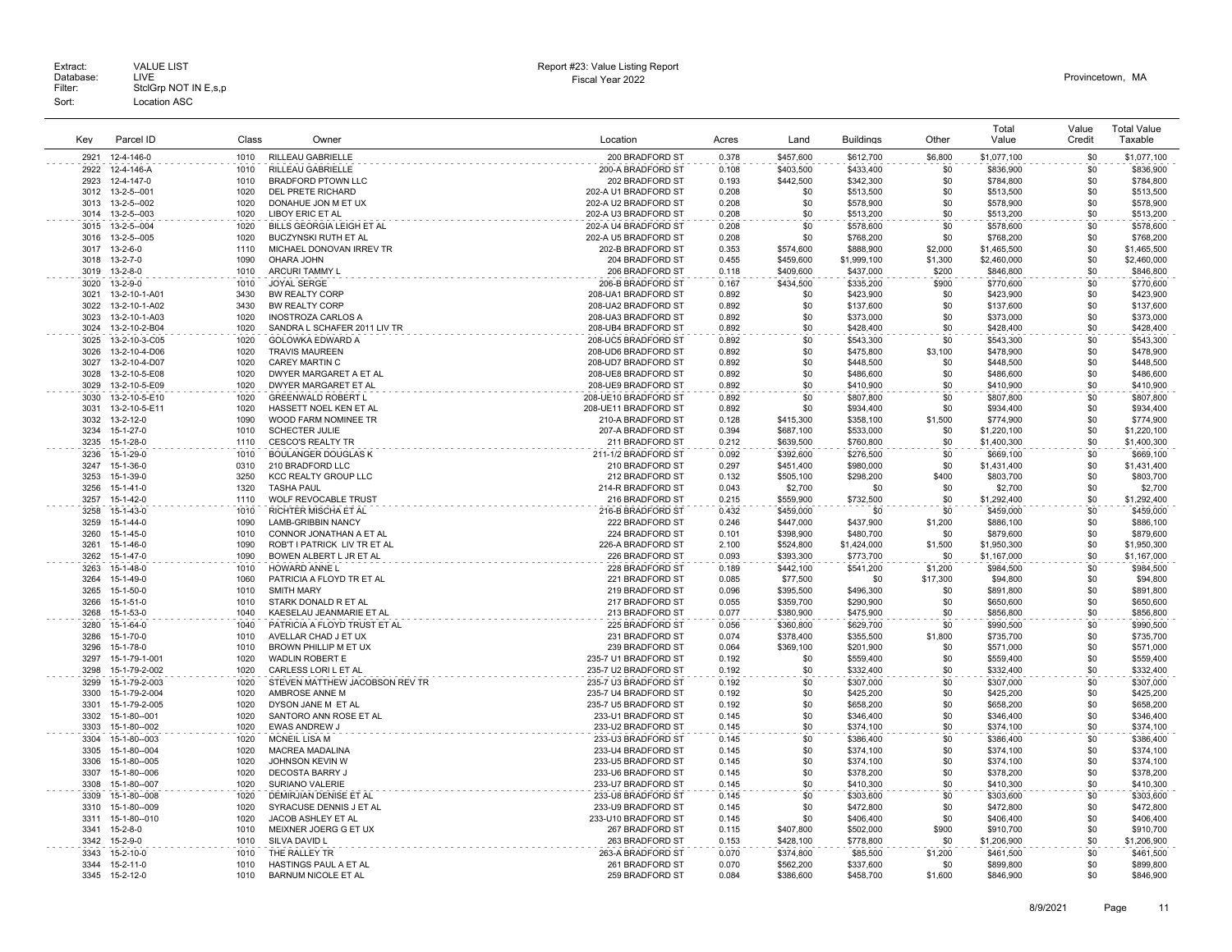Extract: VALUE LIST<br>Database: LIVE<br>Filter: StclGrp NOT IN E,s,p Fiscal Year 2022 Database: LIVE Provincetown, MA Extract: Call VALUE LIST CHARGE STATES AND REPORT HERE AND REPORT HERE AND REPORT THE REPORT OF DETAILS AND REPORT CHARGE STATES AND REPORT CHARGE STATES AND REPORT OF DETAILS AND REPORT CHARGE STATES OF DETAILS AND REPORT Sort: Location ASC

| Kev          | Parcel ID                      | Class        | Owner                                             | Location                                     | Acres          | Land                   | <b>Buildings</b>       | Other          | Total<br>Value         | Value<br>Credit | <b>Total Value</b><br>Taxable |
|--------------|--------------------------------|--------------|---------------------------------------------------|----------------------------------------------|----------------|------------------------|------------------------|----------------|------------------------|-----------------|-------------------------------|
| 2921         | 12-4-146-0                     | 1010         | RILLEAU GABRIELLE                                 | 200 BRADFORD ST                              | 0.378          | \$457,600              | \$612,700              | \$6,800        | \$1,077,100            | \$0             | \$1,077,100                   |
| 2922         | 12-4-146-A                     | 1010         | RILLEAU GABRIELLE                                 | 200-A BRADFORD ST                            | 0.108          | \$403,500              | \$433,400              | \$0            | \$836,900              | \$0             | \$836,900                     |
| 2923         | 12-4-147-0                     | 1010         | <b>BRADFORD PTOWN LLC</b>                         | 202 BRADFORD ST                              | 0.193          | \$442,500              | \$342,300              | \$0            | \$784,800              | \$0             | \$784,800                     |
| 3012         | 13-2-5--001                    | 1020         | <b>DEL PRETE RICHARD</b>                          | 202-A U1 BRADFORD ST                         | 0.208          | \$0                    | \$513,500              | \$0            | \$513,500              | \$0             | \$513,500                     |
| 3013         | 13-2-5--002                    | 1020         | DONAHUE JON M ET UX                               | 202-A U2 BRADFORD ST                         | 0.208          | \$0                    | \$578,900              | \$0            | \$578,900              | \$0             | \$578,900                     |
| 3014<br>3015 | 13-2-5--003<br>13-2-5--004     | 1020<br>1020 | LIBOY ERIC ET AL<br>BILLS GEORGIA LEIGH ET AL     | 202-A U3 BRADFORD ST<br>202-A U4 BRADFORD ST | 0.208<br>0.208 | \$0<br>\$0             | \$513,200<br>\$578,600 | \$0<br>\$0     | \$513,200<br>\$578,600 | \$0<br>\$0      | \$513,200<br>\$578,600        |
| 3016         | 13-2-5--005                    | 1020         | <b>BUCZYNSKI RUTH ET AL</b>                       | 202-A U5 BRADFORD ST                         | 0.208          | \$0                    | \$768,200              | \$0            | \$768,200              | \$0             | \$768,200                     |
| 3017         | $13 - 2 - 6 - 0$               | 1110         | MICHAEL DONOVAN IRREV TR                          | 202-B BRADFORD ST                            | 0.353          | \$574,600              | \$888,900              | \$2,000        | \$1,465,500            | \$0             | \$1,465,500                   |
| 3018         | $13 - 2 - 7 - 0$               | 1090         | OHARA JOHN                                        | 204 BRADFORD ST                              | 0.455          | \$459,600              | \$1,999,100            | \$1,300        | \$2,460,000            | \$0             | \$2,460,000                   |
| 3019         | $13 - 2 - 8 - 0$               | 1010         | <b>ARCURI TAMMY L</b>                             | 206 BRADFORD ST                              | 0.118          | \$409,600              | \$437.000              | \$200          | \$846,800              | \$0             | \$846,800                     |
| 3020         | $13 - 2 - 9 - 0$               | 1010         | <b>JOYAL SERGE</b>                                | 206-B BRADFORD ST                            | 0.167          | \$434,500              | \$335,200              | \$900          | \$770,600              | \$0             | \$770,600                     |
| 3021         | 13-2-10-1-A01                  | 3430         | <b>BW REALTY CORP</b>                             | 208-UA1 BRADFORD ST                          | 0.892          | \$0                    | \$423.900              | \$0            | \$423,900              | \$0             | \$423,900                     |
| 3022<br>3023 | 13-2-10-1-A02<br>13-2-10-1-A03 | 3430<br>1020 | BW REALTY CORP<br><b>INOSTROZA CARLOS A</b>       | 208-UA2 BRADFORD ST<br>208-UA3 BRADFORD ST   | 0.892<br>0.892 | \$0<br>\$0             | \$137,600<br>\$373,000 | \$0<br>\$0     | \$137,600<br>\$373,000 | \$0<br>\$0      | \$137,600<br>\$373,000        |
| 3024         | 13-2-10-2-B04                  | 1020         | SANDRA L SCHAFER 2011 LIV TR                      | 208-UB4 BRADFORD ST                          | 0.892          | \$0                    | \$428,400              | \$0            | \$428,400              | \$0             | \$428,400                     |
| 3025         | 13-2-10-3-C05                  | 1020         | GOLOWKA EDWARD A                                  | 208-UC5 BRADFORD ST                          | 0.892          | \$0                    | \$543,300              | \$0            | \$543,300              | \$0             | \$543,300                     |
| 3026         | 13-2-10-4-D06                  | 1020         | <b>TRAVIS MAUREEN</b>                             | 208-UD6 BRADFORD ST                          | 0.892          | \$0                    | \$475,800              | \$3.100        | \$478,900              | \$0             | \$478,900                     |
| 3027         | 13-2-10-4-D07                  | 1020         | <b>CAREY MARTIN C</b>                             | 208-UD7 BRADFORD ST                          | 0.892          | \$0                    | \$448,500              | \$0            | \$448,500              | \$0             | \$448,500                     |
| 3028         | 13-2-10-5-E08                  | 1020         | DWYER MARGARET A ET AL                            | 208-UE8 BRADFORD ST                          | 0.892          | \$0                    | \$486,600              | \$0            | \$486,600              | \$0             | \$486,600                     |
| 3029         | 13-2-10-5-E09                  | 1020         | DWYER MARGARET ET AL                              | 208-UE9 BRADFORD ST                          | 0.892          | \$0                    | \$410,900              | \$0            | \$410,900              | \$0             | \$410,900                     |
| 3030         | 13-2-10-5-E10                  | 1020<br>1020 | <b>GREENWALD ROBERT L</b>                         | 208-UE10 BRADFORD ST                         | 0.892          | \$0                    | \$807.800              | \$0<br>\$0     | \$807,800              | \$0             | \$807,800                     |
| 3031<br>3032 | 13-2-10-5-E11<br>13-2-12-0     | 1090         | HASSETT NOEL KEN ET AL<br>WOOD FARM NOMINEE TR    | 208-UE11 BRADFORD ST<br>210-A BRADFORD ST    | 0.892<br>0.128 | \$0<br>\$415,300       | \$934,400<br>\$358,100 | \$1,500        | \$934,400<br>\$774,900 | \$0<br>\$0      | \$934,400<br>\$774,900        |
| 3234         | 15-1-27-0                      | 1010         | <b>SCHECTER JULIE</b>                             | 207-A BRADFORD ST                            | 0.394          | \$687,100              | \$533,000              | \$0            | \$1,220,100            | \$0             | \$1,220,100                   |
| 3235         | 15-1-28-0                      | 1110         | <b>CESCO'S REALTY TR</b>                          | 211 BRADFORD ST                              | 0.212          | \$639,500              | \$760,800              | \$0            | \$1,400,300            | \$0             | \$1,400,300                   |
| 3236         | 15-1-29-0                      | 1010         | <b>BOULANGER DOUGLAS K</b>                        | 211-1/2 BRADFORD ST                          | 0.092          | \$392,600              | \$276,500              | \$0            | \$669,100              | \$0             | \$669,100                     |
| 3247         | 15-1-36-0                      | 0310         | 210 BRADFORD LLC                                  | 210 BRADFORD ST                              | 0.297          | \$451,400              | \$980,000              | \$0            | \$1,431,400            | \$0             | \$1,431,400                   |
| 3253         | 15-1-39-0                      | 3250         | KCC REALTY GROUP LLC                              | 212 BRADFORD ST                              | 0.132          | \$505,100              | \$298,200              | \$400          | \$803,700              | \$0             | \$803,700                     |
| 3256         | 15-1-41-0                      | 1320         | <b>TASHA PAUL</b>                                 | 214-R BRADFORD ST                            | 0.043          | \$2,700                | \$0                    | \$0            | \$2,700                | \$0             | \$2,700                       |
| 3257         | 15-1-42-0                      | 1110         | WOLF REVOCABLE TRUST                              | 216 BRADFORD ST                              | 0.215          | \$559,900              | \$732,500              | \$0            | \$1,292,400            | \$0             | \$1,292,400                   |
| 3258<br>3259 | 15-1-43-0<br>$15 - 1 - 44 - 0$ | 1010<br>1090 | RICHTER MISCHA ET AL<br><b>LAMB-GRIBBIN NANCY</b> | 216-B BRADFORD ST<br>222 BRADFORD ST         | 0.432<br>0.246 | \$459,000<br>\$447,000 | \$0<br>\$437,900       | \$0<br>\$1,200 | \$459,000<br>\$886,100 | \$0<br>\$0      | \$459,000<br>\$886,100        |
| 3260         | 15-1-45-0                      | 1010         | CONNOR JONATHAN A ET AL                           | 224 BRADFORD ST                              | 0.101          | \$398,900              | \$480,700              | \$0            | \$879,600              | \$0             | \$879,600                     |
| 3261         | 15-1-46-0                      | 1090         | ROB'T I PATRICK LIV TR ET AL                      | 226-A BRADFORD ST                            | 2.100          | \$524,800              | \$1,424,000            | \$1,500        | \$1,950,300            | \$0             | \$1,950,300                   |
| 3262         | 15-1-47-0                      | 1090         | BOWEN ALBERT L JR ET AL                           | 226 BRADFORD ST                              | 0.093          | \$393,300              | \$773,700              | \$0            | \$1,167,000            | \$0             | \$1,167,000                   |
| 3263         | 15-1-48-0                      | 1010         | <b>HOWARD ANNE L</b>                              | 228 BRADFORD ST                              | 0.189          | \$442,100              | \$541,200              | \$1,200        | \$984,500              | \$0             | \$984,500                     |
| 3264         | 15-1-49-0                      | 1060         | PATRICIA A FLOYD TR ET AL                         | 221 BRADFORD ST                              | 0.085          | \$77,500               | \$0                    | \$17,300       | \$94,800               | \$0             | \$94,800                      |
| 3265         | 15-1-50-0                      | 1010         | <b>SMITH MARY</b>                                 | 219 BRADFORD ST                              | 0.096          | \$395,500              | \$496,300              | \$0            | \$891,800              | \$0             | \$891,800                     |
| 3266<br>3268 | 15-1-51-0<br>15-1-53-0         | 1010<br>1040 | STARK DONALD R ET AL<br>KAESELAU JEANMARIE ET AL  | 217 BRADFORD ST<br>213 BRADFORD ST           | 0.055<br>0.077 | \$359,700<br>\$380,900 | \$290,900<br>\$475.900 | \$0<br>\$0     | \$650,600<br>\$856.800 | \$0<br>\$0      | \$650,600<br>\$856,800        |
| 3280         | 15-1-64-0                      | 1040         | PATRICIA A FLOYD TRUST ET AL                      | 225 BRADFORD ST                              | 0.056          | \$360,800              | \$629,700              | \$0            | \$990,500              | \$0             | \$990,500                     |
| 3286         | 15-1-70-0                      | 1010         | AVELLAR CHAD J ET UX                              | 231 BRADFORD ST                              | 0.074          | \$378,400              | \$355,500              | \$1,800        | \$735,700              | \$0             | \$735,700                     |
| 3296         | 15-1-78-0                      | 1010         | BROWN PHILLIP M ET UX                             | 239 BRADFORD ST                              | 0.064          | \$369,100              | \$201,900              | \$0            | \$571,000              | \$0             | \$571,000                     |
| 3297         | 15-1-79-1-001                  | 1020         | WADLIN ROBERT E                                   | 235-7 U1 BRADFORD ST                         | 0.192          | \$0                    | \$559,400              | \$0            | \$559,400              | \$0             | \$559,400                     |
| 3298         | 15-1-79-2-002                  | 1020         | CARLESS LORI L ET AL                              | 235-7 U2 BRADFORD ST                         | 0.192          | \$0                    | \$332,400              | \$0            | \$332,400              | \$0             | \$332,400                     |
| 3299         | 15-1-79-2-003                  | 1020         | STEVEN MATTHEW JACOBSON REV TR                    | 235-7 U3 BRADFORD ST                         | 0.192          | \$0                    | \$307.000              | \$0            | \$307.000              | \$0             | \$307,000                     |
| 3300         | 15-1-79-2-004                  | 1020         | AMBROSE ANNE M                                    | 235-7 U4 BRADFORD ST                         | 0.192          | \$0<br>\$0             | \$425,200              | \$0            | \$425,200              | \$0<br>\$0      | \$425,200                     |
| 3301<br>3302 | 15-1-79-2-005<br>15-1-80--001  | 1020<br>1020 | DYSON JANE M ET AL<br>SANTORO ANN ROSE ET AL      | 235-7 U5 BRADFORD ST<br>233-U1 BRADFORD ST   | 0.192<br>0.145 | \$0                    | \$658,200<br>\$346,400 | \$0<br>\$0     | \$658,200<br>\$346,400 | \$0             | \$658,200<br>\$346,400        |
| 3303         | 15-1-80--002                   | 1020         | EWAS ANDREW J                                     | 233-U2 BRADFORD ST                           | 0.145          | \$0                    | \$374,100              | \$0            | \$374,100              | \$0             | \$374,100                     |
| 3304         | 15-1-80--003                   | 1020         | MCNEIL LISA M                                     | 233-U3 BRADFORD ST                           | 0.145          | \$0                    | \$386.400              | \$0            | \$386,400              | \$0             | \$386,400                     |
| 3305         | 15-1-80--004                   | 1020         | <b>MACREA MADALINA</b>                            | 233-U4 BRADFORD ST                           | 0.145          | \$0                    | \$374,100              | \$0            | \$374,100              | \$0             | \$374,100                     |
| 3306         | 15-1-80--005                   | 1020         | JOHNSON KEVIN W                                   | 233-U5 BRADFORD ST                           | 0.145          | \$0                    | \$374,100              | \$0            | \$374,100              | \$0             | \$374,100                     |
| 3307         | 15-1-80--006                   | 1020         | <b>DECOSTA BARRY J</b>                            | 233-U6 BRADFORD ST                           | 0.145          | \$0                    | \$378,200              | \$0            | \$378,200              | \$0             | \$378,200                     |
| 3308         | 15-1-80--007                   | 1020         | SURIANO VALERIE                                   | 233-U7 BRADFORD ST                           | 0.145          | \$0                    | \$410,300              | \$0            | \$410,300              | \$0             | \$410,300                     |
| 3309<br>3310 | 15-1-80--008<br>15-1-80--009   | 1020<br>1020 | DEMIRJIAN DENISE ET AL<br>SYRACUSE DENNIS J ET AL | 233-U8 BRADFORD ST<br>233-U9 BRADFORD ST     | 0.145<br>0.145 | \$0<br>\$0             | \$303,600<br>\$472,800 | \$0<br>\$0     | \$303,600<br>\$472,800 | \$0<br>\$0      | \$303,600<br>\$472,800        |
| 3311         | 15-1-80--010                   | 1020         | JACOB ASHLEY ET AL                                | 233-U10 BRADFORD ST                          | 0.145          | \$0                    | \$406,400              | \$0            | \$406,400              | \$0             | \$406,400                     |
| 3341         | $15 - 2 - 8 - 0$               | 1010         | MEIXNER JOERG G ET UX                             | 267 BRADFORD ST                              | 0.115          | \$407,800              | \$502,000              | \$900          | \$910,700              | \$0             | \$910,700                     |
| 3342         | $15 - 2 - 9 - 0$               | 1010         | SILVA DAVID L                                     | 263 BRADFORD ST                              | 0.153          | \$428,100              | \$778,800              | \$0            | \$1,206,900            | \$0             | \$1,206,900                   |
| 3343         | 15-2-10-0                      | 1010         | THE RALLEY TR                                     | 263-A BRADFORD ST                            | 0.070          | \$374,800              | \$85,500               | \$1,200        | \$461,500              | \$0             | \$461,500                     |
| 3344         | 15-2-11-0                      | 1010         | HASTINGS PAUL A ET AL                             | 261 BRADFORD ST                              | 0.070          | \$562,200              | \$337,600              | \$0            | \$899,800              | \$0             | \$899,800                     |
|              | 3345 15-2-12-0                 | 1010         | <b>BARNUM NICOLE ET AL</b>                        | 259 BRADFORD ST                              | 0.084          | \$386,600              | \$458.700              | \$1,600        | \$846.900              | \$0             | \$846,900                     |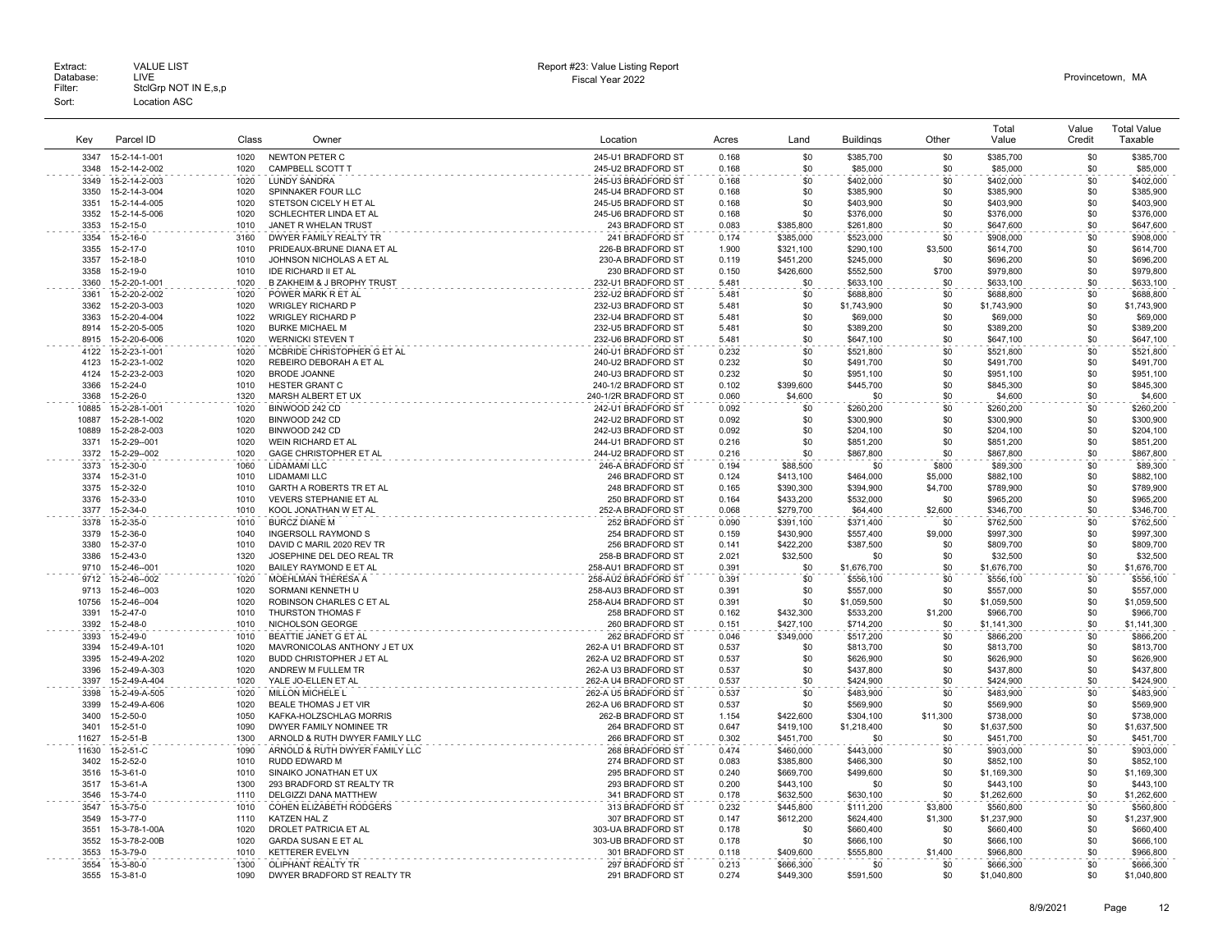| Kev           | Parcel ID                     | Class        | Owner                                                                | Location                                 | Acres          | Land                   | <b>Buildings</b>         | Other        | Total<br>Value           | Value<br>Credit | <b>Total Value</b><br>Taxable |
|---------------|-------------------------------|--------------|----------------------------------------------------------------------|------------------------------------------|----------------|------------------------|--------------------------|--------------|--------------------------|-----------------|-------------------------------|
| 3347          | 15-2-14-1-001                 | 1020         | NEWTON PETER C                                                       | 245-U1 BRADFORD ST                       | 0.168          | \$0                    | \$385,700                | \$0          | \$385,700                | \$0             | \$385,700                     |
| 3348          | 15-2-14-2-002                 | 1020         | CAMPBELL SCOTT T                                                     | 245-U2 BRADFORD ST                       | 0.168          | \$0                    | \$85,000                 | \$0          | \$85,000                 | \$0             | \$85,000                      |
| 3349          | 15-2-14-2-003                 | 1020         | <b>LUNDY SANDRA</b>                                                  | 245-U3 BRADFORD ST                       | 0.168          | \$0                    | \$402,000                | \$0          | \$402,000                | \$0             | \$402,000                     |
| 3350          | 15-2-14-3-004                 | 1020         | SPINNAKER FOUR LLC                                                   | 245-U4 BRADFORD ST                       | 0.168          | \$0                    | \$385,900                | \$0          | \$385,900                | \$0             | \$385,900                     |
| 3351          | 15-2-14-4-005                 | 1020         | STETSON CICELY H ET AL                                               | 245-U5 BRADFORD ST                       | 0.168          | \$0                    | \$403,900                | \$0          | \$403,900                | \$0             | \$403,900                     |
| 3352          | 15-2-14-5-006                 | 1020         | SCHLECHTER LINDA ET AL                                               | 245-U6 BRADFORD ST                       | 0.168          | \$0                    | \$376,000                | \$0          | \$376,000                | \$0             | \$376,000                     |
| 3353          | 15-2-15-0                     | 1010         | JANET R WHELAN TRUST                                                 | 243 BRADFORD ST                          | 0.083          | \$385,800              | \$261,800                | \$0          | \$647,600                | \$0             | \$647,600                     |
| 3354          | 15-2-16-0                     | 3160         | DWYER FAMILY REALTY TR                                               | 241 BRADFORD ST                          | 0.174          | \$385,000              | \$523,000                | \$0          | \$908,000                | \$0             | \$908,000                     |
| 3355          | 15-2-17-0                     | 1010         | PRIDEAUX-BRUNE DIANA ET AL                                           | 226-B BRADFORD ST                        | 1.900          | \$321,100              | \$290,100                | \$3,500      | \$614,700                | \$0             | \$614,700                     |
| 3357          | $15 - 2 - 18 - 0$             | 1010         | JOHNSON NICHOLAS A ET AL                                             | 230-A BRADFORD ST                        | 0.119          | \$451,200              | \$245,000                | \$0          | \$696,200                | \$0             | \$696,200                     |
| 3358<br>3360  | 15-2-19-0<br>15-2-20-1-001    | 1010<br>1020 | <b>IDE RICHARD II ET AL</b><br><b>B ZAKHEIM &amp; J BROPHY TRUST</b> | 230 BRADFORD ST<br>232-U1 BRADFORD ST    | 0.150<br>5.481 | \$426,600<br>\$0       | \$552,500<br>\$633,100   | \$700<br>\$0 | \$979,800<br>\$633,100   | \$0<br>\$0      | \$979,800<br>\$633,100        |
| 3361          | 15-2-20-2-002                 | 1020         | POWER MARK R ET AL                                                   | 232-U2 BRADFORD ST                       | 5.481          | \$0                    | \$688,800                | \$0          | \$688,800                | \$0             | \$688,800                     |
| 3362          | 15-2-20-3-003                 | 1020         | WRIGLEY RICHARD P                                                    | 232-U3 BRADFORD ST                       | 5.481          | \$0                    | \$1,743,900              | \$0          | \$1,743,900              | \$0             | \$1,743,900                   |
| 3363          | 15-2-20-4-004                 | 1022         | <b>WRIGLEY RICHARD P</b>                                             | 232-U4 BRADFORD ST                       | 5.481          | \$0                    | \$69,000                 | \$0          | \$69,000                 | \$0             | \$69,000                      |
| 8914          | 15-2-20-5-005                 | 1020         | <b>BURKE MICHAEL M</b>                                               | 232-U5 BRADFORD ST                       | 5.481          | \$0                    | \$389,200                | \$0          | \$389,200                | \$0             | \$389,200                     |
| 8915          | 15-2-20-6-006                 | 1020         | <b>WERNICKI STEVEN T</b>                                             | 232-U6 BRADFORD ST                       | 5.481          | \$0                    | \$647,100                | \$0          | \$647,100                | \$0             | \$647,100                     |
| 4122          | 15-2-23-1-001                 | 1020         | MCBRIDE CHRISTOPHER G ET AL                                          | 240-U1 BRADFORD ST                       | 0.232          | \$0                    | \$521,800                | \$0          | \$521,800                | \$0             | \$521,800                     |
| 4123          | 15-2-23-1-002                 | 1020         | REBEIRO DEBORAH A ET AL                                              | 240-U2 BRADFORD ST                       | 0.232          | \$0                    | \$491,700                | \$0          | \$491,700                | \$0             | \$491,700                     |
| 4124          | 15-2-23-2-003                 | 1020         | <b>BRODE JOANNE</b>                                                  | 240-U3 BRADFORD ST                       | 0.232          | \$0                    | \$951.100                | \$0          | \$951,100                | \$0             | \$951.100                     |
| 3366          | 15-2-24-0                     | 1010         | HESTER GRANT C                                                       | 240-1/2 BRADFORD ST                      | 0.102          | \$399,600              | \$445,700                | \$0          | \$845,300                | \$0             | \$845,300                     |
| 3368          | 15-2-26-0                     | 1320         | MARSH ALBERT ET UX                                                   | 240-1/2R BRADFORD ST                     | 0.060          | \$4,600                | \$0                      | \$0          | \$4,600                  | \$0             | \$4,600                       |
| 10885         | 15-2-28-1-001                 | 1020         | BINWOOD 242 CD                                                       | 242-U1 BRADFORD ST                       | 0.092          | \$0                    | \$260,200                | \$0          | \$260,200                | \$0             | \$260,200                     |
| 10887         | 15-2-28-1-002                 | 1020         | BINWOOD 242 CD                                                       | 242-U2 BRADFORD ST                       | 0.092          | \$0                    | \$300,900                | \$0          | \$300,900                | \$0             | \$300,900                     |
| 10889<br>3371 | 15-2-28-2-003<br>15-2-29--001 | 1020<br>1020 | BINWOOD 242 CD<br><b>WEIN RICHARD ET AL</b>                          | 242-U3 BRADFORD ST<br>244-U1 BRADFORD ST | 0.092<br>0.216 | \$0<br>\$0             | \$204,100                | \$0<br>\$0   | \$204,100                | \$0<br>\$0      | \$204,100<br>\$851.200        |
| 3372          | 15-2-29--002                  | 1020         | GAGE CHRISTOPHER ET AL                                               | 244-U2 BRADFORD ST                       | 0.216          | \$0                    | \$851,200<br>\$867,800   | \$0          | \$851,200<br>\$867,800   | \$0             | \$867,800                     |
| 3373          | 15-2-30-0                     | 1060         | LIDAMAMI LLC                                                         | 246-A BRADFORD ST                        | 0.194          | \$88,500               | \$0                      | \$800        | \$89,300                 | \$0             | \$89,300                      |
| 3374          | 15-2-31-0                     | 1010         | LIDAMAMI LLC                                                         | 246 BRADFORD ST                          | 0.124          | \$413,100              | \$464,000                | \$5,000      | \$882,100                | \$0             | \$882,100                     |
| 3375          | 15-2-32-0                     | 1010         | GARTH A ROBERTS TR ET AL                                             | 248 BRADFORD ST                          | 0.165          | \$390,300              | \$394,900                | \$4,700      | \$789,900                | \$0             | \$789,900                     |
| 3376          | 15-2-33-0                     | 1010         | <b>VEVERS STEPHANIE ET AL</b>                                        | 250 BRADFORD ST                          | 0.164          | \$433,200              | \$532,000                | \$0          | \$965,200                | \$0             | \$965,200                     |
| 3377          | 15-2-34-0                     | 1010         | KOOL JONATHAN W ET AL                                                | 252-A BRADFORD ST                        | 0.068          | \$279,700              | \$64,400                 | \$2,600      | \$346,700                | \$0             | \$346,700                     |
| 3378          | 15-2-35-0                     | 1010         | <b>BURCZ DIANE M</b>                                                 | 252 BRADFORD ST                          | 0.090          | \$391,100              | \$371,400                | \$0          | \$762,500                | \$0             | \$762,500                     |
| 3379          | 15-2-36-0                     | 1040         | <b>INGERSOLL RAYMOND S</b>                                           | 254 BRADFORD ST                          | 0.159          | \$430,900              | \$557,400                | \$9,000      | \$997,300                | \$0             | \$997,300                     |
| 3380          | 15-2-37-0                     | 1010         | DAVID C MARIL 2020 REV TR                                            | 256 BRADFORD ST                          | 0.141          | \$422.200              | \$387.500                | \$0          | \$809,700                | \$0             | \$809,700                     |
| 3386          | 15-2-43-0                     | 1320         | JOSEPHINE DEL DEO REAL TR                                            | 258-B BRADFORD ST                        | 2.021          | \$32,500               | \$0                      | \$0          | \$32,500                 | \$0             | \$32,500                      |
| 9710          | 15-2-46--001                  | 1020         | BAILEY RAYMOND E ET AL                                               | 258-AU1 BRADFORD ST                      | 0.391          | \$0                    | \$1,676,700              | \$0          | \$1,676,700              | \$0             | \$1,676,700                   |
| 9712          | 15-2-46--002                  | 1020         | MOEHLMAN THERESA A                                                   | 258-AU2 BRADFORD ST                      | 0.391          | \$0                    | \$556,100                | \$0          | \$556,100                | \$0             | \$556,100                     |
| 9713          | 15-2-46--003                  | 1020<br>1020 | SORMANI KENNETH U                                                    | 258-AU3 BRADFORD ST                      | 0.391          | \$0                    | \$557,000                | \$0<br>\$0   | \$557,000                | \$0<br>\$0      | \$557,000                     |
| 10756<br>3391 | 15-2-46--004<br>15-2-47-0     | 1010         | ROBINSON CHARLES C ET AL<br>THURSTON THOMAS F                        | 258-AU4 BRADFORD ST<br>258 BRADFORD ST   | 0.391<br>0.162 | \$0<br>\$432,300       | \$1,059,500<br>\$533,200 | \$1,200      | \$1,059,500<br>\$966,700 | \$0             | \$1,059,500<br>\$966,700      |
| 3392          | 15-2-48-0                     | 1010         | NICHOLSON GEORGE                                                     | 260 BRADFORD ST                          | 0.151          | \$427,100              | \$714,200                | \$0          | \$1,141,300              | \$0             | \$1,141,300                   |
| 3393          | 15-2-49-0                     | 1010         | BEATTIE JANET G ET AL                                                | 262 BRADFORD ST                          | 0.046          | \$349,000              | \$517,200                | \$0          | \$866,200                | \$0             | \$866,200                     |
| 3394          | 15-2-49-A-101                 | 1020         | MAVRONICOLAS ANTHONY J ET UX                                         | 262-A U1 BRADFORD ST                     | 0.537          | \$0                    | \$813,700                | \$0          | \$813,700                | \$0             | \$813,700                     |
| 3395          | 15-2-49-A-202                 | 1020         | BUDD CHRISTOPHER J ET AL                                             | 262-A U2 BRADFORD ST                     | 0.537          | \$0                    | \$626,900                | \$0          | \$626,900                | \$0             | \$626,900                     |
| 3396          | 15-2-49-A-303                 | 1020         | ANDREW M FULLEM TR                                                   | 262-A U3 BRADFORD ST                     | 0.537          | \$0                    | \$437,800                | \$0          | \$437,800                | \$0             | \$437,800                     |
| 3397          | 15-2-49-A-404                 | 1020         | YALE JO-ELLEN ET AL                                                  | 262-A U4 BRADFORD ST                     | 0.537          | \$0                    | \$424,900                | \$0          | \$424,900                | \$0             | \$424,900                     |
| 3398          | 15-2-49-A-505                 | 1020         | MILLON MICHELE L                                                     | 262-A U5 BRADFORD ST                     | 0.537          | \$0                    | \$483,900                | \$0          | \$483,900                | \$0             | \$483,900                     |
| 3399          | 15-2-49-A-606                 | 1020         | <b>BEALE THOMAS J ET VIR</b>                                         | 262-A U6 BRADFORD ST                     | 0.537          | \$0                    | \$569,900                | \$0          | \$569,900                | \$0             | \$569,900                     |
| 3400          | 15-2-50-0                     | 1050         | KAFKA-HOLZSCHLAG MORRIS                                              | 262-B BRADFORD ST                        | 1.154          | \$422,600              | \$304,100                | \$11,300     | \$738,000                | \$0             | \$738,000                     |
| 3401          | 15-2-51-0                     | 1090         | DWYER FAMILY NOMINEE TR                                              | 264 BRADFORD ST                          | 0.647          | \$419,100              | \$1,218,400              | \$0          | \$1,637,500              | \$0             | \$1,637,500                   |
| 11627         | 15-2-51-B                     | 1300         | ARNOLD & RUTH DWYER FAMILY LLC                                       | 266 BRADFORD ST                          | 0.302          | \$451.700              | \$0                      | \$0          | \$451,700                | \$0             | \$451,700                     |
| 11630<br>3402 | 15-2-51-C<br>15-2-52-0        | 1090<br>1010 | ARNOLD & RUTH DWYER FAMILY LLC<br>RUDD EDWARD M                      | 268 BRADFORD ST<br>274 BRADFORD ST       | 0.474<br>0.083 | \$460,000<br>\$385,800 | \$443,000<br>\$466,300   | \$0<br>\$0   | \$903,000<br>\$852,100   | \$0<br>\$0      | \$903,000<br>\$852,100        |
| 3516          | 15-3-61-0                     | 1010         | SINAIKO JONATHAN ET UX                                               | 295 BRADFORD ST                          | 0.240          | \$669,700              | \$499,600                | \$0          | \$1,169,300              | \$0             | \$1,169,300                   |
| 3517          | 15-3-61-A                     | 1300         | 293 BRADFORD ST REALTY TR                                            | 293 BRADFORD ST                          | 0.200          | \$443,100              | \$0                      | \$0          | \$443,100                | \$0             | \$443,100                     |
| 3546          | 15-3-74-0                     | 1110         | DELGIZZI DANA MATTHEW                                                | 341 BRADFORD ST                          | 0.178          | \$632,500              | \$630,100                | \$0          | \$1,262,600              | \$0             | \$1,262,600                   |
| 3547          | 15-3-75-0                     | 1010         | COHEN ELIZABETH RODGERS                                              | 313 BRADFORD ST                          | 0.232          | \$445,800              | \$111,200                | \$3,800      | \$560,800                | \$0             | \$560,800                     |
| 3549          | 15-3-77-0                     | 1110         | KATZEN HAL Z                                                         | 307 BRADFORD ST                          | 0.147          | \$612,200              | \$624,400                | \$1,300      | \$1,237,900              | \$0             | \$1,237,900                   |
| 3551          | 15-3-78-1-00A                 | 1020         | DROLET PATRICIA ET AL                                                | 303-UA BRADFORD ST                       | 0.178          | \$0                    | \$660,400                | \$0          | \$660,400                | \$0             | \$660,400                     |
| 3552          | 15-3-78-2-00B                 | 1020         | <b>GARDA SUSAN E ET AL</b>                                           | 303-UB BRADFORD ST                       | 0.178          | \$0                    | \$666,100                | \$0          | \$666,100                | \$0             | \$666,100                     |
| 3553          | 15-3-79-0                     | 1010         | <b>KETTERER EVELYN</b>                                               | 301 BRADFORD ST                          | 0.118          | \$409,600              | \$555,800                | \$1,400      | \$966,800                | \$0             | \$966,800                     |
| 3554          | 15-3-80-0                     | 1300         | OLIPHANT REALTY TR                                                   | 297 BRADFORD ST                          | 0.213          | \$666,300              | \$0                      | \$0          | \$666,300                | \$0             | \$666,300                     |
| 3555          | 15-3-81-0                     | 1090         | DWYER BRADFORD ST REALTY TR                                          | 291 BRADFORD ST                          | 0.274          | \$449.300              | \$591,500                | \$0          | \$1,040,800              | \$0             | \$1.040.800                   |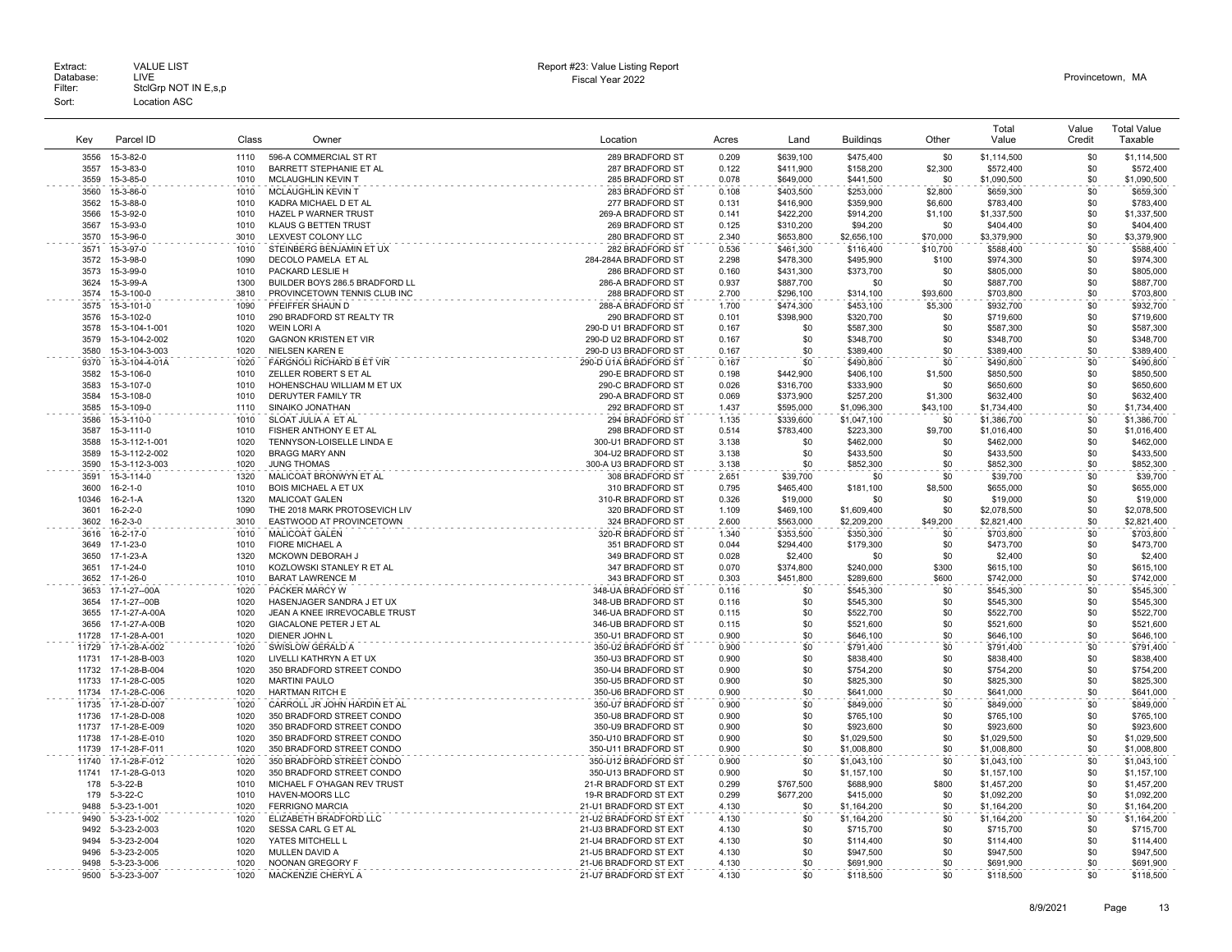|              |                        |              |                                                      |                                    |                |            |                        |                | Total       | Value      | <b>Total Value</b> |
|--------------|------------------------|--------------|------------------------------------------------------|------------------------------------|----------------|------------|------------------------|----------------|-------------|------------|--------------------|
| Key          | Parcel ID              | Class        | Owner                                                | Location                           | Acres          | Land       | <b>Buildings</b>       | Other          | Value       | Credit     | Taxable            |
| 3556         | 15-3-82-0              | 1110         | 596-A COMMERCIAL ST RT                               | 289 BRADFORD ST                    | 0.209          | \$639,100  | \$475,400              | \$0            | \$1,114,500 | \$0        | \$1,114,500        |
|              |                        |              |                                                      |                                    |                |            |                        |                |             |            |                    |
| 3557<br>3559 | 15-3-83-0<br>15-3-85-0 | 1010<br>1010 | BARRETT STEPHANIE ET AL<br><b>MCLAUGHLIN KEVIN T</b> | 287 BRADFORD ST<br>285 BRADFORD ST | 0.122<br>0.078 | \$411.900  | \$158,200<br>\$441.500 | \$2,300<br>\$0 | \$572,400   | \$0<br>\$0 | \$572,400          |
|              |                        |              |                                                      |                                    |                | \$649,000  |                        |                | \$1,090,500 |            | \$1,090,500        |
| 3560         | 15-3-86-0              | 1010         | MCLAUGHLIN KEVIN T                                   | 283 BRADFORD ST                    | 0.108          | \$403,500  | \$253,000              | \$2,800        | \$659,300   | \$0        | \$659,300          |
| 3562         | 15-3-88-0              | 1010         | KADRA MICHAEL D ET AL                                | 277 BRADFORD ST                    | 0.131          | \$416,900  | \$359,900              | \$6,600        | \$783,400   | \$0        | \$783,400          |
| 3566         | 15-3-92-0              | 1010         | HAZEL P WARNER TRUST                                 | 269-A BRADFORD ST                  | 0.141          | \$422,200  | \$914,200              | \$1,100        | \$1,337,500 | \$0        | \$1,337,500        |
| 3567         | 15-3-93-0              | 1010         | <b>KLAUS G BETTEN TRUST</b>                          | 269 BRADFORD ST                    | 0.125          | \$310,200  | \$94,200               | \$0            | \$404,400   | \$0        | \$404,400          |
| 3570         | 15-3-96-0              | 3010         | LEXVEST COLONY LLC                                   | 280 BRADFORD ST                    | 2.340          | \$653,800  | \$2,656,100            | \$70,000       | \$3,379,900 | \$0        | \$3,379,900        |
| 3571         | 15-3-97-0              | 1010         | STEINBERG BENJAMIN ET UX                             | 282 BRADFORD ST                    | 0.536          | \$461,300  | \$116,400              | \$10,700       | \$588,400   | \$0        | \$588,400          |
| 3572         | 15-3-98-0              | 1090         | DECOLO PAMELA ET AL                                  | 284-284A BRADFORD ST               | 2.298          | \$478,300  | \$495,900              | \$100          | \$974,300   | \$0        | \$974,300          |
| 3573         | 15-3-99-0              | 1010         | PACKARD LESLIE H                                     | 286 BRADFORD ST                    | 0.160          | \$431,300  | \$373,700              | \$0            | \$805,000   | \$0        | \$805,000          |
| 3624         | 15-3-99-A              | 1300         | BUILDER BOYS 286.5 BRADFORD LL                       | 286-A BRADFORD ST                  | 0.937          | \$887,700  | \$0                    | \$0            | \$887,700   | \$0        | \$887,700          |
| 3574         | 15-3-100-0             | 3810         | PROVINCETOWN TENNIS CLUB INC                         | 288 BRADFORD ST                    | 2.700          | \$296,100  | \$314,100              | \$93,600       | \$703,800   | \$0        | \$703,800          |
| 3575         | 15-3-101-0             | 1090         | PFEIFFER SHAUN D                                     | 288-A BRADFORD ST                  | 1.700          | \$474,300  | \$453,100              | \$5,300        | \$932,700   | \$0        | \$932,700          |
| 3576         | 15-3-102-0             | 1010         | 290 BRADFORD ST REALTY TR                            | 290 BRADFORD ST                    | 0.101          | \$398,900  | \$320,700              | \$0            | \$719,600   | \$0        | \$719,600          |
| 3578         | 15-3-104-1-001         | 1020         | <b>WEIN LORI A</b>                                   | 290-D U1 BRADFORD ST               | 0.167          | \$0        | \$587,300              | \$0            | \$587,300   | \$0        | \$587,300          |
| 3579         | 15-3-104-2-002         | 1020         | <b>GAGNON KRISTEN ET VIR</b>                         | 290-D U2 BRADFORD ST               | 0.167          | \$0        | \$348,700              | \$0            | \$348,700   | \$0        | \$348,700          |
| 3580         | 15-3-104-3-003         | 1020         | <b>NIELSEN KAREN E</b>                               | 290-D U3 BRADFORD ST               | 0.167          | \$0        | \$389,400              | \$0            | \$389,400   | \$0        | \$389,400          |
| 9370         | 15-3-104-4-01A         | 1020         | FARGNOLI RICHARD B ET VIR                            | 290-D U1A BRADFORD ST              | 0.167          | \$0        | \$490,800              | \$0            | \$490,800   | \$0        | \$490,800          |
| 3582         | 15-3-106-0             | 1010         | ZELLER ROBERT S ET AL                                | 290-E BRADFORD ST                  | 0.198          | \$442,900  | \$406,100              | \$1,500        | \$850,500   | \$0        | \$850,500          |
| 3583         | 15-3-107-0             | 1010         | HOHENSCHAU WILLIAM M ET UX                           | 290-C BRADFORD ST                  | 0.026          | \$316,700  | \$333,900              | \$0            | \$650,600   | \$0        | \$650,600          |
| 3584         | 15-3-108-0             | 1010         | DERUYTER FAMILY TR                                   | 290-A BRADFORD ST                  | 0.069          | \$373,900  | \$257,200              | \$1,300        | \$632,400   | \$0        | \$632,400          |
| 3585         | 15-3-109-0             | 1110         | SINAIKO JONATHAN                                     | 292 BRADFORD ST                    | 1.437          | \$595,000  | \$1,096,300            | \$43,100       | \$1,734,400 | \$0        | \$1,734,400        |
| 3586         | 15-3-110-0             | 1010         | SLOAT JULIA A ET AL                                  | 294 BRADFORD ST                    | 1.135          | \$339,600  | \$1,047,100            | \$0            | \$1,386,700 | \$0        | \$1,386,700        |
| 3587         | 15-3-111-0             | 1010         | FISHER ANTHONY E ET AL                               | 298 BRADFORD ST                    | 0.514          | \$783,400  | \$223,300              | \$9,700        | \$1,016,400 | \$0        | \$1,016,400        |
| 3588         | 15-3-112-1-001         | 1020         | TENNYSON-LOISELLE LINDA E                            | 300-U1 BRADFORD ST                 | 3.138          | \$0        | \$462,000              | \$0            | \$462,000   | \$0        | \$462,000          |
| 3589         | 15-3-112-2-002         | 1020         | <b>BRAGG MARY ANN</b>                                | 304-U2 BRADFORD ST                 | 3.138          | \$0        | \$433,500              | \$0            | \$433,500   | \$0        | \$433,500          |
| 3590         | 15-3-112-3-003         | 1020         | JUNG THOMAS                                          | 300-A U3 BRADFORD ST               | 3.138          | \$0        | \$852,300              | \$0            | \$852,300   | \$0        | \$852,300          |
| 3591         | 15-3-114-0             | 1320         | MALICOAT BRONWYN ET AL                               | 308 BRADFORD ST                    | 2.651          | \$39,700   | \$0                    | \$0            | \$39,700    | \$0        | \$39,700           |
| 3600         | $16 - 2 - 1 - 0$       | 1010         | <b>BOIS MICHAEL A ET UX</b>                          | 310 BRADFORD ST                    | 0.795          | \$465,400  | \$181,100              | \$8,500        | \$655,000   | \$0        | \$655,000          |
| 10346        | $16 - 2 - 1 - A$       | 1320         | <b>MALICOAT GALEN</b>                                | 310-R BRADFORD ST                  | 0.326          | \$19,000   | \$0                    | \$0            | \$19,000    | \$0        | \$19,000           |
| 3601         | $16 - 2 - 2 - 0$       | 1090         | THE 2018 MARK PROTOSEVICH LIV                        | 320 BRADFORD ST                    | 1.109          | \$469,100  | \$1,609,400            | \$0            | \$2,078,500 | \$0        | \$2,078,500        |
| 3602         | $16 - 2 - 3 - 0$       | 3010         |                                                      | 324 BRADFORD ST                    | 2.600          | \$563,000  |                        | \$49,200       |             | \$0        | \$2,821,400        |
|              |                        |              | EASTWOOD AT PROVINCETOWN                             |                                    |                |            | \$2,209,200            |                | \$2,821,400 |            |                    |
| 3616         | 16-2-17-0              | 1010         | <b>MALICOAT GALEN</b>                                | 320-R BRADFORD ST                  | 1.340          | \$353,500  | \$350,300              | .\$በ           | \$703,800   | \$0        | \$703,800          |
| 3649         | 17-1-23-0              | 1010         | <b>FIORE MICHAEL A</b>                               | 351 BRADFORD ST                    | 0.044          | \$294.400  | \$179,300              | \$0            | \$473,700   | \$0        | \$473,700          |
| 3650         | 17-1-23-A              | 1320         | MCKOWN DEBORAH J                                     | 349 BRADFORD ST                    | 0.028          | \$2,400    | \$0                    | \$0            | \$2,400     | \$0        | \$2,400            |
| 3651         | 17-1-24-0              | 1010         | KOZLOWSKI STANLEY R ET AL                            | 347 BRADFORD ST                    | 0.070          | \$374,800  | \$240,000              | \$300          | \$615,100   | \$0        | \$615,100          |
| 3652         | 17-1-26-0              | 1010         | <b>BARAT LAWRENCE M</b>                              | 343 BRADFORD ST                    | 0.303          | \$451.800  | \$289,600              | \$600          | \$742,000   | \$0        | \$742,000          |
| 3653         | 17-1-27--00A           | 1020         | PACKER MARCY W                                       | 348-UA BRADFORD ST                 | 0.116          | \$0        | \$545,300              | \$0            | \$545,300   | \$0        | \$545,300          |
| 3654         | 17-1-27--00B           | 1020         | HASENJAGER SANDRA J ET UX                            | 348-UB BRADFORD ST                 | 0.116          | \$0        | \$545,300              | \$0            | \$545,300   | \$0        | \$545,300          |
| 3655         | 17-1-27-A-00A          | 1020         | JEAN A KNEE IRREVOCABLE TRUST                        | 346-UA BRADFORD ST                 | 0.115          | \$0        | \$522,700              | \$0            | \$522,700   | \$0        | \$522,700          |
| 3656         | 17-1-27-A-00B          | 1020         | <b>GIACALONE PETER J ET AL</b>                       | 346-UB BRADFORD ST                 | 0.115          | \$0        | \$521,600              | \$0            | \$521,600   | \$0        | \$521,600          |
| 11728        | 17-1-28-A-001          | 1020         | DIENER JOHN L                                        | 350-U1 BRADFORD ST                 | 0.900          | \$0        | \$646,100              | \$0            | \$646,100   | \$0        | \$646,100          |
| 11729        | 17-1-28-A-002          | 1020         | SWISLOW GERALD A                                     | 350-U2 BRADFORD ST                 | 0.900          | \$0        | \$791,400              | \$0            | \$791,400   | \$0        | \$791,400          |
| 11731        | 17-1-28-B-003          | 1020         | LIVELLI KATHRYN A ET UX                              | 350-U3 BRADFORD ST                 | 0.900          | \$0        | \$838,400              | \$0            | \$838,400   | \$0        | \$838,400          |
| 11732        | 17-1-28-B-004          | 1020         | 350 BRADFORD STREET CONDO                            | 350-U4 BRADFORD ST                 | 0.900          | \$0        | \$754,200              | \$0            | \$754,200   | \$0        | \$754,200          |
| 11733        | 17-1-28-C-005          | 1020         | <b>MARTINI PAULO</b>                                 | 350-U5 BRADFORD ST                 | 0.900          | \$0        | \$825,300              | \$0            | \$825,300   | \$0        | \$825,300          |
| 11734        | 17-1-28-C-006          | 1020         | <b>HARTMAN RITCH E</b>                               | 350-U6 BRADFORD ST                 | 0.900          | \$0        | \$641,000              | \$0            | \$641,000   | \$0        | \$641,000          |
| 11735        | 17-1-28-D-007          | 1020         | CARROLL JR JOHN HARDIN ET AL                         | 350-U7 BRADFORD ST                 | 0.900          | \$0        | \$849,000              | \$0            | \$849,000   | \$0        | \$849,000          |
| 11736        | 17-1-28-D-008          | 1020         | 350 BRADFORD STREET CONDO                            | 350-U8 BRADFORD ST                 | 0.900          | \$0        | \$765,100              | \$0            | \$765,100   | \$0        | \$765,100          |
| 11737        | 17-1-28-E-009          | 1020         | 350 BRADFORD STREET CONDO                            | 350-U9 BRADFORD ST                 | 0.900          | \$0        | \$923,600              | \$0            | \$923,600   | \$0        | \$923,600          |
| 11738        | 17-1-28-E-010          | 1020         | 350 BRADFORD STREET CONDO                            | 350-U10 BRADFORD ST                | 0.900          | \$0        | \$1,029,500            | \$0            | \$1,029,500 | \$0        | \$1,029,500        |
| 11739        | 17-1-28-F-011          | 1020         | 350 BRADFORD STREET CONDO                            | 350-U11 BRADFORD ST                | 0.900          | \$0        | \$1,008,800            | \$0            | \$1,008,800 | \$0        | \$1,008,800        |
| 11740        | 17-1-28-F-012          | 1020         | 350 BRADFORD STREET CONDO                            | 350-U12 BRADFORD ST                | 0.900          | \$0        | \$1,043,100            | \$0            | \$1,043,100 | \$0        | \$1,043,100        |
| 11741        | 17-1-28-G-013          | 1020         | 350 BRADFORD STREET CONDO                            | 350-U13 BRADFORD ST                | 0.900          | \$0        | \$1,157,100            | \$0            | \$1,157,100 | \$0        | \$1,157,100        |
| 178          | $5 - 3 - 22 - B$       | 1010         | MICHAEL F O'HAGAN REV TRUST                          | 21-R BRADFORD ST EXT               | 0.299          | \$767,500  | \$688,900              | \$800          | \$1,457,200 | \$0        | \$1,457,200        |
| 179          | $5 - 3 - 22 - C$       | 1010         | <b>HAVEN-MOORS LLC</b>                               | 19-R BRADFORD ST EXT               | 0.299          | \$677,200  | \$415,000              | \$0            | \$1,092,200 | \$0        | \$1,092,200        |
| 9488         | 5-3-23-1-001           | 1020         | <b>FERRIGNO MARCIA</b>                               | 21-U1 BRADFORD ST EXT              | 4.130          | \$0        | \$1,164,200            | \$0            | \$1,164,200 | \$0        | \$1,164,200        |
|              |                        |              |                                                      |                                    |                |            |                        |                |             |            |                    |
| 9490<br>9492 | 5-3-23-1-002           | 1020<br>1020 | ELIZABETH BRADFORD LLC                               | 21-U2 BRADFORD ST EXT              | 4.130<br>4 130 | \$0<br>\$0 | \$1,164,200            | \$0<br>\$0     | \$1,164,200 | \$0        | \$1,164,200        |
|              | 5-3-23-2-003           |              | SESSA CARL G ET AL                                   | 21-U3 BRADFORD ST EXT              |                |            | \$715,700              |                | \$715,700   | \$0        | \$715,700          |
| 9494         | 5-3-23-2-004           | 1020         | YATES MITCHELL L                                     | 21-U4 BRADFORD ST EXT              | 4.130          | \$0        | \$114,400              | \$0            | \$114,400   | \$0        | \$114,400          |
| 9496         | 5-3-23-2-005           | 1020         | MULLEN DAVID A                                       | 21-U5 BRADFORD ST EXT              | 4.130          | \$0        | \$947,500              | \$0            | \$947,500   | \$0        | \$947,500          |
| 9498         | 5-3-23-3-006           | 1020         | NOONAN GREGORY F                                     | 21-U6 BRADFORD ST EXT              | 4.130          | \$0        | \$691,900              | \$0            | \$691,900   | \$0        | \$691,900          |
| 9500         | 5-3-23-3-007           | 1020         | MACKENZIE CHERYL A                                   | 21-U7 BRADFORD ST EXT              | 4.130          | \$0        | \$118,500              | \$0            | \$118,500   | \$0        | \$118,500          |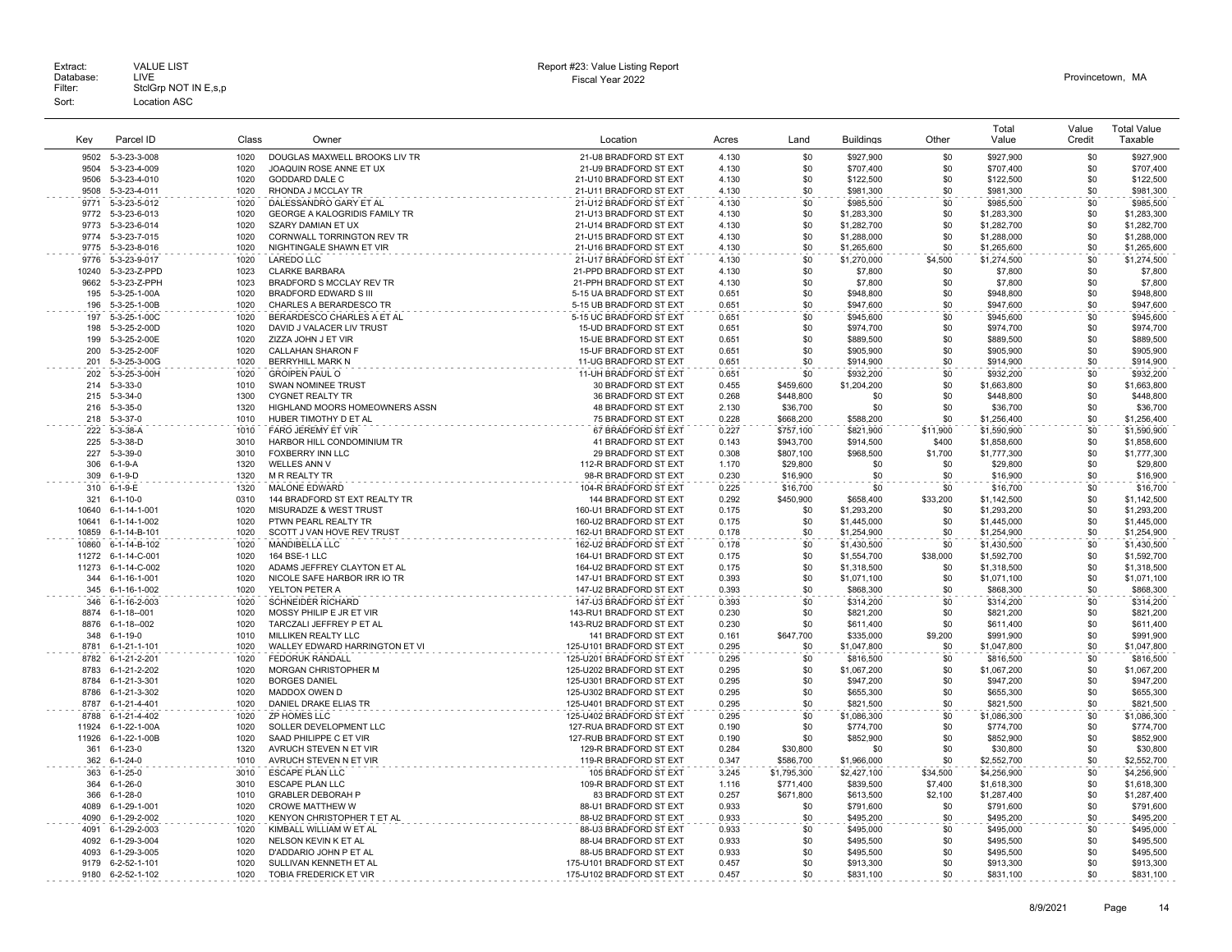| Kev          | Parcel ID                                | Class        | Owner                                                  | Location                                           | Acres          | Land                  | <b>Buildings</b>           | Other           | Total<br>Value             | Value<br>Credit | <b>Total Value</b><br>Taxable |
|--------------|------------------------------------------|--------------|--------------------------------------------------------|----------------------------------------------------|----------------|-----------------------|----------------------------|-----------------|----------------------------|-----------------|-------------------------------|
| 9502         | 5-3-23-3-008                             | 1020         | DOUGLAS MAXWELL BROOKS LIV TR                          | 21-U8 BRADFORD ST EXT                              | 4.130          | \$0                   | \$927,900                  | \$0             | \$927,900                  | \$0             | \$927,900                     |
| 9504         | 5-3-23-4-009                             | 1020         | JOAQUIN ROSE ANNE ET UX                                | 21-U9 BRADFORD ST EXT                              | 4.130          | \$0                   | \$707,400                  | \$0             | \$707,400                  | \$0             | \$707,400                     |
| 9506         | 5-3-23-4-010                             | 1020         | GODDARD DALE C                                         | 21-U10 BRADFORD ST EXT                             | 4.130          | \$0                   | \$122,500                  | \$0             | \$122,500                  | \$0             | \$122,500                     |
| 9508         | 5-3-23-4-011                             | 1020         | RHONDA J MCCLAY TR                                     | 21-U11 BRADFORD ST EXT                             | 4.130          | \$0                   | \$981,300                  | \$0             | \$981,300                  | \$0             | \$981,300                     |
| 9771         | 5-3-23-5-012                             | 1020         | DALESSANDRO GARY ET AL                                 | 21-U12 BRADFORD ST EXT                             | 4.130          | \$0                   | \$985,500                  | \$0             | \$985,500                  | \$0             | \$985,500                     |
| 9772         | 5-3-23-6-013                             | 1020         | <b>GEORGE A KALOGRIDIS FAMILY TR</b>                   | 21-U13 BRADFORD ST EXT                             | 4.130          | \$0                   | \$1,283,300                | \$0             | \$1,283,300                | \$0             | \$1,283,300                   |
| 9773<br>9774 | 5-3-23-6-014                             | 1020         | SZARY DAMIAN ET UX                                     | 21-U14 BRADFORD ST EXT                             | 4.130          | \$0<br>\$0            | \$1,282,700                | \$0<br>\$0      | \$1,282,700                | \$0<br>\$0      | \$1,282,700                   |
| 9775         | 5-3-23-7-015<br>5-3-23-8-016             | 1020<br>1020 | CORNWALL TORRINGTON REV TR<br>NIGHTINGALE SHAWN ET VIR | 21-U15 BRADFORD ST EXT<br>21-U16 BRADFORD ST EXT   | 4.130<br>4.130 | \$0                   | \$1,288,000<br>\$1,265,600 | \$0             | \$1,288,000<br>\$1,265,600 | \$0             | \$1,288,000<br>\$1,265,600    |
| 9776         | 5-3-23-9-017                             | 1020         | <b>LAREDO LLC</b>                                      | 21-U17 BRADFORD ST EXT                             | 4.130          | \$0                   | \$1,270,000                | \$4,500         | \$1,274,500                | \$0             | \$1,274,500                   |
| 10240        | 5-3-23-Z-PPD                             | 1023         | <b>CLARKE BARBARA</b>                                  | 21-PPD BRADFORD ST EXT                             | 4.130          | \$0                   | \$7,800                    | \$0             | \$7,800                    | \$0             | \$7,800                       |
| 9662         | 5-3-23-Z-PPH                             | 1023         | BRADFORD S MCCLAY REV TR                               | 21-PPH BRADFORD ST EXT                             | 4.130          | \$0                   | \$7,800                    | \$0             | \$7,800                    | \$0             | \$7,800                       |
| 195          | 5-3-25-1-00A                             | 1020         | <b>BRADFORD EDWARD S III</b>                           | 5-15 UA BRADFORD ST EXT                            | 0.651          | \$0                   | \$948,800                  | \$0             | \$948,800                  | \$0             | \$948,800                     |
| 196          | 5-3-25-1-00B                             | 1020         | CHARLES A BERARDESCO TR                                | 5-15 UB BRADFORD ST EXT                            | 0.651          | \$0                   | \$947,600                  | \$0             | \$947,600                  | \$0             | \$947,600                     |
| 197          | 5-3-25-1-00C                             | 1020         | BERARDESCO CHARLES A ET AL                             | 5-15 UC BRADFORD ST EXT                            | 0.651          | \$0                   | \$945,600                  | \$0             | \$945,600                  | \$0             | \$945,600                     |
| 198          | 5-3-25-2-00D                             | 1020         | DAVID J VALACER LIV TRUST                              | 15-UD BRADFORD ST EXT                              | 0.651          | \$0                   | \$974,700                  | \$0             | \$974,700                  | \$0             | \$974,700                     |
| 199<br>200   | 5-3-25-2-00E<br>5-3-25-2-00F             | 1020<br>1020 | ZIZZA JOHN J ET VIR<br><b>CALLAHAN SHARON F</b>        | 15-UE BRADFORD ST EXT<br>15-UF BRADFORD ST EXT     | 0.651<br>0.651 | \$0<br>\$0            | \$889,500                  | \$0<br>\$0      | \$889,500                  | \$0<br>\$0      | \$889,500                     |
| 201          | 5-3-25-3-00G                             | 1020         | BERRYHILL MARK N                                       | 11-UG BRADFORD ST EXT                              | 0.651          | \$0                   | \$905,900<br>\$914,900     | \$0             | \$905,900<br>\$914,900     | \$0             | \$905,900<br>\$914,900        |
| 202          | 5-3-25-3-00H                             | 1020         | <b>GROIPEN PAUL O</b>                                  | 11-UH BRADFORD ST EXT                              | 0.651          | \$0                   | \$932,200                  | \$0             | \$932,200                  | \$0             | \$932,200                     |
| 214          | $5 - 3 - 33 - 0$                         | 1010         | <b>SWAN NOMINEE TRUST</b>                              | 30 BRADFORD ST EXT                                 | 0.455          | \$459,600             | \$1,204,200                | \$0             | \$1,663,800                | \$0             | \$1,663,800                   |
| 215          | $5 - 3 - 34 - 0$                         | 1300         | <b>CYGNET REALTY TR</b>                                | 36 BRADFORD ST EXT                                 | 0.268          | \$448,800             | \$0                        | \$0             | \$448,800                  | \$0             | \$448,800                     |
| 216          | $5 - 3 - 35 - 0$                         | 1320         | HIGHLAND MOORS HOMEOWNERS ASSN                         | 48 BRADFORD ST EXT                                 | 2.130          | \$36,700              | \$0                        | \$0             | \$36,700                   | \$0             | \$36,700                      |
| 218          | $5 - 3 - 37 - 0$                         | 1010         | HUBER TIMOTHY D ET AL                                  | 75 BRADFORD ST EXT                                 | 0.228          | \$668,200             | \$588,200                  | \$0             | \$1,256,400                | \$0             | \$1,256,400                   |
| 222          | $5 - 3 - 38 - A$                         | 1010         | <b>FARO JEREMY ET VIR</b>                              | 67 BRADFORD ST EXT                                 | 0.227          | \$757,100             | \$821,900                  | \$11,900        | \$1,590,900                | \$0             | \$1,590,900                   |
| 225          | 5-3-38-D                                 | 3010         | HARBOR HILL CONDOMINIUM TR                             | 41 BRADFORD ST EXT                                 | 0.143          | \$943,700             | \$914,500                  | \$400           | \$1,858,600                | \$0             | \$1,858,600                   |
| 227          | $5 - 3 - 39 - 0$                         | 3010         | <b>FOXBERRY INN LLC</b>                                | 29 BRADFORD ST EXT                                 | 0.308          | \$807,100             | \$968,500                  | \$1,700         | \$1,777,300                | \$0             | \$1,777,300                   |
| 306          | $6 - 1 - 9 - A$                          | 1320         | <b>WELLES ANN V</b>                                    | 112-R BRADFORD ST EXT                              | 1.170          | \$29,800              | \$0                        | \$0             | \$29,800                   | \$0             | \$29,800                      |
| 309          | $6 - 1 - 9 - D$                          | 1320         | <b>M R REALTY TR</b>                                   | 98-R BRADFORD ST EXT                               | 0.230          | \$16,900              | \$0                        | \$0             | \$16,900                   | \$0             | \$16,900                      |
| 310<br>321   | $6 - 1 - 9 - E$<br>$6 - 1 - 10 - 0$      | 1320<br>0310 | <b>MALONE EDWARD</b><br>144 BRADFORD ST EXT REALTY TR  | 104-R BRADFORD ST EXT<br>144 BRADFORD ST EXT       | 0.225<br>0.292 | \$16,700<br>\$450.900 | \$0                        | \$0             | \$16,700                   | \$0             | \$16,700                      |
| 10640        | 6-1-14-1-001                             | 1020         | <b>MISURADZE &amp; WEST TRUST</b>                      | 160-U1 BRADFORD ST EXT                             | 0.175          | \$0                   | \$658,400<br>\$1,293,200   | \$33,200<br>\$0 | \$1,142,500<br>\$1,293,200 | \$0<br>\$0      | \$1,142,500<br>\$1,293,200    |
| 10641        | 6-1-14-1-002                             | 1020         | PTWN PEARL REALTY TR                                   | 160-U2 BRADFORD ST EXT                             | 0.175          | \$0                   | \$1,445,000                | \$0             | \$1,445,000                | \$0             | \$1,445,000                   |
| 10859        | 6-1-14-B-101                             | 1020         | SCOTT J VAN HOVE REV TRUST                             | 162-U1 BRADFORD ST EXT                             | 0.178          | \$0                   | \$1,254,900                | \$0             | \$1,254,900                | \$0             | \$1,254,900                   |
| 10860        | 6-1-14-B-102                             | 1020         | <b>MANDIBELLA LLC</b>                                  | 162-U2 BRADFORD ST EXT                             | 0.178          | \$0                   | \$1,430,500                | \$0             | \$1,430,500                | \$0             | \$1,430,500                   |
| 11272        | 6-1-14-C-001                             | 1020         | 164 BSE-1 LLC                                          | 164-U1 BRADFORD ST EXT                             | 0.175          | \$0                   | \$1,554,700                | \$38,000        | \$1,592,700                | \$0             | \$1,592,700                   |
| 11273        | 6-1-14-C-002                             | 1020         | ADAMS JEFFREY CLAYTON ET AL                            | 164-U2 BRADFORD ST EXT                             | 0.175          | \$0                   | \$1,318,500                | \$0             | \$1,318,500                | \$0             | \$1,318,500                   |
| 344          | 6-1-16-1-001                             | 1020         | NICOLE SAFE HARBOR IRR IO TR                           | 147-U1 BRADFORD ST EXT                             | 0.393          | \$0                   | \$1,071,100                | \$0             | \$1,071,100                | \$0             | \$1.071.100                   |
| 345          | 6-1-16-1-002                             | 1020         | YELTON PETER A                                         | 147-U2 BRADFORD ST EXT                             | 0.393          | \$0                   | \$868,300                  | \$0             | \$868,300                  | \$0             | \$868,300                     |
| 346          | 6-1-16-2-003                             | 1020         | <b>SCHNEIDER RICHARD</b>                               | 147-U3 BRADFORD ST EXT                             | 0.393          | \$0                   | \$314,200                  | \$0             | \$314,200                  | \$0             | \$314,200                     |
| 8874<br>8876 | $6 - 1 - 18 - 001$<br>$6 - 1 - 18 - 002$ | 1020<br>1020 | MOSSY PHILIP E JR ET VIR<br>TARCZALI JEFFREY P ET AL   | 143-RU1 BRADFORD ST EXT<br>143-RU2 BRADFORD ST EXT | 0.230<br>0.230 | \$0<br>\$0            | \$821,200<br>\$611,400     | \$0<br>\$0      | \$821,200<br>\$611,400     | \$0<br>\$0      | \$821,200<br>\$611,400        |
| 348          | $6 - 1 - 19 - 0$                         | 1010         | MILLIKEN REALTY LLC                                    | 141 BRADFORD ST EXT                                | 0.161          | \$647.700             | \$335,000                  | \$9,200         | \$991,900                  | \$0             | \$991,900                     |
| 8781         | 6-1-21-1-101                             | 1020         | WALLEY EDWARD HARRINGTON ET VI                         | 125-U101 BRADFORD ST EXT                           | 0.295          | \$0                   | \$1,047,800                | \$0             | \$1,047,800                | \$0             | \$1,047,800                   |
| 8782         | 6-1-21-2-201                             | 1020         | <b>FEDORUK RANDALL</b>                                 | 125-U201 BRADFORD ST EXT                           | 0.295          | \$0                   | \$816,500                  | \$0             | \$816,500                  | \$0             | \$816,500                     |
| 8783         | 6-1-21-2-202                             | 1020         | <b>MORGAN CHRISTOPHER M</b>                            | 125-U202 BRADFORD ST EXT                           | 0.295          | \$0                   | \$1,067,200                | \$0             | \$1,067,200                | \$0             | \$1.067.200                   |
| 8784         | 6-1-21-3-301                             | 1020         | <b>BORGES DANIEL</b>                                   | 125-U301 BRADFORD ST EXT                           | 0.295          | \$0                   | \$947.200                  | \$0             | \$947,200                  | \$0             | \$947,200                     |
| 8786         | 6-1-21-3-302                             | 1020         | MADDOX OWEN D                                          | 125-U302 BRADFORD ST EXT                           | 0.295          | \$0                   | \$655,300                  | \$0             | \$655,300                  | \$0             | \$655,300                     |
| 8787         | 6-1-21-4-401                             | 1020         | DANIEL DRAKE ELIAS TR                                  | 125-U401 BRADFORD ST EXT                           | 0.295          | \$0                   | \$821,500                  | \$0             | \$821,500                  | \$0             | \$821,500                     |
| 8788         | 6-1-21-4-402                             | 1020         | ZP HOMES LLC                                           | 125-U402 BRADFORD ST EXT                           | 0.295          | \$0                   | \$1,086,300                | \$0             | \$1,086,300                | \$0             | \$1,086,300                   |
| 11924        | 6-1-22-1-00A                             | 1020         | SOLLER DEVELOPMENT LLC                                 | 127-RUA BRADFORD ST EXT                            | 0.190          | \$0                   | \$774.700                  | \$0             | \$774.700                  | \$0             | \$774.700                     |
| 11926<br>361 | 6-1-22-1-00B<br>$6 - 1 - 23 - 0$         | 1020<br>1320 | SAAD PHILIPPE C ET VIR<br>AVRUCH STEVEN N ET VIR       | 127-RUB BRADFORD ST EXT<br>129-R BRADFORD ST EXT   | 0.190<br>0.284 | \$0<br>\$30,800       | \$852,900<br>\$0           | \$0<br>\$0      | \$852,900<br>\$30,800      | \$0<br>\$0      | \$852,900<br>\$30,800         |
| 362          | $6 - 1 - 24 - 0$                         | 1010         | AVRUCH STEVEN N ET VIR                                 | 119-R BRADFORD ST EXT                              | 0.347          | \$586,700             | \$1,966,000                | \$0             | \$2,552,700                | \$0             | \$2,552,700                   |
| 363          | $6 - 1 - 25 - 0$                         | 3010         | <b>ESCAPE PLAN LLC</b>                                 | 105 BRADFORD ST EXT                                | 3.245          | \$1,795,300           | \$2,427,100                | \$34,500        | \$4,256,900                | \$0             | \$4,256,900                   |
| 364          | $6 - 1 - 26 - 0$                         | 3010         | <b>ESCAPE PLAN LLC</b>                                 | 109-R BRADFORD ST EXT                              | 1.116          | \$771,400             | \$839,500                  | \$7,400         | \$1,618,300                | \$0             | \$1,618,300                   |
| 366          | $6 - 1 - 28 - 0$                         | 1010         | <b>GRABLER DEBORAH P</b>                               | 83 BRADFORD ST EXT                                 | 0.257          | \$671,800             | \$613,500                  | \$2,100         | \$1,287,400                | \$0             | \$1,287,400                   |
| 4089         | 6-1-29-1-001                             | 1020         | <b>CROWE MATTHEW W</b>                                 | 88-U1 BRADFORD ST EXT                              | 0.933          | \$0                   | \$791,600                  | \$0             | \$791,600                  | \$0             | \$791,600                     |
| 4090         | 6-1-29-2-002                             | 1020         | KENYON CHRISTOPHER T ET AL                             | 88-U2 BRADFORD ST EXT                              | 0.933          | \$0                   | \$495,200                  | \$0             | \$495,200                  | \$0             | \$495,200                     |
| 4091         | 6-1-29-2-003                             | 1020         | KIMBALL WILLIAM W ET AL                                | 88-U3 BRADFORD ST EXT                              | 0.933          | \$0                   | \$495,000                  | \$0             | \$495,000                  | \$0             | \$495.000                     |
| 4092         | 6-1-29-3-004                             | 1020         | NELSON KEVIN K ET AL                                   | 88-U4 BRADFORD ST EXT                              | 0.933          | \$0                   | \$495,500                  | \$0             | \$495,500                  | \$0             | \$495,500                     |
| 4093         | 6-1-29-3-005                             | 1020         | D'ADDARIO JOHN P ET AL                                 | 88-U5 BRADFORD ST EXT                              | 0.933          | \$0                   | \$495,500                  | \$0             | \$495,500                  | \$0             | \$495,500                     |
|              | 9179 6-2-52-1-101                        | 1020         | SULLIVAN KENNETH ET AL                                 | 175-U101 BRADFORD ST EXT                           | 0.457          | \$0                   | \$913,300                  | \$0             | \$913,300                  | \$0             | \$913,300                     |
| 9180         | 6-2-52-1-102                             | 1020         | TOBIA FREDERICK ET VIR                                 | 175-U102 BRADFORD ST EXT                           | 0.457          | \$0                   | \$831,100                  | \$0             | \$831,100                  | \$0             | \$831,100                     |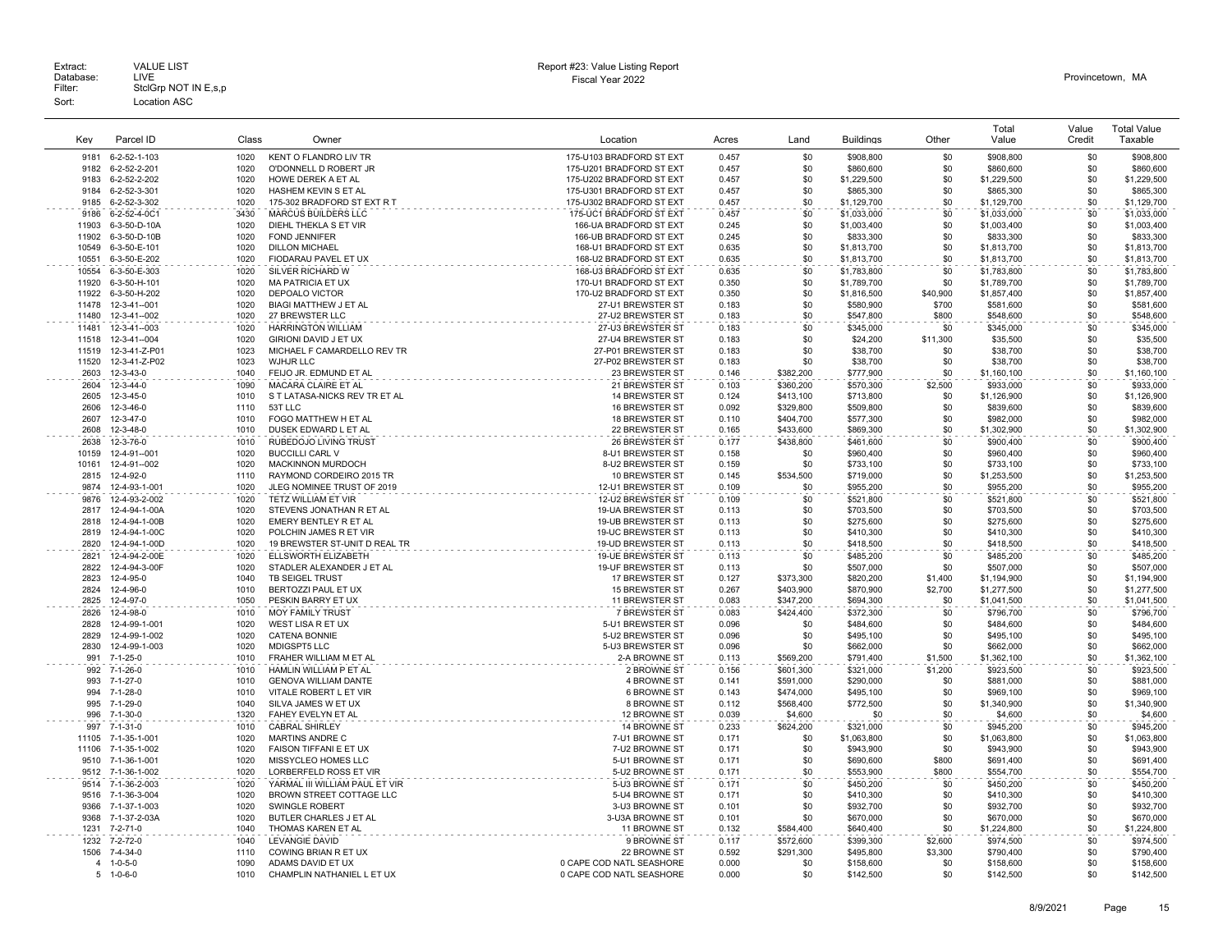| Key            | Parcel ID                      | Class        | Owner                                                  | Location                                         | Acres          | Land                   | <b>Buildings</b>         | Other           | Total<br>Value             | Value<br>Credit | <b>Total Value</b><br>Taxable |
|----------------|--------------------------------|--------------|--------------------------------------------------------|--------------------------------------------------|----------------|------------------------|--------------------------|-----------------|----------------------------|-----------------|-------------------------------|
| 9181           | 6-2-52-1-103                   | 1020         | KENT O FLANDRO LIV TR                                  | 175-U103 BRADFORD ST EXT                         | 0.457          | \$0                    | \$908,800                | \$0             | \$908,800                  | \$0             | \$908,800                     |
| 9182           | 6-2-52-2-201                   | 1020         | O'DONNELL D ROBERT JR                                  | 175-U201 BRADFORD ST EXT                         | 0.457          | \$0                    | \$860,600                | \$0             | \$860,600                  | \$0             | \$860,600                     |
| 9183           | 6-2-52-2-202                   | 1020         | HOWE DEREK A ET AL                                     | 175-U202 BRADFORD ST EXT                         | 0.457          | \$0                    | \$1,229,500              | \$0             | \$1,229,500                | \$0             | \$1,229,500                   |
| 9184           | 6-2-52-3-301                   | 1020         | HASHEM KEVIN S ET AL                                   | 175-U301 BRADFORD ST EXT                         | 0.457          | \$0                    | \$865,300                | \$0             | \$865,300                  | \$0             | \$865,300                     |
| 9185           | 6-2-52-3-302                   | 1020         | 175-302 BRADFORD ST EXT R T                            | 175-U302 BRADFORD ST EXT                         | 0.457          | \$0                    | \$1,129,700              | \$0             | \$1,129,700                | \$0             | \$1,129,700                   |
| 9186           | 6-2-52-4-0C1                   | 3430         | <b>MARCUS BUILDERS LLC</b>                             | 175-UC1 BRADFORD ST EXT                          | 0.457          | \$0                    | \$1,033,000              | \$0             | \$1,033,000                | \$0             | \$1,033,000                   |
| 11903          | 6-3-50-D-10A                   | 1020         | DIEHL THEKLA S ET VIR                                  | 166-UA BRADFORD ST EXT                           | 0.245          | \$0                    | \$1,003,400              | \$0             | \$1,003,400                | \$0             | \$1,003,400                   |
| 11902          | 6-3-50-D-10B                   | 1020         | <b>FOND JENNIFER</b>                                   | 166-UB BRADFORD ST EXT                           | 0.245          | \$0                    | \$833,300                | \$0             | \$833,300                  | \$0             | \$833,300                     |
| 10549          | 6-3-50-E-101                   | 1020         | <b>DILLON MICHAEL</b>                                  | 168-U1 BRADFORD ST EXT                           | 0.635          | \$0                    | \$1,813,700              | \$0             | \$1,813,700                | \$0             | \$1,813,700                   |
| 10551          | 6-3-50-E-202                   | 1020         | FIODARAU PAVEL ET UX                                   | 168-U2 BRADFORD ST EXT                           | 0.635          | \$0                    | \$1,813,700              | \$0             | \$1,813,700                | \$0             | \$1,813,700                   |
| 10554          | 6-3-50-E-303                   | 1020         | SILVER RICHARD W                                       | 168-U3 BRADFORD ST EXT                           | 0.635          | \$0                    | \$1,783,800              | \$0             | \$1,783,800                | \$0             | \$1,783,800                   |
| 11920<br>11922 | 6-3-50-H-101<br>6-3-50-H-202   | 1020<br>1020 | <b>MA PATRICIA ET UX</b><br>DEPOALO VICTOR             | 170-U1 BRADFORD ST EXT<br>170-U2 BRADFORD ST EXT | 0.350<br>0.350 | \$0<br>\$0             | \$1,789,700              | \$0<br>\$40,900 | \$1,789,700<br>\$1,857,400 | \$0<br>\$0      | \$1,789,700                   |
| 11478          | 12-3-41--001                   | 1020         | <b>BIAGI MATTHEW J ET AL</b>                           | 27-U1 BREWSTER ST                                | 0.183          | \$0                    | \$1,816,500<br>\$580,900 | \$700           | \$581,600                  | \$0             | \$1,857,400<br>\$581,600      |
| 11480          | 12-3-41--002                   | 1020         | 27 BREWSTER LLC                                        | 27-U2 BREWSTER ST                                | 0.183          | \$0                    | \$547,800                | \$800           | \$548,600                  | \$0             | \$548,600                     |
| 11481          | 12-3-41--003                   | 1020         | <b>HARRINGTON WILLIAM</b>                              | 27-U3 BREWSTER ST                                | 0.183          | \$0                    | \$345,000                | \$0             | \$345,000                  | \$0             | \$345,000                     |
| 11518          | 12-3-41--004                   | 1020         | <b>GIRIONI DAVID J ET UX</b>                           | 27-U4 BREWSTER ST                                | 0.183          | \$0                    | \$24,200                 | \$11,300        | \$35,500                   | \$0             | \$35,500                      |
| 11519          | 12-3-41-Z-P01                  | 1023         | MICHAEL F CAMARDELLO REV TR                            | 27-P01 BREWSTER ST                               | 0.183          | \$0                    | \$38,700                 | \$0             | \$38,700                   | \$0             | \$38,700                      |
| 11520          | 12-3-41-Z-P02                  | 1023         | WJHJR LLC                                              | 27-P02 BREWSTER ST                               | 0.183          | \$0                    | \$38,700                 | \$0             | \$38,700                   | \$0             | \$38,700                      |
| 2603           | 12-3-43-0                      | 1040         | FEIJO JR. EDMUND ET AL                                 | 23 BREWSTER ST                                   | 0.146          | \$382,200              | \$777,900                | \$0             | \$1,160,100                | \$0             | \$1,160,100                   |
| 2604           | 12-3-44-0                      | 1090         | MACARA CLAIRE ET AL                                    | 21 BREWSTER ST                                   | 0.103          | \$360,200              | \$570,300                | \$2,500         | \$933,000                  | \$0             | \$933,000                     |
| 2605           | 12-3-45-0                      | 1010         | S T LATASA-NICKS REV TR ET AL                          | <b>14 BREWSTER ST</b>                            | 0.124          | \$413,100              | \$713,800                | \$0             | \$1,126,900                | \$0             | \$1,126,900                   |
| 2606           | 12-3-46-0                      | 1110         | 53T LLC                                                | 16 BREWSTER ST                                   | 0.092          | \$329,800              | \$509,800                | \$0             | \$839,600                  | \$0             | \$839,600                     |
| 2607           | 12-3-47-0                      | 1010         | FOGO MATTHEW H ET AL                                   | <b>18 BREWSTER ST</b>                            | 0.110          | \$404,700              | \$577,300                | \$0             | \$982,000                  | \$0             | \$982,000                     |
| 2608           | 12-3-48-0                      | 1010         | DUSEK EDWARD L ET AL                                   | 22 BREWSTER ST                                   | 0.165          | \$433,600              | \$869,300                | \$0             | \$1,302,900                | \$0             | \$1,302,900                   |
| 2638           | 12-3-76-0                      | 1010         | RUBEDOJO LIVING TRUST                                  | 26 BREWSTER ST                                   | 0.177          | \$438,800              | \$461,600                | \$0             | \$900,400                  | \$0             | \$900,400                     |
| 10159          | 12-4-91--001                   | 1020         | <b>BUCCILLI CARL V</b>                                 | 8-U1 BREWSTER ST                                 | 0.158          | \$0                    | \$960,400                | \$0             | \$960,400                  | \$0             | \$960,400                     |
| 10161<br>2815  | 12-4-91--002                   | 1020<br>1110 | MACKINNON MURDOCH                                      | 8-U2 BREWSTER ST                                 | 0.159<br>0.145 | \$0                    | \$733,100                | \$0<br>\$0      | \$733,100                  | \$0<br>\$0      | \$733,100                     |
| 9874           | 12-4-92-0<br>12-4-93-1-001     | 1020         | RAYMOND CORDEIRO 2015 TR<br>JLEG NOMINEE TRUST OF 2019 | 10 BREWSTER ST<br>12-U1 BREWSTER ST              | 0.109          | \$534,500<br>\$0       | \$719,000<br>\$955,200   | \$0             | \$1,253,500<br>\$955,200   | \$0             | \$1,253,500<br>\$955,200      |
| 9876           | 12-4-93-2-002                  | 1020         | TETZ WILLIAM ET VIR                                    | 12-U2 BREWSTER ST                                | 0.109          | \$0                    |                          | \$0             |                            | \$0             | \$521,800                     |
| 2817           | 12-4-94-1-00A                  | 1020         | STEVENS JONATHAN R ET AL                               | 19-UA BREWSTER ST                                | 0.113          | \$0                    | \$521,800<br>\$703,500   | \$0             | \$521,800<br>\$703,500     | \$0             | \$703,500                     |
| 2818           | 12-4-94-1-00B                  | 1020         | EMERY BENTLEY R ET AL                                  | 19-UB BREWSTER ST                                | 0.113          | \$0                    | \$275,600                | \$0             | \$275,600                  | \$0             | \$275,600                     |
| 2819           | 12-4-94-1-00C                  | 1020         | POLCHIN JAMES R ET VIR                                 | 19-UC BREWSTER ST                                | 0.113          | \$0                    | \$410,300                | \$0             | \$410,300                  | \$0             | \$410,300                     |
| 2820           | 12-4-94-1-00D                  | 1020         | 19 BREWSTER ST-UNIT D REAL TR                          | 19-UD BREWSTER ST                                | 0.113          | \$0                    | \$418,500                | \$0             | \$418,500                  | \$0             | \$418,500                     |
| 2821           | 12-4-94-2-00E                  | 1020         | ELLSWORTH ELIZABETH                                    | 19-UE BREWSTER ST                                | 0.113          | \$0                    | \$485,200                | \$0             | \$485,200                  | \$0             | \$485,200                     |
| 2822           | 12-4-94-3-00F                  | 1020         | STADLER ALEXANDER J ET AL                              | 19-UF BREWSTER ST                                | 0.113          | \$0                    | \$507,000                | \$0             | \$507,000                  | \$0             | \$507,000                     |
| 2823           | 12-4-95-0                      | 1040         | TB SEIGEL TRUST                                        | 17 BREWSTER ST                                   | 0.127          | \$373,300              | \$820,200                | \$1,400         | \$1,194,900                | \$0             | \$1,194,900                   |
| 2824           | 12-4-96-0                      | 1010         | BERTOZZI PAUL ET UX                                    | <b>15 BREWSTER ST</b>                            | 0.267          | \$403,900              | \$870,900                | \$2,700         | \$1,277,500                | \$0             | \$1,277,500                   |
| 2825           | 12-4-97-0                      | 1050         | PESKIN BARRY ET UX                                     | 11 BREWSTER ST                                   | 0.083          | \$347,200              | \$694,300                | \$0             | \$1,041,500                | \$0             | \$1,041,500                   |
| 2826           | 12-4-98-0                      | 1010         | <b>MOY FAMILY TRUST</b>                                | 7 BREWSTER ST                                    | 0.083          | \$424,400              | \$372,300                | \$0             | \$796,700                  | \$0             | \$796,700                     |
| 2828           | 12-4-99-1-001                  | 1020         | WEST LISA R ET UX                                      | 5-U1 BREWSTER ST                                 | 0.096          | \$0                    | \$484,600                | \$0             | \$484,600                  | \$0             | \$484,600                     |
| 2829<br>2830   | 12-4-99-1-002<br>12-4-99-1-003 | 1020<br>1020 | <b>CATENA BONNIE</b><br>MDIGSPT5 LLC                   | 5-U2 BREWSTER ST<br>5-U3 BREWSTER ST             | 0.096<br>0.096 | \$0<br>\$0             | \$495,100<br>\$662,000   | \$0<br>\$0      | \$495,100<br>\$662,000     | \$0<br>\$0      | \$495,100<br>\$662,000        |
| 991            | 7-1-25-0                       | 1010         | FRAHER WILLIAM M ET AL                                 | 2-A BROWNE ST                                    | 0.113          | \$569,200              |                          | \$1,500         | \$1,362,100                | \$0             | \$1,362,100                   |
| 992            | 7-1-26-0                       | 1010         | HAMLIN WILLIAM P ET AL                                 | 2 BROWNE ST                                      | 0.156          | \$601,300              | \$791,400<br>\$321,000   | \$1,200         | \$923,500                  | \$0             | \$923,500                     |
| 993            | 7-1-27-0                       | 1010         | <b>GENOVA WILLIAM DANTE</b>                            | 4 BROWNE ST                                      | 0.141          | \$591,000              | \$290,000                | \$0             | \$881,000                  | \$0             | \$881,000                     |
| 994            | 7-1-28-0                       | 1010         | VITALE ROBERT L ET VIR                                 | 6 BROWNE ST                                      | 0.143          | \$474,000              | \$495,100                | \$0             | \$969,100                  | \$0             | \$969,100                     |
| 995            | 7-1-29-0                       | 1040         | SILVA JAMES W ET UX                                    | 8 BROWNE ST                                      | 0.112          | \$568,400              | \$772,500                | \$0             | \$1,340,900                | \$0             | \$1,340,900                   |
| 996            | $7 - 1 - 30 - 0$               | 1320         | FAHEY EVELYN ET AL                                     | 12 BROWNE ST                                     | 0.039          | \$4,600                | \$0                      | \$0             | \$4,600                    | \$0             | \$4,600                       |
| 997            | 7-1-31-0                       | 1010         | CABRAL SHIRLEY                                         | 14 BROWNE ST                                     | 0.233          | \$624,200              | \$321,000                | \$0             | \$945,200                  | \$0             | \$945,200                     |
| 11105          | 7-1-35-1-001                   | 1020         | MARTINS ANDRE C                                        | 7-U1 BROWNE ST                                   | 0.171          | \$0                    | \$1,063,800              | \$0             | \$1,063,800                | \$0             | \$1,063,800                   |
| 11106          | 7-1-35-1-002                   | 1020         | FAISON TIFFANI E ET UX                                 | 7-U2 BROWNE ST                                   | 0.171          | \$0                    | \$943,900                | \$0             | \$943,900                  | \$0             | \$943,900                     |
| 9510           | 7-1-36-1-001                   | 1020         | MISSYCLEO HOMES LLC                                    | 5-U1 BROWNE ST                                   | 0.171          | \$0                    | \$690,600                | \$800           | \$691,400                  | \$0             | \$691,400                     |
| 9512           | 7-1-36-1-002                   | 1020         | LORBERFELD ROSS ET VIR                                 | 5-U2 BROWNE ST                                   | 0.171          | \$0                    | \$553,900                | \$800           | \$554,700                  | \$0             | \$554,700                     |
| 9514           | 7-1-36-2-003                   | 1020         | YARMAL III WILLIAM PAUL ET VIR                         | 5-U3 BROWNE ST                                   | 0.171          | \$0                    | \$450,200                | \$0             | \$450,200                  | \$0             | \$450,200                     |
| 9516           | 7-1-36-3-004                   | 1020         | BROWN STREET COTTAGE LLC                               | 5-U4 BROWNE ST                                   | 0.171          | \$0                    | \$410,300                | \$0             | \$410,300                  | \$0             | \$410,300                     |
| 9366           | 7-1-37-1-003                   | 1020         | <b>SWINGLE ROBERT</b>                                  | 3-U3 BROWNE ST                                   | 0.101          | \$0                    | \$932,700                | \$0             | \$932,700                  | \$0             | \$932,700                     |
| 9368<br>1231   | 7-1-37-2-03A<br>7-2-71-0       | 1020<br>1040 | BUTLER CHARLES J ET AL                                 | 3-U3A BROWNE ST<br>11 BROWNE ST                  | 0.101          | \$0                    | \$670,000                | \$0<br>\$0      | \$670,000                  | \$0<br>\$0      | \$670,000                     |
| 1232           | 7-2-72-0                       | 1040         | THOMAS KAREN ET AL<br><b>LEVANGIE DAVID</b>            | 9 BROWNE ST                                      | 0.132<br>0.117 | \$584,400<br>\$572,600 | \$640,400<br>\$399,300   | \$2,600         | \$1,224,800<br>\$974.500   | \$0             | \$1,224,800<br>\$974.500      |
| 1506           | 7-4-34-0                       | 1110         | COWING BRIAN R ET UX                                   | 22 BROWNE ST                                     | 0.592          | \$291,300              | \$495,800                | \$3,300         | \$790,400                  | \$0             | \$790,400                     |
|                | 4 1-0-5-0                      | 1090         | ADAMS DAVID ET UX                                      | 0 CAPE COD NATL SEASHORE                         | 0.000          | \$0                    | \$158,600                | \$0             | \$158,600                  | \$0             | \$158,600                     |
| 5              | $1 - 0 - 6 - 0$                | 1010         | CHAMPLIN NATHANIEL L ET UX                             | 0 CAPE COD NATL SEASHORE                         | 0.000          | \$0                    | \$142,500                | \$0             | \$142,500                  | \$0             | \$142,500                     |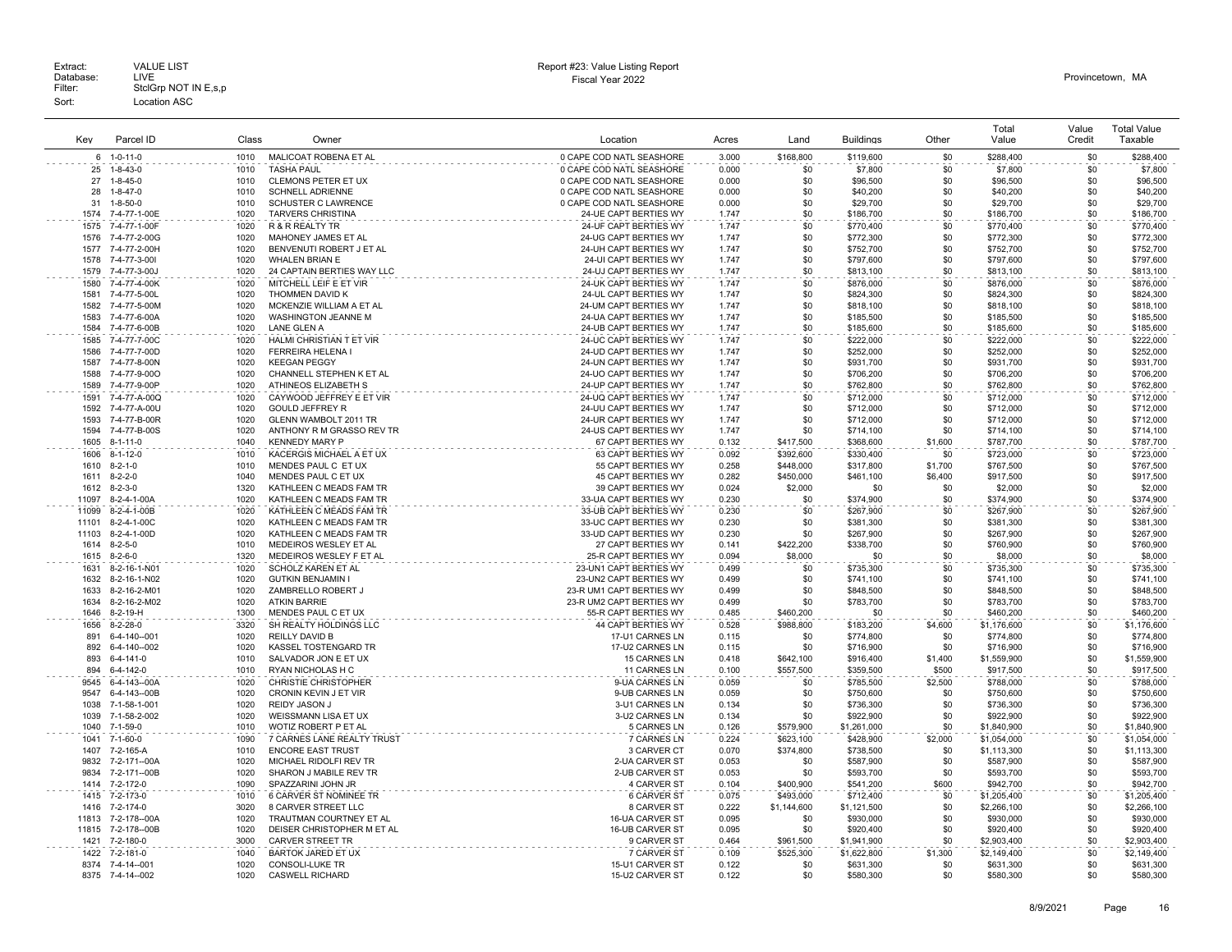|       |                       |       |                             |                          |       |             |                  |         | Total       | Value  | <b>Total Value</b> |
|-------|-----------------------|-------|-----------------------------|--------------------------|-------|-------------|------------------|---------|-------------|--------|--------------------|
| Kev   | Parcel ID             | Class | Owner                       | Location                 | Acres | Land        | <b>Buildings</b> | Other   | Value       | Credit | Taxable            |
|       | 6 1-0-11-0            | 1010  | MALICOAT ROBENA ET AL       | 0 CAPE COD NATL SEASHORE | 3.000 | \$168,800   | \$119,600        | \$0     | \$288,400   | \$0    | \$288,400          |
| 25    | $1 - 8 - 43 - 0$      | 1010  | <b>TASHA PAUL</b>           | 0 CAPE COD NATL SEASHORE | 0.000 | \$0         | \$7,800          | \$0     | \$7,800     | \$0    | \$7,800            |
| 27    | $1 - 8 - 45 - 0$      | 1010  | CLEMONS PETER ET UX         | 0 CAPE COD NATL SEASHORE | 0.000 | \$0         | \$96,500         | \$0     | \$96,500    | \$0    | \$96,500           |
| 28    | $1 - 8 - 47 - 0$      | 1010  | <b>SCHNELL ADRIENNE</b>     | 0 CAPE COD NATL SEASHORE | 0.000 | \$0         | \$40,200         | \$0     | \$40,200    | \$0    | \$40,200           |
| 31    | $1 - 8 - 50 - 0$      | 1010  | <b>SCHUSTER C LAWRENCE</b>  | 0 CAPE COD NATL SEASHORE | 0.000 | \$0         | \$29,700         | \$0     | \$29,700    | \$0    | \$29,700           |
| 1574  | 7-4-77-1-00E          | 1020  | <b>TARVERS CHRISTINA</b>    | 24-UE CAPT BERTIES WY    | 1.747 | \$0         | \$186,700        | \$0     | \$186,700   | \$0    | \$186,700          |
| 1575  | 7-4-77-1-00F          | 1020  | R & R REALTY TR             | 24-UF CAPT BERTIES WY    | 1.747 | \$0         | \$770,400        | \$0     | \$770,400   | \$0    | \$770,400          |
| 1576  | 7-4-77-2-00G          | 1020  | MAHONEY JAMES ET AL         | 24-UG CAPT BERTIES WY    | 1.747 | \$0         | \$772,300        | \$0     | \$772.300   | \$0    | \$772,300          |
| 1577  | 7-4-77-2-00H          | 1020  | BENVENUTI ROBERT J ET AL    | 24-UH CAPT BERTIES WY    | 1.747 | \$0         | \$752,700        | \$0     | \$752,700   | \$0    | \$752,700          |
| 1578  | 7-4-77-3-001          | 1020  | <b>WHALEN BRIAN E</b>       | 24-UI CAPT BERTIES WY    | 1.747 | \$0         | \$797,600        | \$0     | \$797,600   | \$0    | \$797,600          |
| 1579  | 7-4-77-3-00J          | 1020  | 24 CAPTAIN BERTIES WAY LLC  | 24-UJ CAPT BERTIES WY    | 1.747 | \$0         | \$813,100        | \$0     | \$813,100   | \$0    | \$813,100          |
| 1580  | 7-4-77-4-00K          | 1020  | MITCHELL LEIF E ET VIR      | 24-UK CAPT BERTIES WY    | 1.747 | \$0         | \$876,000        | \$0     | \$876,000   | \$0    | \$876,000          |
| 1581  | 7-4-77-5-00L          | 1020  | THOMMEN DAVID K             | 24-UL CAPT BERTIES WY    | 1.747 | \$0         | \$824,300        | \$0     | \$824,300   | \$0    | \$824,300          |
| 1582  | 7-4-77-5-00M          | 1020  | MCKENZIE WILLIAM A ET AL    | 24-UM CAPT BERTIES WY    | 1.747 | \$0         | \$818,100        | \$0     | \$818,100   | \$0    | \$818,100          |
| 1583  | 7-4-77-6-00A          | 1020  | WASHINGTON JEANNE M         | 24-UA CAPT BERTIES WY    | 1.747 | \$0         | \$185,500        | \$0     | \$185,500   | \$0    | \$185,500          |
| 1584  | 7-4-77-6-00B          | 1020  | <b>LANE GLEN A</b>          | 24-UB CAPT BERTIES WY    | 1.747 | \$0         | \$185,600        | \$0     | \$185,600   | \$0    | \$185,600          |
| 1585  | 7-4-77-7-00C          | 1020  | HALMI CHRISTIAN T ET VIR    | 24-UC CAPT BERTIES WY    | 1.747 | \$0         | \$222,000        | \$0     | \$222,000   | \$0    | \$222,000          |
| 1586  | 7-4-77-7-00D          | 1020  | FERREIRA HELENA I           | 24-UD CAPT BERTIES WY    | 1.747 | \$0         | \$252,000        | \$0     | \$252,000   | \$0    | \$252,000          |
| 1587  | 7-4-77-8-00N          | 1020  | <b>KEEGAN PEGGY</b>         | 24-UN CAPT BERTIES WY    | 1.747 | \$0         | \$931,700        | \$0     | \$931,700   | \$0    | \$931,700          |
| 1588  | 7-4-77-9-000          | 1020  | CHANNELL STEPHEN K ET AL    | 24-UO CAPT BERTIES WY    | 1.747 | \$0         | \$706,200        | \$0     | \$706,200   | \$0    | \$706,200          |
| 1589  | 7-4-77-9-00P          | 1020  | ATHINEOS ELIZABETH S        | 24-UP CAPT BERTIES WY    | 1.747 | \$0         | \$762,800        | \$0     | \$762,800   | \$0    | \$762,800          |
| 1591  | 7-4-77-A-00Q          | 1020  | CAYWOOD JEFFREY E ET VIR    | 24-UQ CAPT BERTIES WY    | 1.747 | \$0         | \$712,000        | \$0     | \$712,000   | \$0    | \$712,000          |
| 1592  | 7-4-77-A-00U          | 1020  | <b>GOULD JEFFREY R</b>      | 24-UU CAPT BERTIES WY    | 1.747 | \$0         | \$712,000        | \$0     | \$712,000   | \$0    | \$712,000          |
| 1593  | 7-4-77-R-00R          | 1020  | GLENN WAMBOLT 2011 TR       | 24-UR CAPT BERTIES WY    | 1.747 | \$0         | \$712,000        | \$0     | \$712,000   | \$0    | \$712,000          |
| 1594  | 7-4-77-B-00S          | 1020  | ANTHONY R M GRASSO REV TR   | 24-US CAPT BERTIES WY    | 1.747 | \$0         | \$714,100        | \$0     | \$714,100   | \$0    | \$714,100          |
|       |                       | 1040  |                             |                          |       |             |                  |         |             | \$0    |                    |
| 1605  | $8 - 1 - 11 - 0$      |       | <b>KENNEDY MARY P</b>       | 67 CAPT BERTIES WY       | 0.132 | \$417,500   | \$368,600        | \$1,600 | \$787,700   |        | \$787,700          |
| 1606  | $8 - 1 - 12 - 0$      | 1010  | KACERGIS MICHAEL A ET UX    | 63 CAPT BERTIES WY       | 0.092 | \$392,600   | \$330,400        | \$0     | \$723,000   | \$0    | \$723,000          |
| 1610  | $8 - 2 - 1 - 0$       | 1010  | MENDES PAUL C ET UX         | 55 CAPT BERTIES WY       | 0.258 | \$448.000   | \$317,800        | \$1,700 | \$767.500   | \$0    | \$767,500          |
| 1611  | $8 - 2 - 2 - 0$       | 1040  | MENDES PAUL C ET UX         | 45 CAPT BERTIES WY       | 0.282 | \$450,000   | \$461,100        | \$6,400 | \$917,500   | \$0    | \$917,500          |
| 1612  | $8 - 2 - 3 - 0$       | 1320  | KATHLEEN C MEADS FAM TR     | 39 CAPT BERTIES WY       | 0.024 | \$2,000     | \$0              | \$0     | \$2,000     | \$0    | \$2,000            |
| 11097 | 8-2-4-1-00A           | 1020  | KATHLEEN C MEADS FAM TR     | 33-UA CAPT BERTIES WY    | 0.230 | \$0         | \$374,900        | \$0     | \$374,900   | \$0    | \$374,900          |
| 11099 | 8-2-4-1-00B           | 1020  | KATHLEEN C MEADS FAM TR     | 33-UB CAPT BERTIES WY    | 0.230 | \$0         | \$267,900        | \$0     | \$267.900   | \$0    | \$267,900          |
| 11101 | $8 - 2 - 4 - 1 - 00C$ | 1020  | KATHLEEN C MEADS FAM TR     | 33-UC CAPT BERTIES WY    | 0.230 | \$0         | \$381,300        | \$0     | \$381,300   | \$0    | \$381,300          |
| 11103 | 8-2-4-1-00D           | 1020  | KATHLEEN C MEADS FAM TR     | 33-UD CAPT BERTIES WY    | 0.230 | \$0         | \$267,900        | \$0     | \$267,900   | \$0    | \$267,900          |
|       | 1614 8-2-5-0          | 1010  | MEDEIROS WESLEY ET AL       | 27 CAPT BERTIES WY       | 0.141 | \$422,200   | \$338,700        | \$0     | \$760,900   | \$0    | \$760,900          |
| 1615  | $8 - 2 - 6 - 0$       | 1320  | MEDEIROS WESLEY F ET AL     | 25-R CAPT BERTIES WY     | 0.094 | \$8,000     | \$0              | \$0     | \$8,000     | \$0    | \$8,000            |
| 1631  | 8-2-16-1-N01          | 1020  | <b>SCHOLZ KAREN ET AL</b>   | 23-UN1 CAPT BERTIES WY   | 0.499 | \$0         | \$735,300        | \$0     | \$735,300   | \$0    | \$735,300          |
| 1632  | 8-2-16-1-N02          | 1020  | <b>GUTKIN BENJAMIN I</b>    | 23-UN2 CAPT BERTIES WY   | 0.499 | \$0         | \$741,100        | \$0     | \$741,100   | \$0    | \$741,100          |
| 1633  | 8-2-16-2-M01          | 1020  | ZAMBRELLO ROBERT J          | 23-R UM1 CAPT BERTIES WY | 0.499 | \$0         | \$848,500        | \$0     | \$848,500   | \$0    | \$848,500          |
| 1634  | 8-2-16-2-M02          | 1020  | <b>ATKIN BARRIF</b>         | 23-R UM2 CAPT BERTIES WY | 0.499 | \$0         | \$783,700        | \$0     | \$783,700   | \$0    | \$783,700          |
| 1646  | $8-2-19-H$            | 1300  | MENDES PAUL C ET UX         | 55-R CAPT BERTIES WY     | 0.485 | \$460,200   | \$0              | \$0     | \$460,200   | \$0    | \$460,200          |
| 1656  | $8 - 2 - 28 - 0$      | 3320  | SH REALTY HOLDINGS LLC      | 44 CAPT BERTIES WY       | 0.528 | \$988,800   | \$183,200        | \$4,600 | \$1,176,600 | \$0    | \$1,176,600        |
| 891   | 6-4-140--001          | 1020  | <b>REILLY DAVID B</b>       | 17-U1 CARNES LN          | 0.115 | \$0         | \$774,800        | \$0     | \$774,800   | \$0    | \$774,800          |
| 892   | 6-4-140--002          | 1020  | KASSEL TOSTENGARD TR        | 17-U2 CARNES LN          | 0.115 | \$0         | \$716,900        | \$0     | \$716,900   | \$0    | \$716,900          |
| 893   | 6-4-141-0             | 1010  | SALVADOR JON E ET UX        | 15 CARNES LN             | 0.418 | \$642,100   | \$916,400        | \$1,400 | \$1,559,900 | \$0    | \$1,559,900        |
| 894   | 6-4-142-0             | 1010  | RYAN NICHOLAS H C           | 11 CARNES LN             | 0.100 | \$557,500   | \$359,500        | \$500   | \$917,500   | \$0    | \$917,500          |
| 9545  | 6-4-143--00A          | 1020  | <b>CHRISTIE CHRISTOPHER</b> | 9-UA CARNES LN           | 0.059 | \$0         | \$785,500        | \$2,500 | \$788,000   | \$0    | \$788,000          |
| 9547  | 6-4-143--00B          | 1020  | CRONIN KEVIN J ET VIR       | 9-UB CARNES LN           | 0.059 | \$0         | \$750,600        | \$0     | \$750,600   | \$0    | \$750,600          |
| 1038  | 7-1-58-1-001          | 1020  | REIDY JASON J               | 3-U1 CARNES LN           | 0.134 | \$0         | \$736,300        | \$0     | \$736,300   | \$0    | \$736,300          |
| 1039  | 7-1-58-2-002          | 1020  | WEISSMANN LISA ET UX        | 3-U2 CARNES LN           | 0.134 | \$0         | \$922,900        | \$0     | \$922,900   | \$0    | \$922,900          |
| 1040  | $7 - 1 - 59 - 0$      | 1010  | WOTIZ ROBERT P ET AL        | 5 CARNES LN              | 0.126 | \$579,900   |                  | \$0     | \$1,840,900 | \$0    |                    |
|       |                       |       |                             |                          |       |             | \$1,261,000      |         |             |        | \$1,840,900        |
| 1041  | $7 - 1 - 60 - 0$      | 1090  | 7 CARNES LANE REALTY TRUST  | 7 CARNES LN              | 0.224 | \$623.100   | \$428,900        | \$2,000 | \$1.054.000 | \$0    | \$1,054,000        |
| 1407  | 7-2-165-A             | 1010  | <b>ENCORE EAST TRUST</b>    | 3 CARVER CT              | 0.070 | \$374,800   | \$738,500        | \$0     | \$1,113,300 | \$0    | \$1,113,300        |
| 9832  | 7-2-171--00A          | 1020  | MICHAEL RIDOLFI REV TR      | 2-UA CARVER ST           | 0.053 | \$0         | \$587,900        | \$0     | \$587,900   | \$0    | \$587,900          |
| 9834  | 7-2-171--00B          | 1020  | SHARON J MABILE REV TR      | 2-UB CARVER ST           | 0.053 | \$0         | \$593,700        | \$0     | \$593,700   | \$0    | \$593,700          |
| 1414  | 7-2-172-0             | 1090  | SPAZZARINI JOHN JR          | 4 CARVER ST              | 0.104 | \$400,900   | \$541,200        | \$600   | \$942,700   | \$0    | \$942,700          |
| 1415  | 7-2-173-0             | 1010  | 6 CARVER ST NOMINEE TR      | <b>6 CARVER ST</b>       | 0.075 | \$493,000   | \$712,400        | \$0     | \$1,205,400 | \$0    | \$1,205,400        |
| 1416  | 7-2-174-0             | 3020  | 8 CARVER STREET LLC         | 8 CARVER ST              | 0.222 | \$1,144,600 | \$1,121,500      | \$0     | \$2,266,100 | \$0    | \$2,266,100        |
| 11813 | 7-2-178--00A          | 1020  | TRAUTMAN COURTNEY ET AL     | 16-UA CARVER ST          | 0.095 | \$0         | \$930,000        | \$0     | \$930,000   | \$0    | \$930,000          |
| 11815 | 7-2-178--00B          | 1020  | DEISER CHRISTOPHER M ET AL  | 16-UB CARVER ST          | 0.095 | \$0         | \$920,400        | \$0     | \$920,400   | \$0    | \$920,400          |
| 1421  | 7-2-180-0             | 3000  | <b>CARVER STREET TR</b>     | 9 CARVER ST              | 0.464 | \$961,500   | \$1,941,900      | \$0     | \$2,903,400 | \$0    | \$2,903,400        |
| 1422  | 7-2-181-0             | 1040  | <b>BARTOK JARED ET UX</b>   | 7 CARVER ST              | 0.109 | \$525,300   | \$1,622,800      | \$1,300 | \$2,149,400 | \$0    | \$2,149,400        |
|       | 8374 7-4-14--001      | 1020  | <b>CONSOLI-LUKE TR</b>      | 15-U1 CARVER ST          | 0.122 | \$0         | \$631,300        | \$0     | \$631,300   | \$0    | \$631,300          |
|       | 8375 7-4-14--002      | 1020  | <b>CASWELL RICHARD</b>      | 15-U2 CARVER ST          | 0.122 | \$0         | \$580,300        | \$0     | \$580,300   | \$0    | \$580,300          |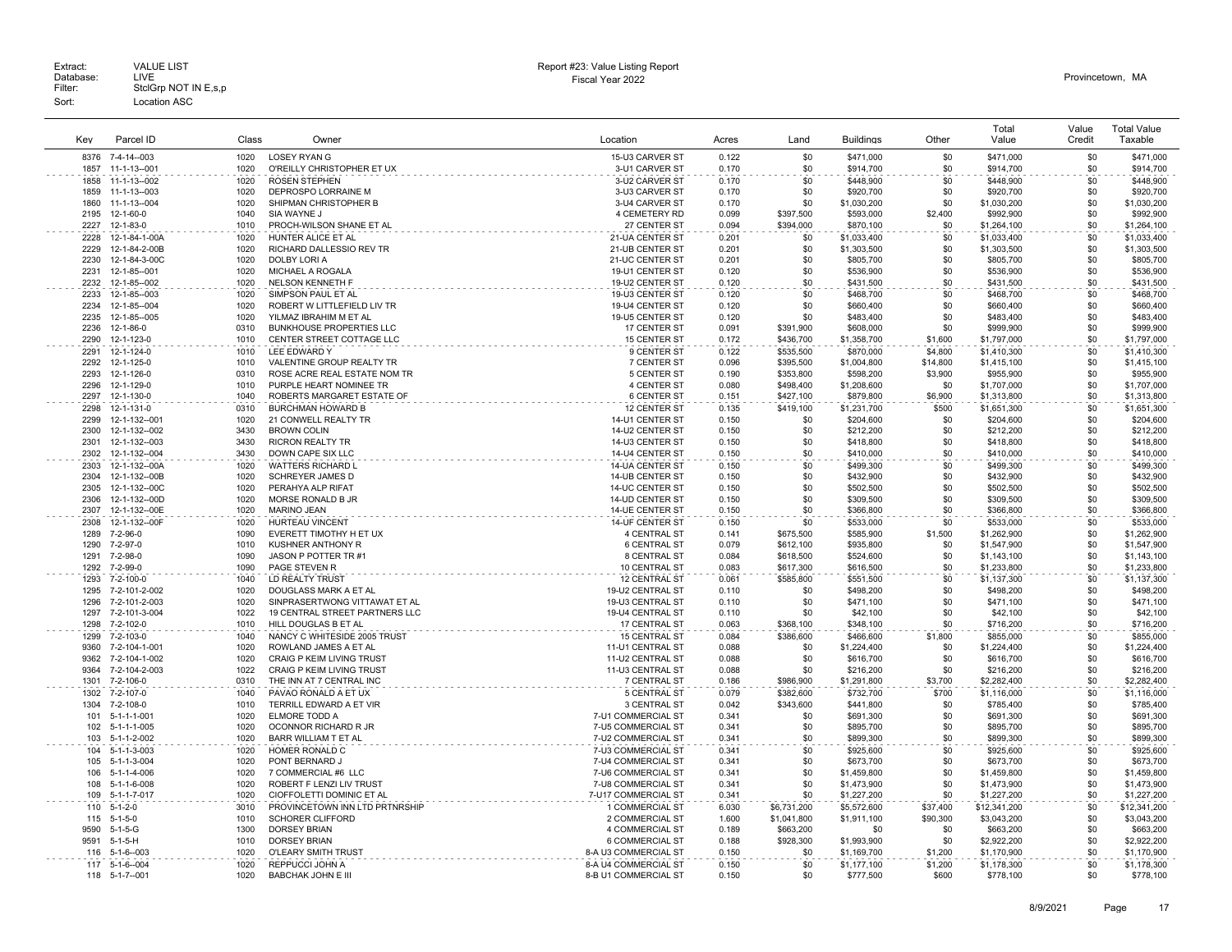| Kev          | Parcel ID                          | Class        | Owner                                                        | Location                           | Acres          | Land                       | <b>Buildings</b>           | Other                | Total<br>Value              | Value<br>Credit | <b>Total Value</b><br>Taxable |
|--------------|------------------------------------|--------------|--------------------------------------------------------------|------------------------------------|----------------|----------------------------|----------------------------|----------------------|-----------------------------|-----------------|-------------------------------|
| 8376         | 7-4-14--003                        | 1020         | <b>LOSEY RYAN G</b>                                          | 15-U3 CARVER ST                    | 0.122          | \$0                        | \$471,000                  | \$0                  | \$471,000                   | \$0             | \$471,000                     |
| 1857         | 11-1-13--001                       | 1020         | O'REILLY CHRISTOPHER ET UX                                   | 3-U1 CARVER ST                     | 0.170          | \$0                        | \$914,700                  | \$0                  | \$914,700                   | \$0             | \$914,700                     |
| 1858         | 11-1-13--002                       | 1020         | <b>ROSEN STEPHEN</b>                                         | 3-U2 CARVER ST                     | 0.170          | \$0                        | \$448,900                  | \$0                  | \$448,900                   | \$0             | \$448,900                     |
| 1859         | 11-1-13--003                       | 1020         | DEPROSPO LORRAINE M                                          | 3-U3 CARVER ST                     | 0.170          | \$0                        | \$920,700                  | \$0                  | \$920,700                   | \$0             | \$920,700                     |
| 1860         | 11-1-13--004                       | 1020         | SHIPMAN CHRISTOPHER B                                        | 3-U4 CARVER ST                     | 0.170          | \$0                        | \$1,030,200                | \$0                  | \$1,030,200                 | \$0             | \$1,030,200                   |
| 2195         | 12-1-60-0                          | 1040         | SIA WAYNE J                                                  | 4 CEMETERY RD                      | 0.099          | \$397,500                  | \$593,000                  | \$2,400              | \$992,900                   | \$0             | \$992,900                     |
| 2227         | 12-1-83-0                          | 1010         | PROCH-WILSON SHANE ET AL                                     | 27 CENTER ST                       | 0.094          | \$394,000                  | \$870,100                  | \$0                  | \$1,264,100                 | \$0             | \$1,264,100                   |
| 2228         | 12-1-84-1-00A                      | 1020         | HUNTER ALICE ET AL                                           | 21-UA CENTER ST                    | 0.201          | \$0                        | \$1.033.400                | \$0                  | \$1,033,400                 | \$0             | \$1.033.400                   |
| 2229         | 12-1-84-2-00B                      | 1020         | RICHARD DALLESSIO REV TR                                     | 21-UB CENTER ST                    | 0.201          | \$0                        | \$1,303,500                | \$0                  | \$1,303,500                 | \$0             | \$1,303,500                   |
| 2230         | 12-1-84-3-00C                      | 1020         | DOLBY LORI A                                                 | 21-UC CENTER ST                    | 0.201          | \$0                        | \$805,700                  | \$0                  | \$805,700                   | \$0             | \$805,700                     |
| 2231         | 12-1-85--001                       | 1020         | MICHAEL A ROGALA                                             | 19-U1 CENTER ST                    | 0.120          | \$0                        | \$536,900                  | \$0                  | \$536,900                   | \$0             | \$536,900                     |
| 2232         | 12-1-85--002                       | 1020         | <b>NELSON KENNETH F</b>                                      | 19-U2 CENTER ST                    | 0.120          | \$0                        | \$431,500                  | \$0                  | \$431,500                   | \$0             | \$431,500                     |
| 2233         | 12-1-85--003                       | 1020         | SIMPSON PAUL ET AL                                           | 19-U3 CENTER ST                    | 0.120          | \$0                        | \$468,700                  | \$0                  | \$468,700                   | \$0             | \$468,700                     |
| 2234         | 12-1-85--004                       | 1020         | ROBERT W LITTLEFIELD LIV TR                                  | 19-U4 CENTER ST                    | 0.120          | \$0                        | \$660,400                  | \$0                  | \$660,400                   | \$0             | \$660,400                     |
| 2235         | 12-1-85--005                       | 1020         | YILMAZ IBRAHIM M ET AL                                       | 19-U5 CENTER ST                    | 0.120          | \$0                        | \$483,400                  | \$0<br>\$0           | \$483,400                   | \$0             | \$483,400                     |
| 2236<br>2290 | 12-1-86-0<br>12-1-123-0            | 0310<br>1010 | <b>BUNKHOUSE PROPERTIES LLC</b><br>CENTER STREET COTTAGE LLC | 17 CENTER ST<br>15 CENTER ST       | 0.091          | \$391,900<br>\$436,700     | \$608,000                  | \$1,600              | \$999,900<br>\$1,797,000    | \$0<br>\$0      | \$999,900<br>\$1,797,000      |
|              |                                    |              | LEE EDWARD Y                                                 |                                    | 0.172          |                            | \$1,358,700                |                      |                             | \$0             |                               |
| 2291<br>2292 | 12-1-124-0<br>12-1-125-0           | 1010<br>1010 | VALENTINE GROUP REALTY TR                                    | 9 CENTER ST<br>7 CENTER ST         | 0.122<br>0.096 | \$535,500<br>\$395,500     | \$870,000<br>\$1,004,800   | \$4,800<br>\$14,800  | \$1,410,300<br>\$1,415,100  | \$0             | \$1,410,300<br>\$1,415,100    |
| 2293         | 12-1-126-0                         | 0310         | ROSE ACRE REAL ESTATE NOM TR                                 | 5 CENTER ST                        | 0.190          | \$353,800                  | \$598,200                  | \$3,900              | \$955,900                   | \$0             | \$955,900                     |
| 2296         | 12-1-129-0                         | 1010         | PURPLE HEART NOMINEE TR                                      | 4 CENTER ST                        | 0.080          | \$498,400                  | \$1,208,600                | \$0                  | \$1,707,000                 | \$0             | \$1,707,000                   |
| 2297         | 12-1-130-0                         | 1040         | ROBERTS MARGARET ESTATE OF                                   | 6 CENTER ST                        | 0.151          | \$427,100                  | \$879,800                  | \$6,900              | \$1,313,800                 | \$0             | \$1,313,800                   |
| 2298         | 12-1-131-0                         | 0310         | <b>BURCHMAN HOWARD B</b>                                     | 12 CENTER ST                       | 0.135          | \$419,100                  | \$1,231,700                | \$500                | \$1,651,300                 | \$0             | \$1,651,300                   |
| 2299         | 12-1-132--001                      | 1020         | 21 CONWELL REALTY TR                                         | 14-U1 CENTER ST                    | 0.150          | \$0                        | \$204,600                  | \$0                  | \$204,600                   | \$0             | \$204,600                     |
| 2300         | 12-1-132--002                      | 3430         | <b>BROWN COLIN</b>                                           | 14-U2 CENTER ST                    | 0.150          | \$0                        | \$212,200                  | \$0                  | \$212,200                   | \$0             | \$212,200                     |
| 2301         | 12-1-132--003                      | 3430         | <b>RICRON REALTY TR</b>                                      | 14-U3 CENTER ST                    | 0.150          | \$0                        | \$418,800                  | \$0                  | \$418,800                   | \$0             | \$418,800                     |
| 2302         | 12-1-132--004                      | 3430         | DOWN CAPE SIX LLC                                            | 14-U4 CENTER ST                    | 0.150          | \$0                        | \$410,000                  | \$0                  | \$410,000                   | \$0             | \$410,000                     |
| 2303         | 12-1-132--00A                      | 1020         | WATTERS RICHARD L                                            | <b>14-UA CENTER ST</b>             | 0.150          | \$0                        | \$499,300                  | \$0                  | \$499,300                   | \$0             | \$499.300                     |
| 2304         | 12-1-132--00B                      | 1020         | SCHREYER JAMES D                                             | 14-UB CENTER ST                    | 0.150          | \$0                        | \$432,900                  | \$0                  | \$432,900                   | \$0             | \$432,900                     |
| 2305         | 12-1-132--00C                      | 1020         | PERAHYA ALP RIFAT                                            | 14-UC CENTER ST                    | 0.150          | \$0                        | \$502,500                  | \$0                  | \$502,500                   | \$0             | \$502,500                     |
| 2306         | 12-1-132--00D                      | 1020         | MORSE RONALD B JR                                            | 14-UD CENTER ST                    | 0.150          | <b>\$0</b>                 | \$309,500                  | \$0                  | \$309,500                   | \$0             | \$309,500                     |
| 2307         | 12-1-132--00E                      | 1020         | MARINO JEAN                                                  | 14-UE CENTER ST                    | 0.150          | \$0                        | \$366,800                  | \$0                  | \$366,800                   | \$0             | \$366,800                     |
| 2308         | 12-1-132--00F                      | 1020         | HURTEAU VINCENT                                              | 14-UF CENTER ST                    | 0.150          | \$0                        | \$533,000                  | \$0                  | \$533,000                   | \$0             | \$533,000                     |
| 1289         | 7-2-96-0                           | 1090         | EVERETT TIMOTHY H ET UX                                      | 4 CENTRAL ST                       | 0.141          | \$675,500                  | \$585,900                  | \$1,500              | \$1,262,900                 | \$0             | \$1,262,900                   |
| 1290         | 7-2-97-0                           | 1010         | KUSHNER ANTHONY R                                            | <b>6 CENTRAL ST</b>                | 0.079          | \$612,100                  | \$935,800                  | \$0                  | \$1,547,900                 | \$0             | \$1,547,900                   |
| 1291         | 7-2-98-0                           | 1090<br>1090 | JASON P POTTER TR #1                                         | 8 CENTRAL ST                       | 0.084          | \$618,500                  | \$524,600                  | \$0                  | \$1,143,100                 | \$0             | \$1,143,100                   |
| 1292         | 7-2-99-0                           |              | PAGE STEVEN R                                                | 10 CENTRAL ST                      | 0.083          | \$617,300                  | \$616,500                  | \$0                  | \$1,233,800                 | \$0             | \$1,233,800                   |
| 1293<br>1295 | 7-2-100-0<br>7-2-101-2-002         | 1040<br>1020 | LD REALTY TRUST<br>DOUGLASS MARK A ET AL                     | 12 CENTRAL ST<br>19-U2 CENTRAL ST  | 0.061<br>0.110 | \$585,800<br>\$0           | \$551,500<br>\$498,200     | \$0<br>\$0           | \$1,137,300<br>\$498,200    | \$0<br>\$0      | \$1,137,300<br>\$498,200      |
| 1296         | 7-2-101-2-003                      | 1020         | SINPRASERTWONG VITTAWAT ET AL                                | 19-U3 CENTRAL ST                   | 0.110          | \$0                        | \$471,100                  | \$0                  | \$471,100                   | \$0             | \$471,100                     |
| 1297         | 7-2-101-3-004                      | 1022         | 19 CENTRAL STREET PARTNERS LLC                               | 19-U4 CENTRAL ST                   | 0.110          | \$0                        | \$42,100                   | \$0                  | \$42,100                    | \$0             | \$42,100                      |
| 1298         | 7-2-102-0                          | 1010         | HILL DOUGLAS B ET AL                                         | 17 CENTRAL ST                      | 0.063          | \$368,100                  | \$348,100                  | \$0                  | \$716,200                   | \$0             | \$716,200                     |
| 1299         | 7-2-103-0                          | 1040         | NANCY C WHITESIDE 2005 TRUST                                 | <b>15 CENTRAL ST</b>               | 0.084          | \$386,600                  | \$466,600                  | \$1,800              | \$855,000                   | \$0             | \$855,000                     |
| 9360         | 7-2-104-1-001                      | 1020         | ROWLAND JAMES A ET AL                                        | 11-U1 CENTRAL ST                   | 0.088          | \$0                        | \$1,224,400                | \$0                  | \$1,224,400                 | \$0             | \$1,224,400                   |
| 9362         | 7-2-104-1-002                      | 1020         | <b>CRAIG P KEIM LIVING TRUST</b>                             | 11-U2 CENTRAL ST                   | 0.088          | \$0                        | \$616,700                  | \$0                  | \$616,700                   | \$0             | \$616,700                     |
| 9364         | 7-2-104-2-003                      | 1022         | <b>CRAIG P KEIM LIVING TRUST</b>                             | 11-U3 CENTRAL ST                   | 0.088          | \$0                        | \$216,200                  | \$0                  | \$216,200                   | \$0             | \$216,200                     |
| 1301         | 7-2-106-0                          | 0310         | THE INN AT 7 CENTRAL INC                                     | 7 CENTRAL ST                       | 0.186          | \$986,900                  | \$1,291,800                | \$3,700              | \$2,282,400                 | \$0             | \$2,282,400                   |
| 1302         | 7-2-107-0                          | 1040         | PAVAO RONALD A ET UX                                         | 5 CENTRAL ST                       | 0.079          | \$382,600                  | \$732.700                  | \$700                | \$1,116,000                 | \$0             | \$1,116,000                   |
| 1304         | 7-2-108-0                          | 1010         | TERRILL EDWARD A ET VIR                                      | 3 CENTRAL ST                       | 0.042          | \$343,600                  | \$441,800                  | \$0                  | \$785,400                   | \$0             | \$785,400                     |
| 101          | 5-1-1-1-001                        | 1020         | ELMORE TODD A                                                | 7-U1 COMMERCIAL ST                 | 0.341          | \$0                        | \$691,300                  | \$0                  | \$691,300                   | \$0             | \$691,300                     |
| 102          | $5 - 1 - 1 - 1 - 005$              | 1020         | OCONNOR RICHARD R JR                                         | 7-U5 COMMERCIAL ST                 | 0.341          | \$0                        | \$895,700                  | \$0                  | \$895,700                   | \$0             | \$895,700                     |
| 103          | 5-1-1-2-002                        | 1020         | BARR WILLIAM T ET AL                                         | 7-U2 COMMERCIAL ST                 | 0.341          | \$0                        | \$899,300                  | \$0                  | \$899,300                   | \$0             | \$899,300                     |
| 104          | 5-1-1-3-003                        | 1020         | HOMER RONALD C                                               | 7-U3 COMMERCIAL ST                 | 0.341          | \$0                        | \$925,600                  | \$0                  | \$925,600                   | \$0             | \$925,600                     |
| 105          | 5-1-1-3-004                        | 1020         | PONT BERNARD J                                               | 7-U4 COMMERCIAL ST                 | 0.341          | \$0                        | \$673,700                  | \$0                  | \$673,700                   | \$0             | \$673,700                     |
| 106          | 5-1-1-4-006                        | 1020         | 7 COMMERCIAL #6 LLC                                          | 7-U6 COMMERCIAL ST                 | 0.341          | \$0<br>\$0                 | \$1,459,800                | \$0                  | \$1,459,800                 | \$0             | \$1,459,800                   |
| 108          | 5-1-1-6-008                        | 1020         | ROBERT F LENZI LIV TRUST                                     | 7-U8 COMMERCIAL ST                 | 0.341          |                            | \$1,473,900                | \$0                  | \$1,473,900                 | \$0             | \$1,473,900                   |
| 109          | 5-1-1-7-017                        | 1020         | CIOFFOLETTI DOMINIC ET AL                                    | 7-U17 COMMERCIAL ST                | 0.341          | \$0                        | \$1,227,200                | \$0                  | \$1,227,200                 | \$0             | \$1,227,200                   |
| 110<br>115   | $5 - 1 - 2 - 0$<br>$5 - 1 - 5 - 0$ | 3010<br>1010 | PROVINCETOWN INN LTD PRTNRSHIP<br><b>SCHORER CLIFFORD</b>    | 1 COMMERCIAL ST<br>2 COMMERCIAL ST | 6.030<br>1.600 | \$6,731,200<br>\$1,041,800 | \$5,572,600<br>\$1,911,100 | \$37,400<br>\$90,300 | \$12,341,200<br>\$3,043,200 | \$0<br>\$0      | \$12,341,200<br>\$3,043,200   |
| 9590         | $5-1-5-G$                          | 1300         | <b>DORSEY BRIAN</b>                                          | <b>4 COMMERCIAL ST</b>             | 0.189          | \$663,200                  | \$0                        | \$0                  | \$663,200                   | \$0             | \$663,200                     |
| 9591         | $5-1-5-H$                          | 1010         | <b>DORSEY BRIAN</b>                                          | 6 COMMERCIAL ST                    | 0.188          | \$928,300                  | \$1,993,900                | \$0                  | \$2,922,200                 | \$0             | \$2,922,200                   |
| 116          | $5 - 1 - 6 - 003$                  | 1020         | O'LEARY SMITH TRUST                                          | 8-A U3 COMMERCIAL ST               | 0.150          | \$0                        | \$1,169,700                | \$1,200              | \$1,170,900                 | \$0             | \$1,170,900                   |
| 117          | $5 - 1 - 6 - 004$                  | 1020         | REPPUCCI JOHN A                                              | 8-A U4 COMMERCIAL ST               | 0.150          | \$0                        | \$1,177,100                | \$1,200              | \$1,178,300                 | \$0             | \$1,178,300                   |
| 118          | $5 - 1 - 7 - 001$                  | 1020         | <b>BABCHAK JOHN E III</b>                                    | 8-B U1 COMMERCIAL ST               | 0.150          | \$0                        | \$777.500                  | \$600                | \$778.100                   | \$0             | \$778.100                     |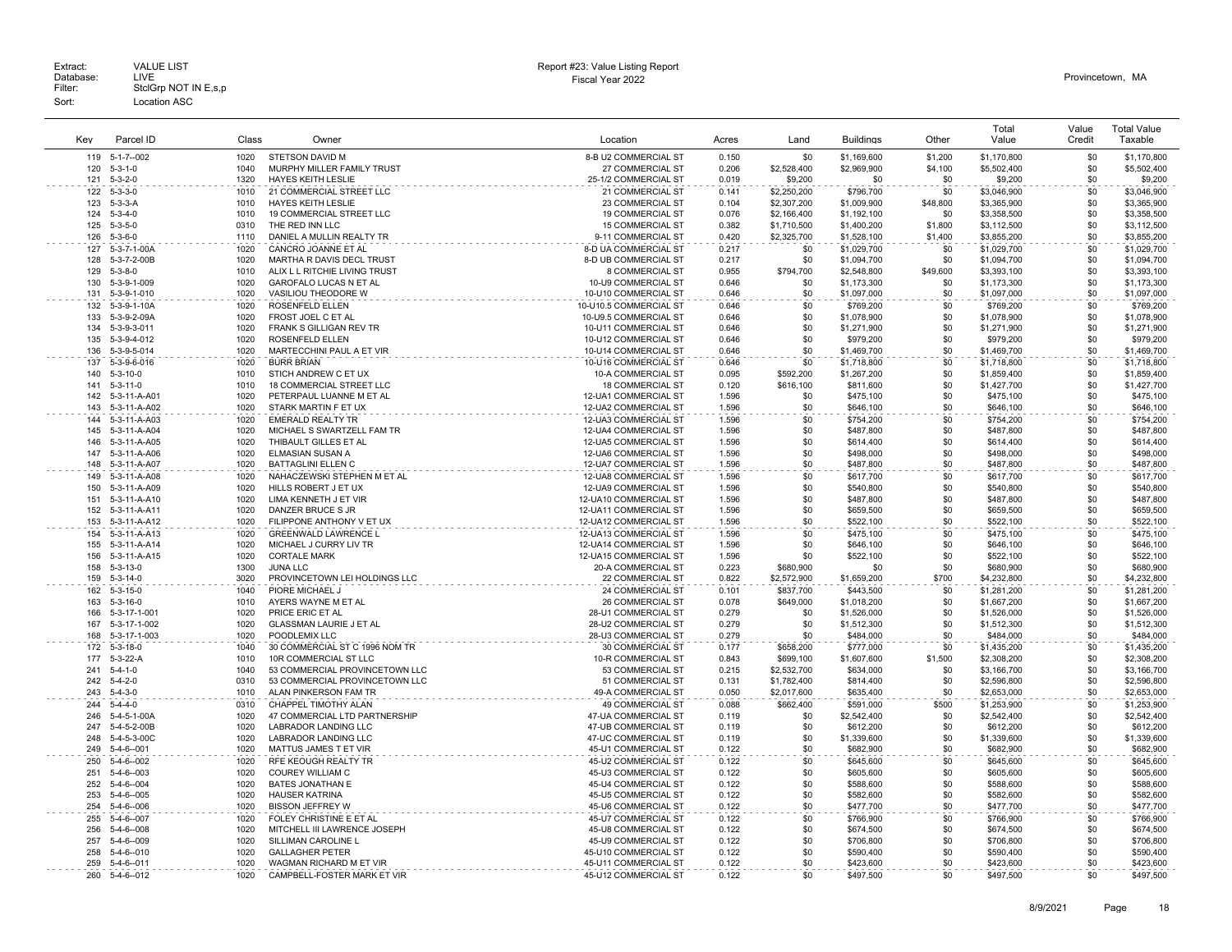Extract: VALUE LIST<br>Database: LIVE<br>Filter: StclGrp NOT IN E,s,p Fiscal Year 2022 Database: LIVE Provincetown, MA Extract: Call VALUE LIST CHARGE STATES AND REPORT HERE AND REPORT HERE AND REPORT THE REPORT OF DETAILS AND REPORT CHARGE STATES AND REPORT CHARGE STATES AND REPORT OF DETAILS AND REPORT CHARGE STATES OF DETAILS AND REPORT Sort: Location ASC

| Key        | Parcel ID                        | Class        | Owner                                                 | Location                                      | Acres          | Land               | <b>Buildings</b>           | Other      | Total<br>Value             | Value<br>Credit | <b>Total Value</b><br>Taxable |
|------------|----------------------------------|--------------|-------------------------------------------------------|-----------------------------------------------|----------------|--------------------|----------------------------|------------|----------------------------|-----------------|-------------------------------|
|            | $5 - 1 - 7 - 002$                | 1020         |                                                       | 8-B U2 COMMERCIAL ST                          | 0.150          |                    |                            | \$1,200    |                            | \$0             | \$1,170,800                   |
| 119<br>120 | $5 - 3 - 1 - 0$                  | 1040         | <b>STETSON DAVID M</b><br>MURPHY MILLER FAMILY TRUST  | 27 COMMERCIAL ST                              | 0.206          | \$0<br>\$2,528,400 | \$1,169,600<br>\$2,969,900 | \$4,100    | \$1,170,800<br>\$5,502,400 | \$0             | \$5,502,400                   |
| 121        | $5 - 3 - 2 - 0$                  | 1320         | HAYES KEITH LESLIE                                    | 25-1/2 COMMERCIAL ST                          | 0.019          | \$9,200            | \$0                        | \$0        | \$9,200                    | \$0             | \$9,200                       |
| 122        | $5 - 3 - 3 - 0$                  | 1010         | 21 COMMERCIAL STREET LLC                              | 21 COMMERCIAL ST                              | 0.141          | \$2,250,200        | \$796,700                  | \$0        | \$3,046,900                | \$0             | \$3,046,900                   |
| 123        | $5-3-3-4$                        | 1010         | <b>HAYES KEITH LESLIE</b>                             | 23 COMMERCIAL ST                              | 0.104          | \$2,307,200        | \$1,009,900                | \$48,800   | \$3,365,900                | \$0             | \$3,365,900                   |
| 124        | $5 - 3 - 4 - 0$                  | 1010         | 19 COMMERCIAL STREET LLC                              | <b>19 COMMERCIAL ST</b>                       | 0.076          | \$2,166,400        | \$1,192,100                | \$0        | \$3,358,500                | \$0             | \$3,358,500                   |
| 125        | $5 - 3 - 5 - 0$                  | 0310         | THE RED INN LLC                                       | <b>15 COMMERCIAL ST</b>                       | 0.382          | \$1,710,500        | \$1,400,200                | \$1,800    | \$3,112,500                | \$0             | \$3,112,500                   |
| 126        | $5 - 3 - 6 - 0$                  | 1110         | DANIEL A MULLIN REALTY TR                             | 9-11 COMMERCIAL ST                            | 0.420          | \$2,325,700        | \$1,528,100                | \$1,400    | \$3,855,200                | \$0             | \$3,855,200                   |
| 127<br>128 | 5-3-7-1-00A<br>5-3-7-2-00B       | 1020<br>1020 | CANCRO JOANNE ET AL<br>MARTHA R DAVIS DECL TRUST      | 8-D UA COMMERCIAL ST<br>8-D UB COMMERCIAL ST  | 0.217<br>0.217 | \$0<br>\$0         | \$1,029,700<br>\$1,094,700 | \$0<br>\$0 | \$1,029,700<br>\$1,094,700 | \$0<br>\$0      | \$1,029,700<br>\$1,094,700    |
| 129        | $5 - 3 - 8 - 0$                  | 1010         | ALIX L L RITCHIE LIVING TRUST                         | 8 COMMERCIAL ST                               | 0.955          | \$794,700          | \$2,548,800                | \$49,600   | \$3,393,100                | \$0             | \$3,393,100                   |
| 130        | 5-3-9-1-009                      | 1020         | GAROFALO LUCAS N ET AL                                | 10-U9 COMMERCIAL ST                           | 0.646          | \$0                | \$1,173,300                | \$0        | \$1,173,300                | \$0             | \$1,173,300                   |
| 131        | 5-3-9-1-010                      | 1020         | VASILIOU THEODORE W                                   | 10-U10 COMMERCIAL ST                          | 0.646          | \$0                | \$1,097,000                | \$0        | \$1,097,000                | \$0             | \$1,097,000                   |
| 132        | 5-3-9-1-10A                      | 1020         | <b>ROSENFELD ELLEN</b>                                | 10-U10.5 COMMERCIAL ST                        | 0.646          | \$0                | \$769,200                  | \$0        | \$769,200                  | \$0             | \$769,200                     |
| 133        | 5-3-9-2-09A                      | 1020         | FROST JOEL C ET AL                                    | 10-U9.5 COMMERCIAL ST                         | 0.646          | \$0                | \$1,078,900                | \$0        | \$1,078,900                | \$0             | \$1,078,900                   |
| 134        | $5 - 3 - 9 - 3 - 01$             | 1020         | FRANK S GILLIGAN REV TR                               | 10-U11 COMMERCIAL ST                          | 0.646          | \$0                | \$1,271,900                | \$0        | \$1,271,900                | \$0             | \$1,271,900                   |
| 135        | 5-3-9-4-012                      | 1020         | <b>ROSENFELD ELLEN</b>                                | 10-U12 COMMERCIAL ST                          | 0.646          | \$0                | \$979,200                  | \$0        | \$979,200                  | \$0             | \$979,200                     |
| 136        | 5-3-9-5-014                      | 1020         | MARTECCHINI PAUL A ET VIR                             | 10-U14 COMMERCIAL ST                          | 0.646          | \$0                | \$1,469,700                | \$0        | \$1,469,700                | \$0             | \$1,469,700                   |
| 137<br>140 | 5-3-9-6-016<br>$5 - 3 - 10 - 0$  | 1020<br>1010 | <b>BURR BRIAN</b><br>STICH ANDREW C ET UX             | 10-U16 COMMERCIAL ST<br>10-A COMMERCIAL ST    | 0.646<br>0.095 | \$0<br>\$592,200   | \$1,718,800<br>\$1,267,200 | \$0<br>\$0 | \$1,718,800<br>\$1,859,400 | \$0<br>\$0      | \$1,718,800<br>\$1,859,400    |
| 141        | $5 - 3 - 11 - 0$                 | 1010         | 18 COMMERCIAL STREET LLC                              | <b>18 COMMERCIAL ST</b>                       | 0.120          | \$616,100          | \$811,600                  | \$0        | \$1,427,700                | \$0             | \$1,427,700                   |
| 142        | 5-3-11-A-A01                     | 1020         | PETERPAUL LUANNE M ET AL                              | 12-UA1 COMMERCIAL ST                          | 1.596          | \$0                | \$475,100                  | \$0        | \$475,100                  | \$0             | \$475,100                     |
| 143        | 5-3-11-A-A02                     | 1020         | STARK MARTIN F ET UX                                  | 12-UA2 COMMERCIAL ST                          | 1.596          | \$0                | \$646,100                  | \$0        | \$646,100                  | \$0             | \$646,100                     |
| 144        | 5-3-11-A-A03                     | 1020         | <b>EMERALD REALTY TR</b>                              | 12-UA3 COMMERCIAL ST                          | 1.596          | \$0                | \$754,200                  | \$0        | \$754,200                  | \$0             | \$754,200                     |
| 145        | 5-3-11-A-A04                     | 1020         | MICHAEL S SWARTZELL FAM TR                            | 12-UA4 COMMERCIAL ST                          | 1.596          | \$0                | \$487,800                  | \$0        | \$487,800                  | \$0             | \$487,800                     |
| 146        | 5-3-11-A-A05                     | 1020         | THIBAULT GILLES ET AL                                 | 12-UA5 COMMERCIAL ST                          | 1.596          | \$0                | \$614,400                  | \$0        | \$614,400                  | \$0             | \$614,400                     |
| 147        | 5-3-11-A-A06                     | 1020         | ELMASIAN SUSAN A                                      | 12-UA6 COMMERCIAL ST                          | 1.596          | \$0                | \$498,000                  | \$0        | \$498,000                  | \$0             | \$498,000                     |
| 148        | 5-3-11-A-A07                     | 1020         | <b>BATTAGLINI ELLEN C</b>                             | 12-UA7 COMMERCIAL ST                          | 1.596          | \$0                | \$487,800                  | \$0        | \$487,800                  | \$0             | \$487,800                     |
| 149        | 5-3-11-A-A08                     | 1020         | NAHACZEWSKI STEPHEN M ET AL                           | 12-UA8 COMMERCIAL ST                          | 1.596          | \$0                | \$617,700                  | \$0        | \$617,700                  | \$0             | \$617,700                     |
| 150<br>151 | 5-3-11-A-A09                     | 1020<br>1020 | HILLS ROBERT J ET UX<br>LIMA KENNETH J ET VIR         | 12-UA9 COMMERCIAL ST<br>12-UA10 COMMERCIAL ST | 1.596          | \$0<br>\$0         | \$540,800                  | \$0<br>\$0 | \$540,800                  | \$0             | \$540,800                     |
| 152        | 5-3-11-A-A10<br>5-3-11-A-A11     | 1020         | DANZER BRUCE S JR                                     | 12-UA11 COMMERCIAL ST                         | 1.596<br>1.596 | \$0                | \$487,800<br>\$659,500     | \$0        | \$487,800<br>\$659,500     | \$0<br>\$0      | \$487,800<br>\$659,500        |
| 153        | 5-3-11-A-A12                     | 1020         | FILIPPONE ANTHONY V ET UX                             | 12-UA12 COMMERCIAL ST                         | 1.596          | \$0                | \$522,100                  | \$0        | \$522,100                  | \$0             | \$522,100                     |
| 154        | 5-3-11-A-A13                     | 1020         | <b>GREENWALD LAWRENCE L</b>                           | 12-UA13 COMMERCIAL ST                         | 1.596          | \$0                | \$475,100                  | \$0        | \$475,100                  | \$0             | \$475,100                     |
| 155        | 5-3-11-A-A14                     | 1020         | MICHAEL J CURRY LIV TR                                | 12-UA14 COMMERCIAL ST                         | 1.596          | \$0                | \$646,100                  | \$0        | \$646,100                  | \$0             | \$646,100                     |
| 156        | 5-3-11-A-A15                     | 1020         | <b>CORTALE MARK</b>                                   | 12-UA15 COMMERCIAL ST                         | 1.596          | \$0                | \$522,100                  | \$0        | \$522,100                  | \$0             | \$522,100                     |
| 158        | $5 - 3 - 13 - 0$                 | 1300         | <b>JUNA LLC</b>                                       | 20-A COMMERCIAL ST                            | 0.223          | \$680,900          | \$0                        | \$0        | \$680,900                  | \$0             | \$680,900                     |
| 159        | $5 - 3 - 14 - 0$                 | 3020         | PROVINCETOWN LEI HOLDINGS LLC                         | 22 COMMERCIAL ST                              | 0.822          | \$2,572,900        | \$1,659,200                | \$700      | \$4,232,800                | \$0             | \$4,232,800                   |
| 162        | $5 - 3 - 15 - 0$                 | 1040<br>1010 | PIORE MICHAEL                                         | 24 COMMERCIAL ST                              | 0.101          | \$837,700          | \$443,500                  | \$0        | \$1,281,200                | \$0             | \$1,281,200                   |
| 163<br>166 | $5 - 3 - 16 - 0$<br>5-3-17-1-001 | 1020         | AYERS WAYNE M ET AL<br>PRICE ERIC ET AL               | 26 COMMERCIAL ST<br>28-U1 COMMERCIAL ST       | 0.078<br>0.279 | \$649,000<br>\$0   | \$1,018,200<br>\$1,526,000 | \$0<br>\$0 | \$1,667,200<br>\$1,526,000 | \$0<br>\$0      | \$1,667,200<br>\$1,526,000    |
| 167        | 5-3-17-1-002                     | 1020         | <b>GLASSMAN LAURIE J ET AL</b>                        | 28-U2 COMMERCIAL ST                           | 0.279          | \$0                | \$1,512,300                | \$0        | \$1,512,300                | \$0             | \$1,512,300                   |
| 168        | 5-3-17-1-003                     | 1020         | POODLEMIX LLC                                         | 28-U3 COMMERCIAL ST                           | 0.279          | \$0                | \$484,000                  | \$0        | \$484,000                  | \$0             | \$484,000                     |
| 172        | $5 - 3 - 18 - 0$                 | 1040         | 30 COMMERCIAL ST C 1996 NOM TR                        | <b>30 COMMERCIAL ST</b>                       | 0.177          | \$658,200          | \$777,000                  | \$0        | \$1,435,200                | \$0             | \$1,435,200                   |
| 177        | 5-3-22-A                         | 1010         | 10R COMMERCIAL ST LLC                                 | 10-R COMMERCIAL ST                            | 0.843          | \$699,100          | \$1,607,600                | \$1,500    | \$2,308,200                | \$0             | \$2,308,200                   |
| 241        | $5 - 4 - 1 - 0$                  | 1040         | 53 COMMERCIAL PROVINCETOWN LLC                        | 53 COMMERCIAL ST                              | 0.215          | \$2,532,700        | \$634,000                  | \$0        | \$3,166,700                | \$0             | \$3,166,700                   |
| 242        | $5 - 4 - 2 - 0$                  | 0310         | 53 COMMERCIAL PROVINCETOWN LLC                        | 51 COMMERCIAL ST                              | 0.131          | \$1,782,400        | \$814,400                  | \$0        | \$2,596,800                | \$0             | \$2,596,800                   |
| 243        | $5 - 4 - 3 - 0$                  | 1010         | ALAN PINKERSON FAM TR                                 | 49-A COMMERCIAL ST                            | 0.050          | \$2,017,600        | \$635,400                  | \$0        | \$2,653,000                | \$0             | \$2,653,000                   |
| 244        | $5 - 4 - 4 - 0$                  | 0310         | CHAPPEL TIMOTHY ALAN                                  | 49 COMMERCIAL ST                              | 0.088          | \$662,400          | \$591,000                  | \$500      | \$1,253,900                | \$0             | \$1,253,900                   |
| 246<br>247 | 5-4-5-1-00A<br>5-4-5-2-00B       | 1020<br>1020 | 47 COMMERCIAL LTD PARTNERSHIP<br>LABRADOR LANDING LLC | 47-UA COMMERCIAL ST<br>47-UB COMMERCIAL ST    | 0.119<br>0.119 | \$0<br>\$0         | \$2,542,400<br>\$612,200   | \$0<br>\$0 | \$2,542,400<br>\$612,200   | \$0<br>\$0      | \$2,542,400<br>\$612,200      |
| 248        | 5-4-5-3-00C                      | 1020         | LABRADOR LANDING LLC                                  | 47-UC COMMERCIAL ST                           | 0.119          | \$0                | \$1,339,600                | \$0        | \$1,339,600                | \$0             | \$1,339,600                   |
| 249        | $5 - 4 - 6 - 001$                | 1020         | MATTUS JAMES T ET VIR                                 | 45-U1 COMMERCIAL ST                           | 0.122          | \$0                | \$682,900                  | \$0        | \$682,900                  | \$0             | \$682,900                     |
| 250        | $5 - 4 - 6 - 002$                | 1020         | RFE KEOUGH REALTY TR                                  | 45-U2 COMMERCIAL ST                           | 0.122          | \$0                | \$645,600                  | \$0        | \$645,600                  | \$0             | \$645,600                     |
| 251        | $5 - 4 - 6 - 003$                | 1020         | COUREY WILLIAM C                                      | 45-U3 COMMERCIAL ST                           | 0.122          | \$0                | \$605,600                  | \$0        | \$605,600                  | \$0             | \$605,600                     |
| 252        | $5 - 4 - 6 - 004$                | 1020         | <b>BATES JONATHAN E</b>                               | 45-U4 COMMERCIAL ST                           | 0.122          | \$0                | \$588,600                  | \$0        | \$588,600                  | \$0             | \$588,600                     |
| 253        | $5 - 4 - 6 - 005$                | 1020         | <b>HAUSER KATRINA</b>                                 | 45-U5 COMMERCIAL ST                           | 0.122          | \$0                | \$582,600                  | \$0        | \$582,600                  | \$0             | \$582,600                     |
| 254        | 5-4-6--006                       | 1020         | <b>BISSON JEFFREY W</b>                               | 45-U6 COMMERCIAL ST                           | 0.122          | \$0                | \$477,700                  | \$0        | \$477,700                  | \$0             | \$477,700                     |
| 255        | $5-4-6-007$                      | 1020         | FOLEY CHRISTINE E ET AL                               | 45-U7 COMMERCIAL ST                           | 0.122          | \$0                | \$766,900                  | \$0        | \$766,900                  | \$0             | \$766,900                     |
| 256        | $5 - 4 - 6 - 008$                | 1020         | MITCHELL III LAWRENCE JOSEPH                          | 45-U8 COMMERCIAL ST                           | 0.122          | \$0                | \$674,500                  | \$0        | \$674,500                  | \$0             | \$674,500                     |
| 257<br>258 | 5-4-6--009<br>$5 - 4 - 6 - 010$  | 1020<br>1020 | SILLIMAN CAROLINE I<br><b>GALLAGHER PETER</b>         | 45-U9 COMMERCIAL ST<br>45-U10 COMMERCIAL ST   | 0.122<br>0.122 | \$0<br>\$0         | \$706,800<br>\$590,400     | \$0<br>\$0 | \$706,800<br>\$590,400     | \$0<br>\$0      | \$706,800<br>\$590,400        |
| 259        | $5 - 4 - 6 - 011$                | 1020         | WAGMAN RICHARD M ET VIR                               | 45-U11 COMMERCIAL ST                          | 0.122          | \$0                | \$423,600                  | \$0        | \$423,600                  | \$0             | \$423,600                     |
| 260        | $5 - 4 - 6 - 012$                | 1020         | CAMPBELL-FOSTER MARK ET VIR                           | 45-U12 COMMERCIAL ST                          | 0.122          | \$0                | \$497,500                  | \$0        | \$497,500                  | \$0             | \$497,500                     |
|            |                                  |              |                                                       |                                               |                |                    |                            |            |                            |                 |                               |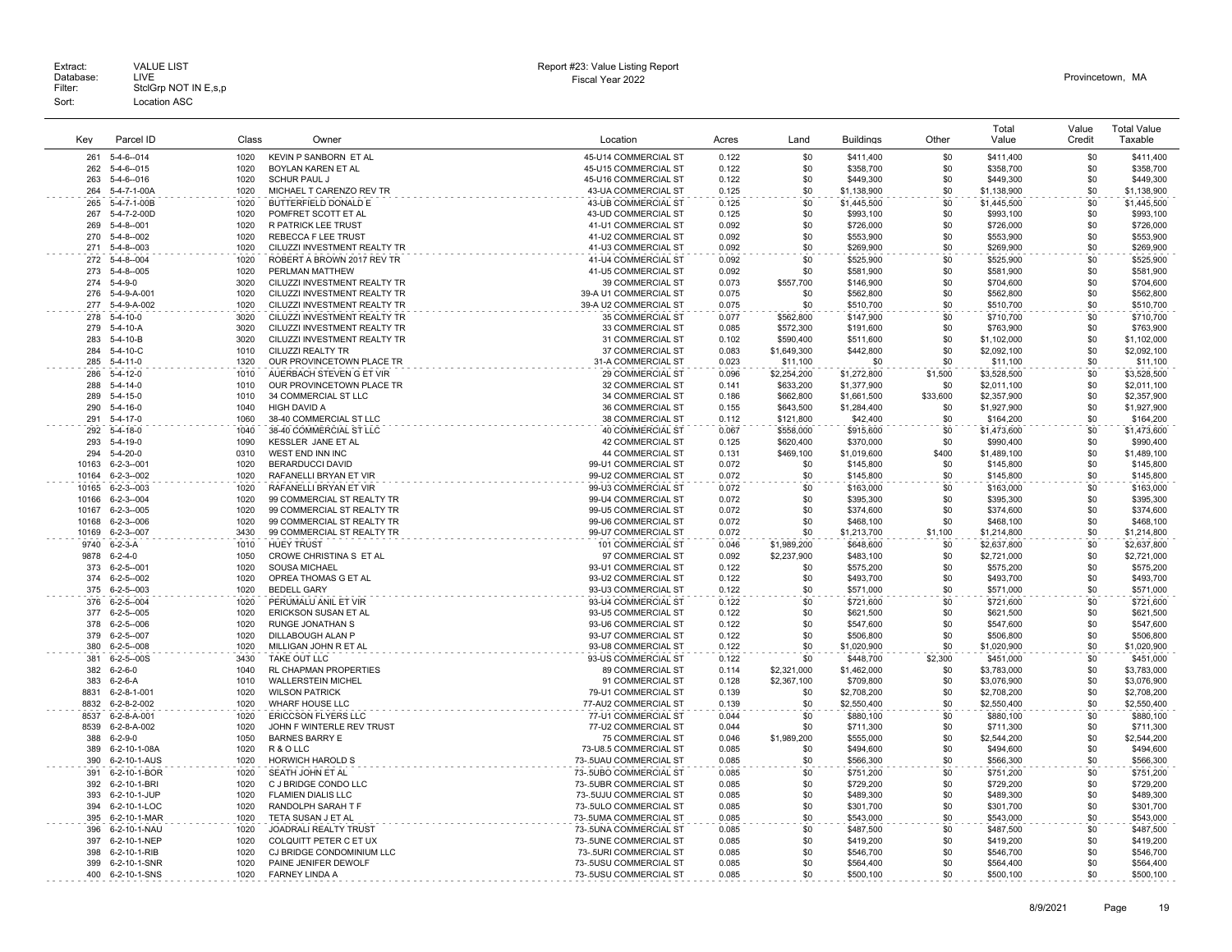| Key          | Parcel ID                              | Class        | Owner                                                        | Location                                         | Acres          | Land                   | <b>Buildings</b>         | Other        | Total<br>Value           | Value<br>Credit | <b>Total Value</b><br>Taxable |
|--------------|----------------------------------------|--------------|--------------------------------------------------------------|--------------------------------------------------|----------------|------------------------|--------------------------|--------------|--------------------------|-----------------|-------------------------------|
|              |                                        |              |                                                              |                                                  |                |                        |                          |              |                          |                 |                               |
| 261          | $5-4-6-014$                            | 1020         | KEVIN P SANBORN ET AL                                        | 45-U14 COMMERCIAL ST                             | 0.122          | \$0                    | \$411,400                | \$0          | \$411,400                | \$0<br>\$0      | \$411,400                     |
| 262<br>263   | $5 - 4 - 6 - 015$<br>$5-4-6-016$       | 1020<br>1020 | BOYLAN KAREN ET AL<br><b>SCHUR PAUL J</b>                    | 45-U15 COMMERCIAL ST<br>45-U16 COMMERCIAL ST     | 0.122<br>0.122 | \$0<br>\$0             | \$358,700<br>\$449,300   | \$0<br>\$0   | \$358,700<br>\$449,300   | \$0             | \$358,700<br>\$449,300        |
| 264          | 5-4-7-1-00A                            | 1020         | MICHAEL T CARENZO REV TR                                     | 43-UA COMMERCIAL ST                              | 0.125          | \$0                    | \$1,138,900              | \$0          | \$1,138,900              | \$0             | \$1,138,900                   |
| 265          | 5-4-7-1-00B                            | 1020         | BUTTERFIELD DONALD E                                         | 43-UB COMMERCIAL ST                              | 0.125          | \$0                    | \$1,445,500              | \$0          | \$1,445,500              | \$0             | \$1,445,500                   |
| 267          | 5-4-7-2-00D                            | 1020         | POMFRET SCOTT ET AL                                          | 43-UD COMMERCIAL ST                              | 0.125          | \$0                    | \$993,100                | \$0          | \$993,100                | \$0             | \$993,100                     |
| 269          | $5 - 4 - 8 - 001$                      | 1020         | <b>R PATRICK LEE TRUST</b>                                   | 41-U1 COMMERCIAL ST                              | 0.092          | \$0                    | \$726,000                | \$0          | \$726,000                | \$0             | \$726,000                     |
| 270          | $5 - 4 - 8 - 002$                      | 1020         | <b>REBECCA F LEE TRUST</b>                                   | 41-U2 COMMERCIAL ST                              | 0.092          | \$0                    | \$553,900                | \$0          | \$553,900                | \$0             | \$553,900                     |
| 271          | $5 - 4 - 8 - 003$                      | 1020         | CILUZZI INVESTMENT REALTY TR                                 | 41-U3 COMMERCIAL ST                              | 0.092          | \$0                    | \$269,900                | \$0          | \$269,900                | \$0             | \$269,900                     |
| 272          | $5 - 4 - 8 - 004$                      | 1020         | ROBERT A BROWN 2017 REV TR                                   | 41-U4 COMMERCIAL ST                              | 0.092          | \$0                    | \$525,900                | \$0          | \$525,900                | \$0             | \$525,900                     |
| 273          | $5-4-8-005$                            | 1020         | PERLMAN MATTHEW                                              | 41-U5 COMMERCIAL ST                              | 0.092          | \$0                    | \$581,900                | \$0          | \$581,900                | \$0             | \$581,900                     |
| 274          | $5 - 4 - 9 - 0$                        | 3020         | CILUZZI INVESTMENT REALTY TR                                 | 39 COMMERCIAL ST                                 | 0.073          | \$557,700              | \$146,900                | \$0          | \$704,600                | \$0             | \$704,600                     |
| 276<br>277   | 5-4-9-A-001                            | 1020<br>1020 | CILUZZI INVESTMENT REALTY TR                                 | 39-A U1 COMMERCIAL ST                            | 0.075          | \$0<br>\$0             | \$562,800                | \$0          | \$562,800                | \$0             | \$562,800                     |
| 278          | 5-4-9-A-002                            | 3020         | CILUZZI INVESTMENT REALTY TR<br>CILUZZI INVESTMENT REALTY TR | 39-A U2 COMMERCIAL ST                            | 0.075<br>0.077 |                        | \$510,700                | \$0<br>\$0   | \$510,700<br>\$710,700   | \$0<br>\$0      | \$510,700<br>\$710,700        |
| 279          | $5-4-10-0$<br>$5 - 4 - 10 - A$         | 3020         | CILUZZI INVESTMENT REALTY TR                                 | 35 COMMERCIAL ST<br>33 COMMERCIAL ST             | 0.085          | \$562,800<br>\$572.300 | \$147,900<br>\$191,600   | \$0          | \$763,900                | \$0             | \$763,900                     |
| 283          | $5-4-10-B$                             | 3020         | CILUZZI INVESTMENT REALTY TR                                 | 31 COMMERCIAL ST                                 | 0.102          | \$590,400              | \$511,600                | \$0          | \$1,102,000              | \$0             | \$1,102,000                   |
| 284          | $5 - 4 - 10 - C$                       | 1010         | CILUZZI REALTY TR                                            | 37 COMMERCIAL ST                                 | 0.083          | \$1,649,300            | \$442,800                | \$0          | \$2,092,100              | \$0             | \$2.092.100                   |
| 285          | $5 - 4 - 11 - 0$                       | 1320         | OUR PROVINCETOWN PLACE TR                                    | 31-A COMMERCIAL ST                               | 0.023          | \$11,100               | \$0                      | \$0          | \$11,100                 | \$0             | \$11,100                      |
| 286          | $5 - 4 - 12 - 0$                       | 1010         | AUERBACH STEVEN G ET VIR                                     | <b>29 COMMERCIAL ST</b>                          | 0.096          | \$2,254,200            | \$1,272,800              | \$1,500      | \$3,528,500              | \$0             | \$3,528,500                   |
| 288          | $5 - 4 - 14 - 0$                       | 1010         | OUR PROVINCETOWN PLACE TR                                    | 32 COMMERCIAL ST                                 | 0.141          | \$633,200              | \$1,377,900              | \$0          | \$2,011,100              | \$0             | \$2,011,100                   |
| 289          | $5-4-15-0$                             | 1010         | 34 COMMERCIAL ST LLC                                         | <b>34 COMMERCIAL ST</b>                          | 0.186          | \$662,800              | \$1,661,500              | \$33,600     | \$2,357,900              | \$0             | \$2,357,900                   |
| 290          | $5 - 4 - 16 - 0$                       | 1040         | HIGH DAVID A                                                 | 36 COMMERCIAL ST                                 | 0.155          | \$643,500              | \$1,284,400              | \$0          | \$1,927,900              | \$0             | \$1,927,900                   |
| 291          | $5 - 4 - 17 - 0$                       | 1060         | 38-40 COMMERCIAL ST LLC                                      | 38 COMMERCIAL ST                                 | 0.112          | \$121,800              | \$42,400                 | \$0          | \$164,200                | \$0             | \$164,200                     |
| 292          | $5 - 4 - 18 - 0$                       | 1040         | 38-40 COMMERCIAL ST LLC                                      | <b>40 COMMERCIAL ST</b>                          | 0.067          | \$558,000              | \$915,600                | \$0          | \$1,473,600              | \$0             | \$1,473,600                   |
| 293          | $5 - 4 - 19 - 0$                       | 1090         | KESSLER JANE ET AL                                           | 42 COMMERCIAL ST                                 | 0.125          | \$620,400              | \$370,000                | \$0          | \$990,400                | \$0             | \$990,400                     |
| 294<br>10163 | $5 - 4 - 20 - 0$<br>$6 - 2 - 3 - 001$  | 0310<br>1020 | WEST END INN INC<br>BERARDUCCI DAVID                         | 44 COMMERCIAL ST<br>99-U1 COMMERCIAL ST          | 0.131<br>0.072 | \$469,100<br>\$0       | \$1,019,600<br>\$145,800 | \$400<br>\$0 | \$1,489,100<br>\$145,800 | \$0<br>\$0      | \$1,489,100<br>\$145,800      |
| 10164        | $6 - 2 - 3 - 002$                      | 1020         | RAFANELLI BRYAN ET VIR                                       | 99-U2 COMMERCIAL ST                              | 0.072          | \$0                    | \$145,800                | \$0          | \$145,800                | \$0             | \$145,800                     |
| 10165        | $6 - 2 - 3 - 003$                      | 1020         | RAFANELLI BRYAN ET VIR                                       | 99-U3 COMMERCIAL ST                              | 0.072          | \$0                    | \$163,000                | \$0          | \$163,000                | \$0             | \$163,000                     |
| 10166        | $6 - 2 - 3 - 004$                      | 1020         | 99 COMMERCIAL ST REALTY TR                                   | 99-U4 COMMERCIAL ST                              | 0.072          | \$0                    | \$395,300                | \$0          | \$395,300                | \$0             | \$395,300                     |
| 10167        | $6 - 2 - 3 - 005$                      | 1020         | 99 COMMERCIAL ST REALTY TR                                   | 99-U5 COMMERCIAL ST                              | 0.072          | \$0                    | \$374,600                | \$0          | \$374,600                | \$0             | \$374,600                     |
| 10168        | $6 - 2 - 3 - 006$                      | 1020         | 99 COMMERCIAL ST REALTY TR                                   | 99-U6 COMMERCIAL ST                              | 0.072          | \$0                    | \$468,100                | \$0          | \$468,100                | \$0             | \$468,100                     |
| 10169        | $6 - 2 - 3 - 007$                      | 3430         | 99 COMMERCIAL ST REALTY TR                                   | 99-U7 COMMERCIAL ST                              | 0.072          | \$0                    | \$1,213,700              | \$1,100      | \$1,214,800              | \$0             | \$1,214,800                   |
| 9740         | $6 - 2 - 3 - A$                        | 1010         | <b>HUEY TRUST</b>                                            | 101 COMMERCIAL ST                                | 0.046          | \$1,989,200            | \$648,600                | \$0          | \$2,637,800              | \$0             | \$2,637,800                   |
| 9878         | $6 - 2 - 4 - 0$                        | 1050         | CROWE CHRISTINA S ET AL                                      | 97 COMMERCIAL ST                                 | 0.092          | \$2,237,900            | \$483,100                | \$0          | \$2,721,000              | \$0             | \$2,721,000                   |
| 373          | $6 - 2 - 5 - 001$                      | 1020         | <b>SOUSA MICHAEL</b>                                         | 93-U1 COMMERCIAL ST                              | 0.122          | \$0                    | \$575,200                | \$0          | \$575,200                | \$0             | \$575,200                     |
| 374          | $6 - 2 - 5 - 002$                      | 1020         | OPREA THOMAS G ET AL                                         | 93-U2 COMMERCIAL ST                              | 0.122          | \$0                    | \$493,700                | \$0          | \$493,700                | \$0             | \$493,700                     |
| 375<br>376   | $6 - 2 - 5 - 003$<br>$6 - 2 - 5 - 004$ | 1020<br>1020 | <b>BEDELL GARY</b><br>PERUMALU ANIL ET VIR                   | 93-U3 COMMERCIAL ST<br>93-U4 COMMERCIAL ST       | 0.122<br>0.122 | \$0<br>\$0             | \$571,000<br>\$721,600   | \$0<br>\$0   | \$571,000<br>\$721,600   | \$0<br>\$0      | \$571,000<br>\$721,600        |
| 377          | $6 - 2 - 5 - 005$                      | 1020         | ERICKSON SUSAN ET AL                                         | 93-U5 COMMERCIAL ST                              | 0.122          | \$0                    | \$621,500                | \$0          | \$621,500                | \$0             | \$621,500                     |
| 378          | $6 - 2 - 5 - 006$                      | 1020         | <b>RUNGE JONATHAN S</b>                                      | 93-U6 COMMERCIAL ST                              | 0.122          | \$0                    | \$547,600                | \$0          | \$547,600                | \$0             | \$547,600                     |
| 379          | $6 - 2 - 5 - 007$                      | 1020         | DILLABOUGH ALAN P                                            | 93-U7 COMMERCIAL ST                              | 0.122          | \$0                    | \$506,800                | \$0          | \$506,800                | \$0             | \$506,800                     |
| 380          | $6 - 2 - 5 - 008$                      | 1020         | MILLIGAN JOHN R ET AL                                        | 93-U8 COMMERCIAL ST                              | 0.122          | \$0                    | \$1,020,900              | \$0          | \$1,020,900              | \$0             | \$1,020,900                   |
| 381          | $6 - 2 - 5 - 00S$                      | 3430         | TAKE OUT LLC                                                 | 93-US COMMERCIAL ST                              | 0.122          | \$0                    | \$448,700                | \$2,300      | \$451,000                | \$0             | \$451,000                     |
| 382          | $6 - 2 - 6 - 0$                        | 1040         | RL CHAPMAN PROPERTIES                                        | 89 COMMERCIAL ST                                 | 0.114          | \$2,321,000            | \$1,462,000              | \$0          | \$3,783,000              | \$0             | \$3,783,000                   |
| 383          | $6 - 2 - 6 - A$                        | 1010         | <b>WALLERSTEIN MICHEL</b>                                    | 91 COMMERCIAL ST                                 | 0.128          | \$2,367,100            | \$709,800                | \$0          | \$3,076,900              | \$0             | \$3,076,900                   |
| 8831         | $6 - 2 - 8 - 1 - 001$                  | 1020         | <b>WILSON PATRICK</b>                                        | 79-U1 COMMERCIAL ST                              | 0.139          | \$0                    | \$2,708,200              | \$0          | \$2,708,200              | \$0             | \$2,708,200                   |
| 8832         | $6 - 2 - 8 - 2 - 002$                  | 1020         | <b>WHARF HOUSE LLC</b>                                       | 77-AU2 COMMERCIAL ST                             | 0.139          | \$0                    | \$2,550,400              | \$0<br>\$0   | \$2,550,400              | \$0             | \$2,550,400                   |
| 8537<br>8539 | 6-2-8-A-001<br>6-2-8-A-002             | 1020<br>1020 | <b>ERICCSON FLYERS LLC</b><br>JOHN F WINTERLE REV TRUST      | 77-U1 COMMERCIAL ST<br>77-U2 COMMERCIAL ST       | 0.044<br>0.044 | \$0<br>\$0             | \$880,100<br>\$711,300   | \$0          | \$880,100<br>\$711,300   | \$0<br>\$0      | \$880,100<br>\$711,300        |
| 388          | $6 - 2 - 9 - 0$                        | 1050         | <b>BARNES BARRY E</b>                                        | <b>75 COMMERCIAL ST</b>                          | 0.046          | \$1,989,200            | \$555,000                | \$0          | \$2,544,200              | \$0             | \$2,544,200                   |
| 389          | 6-2-10-1-08A                           | 1020         | R & O LLC                                                    | 73-U8.5 COMMERCIAL ST                            | 0.085          | \$0                    | \$494,600                | \$0          | \$494,600                | \$0             | \$494,600                     |
| 390          | 6-2-10-1-AUS                           | 1020         | <b>HORWICH HAROLD S</b>                                      | 73-.5UAU COMMERCIAL ST                           | 0.085          | \$0                    | \$566,300                | \$0          | \$566,300                | \$0             | \$566,300                     |
| 391          | 6-2-10-1-BOR                           | 1020         | SEATH JOHN ET AL                                             | 73-.5UBO COMMERCIAL ST                           | 0.085          | \$0                    | \$751,200                | \$0          | \$751,200                | \$0             | \$751,200                     |
| 392          | 6-2-10-1-BRI                           | 1020         | C J BRIDGE CONDO LLC                                         | 73-.5UBR COMMERCIAL ST                           | 0.085          | \$0                    | \$729,200                | \$0          | \$729,200                | \$0             | \$729,200                     |
| 393          | 6-2-10-1-JUP                           | 1020         | <b>FLAMIEN DIALIS LLC</b>                                    | 73-.5UJU COMMERCIAL ST                           | 0.085          | \$0                    | \$489,300                | \$0          | \$489,300                | \$0             | \$489,300                     |
| 394          | 6-2-10-1-LOC                           | 1020         | RANDOLPH SARAH T F                                           | 73-.5ULO COMMERCIAL ST                           | 0.085          | \$0                    | \$301,700                | \$0          | \$301,700                | \$0             | \$301,700                     |
| 395          | 6-2-10-1-MAR                           | 1020         | TETA SUSAN J ET AL                                           | 73-.5UMA COMMERCIAL ST                           | 0.085          | \$0                    | \$543,000                | \$0          | \$543,000                | \$0             | \$543,000                     |
| 396          | 6-2-10-1-NAU                           | 1020         | <b>JOADRALI REALTY TRUST</b>                                 | 73-.5UNA COMMERCIAL ST                           | 0.085          | \$0                    | \$487.500                | \$0          | \$487,500                | \$0             | \$487.500                     |
| 397          | 6-2-10-1-NEP                           | 1020         | COLQUITT PETER C ET UX                                       | 73-.5UNE COMMERCIAL ST                           | 0.085          | \$0                    | \$419,200                | \$0          | \$419,200                | \$0             | \$419,200                     |
| 398<br>399   | 6-2-10-1-RIB<br>6-2-10-1-SNR           | 1020<br>1020 | CJ BRIDGE CONDOMINIUM LLC<br>PAINE JENIFER DEWOLF            | 73-.5URI COMMERCIAL ST<br>73-.5USU COMMERCIAL ST | 0.085<br>0.085 | \$0<br>\$0             | \$546,700<br>\$564,400   | \$0<br>\$0   | \$546,700<br>\$564,400   | \$0<br>\$0      | \$546,700<br>\$564,400        |
| 400          | 6-2-10-1-SNS                           | 1020         | <b>FARNEY LINDA A</b>                                        | 73-.5USU COMMERCIAL ST                           | 0.085          | \$0                    | \$500,100                | \$0          | \$500,100                | \$0             | \$500,100                     |
|              |                                        |              |                                                              | .                                                |                |                        |                          |              |                          |                 |                               |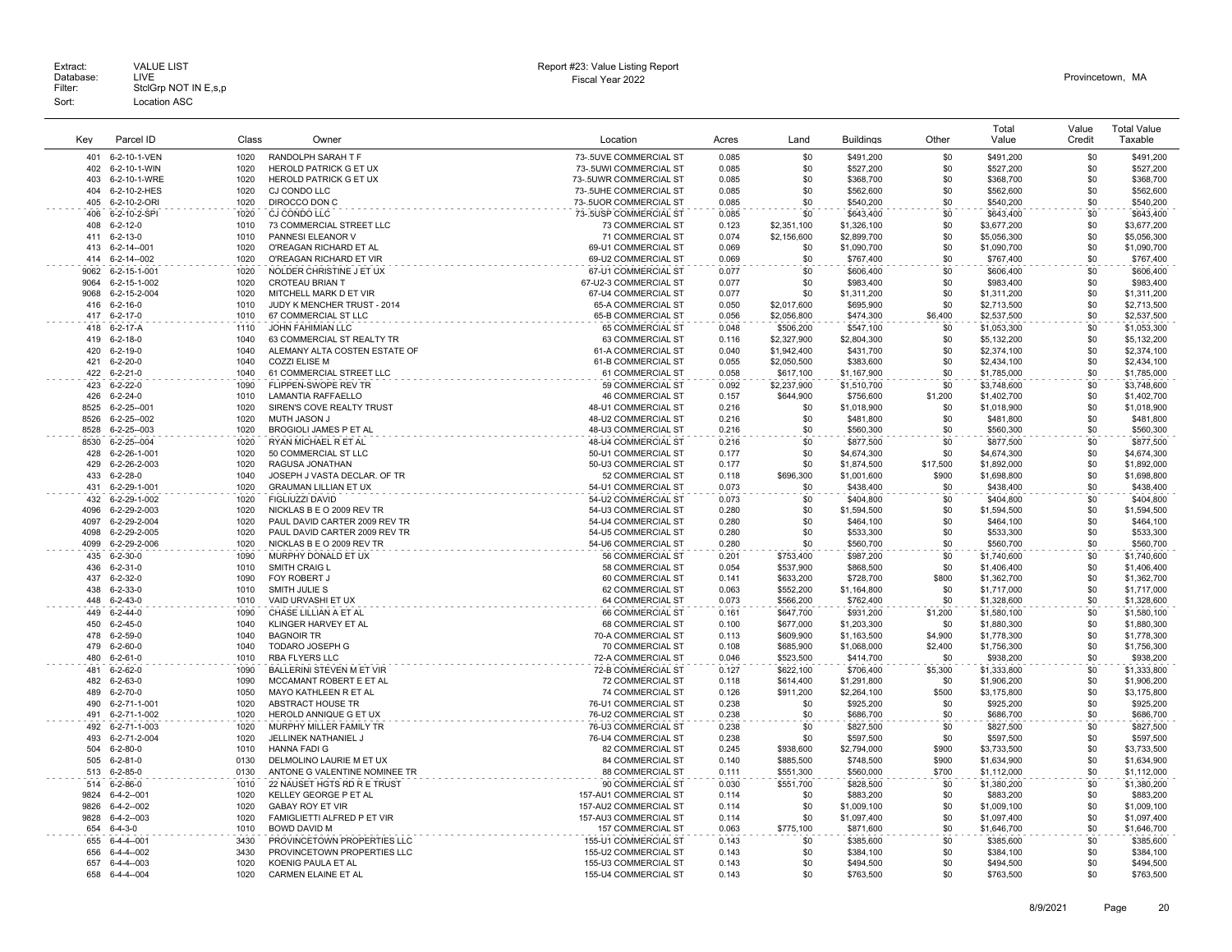| Key          | Parcel ID                             | Class        | Owner                                                      | Location                                    | Acres          | Land                     | <b>Buildings</b>         | Other          | Total<br>Value             | Value<br>Credit | <b>Total Value</b><br>Taxable |
|--------------|---------------------------------------|--------------|------------------------------------------------------------|---------------------------------------------|----------------|--------------------------|--------------------------|----------------|----------------------------|-----------------|-------------------------------|
| 401          | 6-2-10-1-VEN                          | 1020         | RANDOLPH SARAH T F                                         | 73-.5UVE COMMERCIAL ST                      | 0.085          | \$0                      | \$491,200                | \$0            | \$491,200                  | \$0             | \$491,200                     |
| 402          | 6-2-10-1-WIN                          | 1020         | HEROLD PATRICK G ET UX                                     | 73-.5UWI COMMERCIAL ST                      | 0.085          | \$0                      | \$527,200                | \$0            | \$527,200                  | \$0             | \$527,200                     |
| 403          | 6-2-10-1-WRE                          | 1020         | HEROLD PATRICK G ET UX                                     | 73-.5UWR COMMERCIAL ST                      | 0.085          | \$0                      | \$368,700                | \$0            | \$368,700                  | \$0             | \$368,700                     |
| 404          | 6-2-10-2-HES                          | 1020         | CJ CONDO LLC                                               | 73-.5UHE COMMERCIAL ST                      | 0.085          | \$0                      | \$562,600                | \$0            | \$562,600                  | \$0             | \$562,600                     |
| 405          | 6-2-10-2-ORI                          | 1020         | DIROCCO DON C                                              | 73-.5UOR COMMERCIAL ST                      | 0.085          | \$0                      | \$540.200                | \$0            | \$540,200                  | \$0             | \$540,200                     |
| 406          | 6-2-10-2-SPI                          | 1020         | CJ CONDO LLC                                               | 73-.5USP COMMERCIAL ST                      | 0.085          | \$0                      | \$643,400                | \$0            | \$643,400                  | \$0             | \$643,400                     |
| 408          | $6 - 2 - 12 - 0$                      | 1010         | 73 COMMERCIAL STREET LLC                                   | <b>73 COMMERCIAL ST</b>                     | 0.123          | \$2,351,100              | \$1,326,100              | \$0            | \$3,677,200                | \$0             | \$3,677,200                   |
| 411          | 6-2-13-0                              | 1010         | PANNESI ELEANOR V                                          | 71 COMMERCIAL ST                            | 0.074          | \$2,156,600              | \$2,899,700              | \$0            | \$5,056,300                | \$0             | \$5,056,300                   |
| 413          | 6-2-14--001                           | 1020         | O'REAGAN RICHARD ET AL                                     | 69-U1 COMMERCIAL ST                         | 0.069          | \$0                      | \$1,090,700              | \$0            | \$1,090.700                | \$0             | \$1,090,700                   |
| 414          | 6-2-14--002                           | 1020         | O'REAGAN RICHARD ET VIR                                    | 69-U2 COMMERCIAL ST                         | 0.069          | \$0                      | \$767,400                | \$0            | \$767,400                  | \$0             | \$767,400                     |
| 9062         | 6-2-15-1-001                          | 1020         | NOLDER CHRISTINE J ET UX                                   | 67-U1 COMMERCIAL ST                         | 0.077          | \$0                      | \$606,400                | \$0            | \$606,400                  | \$0             | \$606,400                     |
| 9064         | 6-2-15-1-002                          | 1020         | CROTEAU BRIAN T                                            | 67-U2-3 COMMERCIAL ST                       | 0.077          | \$0                      | \$983,400                | \$0            | \$983,400                  | \$0             | \$983,400                     |
| 9068<br>416  | 6-2-15-2-004<br>$6 - 2 - 16 - 0$      | 1020<br>1010 | MITCHELL MARK D ET VIR<br>JUDY K MENCHER TRUST - 2014      | 67-U4 COMMERCIAL ST<br>65-A COMMERCIAL ST   | 0.077<br>0.050 | \$0<br>\$2,017,600       | \$1,311,200<br>\$695,900 | \$0<br>\$0     | \$1,311,200                | \$0<br>\$0      | \$1,311,200<br>\$2,713,500    |
| 417          | $6 - 2 - 17 - 0$                      | 1010         |                                                            |                                             | 0.056          |                          |                          | \$6,400        | \$2,713,500                | \$0             |                               |
| 418          |                                       | 1110         | 67 COMMERCIAL ST LLC<br><b>JOHN FAHIMIAN LLC</b>           | 65-B COMMERCIAL ST<br>65 COMMERCIAL ST      | 0.048          | \$2,056,800              | \$474,300                | \$0            | \$2,537,500                | \$0             | \$2,537,500                   |
| 419          | 6-2-17-A<br>$6 - 2 - 18 - 0$          | 1040         | 63 COMMERCIAL ST REALTY TR                                 | 63 COMMERCIAL ST                            | 0.116          | \$506,200<br>\$2,327,900 | \$547,100<br>\$2,804,300 | \$0            | \$1,053,300<br>\$5,132,200 | \$0             | \$1,053,300<br>\$5,132,200    |
| 420          | 6-2-19-0                              | 1040         | ALEMANY ALTA COSTEN ESTATE OF                              | 61-A COMMERCIAL ST                          | 0.040          | \$1,942,400              | \$431,700                | \$0            | \$2,374,100                | \$0             | \$2,374,100                   |
| 421          | $6 - 2 - 20 - 0$                      | 1040         | <b>COZZI ELISE M</b>                                       | 61-B COMMERCIAL ST                          | 0.055          | \$2,050,500              | \$383,600                | \$0            | \$2,434,100                | \$0             | \$2,434,100                   |
| 422          | $6 - 2 - 21 - 0$                      | 1040         | 61 COMMERCIAL STREET LLC                                   | 61 COMMERCIAL ST                            | 0.058          | \$617,100                | \$1,167,900              | \$0            | \$1,785,000                | \$0             | \$1,785,000                   |
| 423          | $6 - 2 - 22 - 0$                      | 1090         | FLIPPEN-SWOPE REV TR                                       | 59 COMMERCIAL ST                            | 0.092          | \$2,237,900              | \$1,510,700              | \$0            | \$3,748,600                | \$0             | \$3,748,600                   |
| 426          | $6 - 2 - 24 - 0$                      | 1010         | LAMANTIA RAFFAELLO                                         | <b>46 COMMERCIAL ST</b>                     | 0.157          | \$644,900                | \$756,600                | \$1,200        | \$1,402,700                | \$0             | \$1,402,700                   |
| 8525         | $6 - 2 - 25 - 001$                    | 1020         | SIREN'S COVE REALTY TRUST                                  | 48-U1 COMMERCIAL ST                         | 0.216          | \$0                      | \$1,018,900              | \$0            | \$1,018,900                | \$0             | \$1,018,900                   |
| 8526         | $6 - 2 - 25 - 002$                    | 1020         | <b>MUTH JASON J</b>                                        | 48-U2 COMMERCIAL ST                         | 0.216          | \$0                      | \$481,800                | \$0            | \$481,800                  | \$0             | \$481,800                     |
| 8528         | $6 - 2 - 25 - 003$                    | 1020         | BROGIOLI JAMES P ET AL                                     | 48-U3 COMMERCIAL ST                         | 0.216          | \$0                      | \$560,300                | \$0            | \$560,300                  | \$0             | \$560,300                     |
| 8530         | 6-2-25--004                           | 1020         | RYAN MICHAEL R ET AL                                       | 48-U4 COMMERCIAL ST                         | 0.216          | \$0                      | \$877,500                | \$0            | \$877,500                  | \$0             | \$877,500                     |
| 428          | 6-2-26-1-001                          | 1020         | 50 COMMERCIAL ST LLC                                       | 50-U1 COMMERCIAL ST                         | 0.177          | \$0                      | \$4,674,300              | \$0            | \$4,674,300                | \$0             | \$4,674,300                   |
| 429          | 6-2-26-2-003                          | 1020         | RAGUSA JONATHAN                                            | 50-U3 COMMERCIAL ST                         | 0.177          | \$0                      | \$1,874,500              | \$17,500       | \$1,892,000                | \$0             | \$1,892,000                   |
| 433          | $6 - 2 - 28 - 0$                      | 1040         | JOSEPH J VASTA DECLAR. OF TR                               | 52 COMMERCIAL ST                            | 0.118          | \$696,300                | \$1,001,600              | \$900          | \$1,698,800                | \$0             | \$1,698,800                   |
| 431          | 6-2-29-1-001                          | 1020         | <b>GRAUMAN LILLIAN ET UX</b>                               | 54-U1 COMMERCIAL ST                         | 0.073          | \$0                      | \$438,400                | \$0            | \$438,400                  | \$0             | \$438,400                     |
| 432          | 6-2-29-1-002                          | 1020         | FIGLIUZZI DAVID                                            | 54-U2 COMMERCIAL ST                         | 0.073          | \$0                      | \$404,800                | \$0            | \$404,800                  | \$0             | \$404,800                     |
| 4096         | 6-2-29-2-003                          | 1020         | NICKLAS B E O 2009 REV TR                                  | 54-U3 COMMERCIAL ST                         | 0.280          | \$0                      | \$1,594,500              | \$0            | \$1,594,500                | \$0             | \$1,594,500                   |
| 4097<br>4098 | 6-2-29-2-004                          | 1020<br>1020 | PAUL DAVID CARTER 2009 REV TR                              | 54-U4 COMMERCIAL ST                         | 0.280<br>0.280 | \$0<br>\$0               | \$464,100                | \$0<br>\$0     | \$464,100                  | \$0<br>\$0      | \$464,100                     |
|              | 6-2-29-2-005                          | 1020         | PAUL DAVID CARTER 2009 REV TR<br>NICKLAS B E O 2009 REV TR | 54-U5 COMMERCIAL ST<br>54-U6 COMMERCIAL ST  |                | \$0                      | \$533,300                | \$0            | \$533,300                  | \$0             | \$533,300                     |
| 4099         | 6-2-29-2-006                          | 1090         | MURPHY DONALD ET UX                                        |                                             | 0.280          |                          | \$560,700                | \$0            | \$560,700                  | \$0             | \$560,700                     |
| 435<br>436   | $6 - 2 - 30 - 0$<br>$6 - 2 - 31 - 0$  | 1010         | SMITH CRAIG L                                              | 56 COMMERCIAL ST<br>58 COMMERCIAL ST        | 0.201<br>0.054 | \$753,400<br>\$537.900   | \$987,200<br>\$868,500   | \$0            | \$1,740,600<br>\$1,406,400 | \$0             | \$1,740,600<br>\$1,406,400    |
| 437          | $6 - 2 - 32 - 0$                      | 1090         | FOY ROBERT J                                               | 60 COMMERCIAL ST                            | 0.141          | \$633,200                | \$728,700                | \$800          | \$1,362,700                | \$0             | \$1,362,700                   |
| 438          | $6 - 2 - 33 - 0$                      | 1010         | SMITH JULIE S                                              | 62 COMMERCIAL ST                            | 0.063          | \$552,200                | \$1,164,800              | \$0            | \$1,717,000                | \$0             | \$1,717,000                   |
| 448          | $6 - 2 - 43 - 0$                      | 1010         | VAID URVASHI ET UX                                         | 64 COMMERCIAL ST                            | 0.073          | \$566,200                | \$762,400                | \$0            | \$1,328,600                | \$0             | \$1,328,600                   |
| 449          | $6 - 2 - 44 - 0$                      | 1090         | CHASE LILLIAN A ET AL                                      | 66 COMMERCIAL ST                            | 0.161          | \$647,700                | \$931,200                | \$1,200        | \$1,580,100                | \$0             | \$1,580,100                   |
| 450          | $6 - 2 - 45 - 0$                      | 1040         | KLINGER HARVEY ET AL                                       | 68 COMMERCIAL ST                            | 0.100          | \$677,000                | \$1,203,300              | \$0            | \$1,880,300                | \$0             | \$1,880,300                   |
| 478          | $6 - 2 - 59 - 0$                      | 1040         | <b>BAGNOIR TR</b>                                          | 70-A COMMERCIAL ST                          | 0.113          | \$609,900                | \$1,163,500              | \$4,900        | \$1,778,300                | \$0             | \$1,778,300                   |
| 479          | $6 - 2 - 60 - 0$                      | 1040         | <b>TODARO JOSEPH G</b>                                     | 70 COMMERCIAL ST                            | 0.108          | \$685,900                | \$1,068,000              | \$2,400        | \$1,756,300                | \$0             | \$1,756,300                   |
| 480          | $6 - 2 - 61 - 0$                      | 1010         | RBA FLYERS LLC                                             | 72-A COMMERCIAL ST                          | 0.046          | \$523,500                | \$414,700                | \$0            | \$938,200                  | \$0             | \$938,200                     |
| 481          | $6 - 2 - 62 - 0$                      | 1090         | BALLERINI STEVEN M ET VIR                                  | 72-B COMMERCIAL ST                          | 0.127          | \$622,100                | \$706,400                | \$5,300        | \$1,333,800                | \$0             | \$1,333,800                   |
| 482          | $6 - 2 - 63 - 0$                      | 1090         | MCCAMANT ROBERT E ET AL                                    | 72 COMMERCIAL ST                            | 0.118          | \$614,400                | \$1,291,800              | \$0            | \$1,906,200                | \$0             | \$1,906,200                   |
| 489          | $6 - 2 - 70 - 0$                      | 1050         | MAYO KATHLEEN R ET AL                                      | 74 COMMERCIAL ST                            | 0.126          | \$911,200                | \$2,264,100              | \$500          | \$3,175,800                | \$0             | \$3,175,800                   |
| 490          | 6-2-71-1-001                          | 1020         | ABSTRACT HOUSE TR                                          | 76-U1 COMMERCIAL ST                         | 0.238          | \$0                      | \$925,200                | \$0            | \$925,200                  | \$0             | \$925,200                     |
| 491          | 6-2-71-1-002                          | 1020         | HEROLD ANNIQUE G ET UX                                     | 76-U2 COMMERCIAL ST                         | 0.238          | \$0                      | \$686,700                | \$0            | \$686,700                  | \$0             | \$686,700                     |
| 492          | 6-2-71-1-003                          | 1020         | MURPHY MILLER FAMILY TR                                    | 76-U3 COMMERCIAL ST                         | 0.238          | \$0                      | \$827,500                | \$0            | \$827,500                  | \$0             | \$827,500                     |
| 493          | 6-2-71-2-004                          | 1020         | JELLINEK NATHANIEL J                                       | 76-U4 COMMERCIAL ST                         | 0.238          | \$0                      | \$597,500                | \$0            | \$597,500                  | \$0             | \$597,500                     |
| 504          | $6 - 2 - 80 - 0$                      | 1010         | <b>HANNA FADI G</b>                                        | 82 COMMERCIAL ST                            | 0.245          | \$938,600                | \$2,794,000              | \$900          | \$3,733,500                | \$0             | \$3,733,500                   |
| 505<br>513   | $6 - 2 - 81 - 0$                      | 0130<br>0130 | DELMOLINO LAURIE M ET UX<br>ANTONE G VALENTINE NOMINEE TR  | <b>84 COMMERCIAL ST</b><br>88 COMMERCIAL ST | 0.140          | \$885,500<br>\$551,300   | \$748,500                | \$900<br>\$700 | \$1,634,900                | \$0<br>\$0      | \$1,634,900                   |
|              | $6 - 2 - 85 - 0$                      |              |                                                            |                                             | 0.111          |                          | \$560,000                |                | \$1,112,000                | \$0             | \$1,112,000                   |
| 514<br>9824  | $6 - 2 - 86 - 0$<br>$6 - 4 - 2 - 001$ | 1010<br>1020 | 22 NAUSET HGTS RD R E TRUST<br>KELLEY GEORGE P ET AL       | 90 COMMERCIAL ST<br>157-AU1 COMMERCIAL ST   | 0.030<br>0.114 | \$551,700<br>\$0         | \$828,500                | \$0<br>\$0     | \$1,380,200<br>\$883,200   | \$0             | \$1,380,200<br>\$883,200      |
| 9826         | $6 - 4 - 2 - 002$                     | 1020         | GABAY ROY ET VIR                                           | 157-AU2 COMMERCIAL ST                       | 0.114          | \$0                      | \$883,200<br>\$1,009,100 | \$0            | \$1,009,100                | \$0             | \$1,009,100                   |
| 9828         | $6 - 4 - 2 - 003$                     | 1020         | FAMIGLIETTI ALFRED P ET VIR                                | 157-AU3 COMMERCIAL ST                       | 0.114          | \$0                      | \$1,097,400              | \$0            | \$1,097,400                | \$0             | \$1,097,400                   |
| 654          | $6 - 4 - 3 - 0$                       | 1010         | <b>BOWD DAVID M</b>                                        | 157 COMMERCIAL ST                           | 0.063          | \$775,100                | \$871,600                | \$0            | \$1,646,700                | \$0             | \$1,646,700                   |
| 655          | $6 - 4 - 4 - 001$                     | 3430         | PROVINCETOWN PROPERTIES LLC                                | 155-U1 COMMERCIAL ST                        | 0.143          | \$0                      | \$385,600                | \$0            | \$385,600                  | \$0             | \$385,600                     |
| 656          | $6 - 4 - 4 - 002$                     | 3430         | PROVINCETOWN PROPERTIES LLC                                | 155-U2 COMMERCIAL ST                        | 0.143          | \$0                      | \$384,100                | \$0            | \$384,100                  | \$0             | \$384,100                     |
| 657          | 6-4-4--003                            | 1020         | KOENIG PAULA ET AL                                         | 155-U3 COMMERCIAL ST                        | 0.143          | \$0                      | \$494,500                | \$0            | \$494,500                  | \$0             | \$494,500                     |
| 658          | $6 - 4 - 4 - 004$                     | 1020         | <b>CARMEN ELAINE ET AL</b>                                 | 155-U4 COMMERCIAL ST                        | 0.143          | \$0                      | \$763.500                | \$0            | \$763.500                  | \$0             | \$763,500                     |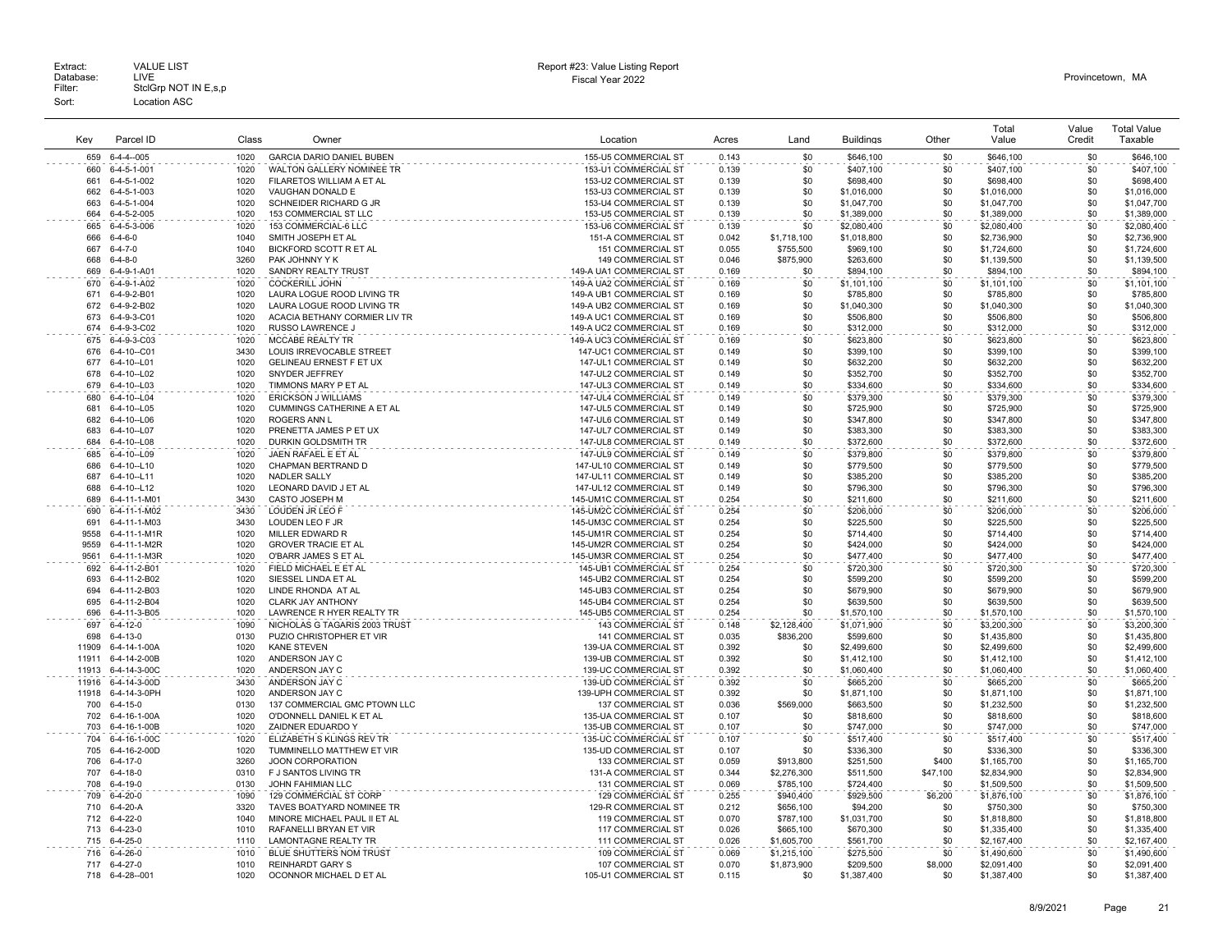|              |                              |              |                                                     |                                                  |                |                  |                        |            | Total                    | Value      | <b>Total Value</b>       |
|--------------|------------------------------|--------------|-----------------------------------------------------|--------------------------------------------------|----------------|------------------|------------------------|------------|--------------------------|------------|--------------------------|
| Kev          | Parcel ID                    | Class        | Owner                                               | Location                                         | Acres          | Land             | <b>Buildings</b>       | Other      | Value                    | Credit     | Taxable                  |
| 659          | $6 - 4 - 4 - 005$            | 1020         | <b>GARCIA DARIO DANIEL BUBEN</b>                    | 155-U5 COMMERCIAL ST                             | 0.143          | \$0              | \$646,100              | \$0        | \$646,100                | \$0        | \$646,100                |
| 660          | 6-4-5-1-001                  | 1020         | WALTON GALLERY NOMINEE TR                           | 153-U1 COMMERCIAL ST                             | 0.139          | \$0              | \$407,100              | \$0        | \$407,100                | \$0        | \$407,100                |
| 661          | 6-4-5-1-002                  | 1020         | FILARETOS WILLIAM A ET AL                           | 153-U2 COMMERCIAL ST                             | 0.139          | \$0              | \$698,400              | \$0        | \$698,400                | \$0        | \$698,400                |
| 662          | 6-4-5-1-003                  | 1020         | VAUGHAN DONALD E                                    | 153-U3 COMMERCIAL ST                             | 0.139          | \$0              | \$1,016,000            | \$0        | \$1,016,000              | \$0        | \$1,016,000              |
| 663          | 6-4-5-1-004                  | 1020         | SCHNEIDER RICHARD G JR                              | 153-U4 COMMERCIAL ST                             | 0.139          | \$0              | \$1,047,700            | \$0        | \$1,047,700              | \$0        | \$1,047,700              |
| 664          | 6-4-5-2-005                  | 1020         | 153 COMMERCIAL ST LLC                               | 153-U5 COMMERCIAL ST                             | 0.139          | \$0              | \$1,389,000            | \$0        | \$1,389,000              | \$0        | \$1,389,000              |
| 665          | 6-4-5-3-006                  | 1020         | 153 COMMERCIAL-6 LLC                                | 153-U6 COMMERCIAL ST                             | 0.139          | \$0              | \$2,080,400            | \$0        | \$2,080,400              | \$0        | \$2,080,400              |
| 666          | $6 - 4 - 6 - 0$              | 1040         | SMITH JOSEPH ET AL                                  | 151-A COMMERCIAL ST                              | 0.042          | \$1,718,100      | \$1,018,800            | \$0        | \$2,736,900              | \$0        | \$2,736,900              |
| 667          | $6 - 4 - 7 - 0$              | 1040         | BICKFORD SCOTT R ET AL                              | 151 COMMERCIAL ST                                | 0.055          | \$755,500        | \$969,100              | \$0        | \$1,724,600              | \$0        | \$1,724,600              |
| 668          | $6 - 4 - 8 - 0$              | 3260         | PAK JOHNNY Y K                                      | 149 COMMERCIAL ST                                | 0.046          | \$875,900        | \$263,600              | \$0        | \$1,139,500              | \$0        | \$1,139,500              |
| 669          | 6-4-9-1-A01                  | 1020         | SANDRY REALTY TRUST                                 | 149-A UA1 COMMERCIAL ST                          | 0.169          | \$0              | \$894,100              | \$0        | \$894,100                | \$0        | \$894,100                |
| 670          | 6-4-9-1-A02                  | 1020         | COCKERILL JOHN                                      | 149-A UA2 COMMERCIAL ST                          | 0.169          | \$0              | \$1,101,100            | \$0        | \$1,101.100              | \$0        | \$1,101,100              |
| 671          | 6-4-9-2-B01                  | 1020         | LAURA LOGUE ROOD LIVING TR                          | 149-A UB1 COMMERCIAL ST                          | 0.169          | \$0              | \$785,800              | \$0        | \$785,800                | \$0        | \$785,800                |
| 672          | 6-4-9-2-B02                  | 1020         | LAURA LOGUE ROOD LIVING TR                          | 149-A UB2 COMMERCIAL ST                          | 0.169          | \$0              | \$1,040,300            | \$0        | \$1,040,300              | \$0        | \$1,040,300              |
| 673          | 6-4-9-3-C01                  | 1020         | ACACIA BETHANY CORMIER LIV TR                       | 149-A UC1 COMMERCIAL ST                          | 0.169          | \$0              | \$506,800              | \$0        | \$506,800                | \$0        | \$506,800                |
| 674          | 6-4-9-3-C02                  | 1020         | RUSSO LAWRENCE J                                    | 149-A UC2 COMMERCIAL ST                          | 0.169          | \$0              | \$312,000              | \$0<br>\$0 | \$312,000                | \$0<br>\$0 | \$312,000                |
| 675<br>676   | 6-4-9-3-C03                  | 1020         | MCCABE REALTY TR                                    | 149-A UC3 COMMERCIAL ST                          | 0.169          | \$0              | \$623,800              |            | \$623,800                |            | \$623,800                |
| 677          | 6-4-10--C01<br>6-4-10--L01   | 3430<br>1020 | LOUIS IRREVOCABLE STREET<br>GELINEAU ERNEST F ET UX | 147-UC1 COMMERCIAL ST<br>147-UL1 COMMERCIAL ST   | 0.149<br>0.149 | \$0<br>\$0       | \$399,100<br>\$632,200 | \$0<br>\$0 | \$399,100<br>\$632,200   | \$0<br>\$0 | \$399,100<br>\$632,200   |
| 678          | 6-4-10--L02                  | 1020         | SNYDER JEFFREY                                      | 147-UL2 COMMERCIAL ST                            | 0.149          | \$0              | \$352,700              | \$0        | \$352,700                | \$0        | \$352,700                |
| 679          | 6-4-10--L03                  | 1020         | TIMMONS MARY P ET AL                                | 147-UL3 COMMERCIAL ST                            | 0.149          | \$0              | \$334,600              | \$0        | \$334,600                | \$0        | \$334,600                |
| 680          | 6-4-10--L04                  | 1020         | <b>ERICKSON J WILLIAMS</b>                          | 147-UL4 COMMERCIAL ST                            | 0.149          | \$0              | \$379,300              | \$0        | \$379,300                | \$0        | \$379,300                |
| 681          | 6-4-10--L05                  | 1020         | CUMMINGS CATHERINE A ET AL                          | 147-UL5 COMMERCIAL ST                            | 0.149          | \$0              | \$725,900              | \$0        | \$725,900                | \$0        | \$725,900                |
| 682          | 6-4-10--L06                  | 1020         | <b>ROGERS ANN L</b>                                 | 147-UL6 COMMERCIAL ST                            | 0.149          | \$0              | \$347,800              | \$0        | \$347,800                | \$0        | \$347,800                |
| 683          | 6-4-10--L07                  | 1020         | PRENETTA JAMES P ET UX                              | 147-UL7 COMMERCIAL ST                            | 0.149          | \$0              | \$383,300              | \$0        | \$383,300                | \$0        | \$383,300                |
| 684          | 6-4-10--L08                  | 1020         | DURKIN GOLDSMITH TR                                 | 147-UL8 COMMERCIAL ST                            | 0.149          | \$0              | \$372,600              | \$0        | \$372,600                | \$0        | \$372,600                |
| 685          | 6-4-10--L09                  | 1020         | JAEN RAFAEL E ET AL                                 | 147-UL9 COMMERCIAL ST                            | 0.149          | \$0              | \$379,800              | \$0        | \$379,800                | \$0        | \$379,800                |
| 686          | 6-4-10--L10                  | 1020         | CHAPMAN BERTRAND D                                  | 147-UL10 COMMERCIAL ST                           | 0.149          | \$0              | \$779.500              | \$0        | \$779.500                | \$0        | \$779,500                |
| 687          | 6-4-10--L11                  | 1020         | NADLER SALLY                                        | 147-UL11 COMMERCIAL ST                           | 0.149          | \$0              | \$385,200              | \$0        | \$385,200                | \$0        | \$385,200                |
| 688          | 6-4-10--L12                  | 1020         | LEONARD DAVID J ET AL                               | 147-UL12 COMMERCIAL ST                           | 0.149          | \$0              | \$796,300              | \$0        | \$796,300                | \$0        | \$796,300                |
| 689          | 6-4-11-1-M01                 | 3430         | CASTO JOSEPH M                                      | 145-UM1C COMMERCIAL ST                           | 0.254          | \$0              | \$211,600              | \$0        | \$211,600                | \$0        | \$211,600                |
| 690          | 6-4-11-1-M02                 | 3430         | LOUDEN JR LEO F                                     | 145-UM2C COMMERCIAL ST                           | 0.254          | \$0              | \$206,000              | \$0        | \$206,000                | \$0        | \$206,000                |
| 691          | 6-4-11-1-M03                 | 3430         | LOUDEN LEO F JR                                     | 145-UM3C COMMERCIAL ST                           | 0.254          | \$0              | \$225,500              | \$0        | \$225,500                | \$0        | \$225,500                |
| 9558         | 6-4-11-1-M1R                 | 1020         | MILLER EDWARD R                                     | 145-UM1R COMMERCIAL ST                           | 0.254          | \$0<br>\$0       | \$714,400              | \$0        | \$714,400                | \$0<br>\$0 | \$714,400                |
| 9559<br>9561 | 6-4-11-1-M2R<br>6-4-11-1-M3R | 1020<br>1020 | <b>GROVER TRACIE ET AL</b><br>O'BARR JAMES S ET AL  | 145-UM2R COMMERCIAL ST<br>145-UM3R COMMERCIAL ST | 0.254<br>0.254 | \$0              | \$424,000<br>\$477,400 | \$0<br>\$0 | \$424,000<br>\$477,400   | \$0        | \$424,000<br>\$477,400   |
| 692          | 6-4-11-2-B01                 | 1020         | FIELD MICHAEL E ET AL                               | 145-UB1 COMMERCIAL ST                            | 0.254          | \$0              | \$720,300              | \$0        | \$720,300                | \$0        | \$720,300                |
| 693          | 6-4-11-2-B02                 | 1020         | SIESSEL LINDA ET AL                                 | 145-UB2 COMMERCIAL ST                            | 0.254          | \$0              | \$599,200              | \$0        | \$599,200                | \$0        | \$599,200                |
| 694          | 6-4-11-2-B03                 | 1020         | LINDE RHONDA AT AL                                  | 145-UB3 COMMERCIAL ST                            | 0.254          | \$0              | \$679,900              | \$0        | \$679,900                | \$0        | \$679,900                |
| 695          | 6-4-11-2-B04                 | 1020         | <b>CLARK JAY ANTHONY</b>                            | 145-UB4 COMMERCIAL ST                            | 0.254          | \$0              | \$639,500              | \$0        | \$639,500                | \$0        | \$639,500                |
| 696          | 6-4-11-3-B05                 | 1020         | LAWRENCE R HYER REALTY TR                           | 145-UB5 COMMERCIAL ST                            | 0.254          | \$0              | \$1,570,100            | \$0        | \$1,570,100              | \$0        | \$1,570,100              |
| 697          | 6-4-12-0                     | 1090         | NICHOLAS G TAGARIS 2003 TRUST                       | 143 COMMERCIAL ST                                | 0.148          | \$2,128,400      | \$1,071,900            | \$0        | \$3,200,300              | \$0        | \$3,200,300              |
| 698          | $6 - 4 - 13 - 0$             | 0130         | PUZIO CHRISTOPHER ET VIR                            | 141 COMMERCIAL ST                                | 0.035          | \$836,200        | \$599,600              | \$0        | \$1,435,800              | \$0        | \$1,435,800              |
| 11909        | 6-4-14-1-00A                 | 1020         | <b>KANE STEVEN</b>                                  | 139-UA COMMERCIAL ST                             | 0.392          | \$0              | \$2,499,600            | \$0        | \$2,499,600              | \$0        | \$2,499,600              |
| 11911        | 6-4-14-2-00B                 | 1020         | ANDERSON JAY C                                      | 139-UB COMMERCIAL ST                             | 0.392          | \$0              | \$1,412,100            | \$0        | \$1,412,100              | \$0        | \$1,412,100              |
| 11913        | 6-4-14-3-00C                 | 1020         | ANDERSON JAY C                                      | 139-UC COMMERCIAL ST                             | 0.392          | \$0              | \$1,060,400            | \$0        | \$1,060,400              | \$0        | \$1,060,400              |
| 11916        | 6-4-14-3-00D                 | 3430         | ANDERSON JAY C                                      | 139-UD COMMERCIAL ST                             | 0.392          | \$0              | \$665,200              | \$0        | \$665,200                | \$0        | \$665,200                |
| 11918        | 6-4-14-3-0PH                 | 1020         | ANDERSON JAY C                                      | 139-UPH COMMERCIAL ST                            | 0.392          | \$0              | \$1,871,100            | \$0        | \$1,871,100              | \$0        | \$1,871,100              |
| 700          | $6 - 4 - 15 - 0$             | 0130         | 137 COMMERCIAL GMC PTOWN LLC                        | 137 COMMERCIAL ST                                | 0.036          | \$569,000        | \$663,500              | \$0        | \$1,232,500              | \$0        | \$1,232,500              |
| 702          | 6-4-16-1-00A                 | 1020         | O'DONNELL DANIEL K ET AL                            | 135-UA COMMERCIAL ST                             | 0.107          | \$0              | \$818,600              | \$0        | \$818,600                | \$0        | \$818,600                |
| 703          | 6-4-16-1-00B                 | 1020         | ZAIDNER EDUARDO Y                                   | 135-UB COMMERCIAL ST                             | 0.107          | \$0              | \$747,000              | \$0        | \$747,000                | \$0        | \$747,000                |
| 704<br>705   | 6-4-16-1-00C                 | 1020         | ELIZABETH S KLINGS REV TR                           | 135-UC COMMERCIAL ST                             | 0.107<br>0.107 | \$0              | \$517,400              | \$0<br>\$0 | \$517,400                | \$0        | \$517,400                |
| 706          | 6-4-16-2-00D<br>6-4-17-0     | 1020<br>3260 | TUMMINELLO MATTHEW ET VIR<br>JOON CORPORATION       | 135-UD COMMERCIAL ST<br>133 COMMERCIAL ST        | 0.059          | \$0<br>\$913,800 | \$336,300<br>\$251,500 | \$400      | \$336,300<br>\$1,165,700 | \$0<br>\$0 | \$336,300<br>\$1,165,700 |
| 707          | $6 - 4 - 18 - 0$             | 0310         | F J SANTOS LIVING TR                                | 131-A COMMERCIAL ST                              | 0.344          | \$2,276,300      | \$511,500              | \$47,100   | \$2,834,900              | \$0        | \$2,834,900              |
| 708          | $6 - 4 - 19 - 0$             | 0130         | JOHN FAHIMIAN LLC                                   | 131 COMMERCIAL ST                                | 0.069          | \$785,100        | \$724,400              | \$0        | \$1,509,500              | \$0        | \$1,509,500              |
| 709          | $6 - 4 - 20 - 0$             | 1090         | 129 COMMERCIAL ST CORP                              | 129 COMMERCIAL ST                                | 0.255          | \$940,400        | \$929,500              | \$6.200    | \$1,876,100              | \$0        | \$1,876,100              |
| 710          | 6-4-20-A                     | 3320         | TAVES BOATYARD NOMINEE TR                           | 129-R COMMERCIAL ST                              | 0.212          | \$656,100        | \$94,200               | \$0        | \$750,300                | \$0        | \$750,300                |
| 712          | 6-4-22-0                     | 1040         | MINORE MICHAEL PAUL II ET AL                        | 119 COMMERCIAL ST                                | 0.070          | \$787,100        | \$1,031,700            | \$0        | \$1,818,800              | \$0        | \$1,818,800              |
| 713          | $6 - 4 - 23 - 0$             | 1010         | RAFANELLI BRYAN ET VIR                              | 117 COMMERCIAL ST                                | 0.026          | \$665,100        | \$670,300              | \$0        | \$1,335,400              | \$0        | \$1,335,400              |
| 715          | 6-4-25-0                     | 1110         | <b>LAMONTAGNE REALTY TR</b>                         | 111 COMMERCIAL ST                                | 0.026          | \$1,605,700      | \$561,700              | \$0        | \$2,167,400              | \$0        | \$2,167,400              |
| 716          | $6 - 4 - 26 - 0$             | 1010         | BLUE SHUTTERS NOM TRUST                             | 109 COMMERCIAL ST                                | 0.069          | \$1,215,100      | \$275,500              | \$0        | \$1,490,600              | \$0        | \$1,490,600              |
| 717          | 6-4-27-0                     | 1010         | <b>REINHARDT GARY S</b>                             | 107 COMMERCIAL ST                                | 0.070          | \$1,873,900      | \$209,500              | \$8,000    | \$2,091,400              | \$0        | \$2,091,400              |
| 718          | 6-4-28--001                  | 1020         | OCONNOR MICHAEL D ET AL                             | 105-U1 COMMERCIAL ST                             | 0.115          | \$0              | \$1,387.400            | \$0        | \$1,387,400              | \$0        | \$1,387,400              |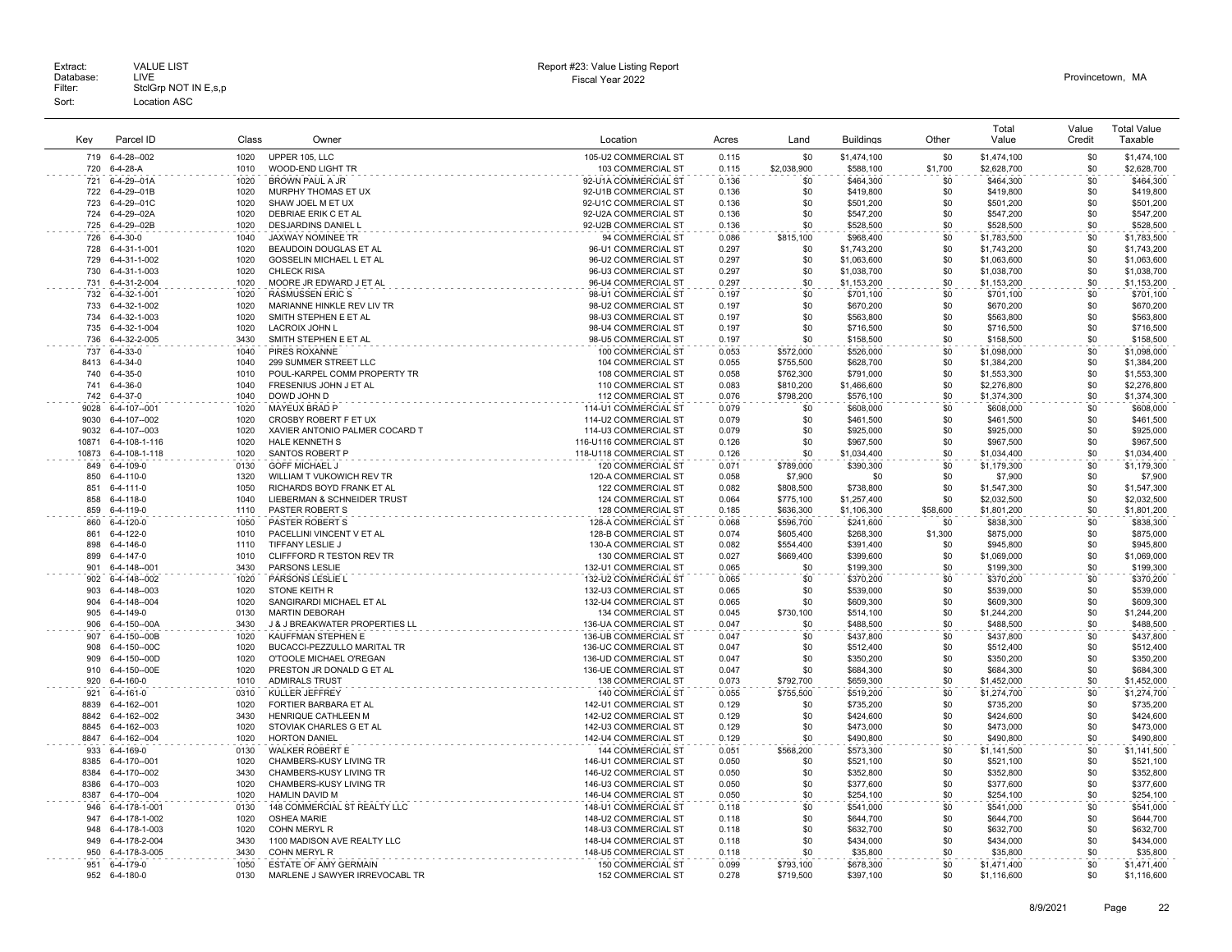| Key           | Parcel ID                              | Class        | Owner                                                   | Location                                       | Acres          | Land                   | <b>Buildings</b>       | Other          | Total<br>Value           | Value<br>Credit | <b>Total Value</b><br>Taxable |
|---------------|----------------------------------------|--------------|---------------------------------------------------------|------------------------------------------------|----------------|------------------------|------------------------|----------------|--------------------------|-----------------|-------------------------------|
| 719           | 6-4-28--002                            | 1020         | UPPER 105. LLC                                          | 105-U2 COMMERCIAL ST                           | 0.115          | \$0                    | \$1,474,100            | \$0            | \$1,474,100              | \$0             | \$1,474,100                   |
| 720           | 6-4-28-A                               | 1010         | WOOD-END LIGHT TR                                       | 103 COMMERCIAL ST                              | 0.115          | \$2,038,900            | \$588,100              | \$1,700        | \$2,628,700              | \$0             | \$2,628,700                   |
| 721           | 6-4-29--01A                            | 1020         | <b>BROWN PAUL A JR</b>                                  | 92-U1A COMMERCIAL ST                           | 0.136          | \$0                    | \$464,300              | \$0            | \$464,300                | \$0             | \$464,300                     |
| 722           | 6-4-29--01B                            | 1020         | MURPHY THOMAS ET UX                                     | 92-U1B COMMERCIAL ST                           | 0.136          | \$0                    | \$419,800              | \$0            | \$419,800                | \$0             | \$419,800                     |
| 723           | 6-4-29--01C                            | 1020         | SHAW JOEL M ET UX                                       | 92-U1C COMMERCIAL ST                           | 0.136          | \$0                    | \$501,200              | \$0            | \$501,200                | \$0<br>\$0      | \$501,200                     |
| 724<br>725    | 6-4-29--02A<br>6-4-29--02B             | 1020<br>1020 | DEBRIAE ERIK C ET AL<br>DESJARDINS DANIEL L             | 92-U2A COMMERCIAL ST<br>92-U2B COMMERCIAL ST   | 0.136<br>0.136 | \$0<br>\$0             | \$547,200<br>\$528,500 | \$0<br>\$0     | \$547,200<br>\$528,500   | \$0             | \$547,200<br>\$528,500        |
| 726           | $6 - 4 - 30 - 0$                       | 1040         | JAXWAY NOMINEE TR                                       | 94 COMMERCIAL ST                               | 0.086          | \$815,100              | \$968,400              | \$0            | \$1,783,500              | \$0             | \$1,783,500                   |
| 728           | 6-4-31-1-001                           | 1020         | BEAUDOIN DOUGLAS ET AL                                  | 96-U1 COMMERCIAL ST                            | 0.297          | \$0                    | \$1,743,200            | \$0            | \$1,743,200              | \$0             | \$1,743,200                   |
| 729           | 6-4-31-1-002                           | 1020         | GOSSELIN MICHAEL L ET AL                                | 96-U2 COMMERCIAL ST                            | 0.297          | \$0                    | \$1,063,600            | \$0            | \$1,063,600              | \$0             | \$1,063,600                   |
| 730           | 6-4-31-1-003                           | 1020         | <b>CHLECK RISA</b>                                      | 96-U3 COMMERCIAL ST                            | 0.297          | \$0                    | \$1,038,700            | \$0            | \$1,038,700              | \$0             | \$1,038,700                   |
| 731           | 6-4-31-2-004                           | 1020         | MOORE JR EDWARD J ET AL                                 | 96-U4 COMMERCIAL ST                            | 0.297          | \$0                    | \$1,153,200            | \$0            | \$1,153,200              | \$0             | \$1,153,200                   |
| 732           | 6-4-32-1-001                           | 1020         | <b>RASMUSSEN ERIC S</b>                                 | 98-U1 COMMERCIAL ST                            | 0.197          | \$0                    | \$701.100              | \$0            | \$701,100                | \$0             | \$701.100                     |
| 733           | 6-4-32-1-002                           | 1020         | MARIANNE HINKLE REV LIV TR                              | 98-U2 COMMERCIAL ST                            | 0.197          | \$0                    | \$670,200              | \$0            | \$670,200                | \$0             | \$670,200                     |
| 734<br>735    | 6-4-32-1-003<br>6-4-32-1-004           | 1020<br>1020 | SMITH STEPHEN E ET AL<br><b>LACROIX JOHN L</b>          | 98-U3 COMMERCIAL ST<br>98-U4 COMMERCIAL ST     | 0.197<br>0.197 | \$0<br>\$0             | \$563,800              | \$0<br>\$0     | \$563,800<br>\$716,500   | \$0<br>\$0      | \$563,800<br>\$716,500        |
| 736           | 6-4-32-2-005                           | 3430         | SMITH STEPHEN E ET AL                                   | 98-U5 COMMERCIAL ST                            | 0.197          | \$0                    | \$716,500<br>\$158,500 | \$0            | \$158,500                | \$0             | \$158,500                     |
| 737           | $6 - 4 - 33 - 0$                       | 1040         | PIRES ROXANNE                                           | 100 COMMERCIAL ST                              | 0.053          | \$572,000              | \$526,000              | \$0            | \$1,098,000              | \$0             | \$1,098,000                   |
| 8413          | $6 - 4 - 34 - 0$                       | 1040         | 299 SUMMER STREET LLC                                   | 104 COMMERCIAL ST                              | 0.055          | \$755,500              | \$628,700              | \$0            | \$1,384,200              | \$0             | \$1,384,200                   |
| 740           | $6 - 4 - 35 - 0$                       | 1010         | POUL-KARPEL COMM PROPERTY TR                            | 108 COMMERCIAL ST                              | 0.058          | \$762,300              | \$791,000              | \$0            | \$1,553,300              | \$0             | \$1,553,300                   |
| 741           | $6 - 4 - 36 - 0$                       | 1040         | FRESENIUS JOHN J ET AL                                  | 110 COMMERCIAL ST                              | 0.083          | \$810,200              | \$1,466,600            | \$0            | \$2,276,800              | \$0             | \$2,276,800                   |
| 742           | $6 - 4 - 37 - 0$                       | 1040         | DOWD JOHN D                                             | 112 COMMERCIAL ST                              | 0.076          | \$798,200              | \$576,100              | \$0            | \$1,374,300              | \$0             | \$1,374,300                   |
| 9028          | 6-4-107--001                           | 1020         | MAYEUX BRAD P                                           | 114-U1 COMMERCIAL ST                           | 0.079          | \$0                    | \$608,000              | \$0            | \$608,000                | \$0             | \$608,000                     |
| 9030          | 6-4-107--002                           | 1020         | CROSBY ROBERT F ET UX                                   | 114-U2 COMMERCIAL ST                           | 0.079          | \$0                    | \$461,500              | \$0            | \$461,500                | \$0             | \$461,500                     |
| 9032<br>10871 | 6-4-107--003<br>6-4-108-1-116          | 1020<br>1020 | XAVIER ANTONIO PALMER COCARD T<br><b>HALE KENNETH S</b> | 114-U3 COMMERCIAL ST<br>116-U116 COMMERCIAL ST | 0.079<br>0.126 | \$0<br>\$0             | \$925,000<br>\$967,500 | \$0<br>\$0     | \$925,000<br>\$967,500   | \$0<br>\$0      | \$925,000<br>\$967,500        |
| 10873         | 6-4-108-1-118                          | 1020         | SANTOS ROBERT P                                         | 118-U118 COMMERCIAL ST                         | 0.126          | \$0                    | \$1,034,400            | \$0            | \$1,034,400              | \$0             | \$1,034,400                   |
| 849           | 6-4-109-0                              | 0130         | <b>GOFF MICHAEL J</b>                                   | 120 COMMERCIAL ST                              | 0.071          | \$789,000              | \$390.300              | \$0            | \$1,179,300              | \$0             | \$1,179,300                   |
| 850           | 6-4-110-0                              | 1320         | WILLIAM T VUKOWICH REV TR                               | 120-A COMMERCIAL ST                            | 0.058          | \$7,900                | \$0                    | \$0            | \$7,900                  | \$0             | \$7,900                       |
| 851           | 6-4-111-0                              | 1050         | RICHARDS BOYD FRANK ET AL                               | 122 COMMERCIAL ST                              | 0.082          | \$808,500              | \$738,800              | \$0            | \$1,547,300              | \$0             | \$1,547,300                   |
| 858           | $6 - 4 - 118 - 0$                      | 1040         | LIEBERMAN & SCHNEIDER TRUST                             | 124 COMMERCIAL ST                              | 0.064          | \$775,100              | \$1,257,400            | \$0            | \$2,032,500              | \$0             | \$2,032,500                   |
| 859           | 6-4-119-0                              | 1110         | PASTER ROBERT S                                         | 128 COMMERCIAL ST                              | 0.185          | \$636,300              | \$1,106,300            | \$58,600       | \$1,801,200              | \$0             | \$1,801,200                   |
| 860           | 6-4-120-0                              | 1050         | PASTER ROBERT S                                         | 128-A COMMERCIAL ST                            | 0.068          | \$596,700              | \$241,600              | \$0            | \$838,300                | \$0             | \$838,300                     |
| 861<br>898    | $6 - 4 - 122 - 0$<br>$6 - 4 - 146 - 0$ | 1010<br>1110 | PACELLINI VINCENT V ET AL<br>TIFFANY LESLIE J           | 128-B COMMERCIAL ST<br>130-A COMMERCIAL ST     | 0.074<br>0.082 | \$605,400<br>\$554,400 | \$268,300<br>\$391,400 | \$1,300<br>\$0 | \$875,000<br>\$945,800   | \$0<br>\$0      | \$875,000<br>\$945,800        |
| 899           | $6 - 4 - 147 - 0$                      | 1010         | CLIFFFORD R TESTON REV TR                               | 130 COMMERCIAL ST                              | 0.027          | \$669,400              | \$399,600              | \$0            | \$1,069,000              | \$0             | \$1,069,000                   |
| 901           | 6-4-148--001                           | 3430         | PARSONS LESLIE                                          | 132-U1 COMMERCIAL ST                           | 0.065          | \$0                    | \$199,300              | \$0            | \$199,300                | \$0             | \$199,300                     |
| 902           | 6-4-148--002                           | 1020         | PARSONS LESLIE L                                        | 132-U2 COMMERCIAL ST                           | 0.065          | \$0                    | \$370,200              | \$0            | \$370,200                | \$0             | \$370,200                     |
| 903           | 6-4-148--003                           | 1020         | STONE KEITH R                                           | 132-U3 COMMERCIAL ST                           | 0.065          | \$0                    | \$539,000              | \$0            | \$539,000                | \$0             | \$539,000                     |
| 904           | 6-4-148--004                           | 1020         | SANGIRARDI MICHAEL ET AL                                | 132-U4 COMMERCIAL ST                           | 0.065          | \$0                    | \$609,300              | \$0            | \$609,300                | \$0             | \$609,300                     |
| 905           | 6-4-149-0                              | 0130         | <b>MARTIN DEBORAH</b>                                   | 134 COMMERCIAL ST                              | 0.045          | \$730,100              | \$514,100              | \$0            | \$1,244,200              | \$0             | \$1,244,200                   |
| 906           | 6-4-150--00A                           | 3430         | J & J BREAKWATER PROPERTIES LL                          | 136-UA COMMERCIAL ST                           | 0.047          | \$0                    | \$488,500              | \$0            | \$488,500                | \$0             | \$488,500                     |
| 907<br>908    | 6-4-150--00B                           | 1020<br>1020 | KAUFFMAN STEPHEN E<br>BUCACCI-PEZZULLO MARITAL TR       | 136-UB COMMERCIAL ST<br>136-UC COMMERCIAL ST   | 0.047          | \$0                    | \$437,800              | \$0<br>\$0     | \$437,800                | \$0<br>\$0      | \$437,800<br>\$512,400        |
| 909           | 6-4-150--00C<br>6-4-150--00D           | 1020         | O'TOOLE MICHAEL O'REGAN                                 | 136-UD COMMERCIAL ST                           | 0.047<br>0.047 | \$0<br>\$0             | \$512,400<br>\$350,200 | \$0            | \$512,400<br>\$350,200   | \$0             | \$350,200                     |
| 910           | 6-4-150--00E                           | 1020         | PRESTON JR DONALD G ET AL                               | 136-UE COMMERCIAL ST                           | 0.047          | \$0                    | \$684,300              | \$0            | \$684,300                | \$0             | \$684,300                     |
| 920           | 6-4-160-0                              | 1010         | <b>ADMIRALS TRUST</b>                                   | 138 COMMERCIAL ST                              | 0.073          | \$792,700              | \$659,300              | \$0            | \$1,452,000              | \$0             | \$1,452,000                   |
| 921           | $6 - 4 - 161 - 0$                      | 0310         | KULLER JEFFREY                                          | 140 COMMERCIAL ST                              | 0.055          | \$755,500              | \$519,200              | \$0            | \$1,274,700              | \$0             | \$1,274,700                   |
| 8839          | 6-4-162--001                           | 1020         | FORTIER BARBARA ET AL                                   | 142-U1 COMMERCIAL ST                           | 0.129          | \$0                    | \$735,200              | \$0            | \$735,200                | \$0             | \$735,200                     |
| 8842          | 6-4-162--002                           | 3430         | HENRIQUE CATHLEEN M                                     | 142-U2 COMMERCIAL ST                           | 0.129          | \$0                    | \$424,600              | \$0            | \$424,600                | \$0             | \$424,600                     |
| 8845          | 6-4-162--003                           | 1020         | STOVIAK CHARLES G ET AL                                 | 142-U3 COMMERCIAL ST                           | 0.129          | \$0                    | \$473,000              | \$0<br>\$0     | \$473,000                | \$0<br>\$0      | \$473,000                     |
| 8847          | 6-4-162--004                           | 1020         | <b>HORTON DANIEL</b>                                    | 142-U4 COMMERCIAL ST                           | 0.129          | \$0                    | \$490,800              |                | \$490,800                | \$0             | \$490,800                     |
| 933<br>8385   | 6-4-169-0<br>6-4-170--001              | 0130<br>1020 | <b>WALKER ROBERT E</b><br>CHAMBERS-KUSY LIVING TR       | 144 COMMERCIAL ST<br>146-U1 COMMERCIAL ST      | 0.051<br>0.050 | \$568,200<br>\$0       | \$573,300<br>\$521,100 | \$0<br>\$0     | \$1,141,500<br>\$521,100 | \$0             | \$1,141,500<br>\$521,100      |
| 8384          | 6-4-170--002                           | 3430         | CHAMBERS-KUSY LIVING TR                                 | 146-U2 COMMERCIAL ST                           | 0.050          | \$0                    | \$352,800              | \$0            | \$352,800                | \$0             | \$352,800                     |
| 8386          | 6-4-170--003                           | 1020         | CHAMBERS-KUSY LIVING TR                                 | 146-U3 COMMERCIAL ST                           | 0.050          | \$0                    | \$377,600              | \$0            | \$377,600                | \$0             | \$377,600                     |
| 8387          | 6-4-170--004                           | 1020         | HAMLIN DAVID M                                          | 146-U4 COMMERCIAL ST                           | 0.050          | \$0                    | \$254,100              | \$0            | \$254,100                | \$0             | \$254,100                     |
| 946           | 6-4-178-1-001                          | 0130         | 148 COMMERCIAL ST REALTY LLC                            | 148-U1 COMMERCIAL ST                           | 0.118          | \$0                    | \$541,000              | \$0            | \$541,000                | \$0             | \$541,000                     |
| 947           | 6-4-178-1-002                          | 1020         | OSHEA MARIE                                             | 148-U2 COMMERCIAL ST                           | 0.118          | \$0                    | \$644,700              | \$0            | \$644,700                | \$0             | \$644,700                     |
| 948           | 6-4-178-1-003                          | 1020         | COHN MERYL R                                            | 148-U3 COMMERCIAL ST                           | 0.118          | \$0                    | \$632,700              | \$0            | \$632,700                | \$0             | \$632,700                     |
| 949           | 6-4-178-2-004                          | 3430         | 1100 MADISON AVE REALTY LLC                             | 148-U4 COMMERCIAL ST                           | 0.118          | \$0                    | \$434,000              | \$0            | \$434,000                | \$0             | \$434,000                     |
| 950<br>951    | 6-4-178-3-005<br>6-4-179-0             | 3430<br>1050 | COHN MERYL R<br><b>ESTATE OF AMY GERMAIN</b>            | 148-U5 COMMERCIAL ST<br>150 COMMERCIAL ST      | 0.118<br>0.099 | \$0<br>\$793,100       | \$35,800               | \$0<br>\$0     | \$35,800<br>\$1,471,400  | \$0<br>\$0      | \$35,800<br>\$1,471,400       |
| 952           | 6-4-180-0                              | 0130         | MARLENE J SAWYER IRREVOCABL TR                          | 152 COMMERCIAL ST                              | 0.278          | \$719,500              | \$678,300<br>\$397.100 | \$0            | \$1,116,600              | \$0             | \$1,116,600                   |
|               |                                        |              |                                                         |                                                |                |                        |                        |                |                          |                 |                               |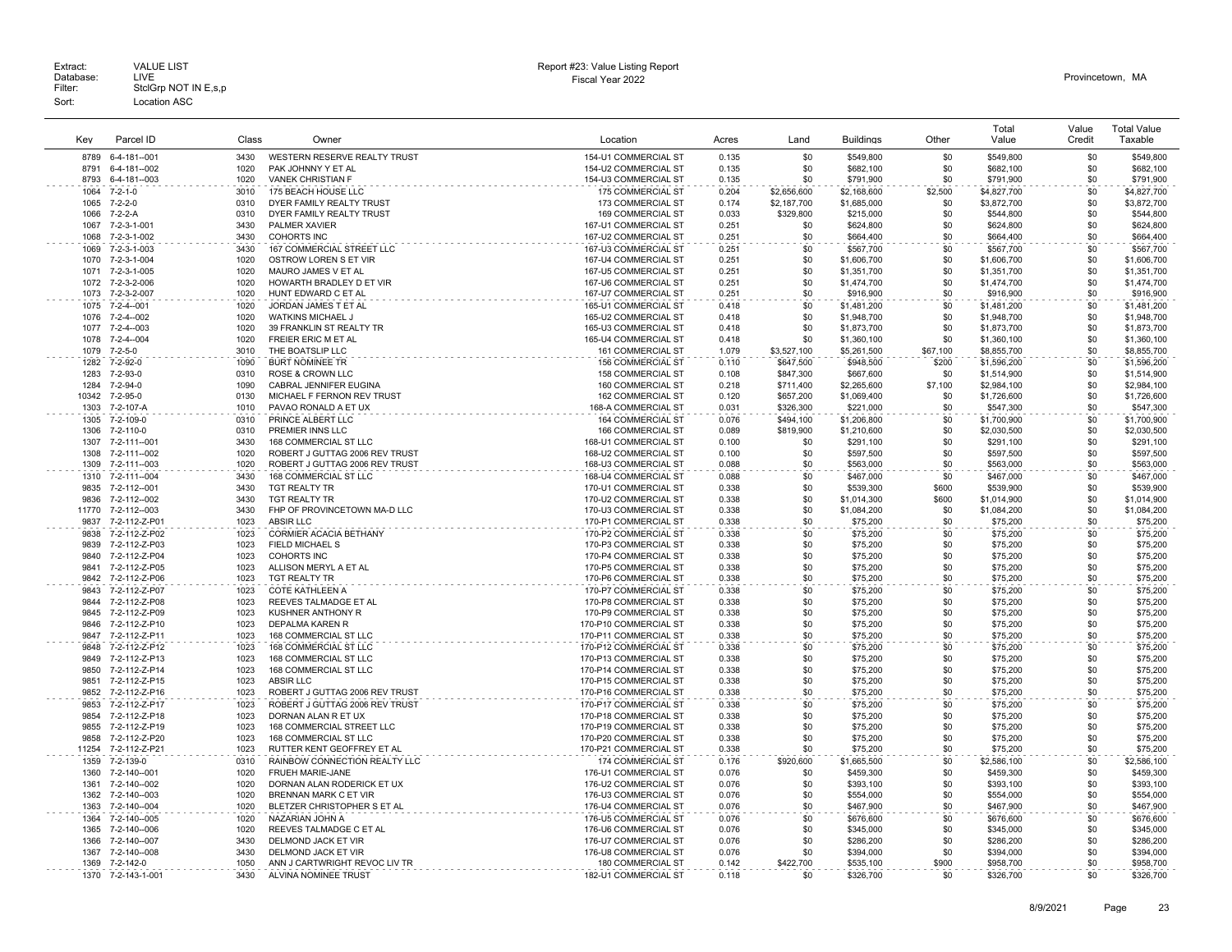| Extract:<br>Database:<br>Filter: | <b>VALUE LIST</b><br>LIVE<br>StclGrp NOT IN E,s,p | Report #23: Value Listing Report<br>Fiscal Year 2022 | Provincetown. MA |
|----------------------------------|---------------------------------------------------|------------------------------------------------------|------------------|
| Sort:                            | Location ASC                                      |                                                      |                  |

# Report #23: Value Listing Report

| Key          | Parcel ID                       | Class        | Owner                                              | Location                                       | Acres          | Land             | <b>Buildings</b>           | Other      | Total<br>Value             | Value<br>Credit | <b>Total Value</b><br>Taxable |
|--------------|---------------------------------|--------------|----------------------------------------------------|------------------------------------------------|----------------|------------------|----------------------------|------------|----------------------------|-----------------|-------------------------------|
| 8789         | 6-4-181--001                    | 3430         | WESTERN RESERVE REALTY TRUST                       | 154-U1 COMMERCIAL ST                           | 0.135          | \$0              | \$549,800                  | \$0        | \$549,800                  | \$0             | \$549,800                     |
| 8791         | 6-4-181--002                    | 1020         | PAK JOHNNY Y ET AL                                 | 154-U2 COMMERCIAL ST                           | 0.135          | \$0              | \$682,100                  | \$0        | \$682,100                  | \$0             | \$682,100                     |
| 8793         | 6-4-181--003                    | 1020         | <b>VANEK CHRISTIAN F</b>                           | 154-U3 COMMERCIAL ST                           | 0.135          | \$0              | \$791,900                  | \$0        | \$791,900                  | \$0             | \$791,900                     |
| 1064         | $7 - 2 - 1 - 0$                 | 3010         | 175 BEACH HOUSE LLC                                | 175 COMMERCIAL ST                              | 0.204          | \$2,656,600      | \$2,168,600                | \$2,500    | \$4,827,700                | \$0             | \$4,827,700                   |
| 1065         | $7 - 2 - 2 - 0$                 | 0310         | DYER FAMILY REALTY TRUST                           | 173 COMMERCIAL ST                              | 0.174          | \$2,187,700      | \$1,685,000                | \$0        | \$3,872,700                | \$0             | \$3,872,700                   |
| 1066         | $7 - 2 - 2 - A$                 | 0310         | DYER FAMILY REALTY TRUST                           | 169 COMMERCIAL ST                              | 0.033          | \$329,800        | \$215,000                  | \$0        | \$544,800                  | \$0             | \$544,800                     |
| 1067<br>1068 | 7-2-3-1-001<br>7-2-3-1-002      | 3430<br>3430 | PALMER XAVIER<br><b>COHORTS INC</b>                | 167-U1 COMMERCIAL ST<br>167-U2 COMMERCIAL ST   | 0.251<br>0.251 | \$0<br>\$0       | \$624,800<br>\$664,400     | \$0<br>\$0 | \$624,800<br>\$664,400     | \$0<br>\$0      | \$624,800<br>\$664,400        |
| 1069         | 7-2-3-1-003                     | 3430         | 167 COMMERCIAL STREET LLC                          | 167-U3 COMMERCIAL ST                           | 0.251          | \$0              | \$567,700                  | \$0        | \$567,700                  | \$0             | \$567,700                     |
| 1070         | 7-2-3-1-004                     | 1020         | OSTROW LOREN S ET VIR                              | 167-U4 COMMERCIAL ST                           | 0.251          | \$0              | \$1,606,700                | \$0        | \$1,606,700                | \$0             | \$1,606,700                   |
| 1071         | 7-2-3-1-005                     | 1020         | MAURO JAMES V ET AL                                | 167-U5 COMMERCIAL ST                           | 0.251          | \$0              | \$1,351,700                | \$0        | \$1,351,700                | \$0             | \$1,351,700                   |
| 1072         | 7-2-3-2-006                     | 1020         | HOWARTH BRADLEY D ET VIR                           | 167-U6 COMMERCIAL ST                           | 0.251          | \$0              | \$1,474,700                | \$0        | \$1,474,700                | \$0             | \$1,474,700                   |
| 1073         | 7-2-3-2-007                     | 1020         | HUNT EDWARD C ET AL                                | 167-U7 COMMERCIAL ST                           | 0.251          | \$0              | \$916,900                  | \$0        | \$916,900                  | \$0             | \$916,900                     |
| 1075         | 7-2-4--001                      | 1020         | JORDAN JAMES T ET AL                               | 165-U1 COMMERCIAL ST                           | 0.418          | \$0              | \$1,481,200                | \$0        | \$1,481,200                | \$0             | \$1,481,200                   |
| 1076<br>1077 | $7 - 2 - 4 - 002$<br>7-2-4--003 | 1020<br>1020 | <b>WATKINS MICHAEL J</b>                           | 165-U2 COMMERCIAL ST                           | 0.418<br>0.418 | \$0<br>\$0       | \$1,948,700                | \$0<br>\$0 | \$1,948,700                | \$0<br>\$0      | \$1,948,700                   |
| 1078         | 7-2-4--004                      | 1020         | 39 FRANKLIN ST REALTY TR<br>FREIER ERIC M ET AL    | 165-U3 COMMERCIAL ST<br>165-U4 COMMERCIAL ST   | 0.418          | \$0              | \$1,873,700<br>\$1,360,100 | \$0        | \$1,873,700<br>\$1,360,100 | \$0             | \$1,873,700<br>\$1,360,100    |
| 1079         | $7 - 2 - 5 - 0$                 | 3010         | THE BOATSLIP LLC                                   | 161 COMMERCIAL ST                              | 1.079          | \$3,527,100      | \$5,261,500                | \$67,100   | \$8,855,700                | \$0             | \$8,855,700                   |
| 1282         | 7-2-92-0                        | 1090         | <b>BURT NOMINEE TR</b>                             | <b>156 COMMERCIAL ST</b>                       | 0.110          | \$647,500        | \$948,500                  | \$200      | \$1,596,200                | \$0             | \$1,596,200                   |
| 1283         | 7-2-93-0                        | 0310         | <b>ROSE &amp; CROWN LLC</b>                        | 158 COMMERCIAL ST                              | 0.108          | \$847,300        | \$667,600                  | \$0        | \$1,514,900                | \$0             | \$1,514,900                   |
| 1284         | 7-2-94-0                        | 1090         | CABRAL JENNIFER EUGINA                             | 160 COMMERCIAL ST                              | 0.218          | \$711,400        | \$2,265,600                | \$7,100    | \$2,984,100                | \$0             | \$2,984,100                   |
| 10342        | 7-2-95-0                        | 0130         | MICHAEL F FERNON REV TRUST                         | 162 COMMERCIAL ST                              | 0.120          | \$657,200        | \$1,069,400                | \$0        | \$1,726,600                | \$0             | \$1,726,600                   |
| 1303         | 7-2-107-A                       | 1010         | PAVAO RONALD A ET UX                               | 168-A COMMERCIAL ST                            | 0.031          | \$326,300        | \$221,000                  | \$0        | \$547,300                  | \$0             | \$547,300                     |
| 1305<br>1306 | 7-2-109-0                       | 0310<br>0310 | PRINCE ALBERT LLC                                  | <b>164 COMMERCIAL ST</b>                       | 0.076          | \$494.100        | \$1,206,800                | \$0<br>\$0 | \$1,700,900                | \$0<br>\$0      | \$1,700,900                   |
| 1307         | 7-2-110-0<br>7-2-111--001       | 3430         | PREMIER INNS LLC<br>168 COMMERCIAL ST LLC          | 166 COMMERCIAL ST<br>168-U1 COMMERCIAL ST      | 0.089<br>0.100 | \$819,900<br>\$0 | \$1,210,600<br>\$291,100   | \$0        | \$2,030,500<br>\$291,100   | \$0             | \$2,030,500<br>\$291,100      |
| 1308         | 7-2-111--002                    | 1020         | ROBERT J GUTTAG 2006 REV TRUST                     | 168-U2 COMMERCIAL ST                           | 0.100          | \$0              | \$597,500                  | \$0        | \$597,500                  | \$0             | \$597,500                     |
| 1309         | 7-2-111--003                    | 1020         | ROBERT J GUTTAG 2006 REV TRUST                     | 168-U3 COMMERCIAL ST                           | 0.088          | \$0              | \$563,000                  | \$0        | \$563,000                  | \$0             | \$563,000                     |
| 1310         | 7-2-111--004                    | 3430         | 168 COMMERCIAL ST LLC                              | 168-U4 COMMERCIAL ST                           | 0.088          | \$0              | \$467,000                  | \$0        | \$467,000                  | \$0             | \$467,000                     |
| 9835         | 7-2-112--001                    | 3430         | TGT REALTY TR                                      | 170-U1 COMMERCIAL ST                           | 0.338          | \$0              | \$539,300                  | \$600      | \$539,900                  | \$0             | \$539,900                     |
| 9836         | 7-2-112--002                    | 3430         | <b>TGT REALTY TR</b>                               | 170-U2 COMMERCIAL ST                           | 0.338          | \$0              | \$1,014,300                | \$600      | \$1,014,900                | \$0             | \$1.014.900                   |
| 11770        | 7-2-112--003                    | 3430         | FHP OF PROVINCETOWN MA-D LLC                       | 170-U3 COMMERCIAL ST                           | 0.338          | \$0              | \$1,084,200                | \$0        | \$1,084,200                | \$0             | \$1,084,200                   |
| 9837         | 7-2-112-Z-P01                   | 1023<br>1023 | <b>ABSIR LLC</b><br>CORMIER ACACIA BETHANY         | 170-P1 COMMERCIAL ST                           | 0.338          | \$0<br>\$0       | \$75,200                   | \$0<br>\$0 | \$75,200                   | \$0<br>\$0      | \$75,200                      |
| 9838<br>9839 | 7-2-112-Z-P02<br>7-2-112-Z-P03  | 1023         | FIELD MICHAEL S                                    | 170-P2 COMMERCIAL ST<br>170-P3 COMMERCIAL ST   | 0.338<br>0.338 | \$0              | \$75,200<br>\$75,200       | \$0        | \$75,200<br>\$75,200       | \$0             | \$75,200<br>\$75,200          |
| 9840         | 7-2-112-Z-P04                   | 1023         | <b>COHORTS INC</b>                                 | 170-P4 COMMERCIAL ST                           | 0.338          | \$0              | \$75,200                   | \$0        | \$75,200                   | \$0             | \$75,200                      |
| 9841         | 7-2-112-Z-P05                   | 1023         | ALLISON MERYL A ET AL                              | 170-P5 COMMERCIAL ST                           | 0.338          | \$0              | \$75,200                   | \$0        | \$75,200                   | \$0             | \$75,200                      |
| 9842         | 7-2-112-Z-P06                   | 1023         | <b>TGT REALTY TR</b>                               | 170-P6 COMMERCIAL ST                           | 0.338          | \$0              | \$75,200                   | \$0        | \$75,200                   | \$0             | \$75.200                      |
| 9843         | 7-2-112-Z-P07                   | 1023         | <b>COTE KATHLEEN A</b>                             | 170-P7 COMMERCIAL ST                           | 0.338          | \$0              | \$75,200                   | \$0        | \$75,200                   | \$0             | \$75,200                      |
| 9844         | 7-2-112-Z-P08                   | 1023         | REEVES TALMADGE ET AL                              | 170-P8 COMMERCIAL ST                           | 0.338          | \$0              | \$75,200                   | \$0        | \$75,200                   | \$0             | \$75,200                      |
| 9845<br>9846 | 7-2-112-Z-P09<br>7-2-112-Z-P10  | 1023<br>1023 | <b>KUSHNER ANTHONY R</b><br><b>DEPALMA KAREN R</b> | 170-P9 COMMERCIAL ST<br>170-P10 COMMERCIAL ST  | 0.338<br>0.338 | \$0<br>\$0       | \$75,200<br>\$75,200       | \$0<br>\$0 | \$75,200<br>\$75,200       | \$0<br>\$0      | \$75,200<br>\$75,200          |
| 9847         | 7-2-112-Z-P11                   | 1023         | 168 COMMERCIAL ST LLC                              | 170-P11 COMMERCIAL ST                          | 0.338          | \$0              | \$75,200                   | \$0        | \$75,200                   | \$0             | \$75,200                      |
| 9848         | 7-2-112-Z-P12                   | 1023         | 168 COMMERCIAL ST LLC                              | 170-P12 COMMERCIAL ST                          | 0.338          | \$0              | \$75,200                   | \$0        | \$75,200                   | \$0             | \$75,200                      |
| 9849         | 7-2-112-Z-P13                   | 1023         | 168 COMMERCIAL ST LLC                              | 170-P13 COMMERCIAL ST                          | 0.338          | \$0              | \$75,200                   | \$0        | \$75,200                   | \$0             | \$75,200                      |
| 9850         | 7-2-112-Z-P14                   | 1023         | 168 COMMERCIAL ST LLC                              | 170-P14 COMMERCIAL ST                          | 0.338          | \$0              | \$75,200                   | \$0        | \$75,200                   | \$0             | \$75,200                      |
| 9851         | 7-2-112-Z-P15                   | 1023         | <b>ABSIR LLC</b>                                   | 170-P15 COMMERCIAL ST                          | 0.338          | \$0              | \$75,200                   | \$0        | \$75,200                   | \$0             | \$75,200                      |
| 9852         | 7-2-112-Z-P16                   | 1023         | ROBERT J GUTTAG 2006 REV TRUST                     | 170-P16 COMMERCIAL ST                          | 0.338          | \$0              | \$75,200                   | \$0        | \$75,200                   | \$0             | \$75,200                      |
| 9853         | 7-2-112-Z-P17                   | 1023         | ROBERT J GUTTAG 2006 REV TRUST                     | 170-P17 COMMERCIAL ST                          | 0.338          | \$0              | \$75,200                   | \$0        | \$75,200                   | \$0             | \$75,200                      |
| 9854<br>9855 | 7-2-112-Z-P18<br>7-2-112-Z-P19  | 1023<br>1023 | DORNAN ALAN R ET UX<br>168 COMMERCIAL STREET LLC   | 170-P18 COMMERCIAL ST<br>170-P19 COMMERCIAL ST | 0.338<br>0.338 | \$0<br>\$0       | \$75,200<br>\$75,200       | \$0<br>\$0 | \$75,200<br>\$75,200       | \$0<br>\$0      | \$75,200<br>\$75,200          |
| 9858         | 7-2-112-Z-P20                   | 1023         | 168 COMMERCIAL ST LLC                              | 170-P20 COMMERCIAL ST                          | 0.338          | \$0              | \$75,200                   | \$0        | \$75,200                   | \$0             | \$75,200                      |
| 11254        | 7-2-112-Z-P21                   | 1023         | RUTTER KENT GEOFFREY ET AL                         | 170-P21 COMMERCIAL ST                          | 0.338          | \$0              | \$75,200                   | \$0        | \$75,200                   | \$0             | \$75,200                      |
| 1359         | 7-2-139-0                       | 0310         | RAINBOW CONNECTION REALTY LLC                      | 174 COMMERCIAL ST                              | 0.176          | \$920,600        | \$1,665,500                | \$0        | \$2,586,100                | \$0             | \$2,586,100                   |
| 1360         | 7-2-140--001                    | 1020         | FRUEH MARIE-JANE                                   | 176-U1 COMMERCIAL ST                           | 0.076          | \$0              | \$459,300                  | \$0        | \$459,300                  | \$0             | \$459,300                     |
| 1361         | 7-2-140--002                    | 1020         | DORNAN ALAN RODERICK ET UX                         | 176-U2 COMMERCIAL ST                           | 0.076          | \$0              | \$393,100                  | \$0        | \$393,100                  | \$0             | \$393,100                     |
| 1362         | 7-2-140--003                    | 1020         | BRENNAN MARK C ET VIR                              | 176-U3 COMMERCIAL ST                           | 0.076          | \$0              | \$554,000                  | \$0        | \$554,000                  | \$0             | \$554,000                     |
| 1363         | 7-2-140--004                    | 1020         | BLETZER CHRISTOPHER S ET AL                        | 176-U4 COMMERCIAL ST                           | 0.076          | \$0              | \$467,900                  | \$0        | \$467,900                  | \$0             | \$467,900                     |
| 1364<br>1365 | 7-2-140--005<br>7-2-140--006    | 1020<br>1020 | NAZARIAN JOHN A<br>REEVES TALMADGE C ET AL         | 176-U5 COMMERCIAL ST<br>176-U6 COMMERCIAL ST   | 0.076<br>0.076 | \$0<br>\$0       | \$676,600<br>\$345,000     | \$0<br>\$0 | \$676,600<br>\$345,000     | \$0<br>\$0      | \$676,600<br>\$345,000        |
| 1366         | 7-2-140--007                    | 3430         | DELMOND JACK ET VIR                                | 176-U7 COMMERCIAL ST                           | 0.076          | \$0              | \$286,200                  | \$0        | \$286,200                  | \$0             | \$286,200                     |
| 1367         | 7-2-140--008                    | 3430         | DELMOND JACK ET VIR                                | 176-U8 COMMERCIAL ST                           | 0.076          | \$0              | \$394,000                  | \$0        | \$394,000                  | \$0             | \$394,000                     |
| 1369         | 7-2-142-0                       | 1050         | ANN J CARTWRIGHT REVOC LIV TR                      | 180 COMMERCIAL ST                              | 0.142          | \$422,700        | \$535,100                  | \$900      | \$958,700                  | \$0             | \$958,700                     |
|              | 1370 7-2-143-1-001              | 3430         | ALVINA NOMINEE TRUST                               | 182-U1 COMMERCIAL ST                           | 0.118          | \$0              | \$326,700                  | \$0        | \$326,700                  | \$0             | \$326.700                     |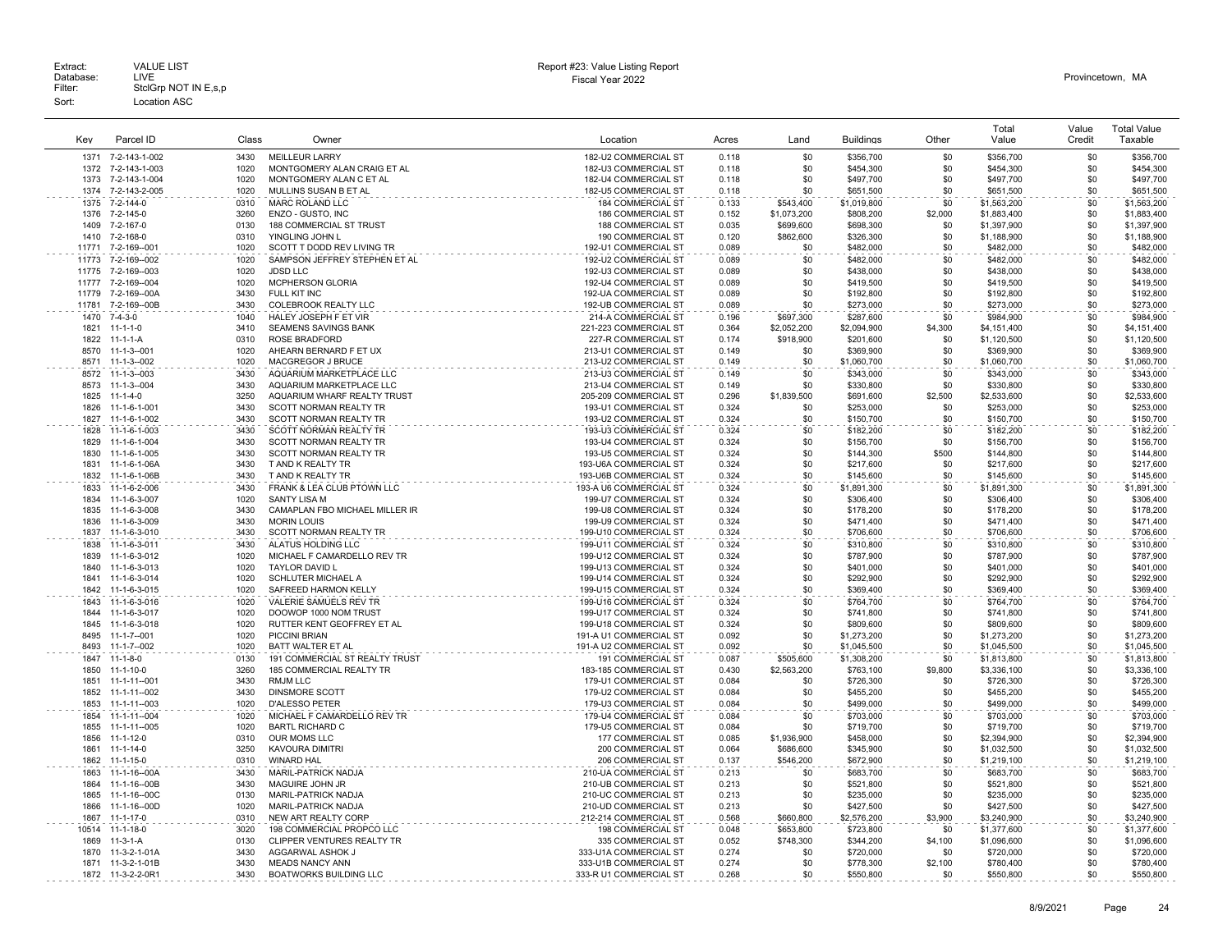|       |                    |       |                                |                               |       |             |                  |         | Total       | Value  | <b>Total Value</b> |
|-------|--------------------|-------|--------------------------------|-------------------------------|-------|-------------|------------------|---------|-------------|--------|--------------------|
| Key   | Parcel ID          | Class | Owner                          | Location                      | Acres | Land        | <b>Buildings</b> | Other   | Value       | Credit | Taxable            |
|       |                    |       |                                |                               |       |             |                  |         |             |        |                    |
| 1371  | 7-2-143-1-002      | 3430  | <b>MEILLEUR LARRY</b>          | 182-U2 COMMERCIAL ST          | 0.118 | \$0         | \$356,700        | \$0     | \$356,700   | \$0    | \$356,700          |
| 1372  | 7-2-143-1-003      | 1020  | MONTGOMERY ALAN CRAIG ET AL    | 182-U3 COMMERCIAL ST          | 0.118 | \$0         | \$454,300        | \$0     | \$454.300   | \$0    | \$454.300          |
| 1373  | 7-2-143-1-004      | 1020  | MONTGOMERY ALAN C ET AL        | 182-U4 COMMERCIAL ST          | 0.118 | \$0         | \$497,700        | \$0     | \$497,700   | \$0    | \$497,700          |
| 1374  | 7-2-143-2-005      | 1020  | MULLINS SUSAN B ET AL          | 182-U5 COMMERCIAL ST          | 0.118 | \$0         | \$651,500        | \$0     | \$651,500   | \$0    | \$651,500          |
| 1375  | 7-2-144-0          | 0310  | MARC ROLAND LLC                | <b>184 COMMERCIAL ST</b>      | 0.133 | \$543,400   | \$1,019,800      | \$0     | \$1,563,200 | \$0    | \$1,563,200        |
| 1376  | 7-2-145-0          | 3260  | ENZO - GUSTO, INC              | 186 COMMERCIAL ST             | 0.152 | \$1,073,200 | \$808,200        | \$2,000 | \$1,883,400 | \$0    | \$1,883,400        |
| 1409  | 7-2-167-0          | 0130  | <b>188 COMMERCIAL ST TRUST</b> | <b>188 COMMERCIAL ST</b>      | 0.035 | \$699,600   | \$698,300        | \$0     | \$1,397,900 | \$0    | \$1,397,900        |
| 1410  | 7-2-168-0          | 0310  | YINGLING JOHN L                | 190 COMMERCIAL ST             | 0.120 | \$862,600   | \$326,300        | \$0     | \$1,188,900 | \$0    | \$1,188,900        |
| 11771 | 7-2-169--001       | 1020  | SCOTT T DODD REV LIVING TR     | 192-U1 COMMERCIAL ST          | 0.089 | \$0         | \$482,000        | \$0     | \$482,000   | \$0    | \$482,000          |
|       |                    |       |                                |                               |       |             |                  |         |             |        |                    |
| 11773 | 7-2-169--002       | 1020  | SAMPSON JEFFREY STEPHEN ET AL  | 192-U2 COMMERCIAL ST          | 0.089 | \$0         | \$482,000        | \$0     | \$482,000   | \$0    | \$482,000          |
| 11775 | 7-2-169--003       | 1020  | <b>JDSD LLC</b>                | 192-U3 COMMERCIAL ST          | 0.089 | \$0         | \$438,000        | \$0     | \$438,000   | \$0    | \$438,000          |
| 11777 | 7-2-169--004       | 1020  | MCPHERSON GLORIA               | 192-U4 COMMERCIAL ST          | 0.089 | \$0         | \$419,500        | \$0     | \$419,500   | \$0    | \$419,500          |
| 11779 | 7-2-169--00A       | 3430  | FULL KIT INC                   | 192-UA COMMERCIAL ST          | 0.089 | \$0         | \$192,800        | \$0     | \$192,800   | \$0    | \$192,800          |
| 11781 | 7-2-169--00B       | 3430  | COLEBROOK REALTY LLC           | 192-UB COMMERCIAL ST          | 0.089 | \$0         | \$273,000        | \$0     | \$273,000   | \$0    | \$273,000          |
| 1470  | $7 - 4 - 3 - 0$    | 1040  | HALEY JOSEPH F ET VIR          | 214-A COMMERCIAL ST           | 0.196 | \$697,300   | \$287,600        | \$0     | \$984,900   | \$0    | \$984,900          |
| 1821  | $11 - 1 - 1 - 0$   | 3410  | SEAMENS SAVINGS BANK           | 221-223 COMMERCIAL ST         | 0.364 | \$2,052,200 | \$2,094,900      | \$4,300 | \$4,151,400 | \$0    | \$4,151,400        |
| 1822  | 11-1-1-4           | 0310  | <b>ROSE BRADFORD</b>           | 227-R COMMERCIAL ST           | 0.174 | \$918,900   | \$201,600        | \$0     | \$1,120,500 | \$0    | \$1,120,500        |
| 8570  | $11 - 1 - 3 - 001$ | 1020  | AHEARN BERNARD F ET UX         | 213-U1 COMMERCIAL ST          | 0.149 | \$0         | \$369,900        | \$0     | \$369,900   | \$0    | \$369,900          |
| 8571  | $11 - 1 - 3 - 002$ | 1020  | MACGREGOR J BRUCE              | 213-U2 COMMERCIAL ST          | 0.149 | \$0         | \$1,060,700      | \$0     | \$1,060,700 | \$0    | \$1,060,700        |
| 8572  | $11 - 1 - 3 - 003$ | 3430  | AQUARIUM MARKETPLACE LLC       | 213-U3 COMMERCIAL ST          | 0.149 | \$0         | \$343,000        | \$0     | \$343,000   | \$0    | \$343,000          |
| 8573  | $11 - 1 - 3 - 004$ | 3430  | AQUARIUM MARKETPLACE LLC       | 213-U4 COMMERCIAL ST          | 0.149 | \$0         | \$330,800        | \$0     | \$330,800   | \$0    | \$330,800          |
| 1825  | $11 - 1 - 4 - 0$   | 3250  | AQUARIUM WHARF REALTY TRUST    | 205-209 COMMERCIAL ST         | 0.296 | \$1,839,500 | \$691,600        | \$2,500 | \$2,533,600 | \$0    | \$2,533,600        |
|       |                    | 3430  |                                |                               |       |             |                  |         |             |        |                    |
| 1826  | 11-1-6-1-001       | 3430  | SCOTT NORMAN REALTY TR         | 193-U1 COMMERCIAL ST          | 0.324 | \$0         | \$253,000        | \$0     | \$253,000   | \$0    | \$253,000          |
| 1827  | 11-1-6-1-002       |       | SCOTT NORMAN REALTY TR         | 193-U2 COMMERCIAL ST          | 0.324 | \$0         | \$150,700        | \$0     | \$150,700   | \$0    | \$150,700          |
| 1828  | 11-1-6-1-003       | 3430  | <b>SCOTT NORMAN REALTY TR</b>  | 193-U3 COMMERCIAL ST          | 0.324 | \$0         | \$182,200        | \$0     | \$182,200   | \$0    | \$182,200          |
| 1829  | 11-1-6-1-004       | 3430  | SCOTT NORMAN REALTY TR         | 193-U4 COMMERCIAL ST          | 0.324 | \$0         | \$156,700        | \$0     | \$156,700   | \$0    | \$156,700          |
| 1830  | 11-1-6-1-005       | 3430  | SCOTT NORMAN REALTY TR         | 193-U5 COMMERCIAL ST          | 0.324 | \$0         | \$144,300        | \$500   | \$144,800   | \$0    | \$144,800          |
| 1831  | 11-1-6-1-06A       | 3430  | T AND K REALTY TR              | 193-U6A COMMERCIAL ST         | 0.324 | \$0         | \$217,600        | \$0     | \$217,600   | \$0    | \$217,600          |
| 1832  | 11-1-6-1-06B       | 3430  | T AND K REALTY TR              | 193-U6B COMMERCIAL ST         | 0.324 | \$0         | \$145,600        | \$0     | \$145,600   | \$0    | \$145,600          |
| 1833  | 11-1-6-2-006       | 3430  | FRANK & LEA CLUB PTOWN LLC     | 193-A U6 COMMERCIAL ST        | 0.324 | \$0         | \$1,891,300      | \$0     | \$1,891,300 | \$0    | \$1,891,300        |
| 1834  | 11-1-6-3-007       | 1020  | <b>SANTY LISA M</b>            | 199-U7 COMMERCIAL ST          | 0.324 | \$0         | \$306,400        | \$0     | \$306,400   | \$0    | \$306,400          |
| 1835  | 11-1-6-3-008       | 3430  | CAMAPLAN FBO MICHAEL MILLER IR | 199-U8 COMMERCIAL ST          | 0.324 | \$0         | \$178,200        | \$0     | \$178,200   | \$0    | \$178,200          |
| 1836  | 11-1-6-3-009       | 3430  | <b>MORIN LOUIS</b>             | 199-U9 COMMERCIAL ST          | 0.324 | \$0         | \$471,400        | \$0     | \$471,400   | \$0    | \$471.400          |
| 1837  | 11-1-6-3-010       | 3430  | SCOTT NORMAN REALTY TR         | 199-U10 COMMERCIAL ST         | 0.324 | \$0         | \$706,600        | \$0     | \$706,600   | \$0    | \$706,600          |
| 1838  | 11-1-6-3-011       | 3430  | ALATUS HOLDING LLC             | 199-U11 COMMERCIAL ST         | 0.324 | \$0         | \$310,800        | \$0     | \$310,800   | \$0    | \$310,800          |
|       |                    |       |                                |                               |       |             |                  |         |             |        |                    |
| 1839  | 11-1-6-3-012       | 1020  | MICHAEL F CAMARDELLO REV TR    | 199-U12 COMMERCIAL ST         | 0.324 | \$0         | \$787,900        | \$0     | \$787,900   | \$0    | \$787,900          |
| 1840  | 11-1-6-3-013       | 1020  | <b>TAYLOR DAVID L</b>          | 199-U13 COMMERCIAL ST         | 0.324 | \$0         | \$401,000        | \$0     | \$401.000   | \$0    | \$401,000          |
| 1841  | 11-1-6-3-014       | 1020  | SCHLUTER MICHAEL A             | 199-U14 COMMERCIAL ST         | 0.324 | \$0         | \$292,900        | \$0     | \$292,900   | \$0    | \$292,900          |
| 1842  | 11-1-6-3-015       | 1020  | SAFREED HARMON KELLY           | 199-U15 COMMERCIAL ST         | 0.324 | \$0         | \$369,400        | \$0     | \$369,400   | \$0    | \$369,400          |
| 1843  | 11-1-6-3-016       | 1020  | VALERIE SAMUELS REV TR         | 199-U16 COMMERCIAL ST         | 0.324 | \$0         | \$764,700        | \$0     | \$764,700   | \$0    | \$764,700          |
| 1844  | 11-1-6-3-017       | 1020  | DOOWOP 1000 NOM TRUST          | 199-U17 COMMERCIAL ST         | 0.324 | \$0         | \$741,800        | \$0     | \$741,800   | \$0    | \$741,800          |
| 1845  | 11-1-6-3-018       | 1020  | RUTTER KENT GEOFFREY ET AL     | 199-U18 COMMERCIAL ST         | 0.324 | \$0         | \$809,600        | \$0     | \$809,600   | \$0    | \$809,600          |
| 8495  | $11 - 1 - 7 - 001$ | 1020  | PICCINI BRIAN                  | 191-A U1 COMMERCIAL ST        | 0.092 | \$0         | \$1,273,200      | \$0     | \$1,273,200 | \$0    | \$1,273,200        |
| 8493  | 11-1-7--002        | 1020  | BATT WALTER ET AL              | 191-A U2 COMMERCIAL ST        | 0.092 | \$0         | \$1,045,500      | \$0     | \$1,045,500 | \$0    | \$1,045,500        |
| 1847  | $11 - 1 - 8 - 0$   | 0130  | 191 COMMERCIAL ST REALTY TRUST | .<br><b>191 COMMERCIAL ST</b> | 0.087 | \$505,600   | \$1,308,200      | \$0     | \$1,813,800 | \$0    | \$1,813,800        |
| 1850  | 11-1-10-0          | 3260  | 185 COMMERCIAL REALTY TR       | 183-185 COMMERCIAL ST         | 0.430 | \$2,563,200 | \$763,100        | \$9,800 | \$3,336,100 | \$0    | \$3,336,100        |
| 1851  | 11-1-11--001       | 3430  | RMJM LLC                       | 179-U1 COMMERCIAL ST          | 0.084 | \$0         | \$726,300        | \$0     | \$726,300   | \$0    | \$726,300          |
| 1852  | 11-1-11--002       | 3430  | <b>DINSMORE SCOTT</b>          | 179-U2 COMMERCIAL ST          | 0.084 | \$0         | \$455,200        | \$0     | \$455,200   | \$0    | \$455,200          |
|       |                    |       |                                |                               |       |             |                  |         |             |        |                    |
| 1853  | 11-1-11--003       | 1020  | <b>D'ALESSO PETER</b>          | 179-U3 COMMERCIAL ST          | 0.084 | \$0         | \$499,000        | \$0     | \$499,000   | \$0    | \$499,000          |
| 1854  | 11-1-11--004       | 1020  | MICHAEL F CAMARDELLO REV TR    | 179-U4 COMMERCIAL ST          | 0.084 | \$0         | \$703,000        | \$0     | \$703,000   | \$0    | \$703,000          |
| 1855  | 11-1-11--005       | 1020  | <b>BARTL RICHARD C</b>         | 179-U5 COMMERCIAL ST          | 0.084 | \$0         | \$719,700        | \$0     | \$719,700   | \$0    | \$719,700          |
| 1856  | 11-1-12-0          | 0310  | OUR MOMS LLC                   | 177 COMMERCIAL ST             | 0.085 | \$1,936,900 | \$458,000        | \$0     | \$2,394,900 | \$0    | \$2,394,900        |
| 1861  | $11 - 1 - 14 - 0$  | 3250  | KAVOURA DIMITRI                | 200 COMMERCIAL ST             | 0.064 | \$686,600   | \$345,900        | \$0     | \$1,032,500 | \$0    | \$1,032,500        |
| 1862  | $11 - 1 - 15 - 0$  | 0310  | <b>WINARD HAL</b>              | 206 COMMERCIAL ST             | 0.137 | \$546,200   | \$672,900        | \$0     | \$1,219,100 | \$0    | \$1,219,100        |
| 1863  | 11-1-16--00A       | 3430  | <b>MARIL-PATRICK NADJA</b>     | 210-UA COMMERCIAL ST          | 0.213 | \$0         | \$683,700        | \$0     | \$683,700   | \$0    | \$683,700          |
| 1864  | 11-1-16--00B       | 3430  | MAGUIRE JOHN JR                | 210-UB COMMERCIAL ST          | 0.213 | \$0         | \$521,800        | \$0     | \$521,800   | \$0    | \$521,800          |
| 1865  | 11-1-16--00C       | 0130  | MARIL-PATRICK NADJA            | 210-UC COMMERCIAL ST          | 0.213 | \$0         | \$235,000        | \$0     | \$235,000   | \$0    | \$235,000          |
| 1866  | 11-1-16--00D       | 1020  | MARIL-PATRICK NADJA            | 210-UD COMMERCIAL ST          | 0.213 | \$0         | \$427,500        | \$0     | \$427,500   | \$0    | \$427,500          |
| 1867  | $11 - 1 - 17 - 0$  | 0310  | <b>NEW ART REALTY CORP</b>     | 212-214 COMMERCIAL ST         | 0.568 | \$660,800   | \$2,576,200      | \$3,900 | \$3,240,900 | \$0    | \$3,240,900        |
| 10514 | $11 - 1 - 18 - 0$  | 3020  | 198 COMMERCIAL PROPCO LLC      | <b>198 COMMERCIAL ST</b>      | 0.048 | \$653.800   |                  | \$0     |             | \$0    | \$1,377,600        |
| 1869  | $11-3-1-A$         | 0130  |                                | 335 COMMERCIAL ST             |       |             | \$723,800        |         | \$1,377,600 |        |                    |
|       |                    |       | CLIPPER VENTURES REALTY TR     |                               | 0.052 | \$748,300   | \$344,200        | \$4,100 | \$1,096,600 | \$0    | \$1,096,600        |
| 1870  | 11-3-2-1-01A       | 3430  | AGGARWAL ASHOK.                | 333-U1A COMMERCIAL ST         | 0.274 | \$0         | \$720,000        | \$0     | \$720,000   | \$0    | \$720,000          |
| 1871  | 11-3-2-1-01B       | 3430  | <b>MEADS NANCY ANN</b>         | 333-U1B COMMERCIAL ST         | 0.274 | \$0         | \$778.300        | \$2.100 | \$780,400   | \$0    | \$780,400          |
|       | 1872 11-3-2-2-0R1  | 3430  | <b>BOATWORKS BUILDING LLC</b>  | 333-R U1 COMMERCIAL ST        | 0.268 | ፍሰ          | \$550,800        | .\$በ    | \$550,800   | \$0    | \$550,800          |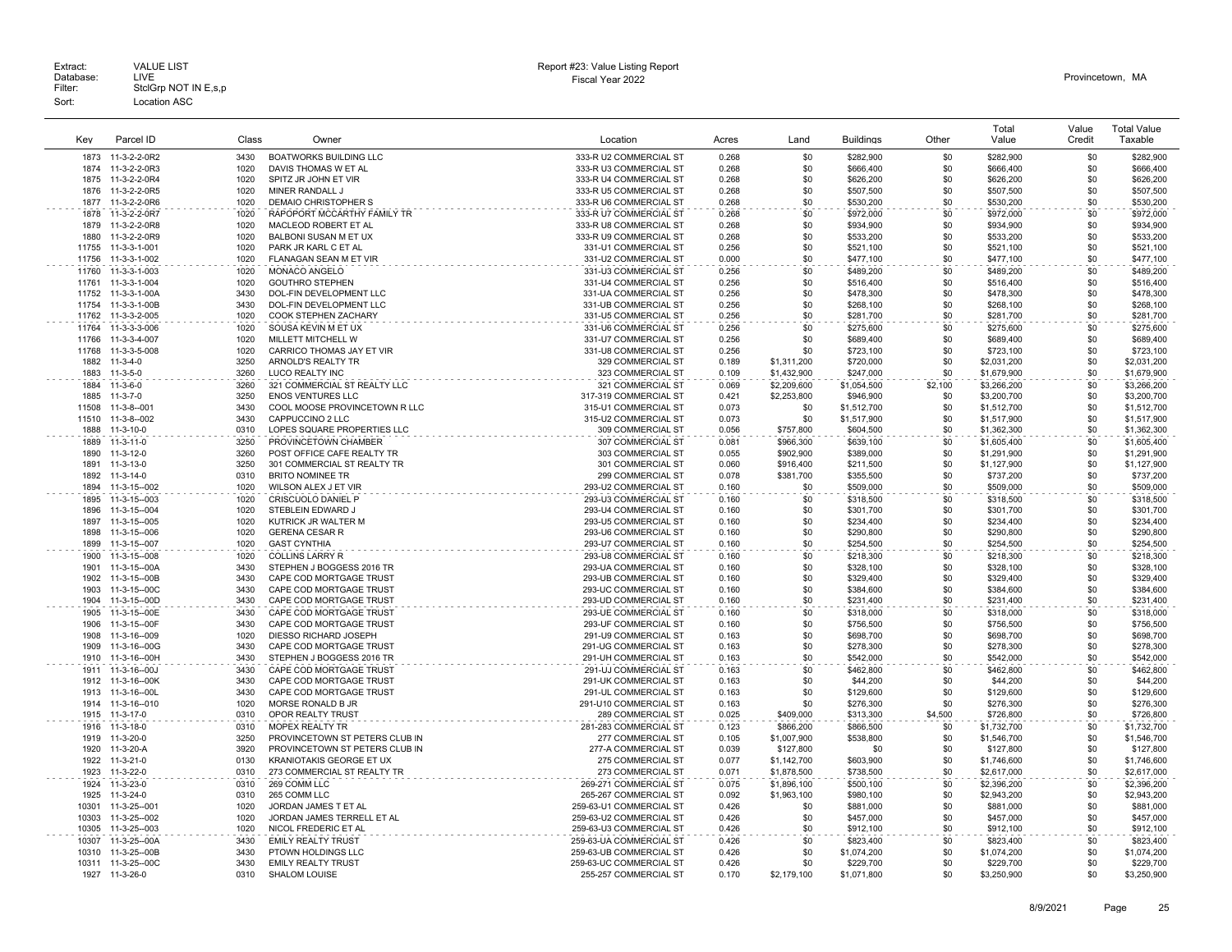|       |                    |       |                                |                         |       |             |                  |         | Total       | Value  | <b>Total Value</b> |
|-------|--------------------|-------|--------------------------------|-------------------------|-------|-------------|------------------|---------|-------------|--------|--------------------|
| Key   | Parcel ID          | Class | Owner                          | Location                | Acres | Land        | <b>Buildings</b> | Other   | Value       | Credit | Taxable            |
|       |                    |       |                                |                         |       |             |                  |         |             |        |                    |
| 1873  | 11-3-2-2-0R2       | 3430  | <b>BOATWORKS BUILDING LLC</b>  | 333-R U2 COMMERCIAL ST  | 0.268 | \$0         | \$282,900        | .\$በ    | \$282,900   | \$0    | \$282,900          |
| 1874  | 11-3-2-2-0R3       | 1020  | DAVIS THOMAS W ET AL           | 333-R U3 COMMERCIAL ST  | 0.268 | \$0         | \$666,400        | \$0     | \$666,400   | \$0    | \$666,400          |
| 1875  | 11-3-2-2-0R4       | 1020  | SPITZ JR JOHN ET VIR           | 333-R U4 COMMERCIAL ST  | 0.268 | \$0         | \$626,200        | \$0     | \$626,200   | \$0    | \$626,200          |
| 1876  | 11-3-2-2-0R5       | 1020  | MINER RANDALL J                | 333-R U5 COMMERCIAL ST  | 0.268 | \$0         | \$507,500        | \$0     | \$507,500   | \$0    | \$507,500          |
| 1877  | 11-3-2-2-0R6       | 1020  | DEMAIO CHRISTOPHER S           | 333-R U6 COMMERCIAL ST  | 0.268 | \$0         | \$530,200        | \$0     | \$530,200   | \$0    | \$530,200          |
| 1878  | 11-3-2-2-0R7       | 1020  | RAPOPORT MCCARTHY FAMILY TR    | 333-R U7 COMMERCIAL ST  | 0.268 | \$0         | \$972,000        | \$0     | \$972,000   | \$0    | \$972,000          |
| 1879  | 11-3-2-2-0R8       | 1020  | MACLEOD ROBERT ET AL           | 333-R U8 COMMERCIAL ST  | 0.268 | \$0         | \$934,900        | \$0     | \$934,900   | \$0    | \$934,900          |
| 1880  | 11-3-2-2-0R9       | 1020  | BALBONI SUSAN M ET UX          | 333-R U9 COMMERCIAL ST  | 0.268 | \$0         | \$533,200        | \$0     | \$533,200   | \$0    | \$533,200          |
| 11755 | 11-3-3-1-001       | 1020  | PARK JR KARL C ET AL           | 331-U1 COMMERCIAL ST    | 0.256 | \$0         | \$521,100        | \$0     | \$521,100   | \$0    | \$521,100          |
| 11756 | 11-3-3-1-002       | 1020  | FLANAGAN SEAN M ET VIR         | 331-U2 COMMERCIAL ST    | 0.000 | \$0         | \$477,100        | \$0     | \$477,100   | \$0    | \$477,100          |
| 11760 | 11-3-3-1-003       | 1020  | MONACO ANGELO                  | 331-U3 COMMERCIAL ST    | 0.256 | \$0         | \$489,200        | \$0     | \$489,200   | \$0    | \$489,200          |
| 11761 | 11-3-3-1-004       | 1020  | <b>GOUTHRO STEPHEN</b>         | 331-U4 COMMERCIAL ST    | 0.256 | \$0         | \$516,400        | \$0     | \$516,400   | \$0    | \$516,400          |
| 11752 | 11-3-3-1-00A       | 3430  | DOL-FIN DEVELOPMENT LLC        | 331-UA COMMERCIAL ST    | 0.256 | \$0         | \$478,300        | \$0     | \$478,300   | \$0    | \$478,300          |
| 11754 | 11-3-3-1-00B       | 3430  | DOL-FIN DEVELOPMENT LLC        | 331-UB COMMERCIAL ST    | 0.256 | \$0         | \$268,100        | \$0     | \$268,100   | \$0    | \$268,100          |
| 11762 | 11-3-3-2-005       | 1020  | COOK STEPHEN ZACHARY           | 331-U5 COMMERCIAL ST    | 0.256 | \$0         | \$281,700        | \$0     | \$281,700   | \$0    | \$281,700          |
| 11764 | 11-3-3-3-006       | 1020  | SOUSA KEVIN M ET UX            | 331-U6 COMMERCIAL ST    | 0.256 | \$0         | \$275,600        | \$0     | \$275,600   | \$0    | \$275,600          |
| 11766 | 11-3-3-4-007       | 1020  | MILLETT MITCHELL W             | 331-U7 COMMERCIAL ST    | 0.256 | \$0         | \$689,400        | \$0     | \$689,400   | \$0    | \$689,400          |
| 11768 | 11-3-3-5-008       | 1020  | CARRICO THOMAS JAY ET VIR      | 331-U8 COMMERCIAL ST    | 0.256 | \$0         | \$723.100        | \$0     | \$723,100   | \$0    | \$723,100          |
| 1882  | $11 - 3 - 4 - 0$   | 3250  | ARNOLD'S REALTY TR             | 329 COMMERCIAL ST       | 0.189 | \$1,311,200 | \$720,000        | \$0     | \$2,031,200 | \$0    | \$2,031,200        |
| 1883  | $11-3-5-0$         | 3260  | LUCO REALTY INC                | 323 COMMERCIAL ST       | 0.109 | \$1,432,900 | \$247,000        | \$0     | \$1,679,900 | \$0    | \$1,679,900        |
| 1884  | $11-3-6-0$         | 3260  | 321 COMMERCIAL ST REALTY LLC   | 321 COMMERCIAL ST       | 0.069 | \$2,209,600 | \$1,054,500      | \$2,100 | \$3,266,200 | \$0    | \$3,266,200        |
| 1885  | $11-3-7-0$         | 3250  | <b>ENOS VENTURES LLC</b>       | 317-319 COMMERCIAL ST   | 0.421 | \$2,253,800 | \$946,900        | \$0     | \$3,200,700 | \$0    | \$3,200,700        |
| 11508 | 11-3-8--001        | 3430  | COOL MOOSE PROVINCETOWN R LLC  | 315-U1 COMMERCIAL ST    | 0.073 | \$0         | \$1,512,700      | \$0     | \$1,512,700 | \$0    | \$1,512,700        |
| 11510 | 11-3-8--002        | 3430  | CAPPUCCINO 2 LLC               | 315-U2 COMMERCIAL ST    | 0.073 | \$0         | \$1,517,900      | \$0     | \$1,517,900 | \$0    | \$1,517,900        |
| 1888  | $11-3-10-0$        | 0310  | LOPES SQUARE PROPERTIES LLC    | 309 COMMERCIAL ST       | 0.056 | \$757.800   | \$604,500        | \$0     | \$1,362,300 | \$0    | \$1,362,300        |
| 1889  | 11-3-11-0          | 3250  | PROVINCETOWN CHAMBER           | 307 COMMERCIAL ST       | 0.081 | \$966,300   | \$639,100        | \$0     | \$1,605,400 | \$0    | \$1,605,400        |
| 1890  | $11 - 3 - 12 - 0$  | 3260  | POST OFFICE CAFE REALTY TR     | 303 COMMERCIAL ST       | 0.055 | \$902,900   | \$389,000        | \$0     | \$1,291,900 | \$0    | \$1,291,900        |
| 1891  | 11-3-13-0          | 3250  | 301 COMMERCIAL ST REALTY TR    | 301 COMMERCIAL ST       | 0.060 | \$916,400   | \$211,500        | \$0     | \$1,127,900 | \$0    | \$1,127,900        |
| 1892  | $11-3-14-0$        | 0310  | <b>BRITO NOMINEE TR</b>        | 299 COMMERCIAL ST       | 0.078 | \$381.700   | \$355,500        | \$0     | \$737,200   | \$0    | \$737,200          |
| 1894  | 11-3-15--002       | 1020  | WILSON ALEX J ET VIR           | 293-U2 COMMERCIAL ST    | 0.160 | \$0         | \$509,000        | \$0     | \$509,000   | \$0    | \$509,000          |
| 1895  | 11-3-15--003       | 1020  | CRISCUOLO DANIEL P             | 293-U3 COMMERCIAL ST    | 0.160 | \$0         | \$318,500        | \$0     | \$318,500   | \$0    | \$318,500          |
| 1896  | 11-3-15--004       | 1020  | STEBLEIN EDWARD J              | 293-U4 COMMERCIAL ST    | 0.160 | \$0         | \$301,700        | \$0     | \$301,700   | \$0    | \$301,700          |
| 1897  | 11-3-15--005       | 1020  | KUTRICK JR WALTER M            | 293-U5 COMMERCIAL ST    | 0.160 | \$0         | \$234,400        | \$0     | \$234,400   | \$0    | \$234,400          |
| 1898  | 11-3-15--006       | 1020  | <b>GERENA CESAR R</b>          | 293-U6 COMMERCIAL ST    | 0.160 | \$0         | \$290,800        | \$0     | \$290,800   | \$0    | \$290,800          |
| 1899  | 11-3-15--007       | 1020  | <b>GAST CYNTHIA</b>            | 293-U7 COMMERCIAL ST    | 0.160 | \$0         | \$254,500        | \$0     | \$254,500   | \$0    | \$254,500          |
| 1900  | 11-3-15--008       | 1020  | <b>COLLINS LARRY R</b>         | 293-U8 COMMERCIAL ST    | 0.160 | \$0         | \$218,300        | \$0     | \$218,300   | \$0    | \$218,300          |
| 1901  | 11-3-15--00A       | 3430  | STEPHEN J BOGGESS 2016 TR      | 293-UA COMMERCIAL ST    | 0.160 | \$0         | \$328,100        | \$0     | \$328,100   | \$0    | \$328,100          |
| 1902  | 11-3-15--00B       | 3430  | CAPE COD MORTGAGE TRUST        | 293-UB COMMERCIAL ST    | 0.160 | \$0         | \$329,400        | \$0     | \$329,400   | \$0    | \$329,400          |
| 1903  | 11-3-15--00C       | 3430  | CAPE COD MORTGAGE TRUST        | 293-UC COMMERCIAL ST    | 0.160 | \$0         | \$384,600        | \$0     | \$384,600   | \$0    | \$384,600          |
| 1904  | 11-3-15--00D       | 3430  | CAPE COD MORTGAGE TRUST        | 293-UD COMMERCIAL ST    | 0.160 | \$0         | \$231,400        | \$0     | \$231,400   | \$0    | \$231,400          |
| 1905  | 11-3-15--00E       | 3430  | CAPE COD MORTGAGE TRUST        | 293-UE COMMERCIAL ST    | 0.160 | \$0         | \$318,000        | \$0     | \$318,000   | \$0    | \$318,000          |
| 1906  | 11-3-15--00F       | 3430  | CAPE COD MORTGAGE TRUST        | 293-UF COMMERCIAL ST    | 0.160 | \$0         | \$756,500        | \$0     | \$756,500   | \$0    | \$756,500          |
| 1908  | 11-3-16--009       | 1020  | DIESSO RICHARD JOSEPH          | 291-U9 COMMERCIAL ST    | 0.163 | \$0         | \$698,700        | \$0     | \$698,700   | \$0    | \$698,700          |
| 1909  | 11-3-16--00G       | 3430  | CAPE COD MORTGAGE TRUST        | 291-UG COMMERCIAL ST    | 0.163 | \$0         | \$278.300        | \$0     | \$278,300   | \$0    | \$278,300          |
| 1910  | 11-3-16--00H       | 3430  | STEPHEN J BOGGESS 2016 TR      | 291-UH COMMERCIAL ST    | 0.163 | \$0         | \$542,000        | \$0     | \$542,000   | \$0    | \$542,000          |
| 1911  | 11-3-16--00J       | 3430  | CAPE COD MORTGAGE TRUST        | 291-UJ COMMERCIAL ST    | 0.163 | \$0         | \$462,800        | \$0     | \$462,800   | \$0    | \$462,800          |
| 1912  | 11-3-16--00K       | 3430  | CAPE COD MORTGAGE TRUST        | 291-UK COMMERCIAL ST    | 0.163 | \$0         | \$44,200         | \$0     | \$44,200    | \$0    | \$44,200           |
| 1913  | 11-3-16--00L       | 3430  | CAPE COD MORTGAGE TRUST        | 291-UL COMMERCIAL ST    | 0.163 | \$0         | \$129,600        | \$0     | \$129,600   | \$0    | \$129,600          |
| 1914  | 11-3-16--010       | 1020  | MORSE RONALD B JR              | 291-U10 COMMERCIAL ST   | 0.163 | \$0         | \$276,300        | \$0     | \$276,300   | \$0    | \$276,300          |
| 1915  | 11-3-17-0          | 0310  | OPOR REALTY TRUST              | 289 COMMERCIAL ST       | 0.025 | \$409,000   | \$313,300        | \$4,500 | \$726,800   | \$0    | \$726,800          |
| 1916  | 11-3-18-0          | 0310  | <b>MOPEX REALTY TR</b>         | 281-283 COMMERCIAL ST   | 0.123 | \$866,200   | \$866,500        | \$0     | \$1,732,700 | \$0    | \$1,732,700        |
| 1919  | 11-3-20-0          | 3250  | PROVINCETOWN ST PETERS CLUB IN | 277 COMMERCIAL ST       | 0.105 | \$1,007,900 | \$538,800        | \$0     | \$1,546,700 | \$0    | \$1,546,700        |
| 1920  | 11-3-20-A          | 3920  | PROVINCETOWN ST PETERS CLUB IN | 277-A COMMERCIAL ST     | 0.039 | \$127,800   | \$0              | \$0     | \$127,800   | \$0    | \$127,800          |
| 1922  | 11-3-21-0          | 0130  | KRANIOTAKIS GEORGE ET UX       | 275 COMMERCIAL ST       | 0.077 | \$1,142,700 | \$603,900        | \$0     | \$1,746,600 | \$0    | \$1,746,600        |
| 1923  | 11-3-22-0          | 0310  | 273 COMMERCIAL ST REALTY TR    | 273 COMMERCIAL ST<br>.  | 0.071 | \$1,878,500 | \$738,500        | \$0     | \$2,617,000 | \$0    | \$2,617,000        |
| 1924  | 11-3-23-0          | 0310  | 269 COMM LLC                   | 269-271 COMMERCIAL ST   | 0.075 | \$1,896,100 | \$500,100        | \$0     | \$2,396,200 | \$0    | \$2,396,200        |
| 1925  | 11-3-24-0          | 0310  | 265 COMM LLC                   | 265-267 COMMERCIAL ST   | 0.092 | \$1,963,100 | \$980,100        | \$0     | \$2,943,200 | \$0    | \$2,943,200        |
| 10301 | 11-3-25--001       | 1020  | JORDAN JAMES T ET AL           | 259-63-U1 COMMERCIAL ST | 0.426 | \$0         | \$881,000        | \$0     | \$881,000   | \$0    | \$881,000          |
| 10303 | 11-3-25--002       | 1020  | JORDAN JAMES TERRELL ET AL     | 259-63-U2 COMMERCIAL ST | 0.426 | \$0         | \$457,000        | \$0     | \$457,000   | \$0    | \$457,000          |
| 10305 | 11-3-25-003        | 1020  | NICOL FREDERIC ET AL           | 259-63-U3 COMMERCIAL ST | 0.426 | \$0         | \$912,100        | \$0     | \$912,100   | \$0    | \$912,100          |
| 10307 | 11-3-25--00A       | 3430  | <b>EMILY REALTY TRUST</b>      | 259-63-UA COMMERCIAL ST | 0.426 | \$0         | \$823,400        | \$0     | \$823,400   | \$0    | \$823,400          |
| 10310 | 11-3-25--00B       | 3430  | PTOWN HOLDINGS LLC             | 259-63-UB COMMERCIAL ST | 0.426 | \$0         | \$1,074,200      | \$0     | \$1,074,200 | \$0    | \$1,074,200        |
|       | 10311 11-3-25--00C | 3430  | <b>EMILY REALTY TRUST</b>      | 259-63-UC COMMERCIAL ST | 0.426 | \$0         | \$229,700        | \$0     | \$229,700   | \$0    | \$229,700          |
| 1927  | $11 - 3 - 26 - 0$  | 0310  | <b>SHALOM LOUISE</b>           | 255-257 COMMERCIAL ST   | 0.170 | \$2,179,100 | \$1,071,800      | \$0     | \$3,250,900 | \$0    | \$3,250,900        |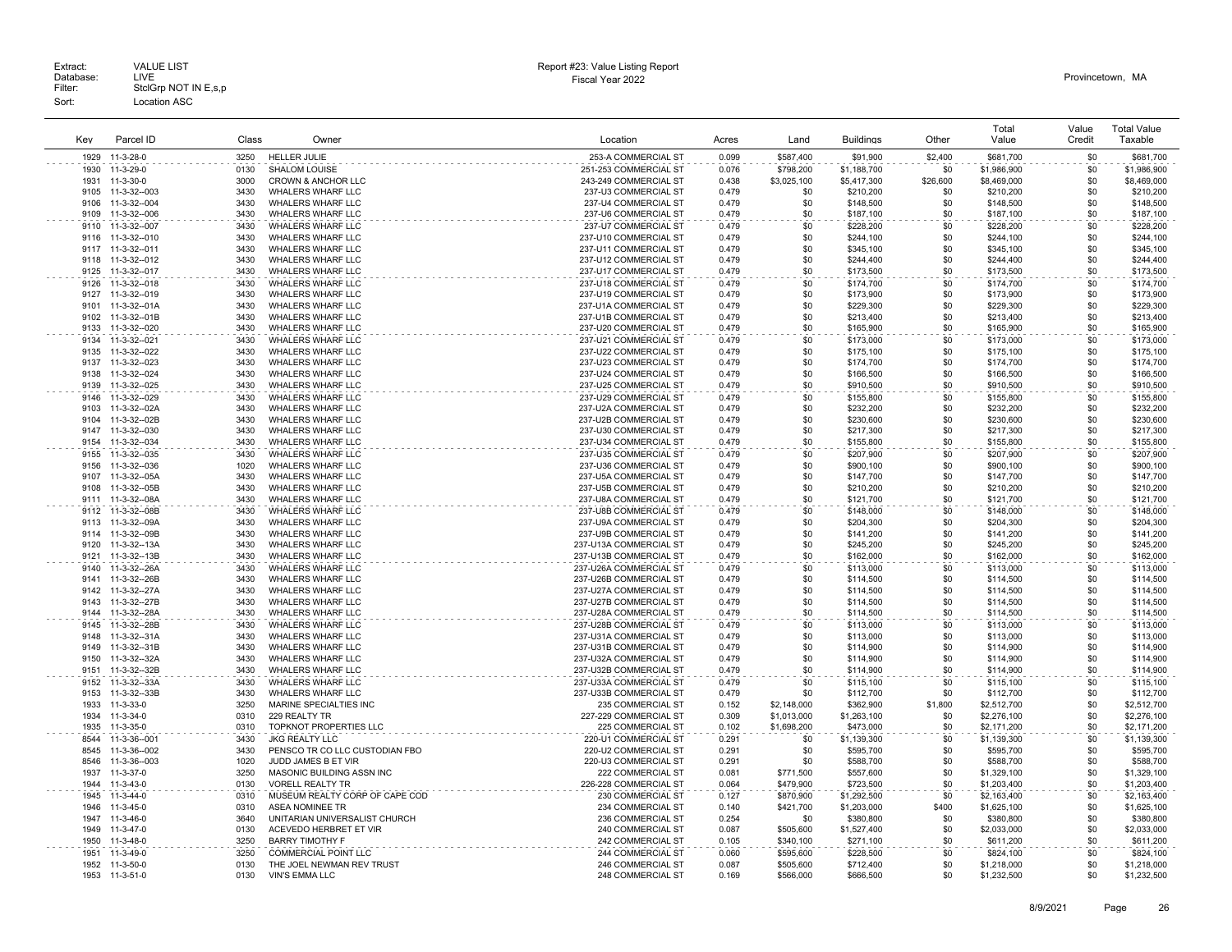|              |                              |              |                                                      |                                                |       |             |                        |            | Total       | Value      | <b>Total Value</b>     |
|--------------|------------------------------|--------------|------------------------------------------------------|------------------------------------------------|-------|-------------|------------------------|------------|-------------|------------|------------------------|
| Kev          | Parcel ID                    | Class        | Owner                                                | Location                                       | Acres | Land        | <b>Buildings</b>       | Other      | Value       | Credit     | Taxable                |
| 1929         | 11-3-28-0                    | 3250         | <b>HELLER JULIE</b>                                  | 253-A COMMERCIAL ST                            | 0.099 | \$587,400   | \$91,900               | \$2,400    | \$681,700   | \$0        | \$681,700              |
| 1930         | 11-3-29-0                    | 0130         | <b>SHALOM LOUISE</b>                                 | 251-253 COMMERCIAL ST                          | 0.076 | \$798,200   | \$1,188,700            | \$0        | \$1,986,900 | \$0        | \$1,986,900            |
| 1931         | 11-3-30-0                    | 3000         | CROWN & ANCHOR LLC                                   | 243-249 COMMERCIAL ST                          | 0.438 | \$3,025,100 | \$5,417,300            | \$26,600   | \$8,469,000 | \$0        | \$8,469,000            |
| 9105         | 11-3-32--003                 | 3430         | <b>WHALERS WHARF LLC</b>                             | 237-U3 COMMERCIAL ST                           | 0.479 | \$0         | \$210,200              | \$0        | \$210,200   | \$0        | \$210,200              |
| 9106         | 11-3-32--004                 | 3430         | WHALERS WHARF LLC                                    | 237-U4 COMMERCIAL ST                           | 0.479 | \$0         | \$148,500              | \$0        | \$148,500   | \$0        | \$148,500              |
| 9109         | 11-3-32--006                 | 3430         | WHALERS WHARF LLC                                    | 237-U6 COMMERCIAL ST                           | 0.479 | \$0         | \$187,100              | \$0        | \$187,100   | \$0        | \$187,100              |
| 9110         | 11-3-32--007                 | 3430         | <b>WHALERS WHARF LLC</b>                             | 237-U7 COMMERCIAL ST                           | 0.479 | \$0         | \$228,200              | \$0        | \$228,200   | \$0        | \$228,200              |
| 9116         | 11-3-32--010                 | 3430         | WHALERS WHARF LLC                                    | 237-U10 COMMERCIAL ST                          | 0.479 | \$0         | \$244,100              | \$0        | \$244,100   | \$0        | \$244,100              |
| 9117         | 11-3-32--011                 | 3430         | WHALERS WHARF LLC                                    | 237-U11 COMMERCIAL ST                          | 0.479 | \$0         | \$345,100              | \$0        | \$345,100   | \$0        | \$345,100              |
| 9118         | 11-3-32--012                 | 3430         | <b>WHALERS WHARF LLC</b>                             | 237-U12 COMMERCIAL ST                          | 0.479 | \$0         | \$244,400              | \$0        | \$244,400   | \$0        | \$244,400              |
| 9125         | 11-3-32--017                 | 3430         | WHALERS WHARF LLC                                    | 237-U17 COMMERCIAL ST                          | 0.479 | \$0         | \$173,500              | \$0        | \$173,500   | \$0        | \$173,500              |
|              | 11-3-32--018                 | 3430         | WHALERS WHARF LLC                                    | 237-U18 COMMERCIAL ST                          | 0.479 | \$0         |                        | \$0        | \$174,700   | \$0        |                        |
| 9126<br>9127 | 11-3-32--019                 | 3430         | <b>WHALERS WHARF LLC</b>                             | 237-U19 COMMERCIAL ST                          | 0.479 | \$0         | \$174,700<br>\$173,900 | \$0        | \$173,900   | \$0        | \$174,700<br>\$173,900 |
| 9101         |                              |              |                                                      |                                                | 0.479 |             |                        |            | \$229,300   | \$0        | \$229,300              |
| 9102         | 11-3-32--01A<br>11-3-32--01B | 3430<br>3430 | <b>WHALERS WHARF LLC</b><br><b>WHALERS WHARF LLC</b> | 237-U1A COMMERCIAL ST<br>237-U1B COMMERCIAL ST | 0.479 | \$0<br>\$0  | \$229,300<br>\$213,400 | \$0<br>\$0 | \$213,400   | \$0        | \$213,400              |
|              |                              | 3430         |                                                      |                                                | 0.479 | \$0         |                        | \$0        |             | \$0        |                        |
| 9133         | 11-3-32--020                 | 3430         | WHALERS WHARF LLC                                    | 237-U20 COMMERCIAL ST<br>237-U21 COMMERCIAL ST |       | \$0         | \$165,900              | \$0        | \$165,900   | \$0        | \$165,900              |
| 9134         | 11-3-32--021                 |              | <b>WHALERS WHARF LLC</b>                             |                                                | 0.479 |             | \$173,000              |            | \$173,000   |            | \$173,000              |
| 9135         | 11-3-32--022                 | 3430         | <b>WHALERS WHARF LLC</b>                             | 237-U22 COMMERCIAL ST                          | 0.479 | \$0         | \$175,100              | \$0        | \$175,100   | \$0        | \$175,100              |
| 9137<br>9138 | 11-3-32--023                 | 3430<br>3430 | WHALERS WHARF LLC                                    | 237-U23 COMMERCIAL ST                          | 0.479 | \$0<br>\$0  | \$174,700              | \$0<br>\$0 | \$174,700   | \$0        | \$174,700              |
| 9139         | 11-3-32--024                 |              | WHALERS WHARF LLC                                    | 237-U24 COMMERCIAL ST                          | 0.479 |             | \$166,500              |            | \$166,500   | \$0<br>\$0 | \$166,500              |
|              | 11-3-32--025                 | 3430         | WHALERS WHARF LLC                                    | 237-U25 COMMERCIAL ST                          | 0.479 | \$0         | \$910,500              | \$0        | \$910,500   |            | \$910,500              |
| 9146         | 11-3-32--029                 | 3430         | WHALERS WHARF LLC                                    | 237-U29 COMMERCIAL ST                          | 0.479 | \$0         | \$155,800              | \$0        | \$155,800   | \$0        | \$155,800              |
| 9103         | 11-3-32--02A                 | 3430         | <b>WHALERS WHARF LLC</b>                             | 237-U2A COMMERCIAL ST                          | 0.479 | \$0         | \$232,200              | \$0        | \$232,200   | \$0        | \$232,200              |
| 9104         | 11-3-32--02B                 | 3430         | <b>WHALERS WHARF LLC</b>                             | 237-U2B COMMERCIAL ST                          | 0.479 | \$0         | \$230,600              | \$0        | \$230,600   | \$0        | \$230,600              |
| 9147         | 11-3-32--030                 | 3430         | WHALERS WHARF LLC                                    | 237-U30 COMMERCIAL ST                          | 0.479 | \$0         | \$217,300              | \$0        | \$217,300   | \$0        | \$217,300              |
| 9154         | 11-3-32--034                 | 3430         | WHALERS WHARF LLC                                    | 237-U34 COMMERCIAL ST                          | 0.479 | \$0         | \$155,800              | \$0        | \$155,800   | \$0        | \$155,800              |
| 9155         | 11-3-32--035                 | 3430         | WHALERS WHARF LLC                                    | 237-U35 COMMERCIAL ST                          | 0.479 | \$0         | \$207,900              | \$0        | \$207,900   | \$0        | \$207,900              |
| 9156         | 11-3-32--036                 | 1020         | <b>WHALERS WHARF LLC</b>                             | 237-U36 COMMERCIAL ST                          | 0.479 | \$0         | \$900,100              | \$0        | \$900,100   | \$0        | \$900,100              |
| 9107         | 11-3-32-05A                  | 3430         | WHALERS WHARF LLC                                    | 237-U5A COMMERCIAL ST                          | 0.479 | \$0         | \$147,700              | \$0        | \$147,700   | \$0        | \$147,700              |
| 9108         | 11-3-32--05B                 | 3430         | <b>WHALERS WHARF LLC</b>                             | 237-U5B COMMERCIAL ST                          | 0.479 | \$0         | \$210,200              | \$0        | \$210,200   | \$0        | \$210,200              |
| 9111         | 11-3-32--08A                 | 3430         | WHALERS WHARF LLC                                    | 237-U8A COMMERCIAL ST                          | 0.479 | \$0         | \$121,700              | \$0        | \$121,700   | \$0        | \$121,700              |
| 9112         | 11-3-32--08B                 | 3430         | WHALERS WHARF LLC                                    | 237-U8B COMMERCIAL ST                          | 0.479 | \$0         | \$148,000              | \$0        | \$148,000   | \$0        | \$148,000              |
| 9113         | 11-3-32--09A                 | 3430         | WHALERS WHARF LLC                                    | 237-U9A COMMERCIAL ST                          | 0.479 | \$0         | \$204,300              | \$0        | \$204,300   | \$0        | \$204,300              |
| 9114         | 11-3-32--09B                 | 3430         | WHALERS WHARF LLC                                    | 237-U9B COMMERCIAL ST                          | 0.479 | \$0         | \$141,200              | \$0        | \$141,200   | \$0        | \$141,200              |
| 9120         | 11-3-32--13A                 | 3430         | WHALERS WHARF LLC                                    | 237-U13A COMMERCIAL ST                         | 0.479 | \$0         | \$245,200              | \$0        | \$245,200   | \$0        | \$245,200              |
| 9121         | 11-3-32--13B                 | 3430         | WHALERS WHARF LLC                                    | 237-U13B COMMERCIAL ST                         | 0.479 | \$0         | \$162,000              | \$0        | \$162,000   | \$0        | \$162,000              |
| 9140         | 11-3-32--26A                 | 3430         | WHALERS WHARF LLC                                    | 237-U26A COMMERCIAL ST                         | 0.479 | \$0         | \$113,000              | \$0        | \$113,000   | \$0        | \$113,000              |
| 9141         | 11-3-32--26B                 | 3430         | <b>WHALERS WHARF LLC</b>                             | 237-U26B COMMERCIAL ST                         | 0.479 | \$0         | \$114,500              | \$0        | \$114,500   | \$0        | \$114,500              |
| 9142         | 11-3-32--27A                 | 3430         | <b>WHALERS WHARF LLC</b>                             | 237-U27A COMMERCIAL ST                         | 0.479 | \$0         | \$114,500              | \$0        | \$114,500   | \$0        | \$114,500              |
| 9143         | 11-3-32--27B                 | 3430         | <b>WHALERS WHARF LLC</b>                             | 237-U27B COMMERCIAL ST                         | 0.479 | \$0         | \$114,500              | \$0        | \$114,500   | \$0        | \$114,500              |
| 9144         | 11-3-32--28A                 | 3430         | WHALERS WHARF LLC                                    | 237-U28A COMMERCIAL ST                         | 0.479 | \$0         | \$114,500              | \$0        | \$114,500   | \$0        | \$114,500              |
| 9145         | 11-3-32--28B                 | 3430         | WHALERS WHARF LLC                                    | 237-U28B COMMERCIAL ST                         | 0.479 | \$0         | \$113,000              | \$0        | \$113,000   | \$0        | \$113,000              |
| 9148         | 11-3-32--31A                 | 3430         | WHALERS WHARF LLC                                    | 237-U31A COMMERCIAL ST                         | 0.479 | \$0         | \$113,000              | \$0        | \$113,000   | \$0        | \$113,000              |
| 9149         | 11-3-32--31B                 | 3430         | <b>WHALERS WHARF LLC</b>                             | 237-U31B COMMERCIAL ST                         | 0.479 | \$0         | \$114,900              | \$0        | \$114,900   | \$0        | \$114,900              |
| 9150         | 11-3-32--32A                 | 3430         | <b>WHALERS WHARF LLC</b>                             | 237-U32A COMMERCIAL ST                         | 0.479 | \$0         | \$114,900              | \$0        | \$114,900   | \$0        | \$114,900              |
| 9151         | 11-3-32--32B                 | 3430         | WHALERS WHARF LLC                                    | 237-U32B COMMERCIAL ST                         | 0.479 | \$0         | \$114,900              | \$0        | \$114,900   | \$0        | \$114,900              |
| 9152         | 11-3-32--33A                 | 3430         | WHALERS WHARF LLC                                    | 237-U33A COMMERCIAL ST                         | 0.479 | \$0         | \$115,100              | \$0        | \$115,100   | \$0        | \$115,100              |
| 9153         | 11-3-32--33B                 | 3430         | WHALERS WHARF LLC                                    | 237-U33B COMMERCIAL ST                         | 0.479 | \$0         | \$112,700              | \$0        | \$112,700   | \$0        | \$112,700              |
| 1933         | 11-3-33-0                    | 3250         | MARINE SPECIALTIES INC                               | 235 COMMERCIAL ST                              | 0.152 | \$2,148,000 | \$362,900              | \$1,800    | \$2,512,700 | \$0        | \$2,512,700            |
| 1934         | 11-3-34-0                    | 0310         | 229 REALTY TR                                        | 227-229 COMMERCIAL ST                          | 0.309 | \$1,013,000 | \$1,263,100            | \$0        | \$2,276,100 | \$0        | \$2,276,100            |
| 1935         | 11-3-35-0                    | 0310         | TOPKNOT PROPERTIES LLC                               | 225 COMMERCIAL ST                              | 0.102 | \$1,698,200 | \$473,000              | \$0        | \$2,171,200 | \$0        | \$2,171,200            |
| 8544         | 11-3-36--001                 | 3430         | <b>JKG REALTY LLC</b>                                | 220-U1 COMMERCIAL ST                           | 0.291 | \$0         | \$1,139,300            | \$0        | \$1,139,300 | \$0        | \$1,139,300            |
| 8545         | 11-3-36--002                 | 3430         | PENSCO TR CO LLC CUSTODIAN FBO                       | 220-U2 COMMERCIAL ST                           | 0.291 | -\$0        | \$595,700              | \$0        | \$595,700   | \$0        | \$595,700              |
| 8546         | 11-3-36--003                 | 1020         | JUDD JAMES B ET VIR                                  | 220-U3 COMMERCIAL ST                           | 0.291 | -\$0        | \$588,700              | \$0        | \$588,700   | \$0        | \$588,700              |
| 1937         | 11-3-37-0                    | 3250         | MASONIC BUILDING ASSN INC                            | 222 COMMERCIAL ST                              | 0.081 | \$771,500   | \$557,600              | \$0        | \$1,329,100 | \$0        | \$1,329,100            |
| 1944         | $11 - 3 - 43 - 0$            | 0130         | <b>VORELL REALTY TR</b>                              | 226-228 COMMERCIAL ST                          | 0.064 | \$479,900   | \$723,500              | \$0        | \$1,203,400 | \$0        | \$1,203,400            |
| 1945         | 11-3-44-0                    | 0310         | MUSEUM REALTY CORP OF CAPE COD                       | 230 COMMERCIAL ST                              | 0.127 | \$870,900   | \$1,292,500            | \$0        | \$2,163,400 | \$0        | \$2,163,400            |
| 1946         | $11-3-45-0$                  | 0310         | <b>ASEA NOMINEE TR</b>                               | 234 COMMERCIAL ST                              | 0.140 | \$421,700   | \$1,203,000            | \$400      | \$1,625,100 | \$0        | \$1,625,100            |
| 1947         | $11-3-46-0$                  | 3640         | UNITARIAN UNIVERSALIST CHURCH                        | 236 COMMERCIAL ST                              | 0.254 | \$0         | \$380,800              | \$0        | \$380,800   | \$0        | \$380,800              |
| 1949         | $11-3-47-0$                  | 0130         | ACEVEDO HERBRET ET VIR                               | 240 COMMERCIAL ST                              | 0.087 | \$505.600   | \$1,527,400            | \$0        | \$2,033,000 | \$0        | \$2,033,000            |
| 1950         | 11-3-48-0                    | 3250         | <b>BARRY TIMOTHY F</b>                               | 242 COMMERCIAL ST                              | 0.105 | \$340,100   | \$271,100              | \$0        | \$611,200   | \$0        | \$611,200              |
| 1951         | 11-3-49-0                    | 3250         | <b>COMMERCIAL POINT LLC</b>                          | 244 COMMERCIAL ST                              | 0.060 | \$595,600   | \$228,500              | \$0        | \$824,100   | \$0        | \$824,100              |
| 1952         | 11-3-50-0                    | 0130         | THE JOEL NEWMAN REV TRUST                            | 246 COMMERCIAL ST                              | 0.087 | \$505,600   | \$712,400              | \$0        | \$1,218,000 | \$0        | \$1,218,000            |
| 1953         | 11-3-51-0                    | 0130         | <b>VIN'S EMMA LLC</b>                                | 248 COMMERCIAL ST                              | 0.169 | \$566,000   | \$666,500              | \$0        | \$1,232,500 | \$0        | \$1,232,500            |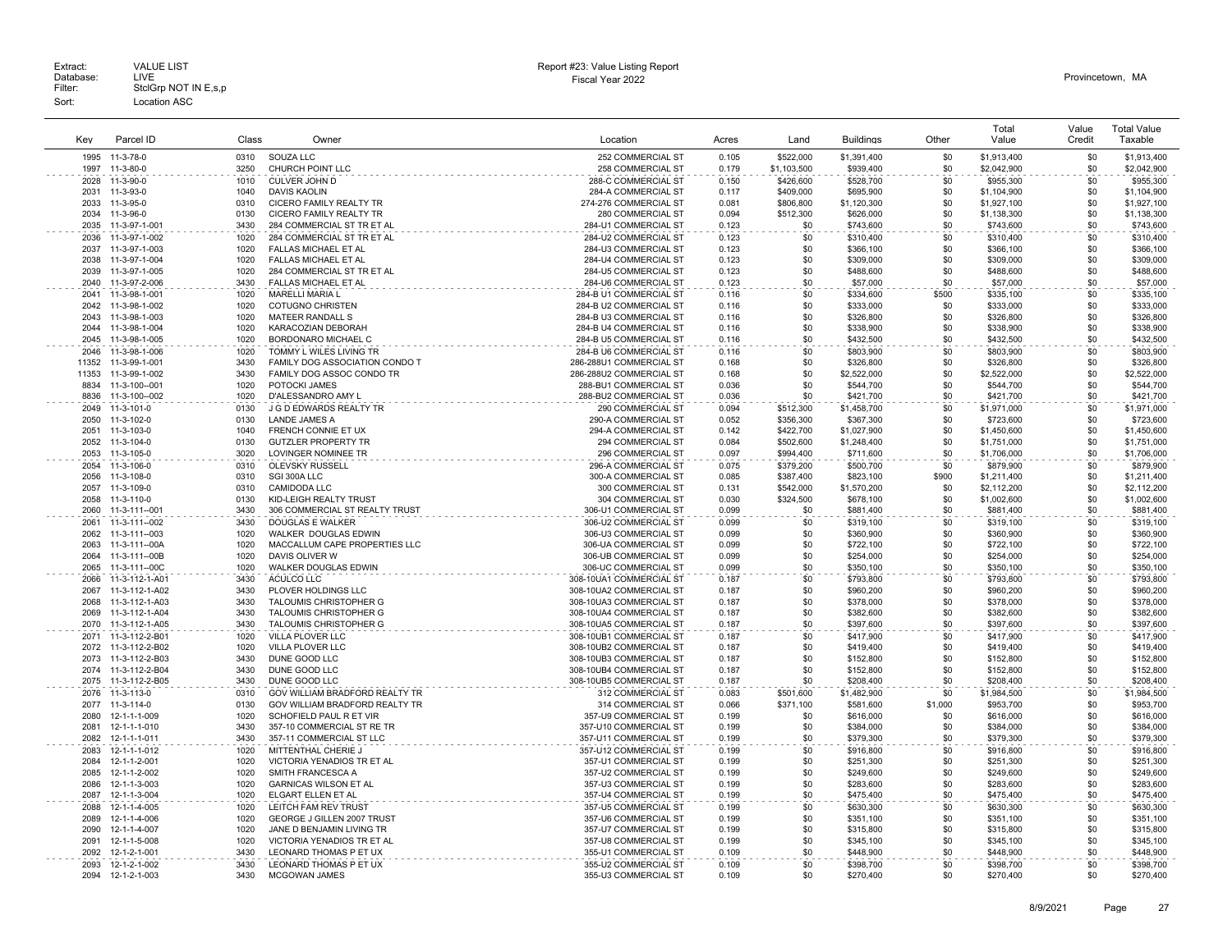| Key           | Parcel ID      | Class        | Owner                                      | Location                                         | Acres | Land        | <b>Buildings</b> | Other      | Total<br>Value           | Value<br>Credit | <b>Total Value</b><br>Taxable |
|---------------|----------------|--------------|--------------------------------------------|--------------------------------------------------|-------|-------------|------------------|------------|--------------------------|-----------------|-------------------------------|
| 1995          | 11-3-78-0      | 0310         | SOUZA LLC                                  | 252 COMMERCIAL ST                                | 0.105 | \$522,000   | \$1,391,400      | \$0        | \$1,913,400              | \$0             | \$1,913,400                   |
| 1997          | 11-3-80-0      | 3250         | CHURCH POINT LLC                           | 258 COMMERCIAL ST                                | 0.179 | \$1,103,500 | \$939,400        | \$0        | \$2,042,900              | \$0             | \$2,042,900                   |
| 2028          | 11-3-90-0      | 1010         | CULVER JOHN D                              | 288-C COMMERCIAL ST                              | 0.150 | \$426,600   | \$528,700        | \$0        | \$955,300                | \$0             | \$955,300                     |
| 2031          | 11-3-93-0      | 1040         | <b>DAVIS KAOLIN</b>                        | 284-A COMMERCIAL ST                              | 0.117 | \$409,000   | \$695,900        | \$0        | \$1,104,900              | \$0             | \$1,104,900                   |
| 2033          | 11-3-95-0      | 0310         | CICERO FAMILY REALTY TR                    | 274-276 COMMERCIAL ST                            | 0.081 | \$806,800   | \$1,120,300      | \$0        | \$1,927,100              | \$0             | \$1,927,100                   |
| 2034          | 11-3-96-0      | 0130         | CICERO FAMILY REALTY TR                    | 280 COMMERCIAL ST                                | 0.094 | \$512,300   | \$626,000        | \$0        | \$1,138,300              | \$0             | \$1,138,300                   |
| 2035          | 11-3-97-1-001  | 3430         | 284 COMMERCIAL ST TR ET AL                 | 284-U1 COMMERCIAL ST                             | 0.123 | \$0         | \$743,600        | \$0        | \$743,600                | \$0             | \$743,600                     |
| 2036          | 11-3-97-1-002  | 1020         | 284 COMMERCIAL ST TR ET AL                 | 284-U2 COMMERCIAL ST                             | 0.123 | \$0         | \$310,400        | \$0        | \$310,400                | \$0             | \$310,400                     |
| 2037          | 11-3-97-1-003  | 1020         | FALLAS MICHAEL ET AL                       | 284-U3 COMMERCIAL ST                             | 0.123 | \$0         | \$366,100        | \$0        | \$366,100                | \$0             | \$366,100                     |
| 2038          | 11-3-97-1-004  | 1020         | FALLAS MICHAEL ET AL                       | 284-U4 COMMERCIAL ST                             | 0.123 | \$0         | \$309,000        | \$0        | \$309,000                | \$0             | \$309,000                     |
| 2039          | 11-3-97-1-005  | 1020         | 284 COMMERCIAL ST TR ET AL                 | 284-U5 COMMERCIAL ST                             | 0.123 | \$0         | \$488,600        | \$0        | \$488,600                | \$0             | \$488,600                     |
| 2040          | 11-3-97-2-006  | 3430         | FALLAS MICHAEL ET AL                       | 284-U6 COMMERCIAL ST                             | 0.123 | \$0         | \$57,000         | \$0        | \$57,000                 | \$0             | \$57,000                      |
| 2041          | 11-3-98-1-001  | 1020         | MARELLI MARIA L                            | 284-B U1 COMMERCIAL ST                           | 0.116 | \$0         | \$334,600        | \$500      | \$335,100                | \$0             | \$335,100                     |
| 2042          | 11-3-98-1-002  | 1020         | <b>COTUGNO CHRISTEN</b>                    | 284-B U2 COMMERCIAL ST                           | 0.116 | \$0         | \$333,000        | \$0        | \$333,000                | \$0             | \$333,000                     |
| 2043          | 11-3-98-1-003  | 1020         | MATEER RANDALL S                           | 284-B U3 COMMERCIAL ST                           | 0.116 | \$0         | \$326,800        | \$0        | \$326,800                | \$0             | \$326,800                     |
| 2044          | 11-3-98-1-004  | 1020         | KARACOZIAN DEBORAH                         | 284-B U4 COMMERCIAL ST                           | 0.116 | \$0         | \$338,900        | \$0        | \$338,900                | \$0             | \$338,900                     |
| 2045          | 11-3-98-1-005  | 1020         | BORDONARO MICHAEL C                        | 284-B U5 COMMERCIAL ST                           |       | \$0         | \$432,500        | \$0        | \$432,500                | \$0             | \$432,500                     |
| 2046          |                | 1020         | TOMMY L WILES LIVING TR                    | 284-B U6 COMMERCIAL ST                           | 0.116 | \$0         |                  | \$0        |                          | \$0             | \$803.900                     |
|               | 11-3-98-1-006  |              |                                            |                                                  | 0.116 |             | \$803,900        |            | \$803,900                |                 |                               |
| 11352         | 11-3-99-1-001  | 3430<br>3430 | FAMILY DOG ASSOCIATION CONDO T             | 286-288U1 COMMERCIAL ST                          | 0.168 | \$0<br>\$0  | \$326,800        | \$0        | \$326,800                | \$0             | \$326,800                     |
| 11353<br>8834 | 11-3-99-1-002  | 1020         | FAMILY DOG ASSOC CONDO TR<br>POTOCKI JAMES | 286-288U2 COMMERCIAL ST<br>288-BU1 COMMERCIAL ST | 0.168 | \$0         | \$2,522,000      | \$0<br>\$0 | \$2,522,000<br>\$544,700 | \$0<br>\$0      | \$2,522,000                   |
|               | 11-3-100--001  |              |                                            |                                                  | 0.036 |             | \$544,700        |            |                          | \$0             | \$544,700                     |
| 8836          | 11-3-100--002  | 1020         | D'ALESSANDRO AMY L                         | 288-BU2 COMMERCIAL ST                            | 0.036 | \$0         | \$421,700        | \$0        | \$421,700                |                 | \$421,700                     |
| 2049          | 11-3-101-0     | 0130         | J G D EDWARDS REALTY TR                    | 290 COMMERCIAL ST                                | 0.094 | \$512,300   | \$1,458,700      | \$0        | \$1,971,000              | \$0             | \$1,971,000                   |
| 2050          | 11-3-102-0     | 0130         | <b>LANDE JAMES A</b>                       | 290-A COMMERCIAL ST                              | 0.052 | \$356,300   | \$367,300        | \$0        | \$723,600                | \$0             | \$723,600                     |
| 2051          | 11-3-103-0     | 1040         | FRENCH CONNIE ET UX                        | 294-A COMMERCIAL ST                              | 0.142 | \$422,700   | \$1,027,900      | \$0        | \$1,450,600              | \$0             | \$1,450,600                   |
| 2052          | 11-3-104-0     | 0130         | <b>GUTZLER PROPERTY TR</b>                 | 294 COMMERCIAL ST                                | 0.084 | \$502,600   | \$1,248,400      | \$0        | \$1,751,000              | \$0             | \$1,751,000                   |
| 2053          | 11-3-105-0     | 3020         | LOVINGER NOMINEE TR                        | 296 COMMERCIAL ST                                | 0.097 | \$994,400   | \$711,600        | \$0        | \$1,706,000              | \$0             | \$1,706,000                   |
| 2054          | 11-3-106-0     | 0310         | OLEVSKY RUSSELL                            | 296-A COMMERCIAL ST                              | 0.075 | \$379,200   | \$500,700        | \$0        | \$879,900                | \$0             | \$879,900                     |
| 2056          | 11-3-108-0     | 0310         | SGI 300A LLC                               | 300-A COMMERCIAL ST                              | 0.085 | \$387.400   | \$823,100        | \$900      | \$1,211,400              | \$0             | \$1.211.400                   |
| 2057          | 11-3-109-0     | 0310         | <b>CAMIDODA LLC</b>                        | 300 COMMERCIAL ST                                | 0.131 | \$542,000   | \$1,570,200      | \$0        | \$2,112,200              | \$0             | \$2,112,200                   |
| 2058          | 11-3-110-0     | 0130         | KID-LEIGH REALTY TRUST                     | 304 COMMERCIAL ST                                | 0.030 | \$324,500   | \$678,100        | \$0        | \$1,002,600              | \$0             | \$1,002,600                   |
| 2060          | 11-3-111--001  | 3430         | 306 COMMERCIAL ST REALTY TRUST             | 306-U1 COMMERCIAL ST                             | 0.099 | \$0         | \$881,400        | \$0        | \$881,400                | \$0             | \$881,400                     |
| 2061          | 11-3-111--002  | 3430         | <b>DOUGLAS E WALKER</b>                    | 306-U2 COMMERCIAL ST                             | 0.099 | \$0         | \$319,100        | \$0        | \$319,100                | \$0             | \$319,100                     |
| 2062          | 11-3-111--003  | 1020         | WALKER DOUGLAS EDWIN                       | 306-U3 COMMERCIAL ST                             | 0.099 | \$0         | \$360,900        | \$0        | \$360,900                | \$0             | \$360,900                     |
| 2063          | 11-3-111--00A  | 1020         | MACCALLUM CAPE PROPERTIES LLC              | 306-UA COMMERCIAL ST                             | 0.099 | \$0         | \$722,100        | \$0        | \$722,100                | \$0             | \$722,100                     |
| 2064          | 11-3-111--00B  | 1020         | DAVIS OLIVER W                             | 306-UB COMMERCIAL ST                             | 0.099 | \$0         | \$254,000        | \$0        | \$254,000                | \$0             | \$254,000                     |
| 2065          | 11-3-111--00C  | 1020         | WALKER DOUGLAS EDWIN                       | 306-UC COMMERCIAL ST                             | 0.099 | \$0         | \$350,100        | \$0        | \$350,100                | \$0             | \$350,100                     |
| 2066          | 11-3-112-1-A01 | 3430         | ACULCO LLC                                 | 308-10UA1 COMMERCIAL ST                          | 0.187 | \$0         | \$793,800        | \$0        | \$793,800                | \$0             | \$793,800                     |
| 2067          | 11-3-112-1-A02 | 3430         | PLOVER HOLDINGS LLC                        | 308-10UA2 COMMERCIAL ST                          | 0.187 | \$0         | \$960,200        | \$0        | \$960,200                | \$0             | \$960,200                     |
| 2068          | 11-3-112-1-A03 | 3430         | TALOUMIS CHRISTOPHER G                     | 308-10UA3 COMMERCIAL ST                          | 0.187 | \$0         | \$378,000        | \$0        | \$378,000                | \$0             | \$378,000                     |
| 2069          | 11-3-112-1-A04 | 3430         | TALOUMIS CHRISTOPHER G                     | 308-10UA4 COMMERCIAL ST                          | 0.187 | \$0         | \$382,600        | \$0        | \$382,600                | \$0             | \$382,600                     |
| 2070          | 11-3-112-1-A05 | 3430         | TALOUMIS CHRISTOPHER G                     | 308-10UA5 COMMERCIAL ST                          | 0.187 | \$0         | \$397,600        | \$0        | \$397,600                | \$0             | \$397,600                     |
| 2071          | 11-3-112-2-B01 | 1020         | VILLA PLOVER LLC                           | 308-10UB1 COMMERCIAL ST                          | 0.187 | \$0         | \$417,900        | \$0        | \$417,900                | \$0             | \$417,900                     |
| 2072          | 11-3-112-2-B02 | 1020         | VILLA PLOVER LLC                           | 308-10UB2 COMMERCIAL ST                          | 0.187 | \$0         | \$419,400        | \$0        | \$419,400                | \$0             | \$419,400                     |
| 2073          | 11-3-112-2-B03 | 3430         | DUNE GOOD LLC                              | 308-10UB3 COMMERCIAL ST                          | 0.187 | \$0         | \$152,800        | \$0        | \$152,800                | \$0             | \$152,800                     |
| 2074          | 11-3-112-2-B04 | 3430         | DUNE GOOD LLC                              | 308-10UB4 COMMERCIAL ST                          | 0.187 | \$0         | \$152,800        | \$0        | \$152,800                | \$0             | \$152,800                     |
| 2075          | 11-3-112-2-B05 | 3430         | DUNE GOOD LLC                              | 308-10UB5 COMMERCIAL ST<br>.                     | 0.187 | \$0         | \$208,400        | \$0        | \$208,400                | \$0             | \$208,400                     |
| 2076          | 11-3-113-0     | 0310         | GOV WILLIAM BRADFORD REALTY TR             | 312 COMMERCIAL ST                                | 0.083 | \$501,600   | \$1,482,900      | \$0        | \$1,984,500              | \$0             | \$1,984,500                   |
| 2077          | 11-3-114-0     | 0130         | GOV WILLIAM BRADFORD REALTY TR             | 314 COMMERCIAL ST                                | 0.066 | \$371.100   | \$581,600        | \$1,000    | \$953,700                | \$0             | \$953,700                     |
| 2080          | 12-1-1-1-009   | 1020         | SCHOFIELD PAUL R ET VIR                    | 357-U9 COMMERCIAL ST                             | 0.199 | \$0         | \$616,000        | \$0        | \$616,000                | \$0             | \$616,000                     |
| 2081          | 12-1-1-1-010   | 3430         | 357-10 COMMERCIAL ST RE TR                 | 357-U10 COMMERCIAL ST                            | 0.199 | \$0         | \$384,000        | \$0        | \$384,000                | \$0             | \$384,000                     |
| 2082          | 12-1-1-1-011   | 3430         | 357-11 COMMERCIAL ST LLC                   | 357-U11 COMMERCIAL ST                            | 0.199 | \$0         | \$379,300        | \$0        | \$379,300                | \$0             | \$379,300                     |
| 2083          | 12-1-1-1-012   | 1020         | MITTENTHAL CHERIE J                        | 357-U12 COMMERCIAL ST                            | 0.199 | \$0         | \$916,800        | \$0        | \$916,800                | \$0             | \$916,800                     |
| 2084          | 12-1-1-2-001   | 1020         | VICTORIA YENADIOS TR ET AL                 | 357-U1 COMMERCIAL ST                             | 0.199 | \$0         | \$251,300        | \$0        | \$251,300                | \$0             | \$251,300                     |
| 2085          | 12-1-1-2-002   | 1020         | SMITH FRANCESCA A                          | 357-U2 COMMERCIAL ST                             | 0.199 | \$0         | \$249,600        | \$0        | \$249,600                | \$0             | \$249,600                     |
| 2086          | 12-1-1-3-003   | 1020         | <b>GARNICAS WILSON ET AL</b>               | 357-U3 COMMERCIAL ST                             | 0.199 | \$0         | \$283,600        | \$0        | \$283,600                | \$0             | \$283,600                     |
| 2087          | 12-1-1-3-004   | 1020         | ELGART ELLEN ET AL                         | 357-U4 COMMERCIAL ST                             | 0.199 | \$0         | \$475,400        | \$0        | \$475,400                | \$0             | \$475,400                     |
| 2088          | 12-1-1-4-005   | 1020         | LEITCH FAM REV TRUST                       | 357-U5 COMMERCIAL ST                             | 0.199 | \$0         | \$630,300        | \$0        | \$630,300                | \$0             | \$630,300                     |
| 2089          | 12-1-1-4-006   | 1020         | GEORGE J GILLEN 2007 TRUST                 | 357-U6 COMMERCIAL ST                             | 0.199 | \$0         | \$351,100        | \$0        | \$351,100                | \$0             | \$351,100                     |
| 2090          | 12-1-1-4-007   | 1020         | JANE D BENJAMIN LIVING TR                  | 357-U7 COMMERCIAL ST                             | 0.199 | \$0         | \$315,800        | \$0        | \$315,800                | \$0             | \$315,800                     |
| 2091          | 12-1-1-5-008   | 1020         | VICTORIA YENADIOS TR ET AL                 | 357-U8 COMMERCIAL ST                             | 0.199 | \$0         | \$345,100        | \$0        | \$345,100                | \$0             | \$345,100                     |
| 2092          | 12-1-2-1-001   | 3430         | LEONARD THOMAS P ET UX                     | 355-U1 COMMERCIAL ST                             | 0.109 | \$0         | \$448,900        | \$0        | \$448,900                | \$0             | \$448,900                     |
| 2093          | 12-1-2-1-002   | 3430         | LEONARD THOMAS P ET UX                     | 355-U2 COMMERCIAL ST                             | 0.109 | \$0         | \$398,700        | \$0        | \$398,700                | \$0             | \$398,700                     |
| 2094          | 12-1-2-1-003   | 3430         | MCGOWAN JAMES                              | 355-U3 COMMERCIAL ST                             | 0.109 | \$0         | \$270,400        | \$0        | \$270,400                | \$0             | \$270,400                     |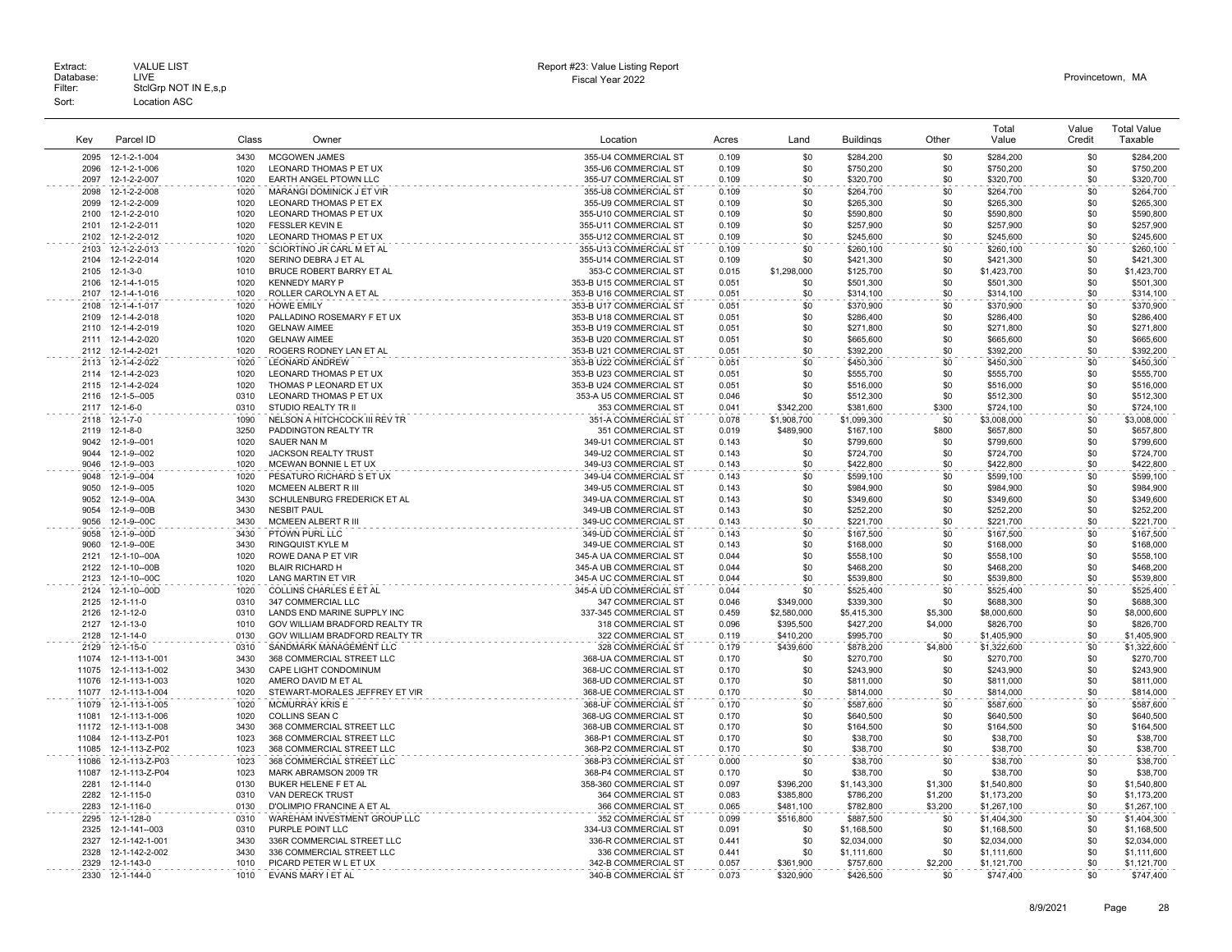|                |                                      |              |                                                               |                                                    |                |                          |                          |                    | Total                      | Value      | <b>Total Value</b>         |
|----------------|--------------------------------------|--------------|---------------------------------------------------------------|----------------------------------------------------|----------------|--------------------------|--------------------------|--------------------|----------------------------|------------|----------------------------|
| Key            | Parcel ID                            | Class        | Owner                                                         | Location                                           | Acres          | Land                     | <b>Buildings</b>         | Other              | Value                      | Credit     | Taxable                    |
| 2095           | 12-1-2-1-004                         | 3430         | <b>MCGOWEN JAMES</b>                                          | 355-U4 COMMERCIAL ST                               | 0.109          | \$0                      | \$284,200                | \$0                | \$284,200                  | \$0        | \$284,200                  |
| 2096           | 12-1-2-1-006                         | 1020         | LEONARD THOMAS P ET UX                                        | 355-U6 COMMERCIAL ST                               | 0.109          | \$0                      | \$750,200                | \$0                | \$750,200                  | \$0        | \$750,200                  |
| 2097           | 12-1-2-2-007                         | 1020         | EARTH ANGEL PTOWN LLC                                         | 355-U7 COMMERCIAL ST                               | 0.109          | \$0                      | \$320,700                | \$0                | \$320,700                  | \$0        | \$320,700                  |
| 2098<br>2099   | 12-1-2-2-008<br>12-1-2-2-009         | 1020<br>1020 | MARANGI DOMINICK J ET VIR<br>LEONARD THOMAS P ET EX           | 355-U8 COMMERCIAL ST<br>355-U9 COMMERCIAL ST       | 0.109<br>0.109 | \$0<br>\$0               | \$264,700<br>\$265,300   | \$0<br>\$0         | \$264,700<br>\$265,300     | \$0<br>\$0 | \$264,700<br>\$265,300     |
| 2100           | 12-1-2-2-010                         | 1020         | LEONARD THOMAS P ET UX                                        | 355-U10 COMMERCIAL ST                              | 0.109          | \$0                      | \$590,800                | \$0                | \$590,800                  | \$0        | \$590,800                  |
| 2101           | 12-1-2-2-011                         | 1020         | <b>FESSLER KEVIN E</b>                                        | 355-U11 COMMERCIAL ST                              | 0.109          | \$0                      | \$257,900                | \$0                | \$257,900                  | \$0        | \$257,900                  |
| 2102           | 12-1-2-2-012                         | 1020         | LEONARD THOMAS P ET UX                                        | 355-U12 COMMERCIAL ST                              | 0.109          | \$0                      | \$245,600                | \$0                | \$245,600                  | \$0        | \$245,600                  |
| 2103           | 12-1-2-2-013                         | 1020         | SCIORTINO JR CARL M ET AL                                     | 355-U13 COMMERCIAL ST                              | 0.109          | \$0                      | \$260,100                | \$0                | \$260,100                  | \$0        | \$260,100                  |
| 2104           | 12-1-2-2-014                         | 1020         | SERINO DEBRA J ET AL                                          | 355-U14 COMMERCIAL ST                              | 0.109          | \$0                      | \$421,300                | \$0                | \$421,300                  | \$0        | \$421,300                  |
| 2105           | $12 - 1 - 3 - 0$                     | 1010         | BRUCE ROBERT BARRY ET AL                                      | 353-C COMMERCIAL ST                                | 0.015          | \$1,298,000              | \$125,700                | \$0                | \$1,423,700                | \$0        | \$1,423,700                |
| 2106           | 12-1-4-1-015                         | 1020         | <b>KENNEDY MARY P</b>                                         | 353-B U15 COMMERCIAL ST                            | 0.051          | \$0                      | \$501,300                | \$0                | \$501,300                  | \$0        | \$501,300                  |
| 2107           | 12-1-4-1-016                         | 1020         | ROLLER CAROLYN A ET AL                                        | 353-B U16 COMMERCIAL ST                            | 0.051          | \$0                      | \$314,100                | \$0                | \$314,100                  | \$0        | \$314,100                  |
| 2108<br>2109   | 12-1-4-1-017<br>12-1-4-2-018         | 1020<br>1020 | <b>HOWE EMILY</b><br>PALLADINO ROSEMARY F ET UX               | 353-B U17 COMMERCIAL ST<br>353-B U18 COMMERCIAL ST | 0.051<br>0.051 | \$0<br>\$0               | \$370,900<br>\$286,400   | \$0<br>\$0         | \$370,900<br>\$286,400     | \$0<br>\$0 | \$370,900<br>\$286,400     |
| 2110           | 12-1-4-2-019                         | 1020         | <b>GELNAW AIMEE</b>                                           | 353-B U19 COMMERCIAL ST                            | 0.051          | \$0                      | \$271,800                | \$0                | \$271,800                  | \$0        | \$271,800                  |
| 2111           | 12-1-4-2-020                         | 1020         | <b>GELNAW AIMEE</b>                                           | 353-B U20 COMMERCIAL ST                            | 0.051          | \$0                      | \$665,600                | \$0                | \$665,600                  | \$0        | \$665,600                  |
| 2112           | 12-1-4-2-021                         | 1020         | ROGERS RODNEY LAN ET AL                                       | 353-B U21 COMMERCIAL ST                            | 0.051          | \$0                      | \$392,200                | \$0                | \$392,200                  | \$0        | \$392,200                  |
| 2113           | 12-1-4-2-022                         | 1020         | <b>LEONARD ANDREW</b>                                         | 353-B U22 COMMERCIAL ST                            | 0.051          | \$0                      | \$450,300                | \$0                | \$450,300                  | \$0        | \$450,300                  |
| 2114           | 12-1-4-2-023                         | 1020         | LEONARD THOMAS P ET UX                                        | 353-B U23 COMMERCIAL ST                            | 0.051          | \$0                      | \$555,700                | \$0                | \$555,700                  | \$0        | \$555,700                  |
| 2115           | 12-1-4-2-024                         | 1020         | THOMAS P LEONARD ET UX                                        | 353-B U24 COMMERCIAL ST                            | 0.051          | \$0                      | \$516,000                | \$0                | \$516,000                  | \$0        | \$516,000                  |
| 2116           | 12-1-5-005                           | 0310         | LEONARD THOMAS P ET UX                                        | 353-A U5 COMMERCIAL ST                             | 0.046          | \$0                      | \$512,300                | \$0                | \$512,300                  | \$0        | \$512,300                  |
| 2117           | $12 - 1 - 6 - 0$                     | 0310         | STUDIO REALTY TR II                                           | 353 COMMERCIAL ST                                  | 0.041          | \$342,200                | \$381,600                | \$300              | \$724,100                  | \$0        | \$724,100                  |
| 2118<br>2119   | $12 - 1 - 7 - 0$<br>$12 - 1 - 8 - 0$ | 1090<br>3250 | NELSON A HITCHCOCK III REV TR                                 | 351-A COMMERCIAL ST<br>351 COMMERCIAL ST           | 0.078<br>0.019 | \$1,908,700<br>\$489,900 | \$1,099,300              | \$0<br>\$800       | \$3,008,000<br>\$657,800   | \$0<br>\$0 | \$3,008,000<br>\$657,800   |
| 9042           | 12-1-9--001                          | 1020         | PADDINGTON REALTY TR<br>SAUER NAN M                           | 349-U1 COMMERCIAL ST                               | 0.143          | \$0                      | \$167,100<br>\$799,600   | \$0                | \$799,600                  | \$0        | \$799,600                  |
| 9044           | 12-1-9--002                          | 1020         | <b>JACKSON REALTY TRUST</b>                                   | 349-U2 COMMERCIAL ST                               | 0.143          | \$0                      | \$724,700                | \$0                | \$724,700                  | \$0        | \$724,700                  |
| 9046           | 12-1-9--003                          | 1020         | MCEWAN BONNIE L ET UX                                         | 349-U3 COMMERCIAL ST                               | 0.143          | \$0                      | \$422,800                | \$0                | \$422,800                  | \$0        | \$422,800                  |
| 9048           | 12-1-9--004                          | 1020         | PESATURO RICHARD S ET UX                                      | 349-U4 COMMERCIAL ST                               | 0.143          | \$0                      | \$599,100                | \$0                | \$599,100                  | \$0        | \$599,100                  |
| 9050           | 12-1-9--005                          | 1020         | MCMEEN ALBERT R III                                           | 349-U5 COMMERCIAL ST                               | 0.143          | \$0                      | \$984,900                | \$0                | \$984,900                  | \$0        | \$984,900                  |
| 9052           | 12-1-9--00A                          | 3430         | SCHULENBURG FREDERICK ET AL                                   | 349-UA COMMERCIAL ST                               | 0.143          | \$0                      | \$349,600                | \$0                | \$349,600                  | \$0        | \$349,600                  |
| 9054<br>9056   | 12-1-9--00B<br>12-1-9--00C           | 3430<br>3430 | <b>NESBIT PAUL</b><br>MCMEEN ALBERT R III                     | 349-UB COMMERCIAL ST<br>349-UC COMMERCIAL ST       | 0.143<br>0.143 | \$0<br>\$0               | \$252,200<br>\$221,700   | \$0<br>\$0         | \$252,200<br>\$221,700     | \$0<br>\$0 | \$252,200<br>\$221,700     |
| 9058           | 12-1-9--00D                          | 3430         | PTOWN PURL LLC                                                | 349-UD COMMERCIAL ST                               | 0.143          | \$0                      | \$167,500                | \$0                | \$167,500                  | \$0        | \$167,500                  |
| 9060           | 12-1-9--00E                          | 3430         | <b>RINGQUIST KYLE M</b>                                       | 349-UE COMMERCIAL ST                               | 0.143          | \$0                      | \$168,000                | \$0                | \$168,000                  | \$0        | \$168,000                  |
| 2121           | 12-1-10--00A                         | 1020         | ROWE DANA P ET VIR                                            | 345-A UA COMMERCIAL ST                             | 0.044          | \$0                      | \$558,100                | \$0                | \$558,100                  | \$0        | \$558,100                  |
| 2122           | 12-1-10--00B                         | 1020         | <b>BLAIR RICHARD H</b>                                        | 345-A UB COMMERCIAL ST                             | 0.044          | \$0                      | \$468,200                | \$0                | \$468,200                  | \$0        | \$468,200                  |
| 2123           | 12-1-10--00C                         | 1020         | <b>LANG MARTIN ET VIR</b>                                     | 345-A UC COMMERCIAL ST                             | 0.044          | \$0                      | \$539,800                | \$0                | \$539,800                  | \$0        | \$539,800                  |
| 2124           | 12-1-10--00D                         | 1020         | COLLINS CHARLES E ET AL                                       | 345-A UD COMMERCIAL ST                             | 0.044          | \$0                      | \$525,400                | \$0                | \$525,400                  | \$0        | \$525,400                  |
| 2125           | $12 - 1 - 11 - 0$                    | 0310         | 347 COMMERCIAL LLC                                            | 347 COMMERCIAL ST                                  | 0.046          | \$349,000                | \$339,300                | \$0                | \$688,300                  | \$0        | \$688,300                  |
| 2126<br>2127   | 12-1-12-0<br>$12 - 1 - 13 - 0$       | 0310<br>1010 | LANDS END MARINE SUPPLY INC<br>GOV WILLIAM BRADFORD REALTY TR | 337-345 COMMERCIAL ST<br>318 COMMERCIAL ST         | 0.459<br>0.096 | \$2,580,000<br>\$395,500 | \$5,415,300<br>\$427,200 | \$5,300<br>\$4,000 | \$8,000,600<br>\$826,700   | \$0<br>\$0 | \$8,000,600<br>\$826,700   |
| 2128           | $12 - 1 - 14 - 0$                    | 0130         | GOV WILLIAM BRADFORD REALTY TR                                | 322 COMMERCIAL ST                                  | 0.119          | \$410,200                | \$995,700                | \$0                | \$1,405,900                | \$0        | \$1,405,900                |
| 2129           | $12 - 1 - 15 - 0$                    | 0310         | SANDMARK MANAGEMENT LLC                                       | 328 COMMERCIAL ST                                  | 0.179          | \$439,600                | \$878,200                | \$4,800            | \$1,322,600                | \$0        | \$1,322,600                |
| 11074          | 12-1-113-1-001                       | 3430         | 368 COMMERCIAL STREET LLC                                     | 368-UA COMMERCIAL ST                               | 0.170          | -\$0                     | \$270,700                | \$0                | \$270,700                  | \$0        | \$270,700                  |
| 11075          | 12-1-113-1-002                       | 3430         | CAPE LIGHT CONDOMINUM                                         | 368-UC COMMERCIAL ST                               | 0.170          | \$0                      | \$243,900                | \$0                | \$243,900                  | \$0        | \$243,900                  |
| 11076          | 12-1-113-1-003                       | 1020         | AMERO DAVID M ET AL                                           | 368-UD COMMERCIAL ST                               | 0.170          | \$0                      | \$811,000                | \$0                | \$811,000                  | \$0        | \$811,000                  |
| 11077<br>11079 | 12-1-113-1-004<br>12-1-113-1-005     | 1020<br>1020 | STEWART-MORALES JEFFREY ET VIR<br><b>MCMURRAY KRIS E</b>      | 368-UE COMMERCIAL ST<br>368-UF COMMERCIAL ST       | 0.170<br>0.170 | \$0<br>\$0               | \$814,000                | \$0<br>\$0         | \$814,000                  | \$0<br>\$0 | \$814,000                  |
| 11081          | 12-1-113-1-006                       | 1020         | <b>COLLINS SEAN C</b>                                         | 368-UG COMMERCIAL ST                               | 0.170          | \$0                      | \$587,600<br>\$640,500   | \$0                | \$587,600<br>\$640,500     | \$0        | \$587,600<br>\$640,500     |
| 11172          | 12-1-113-1-008                       | 3430         | 368 COMMERCIAL STREET LLC                                     | 368-UB COMMERCIAL ST                               | 0.170          | \$0                      | \$164,500                | \$0                | \$164,500                  | \$0        | \$164,500                  |
| 11084          | 12-1-113-Z-P01                       | 1023         | 368 COMMERCIAL STREET LLC                                     | 368-P1 COMMERCIAL ST                               | 0.170          | \$0                      | \$38,700                 | \$0                | \$38,700                   | \$0        | \$38,700                   |
| 11085          | 12-1-113-Z-P02                       | 1023         | 368 COMMERCIAL STREET LLC                                     | 368-P2 COMMERCIAL ST                               | 0.170          | \$0                      | \$38,700                 | \$0                | \$38,700                   | \$0        | \$38,700                   |
| 11086          | 12-1-113-Z-P03                       | 1023         | 368 COMMERCIAL STREET LLC                                     | 368-P3 COMMERCIAL ST                               | 0.000          | \$0                      | \$38,700                 | \$0                | \$38,700                   | \$0        | \$38,700                   |
| 11087          | 12-1-113-Z-P04                       | 1023         | MARK ABRAMSON 2009 TR                                         | 368-P4 COMMERCIAL ST                               | 0.170          | \$0                      | \$38,700                 | \$0                | \$38,700                   | \$0        | \$38,700                   |
| 2281           | 12-1-114-0                           | 0130         | BUKER HELENE F ET AL                                          | 358-360 COMMERCIAL ST                              | 0.097          | \$396,200                | \$1,143,300              | \$1,300            | \$1,540,800                | \$0        | \$1,540,800                |
| 2282           | 12-1-115-0                           | 0310         | VAN DERECK TRUST                                              | 364 COMMERCIAL ST                                  | 0.083          | \$385,800                | \$786,200                | \$1,200            | \$1,173,200                | \$0        | \$1,173,200                |
| 2283<br>2295   | 12-1-116-0<br>12-1-128-0             | 0130<br>0310 | D'OLIMPIO FRANCINE A ET AL<br>WAREHAM INVESTMENT GROUP LLC    | 366 COMMERCIAL ST<br>352 COMMERCIAL ST             | 0.065<br>0.099 | \$481,100<br>\$516,800   | \$782,800<br>\$887,500   | \$3,200<br>\$0     | \$1,267,100<br>\$1,404,300 | \$0<br>\$0 | \$1,267,100<br>\$1,404,300 |
| 2325           | 12-1-141--003                        | 0310         | PURPLE POINT LLC                                              | 334-U3 COMMERCIAL ST                               | 0.091          | \$0                      | \$1,168,500              | \$0                | \$1,168,500                | \$0        | \$1,168,500                |
| 2327           | 12-1-142-1-001                       | 3430         | 336R COMMERCIAL STREET LLC                                    | 336-R COMMERCIAL ST                                | 0.441          | \$0                      | \$2,034,000              | \$0                | \$2,034,000                | \$0        | \$2,034,000                |
| 2328           | 12-1-142-2-002                       | 3430         | 336 COMMERCIAL STREET LLC                                     | 336 COMMERCIAL ST                                  | 0.441          | \$0                      | \$1,111,600              | \$0                | \$1,111,600                | \$0        | \$1,111,600                |
| 2329           | 12-1-143-0                           | 1010         | PICARD PETER W L ET UX                                        | 342-B COMMERCIAL ST                                | 0.057          | \$361,900                | \$757,600                | \$2,200            | \$1,121,700                | \$0        | \$1,121,700                |
| 2330           | 12-1-144-0                           | 1010         | EVANS MARY I ET AL                                            | 340-B COMMERCIAL ST                                | 0.073          | \$320,900                | \$426,500                | \$0                | \$747.400                  | \$0        | \$747.400                  |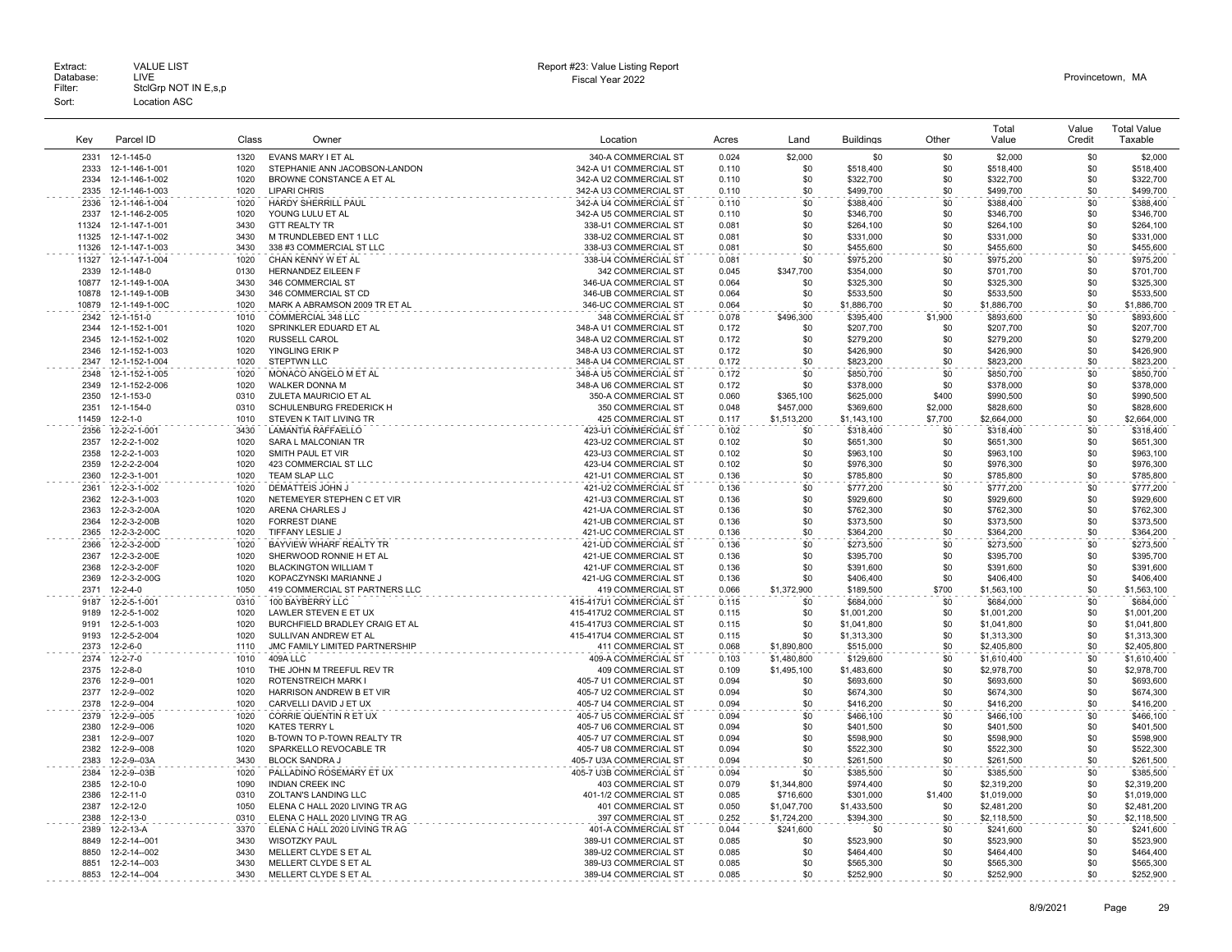| Extract:<br>Database:<br>Filter: | <b>VALUE LIST</b><br>LIVE<br>StclGrp NOT IN E,s,p | Report #23: Value Listing Report<br>Fiscal Year 2022 | Provincetown. MA |
|----------------------------------|---------------------------------------------------|------------------------------------------------------|------------------|
| Sort:                            | Location ASC                                      |                                                      |                  |

# Report #23: Value Listing Report

| Key           | Parcel ID                    | Class        | Owner                                             | Location                                           | Acres          | Land                       | <b>Buildings</b>       | Other        | Total<br>Value             | Value<br>Credit | <b>Total Value</b><br>Taxable |
|---------------|------------------------------|--------------|---------------------------------------------------|----------------------------------------------------|----------------|----------------------------|------------------------|--------------|----------------------------|-----------------|-------------------------------|
| 2331          | 12-1-145-0                   | 1320         | EVANS MARY I ET AL                                | 340-A COMMERCIAL ST                                | 0.024          | \$2,000                    | \$0                    | \$0          | \$2,000                    | \$0             | \$2,000                       |
| 2333          | 12-1-146-1-001               | 1020         | STEPHANIE ANN JACOBSON-LANDON                     | 342-A U1 COMMERCIAL ST                             | 0.110          | \$0                        | \$518,400              | \$0          | \$518,400                  | \$0             | \$518,400                     |
| 2334          | 12-1-146-1-002               | 1020         | BROWNE CONSTANCE A ET AL                          | 342-A U2 COMMERCIAL ST                             | 0.110          | \$0                        | \$322,700              | \$0          | \$322,700                  | \$0             | \$322,700                     |
| 2335          | 12-1-146-1-003               | 1020         | <b>LIPARI CHRIS</b>                               | 342-A U3 COMMERCIAL ST                             | 0.110          | \$0                        | \$499,700              | \$0          | \$499,700                  | \$0             | \$499,700                     |
| 2336          | 12-1-146-1-004               | 1020         | <b>HARDY SHERRILL PAUL</b>                        | 342-A U4 COMMERCIAL ST                             | 0.110          | \$0                        | \$388.400              | \$0          | \$388,400                  | \$0             | \$388.400                     |
| 2337          | 12-1-146-2-005               | 1020         | YOUNG LULU ET AL                                  | 342-A U5 COMMERCIAL ST                             | 0.110          | \$0                        | \$346,700              | \$0          | \$346,700                  | \$0             | \$346,700                     |
| 11324         | 12-1-147-1-001               | 3430         | <b>GTT REALTY TR</b>                              | 338-U1 COMMERCIAL ST                               | 0.081          | \$0                        | \$264,100              | \$0          | \$264,100                  | \$0             | \$264,100                     |
| 11325         | 12-1-147-1-002               | 3430         | M TRUNDLEBED ENT 1 LLC                            | 338-U2 COMMERCIAL ST                               | 0.081          | \$0                        | \$331,000              | \$0          | \$331,000                  | \$0             | \$331,000                     |
| 11326         | 12-1-147-1-003               | 3430         | 338 #3 COMMERCIAL ST LLC                          | 338-U3 COMMERCIAL ST                               | 0.081          | \$0                        | \$455,600              | \$0          | \$455,600                  | \$0             | \$455,600                     |
| 11327         | 12-1-147-1-004               | 1020<br>0130 | CHAN KENNY W ET AL<br>HERNANDEZ EILEEN F          | 338-U4 COMMERCIAL ST                               | 0.081          | \$0                        | \$975,200              | \$0          | \$975,200                  | \$0<br>\$0      | \$975,200                     |
| 2339<br>10877 | 12-1-148-0<br>12-1-149-1-00A | 3430         | 346 COMMERCIAL ST                                 | 342 COMMERCIAL ST<br>346-UA COMMERCIAL ST          | 0.045<br>0.064 | \$347,700<br>\$0           | \$354,000<br>\$325,300 | \$0<br>\$0   | \$701,700<br>\$325,300     | \$0             | \$701,700<br>\$325,300        |
| 10878         | 12-1-149-1-00B               | 3430         | 346 COMMERCIAL ST CD                              | 346-UB COMMERCIAL ST                               | 0.064          | \$0                        | \$533,500              | \$0          | \$533,500                  | \$0             | \$533,500                     |
| 10879         | 12-1-149-1-00C               | 1020         | MARK A ABRAMSON 2009 TR ET AL                     | 346-UC COMMERCIAL ST                               | 0.064          | \$0                        | \$1,886,700            | \$0          | \$1,886,700                | \$0             | \$1,886,700                   |
| 2342          | 12-1-151-0                   | 1010         | <b>COMMERCIAL 348 LLC</b>                         | 348 COMMERCIAL ST                                  | 0.078          | \$496.300                  | \$395,400              | \$1,900      | \$893,600                  | \$0             | \$893,600                     |
| 2344          | 12-1-152-1-001               | 1020         | SPRINKLER EDUARD ET AL                            | 348-A U1 COMMERCIAL ST                             | 0.172          | \$0                        | \$207,700              | \$0          | \$207,700                  | \$0             | \$207,700                     |
| 2345          | 12-1-152-1-002               | 1020         | <b>RUSSELL CAROL</b>                              | 348-A U2 COMMERCIAL ST                             | 0.172          | \$0                        | \$279,200              | \$0          | \$279,200                  | \$0             | \$279,200                     |
| 2346          | 12-1-152-1-003               | 1020         | YINGLING ERIK P                                   | 348-A U3 COMMERCIAL ST                             | 0.172          | \$0                        | \$426,900              | \$0          | \$426,900                  | \$0             | \$426,900                     |
| 2347          | 12-1-152-1-004               | 1020         | <b>STEPTWN LLC</b>                                | 348-A U4 COMMERCIAL ST                             | 0.172          | \$0                        | \$823,200              | \$0          | \$823,200                  | \$0             | \$823.200                     |
| 2348          | 12-1-152-1-005               | 1020         | MONACO ANGELO M ET AL                             | 348-A U5 COMMERCIAL ST                             | 0.172          | \$0                        | \$850,700              | \$0          | \$850,700                  | \$0             | \$850,700                     |
| 2349<br>2350  | 12-1-152-2-006<br>12-1-153-0 | 1020<br>0310 | WALKER DONNA M<br>ZULETA MAURICIO ET AL           | 348-A U6 COMMERCIAL ST<br>350-A COMMERCIAL ST      | 0.172<br>0.060 | \$0                        | \$378,000<br>\$625,000 | \$0<br>\$400 | \$378,000<br>\$990,500     | \$0<br>\$0      | \$378,000<br>\$990,500        |
| 2351          | 12-1-154-0                   | 0310         | SCHULENBURG FREDERICK H                           | 350 COMMERCIAL ST                                  | 0.048          | \$365,100<br>\$457,000     | \$369,600              | \$2,000      | \$828,600                  | \$0             | \$828,600                     |
| 11459         | $12 - 2 - 1 - 0$             | 1010         | STEVEN K TAIT LIVING TR                           | 425 COMMERCIAL ST                                  | 0.117          | \$1,513,200                | \$1,143,100            | \$7,700      | \$2,664,000                | \$0             | \$2,664,000                   |
| 2356          | 12-2-2-1-001                 | 3430         | <b>LAMANTIA RAFFAELLO</b>                         | 423-U1 COMMERCIAL ST                               | 0.102          | \$0                        | \$318,400              | \$0          | \$318,400                  | \$0             | \$318,400                     |
| 2357          | 12-2-2-1-002                 | 1020         | SARA L MALCONIAN TR                               | 423-U2 COMMERCIAL ST                               | 0.102          | \$0                        | \$651.300              | \$0          | \$651.300                  | \$0             | \$651,300                     |
| 2358          | 12-2-2-1-003                 | 1020         | SMITH PAUL ET VIR                                 | 423-U3 COMMERCIAL ST                               | 0.102          | \$0                        | \$963,100              | \$0          | \$963,100                  | \$0             | \$963,100                     |
| 2359          | 12-2-2-2-004                 | 1020         | 423 COMMERCIAL ST LLC                             | 423-U4 COMMERCIAL ST                               | 0.102          | \$0                        | \$976,300              | \$0          | \$976,300                  | \$0             | \$976,300                     |
| 2360          | 12-2-3-1-001                 | 1020         | TEAM SLAP LLC                                     | 421-U1 COMMERCIAL ST                               | 0.136          | \$0                        | \$785,800              | \$0          | \$785,800                  | \$0             | \$785,800                     |
| 2361          | 12-2-3-1-002                 | 1020         | <b>DEMATTEIS JOHN J</b>                           | 421-U2 COMMERCIAL ST                               | 0.136          | \$0                        | \$777.200              | \$0          | \$777.200                  | \$0             | \$777.200                     |
| 2362          | 12-2-3-1-003                 | 1020         | NETEMEYER STEPHEN C ET VIR                        | 421-U3 COMMERCIAL ST                               | 0.136          | \$0                        | \$929,600              | \$0          | \$929,600                  | \$0             | \$929,600                     |
| 2363          | 12-2-3-2-00A                 | 1020         | ARENA CHARLES J                                   | 421-UA COMMERCIAL ST                               | 0.136          | \$0                        | \$762,300              | \$0          | \$762,300                  | \$0             | \$762,300                     |
| 2364<br>2365  | 12-2-3-2-00B<br>12-2-3-2-00C | 1020<br>1020 | <b>FORREST DIANE</b><br>TIFFANY LESLIE J          | 421-UB COMMERCIAL ST<br>421-UC COMMERCIAL ST       | 0.136<br>0.136 | \$0<br>\$0                 | \$373,500<br>\$364,200 | \$0<br>\$0   | \$373,500<br>\$364,200     | \$0<br>\$0      | \$373,500<br>\$364,200        |
| 2366          | 12-2-3-2-00D                 | 1020         | BAYVIEW WHARF REALTY TR                           | 421-UD COMMERCIAL ST                               | 0.136          | \$0                        | \$273,500              | \$0          | \$273.500                  | \$0             | \$273.500                     |
| 2367          | 12-2-3-2-00E                 | 1020         | SHERWOOD RONNIE H ET AL                           | 421-UE COMMERCIAL ST                               | 0.136          | \$0                        | \$395,700              | \$0          | \$395,700                  | \$0             | \$395,700                     |
| 2368          | 12-2-3-2-00F                 | 1020         | <b>BLACKINGTON WILLIAM T</b>                      | 421-UF COMMERCIAL ST                               | 0.136          | \$0                        | \$391,600              | \$0          | \$391,600                  | \$0             | \$391,600                     |
| 2369          | 12-2-3-2-00G                 | 1020         | KOPACZYNSKI MARIANNE J                            | 421-UG COMMERCIAL ST                               | 0.136          | \$0                        | \$406,400              | \$0          | \$406,400                  | \$0             | \$406,400                     |
| 2371          | $12 - 2 - 4 - 0$             | 1050         | 419 COMMERCIAL ST PARTNERS LLC                    | 419 COMMERCIAL ST                                  | 0.066          | \$1,372,900                | \$189,500              | \$700        | \$1,563,100                | \$0             | \$1,563,100                   |
| 9187          | 12-2-5-1-001                 | 0310         | 100 BAYBERRY LLC                                  | 415-417U1 COMMERCIAL ST                            | 0.115          | \$0                        | \$684.000              | \$0          | \$684,000                  | \$0             | \$684,000                     |
| 9189          | 12-2-5-1-002                 | 1020         | LAWLER STEVEN E ET UX                             | 415-417U2 COMMERCIAL ST                            | 0.115          | \$0                        | \$1,001,200            | \$0          | \$1,001,200                | \$0             | \$1,001,200                   |
| 9191          | 12-2-5-1-003                 | 1020         | BURCHFIELD BRADLEY CRAIG ET AL                    | 415-417U3 COMMERCIAL ST                            | 0.115          | \$0                        | \$1,041,800            | \$0          | \$1,041,800                | \$0             | \$1,041,800                   |
| 9193          | 12-2-5-2-004                 | 1020         | SULLIVAN ANDREW ET AL                             | 415-417U4 COMMERCIAL ST                            | 0.115          | \$0                        | \$1,313,300            | \$0          | \$1,313,300                | \$0             | \$1,313,300                   |
| 2373<br>2374  | $12 - 2 - 6 - 0$<br>12-2-7-0 | 1110<br>1010 | JMC FAMILY LIMITED PARTNERSHIP<br>409A LLC        | 411 COMMERCIAL ST<br>409-A COMMERCIAL ST           | 0.068<br>0.103 | \$1,890,800<br>\$1,480,800 | \$515,000<br>\$129,600 | \$0<br>\$0   | \$2,405,800<br>\$1,610,400 | \$0<br>\$0      | \$2,405,800<br>\$1,610,400    |
| 2375          | $12 - 2 - 8 - 0$             | 1010         | THE JOHN M TREEFUL REV TR                         | <b>409 COMMERCIAL ST</b>                           | 0.109          | \$1,495,100                | \$1,483,600            | \$0          | \$2,978,700                | \$0             | \$2,978,700                   |
| 2376          | 12-2-9--001                  | 1020         | <b>ROTENSTREICH MARK I</b>                        | 405-7 U1 COMMERCIAL ST                             | 0.094          | \$0                        | \$693,600              | \$0          | \$693,600                  | \$0             | \$693,600                     |
| 2377          | 12-2-9--002                  | 1020         | HARRISON ANDREW B ET VIR                          | 405-7 U2 COMMERCIAL ST                             | 0.094          | \$0                        | \$674,300              | \$0          | \$674,300                  | \$0             | \$674,300                     |
| 2378          | 12-2-9--004                  | 1020         | CARVELLI DAVID J ET UX                            | 405-7 U4 COMMERCIAL ST                             | 0.094          | \$0                        | \$416,200              | \$0          | \$416,200                  | \$0             | \$416,200                     |
| 2379          | 12-2-9--005                  | 1020         | CORRIE QUENTIN R ET UX                            | 405-7 U5 COMMERCIAL ST                             | 0.094          | \$0                        | \$466,100              | \$0          | \$466,100                  | \$0             | \$466,100                     |
| 2380          | 12-2-9--006                  | 1020         | <b>KATES TERRY L</b>                              | 405-7 U6 COMMERCIAL ST                             | 0.094          | \$0                        | \$401.500              | \$0          | \$401.500                  | \$0             | \$401.500                     |
| 2381          | 12-2-9--007                  | 1020         | B-TOWN TO P-TOWN REALTY TR                        | 405-7 U7 COMMERCIAL ST                             | 0.094          | \$0                        | \$598,900              | \$0          | \$598,900                  | \$0             | \$598,900                     |
| 2382          | 12-2-9--008                  | 1020         | SPARKELLO REVOCABLE TR                            | 405-7 U8 COMMERCIAL ST                             | 0.094          | \$0                        | \$522,300              | \$0          | \$522,300                  | \$0             | \$522,300                     |
| 2383<br>2384  | 12-2-9--03A<br>12-2-9--03B   | 3430<br>1020 | <b>BLOCK SANDRA J</b><br>PALLADINO ROSEMARY ET UX | 405-7 U3A COMMERCIAL ST<br>405-7 U3B COMMERCIAL ST | 0.094<br>0.094 | \$0<br>\$0                 | \$261,500              | \$0<br>\$0   | \$261,500<br>\$385,500     | \$0<br>\$0      | \$261,500<br>\$385,500        |
| 2385          | $12 - 2 - 10 - 0$            | 1090         | <b>INDIAN CREEK INC</b>                           | 403 COMMERCIAL ST                                  | 0.079          | \$1,344,800                | \$385,500<br>\$974,400 | \$0          | \$2,319,200                | \$0             | \$2,319,200                   |
| 2386          | $12 - 2 - 11 - 0$            | 0310         | ZOLTAN'S LANDING LLC                              | 401-1/2 COMMERCIAL ST                              | 0.085          | \$716,600                  | \$301,000              | \$1,400      | \$1,019,000                | \$0             | \$1,019,000                   |
| 2387          | 12-2-12-0                    | 1050         | ELENA C HALL 2020 LIVING TR AG                    | 401 COMMERCIAL ST                                  | 0.050          | \$1,047,700                | \$1,433,500            | \$0          | \$2,481,200                | \$0             | \$2,481,200                   |
| 2388          | 12-2-13-0                    | 0310         | ELENA C HALL 2020 LIVING TR AG                    | 397 COMMERCIAL ST                                  | 0.252          | \$1,724,200                | \$394,300              | \$0          | \$2,118,500                | \$0             | \$2,118,500                   |
| 2389          | 12-2-13-A                    | 3370         | ELENA C HALL 2020 LIVING TR AG                    | 401-A COMMERCIAL ST                                | 0.044          | \$241,600                  | \$0                    | \$0          | \$241,600                  | \$0             | \$241,600                     |
| 8849          | 12-2-14--001                 | 3430         | <b>WISOTZKY PAUL</b>                              | 389-U1 COMMERCIAL ST                               | 0.085          | \$0                        | \$523,900              | \$0          | \$523,900                  | \$0             | \$523,900                     |
| 8850          | 12-2-14--002                 | 3430         | MELLERT CLYDE S ET AL                             | 389-U2 COMMERCIAL ST                               | 0.085          | \$0                        | \$464,400              | \$0          | \$464,400                  | \$0             | \$464,400                     |
| 8851          | 12-2-14--003                 | 3430         | MELLERT CLYDE S ET AL                             | 389-U3 COMMERCIAL ST                               | 0.085          | \$0                        | \$565,300              | \$0          | \$565.300                  | \$0             | \$565,300                     |
| 8853          | 12-2-14--004                 | 3430         | MELLERT CLYDE S ET AL                             | 389-U4 COMMERCIAL ST                               | 0.085          | \$0                        | \$252,900              | \$0          | \$252,900                  | \$0             | \$252,900                     |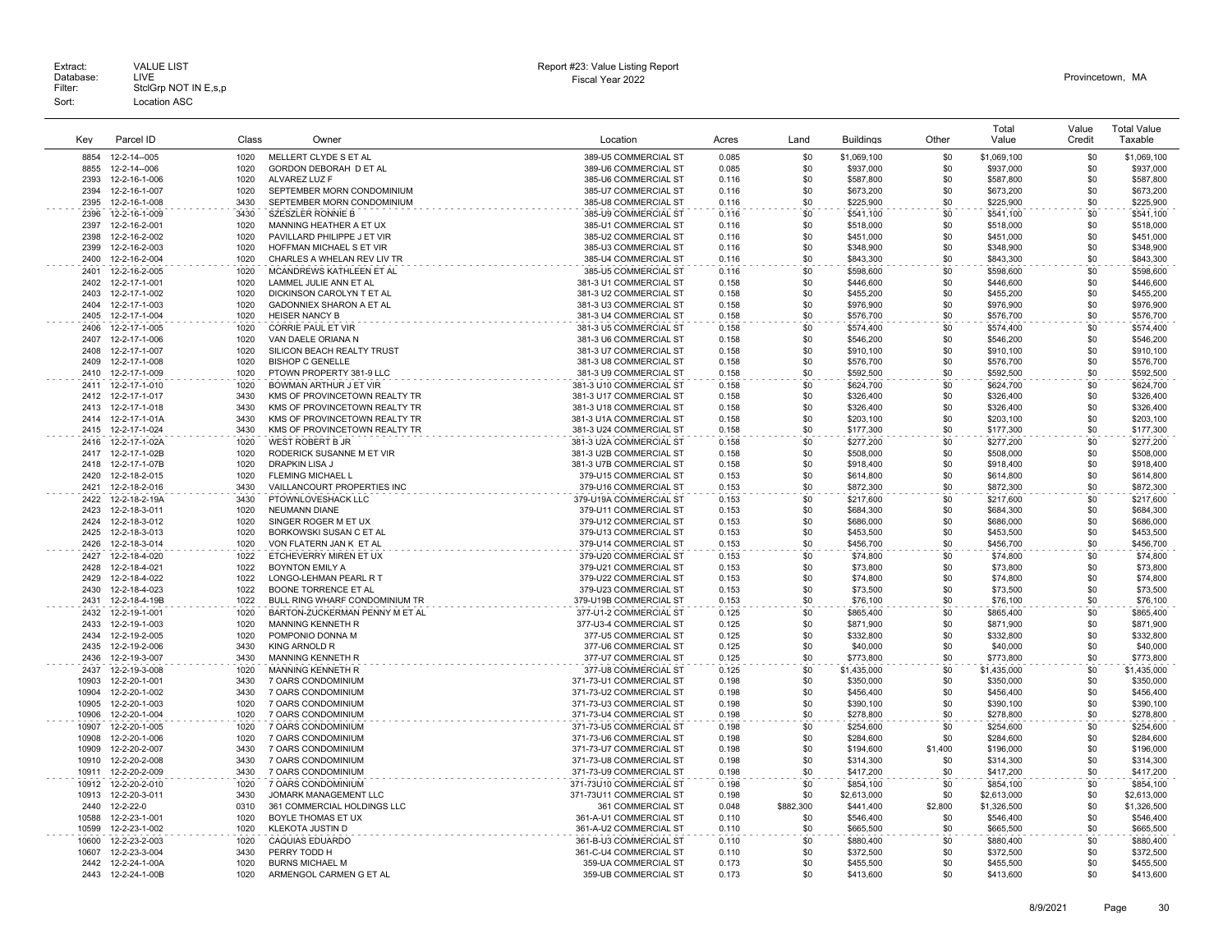| Key            | Parcel ID                      | Class        | Owner                                                 | Location                                           | Acres          | Land       | <b>Buildings</b>       | Other          | Total<br>Value         | Value<br>Credit | <b>Total Value</b><br>Taxable |
|----------------|--------------------------------|--------------|-------------------------------------------------------|----------------------------------------------------|----------------|------------|------------------------|----------------|------------------------|-----------------|-------------------------------|
| 8854           | 12-2-14--005                   | 1020         | MELLERT CLYDE S ET AL                                 | 389-U5 COMMERCIAL ST                               | 0.085          | \$0        | \$1,069,100            | \$0            | \$1,069,100            | \$0             | \$1,069,100                   |
| 8855           | 12-2-14--006                   | 1020         | GORDON DEBORAH D ET AL                                | 389-U6 COMMERCIAL ST                               | 0.085          | \$0        | \$937,000              | \$0            | \$937,000              | \$0             | \$937,000                     |
| 2393           | 12-2-16-1-006                  | 1020         | ALVAREZ LUZ F                                         | 385-U6 COMMERCIAL ST                               | 0.116          | \$0        | \$587,800              | \$0            | \$587,800              | \$0             | \$587,800                     |
| 2394           | 12-2-16-1-007                  | 1020         | SEPTEMBER MORN CONDOMINIUM                            | 385-U7 COMMERCIAL ST                               | 0.116          | \$0        | \$673,200              | \$0            | \$673,200              | \$0             | \$673,200                     |
| 2395           | 12-2-16-1-008                  | 3430         | SEPTEMBER MORN CONDOMINIUM                            | 385-U8 COMMERCIAL ST                               | 0.116          | \$0        | \$225,900              | \$0            | \$225,900              | \$0             | \$225,900                     |
| 2396           | 12-2-16-1-009                  | 3430         | SZESZLER RONNIE B                                     | 385-U9 COMMERCIAL ST                               | 0.116          | \$0        | \$541,100              | \$0            | \$541,100              | \$0             | \$541,100                     |
| 2397           | 12-2-16-2-001                  | 1020         | MANNING HEATHER A ET UX                               | 385-U1 COMMERCIAL ST                               | 0.116          | \$0        | \$518,000              | \$0            | \$518,000              | \$0             | \$518,000                     |
| 2398           | 12-2-16-2-002                  | 1020         | PAVILLARD PHILIPPE J ET VIR                           | 385-U2 COMMERCIAL ST                               | 0.116          | \$0        | \$451,000              | \$0            | \$451,000              | \$0             | \$451,000                     |
| 2399           | 12-2-16-2-003                  | 1020         | HOFFMAN MICHAEL S ET VIR                              | 385-U3 COMMERCIAL ST                               | 0.116          | \$0        | \$348,900              | \$0            | \$348,900              | \$0             | \$348,900                     |
| 2400           | 12-2-16-2-004                  | 1020         | CHARLES A WHELAN REV LIV TR                           | 385-U4 COMMERCIAL ST                               | 0.116          | \$0        | \$843,300              | \$0            | \$843,300              | \$0             | \$843,300                     |
| 2401           | 12-2-16-2-005                  | 1020         | MCANDREWS KATHLEEN ET AL                              | 385-U5 COMMERCIAL ST                               | 0.116          | \$0        | \$598,600              | \$0            | \$598,600              | \$0             | \$598,600                     |
| 2402           | 12-2-17-1-001                  | 1020         | LAMMEL JULIE ANN ET AL                                | 381-3 U1 COMMERCIAL ST                             | 0.158          | \$0        | \$446,600              | \$0            | \$446,600              | \$0             | \$446,600                     |
| 2403<br>2404   | 12-2-17-1-002<br>12-2-17-1-003 | 1020<br>1020 | DICKINSON CAROLYN T ET AL<br>GADONNIEX SHARON A ET AL | 381-3 U2 COMMERCIAL ST<br>381-3 U3 COMMERCIAL ST   | 0.158<br>0.158 | \$0<br>\$0 | \$455,200<br>\$976,900 | \$0<br>\$0     | \$455,200<br>\$976,900 | \$0<br>\$0      | \$455,200<br>\$976,900        |
| 2405           | 12-2-17-1-004                  | 1020         | <b>HEISER NANCY B</b>                                 | 381-3 U4 COMMERCIAL ST                             | 0.158          | \$0        | \$576,700              | \$0            | \$576,700              | \$0             | \$576,700                     |
| 2406           | 12-2-17-1-005                  | 1020         | <b>CORRIE PAUL ET VIR</b>                             | 381-3 U5 COMMERCIAL ST                             | 0.158          | \$0        | \$574,400              | \$0            | \$574,400              | \$0             | \$574,400                     |
| 2407           | 12-2-17-1-006                  | 1020         | VAN DAELE ORIANA N                                    | 381-3 U6 COMMERCIAL ST                             | 0.158          | \$0        | \$546,200              | \$0            | \$546,200              | \$0             | \$546,200                     |
| 2408           | 12-2-17-1-007                  | 1020         | SILICON BEACH REALTY TRUST                            | 381-3 U7 COMMERCIAL ST                             | 0.158          | \$0        | \$910,100              | \$0            | \$910,100              | \$0             | \$910,100                     |
| 2409           | 12-2-17-1-008                  | 1020         | <b>BISHOP C GENELLE</b>                               | 381-3 U8 COMMERCIAL ST                             | 0.158          | \$0        | \$576,700              | \$0            | \$576,700              | \$0             | \$576,700                     |
| 2410           | 12-2-17-1-009                  | 1020         | PTOWN PROPERTY 381-9 LLC                              | 381-3 U9 COMMERCIAL ST                             | 0.158          | \$0        | \$592,500              | \$0            | \$592,500              | \$0             | \$592,500                     |
| 2411           | 12-2-17-1-010                  | 1020         | <b>BOWMAN ARTHUR J ET VIR</b>                         | 381-3 U10 COMMERCIAL ST                            | 0.158          | \$0        | \$624,700              | \$0            | \$624,700              | \$0             | \$624,700                     |
| 2412           | 12-2-17-1-017                  | 3430         | KMS OF PROVINCETOWN REALTY TR                         | 381-3 U17 COMMERCIAL ST                            | 0.158          | \$0        | \$326,400              | \$0            | \$326,400              | \$0             | \$326,400                     |
| 2413           | 12-2-17-1-018                  | 3430         | KMS OF PROVINCETOWN REALTY TR                         | 381-3 U18 COMMERCIAL ST                            | 0.158          | \$0        | \$326,400              | \$0            | \$326,400              | \$0             | \$326,400                     |
| 2414           | 12-2-17-1-01A                  | 3430         | KMS OF PROVINCETOWN REALTY TR                         | 381-3 U1A COMMERCIAL ST                            | 0.158          | \$0        | \$203,100              | \$0            | \$203,100              | \$0             | \$203.100                     |
| 2415           | 12-2-17-1-024                  | 3430         | KMS OF PROVINCETOWN REALTY TR                         | 381-3 U24 COMMERCIAL ST                            | 0.158          | \$0        | \$177,300              | \$0            | \$177,300              | \$0             | \$177,300                     |
| 2416           | 12-2-17-1-02A                  | 1020         | <b>WEST ROBERT B JR</b>                               | 381-3 U2A COMMERCIAL ST                            | 0.158          | \$0        | \$277,200              | \$0            | \$277,200              | \$0             | \$277,200                     |
| 2417           | 12-2-17-1-02B                  | 1020         | RODERICK SUSANNE M ET VIR                             | 381-3 U2B COMMERCIAL ST                            | 0.158          | \$0        | \$508,000              | \$0            | \$508,000              | \$0             | \$508,000                     |
| 2418           | 12-2-17-1-07B                  | 1020         | <b>DRAPKIN LISA J</b>                                 | 381-3 U7B COMMERCIAL ST                            | 0.158          | \$0        | \$918,400              | \$0            | \$918,400              | \$0             | \$918,400                     |
| 2420           | 12-2-18-2-015                  | 1020         | FLEMING MICHAEL L                                     | 379-U15 COMMERCIAL ST                              | 0.153          | \$0        | \$614,800              | \$0            | \$614,800              | \$0             | \$614,800                     |
| 2421           | 12-2-18-2-016                  | 3430         | VAILLANCOURT PROPERTIES INC                           | 379-U16 COMMERCIAL ST                              | 0.153          | \$0        | \$872,300              | \$0            | \$872,300              | \$0             | \$872,300                     |
| 2422           | 12-2-18-2-19A                  | 3430         | PTOWNLOVESHACK LLC                                    | 379-U19A COMMERCIAL ST                             | 0.153          | \$0        | \$217,600              | \$0            | \$217,600              | \$0             | \$217,600                     |
| 2423           | 12-2-18-3-011                  | 1020         | <b>NEUMANN DIANE</b>                                  | 379-U11 COMMERCIAL ST                              | 0.153          | \$0        | \$684,300              | \$0            | \$684,300              | \$0             | \$684,300                     |
| 2424<br>2425   | 12-2-18-3-012                  | 1020<br>1020 | SINGER ROGER M ET UX                                  | 379-U12 COMMERCIAL ST                              | 0.153<br>0.153 | \$0<br>\$0 | \$686,000              | \$0<br>\$0     | \$686,000              | \$0<br>\$0      | \$686,000                     |
| 2426           | 12-2-18-3-013<br>12-2-18-3-014 | 1020         | BORKOWSKI SUSAN C ET AL<br>VON FLATERN JAN K ET AL    | 379-U13 COMMERCIAL ST<br>379-U14 COMMERCIAL ST     | 0.153          | \$0        | \$453,500<br>\$456,700 | \$0            | \$453,500<br>\$456.700 | \$0             | \$453,500<br>\$456,700        |
| 2427           | 12-2-18-4-020                  | 1022         | ETCHEVERRY MIREN ET UX                                | 379-U20 COMMERCIAL ST                              | 0.153          | \$0        | \$74,800               | \$0            | \$74,800               | \$0             | \$74,800                      |
| 2428           | 12-2-18-4-021                  | 1022         | <b>BOYNTON EMILY A</b>                                | 379-U21 COMMERCIAL ST                              | 0.153          | \$0        | \$73,800               | \$0            | \$73,800               | \$0             | \$73,800                      |
| 2429           | 12-2-18-4-022                  | 1022         | LONGO-LEHMAN PEARL R T                                | 379-U22 COMMERCIAL ST                              | 0.153          | \$0        | \$74,800               | \$0            | \$74,800               | \$0             | \$74,800                      |
| 2430           | 12-2-18-4-023                  | 1022         | <b>BOONE TORRENCE ET AL</b>                           | 379-U23 COMMERCIAL ST                              | 0.153          | \$0        | \$73,500               | \$0            | \$73,500               | \$0             | \$73,500                      |
| 2431           | 12-2-18-4-19B                  | 1022         | BULL RING WHARF CONDOMINIUM TR                        | 379-U19B COMMERCIAL ST                             | 0.153          | \$0        | \$76,100               | \$0            | \$76,100               | \$0             | \$76,100                      |
| 2432           | 12-2-19-1-001                  | 1020         | BARTON-ZUCKERMAN PENNY M ET AL                        | 377-U1-2 COMMERCIAL ST                             | 0.125          | \$0        | \$865,400              | \$0            | \$865,400              | \$0             | \$865,400                     |
| 2433           | 12-2-19-1-003                  | 1020         | MANNING KENNETH R                                     | 377-U3-4 COMMERCIAL ST                             | 0.125          | \$0        | \$871,900              | \$0            | \$871,900              | \$0             | \$871,900                     |
| 2434           | 12-2-19-2-005                  | 1020         | POMPONIO DONNA M                                      | 377-U5 COMMERCIAL ST                               | 0.125          | \$0        | \$332,800              | \$0            | \$332,800              | \$0             | \$332,800                     |
| 2435           | 12-2-19-2-006                  | 3430         | <b>KING ARNOLD R</b>                                  | 377-U6 COMMERCIAL ST                               | 0.125          | \$0        | \$40,000               | \$0            | \$40,000               | \$0             | \$40,000                      |
| 2436           | 12-2-19-3-007                  | 3430         | MANNING KENNETH R                                     | 377-U7 COMMERCIAL ST                               | 0.125          | \$0        | \$773,800              | \$0            | \$773,800              | \$0             | \$773,800                     |
| 2437           | 12-2-19-3-008                  | 1020         | <b>MANNING KENNETH R</b>                              | 377-U8 COMMERCIAL ST                               | 0.125          | \$0        | \$1,435,000            | \$0            | \$1,435,000            | \$0             | \$1,435,000                   |
| 10903          | 12-2-20-1-001                  | 3430         | 7 OARS CONDOMINIUM                                    | 371-73-U1 COMMERCIAL ST                            | 0.198          | \$0        | \$350,000              | \$0            | \$350,000              | \$0             | \$350,000                     |
| 10904          | 12-2-20-1-002                  | 3430         | 7 OARS CONDOMINIUM                                    | 371-73-U2 COMMERCIAL ST                            | 0.198          | \$0        | \$456,400              | \$0            | \$456,400              | \$0             | \$456,400                     |
| 10905          | 12-2-20-1-003                  | 1020         | 7 OARS CONDOMINIUM                                    | 371-73-U3 COMMERCIAL ST                            | 0.198          | \$0        | \$390,100              | \$0            | \$390,100              | \$0             | \$390,100                     |
| 10906          | 12-2-20-1-004                  | 1020         | 7 OARS CONDOMINIUM                                    | 371-73-U4 COMMERCIAL ST                            | 0.198          | \$0        | \$278,800              | \$0            | \$278,800              | \$0             | \$278,800                     |
| 10907          | 12-2-20-1-005                  | 1020         | 7 OARS CONDOMINIUM                                    | 371-73-U5 COMMERCIAL ST                            | 0.198          | \$0        | \$254,600              | \$0            | \$254,600              | \$0             | \$254,600                     |
| 10908<br>10909 | 12-2-20-1-006<br>12-2-20-2-007 | 1020<br>3430 | 7 OARS CONDOMINIUM<br>7 OARS CONDOMINIUM              | 371-73-U6 COMMERCIAL ST<br>371-73-U7 COMMERCIAL ST | 0.198<br>0.198 | \$0<br>\$0 | \$284,600<br>\$194,600 | \$0<br>\$1,400 | \$284,600<br>\$196,000 | \$0<br>\$0      | \$284,600<br>\$196,000        |
| 10910          | 12-2-20-2-008                  | 3430         | 7 OARS CONDOMINIUM                                    | 371-73-U8 COMMERCIAL ST                            | 0.198          | \$0        | \$314,300              | \$0            | \$314,300              | \$0             | \$314,300                     |
| 10911          | 12-2-20-2-009                  | 3430         | 7 OARS CONDOMINIUM                                    | 371-73-U9 COMMERCIAL ST                            | 0.198          | \$0        | \$417,200              | \$0            | \$417,200              | \$0             | \$417,200                     |
| 10912          | 12-2-20-2-010                  | 1020         | 7 OARS CONDOMINIUM                                    | 371-73U10 COMMERCIAL ST                            | 0.198          | \$0        | \$854,100              | \$0            | \$854,100              | \$0             | \$854,100                     |
| 10913          | 12-2-20-3-011                  | 3430         | JOMARK MANAGEMENT LLC                                 | 371-73U11 COMMERCIAL ST                            | 0.198          | \$0        | \$2,613,000            | \$0            | \$2,613,000            | \$0             | \$2,613,000                   |
| 2440           | 12-2-22-0                      | 0310         | 361 COMMERCIAL HOLDINGS LLC                           | 361 COMMERCIAL ST                                  | 0.048          | \$882,300  | \$441,400              | \$2,800        | \$1,326,500            | \$0             | \$1,326,500                   |
| 10588          | 12-2-23-1-001                  | 1020         | BOYLE THOMAS ET UX                                    | 361-A-U1 COMMERCIAL ST                             | 0.110          | \$0        | \$546,400              | \$0            | \$546,400              | \$0             | \$546,400                     |
| 10599          | 12-2-23-1-002                  | 1020         | KLEKOTA JUSTIN D                                      | 361-A-U2 COMMERCIAL ST                             | 0.110          | \$0        | \$665,500              | \$0            | \$665,500              | \$0             | \$665,500                     |
| 10600          | 12-2-23-2-003                  | 1020         | <b>CAQUIAS EDUARDO</b>                                | 361-B-U3 COMMERCIAL ST                             | 0.110          | \$0        | \$880,400              | \$0            | \$880,400              | \$0             | \$880,400                     |
| 10607          | 12-2-23-3-004                  | 3430         | PERRY TODD H                                          | 361-C-U4 COMMERCIAL ST                             | 0.110          | \$0        | \$372,500              | \$0            | \$372,500              | \$0             | \$372,500                     |
| 2442           | 12-2-24-1-00A                  | 1020         | <b>BURNS MICHAEL M</b>                                | 359-UA COMMERCIAL ST                               | 0.173          | \$0        | \$455,500              | \$0            | \$455,500              | \$0             | \$455,500                     |
| 2443           | 12-2-24-1-00B                  | 1020         | ARMENGOL CARMEN G ET AL                               | 359-UB COMMERCIAL ST                               | 0.173          | \$0        | \$413,600              | \$0            | \$413,600              | \$0             | \$413,600                     |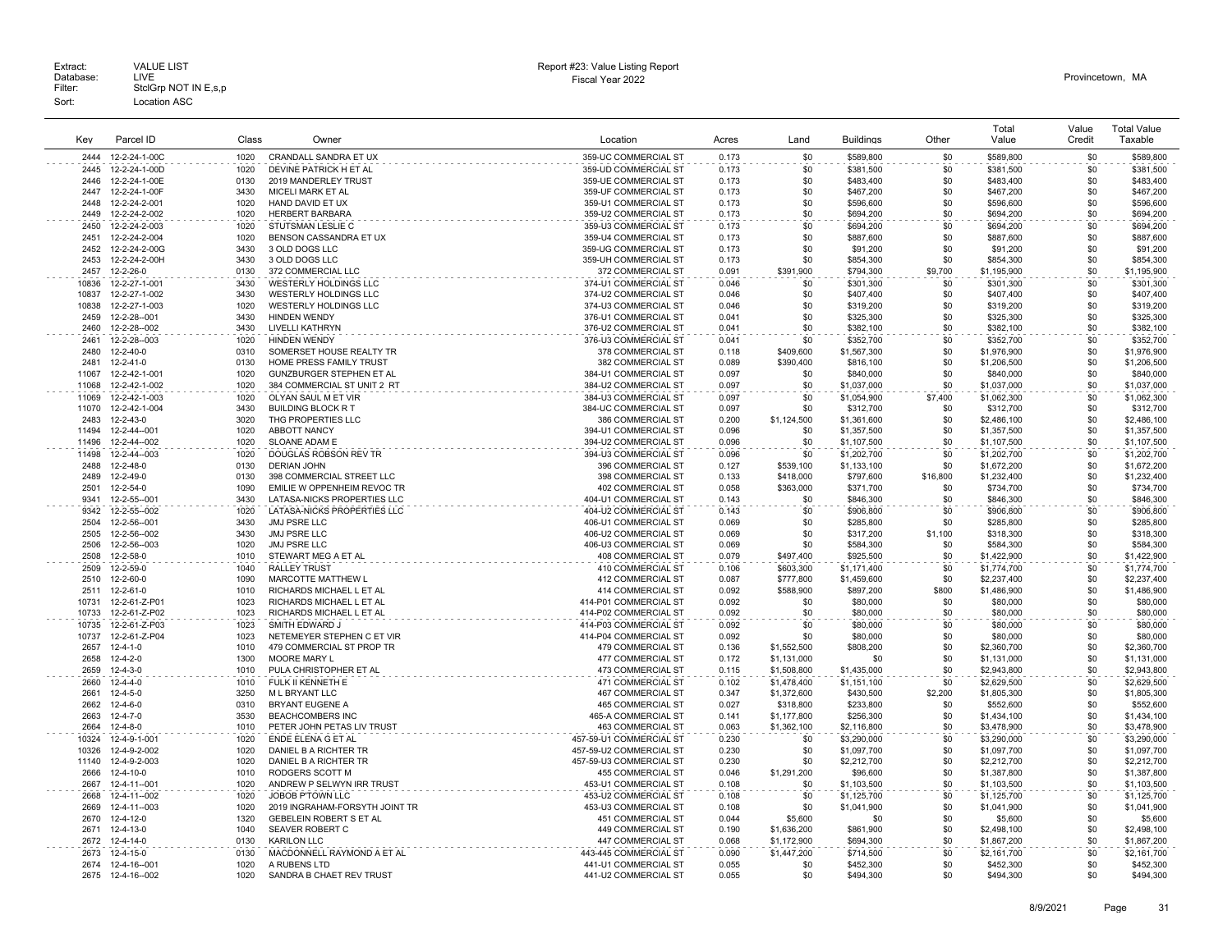|       |                   |       |                                 |                          |       |             |                  |          | Total       | Value  | <b>Total Value</b> |
|-------|-------------------|-------|---------------------------------|--------------------------|-------|-------------|------------------|----------|-------------|--------|--------------------|
| Kev   | Parcel ID         | Class | Owner                           | Location                 | Acres | Land        | <b>Buildings</b> | Other    | Value       | Credit | Taxable            |
| 2444  | 12-2-24-1-00C     | 1020  | CRANDALL SANDRA ET UX           | 359-UC COMMERCIAL ST     | 0.173 | \$0         | \$589,800        | \$0      | \$589,800   | \$0    | \$589,800          |
| 2445  | 12-2-24-1-00D     | 1020  | DEVINE PATRICK H ET AL          | 359-UD COMMERCIAL ST     | 0.173 | \$0         | \$381,500        | \$0      | \$381,500   | \$0    | \$381,500          |
| 2446  | 12-2-24-1-00E     | 0130  | 2019 MANDERLEY TRUST            | 359-UE COMMERCIAL ST     | 0.173 | \$0         | \$483,400        | \$0      | \$483,400   | \$0    | \$483,400          |
| 2447  | 12-2-24-1-00F     | 3430  | MICELI MARK ET AL               | 359-UF COMMERCIAL ST     | 0.173 | \$0         | \$467,200        | \$0      | \$467,200   | \$0    | \$467,200          |
| 2448  | 12-2-24-2-001     | 1020  | HAND DAVID ET UX                | 359-U1 COMMERCIAL ST     | 0.173 | \$0         | \$596,600        | \$0      | \$596,600   | \$0    | \$596,600          |
| 2449  | 12-2-24-2-002     | 1020  | <b>HERBERT BARBARA</b>          | 359-U2 COMMERCIAL ST     | 0.173 | \$0         | \$694,200        | \$0      | \$694,200   | \$0    | \$694,200          |
| 2450  | 12-2-24-2-003     | 1020  | STUTSMAN LESLIE C               | 359-U3 COMMERCIAL ST     | 0.173 | \$0         | \$694,200        | \$0      | \$694,200   | \$0    | \$694,200          |
| 2451  | 12-2-24-2-004     | 1020  | BENSON CASSANDRA ET UX          | 359-U4 COMMERCIAL ST     | 0.173 | \$0         | \$887,600        | \$0      | \$887,600   | \$0    | \$887,600          |
| 2452  | 12-2-24-2-00G     | 3430  | 3 OLD DOGS LLC                  | 359-UG COMMERCIAL ST     | 0.173 | \$0         | \$91,200         | \$0      | \$91,200    | \$0    | \$91,200           |
| 2453  | 12-2-24-2-00H     | 3430  | 3 OLD DOGS LLC                  | 359-UH COMMERCIAL ST     | 0.173 | \$0         | \$854,300        | \$0      | \$854,300   | \$0    | \$854,300          |
| 2457  | 12-2-26-0         | 0130  | 372 COMMERCIAL LLC              | 372 COMMERCIAL ST        | 0.091 | \$391,900   | \$794,300        | \$9,700  | \$1,195,900 | \$0    | \$1,195,900        |
| 10836 | 12-2-27-1-001     | 3430  | WESTERLY HOLDINGS LLC           | 374-U1 COMMERCIAL ST     | 0.046 | \$0         | \$301.300        | \$0      | \$301.300   | \$0    | \$301.300          |
| 10837 | 12-2-27-1-002     | 3430  | WESTERLY HOLDINGS LLC           | 374-U2 COMMERCIAL ST     | 0.046 | \$0         | \$407,400        | \$0      | \$407,400   | \$0    | \$407,400          |
| 10838 | 12-2-27-1-003     | 1020  | WESTERLY HOLDINGS LLC           | 374-U3 COMMERCIAL ST     | 0.046 | \$0         | \$319,200        | \$0      | \$319,200   | \$0    | \$319,200          |
| 2459  | 12-2-28--001      | 3430  | <b>HINDEN WENDY</b>             | 376-U1 COMMERCIAL ST     | 0.041 | \$0         | \$325,300        | \$0      | \$325,300   | \$0    | \$325,300          |
| 2460  | 12-2-28--002      | 3430  | <b>LIVELLI KATHRYN</b>          | 376-U2 COMMERCIAL ST     | 0.041 | \$0         | \$382,100        | \$0      | \$382,100   | \$0    | \$382,100          |
| 2461  | 12-2-28--003      | 1020  | <b>HINDEN WENDY</b>             | 376-U3 COMMERCIAL ST     | 0.041 | \$0         | \$352,700        | \$0      | \$352,700   | \$0    | \$352,700          |
| 2480  | 12-2-40-0         | 0310  | SOMERSET HOUSE REALTY TR        | 378 COMMERCIAL ST        | 0.118 | \$409,600   | \$1,567,300      | \$0      | \$1,976,900 | \$0    | \$1,976,900        |
| 2481  | 12-2-41-0         | 0130  | HOME PRESS FAMILY TRUST         | 382 COMMERCIAL ST        | 0.089 | \$390,400   | \$816,100        | \$0      | \$1,206,500 | \$0    | \$1,206,500        |
| 11067 | 12-2-42-1-001     | 1020  | <b>GUNZBURGER STEPHEN ET AL</b> | 384-U1 COMMERCIAL ST     | 0.097 | \$0         | \$840,000        | \$0      | \$840,000   | \$0    | \$840,000          |
| 11068 | 12-2-42-1-002     | 1020  | 384 COMMERCIAL ST UNIT 2 RT     | 384-U2 COMMERCIAL ST     | 0.097 | \$0         | \$1,037,000      | \$0      | \$1,037,000 | \$0    | \$1,037,000        |
| 11069 | 12-2-42-1-003     | 1020  | OLYAN SAUL M ET VIR             | 384-U3 COMMERCIAL ST     | 0.097 | \$0         | \$1,054,900      | \$7,400  | \$1,062,300 | \$0    | \$1,062,300        |
| 11070 | 12-2-42-1-004     | 3430  | <b>BUILDING BLOCK R T</b>       | 384-UC COMMERCIAL ST     | 0.097 | \$0         | \$312,700        | \$0      | \$312,700   | \$0    | \$312,700          |
| 2483  | $12 - 2 - 43 - 0$ | 3020  | THG PROPERTIES LLC              | 386 COMMERCIAL ST        | 0.200 | \$1,124,500 | \$1,361,600      | \$0      | \$2,486,100 | \$0    | \$2,486.100        |
| 11494 | 12-2-44--001      | 1020  | ABBOTT NANCY                    | 394-U1 COMMERCIAL ST     | 0.096 | \$0         | \$1,357,500      | \$0      | \$1,357,500 | \$0    | \$1,357,500        |
| 11496 | 12-2-44--002      | 1020  | SLOANE ADAM E                   | 394-U2 COMMERCIAL ST     | 0.096 | \$0         | \$1,107,500      | \$0      | \$1,107,500 | \$0    | \$1,107,500        |
| 11498 | 12-2-44--003      | 1020  | DOUGLAS ROBSON REV TR           | 394-U3 COMMERCIAL ST     | 0.096 | \$0         | \$1,202,700      | \$0      | \$1,202,700 | \$0    | \$1,202,700        |
| 2488  | $12 - 2 - 48 - 0$ | 0130  | <b>DERIAN JOHN</b>              | 396 COMMERCIAL ST        | 0.127 | \$539.100   | \$1,133,100      | \$0      | \$1,672,200 | \$0    | \$1,672,200        |
| 2489  | 12-2-49-0         | 0130  | 398 COMMERCIAL STREET LLC       | 398 COMMERCIAL ST        | 0.133 | \$418,000   | \$797,600        | \$16,800 | \$1,232,400 | \$0    | \$1,232,400        |
| 2501  | 12-2-54-0         | 1090  | EMILIE W OPPENHEIM REVOC TR     | 402 COMMERCIAL ST        | 0.058 | \$363,000   | \$371,700        | \$0      | \$734,700   | \$0    | \$734,700          |
| 9341  | 12-2-55--001      | 3430  | LATASA-NICKS PROPERTIES LLC     | 404-U1 COMMERCIAL ST     | 0.143 | \$0         | \$846,300        | \$0      | \$846,300   | \$0    | \$846,300          |
| 9342  | 12-2-55--002      | 1020  | LATASA-NICKS PROPERTIES LLC     | 404-U2 COMMERCIAL ST     | 0.143 | \$0         | \$906,800        | \$0      | \$906,800   | \$0    | \$906,800          |
| 2504  | 12-2-56--001      | 3430  | <b>JMJ PSRE LLC</b>             | 406-U1 COMMERCIAL ST     | 0.069 | \$0         | \$285,800        | \$0      | \$285,800   | \$0    | \$285,800          |
| 2505  | 12-2-56--002      | 3430  | JMJ PSRE LLC                    | 406-U2 COMMERCIAL ST     | 0.069 | \$0         | \$317,200        | \$1,100  | \$318,300   | \$0    | \$318,300          |
| 2506  | 12-2-56--003      | 1020  | JMJ PSRE LLC                    | 406-U3 COMMERCIAL ST     | 0.069 | \$0         | \$584,300        | \$0      | \$584,300   | \$0    | \$584,300          |
| 2508  | 12-2-58-0         | 1010  | STEWART MEG A ET AL             | 408 COMMERCIAL ST        | 0.079 | \$497,400   | \$925,500        | \$0      | \$1,422,900 | \$0    | \$1,422,900        |
| 2509  | 12-2-59-0         | 1040  | <b>RALLEY TRUST</b>             | 410 COMMERCIAL ST        | 0.106 | \$603,300   | \$1,171,400      | \$0      | \$1,774,700 | \$0    | \$1,774,700        |
| 2510  | 12-2-60-0         | 1090  | MARCOTTE MATTHEW L              | 412 COMMERCIAL ST        | 0.087 | \$777,800   | \$1,459,600      | \$0      | \$2,237,400 | \$0    | \$2,237,400        |
| 2511  | 12-2-61-0         | 1010  | RICHARDS MICHAEL L ET AL        | 414 COMMERCIAL ST        | 0.092 | \$588,900   | \$897,200        | \$800    | \$1,486,900 | \$0    | \$1,486,900        |
| 10731 | 12-2-61-Z-P01     | 1023  | RICHARDS MICHAEL L ET AL        | 414-P01 COMMERCIAL ST    | 0.092 | \$0         | \$80,000         | \$0      | \$80,000    | \$0    | \$80,000           |
| 10733 | 12-2-61-Z-P02     | 1023  | RICHARDS MICHAEL L ET AL        | 414-P02 COMMERCIAL ST    | 0.092 | \$0         | \$80,000         | \$0      | \$80,000    | \$0    | \$80,000           |
| 10735 | 12-2-61-Z-P03     | 1023  | SMITH EDWARD J                  | 414-P03 COMMERCIAL ST    | 0.092 | \$0         | \$80,000         | \$0      | \$80,000    | \$0    | \$80,000           |
| 10737 | 12-2-61-Z-P04     | 1023  | NETEMEYER STEPHEN C ET VIR      | 414-P04 COMMERCIAL ST    | 0.092 | \$0         | \$80,000         | \$0      | \$80,000    | \$0    | \$80,000           |
| 2657  | $12 - 4 - 1 - 0$  | 1010  | 479 COMMERCIAL ST PROP TR       | <b>479 COMMERCIAL ST</b> | 0.136 | \$1,552,500 | \$808,200        | \$0      | \$2,360,700 | \$0    | \$2,360,700        |
| 2658  | $12 - 4 - 2 - 0$  | 1300  | MOORE MARY L                    | 477 COMMERCIAL ST        | 0.172 | \$1,131,000 | \$0              | \$0      | \$1,131,000 | \$0    | \$1,131,000        |
| 2659  | $12 - 4 - 3 - 0$  | 1010  | PULA CHRISTOPHER ET AL          | 473 COMMERCIAL ST        | 0.115 | \$1,508,800 | \$1,435,000      | \$0      | \$2,943,800 | \$0    | \$2,943,800        |
| 2660  | $12 - 4 - 4 - 0$  | 1010  | FULK II KENNETH E               | 471 COMMERCIAL ST        | 0.102 | \$1,478,400 | \$1,151,100      | \$0      | \$2,629,500 | \$0    | \$2,629,500        |
| 2661  | $12 - 4 - 5 - 0$  | 3250  | M L BRYANT LLC                  | <b>467 COMMERCIAL ST</b> | 0.347 | \$1,372,600 | \$430,500        | \$2.200  | \$1,805,300 | \$0    | \$1,805,300        |
| 2662  | $12 - 4 - 6 - 0$  | 0310  | BRYANT EUGENE A                 | 465 COMMERCIAL ST        | 0.027 | \$318,800   | \$233,800        | \$0      | \$552,600   | \$0    | \$552,600          |
| 2663  | 12-4-7-0          | 3530  | <b>BEACHCOMBERS INC</b>         | 465-A COMMERCIAL ST      | 0.141 | \$1,177,800 | \$256,300        | \$0      | \$1,434,100 | \$0    | \$1,434,100        |
| 2664  | $12 - 4 - 8 - 0$  | 1010  | PETER JOHN PETAS LIV TRUST      | 463 COMMERCIAL ST        | 0.063 | \$1,362,100 | \$2,116,800      | \$0      | \$3,478,900 | \$0    | \$3,478,900        |
| 10324 | 12-4-9-1-001      | 1020  | ENDE ELENA G ET AL              | 457-59-U1 COMMERCIAL ST  | 0.230 | \$0         | \$3,290,000      | \$0      | \$3,290,000 | \$0    | \$3,290,000        |
| 10326 | 12-4-9-2-002      | 1020  | DANIEL B A RICHTER TR           | 457-59-U2 COMMERCIAL ST  | 0.230 | \$0         | \$1,097,700      | \$0      | \$1,097,700 | \$0    | \$1,097,700        |
| 11140 | 12-4-9-2-003      | 1020  | DANIEL B A RICHTER TR           | 457-59-U3 COMMERCIAL ST  | 0.230 | \$0         | \$2,212,700      | \$0      | \$2,212,700 | \$0    | \$2,212,700        |
| 2666  | 12-4-10-0         | 1010  | RODGERS SCOTT M                 | 455 COMMERCIAL ST        | 0.046 | \$1,291,200 | \$96,600         | \$0      | \$1,387,800 | \$0    | \$1,387,800        |
| 2667  | 12-4-11--001      | 1020  | ANDREW P SELWYN IRR TRUST       | 453-U1 COMMERCIAL ST     | 0.108 | \$0         | \$1,103,500      | \$0      | \$1,103,500 | \$0    | \$1,103,500        |
| 2668  | 12-4-11--002      | 1020  | <b>JOBOB P'TOWN LLC</b>         | 453-U2 COMMERCIAL ST     | 0.108 | \$0         | \$1,125,700      | \$0      | \$1,125,700 | \$0    | \$1,125,700        |
| 2669  | 12-4-11--003      | 1020  | 2019 INGRAHAM-FORSYTH JOINT TR  | 453-U3 COMMERCIAL ST     | 0.108 | \$0         | \$1,041,900      | \$0      | \$1,041,900 | \$0    | \$1,041,900        |
| 2670  | 12-4-12-0         | 1320  | GEBELEIN ROBERT S ET AL         | 451 COMMERCIAL ST        | 0.044 | \$5,600     | \$0              | \$0      | \$5,600     | \$0    | \$5,600            |
| 2671  | $12 - 4 - 13 - 0$ | 1040  | SEAVER ROBERT C                 | 449 COMMERCIAL ST        | 0.190 | \$1,636,200 | \$861,900        | \$0      | \$2,498,100 | \$0    | \$2,498,100        |
| 2672  | 12-4-14-0         | 0130  | <b>KARILON LLC</b>              | 447 COMMERCIAL ST        | 0.068 | \$1,172,900 | \$694,300        | \$0      | \$1,867,200 | \$0    | \$1,867,200        |
| 2673  | 12-4-15-0         | 0130  | MACDONNELL RAYMOND A ET AL      | 443-445 COMMERCIAL ST    | 0.090 | \$1,447,200 | \$714,500        | \$0      | \$2,161,700 | \$0    | \$2,161,700        |
| 2674  | 12-4-16--001      | 1020  | A RUBENS LTD                    | 441-U1 COMMERCIAL ST     | 0.055 | \$0         | \$452,300        | \$0      | \$452,300   | \$0    | \$452,300          |
| 2675  | 12-4-16--002      | 1020  | SANDRA B CHAET REV TRUST        | 441-U2 COMMERCIAL ST     | 0.055 | \$0         | \$494.300        | \$0      | \$494.300   | \$0    | \$494.300          |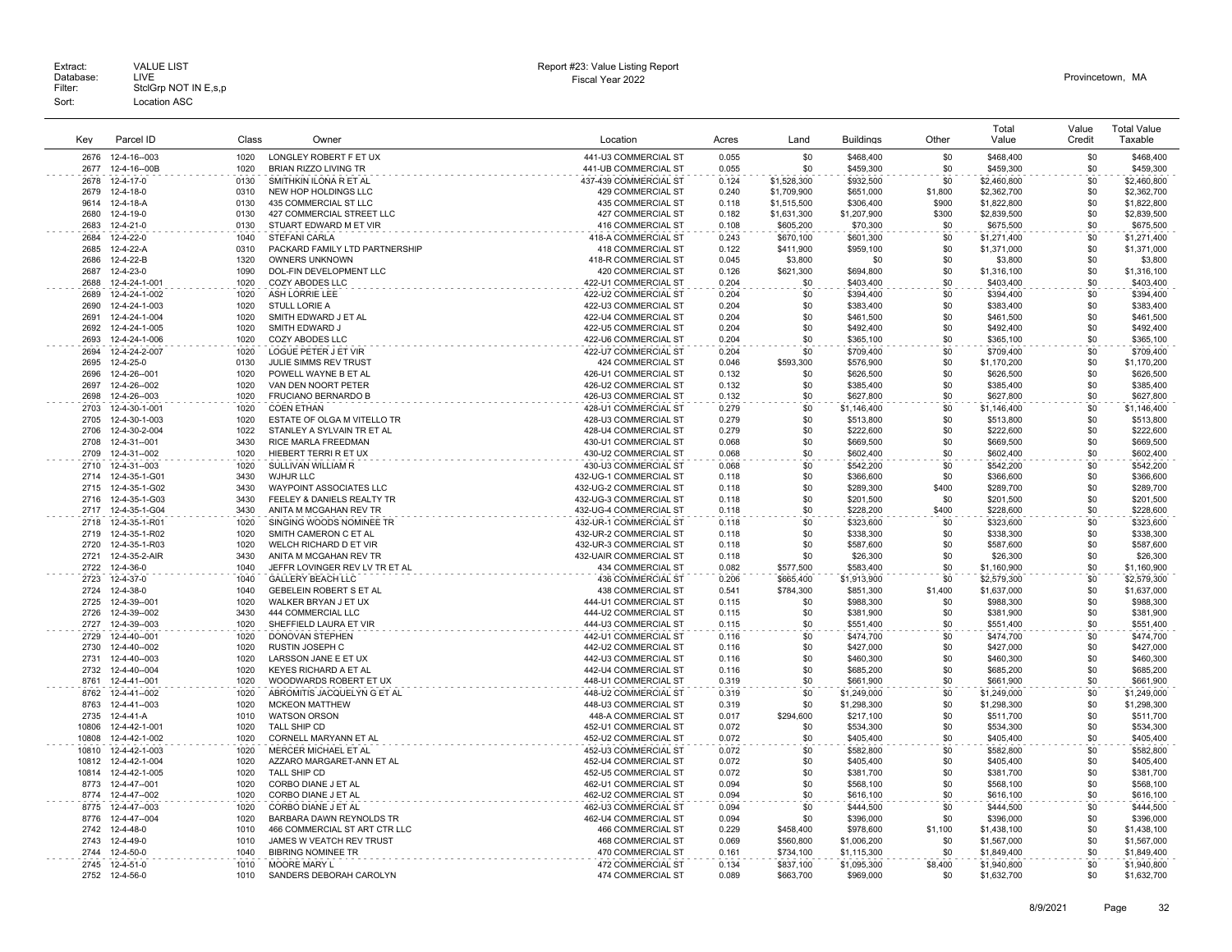| Key          | Parcel ID              | Class | Owner                          | Location                 | Acres | Land             | <b>Buildings</b>         | Other   | Total<br>Value             | Value<br>Credit | <b>Total Value</b><br>Taxable |
|--------------|------------------------|-------|--------------------------------|--------------------------|-------|------------------|--------------------------|---------|----------------------------|-----------------|-------------------------------|
| 2676         | 12-4-16--003           | 1020  | LONGLEY ROBERT F ET UX         | 441-U3 COMMERCIAL ST     | 0.055 | \$0              | \$468,400                | \$0     | \$468,400                  | \$0             | \$468,400                     |
| 2677         | 12-4-16--00B           | 1020  | <b>BRIAN RIZZO LIVING TR</b>   | 441-UB COMMERCIAL ST     | 0.055 | \$0              | \$459,300                | \$0     | \$459,300                  | \$0             | \$459,300                     |
| 2678         | 12-4-17-0              | 0130  | SMITHKIN ILONA R ET AL         | 437-439 COMMERCIAL ST    | 0.124 | \$1,528,300      | \$932,500                | \$0     | \$2,460,800                | \$0             | \$2,460,800                   |
| 2679         | 12-4-18-0              | 0310  | NEW HOP HOLDINGS LLC           | <b>429 COMMERCIAL ST</b> | 0.240 | \$1,709,900      | \$651,000                | \$1,800 | \$2,362,700                | \$0             | \$2,362,700                   |
| 9614         | 12-4-18-A              | 0130  | 435 COMMERCIAL ST LLC          | 435 COMMERCIAL ST        | 0.118 | \$1,515,500      | \$306,400                | \$900   | \$1,822,800                | \$0             | \$1,822,800                   |
| 2680         | $12 - 4 - 19 - 0$      | 0130  | 427 COMMERCIAL STREET LLC      | 427 COMMERCIAL ST        | 0.182 | \$1,631,300      | \$1,207,900              | \$300   | \$2,839,500                | \$0             | \$2,839,500                   |
| 2683         | 12-4-21-0              | 0130  | STUART EDWARD M ET VIR         | 416 COMMERCIAL ST        | 0.108 | \$605,200        | \$70,300                 | \$0     | \$675,500                  | \$0             | \$675,500                     |
| 2684         | 12-4-22-0              | 1040  | STEFANI CARLA                  | 418-A COMMERCIAL ST      | 0.243 | \$670,100        | \$601,300                | \$0     | \$1,271,400                | \$0             | \$1,271,400                   |
| 2685         | 12-4-22-A              | 0310  | PACKARD FAMILY LTD PARTNERSHIP | 418 COMMERCIAL ST        | 0.122 | \$411,900        | \$959,100                | \$0     | \$1,371,000                | \$0             | \$1,371,000                   |
|              |                        | 1320  | OWNERS UNKNOWN                 |                          | 0.045 |                  | \$0                      | \$0     |                            | \$0             |                               |
| 2686<br>2687 | 12-4-22-B              | 1090  |                                | 418-R COMMERCIAL ST      |       | \$3,800          |                          | \$0     | \$3,800                    | \$0             | \$3,800                       |
| 2688         | 12-4-23-0              | 1020  | DOL-FIN DEVELOPMENT LLC        | 420 COMMERCIAL ST        | 0.126 | \$621,300<br>\$0 | \$694,800                | \$0     | \$1,316,100                | \$0             | \$1,316,100                   |
|              | 12-4-24-1-001          |       | COZY ABODES LLC                | 422-U1 COMMERCIAL ST     | 0.204 |                  | \$403,400                |         | \$403,400                  |                 | \$403,400                     |
| 2689         | 12-4-24-1-002          | 1020  | ASH LORRIE LEE                 | 422-U2 COMMERCIAL ST     | 0.204 | \$0              | \$394,400                | \$0     | \$394,400                  | \$0             | \$394,400                     |
| 2690         | 12-4-24-1-003          | 1020  | <b>STULL LORIE A</b>           | 422-U3 COMMERCIAL ST     | 0.204 | \$0              | \$383,400                | \$0     | \$383,400                  | \$0             | \$383,400                     |
| 2691         | 12-4-24-1-004          | 1020  | SMITH EDWARD J ET AL           | 422-U4 COMMERCIAL ST     | 0.204 | \$0              | \$461,500                | \$0     | \$461,500                  | \$0             | \$461,500                     |
| 2692         | 12-4-24-1-005          | 1020  | SMITH EDWARD J                 | 422-U5 COMMERCIAL ST     | 0.204 | \$0              | \$492,400                | \$0     | \$492,400                  | \$0             | \$492,400                     |
| 2693         | 12-4-24-1-006          | 1020  | COZY ABODES LLC                | 422-U6 COMMERCIAL ST     | 0.204 | <b>\$0</b>       | \$365,100                | \$0     | \$365,100                  | \$0             | \$365,100                     |
| 2694         | 12-4-24-2-007          | 1020  | LOGUE PETER J ET VIR           | 422-U7 COMMERCIAL ST     | 0.204 | \$0              | \$709,400                | \$0     | \$709,400                  | \$0             | \$709,400                     |
| 2695         | 12-4-25-0              | 0130  | JULIE SIMMS REV TRUST          | 424 COMMERCIAL ST        | 0.046 | \$593,300        | \$576,900                | \$0     | \$1,170,200                | \$0             | \$1,170,200                   |
| 2696         | 12-4-26--001           | 1020  | POWELL WAYNE B ET AL           | 426-U1 COMMERCIAL ST     | 0.132 | \$0              | \$626,500                | \$0     | \$626,500                  | \$0             | \$626,500                     |
| 2697         | 12-4-26--002           | 1020  | VAN DEN NOORT PETER            | 426-U2 COMMERCIAL ST     | 0.132 | .\$በ             | \$385,400                | \$0     | \$385,400                  | \$0             | \$385,400                     |
| 2698         | 12-4-26--003           | 1020  | <b>FRUCIANO BERNARDO B</b>     | 426-U3 COMMERCIAL ST     | 0.132 | \$0              | \$627,800                | \$0     | \$627,800                  | \$0             | \$627,800                     |
| 2703         | 12-4-30-1-001          | 1020  | <b>COEN ETHAN</b>              | 428-U1 COMMERCIAL ST     | 0.279 | \$0              | \$1,146,400              | \$0     | \$1,146,400                | \$0             | \$1,146,400                   |
| 2705         | 12-4-30-1-003          | 1020  | ESTATE OF OLGA M VITELLO TR    | 428-U3 COMMERCIAL ST     | 0.279 | \$0              | \$513,800                | \$0     | \$513,800                  | \$0             | \$513,800                     |
| 2706         | 12-4-30-2-004          | 1022  | STANLEY A SYLVAIN TR ET AL     | 428-U4 COMMERCIAL ST     | 0.279 | \$0              | \$222,600                | \$0     | \$222,600                  | \$0             | \$222,600                     |
| 2708         | 12-4-31--001           | 3430  | RICE MARLA FREEDMAN            | 430-U1 COMMERCIAL ST     | 0.068 | \$0              | \$669,500                | \$0     | \$669,500                  | \$0             | \$669,500                     |
| 2709         | 12-4-31--002           | 1020  | HIEBERT TERRI R ET UX          | 430-U2 COMMERCIAL ST     | 0.068 | \$0              | \$602,400                | \$0     | \$602,400                  | \$0             | \$602,400                     |
| 2710         | 12-4-31--003           | 1020  | SULLIVAN WILLIAM R             | 430-U3 COMMERCIAL ST     | 0.068 | \$0              | \$542,200                | \$0     | \$542,200                  | \$0             | \$542,200                     |
| 2714         | 12-4-35-1-G01          | 3430  | WJHJR LLC                      | 432-UG-1 COMMERCIAL ST   | 0.118 | \$0              | \$366,600                | \$0     | \$366,600                  | \$0             | \$366,600                     |
| 2715         | 12-4-35-1-G02          | 3430  | WAYPOINT ASSOCIATES LLC        | 432-UG-2 COMMERCIAL ST   | 0.118 | \$0              | \$289,300                | \$400   | \$289,700                  | \$0             | \$289,700                     |
| 2716         | 12-4-35-1-G03          | 3430  | FEELEY & DANIELS REALTY TR     | 432-UG-3 COMMERCIAL ST   | 0.118 | \$0              | \$201,500                | \$0     | \$201,500                  | \$0             | \$201,500                     |
| 2717         | 12-4-35-1-G04          | 3430  | ANITA M MCGAHAN REV TR         | 432-UG-4 COMMERCIAL ST   | 0.118 | \$0              | \$228,200                | \$400   | \$228,600                  | \$0             | \$228,600                     |
| 2718         | 12-4-35-1-R01          | 1020  | SINGING WOODS NOMINEE TR       | 432-UR-1 COMMERCIAL ST   | 0.118 | \$0              | \$323,600                | \$0     | \$323,600                  | \$0             | \$323.600                     |
| 2719         |                        | 1020  |                                |                          | 0.118 | \$0              |                          | \$0     | \$338,300                  | \$0             |                               |
|              | 12-4-35-1-R02          |       | SMITH CAMERON C ET AL          | 432-UR-2 COMMERCIAL ST   |       |                  | \$338,300                |         |                            |                 | \$338,300                     |
| 2720         | 12-4-35-1-R03          | 1020  | WELCH RICHARD D ET VIR         | 432-UR-3 COMMERCIAL ST   | 0.118 | \$0              | \$587,600                | \$0     | \$587,600                  | \$0             | \$587,600                     |
| 2721         | 12-4-35-2-AIR          | 3430  | ANITA M MCGAHAN REV TR         | 432-UAIR COMMERCIAL ST   | 0.118 | \$0              | \$26,300                 | \$0     | \$26,300                   | \$0             | \$26,300                      |
| 2722         | 12-4-36-0              | 1040  | JEFFR LOVINGER REV LV TR ET AL | 434 COMMERCIAL ST        | 0.082 | \$577,500        | \$583,400                | \$0     | \$1,160,900                | \$0             | \$1,160,900                   |
| 2723         | 12-4-37-0              | 1040  | <b>GALLERY BEACH LLC</b>       | 436 COMMERCIAL ST        | 0.206 | \$665,400        | \$1,913,900              | \$0     | \$2,579,300                | \$0             | \$2,579,300                   |
| 2724         | 12-4-38-0              | 1040  | <b>GEBELEIN ROBERT S ET AL</b> | 438 COMMERCIAL ST        | 0.541 | \$784,300        | \$851,300                | \$1,400 | \$1,637,000                | \$0             | \$1,637,000                   |
| 2725         | 12-4-39--001           | 1020  | WALKER BRYAN J ET UX           | 444-U1 COMMERCIAL ST     | 0.115 | \$0              | \$988,300                | \$0     | \$988,300                  | \$0             | \$988,300                     |
| 2726         | 12-4-39--002           | 3430  | 444 COMMERCIAL LLC             | 444-U2 COMMERCIAL ST     | 0.115 | \$0              | \$381,900                | \$0     | \$381,900                  | \$0             | \$381,900                     |
| 2727         | 12-4-39--003           | 1020  | SHEFFIELD LAURA ET VIR         | 444-U3 COMMERCIAL ST     | 0.115 | \$0              | \$551,400                | \$0     | \$551,400                  | \$0             | \$551,400                     |
| 2729         | 12-4-40--001           | 1020  | DONOVAN STEPHEN                | 442-U1 COMMERCIAL ST     | 0.116 | \$0              | \$474,700                | \$0     | \$474,700                  | \$0             | \$474,700                     |
| 2730         | 12-4-40--002           | 1020  | RUSTIN JOSEPH C                | 442-U2 COMMERCIAL ST     | 0.116 | \$0              | \$427,000                | \$0     | \$427,000                  | \$0             | \$427,000                     |
| 2731         | 12-4-40--003           | 1020  | LARSSON JANE E ET UX           | 442-U3 COMMERCIAL ST     | 0.116 | \$0              | \$460,300                | \$0     | \$460,300                  | \$0             | \$460,300                     |
| 2732         | 12-4-40--004           | 1020  | KEYES RICHARD A ET AL          | 442-U4 COMMERCIAL ST     | 0.116 | \$0              | \$685,200                | \$0     | \$685,200                  | \$0             | \$685,200                     |
| 8761         | 12-4-41--001           | 1020  | WOODWARDS ROBERT ET UX         | 448-U1 COMMERCIAL ST     | 0.319 | \$0              | \$661,900                | \$0     | \$661,900                  | \$0             | \$661,900                     |
| 8762         | 12-4-41--002           | 1020  | ABROMITIS JACQUELYN G ET AL    | 448-U2 COMMERCIAL ST     | 0.319 | \$0              | \$1,249,000              | \$0     | \$1,249,000                | \$0             | \$1,249,000                   |
| 8763         | 12-4-41--003           | 1020  | <b>MCKEON MATTHEW</b>          | 448-U3 COMMERCIAL ST     | 0.319 | \$0              | \$1,298,300              | \$0     | \$1,298,300                | \$0             | \$1,298,300                   |
| 2735         | 12-4-41-A              | 1010  | <b>WATSON ORSON</b>            | 448-A COMMERCIAL ST      | 0.017 | \$294,600        | \$217,100                | \$0     | \$511,700                  | \$0             | \$511,700                     |
| 10806        | 12-4-42-1-001          | 1020  | TALL SHIP CD                   | 452-U1 COMMERCIAL ST     | 0.072 | <b>\$0</b>       | \$534,300                | \$0     | \$534,300                  | \$0             | \$534,300                     |
| 10808        | 12-4-42-1-002          | 1020  | CORNELL MARYANN ET AL          | 452-U2 COMMERCIAL ST     | 0.072 | \$0              | \$405,400                | \$0     | \$405,400                  | \$0             | \$405,400                     |
| 10810        | 12-4-42-1-003          | 1020  | MERCER MICHAEL ET AL           | 452-U3 COMMERCIAL ST     | 0.072 | \$0              | \$582,800                | \$0     | \$582,800                  | \$0             | \$582.800                     |
| 10812        | 12-4-42-1-004          | 1020  | AZZARO MARGARET-ANN ET AL      | 452-U4 COMMERCIAL ST     | 0.072 | \$0              | \$405,400                | \$0     | \$405,400                  | \$0             | \$405,400                     |
| 10814        | 12-4-42-1-005          | 1020  | TALL SHIP CD                   | 452-U5 COMMERCIAL ST     | 0.072 | \$0              | \$381,700                | \$0     | \$381,700                  | \$0             | \$381,700                     |
| 8773         | 12-4-47--001           | 1020  | CORBO DIANE J ET AL            | 462-U1 COMMERCIAL ST     | 0.094 | \$0              | \$568,100                | \$0     | \$568,100                  | \$0             | \$568,100                     |
| 8774         | 12-4-47--002           | 1020  | CORBO DIANE J ET AL            | 462-U2 COMMERCIAL ST     | 0.094 | \$0              | \$616,100                | \$0     | \$616,100                  | \$0             | \$616,100                     |
| 8775         | 12-4-47--003           | 1020  | CORBO DIANE J ET AL            | 462-U3 COMMERCIAL ST     | 0.094 | \$0              | \$444,500                | \$0     | \$444,500                  | \$0             | \$444,500                     |
| 8776         | 12-4-47--004           | 1020  | BARBARA DAWN REYNOLDS TR       | 462-U4 COMMERCIAL ST     | 0.094 | \$0              | \$396,000                | \$0     | \$396,000                  | \$0             | \$396,000                     |
| 2742         | 12-4-48-0              | 1010  | 466 COMMERCIAL ST ART CTR LLC  | <b>466 COMMERCIAL ST</b> | 0.229 | \$458.400        | \$978,600                | \$1,100 | \$1,438,100                | \$0             | \$1.438.100                   |
| 2743         | $12 - 4 - 49 - 0$      | 1010  | JAMES W VEATCH REV TRUST       | 468 COMMERCIAL ST        | 0.069 | \$560,800        | \$1,006,200              | \$0     | \$1,567,000                | \$0             | \$1,567,000                   |
| 2744         | 12-4-50-0              | 1040  | <b>BIBRING NOMINEE TR</b>      | 470 COMMERCIAL ST        | 0.161 | \$734,100        | \$1,115,300              | \$0     | \$1,849,400                | \$0             | \$1,849,400                   |
| 2745         |                        | 1010  | MOORE MARY L                   | 472 COMMERCIAL ST        | 0.134 | \$837,100        |                          | \$8,400 |                            | \$0             |                               |
| 2752         | 12-4-51-0<br>12-4-56-0 | 1010  | SANDERS DEBORAH CAROLYN        | 474 COMMERCIAL ST        | 0.089 | \$663.700        | \$1,095,300<br>\$969,000 | \$0     | \$1,940,800<br>\$1,632,700 | \$0             | \$1,940,800<br>\$1,632,700    |
|              |                        |       |                                |                          |       |                  |                          |         |                            |                 |                               |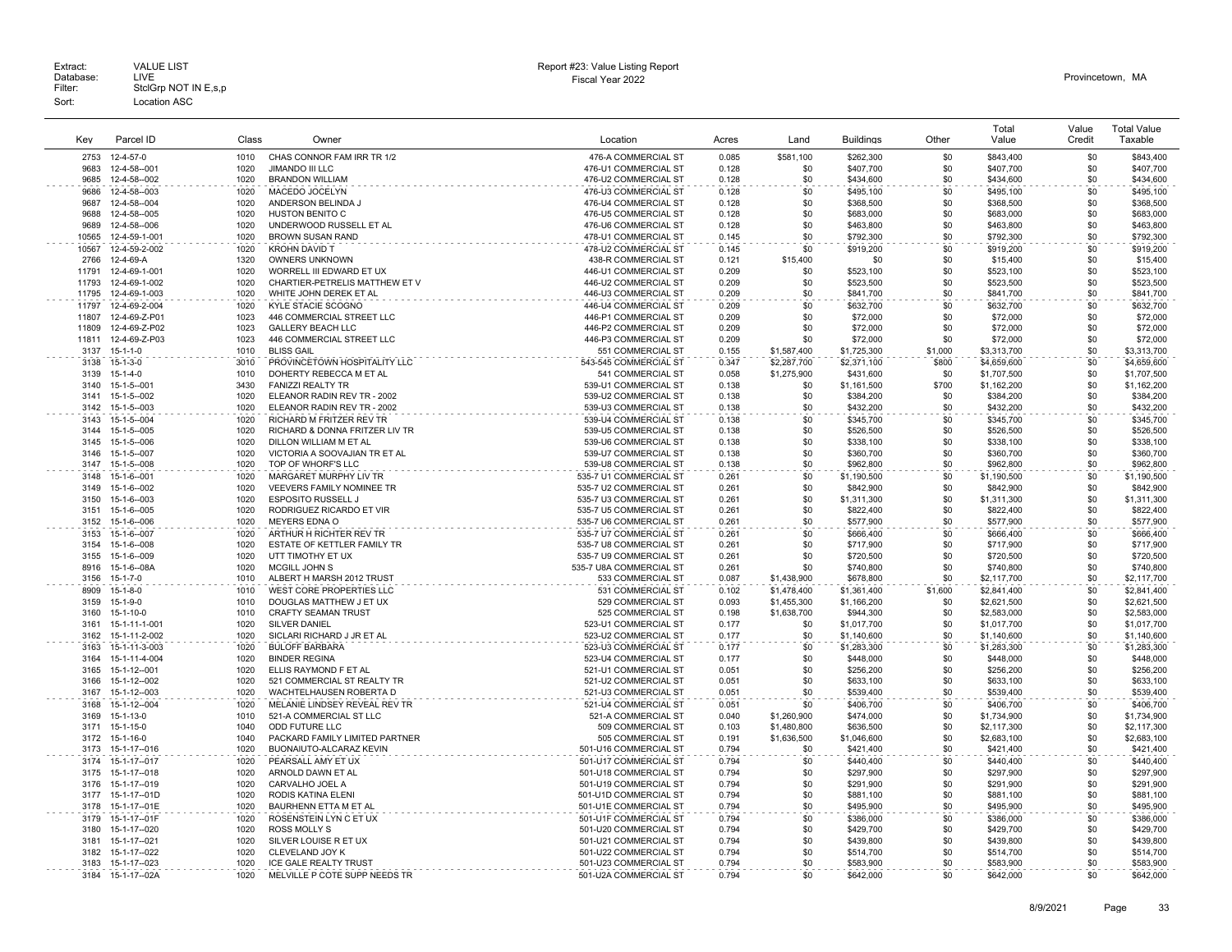| Extract:  | <b>VALUE LIST</b>    | Report #23: Value Listing Report | Provincetown, MA |
|-----------|----------------------|----------------------------------|------------------|
| Database: | LIVE                 | Fiscal Year 2022                 |                  |
| Filter:   | StclGrp NOT IN E.s.p |                                  |                  |
| Sort:     | ocation ASC          |                                  |                  |

# Report #23: Value Listing Report

| Key            | Parcel ID                      | Class        | Owner                                                   | Location                                          | Acres          | Land                       | <b>Buildings</b>         | Other        | Total<br>Value             | Value<br>Credit | <b>Total Value</b><br>Taxable |
|----------------|--------------------------------|--------------|---------------------------------------------------------|---------------------------------------------------|----------------|----------------------------|--------------------------|--------------|----------------------------|-----------------|-------------------------------|
| 2753           | 12-4-57-0                      | 1010         | CHAS CONNOR FAM IRR TR 1/2                              | 476-A COMMERCIAL ST                               | 0.085          | \$581,100                  | \$262,300                | \$0          | \$843,400                  | \$0             | \$843,400                     |
| 9683           | 12-4-58--001                   | 1020         | <b>JIMANDO III LLC</b>                                  | 476-U1 COMMERCIAL ST                              | 0.128          | \$0                        | \$407,700                | \$0          | \$407,700                  | \$0             | \$407,700                     |
| 9685           | 12-4-58--002                   | 1020         | <b>BRANDON WILLIAM</b>                                  | 476-U2 COMMERCIAL ST                              | 0.128          | \$0                        | \$434,600                | \$0          | \$434,600                  | \$0             | \$434,600                     |
| 9686           | 12-4-58--003                   | 1020         | MACEDO JOCELYN                                          | 476-U3 COMMERCIAL ST                              | 0.128          | \$0                        | \$495,100                | \$0          | \$495,100                  | \$0             | \$495,100                     |
| 9687<br>9688   | 12-4-58--004                   | 1020         | ANDERSON BELINDA                                        | 476-U4 COMMERCIAL ST                              | 0.128          | \$0                        | \$368,500                | \$0          | \$368,500                  | \$0             | \$368,500                     |
| 9689           | 12-4-58--005<br>12-4-58--006   | 1020<br>1020 | <b>HUSTON BENITO C</b><br>UNDERWOOD RUSSELL ET AL       | 476-U5 COMMERCIAL ST<br>476-U6 COMMERCIAL ST      | 0.128<br>0.128 | \$0<br>\$0                 | \$683,000<br>\$463,800   | \$0<br>\$0   | \$683,000<br>\$463,800     | \$0<br>\$0      | \$683,000<br>\$463,800        |
| 10565          | 12-4-59-1-001                  | 1020         | <b>BROWN SUSAN RAND</b>                                 | 478-U1 COMMERCIAL ST                              | 0.145          | \$0                        | \$792,300                | \$0          | \$792,300                  | \$0             | \$792,300                     |
| 10567          | 12-4-59-2-002                  | 1020         | <b>KROHN DAVID T</b>                                    | 478-U2 COMMERCIAL ST                              | 0.145          | \$0                        | \$919,200                | \$0          | \$919,200                  | \$0             | \$919,200                     |
| 2766           | 12-4-69-A                      | 1320         | <b>OWNERS UNKNOWN</b>                                   | 438-R COMMERCIAL ST                               | 0.121          | \$15,400                   | \$0                      | \$0          | \$15,400                   | \$0             | \$15,400                      |
| 11791          | 12-4-69-1-001                  | 1020         | WORRELL III EDWARD ET UX                                | 446-U1 COMMERCIAL ST                              | 0.209          | \$0                        | \$523,100                | \$0          | \$523,100                  | \$0             | \$523,100                     |
| 11793          | 12-4-69-1-002                  | 1020         | CHARTIER-PETRELIS MATTHEW ET V                          | 446-U2 COMMERCIAL ST                              | 0.209          | \$0                        | \$523,500                | \$0          | \$523,500                  | \$0             | \$523,500                     |
| 11795<br>11797 | 12-4-69-1-003<br>12-4-69-2-004 | 1020<br>1020 | WHITE JOHN DEREK ET AL<br>KYLE STACIE SCOGNO            | 446-U3 COMMERCIAL ST<br>446-U4 COMMERCIAL ST      | 0.209<br>0.209 | \$0<br>\$0                 | \$841,700<br>\$632,700   | \$0<br>\$0   | \$841,700<br>\$632,700     | \$0<br>\$0      | \$841,700<br>\$632,700        |
| 11807          | 12-4-69-Z-P01                  | 1023         | 446 COMMERCIAL STREET LLC                               | 446-P1 COMMERCIAL ST                              | 0.209          | \$0                        | \$72,000                 | \$0          | \$72,000                   | \$0             | \$72,000                      |
| 11809          | 12-4-69-Z-P02                  | 1023         | <b>GALLERY BEACH LLC</b>                                | 446-P2 COMMERCIAL ST                              | 0.209          | \$0                        | \$72,000                 | \$0          | \$72,000                   | \$0             | \$72,000                      |
| 11811          | 12-4-69-Z-P03                  | 1023         | 446 COMMERCIAL STREET LLC                               | 446-P3 COMMERCIAL ST                              | 0.209          | \$0                        | \$72,000                 | \$0          | \$72,000                   | \$0             | \$72,000                      |
| 3137           | $15 - 1 - 1 - 0$               | 1010         | <b>BLISS GAIL</b>                                       | 551 COMMERCIAL ST                                 | 0.155          | \$1,587,400                | \$1,725,300              | \$1,000      | \$3,313,700                | \$0             | \$3,313,700                   |
| 3138           | $15 - 1 - 3 - 0$               | 3010         | PROVINCETOWN HOSPITALITY LLC                            | 543-545 COMMERCIAL ST                             | 0.347          | \$2,287,700                | \$2,371,100              | \$800        | \$4,659,600                | \$0             | \$4,659,600                   |
| 3139           | $15 - 1 - 4 - 0$               | 1010<br>3430 | DOHERTY REBECCA M ET AL                                 | 541 COMMERCIAL ST                                 | 0.058          | \$1,275,900                | \$431,600                | \$0          | \$1,707,500                | \$0<br>\$0      | \$1,707,500                   |
| 3140<br>3141   | 15-1-5--001<br>15-1-5--002     | 1020         | <b>FANIZZI REALTY TR</b><br>ELEANOR RADIN REV TR - 2002 | 539-U1 COMMERCIAL ST<br>539-U2 COMMERCIAL ST      | 0.138<br>0.138 | \$0<br>\$0                 | \$1,161,500<br>\$384,200 | \$700<br>\$0 | \$1,162,200<br>\$384,200   | \$0             | \$1,162,200<br>\$384,200      |
| 3142           | 15-1-5--003                    | 1020         | ELEANOR RADIN REV TR - 2002                             | 539-U3 COMMERCIAL ST                              | 0.138          | \$0                        | \$432,200                | \$0          | \$432,200                  | \$0             | \$432,200                     |
| 3143           | 15-1-5--004                    | 1020         | <b>RICHARD M FRITZER REV TR</b>                         | 539-U4 COMMERCIAL ST                              | 0.138          | \$0                        | \$345,700                | \$0          | \$345,700                  | \$0             | \$345,700                     |
| 3144           | 15-1-5--005                    | 1020         | RICHARD & DONNA FRITZER LIV TR                          | 539-U5 COMMERCIAL ST                              | 0.138          | \$0                        | \$526,500                | \$0          | \$526,500                  | \$0             | \$526,500                     |
| 3145           | 15-1-5--006                    | 1020         | DILLON WILLIAM M ET AL                                  | 539-U6 COMMERCIAL ST                              | 0.138          | \$0                        | \$338,100                | \$0          | \$338,100                  | \$0             | \$338,100                     |
| 3146           | 15-1-5--007                    | 1020         | VICTORIA A SOOVAJIAN TR ET AL                           | 539-U7 COMMERCIAL ST                              | 0.138          | \$0                        | \$360,700                | \$0          | \$360,700                  | \$0             | \$360,700                     |
| 3147<br>3148   | 15-1-5--008<br>15-1-6--001     | 1020<br>1020 | TOP OF WHORF'S LLC<br>MARGARET MURPHY LIV TR            | 539-U8 COMMERCIAL ST<br>535-7 U1 COMMERCIAL ST    | 0.138<br>0.261 | \$0<br>\$0                 | \$962,800<br>\$1,190,500 | \$0<br>\$0   | \$962,800<br>\$1,190,500   | \$0<br>\$0      | \$962,800<br>\$1,190,500      |
| 3149           | 15-1-6--002                    | 1020         | VEEVERS FAMILY NOMINEE TR                               | 535-7 U2 COMMERCIAL ST                            | 0.261          | \$0                        | \$842,900                | \$0          | \$842,900                  | \$0             | \$842,900                     |
| 3150           | 15-1-6--003                    | 1020         | <b>ESPOSITO RUSSELL J</b>                               | 535-7 U3 COMMERCIAL ST                            | 0.261          | \$0                        | \$1,311,300              | \$0          | \$1,311,300                | \$0             | \$1,311,300                   |
| 3151           | $15 - 1 - 6 - 005$             | 1020         | RODRIGUEZ RICARDO ET VIR                                | 535-7 U5 COMMERCIAL ST                            | 0.261          | \$0                        | \$822,400                | \$0          | \$822,400                  | \$0             | \$822,400                     |
| 3152           | 15-1-6--006                    | 1020         | <b>MEYERS EDNA O</b>                                    | 535-7 U6 COMMERCIAL ST                            | 0.261          | \$0                        | \$577,900                | \$0          | \$577,900                  | \$0             | \$577,900                     |
| 3153           | 15-1-6--007                    | 1020         | ARTHUR H RICHTER REV TR                                 | 535-7 U7 COMMERCIAL ST                            | 0.261          | \$0                        | \$666,400                | \$0          | \$666,400                  | \$0             | \$666,400                     |
| 3154<br>3155   | 15-1-6--008                    | 1020<br>1020 | ESTATE OF KETTLER FAMILY TR                             | 535-7 U8 COMMERCIAL ST                            | 0.261<br>0.261 | \$0<br>\$0                 | \$717,900                | \$0          | \$717,900                  | \$0             | \$717,900                     |
| 8916           | 15-1-6--009<br>15-1-6--08A     | 1020         | UTT TIMOTHY ET UX<br>MCGILL JOHN S                      | 535-7 U9 COMMERCIAL ST<br>535-7 U8A COMMERCIAL ST | 0.261          | \$0                        | \$720,500<br>\$740,800   | \$0<br>\$0   | \$720,500<br>\$740,800     | \$0<br>\$0      | \$720,500<br>\$740,800        |
| 3156           | $15 - 1 - 7 - 0$               | 1010         | ALBERT H MARSH 2012 TRUST                               | 533 COMMERCIAL ST                                 | 0.087          | \$1,438,900                | \$678,800                | \$0          | \$2,117,700                | \$0             | \$2,117,700                   |
| 8909           | $15 - 1 - 8 - 0$               | 1010         | WEST CORE PROPERTIES LLC                                | 531 COMMERCIAL ST                                 | 0.102          | \$1,478,400                | \$1,361,400              | \$1,600      | \$2,841,400                | \$0             | \$2,841,400                   |
| 3159           | $15 - 1 - 9 - 0$               | 1010         | DOUGLAS MATTHEW J ET UX                                 | 529 COMMERCIAL ST                                 | 0.093          | \$1,455,300                | \$1,166,200              | \$0          | \$2,621,500                | \$0             | \$2,621,500                   |
| 3160           | 15-1-10-0                      | 1010         | <b>CRAFTY SEAMAN TRUST</b>                              | 525 COMMERCIAL ST                                 | 0.198          | \$1,638,700                | \$944,300                | \$0          | \$2,583,000                | \$0             | \$2,583,000                   |
| 3161           | 15-1-11-1-001                  | 1020         | SILVER DANIEL                                           | 523-U1 COMMERCIAL ST                              | 0.177          | \$0                        | \$1,017,700              | \$0          | \$1,017,700                | \$0             | \$1,017,700                   |
| 3162<br>3163   | 15-1-11-2-002<br>15-1-11-3-003 | 1020<br>1020 | SICLARI RICHARD J JR ET AL<br><b>BULOFF BARBARA</b>     | 523-U2 COMMERCIAL ST<br>523-U3 COMMERCIAL ST      | 0.177<br>0.177 | \$0<br>\$0                 | \$1,140,600              | \$0<br>\$0   | \$1,140,600                | \$0<br>\$0      | \$1,140,600                   |
| 3164           | 15-1-11-4-004                  | 1020         | <b>BINDER REGINA</b>                                    | 523-U4 COMMERCIAL ST                              | 0.177          | \$0                        | \$1,283,300<br>\$448,000 | \$0          | \$1,283,300<br>\$448,000   | \$0             | \$1,283,300<br>\$448,000      |
| 3165           | 15-1-12--001                   | 1020         | ELLIS RAYMOND F ET AL                                   | 521-U1 COMMERCIAL ST                              | 0.051          | \$0                        | \$256,200                | \$0          | \$256,200                  | \$0             | \$256,200                     |
| 3166           | 15-1-12--002                   | 1020         | 521 COMMERCIAL ST REALTY TR                             | 521-U2 COMMERCIAL ST                              | 0.051          | \$0                        | \$633,100                | \$0          | \$633,100                  | \$0             | \$633,100                     |
| 3167           | 15-1-12--003                   | 1020         | WACHTELHAUSEN ROBERTA D                                 | 521-U3 COMMERCIAL ST                              | 0.051          | \$0                        | \$539,400                | \$0          | \$539,400                  | \$0             | \$539,400                     |
| 3168           | 15-1-12--004                   | 1020         | MELANIE LINDSEY REVEAL REV TR                           | 521-U4 COMMERCIAL ST                              | 0.051          | \$0                        | \$406,700                | \$0          | \$406,700                  | \$0             | \$406,700                     |
| 3169<br>3171   | 15-1-13-0<br>15-1-15-0         | 1010<br>1040 | 521-A COMMERCIAL ST LLC<br>ODD FUTURE LLC               | 521-A COMMERCIAL ST<br>509 COMMERCIAL ST          | 0.040<br>0.103 | \$1,260,900<br>\$1,480,800 | \$474,000<br>\$636,500   | \$0<br>\$0   | \$1,734,900<br>\$2,117,300 | \$0<br>\$0      | \$1,734,900<br>\$2,117,300    |
| 3172           | 15-1-16-0                      | 1040         | PACKARD FAMILY LIMITED PARTNER                          | 505 COMMERCIAL ST                                 | 0.191          | \$1,636,500                | \$1,046,600              | \$0          | \$2,683,100                | \$0             | \$2,683,100                   |
| 3173           | 15-1-17--016                   | 1020         | BUONAIUTO-ALCARAZ KEVIN                                 | 501-U16 COMMERCIAL ST                             | 0.794          | \$0                        | \$421,400                | \$0          | \$421,400                  | \$0             | \$421,400                     |
| 3174           | 15-1-17--017                   | 1020         | PEARSALL AMY ET UX                                      | 501-U17 COMMERCIAL ST                             | 0.794          | \$0                        | \$440,400                | \$0          | \$440,400                  | \$0             | \$440,400                     |
| 3175           | 15-1-17--018                   | 1020         | ARNOLD DAWN ET AL                                       | 501-U18 COMMERCIAL ST                             | 0.794          | \$0                        | \$297,900                | \$0          | \$297,900                  | \$0             | \$297,900                     |
| 3176           | 15-1-17--019                   | 1020         | CARVALHO JOEL A                                         | 501-U19 COMMERCIAL ST                             | 0.794          | \$0                        | \$291,900                | \$0          | \$291,900                  | \$0             | \$291,900                     |
| 3177<br>3178   | 15-1-17--01D<br>15-1-17--01E   | 1020         | RODIS KATINA ELENI                                      | 501-U1D COMMERCIAL ST                             | 0.794          | \$0                        | \$881,100                | \$0          | \$881,100                  | \$0             | \$881,100                     |
| 3179           | 15-1-17--01F                   | 1020<br>1020 | BAURHENN ETTA M ET AL<br>ROSENSTEIN LYN C ET UX         | 501-U1E COMMERCIAL ST<br>501-U1F COMMERCIAL ST    | 0.794<br>0.794 | \$0<br>\$0                 | \$495,900<br>\$386,000   | \$0<br>\$0   | \$495,900<br>\$386,000     | \$0<br>\$0      | \$495,900<br>\$386,000        |
| 3180           | 15-1-17--020                   | 1020         | <b>ROSS MOLLY S</b>                                     | 501-U20 COMMERCIAL ST                             | 0.794          | \$0                        | \$429,700                | \$0          | \$429,700                  | \$0             | \$429,700                     |
| 3181           | 15-1-17--021                   | 1020         | SILVER LOUISE R ET UX                                   | 501-U21 COMMERCIAL ST                             | 0.794          | \$0                        | \$439,800                | \$0          | \$439,800                  | \$0             | \$439,800                     |
| 3182           | 15-1-17--022                   | 1020         | CLEVELAND JOY K                                         | 501-U22 COMMERCIAL ST                             | 0.794          | \$0                        | \$514,700                | \$0          | \$514,700                  | \$0             | \$514,700                     |
| 3183           | 15-1-17--023                   | 1020         | ICE GALE REALTY TRUST                                   | 501-U23 COMMERCIAL ST                             | 0.794          | \$0                        | \$583,900                | \$0          | \$583,900                  | \$0             | \$583,900                     |
| 3184           | 15-1-17--02A                   | 1020         | MELVILLE P COTE SUPP NEEDS TR                           | 501-U2A COMMERCIAL ST                             | 0.794          | \$0                        | \$642.000                | \$0          | \$642,000                  | \$0             | \$642.000                     |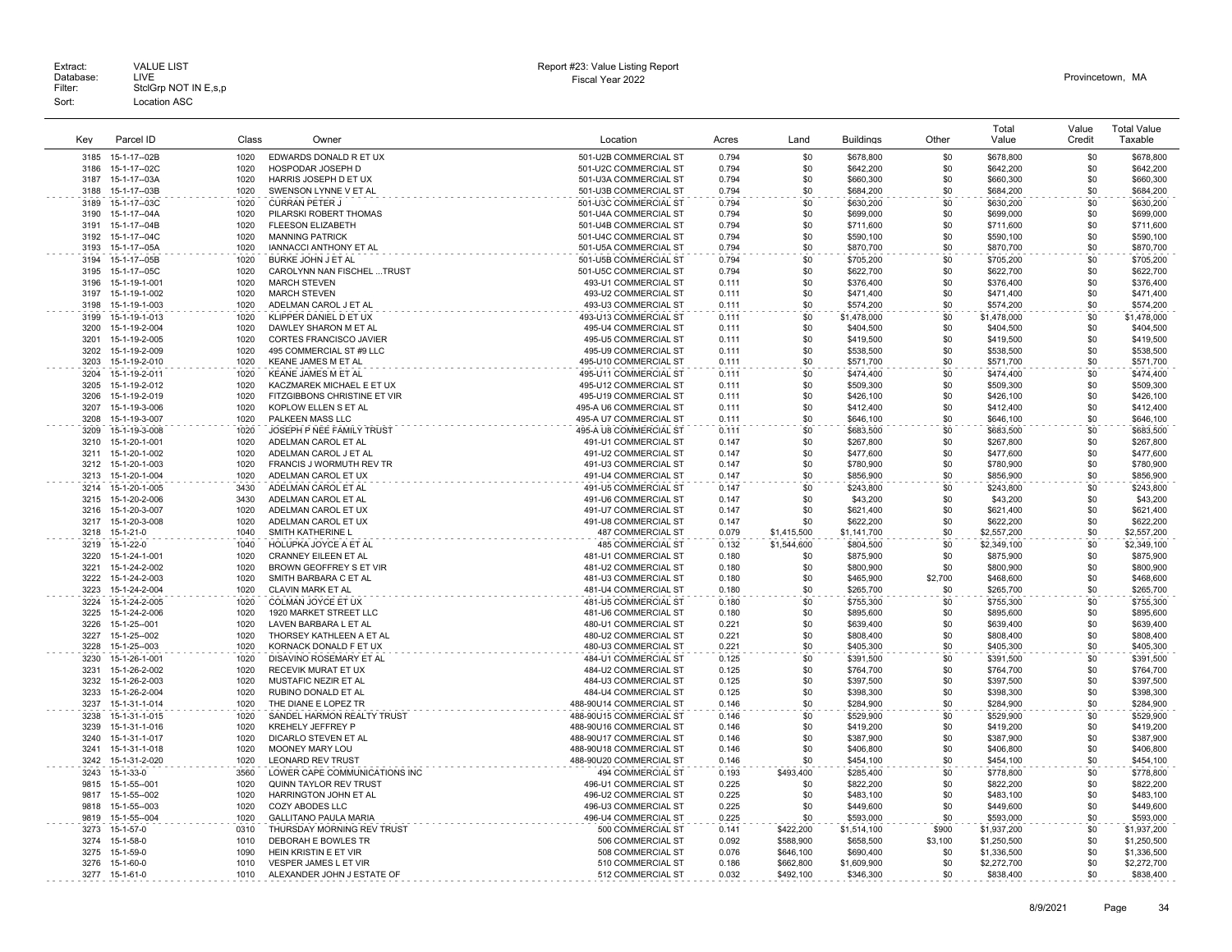| Kev          | Parcel ID                      | Class        | Owner                                                      | Location                                       | Acres          | Land             | <b>Buildings</b>         | Other      | Total<br>Value             | Value<br>Credit | <b>Total Value</b><br>Taxable |
|--------------|--------------------------------|--------------|------------------------------------------------------------|------------------------------------------------|----------------|------------------|--------------------------|------------|----------------------------|-----------------|-------------------------------|
|              |                                |              |                                                            |                                                |                |                  |                          |            |                            |                 |                               |
| 3185<br>3186 | 15-1-17--02B<br>15-1-17--02C   | 1020<br>1020 | EDWARDS DONALD R ET UX<br>HOSPODAR JOSEPH D                | 501-U2B COMMERCIAL ST<br>501-U2C COMMERCIAL ST | 0.794<br>0.794 | \$0<br>\$0       | \$678,800<br>\$642,200   | \$0<br>\$0 | \$678,800<br>\$642,200     | \$0<br>\$0      | \$678,800<br>\$642,200        |
| 3187         | 15-1-17--03A                   | 1020         | HARRIS JOSEPH D ET UX                                      | 501-U3A COMMERCIAL ST                          | 0.794          | \$0              | \$660,300                | \$0        | \$660,300                  | \$0             | \$660,300                     |
| 3188         | 15-1-17--03B                   | 1020         | SWENSON LYNNE V ET AL                                      | 501-U3B COMMERCIAL ST                          | 0.794          | \$0              | \$684,200                | \$0        | \$684,200                  | \$0             | \$684,200                     |
| 3189         | 15-1-17--03C                   | 1020         | <b>CURRAN PETER J</b>                                      | 501-U3C COMMERCIAL ST                          | 0.794          | \$0              | \$630,200                | \$0        | \$630,200                  | \$0             | \$630,200                     |
| 3190         | $15 - 1 - 17 - 04A$            | 1020         | PILARSKI ROBERT THOMAS                                     | 501-U4A COMMERCIAL ST                          | 0.794          | \$0              | \$699,000                | \$0        | \$699,000                  | \$0             | \$699,000                     |
| 3191         | 15-1-17--04B                   | 1020         | FLEESON ELIZABETH                                          | 501-U4B COMMERCIAL ST                          | 0.794          | \$0              | \$711,600                | \$0        | \$711,600                  | \$0             | \$711,600                     |
| 3192         | 15-1-17--04C                   | 1020         | <b>MANNING PATRICK</b>                                     | 501-U4C COMMERCIAL ST                          | 0.794          | \$0              | \$590,100                | \$0        | \$590,100                  | \$0             | \$590,100                     |
| 3193         | 15-1-17--05A                   | 1020         | IANNACCI ANTHONY ET AL                                     | 501-U5A COMMERCIAL ST                          | 0.794          | \$0              | \$870,700                | \$0        | \$870,700                  | \$0             | \$870,700                     |
| 3194         | 15-1-17--05B                   | 1020         | BURKE JOHN J ET AL                                         | 501-U5B COMMERCIAL ST                          | 0.794          | \$0              | \$705,200                | \$0        | \$705,200                  | \$0             | \$705,200                     |
| 3195         | 15-1-17--05C                   | 1020         | CAROLYNN NAN FISCHEL  TRUST                                | 501-U5C COMMERCIAL ST                          | 0.794          | \$0              | \$622,700                | \$0        | \$622,700                  | \$0             | \$622,700                     |
| 3196         | 15-1-19-1-001                  | 1020         | <b>MARCH STEVEN</b>                                        | 493-U1 COMMERCIAL ST                           | 0.111          | \$0              | \$376,400                | \$0        | \$376,400                  | \$0             | \$376,400                     |
| 3197         | 15-1-19-1-002                  | 1020         | <b>MARCH STEVEN</b>                                        | 493-U2 COMMERCIAL ST                           | 0.111          | \$0              | \$471,400                | \$0        | \$471,400                  | \$0             | \$471,400                     |
| 3198         | 15-1-19-1-003                  | 1020         | ADELMAN CAROL J ET AL                                      | 493-U3 COMMERCIAL ST                           | 0.111          | \$0              | \$574,200                | \$0        | \$574,200                  | \$0             | \$574,200                     |
| 3199         | 15-1-19-1-013                  | 1020         | KLIPPER DANIEL D ET UX                                     | 493-U13 COMMERCIAL ST                          | 0.111          | \$0              | \$1,478,000              | \$0        | \$1,478,000                | \$0             | \$1,478,000                   |
| 3200         | 15-1-19-2-004                  | 1020         | DAWLEY SHARON M ET AL                                      | 495-U4 COMMERCIAL ST                           | 0.111          | \$0              | \$404,500                | \$0        | \$404,500                  | \$0             | \$404,500                     |
| 3201         | 15-1-19-2-005                  | 1020         | CORTES FRANCISCO JAVIER                                    | 495-U5 COMMERCIAL ST                           | 0.111          | \$0              | \$419,500                | \$0        | \$419,500                  | \$0             | \$419,500                     |
| 3202         | 15-1-19-2-009                  | 1020         | 495 COMMERCIAL ST #9 LLC                                   | 495-U9 COMMERCIAL ST                           | 0.111          | \$0              | \$538,500                | \$0        | \$538,500                  | \$0             | \$538,500                     |
| 3203         | 15-1-19-2-010                  | 1020         | KEANE JAMES M ET AL                                        | 495-U10 COMMERCIAL ST                          | 0.111          | \$0              | \$571,700                | \$0        | \$571,700                  | \$0             | \$571,700                     |
| 3204<br>3205 | 15-1-19-2-011                  | 1020<br>1020 | <b>KEANE JAMES M ET AL</b>                                 | 495-U11 COMMERCIAL ST                          | 0.111          | \$0              | \$474,400                | \$0        | \$474,400                  | \$0<br>\$0      | \$474,400                     |
| 3206         | 15-1-19-2-012<br>15-1-19-2-019 | 1020         | KACZMAREK MICHAEL E ET UX<br>FITZGIBBONS CHRISTINE ET VIR  | 495-U12 COMMERCIAL ST<br>495-U19 COMMERCIAL ST | 0.111<br>0.111 | \$0<br>\$0       | \$509,300<br>\$426,100   | \$0<br>\$0 | \$509,300<br>\$426,100     | \$0             | \$509,300<br>\$426,100        |
| 3207         | 15-1-19-3-006                  | 1020         | KOPLOW ELLEN S ET AL                                       | 495-A U6 COMMERCIAL ST                         | 0.111          | \$0              | \$412,400                | \$0        | \$412,400                  | \$0             | \$412,400                     |
| 3208         | 15-1-19-3-007                  | 1020         | PALKEEN MASS LLC                                           | 495-A U7 COMMERCIAL ST                         | 0.111          | \$0              | \$646,100                | \$0        | \$646,100                  | \$0             | \$646,100                     |
| 3209         | 15-1-19-3-008                  | 1020         | JOSEPH P NEE FAMILY TRUST                                  | 495-A U8 COMMERCIAL ST                         | 0.111          | \$0              | \$683,500                | \$0        | \$683,500                  | \$0             | \$683,500                     |
| 3210         | 15-1-20-1-001                  | 1020         | ADELMAN CAROL ET AL                                        | 491-U1 COMMERCIAL ST                           | 0.147          | \$0              | \$267,800                | \$0        | \$267,800                  | \$0             | \$267,800                     |
| 3211         | 15-1-20-1-002                  | 1020         | ADELMAN CAROL J ET AL                                      | 491-U2 COMMERCIAL ST                           | 0.147          | \$0              | \$477,600                | \$0        | \$477,600                  | \$0             | \$477,600                     |
| 3212         | 15-1-20-1-003                  | 1020         | FRANCIS J WORMUTH REV TR                                   | 491-U3 COMMERCIAL ST                           | 0.147          | \$0              | \$780,900                | \$0        | \$780,900                  | \$0             | \$780,900                     |
| 3213         | 15-1-20-1-004                  | 1020         | ADELMAN CAROL ET UX                                        | 491-U4 COMMERCIAL ST                           | 0.147          | \$0              | \$856,900                | \$0        | \$856,900                  | \$0             | \$856.900                     |
| 3214         | 15-1-20-1-005                  | 3430         | ADELMAN CAROL ET AL                                        | 491-U5 COMMERCIAL ST                           | 0.147          | \$0              | \$243,800                | \$0        | \$243,800                  | \$0             | \$243,800                     |
| 3215         | 15-1-20-2-006                  | 3430         | ADELMAN CAROL ET AL                                        | 491-U6 COMMERCIAL ST                           | 0.147          | \$0              | \$43,200                 | \$0        | \$43,200                   | \$0             | \$43,200                      |
| 3216         | 15-1-20-3-007                  | 1020         | ADELMAN CAROL ET UX                                        | 491-U7 COMMERCIAL ST                           | 0.147          | \$0              | \$621,400                | \$0        | \$621,400                  | \$0             | \$621,400                     |
| 3217         | 15-1-20-3-008                  | 1020         | ADELMAN CAROL ET UX                                        | 491-U8 COMMERCIAL ST                           | 0.147          | \$0              | \$622,200                | \$0        | \$622,200                  | \$0             | \$622,200                     |
| 3218         | $15 - 1 - 21 - 0$              | 1040         | SMITH KATHERINE L                                          | 487 COMMERCIAL ST                              | 0.079          | \$1,415,500      | \$1,141,700              | \$0        | \$2,557,200                | \$0             | \$2,557,200                   |
| 3219         | 15-1-22-0                      | 1040         | HOLUPKA JOYCE A ET AL                                      | <b>485 COMMERCIAL ST</b>                       | 0.132          | \$1,544,600      | \$804,500                | \$0        | \$2,349,100                | \$0             | \$2,349,100                   |
| 3220         | 15-1-24-1-001                  | 1020         | <b>CRANNEY EILEEN ET AL</b>                                | 481-U1 COMMERCIAL ST                           | 0.180          | \$0              | \$875,900                | \$0        | \$875,900                  | \$0             | \$875,900                     |
| 3221         | 15-1-24-2-002                  | 1020         | BROWN GEOFFREY S ET VIR                                    | 481-U2 COMMERCIAL ST                           | 0.180          | \$0              | \$800,900                | \$0        | \$800,900                  | \$0             | \$800,900                     |
| 3222         | 15-1-24-2-003                  | 1020         | SMITH BARBARA C ET AL                                      | 481-U3 COMMERCIAL ST                           | 0.180          | \$0              | \$465,900                | \$2,700    | \$468,600                  | \$0             | \$468,600                     |
| 3223         | 15-1-24-2-004                  | 1020         | CLAVIN MARK ET AL                                          | 481-U4 COMMERCIAL ST                           | 0.180          | \$0              | \$265,700                | \$0        | \$265,700                  | \$0             | \$265,700                     |
| 3224         | 15-1-24-2-005                  | 1020         | COLMAN JOYCE ET UX                                         | 481-U5 COMMERCIAL ST                           | 0.180<br>0.180 | \$0              | \$755,300                | \$0        | \$755,300                  | \$0             | \$755,300                     |
| 3225<br>3226 | 15-1-24-2-006<br>15-1-25--001  | 1020<br>1020 | 1920 MARKET STREET LLC<br>LAVEN BARBARA L ET AL            | 481-U6 COMMERCIAL ST<br>480-U1 COMMERCIAL ST   | 0.221          | \$0<br>\$0       | \$895,600<br>\$639,400   | \$0<br>\$0 | \$895,600<br>\$639,400     | \$0<br>\$0      | \$895,600<br>\$639,400        |
| 3227         | 15-1-25--002                   | 1020         | THORSEY KATHLEEN A ET AL                                   | 480-U2 COMMERCIAL ST                           | 0.221          | \$0              | \$808,400                | \$0        | \$808,400                  | \$0             | \$808,400                     |
| 3228         | 15-1-25--003                   | 1020         | KORNACK DONALD F ET UX                                     | 480-U3 COMMERCIAL ST                           | 0.221          | \$0              | \$405,300                | \$0        | \$405,300                  | \$0             | \$405,300                     |
| 3230         | 15-1-26-1-001                  | 1020         | DISAVINO ROSEMARY ET AL                                    | 484-U1 COMMERCIAL ST                           | 0.125          | \$0              | \$391,500                | \$0        | \$391,500                  | \$0             | \$391,500                     |
| 3231         | 15-1-26-2-002                  | 1020         | <b>RECEVIK MURAT ET UX</b>                                 | 484-U2 COMMERCIAL ST                           | 0.125          | \$0              | \$764,700                | \$0        | \$764.700                  | \$0             | \$764,700                     |
| 3232         | 15-1-26-2-003                  | 1020         | MUSTAFIC NEZIR ET AL                                       | 484-U3 COMMERCIAL ST                           | 0.125          | \$0              | \$397.500                | \$0        | \$397,500                  | \$0             | \$397,500                     |
| 3233         | 15-1-26-2-004                  | 1020         | RUBINO DONALD ET AL                                        | 484-U4 COMMERCIAL ST                           | 0.125          | \$0              | \$398,300                | \$0        | \$398,300                  | \$0             | \$398,300                     |
| 3237         | 15-1-31-1-014                  | 1020         | THE DIANE E LOPEZ TR                                       | 488-90U14 COMMERCIAL ST                        | 0.146          | \$0              | \$284,900                | \$0        | \$284,900                  | \$0             | \$284,900                     |
| 3238         | 15-1-31-1-015                  | 1020         | SANDEL HARMON REALTY TRUST                                 | 488-90U15 COMMERCIAL ST                        | 0.146          | \$0              | \$529,900                | \$0        | \$529,900                  | \$0             | \$529,900                     |
| 3239         | 15-1-31-1-016                  | 1020         | <b>KREHELY JEFFREY P</b>                                   | 488-90U16 COMMERCIAL ST                        | 0.146          | \$0              | \$419,200                | \$0        | \$419,200                  | \$0             | \$419,200                     |
| 3240         | 15-1-31-1-017                  | 1020         | DICARLO STEVEN ET AL                                       | 488-90U17 COMMERCIAL ST                        | 0.146          | \$0              | \$387,900                | \$0        | \$387,900                  | \$0             | \$387,900                     |
| 3241         | 15-1-31-1-018                  | 1020         | MOONEY MARY LOU                                            | 488-90U18 COMMERCIAL ST                        | 0.146          | \$0              | \$406,800                | \$0        | \$406,800                  | \$0             | \$406,800                     |
| 3242         | 15-1-31-2-020                  | 1020         | <b>LEONARD REV TRUST</b>                                   | 488-90U20 COMMERCIAL ST                        | 0.146          | \$0              | \$454,100                | \$0        | \$454,100                  | \$0             | \$454,100                     |
| 3243         | 15-1-33-0                      | 3560         | LOWER CAPE COMMUNICATIONS INC                              | <b>494 COMMERCIAL ST</b>                       | 0.193          | \$493,400        | \$285,400                | \$0        | \$778,800                  | \$0             | \$778,800                     |
| 9815         | 15-1-55--001                   | 1020         | <b>QUINN TAYLOR REV TRUST</b>                              | 496-U1 COMMERCIAL ST                           | 0.225          | \$0              | \$822,200                | \$0        | \$822,200                  | \$0             | \$822,200                     |
| 9817         | 15-1-55--002                   | 1020         | HARRINGTON JOHN ET AL                                      | 496-U2 COMMERCIAL ST                           | 0.225          | \$0              | \$483,100                | \$0        | \$483,100                  | \$0             | \$483,100                     |
| 9818<br>9819 | 15-1-55--003<br>15-1-55--004   | 1020<br>1020 | COZY ABODES LLC                                            | 496-U3 COMMERCIAL ST                           | 0.225<br>0.225 | \$0              | \$449,600                | \$0<br>\$0 | \$449,600                  | \$0             | \$449,600                     |
| 3273         | 15-1-57-0                      | 0310         | <b>GALLITANO PAULA MARIA</b><br>THURSDAY MORNING REV TRUST | 496-U4 COMMERCIAL ST<br>500 COMMERCIAL ST      | 0.141          | \$0<br>\$422.200 | \$593,000                | \$900      | \$593,000                  | \$0<br>\$0      | \$593,000                     |
| 3274         | 15-1-58-0                      | 1010         | DEBORAH E BOWLES TR                                        | 506 COMMERCIAL ST                              | 0.092          | \$588,900        | \$1,514,100<br>\$658,500 | \$3,100    | \$1,937,200<br>\$1,250,500 | \$0             | \$1,937,200<br>\$1,250,500    |
| 3275         | 15-1-59-0                      | 1090         | HEIN KRISTIN E ET VIR                                      | 508 COMMERCIAL ST                              | 0.076          | \$646,100        | \$690,400                | \$0        | \$1,336,500                | \$0             | \$1,336,500                   |
| 3276         | 15-1-60-0                      | 1010         | <b>VESPER JAMES L ET VIR</b>                               | 510 COMMERCIAL ST                              | 0.186          | \$662,800        | \$1,609,900              | \$0        | \$2,272,700                | \$0             | \$2,272,700                   |
| 3277         | 15-1-61-0                      | 1010         | ALEXANDER JOHN J ESTATE OF                                 | 512 COMMERCIAL ST                              | 0.032          | \$492,100        | \$346,300                | \$0        | \$838,400                  | \$0             | \$838,400                     |
|              |                                |              |                                                            |                                                |                |                  |                          |            |                            |                 |                               |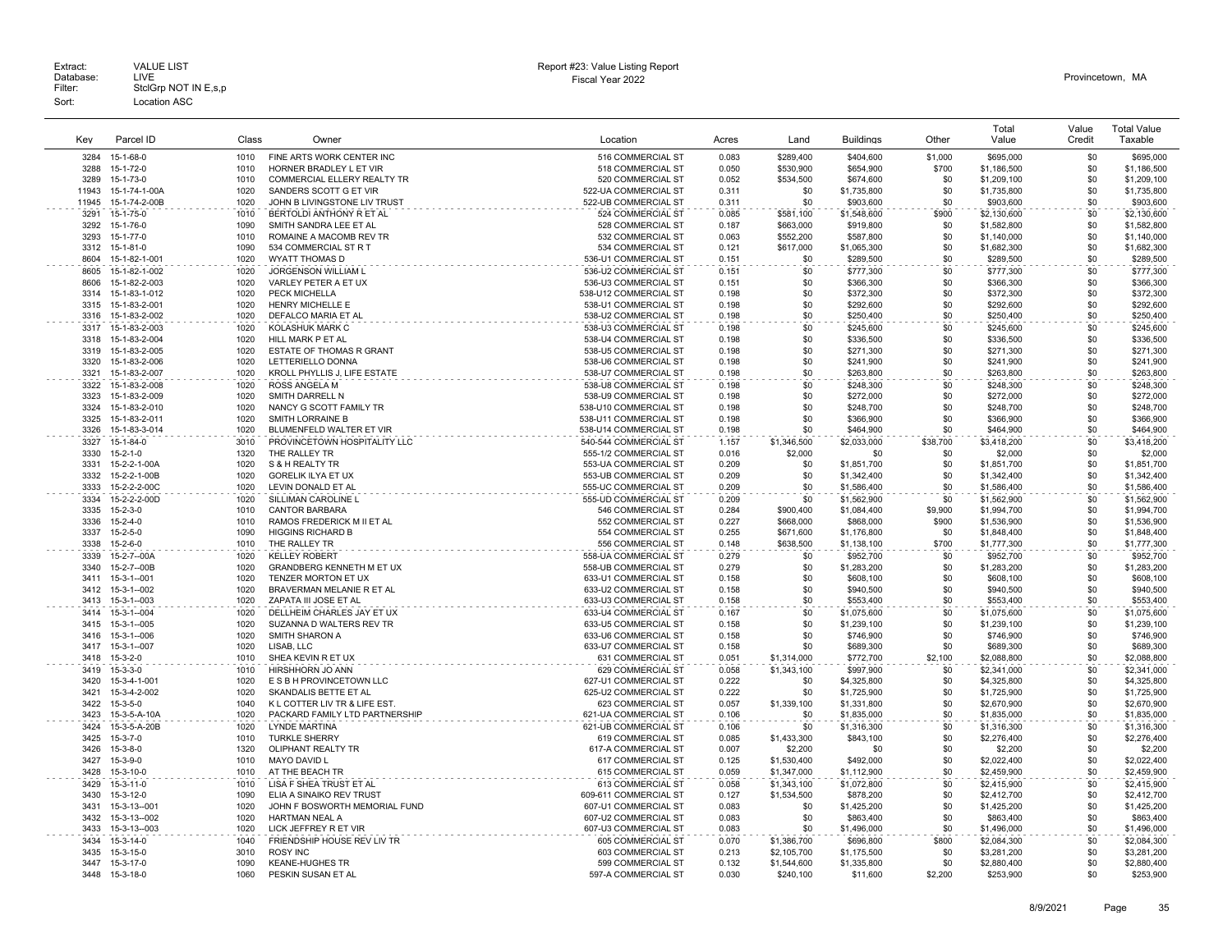| Kev          | Parcel ID                        | Class        | Owner                                           | Location                                      | Acres          | Land               | <b>Buildings</b>           | Other          | Total<br>Value             | Value<br>Credit | <b>Total Value</b><br>Taxable |
|--------------|----------------------------------|--------------|-------------------------------------------------|-----------------------------------------------|----------------|--------------------|----------------------------|----------------|----------------------------|-----------------|-------------------------------|
| 3284         | 15-1-68-0                        | 1010         | FINE ARTS WORK CENTER INC                       | 516 COMMERCIAL ST                             | 0.083          | \$289,400          | \$404,600                  | \$1,000        | \$695,000                  | \$0             | \$695,000                     |
| 3288         | 15-1-72-0                        | 1010         | HORNER BRADLEY L ET VIR                         | 518 COMMERCIAL ST                             | 0.050          | \$530,900          | \$654,900                  | \$700          | \$1,186,500                | \$0             | \$1,186,500                   |
| 3289         | 15-1-73-0                        | 1010         | COMMERCIAL ELLERY REALTY TR                     | 520 COMMERCIAL ST                             | 0.052          | \$534,500          | \$674,600                  | \$0            | \$1,209,100                | \$0             | \$1,209,100                   |
| 11943        | 15-1-74-1-00A                    | 1020         | SANDERS SCOTT G ET VIR                          | 522-UA COMMERCIAL ST                          | 0.311          | \$0                | \$1,735,800                | \$0            | \$1,735,800                | \$0             | \$1,735,800                   |
| 11945        | 15-1-74-2-00B                    | 1020         | JOHN B LIVINGSTONE LIV TRUST                    | 522-UB COMMERCIAL ST                          | 0.311          | \$0                | \$903,600                  | \$0            | \$903,600                  | \$0             | \$903,600                     |
| 3291         | 15-1-75-0                        | 1010         | BERTOLDI ANTHONY R ET AL                        | 524 COMMERCIAL ST                             | 0.085          | \$581,100          | \$1,548,600                | \$900          | \$2,130,600                | \$0             | \$2,130,600                   |
| 3292         | 15-1-76-0                        | 1090         | SMITH SANDRA LEE ET AL                          | 528 COMMERCIAL ST                             | 0.187          | \$663,000          | \$919,800                  | \$0            | \$1,582,800                | \$0             | \$1,582,800                   |
| 3293         | 15-1-77-0                        | 1010         | ROMAINE A MACOMB REV TR                         | 532 COMMERCIAL ST                             | 0.063          | \$552,200          | \$587,800                  | \$0            | \$1,140,000                | \$0             | \$1,140,000                   |
| 3312         | 15-1-81-0                        | 1090         | 534 COMMERCIAL ST R T                           | 534 COMMERCIAL ST                             | 0.121          | \$617,000          | \$1,065,300                | \$0            | \$1,682,300                | \$0             | \$1,682,300                   |
| 8604         | 15-1-82-1-001                    | 1020         | WYATT THOMAS D                                  | 536-U1 COMMERCIAL ST                          | 0.151          | \$0                | \$289,500                  | \$0            | \$289,500                  | \$0             | \$289,500                     |
| 8605         | 15-1-82-1-002                    | 1020         | JORGENSON WILLIAM L                             | 536-U2 COMMERCIAL ST                          | 0.151          | \$0                | \$777,300                  | \$0            | \$777,300                  | \$0             | \$777,300                     |
| 8606         | 15-1-82-2-003                    | 1020         | VARLEY PETER A ET UX                            | 536-U3 COMMERCIAL ST                          | 0.151          | \$0                | \$366,300                  | \$0            | \$366,300                  | \$0             | \$366,300                     |
| 3314<br>3315 | 15-1-83-1-012<br>15-1-83-2-001   | 1020<br>1020 | PECK MICHELLA<br><b>HENRY MICHELLE E</b>        | 538-U12 COMMERCIAL ST<br>538-U1 COMMERCIAL ST | 0.198<br>0.198 | \$0<br>\$0         | \$372,300<br>\$292,600     | \$0<br>\$0     | \$372,300                  | \$0<br>\$0      | \$372,300<br>\$292,600        |
| 3316         | 15-1-83-2-002                    | 1020         | DEFALCO MARIA ET AL                             | 538-U2 COMMERCIAL ST                          | 0.198          | \$0                | \$250,400                  | \$0            | \$292,600<br>\$250,400     | \$0             | \$250,400                     |
| 3317         | 15-1-83-2-003                    | 1020         | KOLASHUK MARK C                                 | 538-U3 COMMERCIAL ST                          | 0.198          | \$0                | \$245,600                  | \$0            | \$245,600                  | \$0             | \$245,600                     |
| 3318         | 15-1-83-2-004                    | 1020         | HILL MARK P ET AL                               | 538-U4 COMMERCIAL ST                          | 0.198          | \$0                | \$336,500                  | \$0            | \$336,500                  | \$0             | \$336,500                     |
| 3319         | 15-1-83-2-005                    | 1020         | ESTATE OF THOMAS R GRANT                        | 538-U5 COMMERCIAL ST                          | 0.198          | \$0                | \$271,300                  | \$0            | \$271,300                  | \$0             | \$271,300                     |
| 3320         | 15-1-83-2-006                    | 1020         | LETTERIELLO DONNA                               | 538-U6 COMMERCIAL ST                          | 0.198          | \$0                | \$241,900                  | \$0            | \$241,900                  | \$0             | \$241,900                     |
| 3321         | 15-1-83-2-007                    | 1020         | KROLL PHYLLIS J, LIFE ESTATE                    | 538-U7 COMMERCIAL ST                          | 0.198          | \$0                | \$263,800                  | \$0            | \$263,800                  | \$0             | \$263,800                     |
| 3322         | 15-1-83-2-008                    | 1020         | <b>ROSS ANGELA M</b>                            | 538-U8 COMMERCIAL ST                          | 0.198          | \$0                | \$248,300                  | \$0            | \$248,300                  | \$0             | \$248,300                     |
| 3323         | 15-1-83-2-009                    | 1020         | SMITH DARRELL N                                 | 538-U9 COMMERCIAL ST                          | 0.198          | \$0                | \$272,000                  | \$0            | \$272,000                  | \$0             | \$272,000                     |
| 3324         | 15-1-83-2-010                    | 1020         | NANCY G SCOTT FAMILY TR                         | 538-U10 COMMERCIAL ST                         | 0.198          | \$0                | \$248,700                  | \$0            | \$248,700                  | \$0             | \$248,700                     |
| 3325         | 15-1-83-2-011                    | 1020         | <b>SMITH LORRAINE B</b>                         | 538-U11 COMMERCIAL ST                         | 0.198          | \$0                | \$366,900                  | \$0            | \$366,900                  | \$0             | \$366,900                     |
| 3326         | 15-1-83-3-014                    | 1020         | BLUMENFELD WALTER ET VIR                        | 538-U14 COMMERCIAL ST                         | 0.198          | \$0                | \$464,900                  | \$0            | \$464,900                  | \$0             | \$464,900                     |
| 3327         | 15-1-84-0                        | 3010         | PROVINCETOWN HOSPITALITY LLC                    | 540-544 COMMERCIAL ST                         | 1.157          | \$1,346,500        | \$2,033,000                | \$38,700       | \$3,418,200                | \$0             | \$3,418,200                   |
| 3330         | $15 - 2 - 1 - 0$                 | 1320         | THE RALLEY TR                                   | 555-1/2 COMMERCIAL ST                         | 0.016          | \$2,000            | \$0                        | \$0            | \$2,000                    | \$0             | \$2,000                       |
| 3331         | 15-2-2-1-00A                     | 1020         | S & H REALTY TR                                 | 553-UA COMMERCIAL ST                          | 0.209          | \$0                | \$1,851,700                | \$0            | \$1,851,700                | \$0             | \$1,851,700                   |
| 3332<br>3333 | 15-2-2-1-00B<br>15-2-2-2-00C     | 1020<br>1020 | <b>GORELIK ILYA ET UX</b><br>LEVIN DONALD ET AL | 553-UB COMMERCIAL ST<br>555-UC COMMERCIAL ST  | 0.209<br>0.209 | \$0<br>\$0         | \$1,342,400                | \$0<br>\$0     | \$1,342,400                | \$0<br>\$0      | \$1,342,400                   |
| 3334         | 15-2-2-2-00D                     | 1020         | SILLIMAN CAROLINE L                             | 555-UD COMMERCIAL ST                          |                |                    | \$1,586,400                | \$0            | \$1,586,400                | \$0             | \$1,586,400                   |
| 3335         | $15 - 2 - 3 - 0$                 | 1010         | <b>CANTOR BARBARA</b>                           | 546 COMMERCIAL ST                             | 0.209<br>0.284 | \$0<br>\$900,400   | \$1,562,900<br>\$1,084,400 | \$9,900        | \$1,562,900<br>\$1,994,700 | \$0             | \$1,562,900<br>\$1,994,700    |
| 3336         | $15 - 2 - 4 - 0$                 | 1010         | RAMOS FREDERICK M II ET AL                      | 552 COMMERCIAL ST                             | 0.227          | \$668,000          | \$868,000                  | \$900          | \$1,536,900                | \$0             | \$1,536,900                   |
| 3337         | $15 - 2 - 5 - 0$                 | 1090         | <b>HIGGINS RICHARD B</b>                        | 554 COMMERCIAL ST                             | 0.255          | \$671,600          | \$1,176,800                | \$0            | \$1,848,400                | \$0             | \$1,848,400                   |
| 3338         | $15 - 2 - 6 - 0$                 | 1010         | THE RALLEY TR                                   | 556 COMMERCIAL ST                             | 0.148          | \$638.500          | \$1,138,100                | \$700          | \$1,777,300                | \$0             | \$1,777,300                   |
| 3339         | 15-2-7-00A                       | 1020         | <b>KELLEY ROBERT</b>                            | 558-UA COMMERCIAL ST                          | 0.279          | \$0                | \$952,700                  | \$0            | \$952,700                  | \$0             | \$952,700                     |
| 3340         | 15-2-7-00B                       | 1020         | GRANDBERG KENNETH M ET UX                       | 558-UB COMMERCIAL ST                          | 0.279          | \$0                | \$1,283,200                | \$0            | \$1,283,200                | \$0             | \$1,283,200                   |
| 3411         | $15-3-1-001$                     | 1020         | TENZER MORTON ET UX                             | 633-U1 COMMERCIAL ST                          | 0.158          | \$0                | \$608,100                  | \$0            | \$608,100                  | \$0             | \$608,100                     |
| 3412         | 15-3-1--002                      | 1020         | BRAVERMAN MELANIE R ET AL                       | 633-U2 COMMERCIAL ST                          | 0.158          | \$0                | \$940,500                  | \$0            | \$940,500                  | \$0             | \$940,500                     |
| 3413         | $15-3-1-003$                     | 1020         | ZAPATA III JOSE ET AL                           | 633-U3 COMMERCIAL ST                          | 0.158          | \$0                | \$553,400                  | \$0            | \$553,400                  | \$0             | \$553,400                     |
| 3414         | 15-3-1--004                      | 1020         | DELLHEIM CHARLES JAY ET UX                      | 633-U4 COMMERCIAL ST                          | 0.167          | \$0                | \$1,075,600                | \$0            | \$1,075,600                | \$0             | \$1,075,600                   |
| 3415         | $15-3-1-005$                     | 1020         | SUZANNA D WALTERS REV TR                        | 633-U5 COMMERCIAL ST                          | 0.158          | \$0                | \$1,239,100                | \$0            | \$1,239,100                | \$0             | \$1,239,100                   |
| 3416         | 15-3-1--006                      | 1020         | SMITH SHARON A                                  | 633-U6 COMMERCIAL ST                          | 0.158          | \$0                | \$746,900                  | \$0            | \$746,900                  | \$0             | \$746,900                     |
| 3417<br>3418 | $15-3-1-007$<br>$15 - 3 - 2 - 0$ | 1020<br>1010 | LISAB, LLC<br>SHEA KEVIN R ET UX                | 633-U7 COMMERCIAL ST<br>631 COMMERCIAL ST     | 0.158<br>0.051 | \$0<br>\$1,314,000 | \$689,300<br>\$772,700     | \$0<br>\$2,100 | \$689,300<br>\$2,088,800   | \$0<br>\$0      | \$689,300<br>\$2,088,800      |
| 3419         | $15 - 3 - 3 - 0$                 | 1010         | HIRSHHORN JO ANN                                | 629 COMMERCIAL ST                             | 0.058          | \$1,343,100        | \$997,900                  | \$0            | \$2,341,000                | \$0             | \$2,341,000                   |
| 3420         | 15-3-4-1-001                     | 1020         | E S B H PROVINCETOWN LLC                        | 627-U1 COMMERCIAL ST                          | 0.222          | \$0                | \$4,325,800                | \$0            | \$4,325,800                | \$0             | \$4,325,800                   |
| 3421         | 15-3-4-2-002                     | 1020         | SKANDALIS BETTE ET AL                           | 625-U2 COMMERCIAL ST                          | 0.222          | \$0                | \$1,725,900                | \$0            | \$1,725,900                | \$0             | \$1,725,900                   |
| 3422         | $15-3-5-0$                       | 1040         | K L COTTER LIV TR & LIFE EST                    | 623 COMMERCIAL ST                             | 0.057          | \$1,339,100        | \$1,331,800                | \$0            | \$2,670,900                | \$0             | \$2,670,900                   |
| 3423         | 15-3-5-A-10A                     | 1020         | PACKARD FAMILY LTD PARTNERSHIP                  | 621-UA COMMERCIAL ST                          | 0.106          | \$0                | \$1,835,000                | \$0            | \$1,835,000                | \$0             | \$1,835,000                   |
| 3424         | 15-3-5-A-20B                     | 1020         | <b>LYNDE MARTINA</b>                            | 621-UB COMMERCIAL ST                          | 0.106          | \$0                | \$1,316,300                | \$0            | \$1,316,300                | \$0             | \$1,316,300                   |
| 3425         | $15 - 3 - 7 - 0$                 | 1010         | <b>TURKLE SHERRY</b>                            | 619 COMMERCIAL ST                             | 0.085          | \$1,433,300        | \$843,100                  | \$0            | \$2,276,400                | \$0             | \$2,276,400                   |
| 3426         | $15 - 3 - 8 - 0$                 | 1320         | <b>OLIPHANT REALTY TR</b>                       | 617-A COMMERCIAL ST                           | 0.007          | \$2,200            | \$0                        | \$0            | \$2,200                    | \$0             | \$2,200                       |
| 3427         | 15-3-9-0                         | 1010         | MAYO DAVID L                                    | 617 COMMERCIAL ST                             | 0.125          | \$1,530,400        | \$492,000                  | \$0            | \$2,022,400                | \$0             | \$2,022,400                   |
| 3428         | 15-3-10-0                        | 1010         | AT THE BEACH TR                                 | 615 COMMERCIAL ST                             | 0.059          | \$1,347,000        | \$1,112,900                | \$0            | \$2,459,900                | \$0             | \$2,459,900                   |
| 3429         | 15-3-11-0                        | 1010         | LISA F SHEA TRUST ET AL                         | 613 COMMERCIAL ST                             | 0.058          | \$1,343,100        | \$1,072,800                | \$0            | \$2,415,900                | \$0             | \$2,415,900                   |
| 3430         | $15-3-12-0$                      | 1090         | ELIA A SINAIKO REV TRUST                        | 609-611 COMMERCIAL ST                         | 0.127          | \$1,534,500        | \$878,200                  | \$0            | \$2,412,700                | \$0             | \$2,412,700                   |
| 3431         | 15-3-13--001                     | 1020         | JOHN F BOSWORTH MEMORIAL FUND                   | 607-U1 COMMERCIAL ST                          | 0.083          | \$0                | \$1,425,200                | \$0            | \$1,425,200                | \$0             | \$1,425,200                   |
| 3432<br>3433 | 15-3-13--002<br>15-3-13--003     | 1020<br>1020 | HARTMAN NEAL A<br>LICK JEFFREY R ET VIR         | 607-U2 COMMERCIAL ST                          | 0.083          | -\$0<br>\$0        | \$863,400                  | \$0<br>\$0     | \$863,400                  | \$0<br>\$0      | \$863,400                     |
| 3434         | $15-3-14-0$                      | 1040         | FRIENDSHIP HOUSE REV LIV TR                     | 607-U3 COMMERCIAL ST<br>605 COMMERCIAL ST     | 0.083<br>0.070 | \$1,386,700        | \$1,496,000<br>\$696,800   | \$800          | \$1,496,000<br>\$2,084,300 | \$0             | \$1,496,000                   |
| 3435         | 15-3-15-0                        | 3010         | <b>ROSY INC</b>                                 | 603 COMMERCIAL ST                             | 0.213          | \$2,105,700        | \$1,175,500                | \$0            | \$3,281,200                | \$0             | \$2,084,300<br>\$3,281,200    |
| 3447         | 15-3-17-0                        | 1090         | <b>KEANE-HUGHES TR</b>                          | 599 COMMERCIAL ST                             | 0.132          | \$1,544,600        | \$1,335,800                | \$0            | \$2,880,400                | \$0             | \$2,880,400                   |
| 3448         | 15-3-18-0                        | 1060         | PESKIN SUSAN ET AL                              | 597-A COMMERCIAL ST                           | 0.030          | \$240.100          | \$11,600                   | \$2,200        | \$253,900                  | \$0             | \$253,900                     |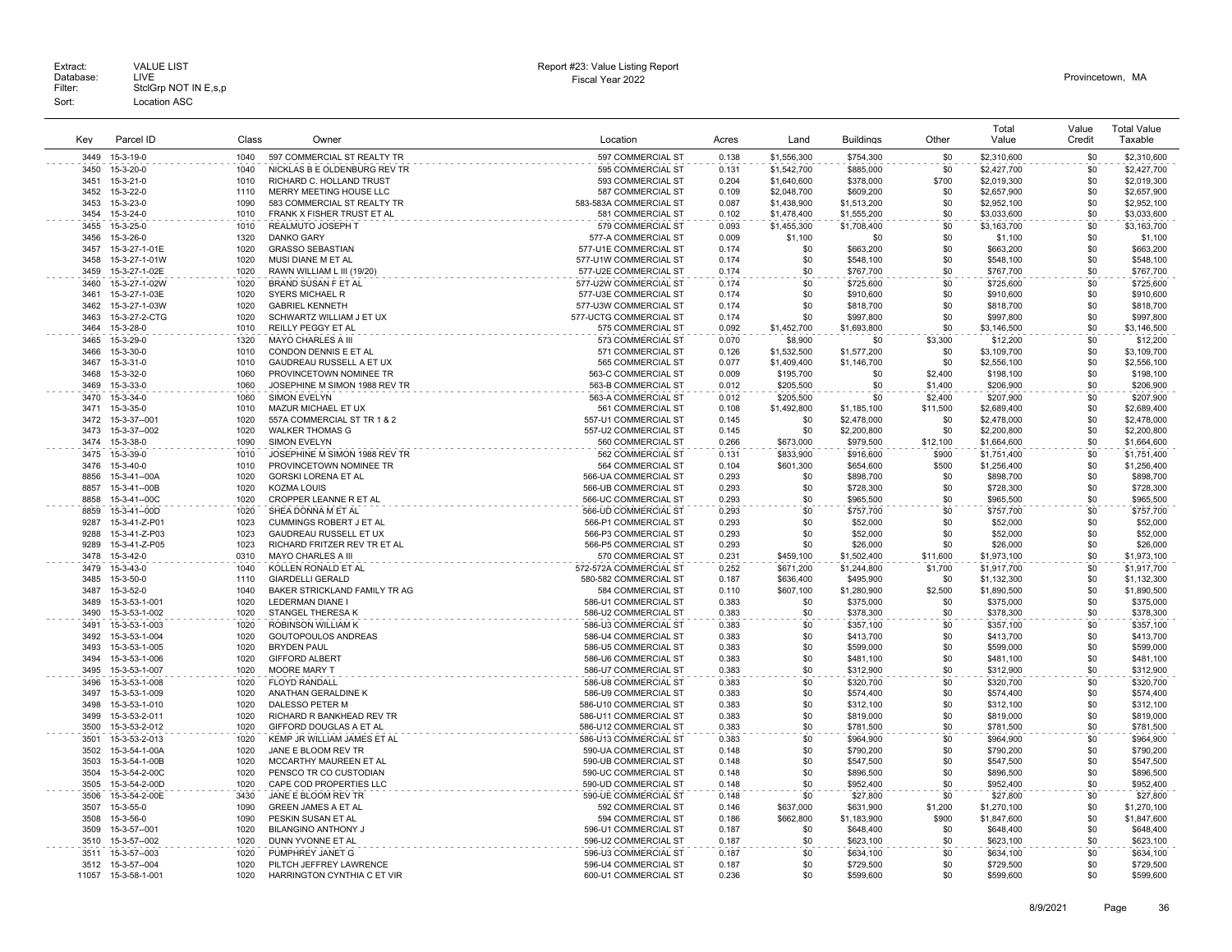|               |                                |              |                                                        |                                              |                |                          |                        |                | Total                      | Value      | <b>Total Value</b>       |
|---------------|--------------------------------|--------------|--------------------------------------------------------|----------------------------------------------|----------------|--------------------------|------------------------|----------------|----------------------------|------------|--------------------------|
| Kev           | Parcel ID                      | Class        | Owner                                                  | Location                                     | Acres          | Land                     | <b>Buildings</b>       | Other          | Value                      | Credit     | Taxable                  |
| 3449          | 15-3-19-0                      | 1040         | 597 COMMERCIAL ST REALTY TR                            | 597 COMMERCIAL ST                            | 0.138          | \$1,556,300              | \$754,300              | \$0            | \$2,310,600                | \$0        | \$2,310,600              |
| 3450          | 15-3-20-0                      | 1040         | NICKLAS B E OLDENBURG REV TR                           | 595 COMMERCIAL ST                            | 0.131          | \$1,542,700              | \$885,000              | \$0            | \$2,427,700                | \$0        | \$2,427,700              |
| 3451          | 15-3-21-0                      | 1010         | RICHARD C. HOLLAND TRUST                               | 593 COMMERCIAL ST                            | 0.204          | \$1,640,600              | \$378,000              | \$700          | \$2,019,300                | \$0        | \$2,019,300              |
| 3452          | 15-3-22-0                      | 1110         | MERRY MEETING HOUSE LLC                                | 587 COMMERCIAL ST                            | 0.109          | \$2,048,700              | \$609,200              | \$0            | \$2,657,900                | \$0        | \$2,657,900              |
| 3453          | 15-3-23-0                      | 1090         | 583 COMMERCIAL ST REALTY TR                            | 583-583A COMMERCIAL ST                       | 0.087          | \$1,438,900              | \$1,513,200            | \$0            | \$2,952,100                | \$0        | \$2,952,100              |
| 3454          | 15-3-24-0                      | 1010         | FRANK X FISHER TRUST ET AL                             | 581 COMMERCIAL ST                            | 0.102          | \$1,478,400              | \$1,555,200            | \$0            | \$3,033,600                | \$0<br>\$0 | \$3,033,600              |
| 3455<br>3456  | 15-3-25-0<br>15-3-26-0         | 1010<br>1320 | REALMUTO JOSEPH T<br><b>DANKO GARY</b>                 | 579 COMMERCIAL ST<br>577-A COMMERCIAL ST     | 0.093<br>0.009 | \$1,455,300<br>\$1,100   | \$1,708,400<br>\$0     | \$0<br>\$0     | \$3,163,700<br>\$1,100     | \$0        | \$3,163,700<br>\$1,100   |
| 3457          | 15-3-27-1-01E                  | 1020         | <b>GRASSO SEBASTIAN</b>                                | 577-U1E COMMERCIAL ST                        | 0.174          | \$0                      | \$663,200              | \$0            | \$663,200                  | \$0        | \$663,200                |
| 3458          | 15-3-27-1-01W                  | 1020         | MUSI DIANE M ET AL                                     | 577-U1W COMMERCIAL ST                        | 0.174          | \$0                      | \$548,100              | \$0            | \$548,100                  | \$0        | \$548,100                |
| 3459          | 15-3-27-1-02E                  | 1020         | RAWN WILLIAM L III (19/20)                             | 577-U2E COMMERCIAL ST                        | 0.174          | \$0                      | \$767,700              | \$0            | \$767,700                  | \$0        | \$767,700                |
| 3460          | 15-3-27-1-02W                  | 1020         | <b>BRAND SUSAN F ET AL</b>                             | 577-U2W COMMERCIAL ST                        | 0.174          | \$0                      | \$725,600              | \$0            | \$725,600                  | \$0        | \$725,600                |
| 3461          | 15-3-27-1-03E                  | 1020         | <b>SYERS MICHAEL R</b>                                 | 577-U3E COMMERCIAL ST                        | 0.174          | \$0                      | \$910,600              | \$0            | \$910,600                  | \$0        | \$910,600                |
| 3462          | 15-3-27-1-03W                  | 1020         | <b>GABRIEL KENNETH</b>                                 | 577-U3W COMMERCIAL ST                        | 0.174          | \$0                      | \$818,700              | \$0            | \$818,700                  | \$0        | \$818,700                |
| 3463          | 15-3-27-2-CTG                  | 1020         | SCHWARTZ WILLIAM J ET UX                               | 577-UCTG COMMERCIAL ST                       | 0.174          | \$0                      | \$997,800              | \$0            | \$997,800                  | \$0        | \$997,800                |
| 3464          | 15-3-28-0                      | 1010         | REILLY PEGGY ET AL                                     | 575 COMMERCIAL ST                            | 0.092          | \$1,452,700              | \$1,693,800            | \$0            | \$3,146,500                | \$0        | \$3,146,500              |
| 3465          | 15-3-29-0                      | 1320         | <b>MAYO CHARLES A III</b>                              | 573 COMMERCIAL ST                            | 0.070          | \$8,900                  | \$0                    | \$3,300        | \$12,200                   | \$0        | \$12,200                 |
| 3466          | 15-3-30-0                      | 1010<br>1010 | CONDON DENNIS E ET AL                                  | 571 COMMERCIAL ST                            | 0.126          | \$1,532,500              | \$1,577,200            | \$0            | \$3,109,700<br>\$2,556,100 | \$0<br>\$0 | \$3,109,700              |
| 3467<br>3468  | 15-3-31-0<br>15-3-32-0         | 1060         | GAUDREAU RUSSELL A ET UX<br>PROVINCETOWN NOMINEE TR    | 565 COMMERCIAL ST<br>563-C COMMERCIAL ST     | 0.077<br>0.009 | \$1,409,400<br>\$195,700 | \$1,146,700<br>\$0     | \$0<br>\$2,400 | \$198,100                  | \$0        | \$2,556,100<br>\$198,100 |
| 3469          | 15-3-33-0                      | 1060         | JOSEPHINE M SIMON 1988 REV TR                          | 563-B COMMERCIAL ST                          | 0.012          | \$205,500                | \$0                    | \$1,400        | \$206,900                  | \$0        | \$206,900                |
| 3470          | 15-3-34-0                      | 1060         | SIMON EVELYN                                           | 563-A COMMERCIAL ST                          | 0.012          | \$205,500                | \$0                    | \$2,400        | \$207,900                  | \$0        | \$207,900                |
| 3471          | 15-3-35-0                      | 1010         | MAZUR MICHAEL ET UX                                    | 561 COMMERCIAL ST                            | 0.108          | \$1,492,800              | \$1,185,100            | \$11,500       | \$2,689,400                | \$0        | \$2,689,400              |
| 3472          | 15-3-37--001                   | 1020         | 557A COMMERCIAL ST TR 1 & 2                            | 557-U1 COMMERCIAL ST                         | 0.145          | \$0                      | \$2,478,000            | \$0            | \$2,478,000                | \$0        | \$2,478,000              |
| 3473          | 15-3-37--002                   | 1020         | <b>WALKER THOMAS G</b>                                 | 557-U2 COMMERCIAL ST                         | 0.145          | \$0                      | \$2,200,800            | \$0            | \$2,200,800                | \$0        | \$2,200,800              |
| 3474          | 15-3-38-0                      | 1090         | <b>SIMON EVELYN</b>                                    | 560 COMMERCIAL ST                            | 0.266          | \$673,000                | \$979,500              | \$12,100       | \$1,664,600                | \$0        | \$1,664,600              |
| 3475          | 15-3-39-0                      | 1010         | JOSEPHINE M SIMON 1988 REV TR                          | 562 COMMERCIAL ST                            | 0.131          | \$833,900                | \$916,600              | \$900          | \$1,751,400                | \$0        | \$1,751,400              |
| 3476          | 15-3-40-0                      | 1010         | PROVINCETOWN NOMINEE TR                                | 564 COMMERCIAL ST                            | 0.104          | \$601.300                | \$654,600              | \$500          | \$1,256,400                | \$0        | \$1,256,400              |
| 8856          | 15-3-41--00A                   | 1020         | GORSKI LORENA ET AL                                    | 566-UA COMMERCIAL ST                         | 0.293          | \$0                      | \$898,700              | \$0            | \$898,700                  | \$0        | \$898,700                |
| 8857<br>8858  | 15-3-41--00B<br>15-3-41--00C   | 1020<br>1020 | <b>KOZMA LOUIS</b>                                     | 566-UB COMMERCIAL ST<br>566-UC COMMERCIAL ST | 0.293<br>0.293 | \$0                      | \$728,300              | \$0            | \$728,300                  | \$0        | \$728,300<br>\$965,500   |
| 8859          | 15-3-41--00D                   | 1020         | CROPPER LEANNE R ET AL<br>SHEA DONNA M ET AL           | 566-UD COMMERCIAL ST                         | 0.293          | \$0<br>\$0               | \$965,500<br>\$757.700 | \$0<br>\$0     | \$965,500<br>\$757.700     | \$0<br>\$0 | \$757,700                |
| 9287          | 15-3-41-Z-P01                  | 1023         | CUMMINGS ROBERT J ET AL                                | 566-P1 COMMERCIAL ST                         | 0.293          | \$0                      | \$52,000               | \$0            | \$52,000                   | \$0        | \$52,000                 |
| 9288          | 15-3-41-Z-P03                  | 1023         | <b>GAUDREAU RUSSELL ET UX</b>                          | 566-P3 COMMERCIAL ST                         | 0.293          | \$0                      | \$52,000               | \$0            | \$52,000                   | \$0        | \$52,000                 |
| 9289          | 15-3-41-Z-P05                  | 1023         | RICHARD FRITZER REV TR ET AL                           | 566-P5 COMMERCIAL ST                         | 0.293          | \$0                      | \$26,000               | \$0            | \$26,000                   | \$0        | \$26,000                 |
| 3478          | 15-3-42-0                      | 0310         | MAYO CHARLES A III                                     | 570 COMMERCIAL ST                            | 0.231          | \$459,100                | \$1,502,400            | \$11,600       | \$1,973,100                | \$0        | \$1,973,100              |
| 3479          | 15-3-43-0                      | 1040         | KOLLEN RONALD ET AL                                    | 572-572A COMMERCIAL ST                       | 0.252          | \$671,200                | \$1,244,800            | \$1,700        | \$1,917,700                | \$0        | \$1,917,700              |
| 3485          | 15-3-50-0                      | 1110         | <b>GIARDELLI GERALD</b>                                | 580-582 COMMERCIAL ST                        | 0.187          | \$636,400                | \$495,900              | \$0            | \$1,132,300                | \$0        | \$1,132,300              |
| 3487          | 15-3-52-0                      | 1040         | BAKER STRICKLAND FAMILY TR AG                          | 584 COMMERCIAL ST                            | 0.110          | \$607,100                | \$1,280,900            | \$2,500        | \$1,890,500                | \$0        | \$1,890,500              |
| 3489          | 15-3-53-1-001                  | 1020         | <b>LEDERMAN DIANE I</b>                                | 586-U1 COMMERCIAL ST                         | 0.383          | \$0                      | \$375,000              | \$0            | \$375,000                  | \$0        | \$375,000                |
| 3490          | 15-3-53-1-002                  | 1020         | STANGEL THERESA K                                      | 586-U2 COMMERCIAL ST                         | 0.383          | \$0                      | \$378,300              | \$0            | \$378,300                  | \$0        | \$378,300                |
| 3491<br>3492  | 15-3-53-1-003<br>15-3-53-1-004 | 1020<br>1020 | ROBINSON WILLIAM K<br>GOUTOPOULOS ANDREAS              | 586-U3 COMMERCIAL ST<br>586-U4 COMMERCIAL ST | 0.383<br>0.383 | \$0<br>\$0               | \$357,100<br>\$413,700 | \$0<br>\$0     | \$357,100<br>\$413,700     | \$0<br>\$0 | \$357,100<br>\$413,700   |
| 3493          | 15-3-53-1-005                  | 1020         | <b>BRYDEN PAUL</b>                                     | 586-U5 COMMERCIAL ST                         | 0.383          | \$0                      | \$599,000              | \$0            | \$599,000                  | \$0        | \$599,000                |
| 3494          | 15-3-53-1-006                  | 1020         | <b>GIFFORD ALBERT</b>                                  | 586-U6 COMMERCIAL ST                         | 0.383          | \$0                      | \$481,100              | \$0            | \$481,100                  | \$0        | \$481,100                |
| 3495          | 15-3-53-1-007                  | 1020         | <b>MOORE MARY T</b>                                    | 586-U7 COMMERCIAL ST                         | 0.383          | \$0                      | \$312,900              | \$0            | \$312,900                  | \$0        | \$312,900                |
| 3496          | 15-3-53-1-008                  | 1020         | <b>FLOYD RANDALL</b>                                   | 586-U8 COMMERCIAL ST                         | 0.383          | \$0                      | \$320,700              | \$0            | \$320,700                  | \$0        | \$320,700                |
| 3497          | 15-3-53-1-009                  | 1020         | ANATHAN GERALDINE K                                    | 586-U9 COMMERCIAL ST                         | 0.383          | \$0                      | \$574,400              | \$0            | \$574,400                  | \$0        | \$574,400                |
| 3498          | 15-3-53-1-010                  | 1020         | DALESSO PETER M                                        | 586-U10 COMMERCIAL ST                        | 0.383          | \$0                      | \$312,100              | \$0            | \$312,100                  | \$0        | \$312,100                |
| 3499          | 15-3-53-2-011                  | 1020         | RICHARD R BANKHEAD REV TR                              | 586-U11 COMMERCIAL ST                        | 0.383          | \$0                      | \$819,000              | \$0            | \$819,000                  | \$0        | \$819,000                |
| 3500          | 15-3-53-2-012                  | 1020         | GIFFORD DOUGLAS A ET AL                                | 586-U12 COMMERCIAL ST                        | 0.383          | \$0                      | \$781,500              | \$0            | \$781,500                  | \$0        | \$781,500                |
| 3501          | 15-3-53-2-013                  | 1020         | KEMP JR WILLIAM JAMES ET AL                            | 586-U13 COMMERCIAL ST                        | 0.383          | \$0                      | \$964.900              | \$0            | \$964.900                  | \$0        | \$964,900                |
| 3502<br>3503  | 15-3-54-1-00A<br>15-3-54-1-00B | 1020<br>1020 | JANE E BLOOM REV TR<br>MCCARTHY MAUREEN ET AL          | 590-UA COMMERCIAL ST<br>590-UB COMMERCIAL ST | 0.148<br>0.148 | \$0<br>\$0               | \$790,200<br>\$547,500 | \$0<br>\$0     | \$790,200<br>\$547,500     | \$0<br>\$0 | \$790,200<br>\$547,500   |
| 3504          | 15-3-54-2-00C                  | 1020         | PENSCO TR CO CUSTODIAN                                 | 590-UC COMMERCIAL ST                         | 0.148          | \$0                      | \$896,500              | \$0            | \$896,500                  | \$0        | \$896,500                |
| 3505          | 15-3-54-2-00D                  | 1020         | CAPE COD PROPERTIES LLC                                | 590-UD COMMERCIAL ST                         | 0.148          | \$0                      | \$952,400              | \$0            | \$952,400                  | \$0        | \$952,400                |
| 3506          | 15-3-54-2-00E                  | 3430         | JANE E BLOOM REV TR                                    | 590-UE COMMERCIAL ST                         | 0.148          | \$0                      | \$27,800               | \$0            | \$27,800                   | \$0        | \$27,800                 |
| 3507          | 15-3-55-0                      | 1090         | <b>GREEN JAMES A ET AL</b>                             | 592 COMMERCIAL ST                            | 0.146          | \$637,000                | \$631,900              | \$1,200        | \$1,270,100                | \$0        | \$1,270,100              |
| 3508          | 15-3-56-0                      | 1090         | PESKIN SUSAN ET AL                                     | 594 COMMERCIAL ST                            | 0.186          | \$662,800                | \$1,183,900            | \$900          | \$1,847,600                | \$0        | \$1,847,600              |
| 3509          | $15 - 3 - 57 - 00$             | 1020         | <b>BILANGINO ANTHONY J</b>                             | 596-U1 COMMERCIAL ST                         | 0.187          | \$0                      | \$648,400              | \$0            | \$648,400                  | \$0        | \$648,400                |
| 3510          | 15-3-57--002                   | 1020         | DUNN YVONNE ET AL                                      | 596-U2 COMMERCIAL ST                         | 0.187          | \$0                      | \$623,100              | \$0            | \$623,100                  | \$0        | \$623,100                |
| 3511          | 15-3-57-003                    | 1020         | PUMPHREY JANET G                                       | 596-U3 COMMERCIAL ST                         | 0.187          | \$0                      | \$634,100              | \$0            | \$634,100                  | \$0        | \$634,100                |
| 3512<br>11057 | 15-3-57--004<br>15-3-58-1-001  | 1020<br>1020 | PILTCH JEFFREY LAWRENCE<br>HARRINGTON CYNTHIA C ET VIR | 596-U4 COMMERCIAL ST<br>600-U1 COMMERCIAL ST | 0.187<br>0.236 | \$0<br>\$0               | \$729,500<br>\$599,600 | \$0<br>\$0     | \$729,500<br>\$599,600     | \$0<br>\$0 | \$729,500<br>\$599,600   |
|               |                                |              |                                                        |                                              |                |                          |                        |                |                            |            |                          |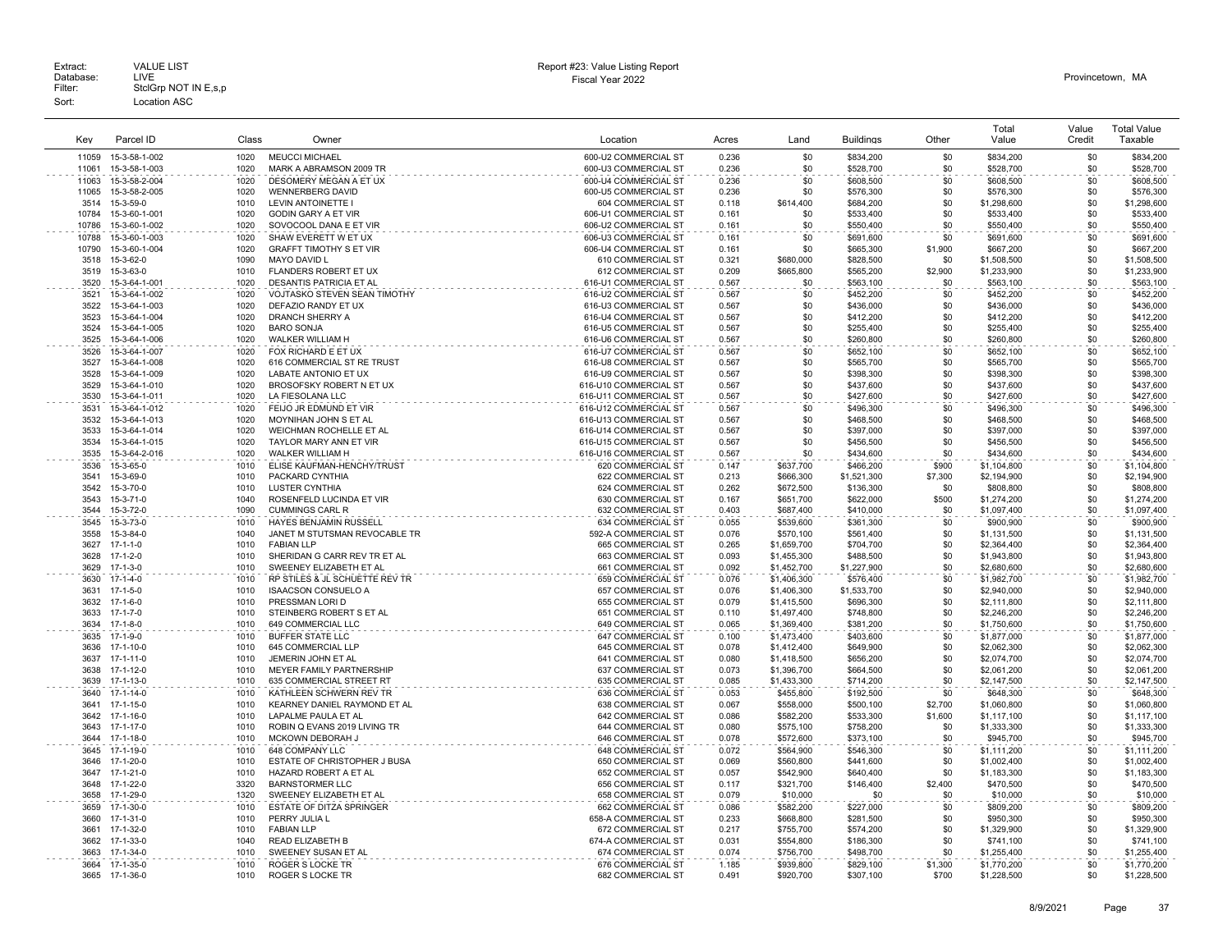| Key          | Parcel ID                      | Class        | Owner                                      | Location                                       | Acres          | Land                   | <b>Buildings</b>         | Other      | Total<br>Value             | Value<br>Credit | <b>Total Value</b><br>Taxable |
|--------------|--------------------------------|--------------|--------------------------------------------|------------------------------------------------|----------------|------------------------|--------------------------|------------|----------------------------|-----------------|-------------------------------|
| 11059        | 15-3-58-1-002                  | 1020         | <b>MEUCCI MICHAEL</b>                      | 600-U2 COMMERCIAL ST                           | 0.236          | \$0                    | \$834,200                | \$0        | \$834,200                  | \$0             | \$834,200                     |
| 11061        | 15-3-58-1-003                  | 1020         | MARK A ABRAMSON 2009 TR                    | 600-U3 COMMERCIAL ST                           | 0.236          | \$0                    | \$528,700                | \$0        | \$528,700                  | \$0             | \$528,700                     |
| 11063        | 15-3-58-2-004                  | 1020         | DESOMERY MEGAN A ET UX                     | 600-U4 COMMERCIAL ST                           | 0.236          | \$0                    | \$608,500                | \$0        | \$608,500                  | \$0             | \$608,500                     |
| 11065        | 15-3-58-2-005                  | 1020         | <b>WENNERBERG DAVID</b>                    | 600-U5 COMMERCIAL ST                           | 0.236          | \$0                    | \$576,300                | \$0        | \$576,300                  | \$0             | \$576,300                     |
| 3514         | 15-3-59-0                      | 1010         | LEVIN ANTOINETTE                           | 604 COMMERCIAL ST                              | 0.118          | \$614,400              | \$684,200                | \$0        | \$1,298,600                | \$0             | \$1,298,600                   |
| 10784        | 15-3-60-1-001                  | 1020         | GODIN GARY A ET VIR                        | 606-U1 COMMERCIAL ST                           | 0.161          | -\$0                   | \$533,400                | \$0        | \$533,400                  | \$0             | \$533,400                     |
| 10786        | 15-3-60-1-002                  | 1020         | SOVOCOOL DANA E ET VIR                     | 606-U2 COMMERCIAL ST                           | 0.161          | \$0                    | \$550,400                | \$0        | \$550,400                  | \$0             | \$550,400                     |
| 10788        | 15-3-60-1-003                  | 1020         | SHAW EVERETT W ET UX                       | 606-U3 COMMERCIAL ST                           | 0.161          | \$0                    | \$691,600                | \$0        | \$691,600                  | \$0             | \$691,600                     |
| 10790        | 15-3-60-1-004                  | 1020         | <b>GRAFFT TIMOTHY S ET VIR</b>             | 606-U4 COMMERCIAL ST                           | 0.161          | \$0                    | \$665,300                | \$1,900    | \$667,200                  | \$0             | \$667,200                     |
| 3518         | 15-3-62-0                      | 1090         | MAYO DAVID L                               | 610 COMMERCIAL ST                              | 0.321          | \$680,000              | \$828,500                | \$0        | \$1,508,500                | \$0             | \$1,508,500                   |
| 3519         | 15-3-63-0                      | 1010         | FLANDERS ROBERT ET UX                      | 612 COMMERCIAL ST                              | 0.209          | \$665,800              | \$565,200                | \$2,900    | \$1,233,900                | \$0             | \$1.233.900                   |
| 3520         | 15-3-64-1-001                  | 1020         | DESANTIS PATRICIA ET AL                    | 616-U1 COMMERCIAL ST                           | 0.567          | \$0                    | \$563.100                | \$0        | \$563,100                  | \$0             | \$563,100                     |
|              | 15-3-64-1-002                  | 1020         | VOJTASKO STEVEN SEAN TIMOTHY               | 616-U2 COMMERCIAL ST                           | 0.567          | \$0                    | \$452,200                | \$0        | \$452,200                  | \$0             | \$452,200                     |
| 3521<br>3522 |                                | 1020         | DEFAZIO RANDY ET UX                        | 616-U3 COMMERCIAL ST                           | 0.567          | \$0                    | \$436,000                | \$0        | \$436,000                  | \$0             |                               |
| 3523         | 15-3-64-1-003<br>15-3-64-1-004 | 1020         | DRANCH SHERRY A                            | 616-U4 COMMERCIAL ST                           | 0.567          | \$0                    | \$412,200                | \$0        | \$412,200                  | \$0             | \$436,000<br>\$412,200        |
| 3524         | 15-3-64-1-005                  | 1020         | <b>BARO SONJA</b>                          | 616-U5 COMMERCIAL ST                           | 0.567          | \$0                    | \$255,400                | \$0        | \$255,400                  | \$0             | \$255,400                     |
| 3525         |                                | 1020         |                                            |                                                | 0.567          | \$0                    |                          | \$0        |                            | \$0             | \$260,800                     |
|              | 15-3-64-1-006                  |              | WALKER WILLIAM H                           | 616-U6 COMMERCIAL ST                           |                |                        | \$260,800                |            | \$260,800                  |                 |                               |
| 3526         | 15-3-64-1-007                  | 1020         | FOX RICHARD E ET UX                        | 616-U7 COMMERCIAL ST                           | 0.567          | \$0                    | \$652,100                | \$0        | \$652,100                  | \$0             | \$652,100                     |
| 3527         | 15-3-64-1-008                  | 1020         | 616 COMMERCIAL ST RE TRUST                 | 616-U8 COMMERCIAL ST                           | 0.567          | \$0                    | \$565,700                | \$0        | \$565,700                  | \$0             | \$565,700                     |
| 3528         | 15-3-64-1-009                  | 1020         | LABATE ANTONIO ET UX                       | 616-U9 COMMERCIAL ST                           | 0.567          | \$0                    | \$398,300                | \$0        | \$398,300                  | \$0             | \$398,300                     |
| 3529         | 15-3-64-1-010                  | 1020<br>1020 | BROSOFSKY ROBERT N ET UX                   | 616-U10 COMMERCIAL ST                          | 0.567          | \$0                    | \$437,600                | \$0        | \$437,600                  | \$0             | \$437,600                     |
| 3530         | 15-3-64-1-011                  |              | LA FIESOLANA LLC                           | 616-U11 COMMERCIAL ST                          | 0.567          | \$0                    | \$427,600                | \$0        | \$427,600                  | \$0             | \$427,600                     |
| 3531         | 15-3-64-1-012                  | 1020         | FEIJO JR EDMUND ET VIR                     | 616-U12 COMMERCIAL ST                          | 0.567          | \$0                    | \$496,300                | \$0        | \$496,300                  | \$0             | \$496,300                     |
| 3532         | 15-3-64-1-013                  | 1020         | MOYNIHAN JOHN S ET AL                      | 616-U13 COMMERCIAL ST                          | 0.567          | \$0                    | \$468,500                | \$0        | \$468,500                  | \$0             | \$468,500                     |
| 3533         | 15-3-64-1-014<br>15-3-64-1-015 | 1020         | WEICHMAN ROCHELLE ET AL                    | 616-U14 COMMERCIAL ST                          | 0.567          | \$0<br>\$0             | \$397,000                | \$0<br>\$0 | \$397,000                  | \$0<br>\$0      | \$397,000                     |
| 3534<br>3535 | 15-3-64-2-016                  | 1020<br>1020 | TAYLOR MARY ANN ET VIR<br>WALKER WILLIAM H | 616-U15 COMMERCIAL ST<br>616-U16 COMMERCIAL ST | 0.567<br>0.567 | \$0                    | \$456,500<br>\$434,600   | \$0        | \$456,500<br>\$434,600     | \$0             | \$456,500<br>\$434,600        |
| 3536         | 15-3-65-0                      | 1010         | ELISE KAUFMAN-HENCHY/TRUST                 | 620 COMMERCIAL ST                              |                |                        |                          | \$900      |                            | \$0             |                               |
| 3541         | 15-3-69-0                      | 1010         | PACKARD CYNTHIA                            | 622 COMMERCIAL ST                              | 0.147<br>0.213 | \$637,700<br>\$666,300 | \$466,200<br>\$1,521,300 | \$7,300    | \$1,104,800<br>\$2,194,900 | \$0             | \$1,104,800<br>\$2,194,900    |
| 3542         |                                | 1010         | LUSTER CYNTHIA                             | 624 COMMERCIAL ST                              | 0.262          | \$672,500              |                          | \$0        | \$808,800                  | \$0             |                               |
| 3543         | 15-3-70-0<br>15-3-71-0         | 1040         | ROSENFELD LUCINDA ET VIR                   | 630 COMMERCIAL ST                              | 0.167          | \$651,700              | \$136,300<br>\$622,000   | \$500      | \$1,274,200                | \$0             | \$808,800<br>\$1,274,200      |
| 3544         | 15-3-72-0                      | 1090         | <b>CUMMINGS CARL R</b>                     | 632 COMMERCIAL ST                              | 0.403          | \$687.400              | \$410,000                | \$0        | \$1,097,400                | \$0             | \$1,097,400                   |
| 3545         | 15-3-73-0                      | 1010         | HAYES BENJAMIN RUSSELL                     | 634 COMMERCIAL ST                              | 0.055          | \$539,600              | \$361,300                | \$0        | \$900,900                  | \$0             | \$900,900                     |
| 3558         | 15-3-84-0                      | 1040         | JANET M STUTSMAN REVOCABLE TR              | 592-A COMMERCIAL ST                            | 0.076          | \$570,100              | \$561,400                | \$0        | \$1,131,500                | \$0             | \$1,131,500                   |
| 3627         | $17 - 1 - 1 - 0$               | 1010         | <b>FABIAN LLP</b>                          | 665 COMMERCIAL ST                              | 0.265          | \$1,659,700            | \$704,700                | \$0        | \$2,364,400                | \$0             | \$2,364,400                   |
| 3628         | $17 - 1 - 2 - 0$               | 1010         | SHERIDAN G CARR REV TR ET AL               | 663 COMMERCIAL ST                              | 0.093          | \$1,455,300            | \$488,500                | \$0        | \$1,943,800                | \$0             | \$1,943,800                   |
| 3629         | $17 - 1 - 3 - 0$               | 1010         | SWEENEY ELIZABETH ET AL                    | 661 COMMERCIAL ST                              | 0.092          | \$1,452,700            | \$1,227,900              | \$0        | \$2,680,600                | \$0             | \$2,680,600                   |
| 3630         | $17 - 1 - 4 - 0$               | 1010         | RP STILES & JL SCHUETTE REV TR             | 659 COMMERCIAL ST                              | 0.076          | \$1,406,300            | \$576,400                | \$0        | \$1,982,700                | \$0             | \$1,982,700                   |
| 3631         | $17 - 1 - 5 - 0$               | 1010         | <b>ISAACSON CONSUELO A</b>                 | 657 COMMERCIAL ST                              | 0.076          | \$1,406,300            | \$1,533,700              | \$0        | \$2,940,000                | \$0             | \$2,940,000                   |
| 3632         | $17 - 1 - 6 - 0$               | 1010         | PRESSMAN LORI D                            | 655 COMMERCIAL ST                              | 0.079          | \$1,415,500            | \$696,300                | \$0        | \$2,111,800                | \$0             | \$2,111,800                   |
| 3633         | $17 - 1 - 7 - 0$               | 1010         | STEINBERG ROBERT S ET AL                   | 651 COMMERCIAL ST                              | 0.110          | \$1,497,400            | \$748,800                | \$0        | \$2,246,200                | \$0             | \$2,246,200                   |
| 3634         | $17 - 1 - 8 - 0$               | 1010         | 649 COMMERCIAL LLC                         | 649 COMMERCIAL ST                              | 0.065          | \$1,369,400            | \$381,200                | \$0        | \$1,750,600                | \$0             | \$1,750,600                   |
| 3635         | $17 - 1 - 9 - 0$               | 1010         | <b>BUFFER STATE LLC</b>                    | 647 COMMERCIAL ST                              | 0.100          | \$1,473,400            | \$403,600                | \$0        | \$1,877,000                | \$0             | \$1,877,000                   |
| 3636         | $17 - 1 - 10 - 0$              | 1010         | 645 COMMERCIAL LLF                         | 645 COMMERCIAL ST                              | 0.078          | \$1,412,400            | \$649,900                | \$0        | \$2,062,300                | \$0             | \$2,062,300                   |
| 3637         | 17-1-11-0                      | 1010         | JEMERIN JOHN ET AL                         | 641 COMMERCIAL ST                              | 0.080          | \$1,418,500            | \$656,200                | \$0        | \$2,074,700                | \$0             | \$2,074,700                   |
| 3638         | 17-1-12-0                      | 1010         | MEYER FAMILY PARTNERSHIP                   | 637 COMMERCIAL ST                              | 0.073          | \$1,396,700            | \$664,500                | \$0        | \$2,061,200                | \$0             | \$2,061,200                   |
| 3639         | $17 - 1 - 13 - 0$              | 1010         | 635 COMMERCIAL STREET RT                   | 635 COMMERCIAL ST                              | 0.085          | \$1,433,300            | \$714,200                | \$0        | \$2,147,500                | \$0             | \$2,147,500                   |
| 3640         | 17-1-14-0                      | 1010         | KATHLEEN SCHWERN REV TR                    | 636 COMMERCIAL ST                              | 0.053          | \$455,800              | \$192,500                | \$0        | \$648,300                  | \$0             | \$648,300                     |
| 3641         | 17-1-15-0                      | 1010         | KEARNEY DANIEL RAYMOND ET AL               | 638 COMMERCIAL ST                              | 0.067          | \$558,000              | \$500,100                | \$2,700    | \$1,060,800                | \$0             | \$1,060,800                   |
| 3642         | 17-1-16-0                      | 1010         | LAPALME PAULA ET AL                        | 642 COMMERCIAL ST                              | 0.086          | \$582,200              | \$533,300                | \$1,600    | \$1,117,100                | \$0             | \$1,117,100                   |
| 3643         | $17 - 1 - 17 - 0$              | 1010         | ROBIN Q EVANS 2019 LIVING TR               | 644 COMMERCIAL ST                              | 0.080          | \$575.100              | \$758,200                | \$0        | \$1,333,300                | \$0             | \$1,333,300                   |
| 3644         | 17-1-18-0                      | 1010         | MCKOWN DEBORAH J                           | 646 COMMERCIAL ST                              | 0.078          | \$572,600              | \$373,100                | \$0        | \$945,700                  | \$0             | \$945,700                     |
| 3645         | 17-1-19-0                      | 1010         | 648 COMPANY LLC                            | 648 COMMERCIAL ST                              | 0.072          | \$564,900              | \$546,300                | \$0        | \$1,111,200                | \$0             | \$1,111,200                   |
| 3646         | 17-1-20-0                      | 1010         | ESTATE OF CHRISTOPHER J BUSA               | 650 COMMERCIAL ST                              | 0.069          | \$560,800              | \$441,600                | \$0        | \$1,002,400                | \$0             | \$1,002,400                   |
| 3647         | 17-1-21-0                      | 1010         | HAZARD ROBERT A ET AL                      | 652 COMMERCIAL ST                              | 0.057          | \$542,900              | \$640,400                | \$0        | \$1,183,300                | \$0             | \$1,183,300                   |
| 3648         | 17-1-22-0                      | 3320         | <b>BARNSTORMER LLC</b>                     | 656 COMMERCIAL ST                              | 0.117          | \$321,700              | \$146,400                | \$2,400    | \$470,500                  | \$0             | \$470,500                     |
| 3658         | 17-1-29-0                      | 1320         | SWEENEY ELIZABETH ET AL                    | 658 COMMERCIAL ST                              | 0.079          | \$10,000               | \$0                      | \$0        | \$10,000                   | \$0             | \$10,000                      |
| 3659         | 17-1-30-0                      | 1010         | ESTATE OF DITZA SPRINGER                   | 662 COMMERCIAL ST                              | 0.086          | \$582,200              | \$227,000                | \$0        | \$809,200                  | \$0             | \$809,200                     |
| 3660         | 17-1-31-0                      | 1010         | PERRY JULIA L                              | 658-A COMMERCIAL ST                            | 0.233          | \$668,800              | \$281,500                | \$0        | \$950,300                  | \$0             | \$950,300                     |
| 3661         | 17-1-32-0                      | 1010         | <b>FABIAN LLP</b>                          | 672 COMMERCIAL ST                              | 0.217          | \$755,700              | \$574,200                | \$0        | \$1,329,900                | \$0             | \$1,329,900                   |
| 3662         | 17-1-33-0                      | 1040         | READ ELIZABETH B                           | 674-A COMMERCIAL ST                            | 0.031          | \$554.800              | \$186,300                | \$0        | \$741,100                  | \$0             | \$741,100                     |
| 3663         | 17-1-34-0                      | 1010         | SWEENEY SUSAN ET AL                        | 674 COMMERCIAL ST                              | 0.074          | \$756,700              | \$498,700                | \$0        | \$1,255,400                | \$0             | \$1,255,400                   |
| 3664         | 17-1-35-0                      | 1010         | <b>ROGER S LOCKE TR</b>                    | 676 COMMERCIAL ST                              | 1.185          | \$939,800              | \$829.100                | \$1,300    | \$1,770,200                | \$0             | \$1,770,200                   |
| 3665         | 17-1-36-0                      | 1010         | ROGER S LOCKE TR                           | 682 COMMERCIAL ST                              | 0.491          | \$920,700              | \$307,100                | \$700      | \$1,228,500                | \$0             | \$1,228,500                   |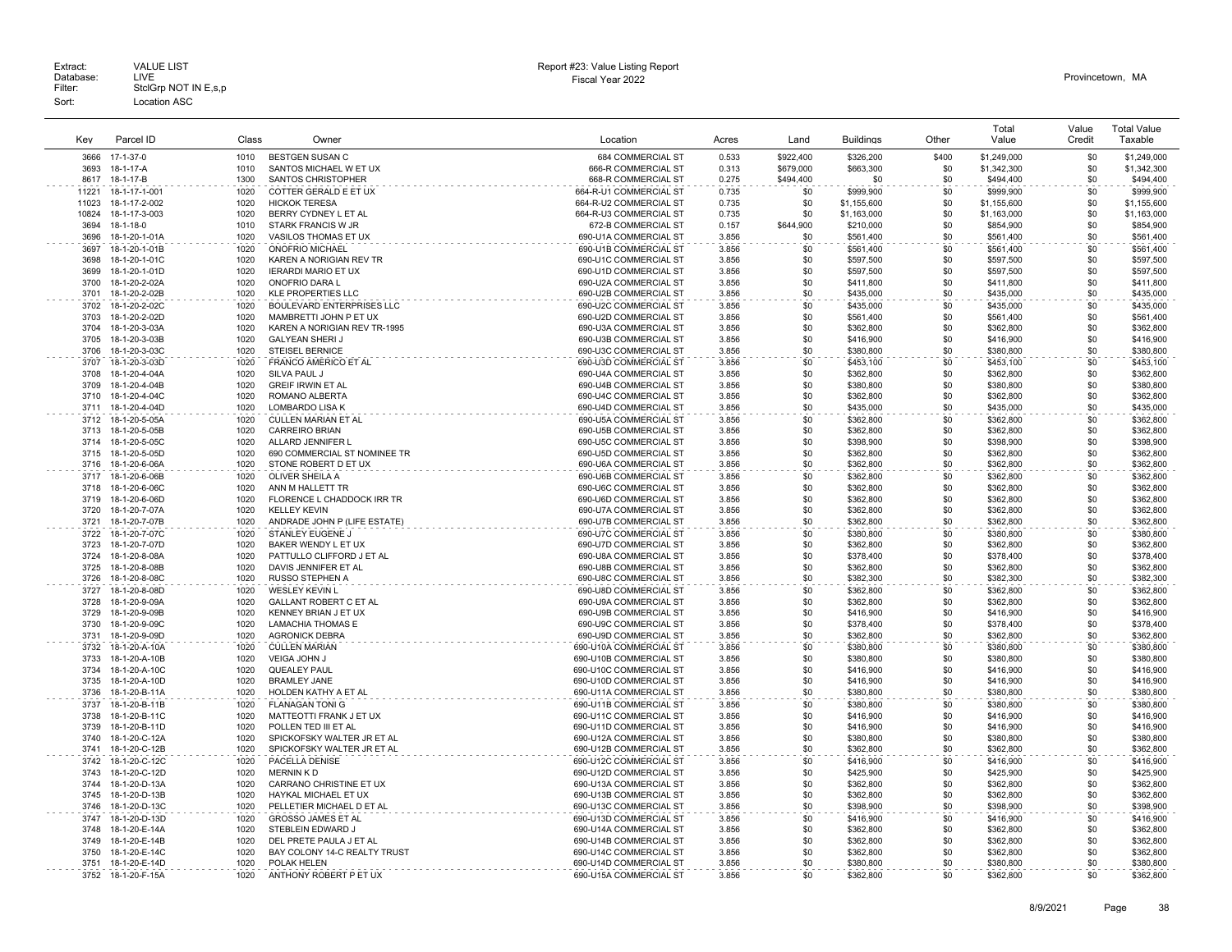|              |                                |              |                                                |                                                |                |            |                        |            | Total                  | Value      | <b>Total Value</b>     |
|--------------|--------------------------------|--------------|------------------------------------------------|------------------------------------------------|----------------|------------|------------------------|------------|------------------------|------------|------------------------|
| Key          | Parcel ID                      | Class        | Owner                                          | Location                                       | Acres          | Land       | <b>Buildings</b>       | Other      | Value                  | Credit     | Taxable                |
| 3666         | 17-1-37-0                      | 1010         | <b>BESTGEN SUSAN C</b>                         | 684 COMMERCIAL ST                              | 0.533          | \$922,400  | \$326,200              | \$400      | \$1,249,000            | \$0        | \$1,249,000            |
| 3693         | 18-1-17-A                      | 1010         | SANTOS MICHAEL W ET UX                         | 666-R COMMERCIAL ST                            | 0.313          | \$679,000  | \$663,300              | \$0        | \$1,342,300            | \$0        | \$1,342,300            |
| 8617         | 18-1-17-B                      | 1300         | <b>SANTOS CHRISTOPHER</b>                      | 668-R COMMERCIAL ST                            | 0.275          | \$494,400  | \$0                    | \$0        | \$494,400              | \$0        | \$494,400              |
| 11221        | 18-1-17-1-001                  | 1020         | COTTER GERALD E ET UX                          | 664-R-U1 COMMERCIAL ST                         | 0.735          | \$0        | \$999,900              | \$0        | \$999,900              | \$0        | \$999,900              |
| 11023        | 18-1-17-2-002                  | 1020         | <b>HICKOK TERESA</b>                           | 664-R-U2 COMMERCIAL ST                         | 0.735          | \$0        | \$1,155,600            | \$0        | \$1,155,600            | \$0        | \$1,155,600            |
| 10824        | 18-1-17-3-003                  | 1020         | BERRY CYDNEY L ET AL                           | 664-R-U3 COMMERCIAL ST                         | 0.735          | -\$0       | \$1,163,000            | \$0        | \$1,163,000            | \$0        | \$1,163,000            |
| 3694         | 18-1-18-0                      | 1010         | STARK FRANCIS W JR                             | 672-B COMMERCIAL ST                            | 0.157          | \$644,900  | \$210,000              | \$0        | \$854,900              | \$0        | \$854,900              |
| 3696         | 18-1-20-1-01A                  | 1020         | VASILOS THOMAS ET UX                           | 690-U1A COMMERCIAL ST                          | 3.856          | \$0        | \$561,400              | \$0        | \$561,400              | \$0        | \$561,400              |
| 3697         | 18-1-20-1-01B                  | 1020         | ONOFRIO MICHAEL                                | 690-U1B COMMERCIAL ST                          | 3.856          | \$0        | \$561,400              | \$0        | \$561,400              | \$0        | \$561,400              |
| 3698         | 18-1-20-1-01C                  | 1020         | KAREN A NORIGIAN REV TR                        | 690-U1C COMMERCIAL ST                          | 3.856          | \$0        | \$597,500              | \$0        | \$597,500              | \$0        | \$597,500              |
| 3699         | 18-1-20-1-01D                  | 1020         | <b>IERARDI MARIO ET UX</b>                     | 690-U1D COMMERCIAL ST                          | 3.856          | \$0        | \$597,500              | \$0        | \$597,500              | \$0        | \$597,500              |
| 3700         | 18-1-20-2-02A                  | 1020         | ONOFRIO DARA L                                 | 690-U2A COMMERCIAL ST                          | 3.856          | \$0        | \$411,800              | \$0        | \$411,800              | \$0        | \$411,800              |
| 3701         | 18-1-20-2-02B                  | 1020         | <b>KLE PROPERTIES LLC</b>                      | 690-U2B COMMERCIAL ST                          | 3.856          | \$0        | \$435,000              | \$0        | \$435,000              | \$0        | \$435,000              |
| 3702         | 18-1-20-2-02C                  | 1020         | BOULEVARD ENTERPRISES LLC                      | 690-U2C COMMERCIAL ST                          | 3.856          | \$0        | \$435,000              | \$0        | \$435,000              | \$0        | \$435,000              |
| 3703         | 18-1-20-2-02D                  | 1020         | MAMBRETTI JOHN P ET UX                         | 690-U2D COMMERCIAL ST                          | 3.856          | \$0        | \$561,400              | \$0        | \$561,400              | \$0        | \$561,400              |
| 3704         | 18-1-20-3-03A                  | 1020         | KAREN A NORIGIAN REV TR-1995                   | 690-U3A COMMERCIAL ST                          | 3.856          | \$0        | \$362,800              | \$0        | \$362,800              | \$0        | \$362,800              |
| 3705         | 18-1-20-3-03B                  | 1020         | <b>GALYEAN SHERIJ</b>                          | 690-U3B COMMERCIAL ST                          | 3.856          | \$0        | \$416,900              | \$0        | \$416,900              | \$0        | \$416,900              |
| 3706         | 18-1-20-3-03C                  | 1020         | <b>STEISEL BERNICE</b>                         | 690-U3C COMMERCIAL ST                          | 3.856          | \$0        | \$380,800              | \$0        | \$380,800              | \$0        | \$380,800              |
| 3707         | 18-1-20-3-03D                  | 1020         | FRANCO AMERICO ET AL                           | 690-U3D COMMERCIAL ST                          | 3.856          | \$0        | \$453,100              | \$0        | \$453,100              | \$0        | \$453,100              |
| 3708         | 18-1-20-4-04A                  | 1020         | SILVA PAUL J                                   | 690-U4A COMMERCIAL ST                          | 3.856          | \$0        | \$362,800              | \$0        | \$362,800              | \$0        | \$362,800              |
| 3709         | 18-1-20-4-04B                  | 1020         | <b>GREIF IRWIN ET AL</b>                       | 690-U4B COMMERCIAL ST                          | 3.856          | \$0        | \$380,800              | \$0        | \$380,800              | \$0        | \$380,800              |
| 3710         | 18-1-20-4-04C                  | 1020         | ROMANO ALBERTA                                 | 690-U4C COMMERCIAL ST                          | 3.856          | \$0        | \$362,800              | \$0        | \$362,800              | \$0        | \$362,800              |
| 3711         | 18-1-20-4-04D                  | 1020         | LOMBARDO LISA K                                | 690-U4D COMMERCIAL ST                          | 3.856          | \$0        | \$435,000              | \$0        | \$435,000              | \$0        | \$435,000              |
| 3712         | 18-1-20-5-05A                  | 1020         | <b>CULLEN MARIAN ET AL</b>                     | 690-U5A COMMERCIAL ST                          | 3.856          | \$0        | \$362,800              | \$0        | \$362,800              | \$0        | \$362,800              |
| 3713         | 18-1-20-5-05B                  | 1020         | <b>CARREIRO BRIAN</b>                          | 690-U5B COMMERCIAL ST                          | 3.856          | \$0        | \$362,800              | \$0        | \$362,800              | \$0        | \$362,800              |
| 3714         | 18-1-20-5-05C                  | 1020         | ALLARD JENNIFER L                              | 690-U5C COMMERCIAL ST                          | 3.856          | \$0        | \$398,900              | \$0        | \$398,900              | \$0        | \$398,900              |
| 3715         | 18-1-20-5-05D                  | 1020         | 690 COMMERCIAL ST NOMINEE TR                   | 690-U5D COMMERCIAL ST                          | 3.856          | \$0        | \$362,800              | \$0        | \$362,800              | \$0        | \$362,800              |
| 3716         | 18-1-20-6-06A                  | 1020         | STONE ROBERT D ET UX                           | 690-U6A COMMERCIAL ST                          | 3.856          | \$0        | \$362,800              | \$0        | \$362,800              | \$0        | \$362,800              |
| 3717         | 18-1-20-6-06B                  | 1020         | OLIVER SHEILA A                                | 690-U6B COMMERCIAL ST                          | 3.856          | \$0        | \$362,800              | \$0        | \$362,800              | \$0        | \$362,800              |
|              |                                |              |                                                |                                                |                |            |                        |            |                        |            |                        |
| 3718<br>3719 | 18-1-20-6-06C<br>18-1-20-6-06D | 1020<br>1020 | ANN M HALLETT TR<br>FLORENCE L CHADDOCK IRR TR | 690-U6C COMMERCIAL ST<br>690-U6D COMMERCIAL ST | 3.856<br>3.856 | \$0<br>\$0 | \$362,800<br>\$362,800 | \$0<br>\$0 | \$362,800<br>\$362,800 | \$0<br>\$0 | \$362,800<br>\$362,800 |
| 3720         | 18-1-20-7-07A                  | 1020         | KELLEY KEVIN                                   | 690-U7A COMMERCIAL ST                          | 3.856          | \$0        |                        | \$0        |                        | \$0        | \$362,800              |
|              |                                |              |                                                |                                                |                |            | \$362,800              |            | \$362,800              | \$0        |                        |
| 3721         | 18-1-20-7-07B                  | 1020         | ANDRADE JOHN P (LIFE ESTATE)                   | 690-U7B COMMERCIAL ST                          | 3.856          | \$0<br>\$0 | \$362,800              | \$0        | \$362,800              |            | \$362,800              |
| 3722         | 18-1-20-7-07C                  | 1020         | STANLEY EUGENE J                               | 690-U7C COMMERCIAL ST                          | 3.856          |            | \$380,800              | \$0        | \$380,800              | \$0        | \$380,800              |
| 3723         | 18-1-20-7-07D                  | 1020         | BAKER WENDY L ET UX                            | 690-U7D COMMERCIAL ST                          | 3.856          | \$0        | \$362,800              | \$0        | \$362,800              | \$0        | \$362,800              |
| 3724         | 18-1-20-8-08A                  | 1020         | PATTULLO CLIFFORD J ET AL                      | 690-U8A COMMERCIAL ST                          | 3.856          | \$0        | \$378,400              | \$0        | \$378,400              | \$0        | \$378,400              |
| 3725         | 18-1-20-8-08B                  | 1020         | DAVIS JENNIFER ET AL                           | 690-U8B COMMERCIAL ST                          | 3.856          | \$0        | \$362,800              | \$0        | \$362,800              | \$0        | \$362,800              |
| 3726         | 18-1-20-8-08C                  | 1020         | <b>RUSSO STEPHEN A</b>                         | 690-U8C COMMERCIAL ST                          | 3.856          | \$0        | \$382,300              | \$0        | \$382,300              | \$0        | \$382,300              |
| 3727         | 18-1-20-8-08D                  | 1020         | <b>WESLEY KEVIN L</b>                          | 690-U8D COMMERCIAL ST                          | 3.856          | \$0        | \$362,800              | \$0        | \$362,800              | \$0        | \$362,800              |
| 3728         | 18-1-20-9-09A                  | 1020         | <b>GALLANT ROBERT C ET AL</b>                  | 690-U9A COMMERCIAL ST                          | 3.856          | \$0        | \$362,800              | \$0        | \$362,800              | \$0        | \$362,800              |
| 3729         | 18-1-20-9-09B                  | 1020         | KENNEY BRIAN J ET UX                           | 690-U9B COMMERCIAL ST                          | 3.856          | \$0        | \$416,900              | \$0        | \$416,900              | \$0        | \$416,900              |
| 3730         | 18-1-20-9-09C                  | 1020         | <b>LAMACHIA THOMAS E</b>                       | 690-U9C COMMERCIAL ST                          | 3.856          | \$0        | \$378,400              | \$0        | \$378,400              | \$0        | \$378,400              |
| 3731         | 18-1-20-9-09D                  | 1020         | <b>AGRONICK DEBRA</b>                          | 690-U9D COMMERCIAL ST                          | 3.856          | \$0        | \$362,800              | \$0        | \$362,800              | \$0        | \$362,800              |
| 3732         | 18-1-20-A-10A                  | 1020         | <b>CULLEN MARIAN</b>                           | 690-U10A COMMERCIAL ST                         | 3.856          | \$0        | \$380,800              | \$0        | \$380,800              | \$0        | \$380,800              |
| 3733         | 18-1-20-A-10B                  | 1020         | VEIGA JOHN J                                   | 690-U10B COMMERCIAL ST                         | 3.856          | \$0        | \$380,800              | \$0        | \$380,800              | \$0        | \$380,800              |
| 3734         | 18-1-20-A-10C                  | 1020         | QUEALEY PAUL                                   | 690-U10C COMMERCIAL ST                         | 3.856          | \$0        | \$416,900              | \$0        | \$416,900              | \$0        | \$416,900              |
| 3735         | 18-1-20-A-10D                  | 1020         | <b>BRAMLEY JANE</b>                            | 690-U10D COMMERCIAL ST                         | 3.856          | \$0        | \$416,900              | \$0        | \$416,900              | \$0        | \$416,900              |
| 3736         | 18-1-20-B-11A                  | 1020         | HOLDEN KATHY A ET AL                           | 690-U11A COMMERCIAL ST                         | 3.856          | \$0        | \$380,800              | \$0        | \$380,800              | \$0        | \$380,800              |
| 3737         | 18-1-20-B-11B                  | 1020         | <b>FLANAGAN TONI G</b>                         | 690-U11B COMMERCIAL ST                         | 3.856          | \$0        | \$380,800              | \$0        | \$380,800              | \$0        | \$380,800              |
| 3738         | 18-1-20-B-11C                  | 1020         | MATTEOTTI FRANK J ET UX                        | 690-U11C COMMERCIAL ST                         | 3.856          | \$0        | \$416,900              | \$0        | \$416,900              | \$0        | \$416,900              |
| 3739         | 18-1-20-B-11D                  | 1020         | POLLEN TED III ET AL                           | 690-U11D COMMERCIAL ST                         | 3.856          | \$0        | \$416,900              | \$0        | \$416,900              | \$0        | \$416,900              |
| 3740         | 18-1-20-C-12A                  | 1020         | SPICKOFSKY WALTER JR ET AL                     | 690-U12A COMMERCIAL ST                         | 3.856          | \$0        | \$380,800              | \$0        | \$380,800              | \$0        | \$380,800              |
| 3741         | 18-1-20-C-12B                  | 1020         | SPICKOFSKY WALTER JR ET AL                     | 690-U12B COMMERCIAL ST                         | 3.856          | \$0        | \$362,800              | \$0        | \$362,800              | \$0        | \$362,800              |
| 3742         | 18-1-20-C-12C                  | 1020         | PACELLA DENISE                                 | 690-U12C COMMERCIAL ST                         | 3.856          | \$0        | \$416,900              | \$0        | \$416,900              | \$0        | \$416,900              |
| 3743         | 18-1-20-C-12D                  | 1020         | MERNIN KD                                      | 690-U12D COMMERCIAL ST                         | 3.856          | \$0        | \$425,900              | \$0        | \$425,900              | \$0        | \$425,900              |
| 3744         | 18-1-20-D-13A                  | 1020         | CARRANO CHRISTINE ET UX                        | 690-U13A COMMERCIAL ST                         | 3.856          | \$0        | \$362,800              | \$0        | \$362,800              | \$0        | \$362,800              |
| 3745         | 18-1-20-D-13B                  | 1020         | HAYKAL MICHAEL ET UX                           | 690-U13B COMMERCIAL ST                         | 3.856          | \$0        | \$362,800              | \$0        | \$362,800              | \$0        | \$362,800              |
| 3746         | 18-1-20-D-13C                  | 1020         | PELLETIER MICHAEL D ET AL                      | 690-U13C COMMERCIAL ST                         | 3.856          | \$0        | \$398,900              | \$0        | \$398,900              | \$0        | \$398,900              |
| 3747         | 18-1-20-D-13D                  | 1020         | GROSSO JAMES ET AL                             | 690-U13D COMMERCIAL ST                         | 3.856          | \$0        | \$416,900              | \$0        | \$416,900              | \$0        | \$416,900              |
| 3748         | 18-1-20-E-14A                  | 1020         | STEBLEIN EDWARD J                              | 690-U14A COMMERCIAL ST                         | 3.856          | \$0        | \$362,800              | \$0        | \$362,800              | \$0        | \$362,800              |
| 3749         | 18-1-20-E-14B                  | 1020         | DEL PRETE PAULA J ET AL                        | 690-U14B COMMERCIAL ST                         | 3.856          | \$0        | \$362,800              | \$0        | \$362,800              | \$0        | \$362,800              |
| 3750         | 18-1-20-E-14C                  | 1020         | BAY COLONY 14-C REALTY TRUST                   | 690-U14C COMMERCIAL ST                         | 3.856          | \$0        | \$362,800              | \$0        | \$362,800              | \$0        | \$362,800              |
| 3751         | 18-1-20-E-14D                  | 1020         | POLAK HELEN                                    | 690-U14D COMMERCIAL ST                         | 3.856          | \$0        | \$380,800              | \$0        | \$380,800              | \$0        | \$380,800              |
| 3752         | 18-1-20-F-15A                  | 1020         | ANTHONY ROBERT P ET UX                         | 690-U15A COMMERCIAL ST                         | 3.856          | \$0        | \$362,800              | \$0        | \$362,800              | \$0        | \$362,800              |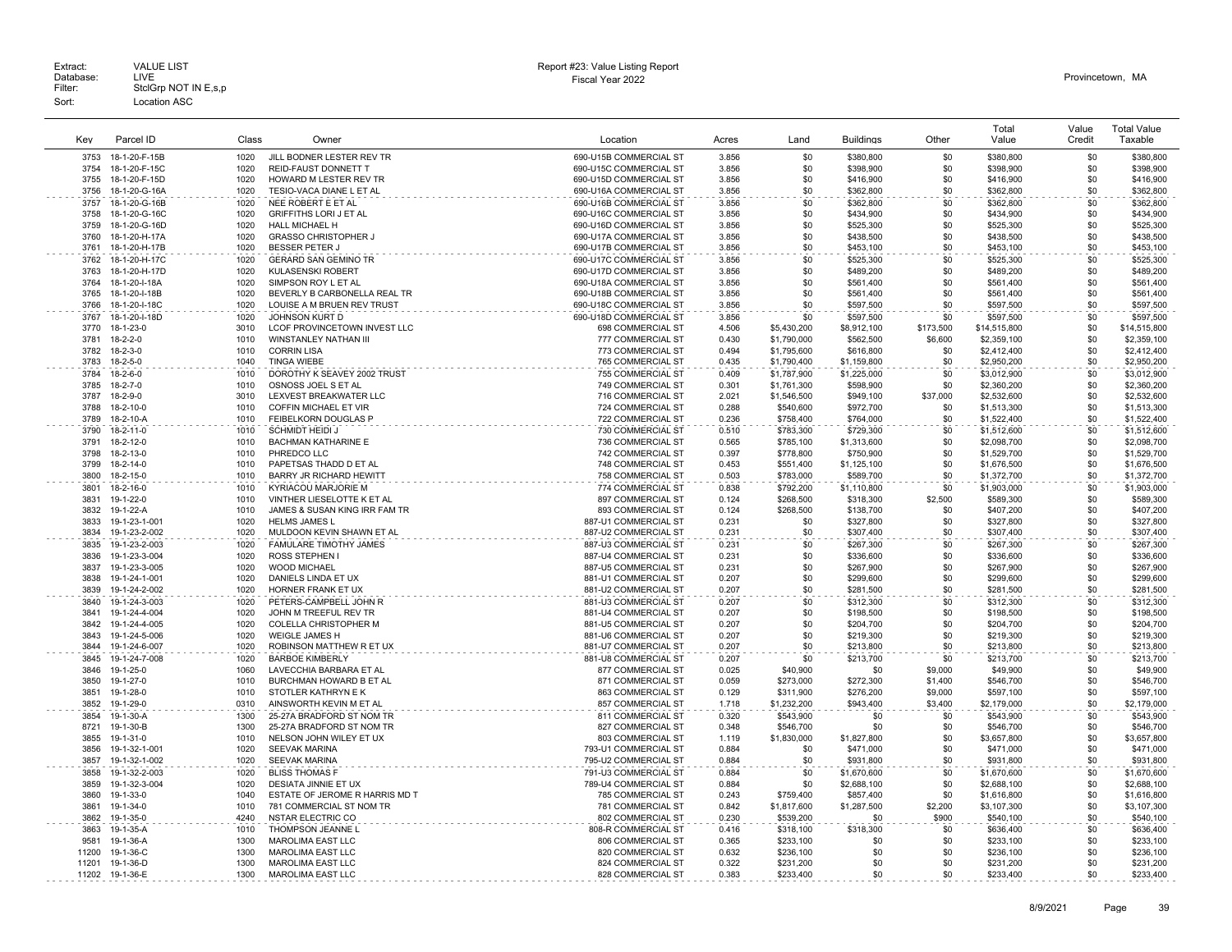|              |                                |              |                                                     |                                                  |                |                        |                          |            | Total                  | Value      | <b>Total Value</b>     |
|--------------|--------------------------------|--------------|-----------------------------------------------------|--------------------------------------------------|----------------|------------------------|--------------------------|------------|------------------------|------------|------------------------|
| Key          | Parcel ID                      | Class        | Owner                                               | Location                                         | Acres          | Land                   | <b>Buildings</b>         | Other      | Value                  | Credit     | Taxable                |
| 3753         |                                | 1020         | JILL BODNER LESTER REV TR                           |                                                  |                |                        |                          |            |                        | \$0        |                        |
|              | 18-1-20-F-15B                  |              |                                                     | 690-U15B COMMERCIAL ST                           | 3.856          | \$0                    | \$380,800                | \$0        | \$380,800              | \$0        | \$380,800              |
| 3754<br>3755 | 18-1-20-F-15C                  | 1020<br>1020 | <b>REID-FAUST DONNETT T</b>                         | 690-U15C COMMERCIAL ST                           | 3.856<br>3.856 | \$0<br>\$0             | \$398,900                | \$0<br>\$0 | \$398,900              | \$0        | \$398,900              |
| 3756         | 18-1-20-F-15D<br>18-1-20-G-16A | 1020         | HOWARD M LESTER REV TR<br>TESIO-VACA DIANE L ET AL  | 690-U15D COMMERCIAL ST<br>690-U16A COMMERCIAL ST | 3.856          | \$0                    | \$416,900                |            | \$416,900              | \$0        | \$416,900<br>\$362,800 |
|              |                                |              |                                                     |                                                  |                |                        | \$362,800                | \$0        | \$362,800              |            |                        |
| 3757<br>3758 | 18-1-20-G-16B<br>18-1-20-G-16C | 1020<br>1020 | NEE ROBERT E ET AL<br><b>GRIFFITHS LORI J ET AL</b> | 690-U16B COMMERCIAL ST<br>690-U16C COMMERCIAL ST | 3.856<br>3.856 | \$0<br>\$0             | \$362,800<br>\$434,900   | \$0<br>\$0 | \$362,800<br>\$434,900 | \$0<br>\$0 | \$362,800<br>\$434,900 |
| 3759         | 18-1-20-G-16D                  | 1020         | HALL MICHAEL H                                      | 690-U16D COMMERCIAL ST                           | 3.856          | \$0                    | \$525,300                | \$0        | \$525.300              | \$0        | \$525,300              |
| 3760         | 18-1-20-H-17A                  | 1020         | <b>GRASSO CHRISTOPHER J</b>                         | 690-U17A COMMERCIAL ST                           | 3.856          | \$0                    | \$438,500                | \$0        | \$438,500              | \$0        | \$438,500              |
| 3761         | 18-1-20-H-17B                  | 1020         | <b>BESSER PETER J</b>                               | 690-U17B COMMERCIAL ST                           | 3.856          | \$0                    | \$453,100                | \$0        | \$453,100              | \$0        | \$453,100              |
|              |                                |              |                                                     |                                                  |                |                        |                          |            |                        |            |                        |
| 3762<br>3763 | 18-1-20-H-17C                  | 1020         | <b>GERARD SAN GEMINO TR</b>                         | 690-U17C COMMERCIAL ST                           | 3.856          | \$0<br>\$0             | \$525,300                | \$0        | \$525,300<br>\$489,200 | \$0<br>\$0 | \$525,300              |
| 3764         | 18-1-20-H-17D<br>18-1-20-I-18A | 1020<br>1020 | <b>KULASENSKI ROBERT</b><br>SIMPSON ROY L ET AL     | 690-U17D COMMERCIAL ST<br>690-U18A COMMERCIAL ST | 3.856<br>3.856 | \$0                    | \$489,200<br>\$561,400   | \$0<br>\$0 | \$561,400              | \$0        | \$489,200<br>\$561,400 |
| 3765         | 18-1-20-I-18B                  | 1020         | BEVERLY B CARBONELLA REAL TR                        | 690-U18B COMMERCIAL ST                           | 3.856          | \$0                    | \$561,400                | \$0        | \$561,400              | \$0        | \$561,400              |
| 3766         | 18-1-20-I-18C                  | 1020         | LOUISE A M BRUEN REV TRUST                          | 690-U18C COMMERCIAL ST                           | 3.856          | \$0                    | \$597,500                | \$0        | \$597,500              | \$0        | \$597,500              |
| 3767         | 18-1-20-I-18D                  | 1020         | JOHNSON KURT D                                      | 690-U18D COMMERCIAL ST                           | 3.856          | \$0                    | \$597,500                | \$0        | \$597,500              | \$0        | \$597,500              |
| 3770         | 18-1-23-0                      | 3010         | LCOF PROVINCETOWN INVEST LLC                        | 698 COMMERCIAL ST                                | 4.506          | \$5,430,200            | \$8,912,100              | \$173,500  | \$14,515,800           | \$0        | \$14,515,800           |
| 3781         |                                | 1010         | WINSTANLEY NATHAN III                               | 777 COMMERCIAL ST                                | 0.430          | \$1,790,000            | \$562,500                | \$6,600    | \$2,359,100            | \$0        | \$2,359,100            |
| 3782         | 18-2-2-0<br>$18 - 2 - 3 - 0$   | 1010         | <b>CORRIN LISA</b>                                  | 773 COMMERCIAL ST                                | 0.494          | \$1,795,600            | \$616,800                | \$0        | \$2,412,400            | \$0        | \$2,412,400            |
| 3783         | $18 - 2 - 5 - 0$               | 1040         | <b>TINGA WIEBE</b>                                  | 765 COMMERCIAL ST                                | 0.435          | \$1,790,400            | \$1,159,800              | \$0        | \$2,950,200            | \$0        | \$2,950,200            |
| 3784         | $18 - 2 - 6 - 0$               | 1010         | DOROTHY K SEAVEY 2002 TRUST                         | 755 COMMERCIAL ST                                | 0.409          | \$1,787,900            | \$1,225,000              | \$0        | \$3,012,900            | \$0        | \$3,012,900            |
| 3785         | $18 - 2 - 7 - 0$               | 1010         | OSNOSS JOEL S ET AL                                 | 749 COMMERCIAL ST                                | 0.301          | \$1,761,300            | \$598,900                | \$0        | \$2,360,200            | \$0        | \$2,360,200            |
| 3787         | 18-2-9-0                       | 3010         | LEXVEST BREAKWATER LLC                              | 716 COMMERCIAL ST                                | 2.021          | \$1,546,500            | \$949,100                | \$37,000   | \$2,532,600            | \$0        | \$2,532,600            |
| 3788         | 18-2-10-0                      | 1010         | COFFIN MICHAEL ET VIR                               | 724 COMMERCIAL ST                                | 0.288          | \$540,600              | \$972,700                | \$0        | \$1,513,300            | \$0        | \$1,513,300            |
| 3789         | 18-2-10-A                      | 1010         | FEIBELKORN DOUGLAS P                                | 722 COMMERCIAL ST                                | 0.236          | \$758,400              | \$764,000                | \$0        | \$1,522,400            | \$0        | \$1,522,400            |
| 3790         | $18 - 2 - 11 - 0$              | 1010         | <b>SCHMIDT HEIDI J</b>                              | 730 COMMERCIAL ST                                | 0.510          | \$783.300              | \$729,300                | \$0        | \$1,512,600            | \$0        | \$1,512,600            |
| 3791         | $18 - 2 - 12 - 0$              | 1010         | BACHMAN KATHARINE E                                 | 736 COMMERCIAL ST                                | 0.565          | \$785,100              | \$1,313,600              | \$0        | \$2,098,700            | \$0        | \$2,098,700            |
| 3798         | 18-2-13-0                      | 1010         | PHREDCO LLC                                         | 742 COMMERCIAL ST                                | 0.397          | \$778,800              | \$750,900                | \$0        | \$1,529,700            | \$0        | \$1,529,700            |
| 3799         | 18-2-14-0                      | 1010         | PAPETSAS THADD D ET AL                              | 748 COMMERCIAL ST                                | 0.453          | \$551,400              | \$1,125,100              | \$0        | \$1,676,500            | \$0        | \$1,676,500            |
| 3800         | 18-2-15-0                      | 1010         | BARRY JR RICHARD HEWITT                             | 758 COMMERCIAL ST                                | 0.503          | \$783,000              | \$589,700                | \$0        | \$1,372,700            | \$0        | \$1,372,700            |
| 3801         | 18-2-16-0                      | 1010         | KYRIACOU MARJORIE M                                 | 774 COMMERCIAL ST                                | 0.838          |                        |                          | \$0        | \$1,903,000            | \$0        | \$1,903,000            |
| 3831         | 19-1-22-0                      | 1010         | VINTHER LIESELOTTE K ET AL                          | 897 COMMERCIAL ST                                | 0.124          | \$792,200<br>\$268,500 | \$1,110,800<br>\$318,300 | \$2,500    | \$589,300              | \$0        | \$589,300              |
| 3832         | 19-1-22-A                      | 1010         | JAMES & SUSAN KING IRR FAM TR                       | 893 COMMERCIAL ST                                | 0.124          | \$268,500              | \$138,700                | \$0        | \$407,200              | \$0        | \$407,200              |
| 3833         | 19-1-23-1-001                  | 1020         | <b>HELMS JAMES L</b>                                | 887-U1 COMMERCIAL ST                             | 0.231          | \$0                    | \$327,800                | \$0        | \$327,800              | \$0        | \$327,800              |
| 3834         | 19-1-23-2-002                  | 1020         | MULDOON KEVIN SHAWN ET AL                           | 887-U2 COMMERCIAL ST                             | 0.231          | \$0                    | \$307,400                | \$0        | \$307,400              | \$0        | \$307,400              |
| 3835         | 19-1-23-2-003                  | 1020         | FAMULARE TIMOTHY JAMES                              | 887-U3 COMMERCIAL ST                             | 0.231          | \$0                    | \$267,300                | \$0        | \$267,300              | \$0        | \$267,300              |
| 3836         | 19-1-23-3-004                  | 1020         | ROSS STEPHEN I                                      | 887-U4 COMMERCIAL ST                             | 0.231          | \$0                    | \$336,600                | \$0        | \$336,600              | \$0        | \$336,600              |
| 3837         | 19-1-23-3-005                  | 1020         | <b>WOOD MICHAEL</b>                                 | 887-U5 COMMERCIAL ST                             | 0.231          | \$0                    | \$267.900                | \$0        | \$267,900              | \$0        | \$267,900              |
| 3838         | 19-1-24-1-001                  | 1020         | DANIELS LINDA ET UX                                 | 881-U1 COMMERCIAL ST                             | 0.207          | \$0                    | \$299,600                | \$0        | \$299,600              | \$0        | \$299,600              |
| 3839         | 19-1-24-2-002                  | 1020         | HORNER FRANK ET UX                                  | 881-U2 COMMERCIAL ST                             | 0.207          | \$0                    | \$281,500                | \$0        | \$281,500              | \$0        | \$281,500              |
| 3840         | 19-1-24-3-003                  | 1020         | PETERS-CAMPBELL JOHN R                              | 881-U3 COMMERCIAL ST                             | 0.207          | \$0                    | \$312,300                | \$0        | \$312,300              | \$0        | \$312,300              |
| 3841         | 19-1-24-4-004                  | 1020         | JOHN M TREEFUL REV TR                               | 881-U4 COMMERCIAL ST                             | 0.207          | \$0                    | \$198,500                | \$0        | \$198,500              | \$0        | \$198,500              |
| 3842         | 19-1-24-4-005                  | 1020         | <b>COLELLA CHRISTOPHER M</b>                        | 881-U5 COMMERCIAL ST                             | 0.207          | \$0                    | \$204.700                | \$0        | \$204.700              | \$0        | \$204,700              |
| 3843         | 19-1-24-5-006                  | 1020         | <b>WEIGLE JAMES H</b>                               | 881-U6 COMMERCIAL ST                             | 0.207          | \$0                    | \$219,300                | \$0        | \$219,300              | \$0        | \$219,300              |
| 3844         | 19-1-24-6-007                  | 1020         | ROBINSON MATTHEW R ET UX                            | 881-U7 COMMERCIAL ST                             | 0.207          | \$0                    | \$213,800                | \$0        | \$213,800              | \$0        | \$213,800              |
| 3845         | 19-1-24-7-008                  | 1020         | <b>BARBOE KIMBERLY</b>                              | 881-U8 COMMERCIAL ST                             | 0.207          | \$0                    | \$213,700                | \$0        | \$213,700              | \$0        | \$213,700              |
| 3846         | 19-1-25-0                      | 1060         | LAVECCHIA BARBARA ET AL                             | 877 COMMERCIAL ST                                | 0.025          | \$40,900               | \$0                      | \$9,000    | \$49,900               | \$0        | \$49,900               |
| 3850         | $19 - 1 - 27 - 0$              | 1010         | BURCHMAN HOWARD B ET AL                             | 871 COMMERCIAL ST                                | 0.059          | \$273,000              | \$272,300                | \$1,400    | \$546,700              | \$0        | \$546,700              |
| 3851         | 19-1-28-0                      | 1010         | STOTLER KATHRYN E K                                 | 863 COMMERCIAL ST                                | 0.129          | \$311,900              | \$276,200                | \$9,000    | \$597,100              | \$0        | \$597,100              |
| 3852         | 19-1-29-0                      | 0310         | AINSWORTH KEVIN M ET AL                             | 857 COMMERCIAL ST                                | 1.718          | \$1,232,200            | \$943.400                | \$3,400    | \$2,179,000            | \$0        | \$2,179,000            |
| 3854         | 19-1-30-A                      | 1300         | 25-27A BRADFORD ST NOM TR                           | 811 COMMERCIAL ST                                | 0.320          | \$543,900              | \$0                      | \$0        | \$543,900              | \$0        | \$543,900              |
| 8721         | 19-1-30-B                      | 1300         | 25-27A BRADFORD ST NOM TR                           | 827 COMMERCIAL ST                                | 0.348          | \$546,700              | \$0                      | \$0        | \$546,700              | \$0        | \$546,700              |
| 3855         | 19-1-31-0                      | 1010         | NELSON JOHN WILEY ET UX                             | 803 COMMERCIAL ST                                | 1.119          | \$1,830,000            | \$1,827,800              | \$0        | \$3,657,800            | \$0        | \$3,657,800            |
| 3856         | 19-1-32-1-001                  | 1020         | <b>SEEVAK MARINA</b>                                | 793-U1 COMMERCIAL ST                             | 0.884          | \$0                    | \$471,000                | \$0        | \$471,000              | \$0        | \$471,000              |
| 3857         | 19-1-32-1-002                  | 1020         | <b>SEEVAK MARINA</b>                                | 795-U2 COMMERCIAL ST                             | 0.884          | \$0                    | \$931,800                | \$0        | \$931,800              | \$0        | \$931,800              |
| 3858         | 19-1-32-2-003                  | 1020         | <b>BLISS THOMAS F</b>                               | 791-U3 COMMERCIAL ST                             | 0.884          | \$0                    | \$1,670,600              | \$0        | \$1,670,600            | \$0        | \$1,670,600            |
| 3859         | 19-1-32-3-004                  | 1020         | DESIATA JINNIE ET UX                                | 789-U4 COMMERCIAL ST                             | 0.884          | \$0                    | \$2,688,100              | \$0        | \$2,688,100            | \$0        | \$2,688,100            |
| 3860         | 19-1-33-0                      | 1040         | ESTATE OF JEROME R HARRIS MD T                      | 785 COMMERCIAL ST                                | 0.243          | \$759,400              | \$857,400                | \$0        | \$1,616,800            | \$0        | \$1,616,800            |
| 3861         | 19-1-34-0                      | 1010         | 781 COMMERCIAL ST NOM TR                            | 781 COMMERCIAL ST                                | 0.842          | \$1,817,600            | \$1,287,500              | \$2,200    | \$3,107,300            | \$0        | \$3,107,300            |
| 3862         | 19-1-35-0                      | 4240         | NSTAR ELECTRIC CO                                   | 802 COMMERCIAL ST                                | 0.230          | \$539,200              | \$0                      | \$900      | \$540,100              | \$0        | \$540,100              |
| 3863         | 19-1-35-A                      | 1010         | THOMPSON JEANNE L                                   | 808-R COMMERCIAL ST                              | 0.416          | \$318.100              | \$318,300                | \$0        | \$636,400              | \$0        | \$636,400              |
| 9581         | 19-1-36-A                      | 1300         | <b>MAROLIMA EAST LLC</b>                            | 806 COMMERCIAL ST                                | 0.365          | \$233,100              | \$0                      | \$0        | \$233,100              | \$0        | \$233,100              |
| 11200        | 19-1-36-C                      | 1300         | <b>MAROLIMA EAST LLC</b>                            | 820 COMMERCIAL ST                                | 0.632          | \$236,100              | \$0                      | \$0        | \$236,100              | \$0        | \$236,100              |
| 11201        | 19-1-36-D                      | 1300         | <b>MAROLIMA EAST LLC</b>                            | 824 COMMERCIAL ST                                | 0.322          | \$231.200              | \$0                      | \$0        | \$231.200              | \$0        | \$231.200              |
| 11202        | 19-1-36-E                      | 1300         | <b>MAROLIMA EAST LLC</b>                            | 828 COMMERCIAL ST                                | 0.383          | \$233,400              | \$0                      | \$0        | \$233,400              | \$0        | \$233,400              |
|              |                                |              |                                                     |                                                  |                |                        |                          |            |                        |            |                        |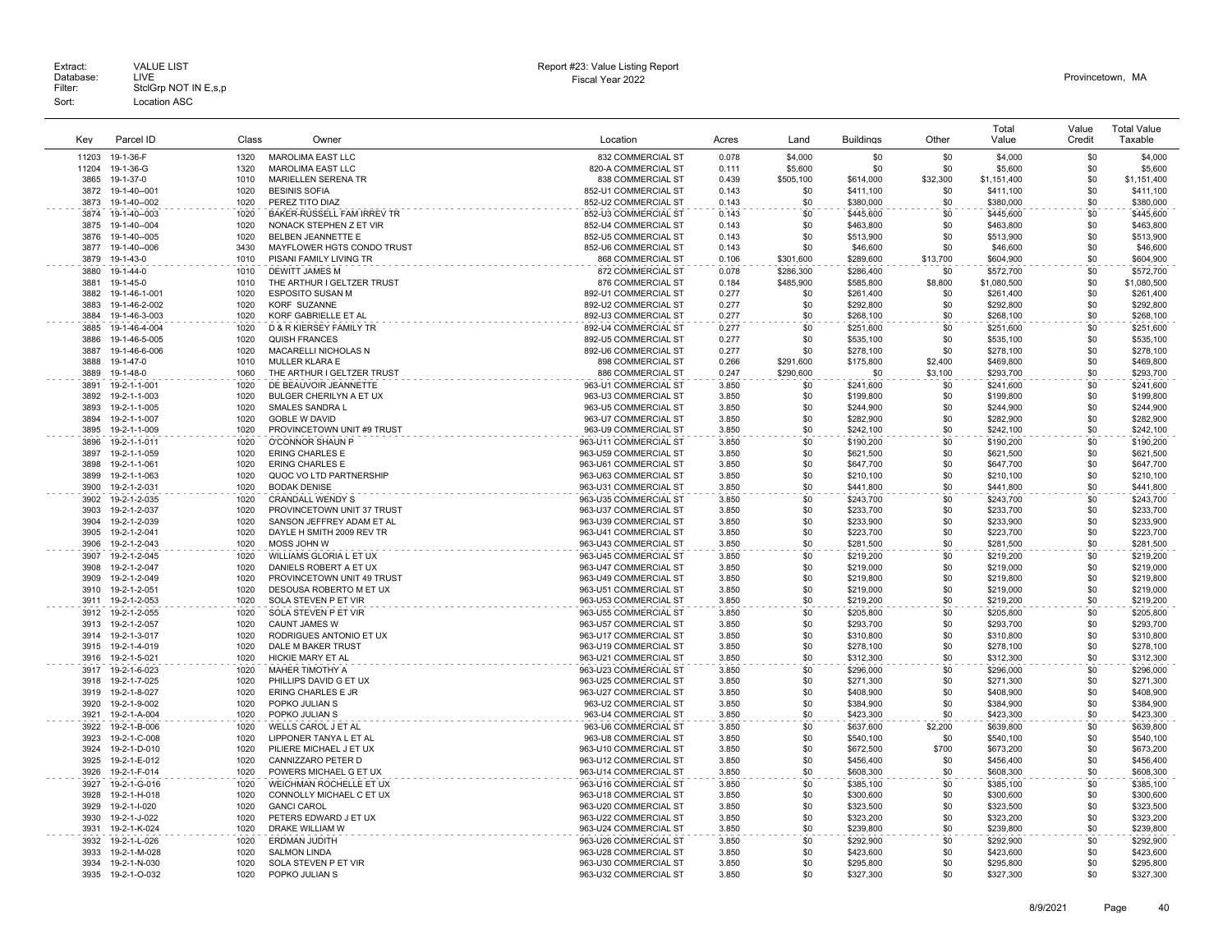| Kev          | Parcel ID                      | Class        | Owner                                               | Location                                       | Acres          | Land       | <b>Buildings</b>       | Other      | Total<br>Value         | Value<br>Credit | <b>Total Value</b><br>Taxable |
|--------------|--------------------------------|--------------|-----------------------------------------------------|------------------------------------------------|----------------|------------|------------------------|------------|------------------------|-----------------|-------------------------------|
| 11203        | 19-1-36-F                      | 1320         | <b>MAROLIMA EAST LLC</b>                            | 832 COMMERCIAL ST                              | 0.078          | \$4,000    | \$0                    | \$0        | \$4,000                | \$0             | \$4,000                       |
| 11204        | 19-1-36-G                      | 1320         | <b>MAROLIMA EAST LLC</b>                            | 820-A COMMERCIAL ST                            | 0.111          | \$5,600    | \$0                    | \$0        | \$5,600                | \$0             | \$5,600                       |
| 3865         | 19-1-37-0                      | 1010         | <b>MARIELLEN SERENA TR</b>                          | 838 COMMERCIAL ST                              | 0.439          | \$505,100  | \$614,000              | \$32,300   | \$1,151,400            | \$0             | \$1,151,400                   |
| 3872         | 19-1-40--001                   | 1020         | <b>BESINIS SOFIA</b>                                | 852-U1 COMMERCIAL ST                           | 0.143          | \$0        | \$411,100              | \$0        | \$411,100              | \$0             | \$411,100                     |
| 3873         | 19-1-40--002                   | 1020         | PEREZ TITO DIAZ                                     | 852-U2 COMMERCIAL ST                           | 0.143          | \$0        | \$380,000              | \$0        | \$380,000              | \$0             | \$380,000                     |
| 3874         | 19-1-40--003                   | 1020         | BAKER-RUSSELL FAM IRREV TR                          | 852-U3 COMMERCIAL ST                           | 0.143          | \$0        | \$445,600              | \$0        | \$445,600              | \$0             | \$445,600                     |
| 3875         | 19-1-40--004                   | 1020         | NONACK STEPHEN Z ET VIR                             | 852-U4 COMMERCIAL ST                           | 0.143          | \$0        | \$463,800              | \$0        | \$463,800              | \$0             | \$463,800                     |
| 3876         | 19-1-40--005                   | 1020         | BELBEN JEANNETTE E                                  | 852-U5 COMMERCIAL ST                           | 0.143          | \$0        | \$513,900              | \$0        | \$513,900              | \$0             | \$513,900                     |
| 3877         | 19-1-40--006                   | 3430         | MAYFLOWER HGTS CONDO TRUST                          | 852-U6 COMMERCIAL ST                           | 0.143          | \$0        | \$46,600               | \$0        | \$46,600               | \$0             | \$46,600                      |
| 3879         | 19-1-43-0                      | 1010         | PISANI FAMILY LIVING TR                             | 868 COMMERCIAL ST                              | 0.106          | \$301,600  | \$289,600              | \$13,700   | \$604,900              | \$0             | \$604,900                     |
| 3880         | 19-1-44-0                      | 1010         | <b>DEWITT JAMES M</b>                               | 872 COMMERCIAL ST                              | 0.078          | \$286,300  | \$286,400              | \$0        | \$572,700              | \$0             | \$572,700                     |
| 3881         | 19-1-45-0                      | 1010         | THE ARTHUR I GELTZER TRUST                          | 876 COMMERCIAL ST                              | 0.184          | \$485,900  | \$585,800              | \$8,800    | \$1,080,500            | \$0             | \$1,080,500                   |
| 3882<br>3883 | 19-1-46-1-001                  | 1020<br>1020 | <b>ESPOSITO SUSAN M</b><br><b>KORF SUZANNE</b>      | 892-U1 COMMERCIAL ST                           | 0.277<br>0.277 | \$0        | \$261,400              | \$0<br>\$0 | \$261,400              | \$0<br>\$0      | \$261,400                     |
| 3884         | 19-1-46-2-002<br>19-1-46-3-003 | 1020         | KORF GABRIELLE ET AL                                | 892-U2 COMMERCIAL ST<br>892-U3 COMMERCIAL ST   | 0.277          | \$0<br>\$0 | \$292,800<br>\$268,100 | \$0        | \$292,800<br>\$268,100 | \$0             | \$292,800<br>\$268,100        |
|              |                                | 1020         | D & R KIERSEY FAMILY TR                             | 892-U4 COMMERCIAL ST                           | 0.277          | \$0        |                        | \$0        |                        | \$0             |                               |
| 3885<br>3886 | 19-1-46-4-004<br>19-1-46-5-005 | 1020         | <b>QUISH FRANCES</b>                                | 892-U5 COMMERCIAL ST                           | 0.277          | \$0        | \$251,600<br>\$535,100 | \$0        | \$251,600<br>\$535,100 | \$0             | \$251,600<br>\$535,100        |
| 3887         | 19-1-46-6-006                  | 1020         | MACARELLI NICHOLAS N                                | 892-U6 COMMERCIAL ST                           | 0.277          | \$0        | \$278,100              | \$0        | \$278,100              | \$0             | \$278,100                     |
| 3888         | 19-1-47-0                      | 1010         | MULLER KLARA E                                      | 898 COMMERCIAL ST                              | 0.266          | \$291,600  | \$175,800              | \$2,400    | \$469,800              | \$0             | \$469,800                     |
| 3889         | 19-1-48-0                      | 1060         | THE ARTHUR I GELTZER TRUST                          | 886 COMMERCIAL ST                              | 0.247          | \$290,600  | \$0                    | \$3,100    | \$293,700              | \$0             | \$293,700                     |
| 3891         | 19-2-1-1-001                   | 1020         | DE BEAUVOIR JEANNETTE                               | 963-U1 COMMERCIAL ST                           | 3.850          | \$0        | \$241,600              | \$0        | \$241,600              | \$0             | \$241,600                     |
| 3892         | 19-2-1-1-003                   | 1020         | BULGER CHERILYN A ET UX                             | 963-U3 COMMERCIAL ST                           | 3.850          | \$0        | \$199,800              | \$0        | \$199,800              | \$0             | \$199,800                     |
| 3893         | 19-2-1-1-005                   | 1020         | SMALES SANDRA L                                     | 963-U5 COMMERCIAL ST                           | 3.850          | \$0        | \$244,900              | \$0        | \$244,900              | \$0             | \$244,900                     |
| 3894         | 19-2-1-1-007                   | 1020         | <b>GOBLE W DAVID</b>                                | 963-U7 COMMERCIAL ST                           | 3.850          | \$0        | \$282.900              | \$0        | \$282,900              | \$0             | \$282,900                     |
| 3895         | 19-2-1-1-009                   | 1020         | PROVINCETOWN UNIT #9 TRUST                          | 963-U9 COMMERCIAL ST                           | 3.850          | \$0        | \$242,100              | \$0        | \$242,100              | \$0             | \$242,100                     |
| 3896         | 19-2-1-1-011                   | 1020         | O'CONNOR SHAUN P                                    | 963-U11 COMMERCIAL ST                          | 3.850          | \$0        | \$190,200              | \$0        | \$190,200              | \$0             | \$190,200                     |
| 3897         | 19-2-1-1-059                   | 1020         | <b>ERING CHARLES E</b>                              | 963-U59 COMMERCIAL ST                          | 3.850          | \$0        | \$621,500              | \$0        | \$621,500              | \$0             | \$621,500                     |
| 3898         | 19-2-1-1-061                   | 1020         | <b>ERING CHARLES E</b>                              | 963-U61 COMMERCIAL ST                          | 3.850          | \$0        | \$647,700              | \$0        | \$647,700              | \$0             | \$647,700                     |
| 3899         | 19-2-1-1-063                   | 1020         | QUOC VO LTD PARTNERSHIP                             | 963-U63 COMMERCIAL ST                          | 3.850          | \$0        | \$210,100              | \$0        | \$210,100              | \$0             | \$210,100                     |
| 3900         | 19-2-1-2-031                   | 1020         | <b>BODAK DENISE</b>                                 | 963-U31 COMMERCIAL ST                          | 3.850          | \$0        | \$441,800              | \$0        | \$441,800              | \$0             | \$441,800                     |
| 3902         | 19-2-1-2-035                   | 1020         | <b>CRANDALL WENDY S</b>                             | 963-U35 COMMERCIAL ST                          | 3.850          | \$0        | \$243,700              | \$0        | \$243,700              | \$0             | \$243,700                     |
| 3903         | 19-2-1-2-037                   | 1020         | PROVINCETOWN UNIT 37 TRUST                          | 963-U37 COMMERCIAL ST                          | 3.850          | \$0        | \$233,700              | \$0        | \$233,700              | \$0             | \$233,700                     |
| 3904         | 19-2-1-2-039                   | 1020         | SANSON JEFFREY ADAM ET AL                           | 963-U39 COMMERCIAL ST                          | 3.850          | \$0        | \$233,900              | \$0        | \$233,900              | \$0<br>\$0      | \$233,900                     |
| 3905<br>3906 | 19-2-1-2-041<br>19-2-1-2-043   | 1020<br>1020 | DAYLE H SMITH 2009 REV TR<br>MOSS JOHN W            | 963-U41 COMMERCIAL ST<br>963-U43 COMMERCIAL ST | 3.850<br>3.850 | \$0<br>\$0 | \$223,700              | \$0<br>\$0 | \$223,700<br>\$281.500 | \$0             | \$223,700<br>\$281.500        |
|              |                                | 1020         | WILLIAMS GLORIA L ET UX                             | 963-U45 COMMERCIAL ST                          |                | \$0        | \$281,500              | \$0        |                        | \$0             |                               |
| 3907<br>3908 | 19-2-1-2-045<br>19-2-1-2-047   | 1020         | DANIELS ROBERT A ET UX                              | 963-U47 COMMERCIAL ST                          | 3.850<br>3.850 | \$0        | \$219,200<br>\$219,000 | \$0        | \$219,200<br>\$219,000 | \$0             | \$219,200<br>\$219,000        |
| 3909         | 19-2-1-2-049                   | 1020         | PROVINCETOWN UNIT 49 TRUST                          | 963-U49 COMMERCIAL ST                          | 3.850          | \$0        | \$219,800              | \$0        | \$219,800              | \$0             | \$219,800                     |
| 3910         | 19-2-1-2-051                   | 1020         | DESOUSA ROBERTO M ET UX                             | 963-U51 COMMERCIAL ST                          | 3.850          | \$0        | \$219,000              | \$0        | \$219,000              | \$0             | \$219,000                     |
| 3911         | 19-2-1-2-053                   | 1020         | SOLA STEVEN P ET VIR                                | 963-U53 COMMERCIAL ST                          | 3.850          | \$0        | \$219,200              | \$0        | \$219,200              | \$0             | \$219,200                     |
| 3912         | 19-2-1-2-055                   | 1020         | SOLA STEVEN P ET VIR                                | 963-U55 COMMERCIAL ST                          | 3.850          | \$0        | \$205,800              | \$0        | \$205,800              | \$0             | \$205,800                     |
| 3913         | 19-2-1-2-057                   | 1020         | <b>CAUNT JAMES W</b>                                | 963-U57 COMMERCIAL ST                          | 3.850          | \$0        | \$293,700              | \$0        | \$293,700              | \$0             | \$293,700                     |
| 3914         | 19-2-1-3-017                   | 1020         | RODRIGUES ANTONIO ET UX                             | 963-U17 COMMERCIAL ST                          | 3.850          | \$0        | \$310,800              | \$0        | \$310,800              | \$0             | \$310,800                     |
| 3915         | 19-2-1-4-019                   | 1020         | DALE M BAKER TRUST                                  | 963-U19 COMMERCIAL ST                          | 3.850          | \$0        | \$278,100              | \$0        | \$278,100              | \$0             | \$278,100                     |
| 3916         | 19-2-1-5-021                   | 1020         | HICKIE MARY ET AL                                   | 963-U21 COMMERCIAL ST                          | 3.850          | \$0        | \$312,300              | \$0        | \$312,300              | \$0             | \$312,300                     |
| 3917         | 19-2-1-6-023                   | 1020         | <b>MAHER TIMOTHY A</b>                              | 963-U23 COMMERCIAL ST                          | 3.850          | \$0        | \$296,000              | \$0        | \$296,000              | \$0             | \$296,000                     |
| 3918         | 19-2-1-7-025                   | 1020         | PHILLIPS DAVID G ET UX                              | 963-U25 COMMERCIAL ST                          | 3.850          | \$0        | \$271,300              | \$0        | \$271,300              | \$0             | \$271,300                     |
| 3919         | 19-2-1-8-027                   | 1020         | ERING CHARLES E JR                                  | 963-U27 COMMERCIAL ST                          | 3.850          | \$0        | \$408,900              | \$0        | \$408,900              | \$0             | \$408,900                     |
| 3920         | 19-2-1-9-002                   | 1020         | POPKO JULIAN S                                      | 963-U2 COMMERCIAL ST                           | 3.850          | \$0        | \$384,900              | \$0        | \$384,900              | \$0             | \$384,900                     |
| 3921         | 19-2-1-A-004                   | 1020         | POPKO JULIAN S                                      | 963-U4 COMMERCIAL ST                           | 3.850          | \$0        | \$423,300              | \$0        | \$423,300              | \$0             | \$423,300                     |
| 3922         | 19-2-1-B-006                   | 1020         | WELLS CAROL J ET AL                                 | 963-U6 COMMERCIAL ST                           | 3.850          | \$0        | \$637,600              | \$2,200    | \$639,800              | \$0             | \$639,800                     |
| 3923         | 19-2-1-C-008                   | 1020         | LIPPONER TANYA L ET AL                              | 963-U8 COMMERCIAL ST                           | 3.850          | \$0        | \$540,100              | \$0        | \$540,100              | \$0             | \$540,100                     |
| 3924         | 19-2-1-D-010                   | 1020         | PILIERE MICHAEL J ET UX                             | 963-U10 COMMERCIAL ST                          | 3.850          | \$0        | \$672,500              | \$700      | \$673,200              | \$0             | \$673,200                     |
| 3925         | 19-2-1-E-012                   | 1020<br>1020 | CANNIZZARO PETER D                                  | 963-U12 COMMERCIAL ST<br>963-U14 COMMERCIAL ST | 3.850<br>3.850 | \$0<br>\$0 | \$456,400              | \$0        | \$456,400<br>\$608,300 | \$0<br>\$0      | \$456,400                     |
| 3926         | 19-2-1-F-014                   |              | POWERS MICHAEL G ET UX                              |                                                |                | \$0        | \$608,300              | \$0        |                        | \$0             | \$608,300                     |
| 3927<br>3928 | 19-2-1-G-016<br>19-2-1-H-018   | 1020<br>1020 | WEICHMAN ROCHELLE ET UX<br>CONNOLLY MICHAEL C ET UX | 963-U16 COMMERCIAL ST<br>963-U18 COMMERCIAL ST | 3.850<br>3.850 | \$0        | \$385,100              | \$0<br>\$0 | \$385,100<br>\$300,600 | \$0             | \$385,100<br>\$300,600        |
| 3929         | 19-2-1-I-020                   | 1020         | <b>GANCI CAROL</b>                                  | 963-U20 COMMERCIAL ST                          | 3.850          | \$0        | \$300,600<br>\$323,500 | \$0        | \$323,500              | \$0             | \$323,500                     |
| 3930         | 19-2-1-J-022                   | 1020         | PETERS EDWARD J ET UX                               | 963-U22 COMMERCIAL ST                          | 3.850          | \$0        | \$323,200              | \$0        | \$323,200              | \$0             | \$323,200                     |
| 3931         | 19-2-1-K-024                   | 1020         | DRAKE WILLIAM W                                     | 963-U24 COMMERCIAL ST                          | 3.850          | \$0        | \$239,800              | \$0        | \$239,800              | \$0             | \$239,800                     |
| 3932         | 19-2-1-L-026                   | 1020         | <b>ERDMAN JUDITH</b>                                | 963-U26 COMMERCIAL ST                          | 3.850          | \$0        | \$292.900              | \$0        | \$292,900              | \$0             | \$292,900                     |
| 3933         | 19-2-1-M-028                   | 1020         | <b>SALMON LINDA</b>                                 | 963-U28 COMMERCIAL ST                          | 3.850          | \$0        | \$423,600              | \$0        | \$423,600              | \$0             | \$423,600                     |
| 3934         | 19-2-1-N-030                   | 1020         | SOLA STEVEN P ET VIR                                | 963-U30 COMMERCIAL ST                          | 3.850          | \$0        | \$295,800              | \$0        | \$295,800              | \$0             | \$295,800                     |
| 3935         | 19-2-1-0-032                   | 1020         | POPKO JULIAN S                                      | 963-U32 COMMERCIAL ST                          | 3.850          | \$0        | \$327.300              | \$0        | \$327,300              | \$0             | \$327,300                     |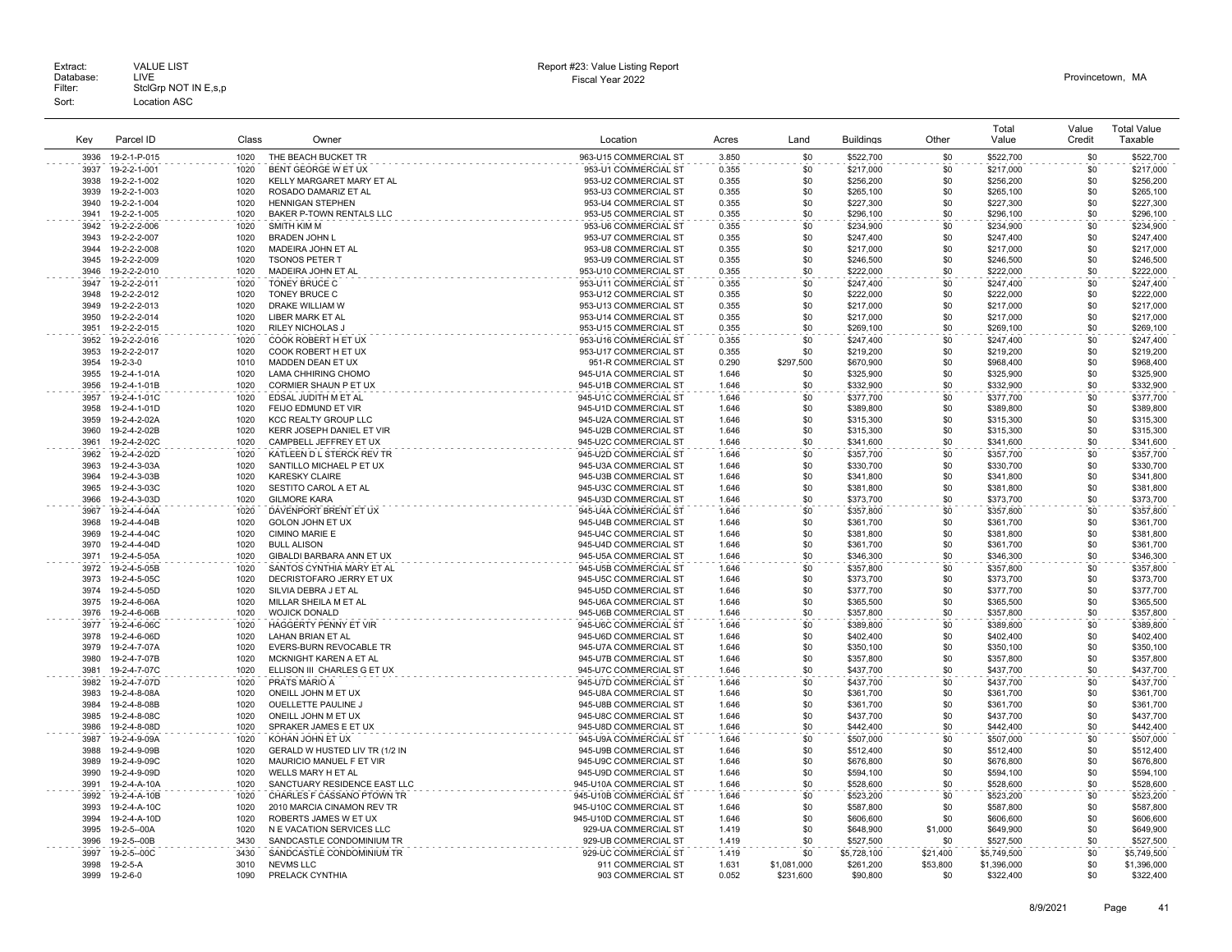|              |                              |              |                                                     |                                                 |                |             |                        |            | Total                  | Value      | <b>Total Value</b>     |
|--------------|------------------------------|--------------|-----------------------------------------------------|-------------------------------------------------|----------------|-------------|------------------------|------------|------------------------|------------|------------------------|
| Kev          | Parcel ID                    | Class        | Owner                                               | Location                                        | Acres          | Land        | <b>Buildings</b>       | Other      | Value                  | Credit     | Taxable                |
| 3936         | 19-2-1-P-015                 | 1020         | THE BEACH BUCKET TR                                 | 963-U15 COMMERCIAL ST                           | 3.850          | \$0         | \$522,700              | \$0        | \$522,700              | \$0        | \$522,700              |
| 3937         | 19-2-2-1-001                 | 1020         | BENT GEORGE W ET UX                                 | 953-U1 COMMERCIAL ST                            | 0.355          | \$0         | \$217,000              | \$0        | \$217,000              | \$0        | \$217,000              |
| 3938         | 19-2-2-1-002                 | 1020         | KELLY MARGARET MARY ET AL                           | 953-U2 COMMERCIAL ST                            | 0.355          | \$0         | \$256,200              | \$0        | \$256,200              | \$0        | \$256,200              |
| 3939         | 19-2-2-1-003                 | 1020         | ROSADO DAMARIZ ET AL                                | 953-U3 COMMERCIAL ST                            | 0.355          | \$0         | \$265,100              | \$0        | \$265,100              | \$0        | \$265,100              |
| 3940         | 19-2-2-1-004                 | 1020         | <b>HENNIGAN STEPHEN</b>                             | 953-U4 COMMERCIAL ST                            | 0.355          | \$0         | \$227,300              | \$0        | \$227,300              | \$0        | \$227,300              |
| 3941         | 19-2-2-1-005                 | 1020         | BAKER P-TOWN RENTALS LLC                            | 953-U5 COMMERCIAL ST                            | 0.355          | \$0         | \$296,100              | \$0        | \$296,100              | \$0        | \$296,100              |
| 3942         | 19-2-2-2-006                 | 1020         | SMITH KIM M                                         | 953-U6 COMMERCIAL ST                            | 0.355          | \$0         | \$234,900              | \$0        | \$234,900              | \$0        | \$234,900              |
| 3943<br>3944 | 19-2-2-2-007                 | 1020         | <b>BRADEN JOHN L</b>                                | 953-U7 COMMERCIAL ST                            | 0.355          | \$0         | \$247.400              | \$0        | \$247,400              | \$0        | \$247.400              |
| 3945         | 19-2-2-2-008                 | 1020<br>1020 | MADEIRA JOHN ET AL<br><b>TSONOS PETER T</b>         | 953-U8 COMMERCIAL ST<br>953-U9 COMMERCIAL ST    | 0.355<br>0.355 | \$0<br>\$0  | \$217,000              | \$0<br>\$0 | \$217,000<br>\$246,500 | \$0<br>\$0 | \$217,000<br>\$246,500 |
| 3946         | 19-2-2-2-009<br>19-2-2-2-010 | 1020         | MADEIRA JOHN ET AL                                  | 953-U10 COMMERCIAL ST                           | 0.355          | \$0         | \$246,500<br>\$222,000 | \$0        | \$222,000              | \$0        | \$222,000              |
| 3947         | 19-2-2-2-011                 | 1020         | <b>TONEY BRUCE C</b>                                | 953-U11 COMMERCIAL ST                           | 0.355          | \$0         | \$247.400              | \$0        | \$247.400              | \$0        | \$247.400              |
| 3948         | 19-2-2-2-012                 | 1020         | <b>TONEY BRUCE C</b>                                | 953-U12 COMMERCIAL ST                           | 0.355          | \$0         | \$222,000              | \$0        | \$222,000              | \$0        | \$222,000              |
| 3949         | 19-2-2-2-013                 | 1020         | DRAKE WILLIAM W                                     | 953-U13 COMMERCIAL ST                           | 0.355          | \$0         | \$217,000              | \$0        | \$217,000              | \$0        | \$217,000              |
| 3950         | 19-2-2-2-014                 | 1020         | LIBER MARK ET AL                                    | 953-U14 COMMERCIAL ST                           | 0.355          | \$0         | \$217,000              | \$0        | \$217,000              | \$0        | \$217,000              |
| 3951         | 19-2-2-2-015                 | 1020         | RILEY NICHOLAS J                                    | 953-U15 COMMERCIAL ST                           | 0.355          | \$0         | \$269,100              | \$0        | \$269,100              | \$0        | \$269,100              |
| 3952         | 19-2-2-2-016                 | 1020         | COOK ROBERT H ET UX                                 | 953-U16 COMMERCIAL ST                           | 0.355          | \$0         | \$247,400              | \$0        | \$247,400              | \$0        | \$247,400              |
| 3953         | 19-2-2-2-017                 | 1020         | COOK ROBERT H ET UX                                 | 953-U17 COMMERCIAL ST                           | 0.355          | \$0         | \$219,200              | \$0        | \$219,200              | \$0        | \$219,200              |
| 3954         | 19-2-3-0                     | 1010         | MADDEN DEAN ET UX                                   | 951-R COMMERCIAL ST                             | 0.290          | \$297,500   | \$670,900              | \$0        | \$968,400              | \$0        | \$968,400              |
| 3955         | 19-2-4-1-01A                 | 1020         | LAMA CHHIRING CHOMO                                 | 945-U1A COMMERCIAL ST                           | 1.646          | \$0         | \$325,900              | \$0        | \$325,900              | \$0        | \$325,900              |
| 3956         | 19-2-4-1-01B                 | 1020         | CORMIER SHAUN P ET UX                               | 945-U1B COMMERCIAL ST                           | 1.646          | \$0         | \$332,900              | \$0        | \$332,900              | \$0        | \$332,900              |
| 3957         | 19-2-4-1-01C                 | 1020         | EDSAL JUDITH M ET AL                                | 945-U1C COMMERCIAL ST                           | 1.646          | \$0         | \$377,700              | \$0        | \$377,700              | \$0        | \$377,700              |
| 3958         | 19-2-4-1-01D                 | 1020         | FEIJO EDMUND ET VIR                                 | 945-U1D COMMERCIAL ST                           | 1.646          | \$0         | \$389,800              | \$0        | \$389,800              | \$0        | \$389,800              |
| 3959         | 19-2-4-2-02A                 | 1020         | <b>KCC REALTY GROUP LLC</b>                         | 945-U2A COMMERCIAL ST                           | 1.646          | \$0         | \$315,300              | \$0        | \$315,300              | \$0        | \$315,300              |
| 3960<br>3961 | 19-2-4-2-02B<br>19-2-4-2-02C | 1020<br>1020 | KERR JOSEPH DANIEL ET VIR<br>CAMPBELL JEFFREY ET UX | 945-U2B COMMERCIAL ST<br>945-U2C COMMERCIAL ST  | 1.646<br>1.646 | \$0<br>\$0  | \$315,300<br>\$341,600 | \$0<br>\$0 | \$315,300<br>\$341,600 | \$0<br>\$0 | \$315,300<br>\$341,600 |
| 3962         | 19-2-4-2-02D                 | 1020         | KATLEEN D L STERCK REV TR                           | 945-U2D COMMERCIAL ST                           | 1.646          | \$0         | \$357,700              | \$0        | \$357,700              | \$0        | \$357,700              |
| 3963         | 19-2-4-3-03A                 | 1020         | SANTILLO MICHAEL P ET UX                            | 945-U3A COMMERCIAL ST                           | 1.646          | \$0         | \$330,700              | \$0        | \$330,700              | \$0        | \$330.700              |
| 3964         | 19-2-4-3-03B                 | 1020         | <b>KARESKY CLAIRE</b>                               | 945-U3B COMMERCIAL ST                           | 1.646          | \$0         | \$341,800              | \$0        | \$341,800              | \$0        | \$341,800              |
| 3965         | 19-2-4-3-03C                 | 1020         | SESTITO CAROL A ET AL                               | 945-U3C COMMERCIAL ST                           | 1.646          | \$0         | \$381,800              | \$0        | \$381,800              | \$0        | \$381,800              |
| 3966         | 19-2-4-3-03D                 | 1020         | <b>GILMORE KARA</b>                                 | 945-U3D COMMERCIAL ST                           | 1.646          | \$0         | \$373,700              | \$0        | \$373,700              | \$0        | \$373,700              |
| 3967         | 19-2-4-4-04A                 | 1020         | DAVENPORT BRENT ET UX                               | 945-U4A COMMERCIAL ST                           | 1.646          | \$0         | \$357.800              | \$0        | \$357.800              | \$0        | \$357.800              |
| 3968         | 19-2-4-4-04B                 | 1020         | GOLON JOHN ET UX                                    | 945-U4B COMMERCIAL ST                           | 1.646          | \$0         | \$361,700              | \$0        | \$361,700              | \$0        | \$361,700              |
| 3969         | 19-2-4-4-04C                 | 1020         | CIMINO MARIE E                                      | 945-U4C COMMERCIAL ST                           | 1.646          | \$0         | \$381,800              | \$0        | \$381,800              | \$0        | \$381,800              |
| 3970         | 19-2-4-4-04D                 | 1020         | <b>BULL ALISON</b>                                  | 945-U4D COMMERCIAL ST                           | 1.646          | \$0         | \$361,700              | \$0        | \$361,700              | \$0        | \$361,700              |
| 3971         | 19-2-4-5-05A                 | 1020         | GIBALDI BARBARA ANN ET UX                           | 945-U5A COMMERCIAL ST                           | 1.646          | \$0         | \$346,300              | \$0        | \$346,300              | \$0        | \$346,300              |
| 3972         | 19-2-4-5-05B                 | 1020         | SANTOS CYNTHIA MARY ET AL                           | 945-U5B COMMERCIAL ST                           | 1.646          | \$0         | \$357,800              | \$0        | \$357,800              | \$0        | \$357,800              |
| 3973         | 19-2-4-5-05C                 | 1020         | DECRISTOFARO JERRY ET UX                            | 945-U5C COMMERCIAL ST                           | 1.646          | \$0         | \$373,700              | \$0        | \$373,700              | \$0        | \$373,700              |
| 3974         | 19-2-4-5-05D                 | 1020         | SILVIA DEBRA J ET AL                                | 945-U5D COMMERCIAL ST                           | 1.646          | \$0         | \$377,700              | \$0        | \$377,700              | \$0        | \$377,700              |
| 3975         | 19-2-4-6-06A                 | 1020         | MILLAR SHEILA M ET AL                               | 945-U6A COMMERCIAL ST                           | 1.646          | \$0         | \$365,500              | \$0<br>\$0 | \$365,500              | \$0<br>\$0 | \$365,500              |
| 3976<br>3977 | 19-2-4-6-06B                 | 1020<br>1020 | <b>WOJICK DONALD</b><br>HAGGERTY PENNY ET VIR       | 945-U6B COMMERCIAL ST<br>945-U6C COMMERCIAL ST  | 1.646<br>1.646 | \$0<br>\$0  | \$357,800              | \$0        | \$357,800              | \$0        | \$357,800<br>\$389,800 |
| 3978         | 19-2-4-6-06C<br>19-2-4-6-06D | 1020         | LAHAN BRIAN ET AL                                   | 945-U6D COMMERCIAL ST                           | 1.646          | \$0         | \$389,800<br>\$402,400 | \$0        | \$389,800<br>\$402,400 | \$0        | \$402,400              |
| 3979         | 19-2-4-7-07A                 | 1020         | <b>EVERS-BURN REVOCABLE TR</b>                      | 945-U7A COMMERCIAL ST                           | 1.646          | \$0         | \$350,100              | \$0        | \$350,100              | \$0        | \$350,100              |
| 3980         | 19-2-4-7-07B                 | 1020         | MCKNIGHT KAREN A ET AL                              | 945-U7B COMMERCIAL ST                           | 1.646          | \$0         | \$357,800              | \$0        | \$357,800              | \$0        | \$357,800              |
| 3981         | 19-2-4-7-07C                 | 1020         | ELLISON III CHARLES G ET UX                         | 945-U7C COMMERCIAL ST                           | 1.646          | \$0         | \$437,700              | \$0        | \$437,700              | \$0        | \$437,700              |
| 3982         | 19-2-4-7-07D                 | 1020         | PRATS MARIO A                                       | 945-U7D COMMERCIAL ST                           | 1.646          | \$0         | \$437,700              | \$0        | \$437,700              | \$0        | \$437,700              |
| 3983         | 19-2-4-8-08A                 | 1020         | ONEILL JOHN M ET UX                                 | 945-U8A COMMERCIAL ST                           | 1.646          | \$0         | \$361,700              | \$0        | \$361,700              | \$0        | \$361,700              |
| 3984         | 19-2-4-8-08B                 | 1020         | OUELLETTE PAULINE J                                 | 945-U8B COMMERCIAL ST                           | 1.646          | \$0         | \$361,700              | \$0        | \$361,700              | \$0        | \$361,700              |
| 3985         | 19-2-4-8-08C                 | 1020         | ONEILL JOHN M ET UX                                 | 945-U8C COMMERCIAL ST                           | 1.646          | \$0         | \$437,700              | \$0        | \$437,700              | \$0        | \$437,700              |
| 3986         | 19-2-4-8-08D                 | 1020         | SPRAKER JAMES E ET UX                               | 945-U8D COMMERCIAL ST                           | 1.646          | \$0         | \$442,400              | \$0        | \$442,400              | \$0        | \$442,400              |
| 3987         | 19-2-4-9-09A                 | 1020         | KOHAN JOHN ET UX                                    | 945-U9A COMMERCIAL ST                           | 1.646          | \$0         | \$507,000              | \$0        | \$507.000              | \$0        | \$507,000              |
| 3988         | 19-2-4-9-09B                 | 1020         | GERALD W HUSTED LIV TR (1/2 IN                      | 945-U9B COMMERCIAL ST                           | 1.646          | \$0         | \$512,400              | \$0        | \$512,400              | \$0        | \$512,400              |
| 3989         | 19-2-4-9-09C                 | 1020         | MAURICIO MANUEL F ET VIR                            | 945-U9C COMMERCIAL ST                           | 1.646          | \$0         | \$676,800              | \$0        | \$676,800              | \$0        | \$676,800              |
| 3990<br>3991 | 19-2-4-9-09D<br>19-2-4-A-10A | 1020<br>1020 | WELLS MARY H ET AL<br>SANCTUARY RESIDENCE EAST LLC  | 945-U9D COMMERCIAL ST<br>945-U10A COMMERCIAL ST | 1.646<br>1.646 | \$0<br>\$0  | \$594,100              | \$0<br>\$0 | \$594,100<br>\$528,600 | \$0<br>\$0 | \$594,100<br>\$528,600 |
| 3992         | 19-2-4-A-10B                 | 1020         | CHARLES F CASSANO PTOWN TR                          | 945-U10B COMMERCIAL ST                          | 1.646          | \$0         | \$528,600<br>\$523,200 | \$0        | \$523,200              | \$0        | \$523,200              |
| 3993         | 19-2-4-A-10C                 | 1020         | 2010 MARCIA CINAMON REV TR                          | 945-U10C COMMERCIAL ST                          | 1.646          | \$0         | \$587,800              | \$0        | \$587,800              | \$0        | \$587,800              |
| 3994         | 19-2-4-A-10D                 | 1020         | ROBERTS JAMES W ET UX                               | 945-U10D COMMERCIAL ST                          | 1.646          | \$0         | \$606,600              | \$0        | \$606,600              | \$0        | \$606,600              |
| 3995         | 19-2-5--00A                  | 1020         | N E VACATION SERVICES LLC                           | 929-UA COMMERCIAL ST                            | 1.419          | \$0         | \$648,900              | \$1,000    | \$649,900              | \$0        | \$649,900              |
| 3996         | 19-2-5--00B                  | 3430         | SANDCASTLE CONDOMINIUM TR                           | 929-UB COMMERCIAL ST                            | 1.419          | \$0         | \$527,500              | \$0        | \$527,500              | \$0        | \$527,500              |
| 3997         | 19-2-5--00C                  | 3430         | SANDCASTLE CONDOMINIUM TR                           | 929-UC COMMERCIAL ST                            | 1.419          | \$0         | \$5,728,100            | \$21,400   | \$5,749,500            | \$0        | \$5,749,500            |
| 3998         | 19-2-5-A                     | 3010         | <b>NEVMS LLC</b>                                    | 911 COMMERCIAL ST                               | 1.631          | \$1,081,000 | \$261,200              | \$53,800   | \$1,396,000            | \$0        | \$1,396,000            |
| 3999         | 19-2-6-0                     | 1090         | PRELACK CYNTHIA                                     | 903 COMMERCIAL ST                               | 0.052          | \$231.600   | \$90,800               | \$0        | \$322,400              | \$0        | \$322,400              |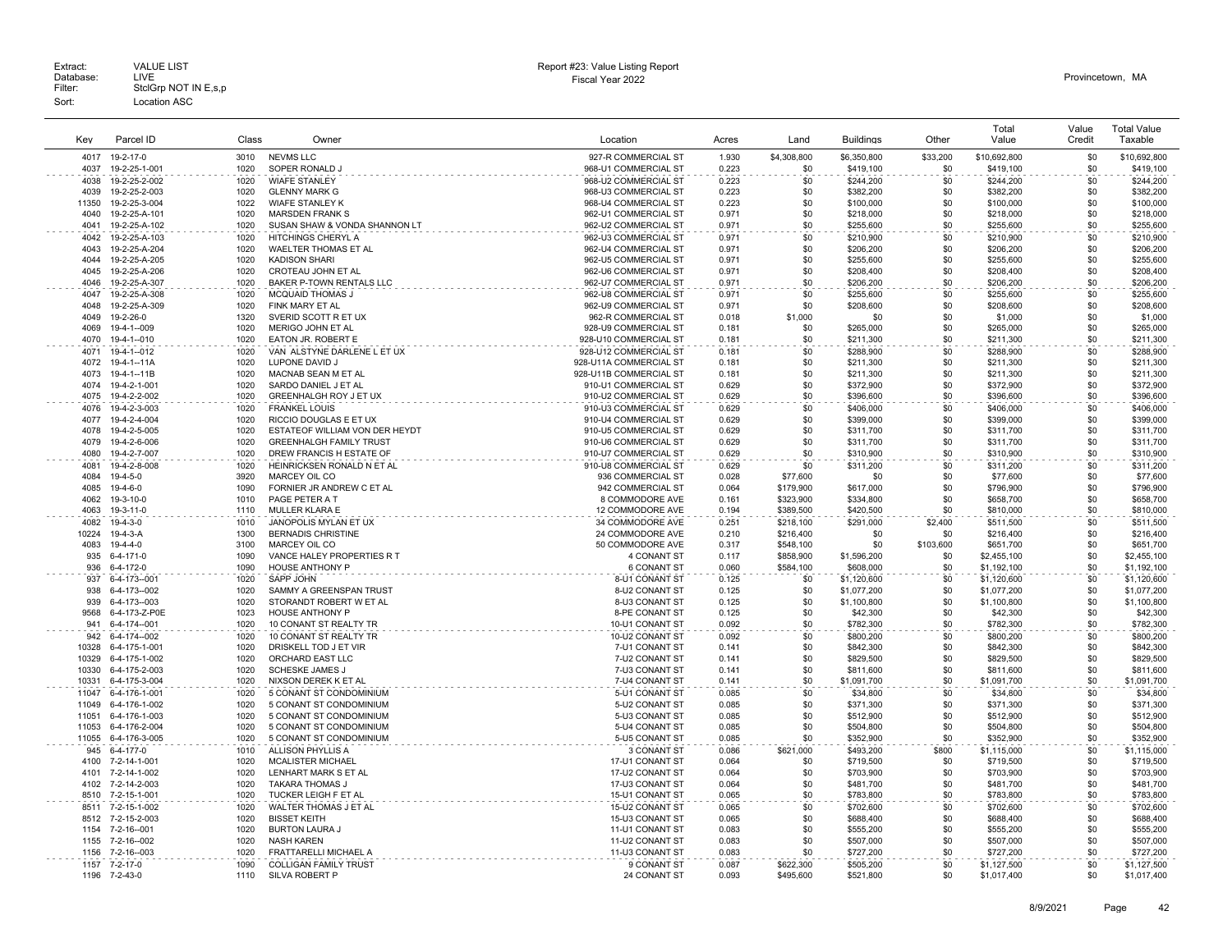| Key          | Parcel ID                        | Class        | Owner                                                      | Location                                       | Acres          | Land                   | <b>Buildings</b>       | Other      | Total<br>Value         | Value<br>Credit | <b>Total Value</b><br>Taxable |
|--------------|----------------------------------|--------------|------------------------------------------------------------|------------------------------------------------|----------------|------------------------|------------------------|------------|------------------------|-----------------|-------------------------------|
| 4017         | 19-2-17-0                        | 3010         | <b>NEVMS LLC</b>                                           | 927-R COMMERCIAL ST                            | 1.930          | \$4,308,800            | \$6,350,800            | \$33,200   | \$10,692,800           | \$0             | \$10,692,800                  |
| 4037         | 19-2-25-1-001                    | 1020         | SOPER RONALD J                                             | 968-U1 COMMERCIAL ST                           | 0.223          | \$0                    | \$419,100              | \$0        | \$419,100              | \$0             | \$419,100                     |
| 4038         | 19-2-25-2-002                    | 1020         | <b>WIAFE STANLEY</b>                                       | 968-U2 COMMERCIAL ST                           | 0.223          | \$0                    | \$244,200              | \$0        | \$244,200              | \$0             | \$244,200                     |
| 4039         | 19-2-25-2-003                    | 1020         | <b>GLENNY MARK G</b>                                       | 968-U3 COMMERCIAL ST                           | 0.223          | \$0                    | \$382,200              | \$0        | \$382,200              | \$0             | \$382,200                     |
| 11350        | 19-2-25-3-004                    | 1022         | <b>WIAFE STANLEY K</b>                                     | 968-U4 COMMERCIAL ST                           | 0.223          | \$0                    | \$100,000              | \$0        | \$100,000              | \$0             | \$100,000                     |
| 4040         | 19-2-25-A-101                    | 1020         | <b>MARSDEN FRANK S</b>                                     | 962-U1 COMMERCIAL ST                           | 0.971          | \$0                    | \$218,000              | \$0        | \$218,000              | \$0             | \$218,000                     |
| 4041         | 19-2-25-A-102                    | 1020         | SUSAN SHAW & VONDA SHANNON LT                              | 962-U2 COMMERCIAL ST                           | 0.971          | \$0                    | \$255,600              | \$0        | \$255,600              | \$0             | \$255,600                     |
| 4042         | 19-2-25-A-103                    | 1020         | HITCHINGS CHERYL A                                         | 962-U3 COMMERCIAL ST                           | 0.971          | \$0                    | \$210,900              | \$0        | \$210,900              | \$0             | \$210,900                     |
| 4043         | 19-2-25-A-204                    | 1020         | WAELTER THOMAS ET AL                                       | 962-U4 COMMERCIAL ST                           | 0.971          | \$0                    | \$206,200              | \$0        | \$206,200              | \$0             | \$206,200                     |
| 4044         | 19-2-25-A-205                    | 1020         | <b>KADISON SHARI</b>                                       | 962-U5 COMMERCIAL ST                           | 0.971          | \$0                    | \$255,600              | \$0        | \$255,600              | \$0             | \$255,600                     |
| 4045         | 19-2-25-A-206                    | 1020         | CROTEAU JOHN ET AL                                         | 962-U6 COMMERCIAL ST                           | 0.971          | \$0                    | \$208,400              | \$0        | \$208,400              | \$0             | \$208,400                     |
| 4046         | 19-2-25-A-307                    | 1020         | BAKER P-TOWN RENTALS LLC                                   | 962-U7 COMMERCIAL ST                           | 0.971          | \$0                    | \$206,200              | \$0        | \$206,200              | \$0             | \$206,200                     |
| 4047         | 19-2-25-A-308                    | 1020         | <b>MCQUAID THOMAS J</b>                                    | 962-U8 COMMERCIAL ST                           | 0.971          | \$0                    | \$255,600              | \$0        | \$255,600              | \$0             | \$255,600                     |
| 4048         | 19-2-25-A-309                    | 1020         | FINK MARY ET AL                                            | 962-U9 COMMERCIAL ST                           | 0.971          | \$0                    | \$208,600              | \$0        | \$208,600              | \$0             | \$208,600                     |
| 4049         | 19-2-26-0                        | 1320         | SVERID SCOTT R ET UX                                       | 962-R COMMERCIAL ST                            | 0.018          | \$1,000                | \$0                    | \$0        | \$1,000                | \$0             | \$1,000                       |
| 4069         | 19-4-1--009                      | 1020         | MERIGO JOHN ET AL                                          | 928-U9 COMMERCIAL ST                           | 0.181          | \$0                    | \$265,000              | \$0        | \$265,000              | \$0             | \$265,000                     |
| 4070         | 19-4-1--010                      | 1020         | EATON JR. ROBERT E                                         | 928-U10 COMMERCIAL ST                          |                | \$0                    | \$211,300              | \$0        | \$211,300              | \$0             | \$211,300                     |
| 4071         |                                  | 1020         | VAN ALSTYNE DARLENE L ET UX                                | 928-U12 COMMERCIAL ST                          | 0.181          |                        |                        | \$0        |                        | \$0             | \$288,900                     |
| 4072         | 19-4-1--012                      |              |                                                            |                                                | 0.181          | \$0                    | \$288,900              |            | \$288,900              |                 |                               |
| 4073         | 19-4-1--11A                      | 1020<br>1020 | LUPONE DAVID J                                             | 928-U11A COMMERCIAL ST                         | 0.181          | \$0                    | \$211,300              | \$0        | \$211,300              | \$0             | \$211,300                     |
| 4074         | 19-4-1--11B<br>19-4-2-1-001      | 1020         | MACNAB SEAN M ET AL<br>SARDO DANIEL J ET AL                | 928-U11B COMMERCIAL ST<br>910-U1 COMMERCIAL ST | 0.181<br>0.629 | \$0<br>\$0             | \$211,300              | \$0<br>\$0 | \$211,300              | \$0<br>\$0      | \$211,300                     |
| 4075         | 19-4-2-2-002                     | 1020         | GREENHALGH ROY J ET UX                                     | 910-U2 COMMERCIAL ST                           | 0.629          | \$0                    | \$372,900<br>\$396,600 | \$0        | \$372,900<br>\$396,600 | \$0             | \$372,900<br>\$396,600        |
|              |                                  |              |                                                            |                                                |                |                        |                        |            |                        |                 |                               |
| 4076         | 19-4-2-3-003                     | 1020         | <b>FRANKEL LOUIS</b>                                       | 910-U3 COMMERCIAL ST                           | 0.629          | \$0                    | \$406,000              | \$0        | \$406,000              | \$0             | \$406,000                     |
| 4077<br>4078 | 19-4-2-4-004                     | 1020<br>1020 | RICCIO DOUGLAS E ET UX<br>ESTATEOF WILLIAM VON DER HEYDT   | 910-U4 COMMERCIAL ST                           | 0.629          | \$0<br>\$0             | \$399,000              | \$0<br>\$0 | \$399,000              | \$0<br>\$0      | \$399,000                     |
| 4079         | 19-4-2-5-005                     |              |                                                            | 910-U5 COMMERCIAL ST                           | 0.629          | \$0                    | \$311,700              | \$0        | \$311,700              | \$0             | \$311,700                     |
|              | 19-4-2-6-006                     | 1020         | <b>GREENHALGH FAMILY TRUST</b><br>DREW FRANCIS H ESTATE OF | 910-U6 COMMERCIAL ST<br>910-U7 COMMERCIAL ST   | 0.629          | \$0                    | \$311,700              | \$0        | \$311,700              | \$0             | \$311,700                     |
| 4080         | 19-4-2-7-007                     | 1020         |                                                            |                                                | 0.629          |                        | \$310,900              |            | \$310,900              |                 | \$310,900                     |
| 4081<br>4084 | 19-4-2-8-008<br>$19 - 4 - 5 - 0$ | 1020<br>3920 | HEINRICKSEN RONALD N ET AL<br>MARCEY OIL CO                | 910-U8 COMMERCIAL ST<br>936 COMMERCIAL ST      | 0.629<br>0.028 | \$0<br>\$77,600        | \$311,200<br>\$0       | \$0<br>\$0 | \$311,200              | \$0<br>\$0      | \$311,200<br>\$77,600         |
|              |                                  | 1090         |                                                            |                                                |                |                        |                        |            | \$77,600               | \$0             |                               |
| 4085<br>4062 | 19-4-6-0<br>19-3-10-0            | 1010         | FORNIER JR ANDREW C ET AL<br>PAGE PETER A T                | 942 COMMERCIAL ST<br>8 COMMODORE AVE           | 0.064<br>0.161 | \$179,900<br>\$323,900 | \$617,000<br>\$334,800 | \$0<br>\$0 | \$796,900<br>\$658,700 | \$0             | \$796,900<br>\$658,700        |
| 4063         | 19-3-11-0                        | 1110         | MULLER KLARA E                                             | 12 COMMODORE AVE                               | 0.194          | \$389,500              | \$420,500              | \$0        | \$810,000              | \$0             | \$810,000                     |
| 4082         | $19 - 4 - 3 - 0$                 | 1010         | JANOPOLIS MYLAN ET UX                                      | 34 COMMODORE AVE                               | 0.251          | \$218.100              | \$291.000              | \$2,400    | \$511.500              | \$0             | \$511.500                     |
| 10224        | $19 - 4 - 3 - A$                 | 1300         | <b>BERNADIS CHRISTINE</b>                                  | 24 COMMODORE AVE                               | 0.210          | \$216,400              | \$0                    | \$0        | \$216,400              | \$0             | \$216,400                     |
| 4083         | 19-4-4-0                         | 3100         | MARCEY OIL CO                                              | 50 COMMODORE AVE                               | 0.317          | \$548,100              | \$0                    | \$103,600  | \$651,700              | \$0             | \$651,700                     |
| 935          | 6-4-171-0                        | 1090         | VANCE HALEY PROPERTIES R T                                 | 4 CONANT ST                                    | 0.117          | \$858,900              | \$1,596,200            | \$0        | \$2,455,100            | \$0             | \$2,455,100                   |
| 936          | 6-4-172-0                        | 1090         | HOUSE ANTHONY P                                            | 6 CONANT ST                                    | 0.060          | \$584,100              | \$608,000              | \$0        | \$1,192,100            | \$0             | \$1,192,100                   |
| 937          | 6-4-173--001                     | 1020         | SAPP JOHN                                                  | 8-U1 CONANT ST                                 | 0.125          | \$0                    | \$1,120,600            | \$0        | \$1,120,600            | \$0             | \$1,120,600                   |
| 938          | 6-4-173--002                     | 1020         | SAMMY A GREENSPAN TRUST                                    | 8-U2 CONANT ST                                 | 0.125          | \$0                    | \$1,077,200            | \$0        | \$1,077,200            | \$0             | \$1,077,200                   |
| 939          | 6-4-173--003                     | 1020         | STORANDT ROBERT W ET AL                                    | 8-U3 CONANT ST                                 | 0.125          | \$0                    | \$1,100,800            | \$0        | \$1,100,800            | \$0             | \$1,100,800                   |
| 9568         | 6-4-173-Z-P0E                    | 1023         | <b>HOUSE ANTHONY P</b>                                     | 8-PE CONANT ST                                 | 0.125          | \$0                    | \$42,300               | \$0        | \$42,300               | \$0             | \$42,300                      |
| 941          | 6-4-174--001                     | 1020         | 10 CONANT ST REALTY TR                                     | 10-U1 CONANT ST                                | 0.092          | \$0                    | \$782,300              | \$0        | \$782,300              | \$0             | \$782,300                     |
| 942          | 6-4-174--002                     | 1020         | 10 CONANT ST REALTY TR                                     | 10-U2 CONANT ST                                | 0.092          | \$0                    | \$800,200              | \$0        | \$800,200              | \$0             | \$800,200                     |
| 10328        | 6-4-175-1-001                    | 1020         | DRISKELL TOD J ET VIR                                      | 7-U1 CONANT ST                                 | 0.141          | \$0                    | \$842,300              | \$0        | \$842,300              | \$0             | \$842,300                     |
| 10329        | 6-4-175-1-002                    | 1020         | ORCHARD EAST LLC                                           | 7-U2 CONANT ST                                 | 0.141          | \$0                    | \$829,500              | \$0        | \$829,500              | \$0             | \$829,500                     |
| 10330        | 6-4-175-2-003                    | 1020         | <b>SCHESKE JAMES J</b>                                     | 7-U3 CONANT ST                                 | 0.141          | \$0                    | \$811,600              | \$0        | \$811,600              | \$0             | \$811,600                     |
| 10331        | 6-4-175-3-004                    | 1020         | NIXSON DEREK K ET AL                                       | 7-U4 CONANT ST                                 | 0.141          | \$0                    | \$1,091,700            | \$0        | \$1,091,700            | \$0             | \$1,091,700                   |
| 11047        | 6-4-176-1-001                    | 1020         | 5 CONANT ST CONDOMINIUM                                    | 5-U1 CONANT ST                                 | 0.085          | \$0                    | \$34,800               | \$0        | \$34,800               | \$0             | \$34,800                      |
| 11049        | 6-4-176-1-002                    | 1020         | 5 CONANT ST CONDOMINIUM                                    | 5-U2 CONANT ST                                 | 0.085          | \$0                    | \$371,300              | \$0        | \$371.300              | \$0             | \$371,300                     |
| 11051        | 6-4-176-1-003                    | 1020         | 5 CONANT ST CONDOMINIUM                                    | 5-U3 CONANT ST                                 | 0.085          | \$0                    | \$512,900              | \$0        | \$512,900              | \$0             | \$512,900                     |
| 11053        | 6-4-176-2-004                    | 1020         | 5 CONANT ST CONDOMINIUM                                    | 5-U4 CONANT ST                                 | 0.085          | \$0                    | \$504,800              | \$0        | \$504,800              | \$0             | \$504,800                     |
| 11055        | 6-4-176-3-005                    | 1020         | 5 CONANT ST CONDOMINIUM                                    | 5-U5 CONANT ST                                 | 0.085          | \$0                    | \$352,900              | \$0        | \$352,900              | \$0             | \$352,900                     |
| 945          | 6-4-177-0                        | 1010         | <b>ALLISON PHYLLIS A</b>                                   | 3 CONANT ST                                    | 0.086          | \$621.000              | \$493.200              | \$800      | \$1,115,000            | \$0             | \$1.115.000                   |
| 4100         | 7-2-14-1-001                     | 1020         | <b>MCALISTER MICHAEL</b>                                   | 17-U1 CONANT ST                                | 0.064          | \$0                    | \$719,500              | \$0        | \$719,500              | \$0             | \$719,500                     |
| 4101         | 7-2-14-1-002                     | 1020         | LENHART MARK S ET AL                                       | 17-U2 CONANT ST                                | 0.064          | \$0                    | \$703,900              | \$0        | \$703,900              | \$0             | \$703,900                     |
| 4102         | 7-2-14-2-003                     | 1020         | <b>TAKARA THOMAS J</b>                                     | 17-U3 CONANT ST                                | 0.064          | \$0                    | \$481,700              | \$0        | \$481,700              | \$0             | \$481,700                     |
| 8510         | 7-2-15-1-001                     | 1020         | TUCKER LEIGH F ET AL                                       | 15-U1 CONANT ST                                | 0.065          | \$0                    | \$783,800              | \$0        | \$783,800              | \$0             | \$783,800                     |
| 8511         | 7-2-15-1-002                     | 1020         | WALTER THOMAS J ET AL                                      | 15-U2 CONANT ST                                | 0.065          | \$0                    | \$702,600              | \$0        | \$702,600              | \$0             | \$702,600                     |
| 8512         | 7-2-15-2-003                     | 1020         | <b>BISSET KEITH</b>                                        | 15-U3 CONANT ST                                | 0.065          | \$0                    | \$688,400              | \$0        | \$688,400              | \$0             | \$688,400                     |
| 1154         | 7-2-16--001                      | 1020         | <b>BURTON LAURA J</b>                                      | 11-U1 CONANT ST                                | 0.083          | \$0                    | \$555,200              | \$0        | \$555,200              | \$0             | \$555,200                     |
| 1155         | 7-2-16--002                      | 1020         | <b>NASH KAREN</b>                                          | 11-U2 CONANT ST                                | 0.083          | \$0                    | \$507,000              | \$0        | \$507,000              | \$0             | \$507,000                     |
| 1156         | 7-2-16--003                      | 1020         | FRATTARELLI MICHAEL A                                      | 11-U3 CONANT ST                                | 0.083          | \$0                    | \$727,200              | \$0        | \$727,200              | \$0             | \$727,200                     |
| 1157         | 7-2-17-0                         | 1090         | <b>COLLIGAN FAMILY TRUST</b>                               | 9 CONANT ST                                    | 0.087          | \$622,300              | \$505,200              | \$0        | \$1,127,500            | \$0             | \$1,127,500                   |
| 1196         | 7-2-43-0                         | 1110         | SILVA ROBERT P                                             | 24 CONANT ST                                   | 0.093          | \$495.600              | \$521,800              | \$0        | \$1,017,400            | \$0             | \$1,017,400                   |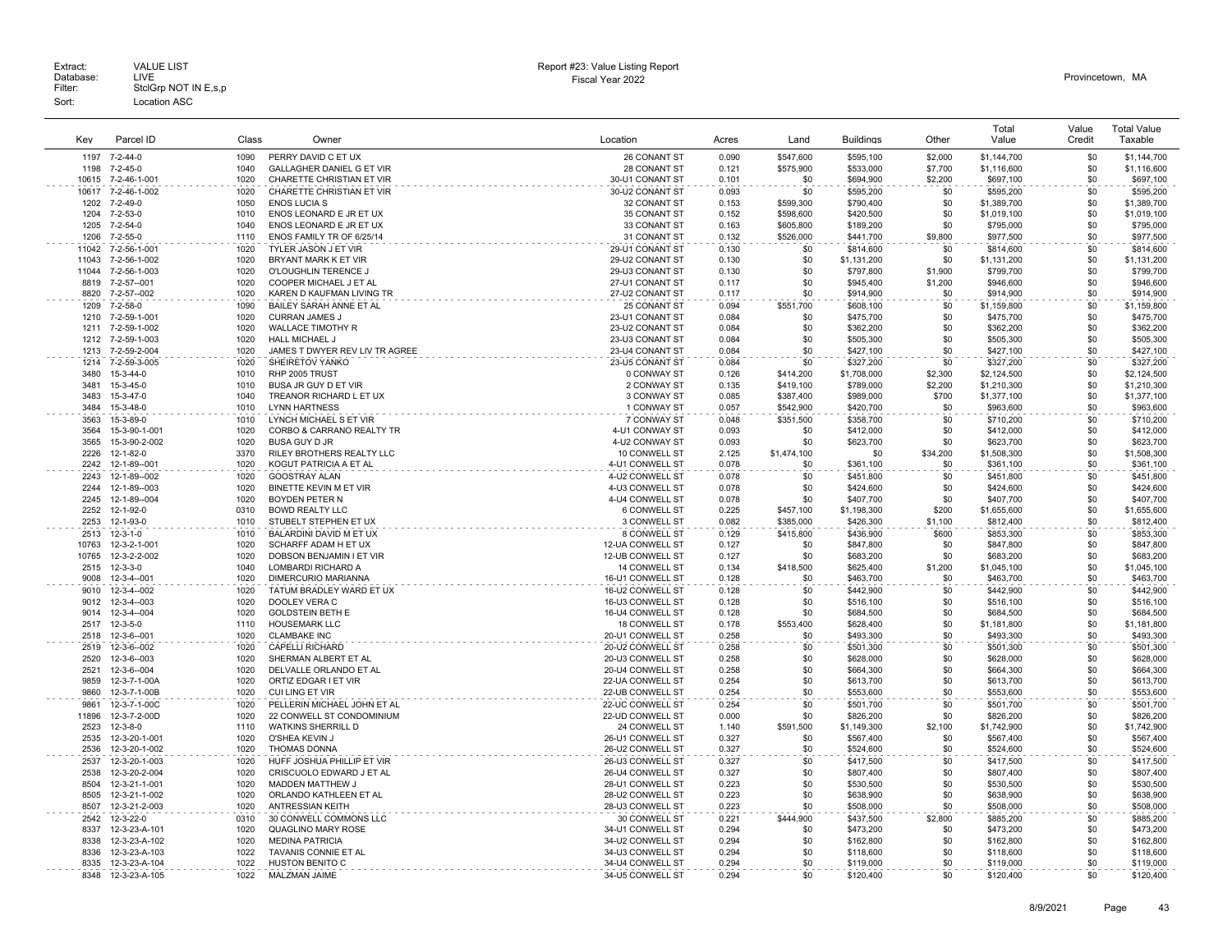|              |                            |              |                                                     |                                      |                |                        |                          |                | Total                      | Value      | <b>Total Value</b>         |
|--------------|----------------------------|--------------|-----------------------------------------------------|--------------------------------------|----------------|------------------------|--------------------------|----------------|----------------------------|------------|----------------------------|
| Kev          | Parcel ID                  | Class        | Owner                                               | Location                             | Acres          | Land                   | <b>Buildinas</b>         | Other          | Value                      | Credit     | Taxable                    |
| 1197         | 7-2-44-0                   | 1090         | PERRY DAVID C ET UX                                 | 26 CONANT ST                         | 0.090          | \$547,600              | \$595,100                | \$2,000        | \$1,144,700                | \$0        | \$1,144,700                |
| 1198         | $7 - 2 - 45 - 0$           | 1040         | <b>GALLAGHER DANIEL G ET VIR</b>                    | 28 CONANT ST                         | 0.121          | \$575,900              | \$533,000                | \$7,700        | \$1,116,600                | \$0        | \$1,116,600                |
| 10615        | 7-2-46-1-001               | 1020         | CHARETTE CHRISTIAN ET VIR                           | 30-U1 CONANT ST                      | 0.101          | \$0                    | \$694,900                | \$2,200        | \$697,100                  | \$0        | \$697,100                  |
| 10617        | 7-2-46-1-002               | 1020         | CHARETTE CHRISTIAN ET VIR                           | 30-U2 CONANT ST                      | 0.093          | \$0                    | \$595,200                | \$0            | \$595,200                  | \$0        | \$595,200                  |
| 1202         | $7 - 2 - 49 - 0$           | 1050         | <b>ENOS LUCIA S</b>                                 | 32 CONANT ST                         | 0.153          | \$599,300              | \$790,400                | \$0            | \$1,389,700                | \$0        | \$1,389,700                |
| 1204         | $7 - 2 - 53 - 0$           | 1010         | ENOS LEONARD E JR ET UX                             | 35 CONANT ST                         | 0.152          | \$598,600              | \$420,500                | \$0            | \$1,019,100                | \$0        | \$1,019,100                |
| 1205         | $7 - 2 - 54 - 0$           | 1040         | ENOS LEONARD E JR ET UX                             | 33 CONANT ST                         | 0.163          | \$605,800              | \$189,200                | \$0            | \$795,000                  | \$0        | \$795,000                  |
| 1206         | $7 - 2 - 55 - 0$           | 1110         | ENOS FAMILY TR OF 6/25/14                           | 31 CONANT ST                         | 0.132          | \$526,000              | \$441,700                | \$9,800        | \$977,500                  | \$0        | \$977,500                  |
| 11042        | 7-2-56-1-001               | 1020         | <b>TYLER JASON J ET VIR</b>                         | 29-U1 CONANT ST                      | 0.130          | \$0                    | \$814,600                | \$0            | \$814,600                  | \$0        | \$814,600                  |
| 11043        | 7-2-56-1-002               | 1020         | BRYANT MARK K ET VIR                                | 29-U2 CONANT ST                      | 0.130          | \$0                    | \$1,131,200              | \$0            | \$1,131,200                | \$0        | \$1,131,200                |
| 11044        | 7-2-56-1-003               | 1020         | O'LOUGHLIN TERENCE J                                | 29-U3 CONANT ST                      | 0.130          | \$0                    | \$797,800                | \$1,900        | \$799,700                  | \$0        | \$799,700                  |
| 8819         | 7-2-57--001                | 1020         | COOPER MICHAEL J ET AL                              | 27-U1 CONANT ST                      | 0.117          | \$0                    | \$945,400                | \$1,200        | \$946,600                  | \$0        | \$946,600                  |
| 8820         | 7-2-57--002                | 1020         | KAREN D KAUFMAN LIVING TR                           | 27-U2 CONANT ST                      | 0.117          | \$0                    | \$914,900                | \$0            | \$914,900                  | \$0        | \$914,900                  |
| 1209         | $7 - 2 - 58 - 0$           | 1090         | BAILEY SARAH ANNE ET AL                             | 25 CONANT ST                         | 0.094          | \$551,700              | \$608,100                | \$0            | \$1,159,800                | \$0        | \$1,159,800                |
| 1210         | 7-2-59-1-001               | 1020         | <b>CURRAN JAMES J</b>                               | 23-U1 CONANT ST                      | 0.084          | \$0                    | \$475,700                | \$0            | \$475,700                  | \$0        | \$475,700                  |
| 1211         | 7-2-59-1-002               | 1020         | <b>WALLACE TIMOTHY R</b>                            | 23-U2 CONANT ST                      | 0.084          | \$0                    | \$362,200                | \$0            | \$362,200                  | \$0        | \$362,200                  |
| 1212         | 7-2-59-1-003               | 1020         | HALL MICHAEL J                                      | 23-U3 CONANT ST                      | 0.084          | \$0                    | \$505,300                | \$0            | \$505,300                  | \$0        | \$505,300                  |
| 1213         | 7-2-59-2-004               | 1020         | JAMES T DWYER REV LIV TR AGREE                      | 23-U4 CONANT ST                      | 0.084          | \$0                    | \$427,100                | \$0            | \$427,100                  | \$0        | \$427,100                  |
| 1214<br>3480 | 7-2-59-3-005<br>15-3-44-0  | 1020<br>1010 | SHEIRETOV YANKO<br>RHP 2005 TRUST                   | 23-U5 CONANT ST<br>0 CONWAY ST       | 0.084<br>0.126 | \$0                    | \$327,200                | \$0<br>\$2,300 | \$327,200                  | \$0<br>\$0 | \$327,200                  |
| 3481         | 15-3-45-0                  | 1010         | BUSA JR GUY D ET VIR                                | 2 CONWAY ST                          | 0.135          | \$414,200<br>\$419,100 | \$1,708,000<br>\$789,000 | \$2,200        | \$2,124,500<br>\$1,210,300 | \$0        | \$2,124,500                |
| 3483         | 15-3-47-0                  | 1040         | TREANOR RICHARD L ET UX                             | 3 CONWAY ST                          | 0.085          | \$387,400              | \$989,000                | \$700          | \$1,377,100                | \$0        | \$1,210,300<br>\$1,377,100 |
| 3484         | 15-3-48-0                  | 1010         | <b>LYNN HARTNESS</b>                                | 1 CONWAY ST                          | 0.057          | \$542,900              | \$420,700                | \$0            | \$963,600                  | \$0        | \$963,600                  |
| 3563         | 15-3-89-0                  | 1010         | LYNCH MICHAEL S ET VIR                              | 7 CONWAY ST                          | 0.048          | \$351.500              | \$358,700                | \$0            | \$710,200                  | \$0        | \$710,200                  |
| 3564         | 15-3-90-1-001              | 1020         | CORBO & CARRANO REALTY TR                           | 4-U1 CONWAY ST                       | 0.093          | \$0                    | \$412,000                | \$0            | \$412,000                  | \$0        | \$412,000                  |
| 3565         | 15-3-90-2-002              | 1020         | <b>BUSA GUY D JR</b>                                | 4-U2 CONWAY ST                       | 0.093          | \$0                    | \$623,700                | \$0            | \$623,700                  | \$0        | \$623,700                  |
| 2226         | 12-1-82-0                  | 3370         | RILEY BROTHERS REALTY LLC                           | 10 CONWELL ST                        | 2.125          | \$1,474.100            | \$0                      | \$34.200       | \$1,508,300                | \$0        | \$1,508,300                |
| 2242         | 12-1-89--001               | 1020         | KOGUT PATRICIA A ET AL                              | 4-U1 CONWELL ST                      | 0.078          | \$0                    | \$361,100                | \$0            | \$361,100                  | \$0        | \$361,100                  |
| 2243         | 12-1-89--002               | 1020         | GOOSTRAY ALAN                                       | 4-U2 CONWELL ST                      | 0.078          | \$0                    | \$451,800                | \$0            | \$451,800                  | \$0        | \$451,800                  |
| 2244         | 12-1-89--003               | 1020         | BINETTE KEVIN M ET VIR                              | 4-U3 CONWELL ST                      | 0.078          | \$0                    | \$424,600                | \$0            | \$424,600                  | \$0        | \$424,600                  |
| 2245         | 12-1-89--004               | 1020         | BOYDEN PETER N                                      | 4-U4 CONWELL ST                      | 0.078          | \$0                    | \$407,700                | \$0            | \$407,700                  | \$0        | \$407,700                  |
| 2252         | 12-1-92-0                  | 0310         | <b>BOWD REALTY LLC</b>                              | 6 CONWELL ST                         | 0.225          | \$457,100              | \$1,198,300              | \$200          | \$1,655,600                | \$0        | \$1,655,600                |
| 2253         | 12-1-93-0                  | 1010         | STUBELT STEPHEN ET UX                               | 3 CONWELL ST                         | 0.082          | \$385,000              | \$426,300                | \$1,100        | \$812,400                  | \$0        | \$812,400                  |
| 2513         | $12 - 3 - 1 - 0$           | 1010         | BALARDINI DAVID M ET UX                             | 8 CONWELL ST                         | 0.129          | \$415,800              | \$436,900                | \$600          | \$853,300                  | \$0        | \$853,300                  |
| 10763        | 12-3-2-1-001               | 1020         | SCHARFF ADAM H ET UX                                | 12-UA CONWELL ST                     | 0.127          | \$0                    | \$847,800                | \$0            | \$847,800                  | \$0        | \$847,800                  |
| 10765        | 12-3-2-2-002               | 1020         | DOBSON BENJAMIN I ET VIR                            | 12-UB CONWELL ST                     | 0.127          | \$0                    | \$683,200                | \$0            | \$683,200                  | \$0        | \$683,200                  |
| 2515         | $12 - 3 - 3 - 0$           | 1040         | LOMBARDI RICHARD A                                  | 14 CONWELL ST                        | 0.134          | \$418,500              | \$625,400                | \$1,200        | \$1,045,100                | \$0        | \$1,045,100                |
| 9008         | 12-3-4--001                | 1020         | DIMERCURIO MARIANNA                                 | 16-U1 CONWELL ST                     | 0.128          | \$0                    | \$463,700                | \$0            | \$463,700                  | \$0<br>\$0 | \$463,700                  |
| 9010<br>9012 | 12-3-4--002<br>12-3-4--003 | 1020<br>1020 | TATUM BRADLEY WARD ET UX<br>DOOLEY VERA C           | 16-U2 CONWELL ST<br>16-U3 CONWELL ST | 0.128<br>0.128 | \$0<br>\$0             | \$442,900<br>\$516,100   | \$0<br>\$0     | \$442,900<br>\$516,100     | \$0        | \$442,900<br>\$516,100     |
| 9014         | 12-3-4--004                | 1020         | <b>GOLDSTEIN BETH E</b>                             | 16-U4 CONWELL ST                     | 0.128          | \$0                    | \$684,500                | \$0            | \$684,500                  | \$0        | \$684,500                  |
| 2517         | $12 - 3 - 5 - 0$           | 1110         | <b>HOUSEMARK LLC</b>                                | 18 CONWELL ST                        | 0.178          | \$553,400              | \$628,400                | \$0            | \$1,181,800                | \$0        | \$1,181,800                |
| 2518         | 12-3-6--001                | 1020         | <b>CLAMBAKE INC</b>                                 | 20-U1 CONWELL ST                     | 0.258          | \$0                    | \$493,300                | \$0            | \$493,300                  | \$0        | \$493,300                  |
| 2519         | 12-3-6--002                | 1020         | <b>CAPELLI RICHARD</b>                              | 20-U2 CONWELL ST                     | 0.258          | \$0                    | \$501,300                | \$0            | \$501,300                  | \$0        | \$501,300                  |
| 2520         | 12-3-6--003                | 1020         | SHERMAN ALBERT ET AL                                | 20-U3 CONWELL ST                     | 0.258          | \$0                    | \$628,000                | \$0            | \$628,000                  | \$0        | \$628,000                  |
| 2521         | 12-3-6--004                | 1020         | DELVALLE ORLANDO ET AL                              | 20-U4 CONWELL ST                     | 0.258          | \$0                    | \$664,300                | \$0            | \$664,300                  | \$0        | \$664,300                  |
| 9859         | 12-3-7-1-00A               | 1020         | ORTIZ EDGAR I ET VIR                                | 22-UA CONWELL ST                     | 0.254          | \$0                    | \$613,700                | \$0            | \$613,700                  | \$0        | \$613,700                  |
| 9860         | 12-3-7-1-00B               | 1020         | CUI LING ET VIR                                     | 22-UB CONWELL ST                     | 0.254          | \$0                    | \$553,600                | \$0            | \$553,600                  | \$0        | \$553,600                  |
| 9861         | 12-3-7-1-00C               | 1020         | PELLERIN MICHAEL JOHN ET AL                         | 22-UC CONWELL ST                     | 0.254          | \$0                    | \$501,700                | \$0            | \$501,700                  | \$0        | \$501,700                  |
| 11896        | 12-3-7-2-00D               | 1020         | 22 CONWELL ST CONDOMINIUM                           | 22-UD CONWELL ST                     | 0.000          | \$0                    | \$826,200                | \$0            | \$826,200                  | \$0        | \$826,200                  |
| 2523         | $12 - 3 - 8 - 0$           | 1110         | <b>WATKINS SHERRILL D</b>                           | 24 CONWELL ST                        | 1.140          | \$591,500              | \$1,149,300              | \$2,100        | \$1,742,900                | \$0        | \$1,742,900                |
| 2535         | 12-3-20-1-001              | 1020         | O'SHEA KEVIN J                                      | 26-U1 CONWELL ST                     | 0.327          | \$0                    | \$567,400                | \$0            | \$567,400                  | \$0        | \$567,400                  |
| 2536         | 12-3-20-1-002              | 1020         | THOMAS DONNA                                        | 26-U2 CONWELL ST                     | 0.327          | \$0                    | \$524,600                | \$0            | \$524,600                  | \$0        | \$524,600                  |
| 2537         | 12-3-20-1-003              | 1020         | HUFF JOSHUA PHILLIP ET VIR                          | 26-U3 CONWELL ST                     | 0.327          | \$0                    | \$417,500                | \$0            | \$417,500                  | \$0        | \$417,500                  |
| 2538         | 12-3-20-2-004              | 1020         | CRISCUOLO EDWARD J ET AL                            | 26-U4 CONWELL ST                     | 0.327          | \$0                    | \$807,400                | \$0            | \$807,400                  | \$0        | \$807,400                  |
| 8504         | 12-3-21-1-001              | 1020         | MADDEN MATTHEW J                                    | 28-U1 CONWELL ST                     | 0.223          | \$0                    | \$530,500                | \$0            | \$530,500                  | \$0        | \$530,500                  |
| 8505<br>8507 | 12-3-21-1-002              | 1020<br>1020 | ORLANDO KATHLEEN ET AL<br><b>ANTRESSIAN KEITH</b>   | 28-U2 CONWELL ST<br>28-U3 CONWELL ST | 0.223          | \$0                    | \$638,900                | \$0<br>\$0     | \$638,900                  | \$0        | \$638,900                  |
|              | 12-3-21-2-003              | 0310         |                                                     |                                      | 0.223          | \$0                    | \$508,000                |                | \$508,000                  | \$0        | \$508,000                  |
| 2542<br>8337 | 12-3-22-0<br>12-3-23-A-101 | 1020         | 30 CONWELL COMMONS LLC<br><b>QUAGLINO MARY ROSE</b> | 30 CONWELL ST<br>34-U1 CONWELL ST    | 0.221<br>0.294 | \$444,900<br>\$0       | \$437,500<br>\$473,200   | \$2,800<br>\$0 | \$885,200<br>\$473,200     | \$0<br>\$0 | \$885,200<br>\$473,200     |
| 8338         | 12-3-23-A-102              | 1020         | <b>MEDINA PATRICIA</b>                              | 34-U2 CONWELL ST                     | 0.294          | \$0                    | \$162,800                | \$0            | \$162,800                  | \$0        | \$162,800                  |
| 8336         | 12-3-23-A-103              | 1022         | TAVANIS CONNIE ET AL                                | 34-U3 CONWELL ST                     | 0.294          | \$0                    | \$118,600                | \$0            | \$118,600                  | \$0        | \$118,600                  |
| 8335         | 12-3-23-A-104              | 1022         | <b>HUSTON BENITO C</b>                              | 34-U4 CONWELL ST                     | 0.294          | \$0                    | \$119,000                | \$0            | \$119,000                  | \$0        | \$119,000                  |
| 8348         | 12-3-23-A-105              | 1022         | MALZMAN JAIME                                       | 34-U5 CONWELL ST                     | 0.294          | \$0                    | \$120,400                | \$0            | \$120,400                  | \$0        | \$120,400                  |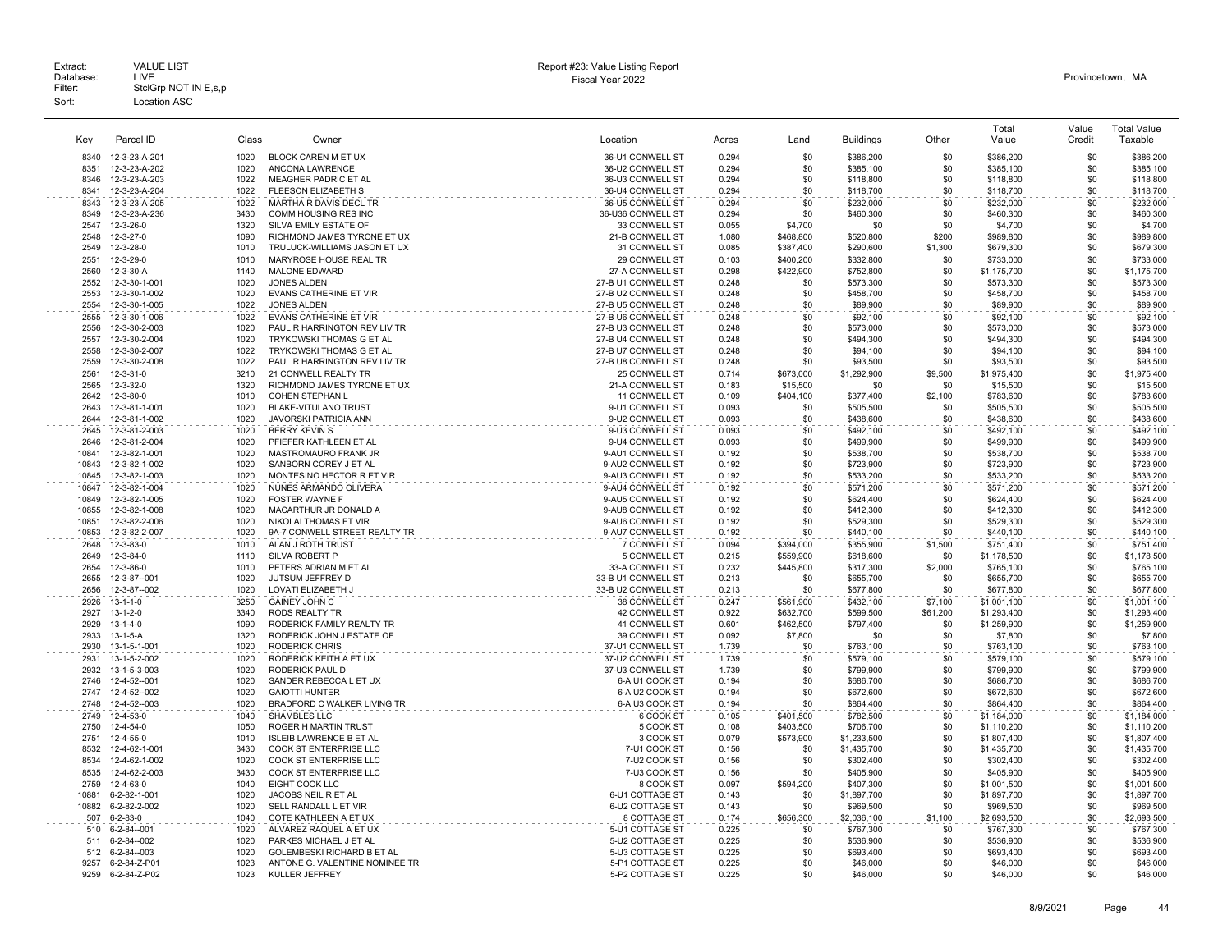|              |                              |              |                                           |                                      |                |            |                        |            | Total                  | Value      | <b>Total Value</b>     |
|--------------|------------------------------|--------------|-------------------------------------------|--------------------------------------|----------------|------------|------------------------|------------|------------------------|------------|------------------------|
| Key          | Parcel ID                    | Class        | Owner                                     | Location                             | Acres          | Land       | <b>Buildings</b>       | Other      | Value                  | Credit     | Taxable                |
| 8340         | 12-3-23-A-201                | 1020         | BLOCK CAREN M ET UX                       | 36-U1 CONWELL ST                     | 0.294          | \$0        | \$386,200              | \$0        | \$386,200              | \$0        | \$386,200              |
| 8351         | 12-3-23-A-202                | 1020         | <b>ANCONA LAWRENCE</b>                    | 36-U2 CONWELL ST                     | 0.294          | \$0        | \$385,100              | \$0        | \$385,100              | \$0        | \$385.100              |
| 8346         | 12-3-23-A-203                | 1022         | MEAGHER PADRIC ET AL                      | 36-U3 CONWELL ST                     | 0.294          | \$0        | \$118,800              | \$0        | \$118,800              | \$0        | \$118,800              |
| 8341         | 12-3-23-A-204                | 1022         | FLEESON ELIZABETH S                       | 36-U4 CONWELL ST                     | 0.294          | \$0        | \$118,700              | \$0        | \$118,700              | \$0        | \$118,700              |
| 8343         | 12-3-23-A-205                | 1022         | MARTHA R DAVIS DECL TR                    | 36-U5 CONWELL ST                     | 0.294          | \$0        | \$232,000              | \$0        | \$232,000              | \$0        | \$232,000              |
| 8349         | 12-3-23-A-236                | 3430         | COMM HOUSING RES INC                      | 36-U36 CONWELL ST                    | 0.294          | \$0        | \$460,300              | \$0        | \$460,300              | \$0        | \$460,300              |
| 2547         | 12-3-26-0                    | 1320         | SILVA EMILY ESTATE OF                     | 33 CONWELL ST                        | 0.055          | \$4,700    | \$0                    | \$0        | \$4,700                | \$0        | \$4,700                |
| 2548         | 12-3-27-0                    | 1090         | RICHMOND JAMES TYRONE ET UX               | 21-B CONWELL ST                      | 1.080          | \$468,800  | \$520,800              | \$200      | \$989,800              | \$0        | \$989,800              |
| 2549         | 12-3-28-0                    | 1010         | TRULUCK-WILLIAMS JASON ET UX              | 31 CONWELL ST                        | 0.085          | \$387,400  | \$290,600              | \$1,300    | \$679,300              | \$0        | \$679,300              |
| 2551         | 12-3-29-0                    | 1010         | MARYROSE HOUSE REAL TR                    | 29 CONWELL ST                        | 0.103          | \$400,200  | \$332,800              | \$0        | \$733,000              | \$0        | \$733,000              |
| 2560         | 12-3-30-A                    | 1140         | MALONE EDWARD                             | 27-A CONWELL ST                      | 0.298          | \$422,900  | \$752,800              | \$0        | \$1,175,700            | \$0        | \$1,175,700            |
| 2552         | 12-3-30-1-001                | 1020         | <b>JONES ALDEN</b>                        | 27-B U1 CONWELL ST                   | 0.248          | \$0        | \$573,300              | \$0        | \$573,300              | \$0        | \$573,300              |
| 2553         | 12-3-30-1-002                | 1020         | <b>EVANS CATHERINE ET VIR</b>             | 27-B U2 CONWELL ST                   | 0.248          | \$0        | \$458,700              | \$0        | \$458,700              | \$0        | \$458,700              |
| 2554         | 12-3-30-1-005                | 1022         | <b>JONES ALDEN</b>                        | 27-B U5 CONWELL ST                   | 0.248          | \$0        | \$89,900               | \$0        | \$89,900               | \$0        | \$89,900               |
| 2555         | 12-3-30-1-006                | 1022         | <b>EVANS CATHERINE ET VIR</b>             | 27-B U6 CONWELL ST                   | 0.248          | \$0        | \$92,100               | \$0        | \$92,100               | \$0        | \$92,100               |
| 2556         | 12-3-30-2-003                | 1020         | PAUL R HARRINGTON REV LIV TR              | 27-B U3 CONWELL ST                   | 0.248          | \$0        | \$573,000              | \$0        | \$573,000              | \$0        | \$573,000              |
| 2557         | 12-3-30-2-004                | 1020         | TRYKOWSKI THOMAS G ET AL                  | 27-B U4 CONWELL ST                   | 0.248          | \$0        | \$494,300              | \$0        | \$494,300              | \$0        | \$494,300              |
| 2558         | 12-3-30-2-007                | 1022         | TRYKOWSKI THOMAS G ET AL                  | 27-B U7 CONWELL ST                   | 0.248          | \$0        | \$94,100               | \$0        | \$94,100               | \$0        | \$94,100               |
| 2559         | 12-3-30-2-008                | 1022         | PAUL R HARRINGTON REV LIV TR              | 27-B U8 CONWELL ST                   | 0.248          | \$0        | \$93,500               | \$0        | \$93,500               | \$0        | \$93,500               |
| 2561         | 12-3-31-0                    | 3210         | 21 CONWELL REALTY TR                      | 25 CONWELL ST                        | 0.714          | \$673,000  | \$1,292,900            | \$9,500    | \$1,975,400            | \$0        | \$1,975,400            |
| 2565         | 12-3-32-0                    | 1320         | RICHMOND JAMES TYRONE ET UX               | 21-A CONWELL ST                      | 0.183          | \$15,500   | \$0                    | \$0        | \$15,500               | \$0        | \$15,500               |
| 2642         | 12-3-80-0                    | 1010         | COHEN STEPHAN L                           | 11 CONWELL ST                        | 0.109          | \$404,100  | \$377,400              | \$2,100    | \$783,600              | \$0        | \$783,600              |
| 2643         | 12-3-81-1-001                | 1020         | <b>BLAKE-VITULANO TRUST</b>               | 9-U1 CONWELL ST                      | 0.093          | \$0        | \$505,500              | \$0        | \$505,500              | \$0        | \$505,500              |
| 2644         | 12-3-81-1-002                | 1020         | JAVORSKI PATRICIA ANN                     | 9-U2 CONWELL ST                      | 0.093          | \$0        | \$438,600              | \$0        | \$438,600              | \$0        | \$438,600              |
| 2645         | 12-3-81-2-003                | 1020         | <b>BERRY KEVIN S</b>                      | 9-U3 CONWELL ST                      | 0.093          | \$0        | \$492.100              | \$0        | \$492,100              | \$0        | \$492.100              |
| 2646         | 12-3-81-2-004                | 1020         | PFIEFER KATHLEEN ET AL                    | 9-U4 CONWELL ST                      | 0.093          | \$0        | \$499,900              | \$0        | \$499,900              | \$0        | \$499,900              |
| 10841        | 12-3-82-1-001                | 1020         | MASTROMAURO FRANK JR                      | 9-AU1 CONWELL ST                     | 0.192          | \$0        | \$538,700              | \$0        | \$538,700              | \$0        | \$538,700              |
| 10843        | 12-3-82-1-002                | 1020         | SANBORN COREY J ET AL                     | 9-AU2 CONWELL ST                     | 0.192          | \$0        | \$723,900              | \$0        | \$723,900              | \$0        | \$723,900              |
| 10845        | 12-3-82-1-003                | 1020         | MONTESINO HECTOR R ET VIR                 | 9-AU3 CONWELL ST                     | 0.192          | \$0        | \$533,200              | \$0        | \$533,200              | \$0        | \$533,200              |
| 10847        | 12-3-82-1-004                | 1020         | NUNES ARMANDO OLIVERA                     | 9-AU4 CONWELL ST                     | 0.192          | \$0        | \$571,200              | \$0        | \$571,200              | \$0        | \$571,200              |
| 10849        | 12-3-82-1-005                | 1020         | FOSTER WAYNE F                            | 9-AU5 CONWELL ST                     | 0.192          | \$0        | \$624,400              | \$0        | \$624,400              | \$0        | \$624,400              |
| 10855        | 12-3-82-1-008                | 1020         | MACARTHUR JR DONALD A                     | 9-AU8 CONWELL ST                     | 0.192          | \$0        | \$412,300              | \$0        | \$412,300              | \$0        | \$412,300              |
| 10851        | 12-3-82-2-006                | 1020         | NIKOLAI THOMAS ET VIR                     | 9-AU6 CONWELL ST                     | 0.192          | \$0        | \$529,300              | \$0        | \$529,300              | \$0        | \$529,300              |
| 10853        | 12-3-82-2-007                | 1020         | 9A-7 CONWELL STREET REALTY TR             | 9-AU7 CONWELL ST                     | 0.192          | \$0        | \$440,100              | \$0        | \$440,100              | \$0        | \$440,100              |
| 2648         | 12-3-83-0                    | 1010         | ALAN J ROTH TRUST                         | 7 CONWELL ST                         | 0.094          | \$394,000  | \$355,900              | \$1,500    | \$751,400              | \$0        | \$751,400              |
| 2649         | 12-3-84-0                    | 1110         | SILVA ROBERT P                            | 5 CONWELL ST                         | 0.215          | \$559,900  | \$618,600              | \$0        | \$1,178,500            | \$0        | \$1,178,500            |
| 2654         | 12-3-86-0                    | 1010         | PETERS ADRIAN M ET AL                     | 33-A CONWELL ST                      | 0.232          | \$445.800  | \$317,300              | \$2,000    | \$765.100              | \$0        | \$765,100              |
| 2655         | 12-3-87--001                 | 1020         | JUTSUM JEFFREY D                          | 33-B U1 CONWELL ST                   | 0.213          | \$0        | \$655,700              | \$0        | \$655,700              | \$0        | \$655,700              |
| 2656         | 12-3-87--002                 | 1020         | LOVATI ELIZABETH J                        | 33-B U2 CONWELL ST                   | 0.213          | \$0        | \$677,800              | \$0        | \$677,800              | \$0        | \$677,800              |
| 2926         | $13 - 1 - 1 - 0$             | 3250         | <b>GAINEY JOHN C</b>                      | 38 CONWELL ST                        | 0.247          | \$561,900  | \$432,100              | \$7,100    | \$1,001,100            | \$0        | \$1,001,100            |
| 2927         | $13 - 1 - 2 - 0$             | 3340         | <b>RODS REALTY TR</b>                     | 42 CONWELL ST                        | 0.922          | \$632,700  | \$599,500              | \$61,200   | \$1,293,400            | \$0        | \$1,293,400            |
| 2929         | $13 - 1 - 4 - 0$             | 1090         | RODERICK FAMILY REALTY TR                 | 41 CONWELL ST                        | 0.601          | \$462.500  | \$797.400              | \$0        | \$1,259,900            | \$0        | \$1,259,900            |
| 2933         | $13 - 1 - 5 - A$             | 1320         | RODERICK JOHN J ESTATE OF                 | 39 CONWELL ST                        | 0.092          | \$7,800    | \$0                    | \$0        | \$7,800                | \$0        | \$7,800                |
| 2930         | 13-1-5-1-001                 | 1020         | <b>RODERICK CHRIS</b>                     | 37-U1 CONWELL ST                     | 1.739          | \$0        | \$763,100              | \$0        | \$763,100              | \$0        | \$763,100              |
| 2931<br>2932 | 13-1-5-2-002                 | 1020<br>1020 | RODERICK KEITH A ET UX                    | 37-U2 CONWELL ST<br>37-U3 CONWELL ST | 1.739          | \$0        | \$579,100              | \$0<br>\$0 | \$579,100              | \$0<br>\$0 | \$579,100              |
| 2746         | 13-1-5-3-003<br>12-4-52--001 | 1020         | RODERICK PAUL D<br>SANDER REBECCA L ET UX | 6-A U1 COOK ST                       | 1.739<br>0.194 | \$0<br>\$0 | \$799,900<br>\$686,700 | \$0        | \$799,900<br>\$686,700 | \$0        | \$799,900<br>\$686,700 |
| 2747         | 12-4-52--002                 | 1020         | <b>GAIOTTI HUNTER</b>                     | 6-A U2 COOK ST                       | 0.194          | \$0        | \$672,600              | \$0        | \$672,600              | \$0        | \$672,600              |
| 2748         | 12-4-52--003                 | 1020         | BRADFORD C WALKER LIVING TR               | 6-A U3 COOK ST                       | 0.194          | \$0        | \$864,400              | \$0        | \$864,400              | \$0        | \$864,400              |
| 2749         | 12-4-53-0                    | 1040         | SHAMBLES LLC                              | 6 COOK ST                            | 0.105          | \$401,500  | \$782,500              | \$0        | \$1,184,000            | \$0        | \$1,184,000            |
| 2750         | 12-4-54-0                    | 1050         | ROGER H MARTIN TRUST                      | 5 COOK ST                            | 0.108          | \$403.500  | \$706,700              | \$0        | \$1,110,200            | \$0        | \$1,110,200            |
| 2751         | 12-4-55-0                    | 1010         | <b>ISLEIB LAWRENCE B ET AL</b>            | 3 COOK ST                            | 0.079          | \$573,900  | \$1,233,500            | \$0        | \$1,807,400            | \$0        | \$1,807,400            |
| 8532         | 12-4-62-1-001                | 3430         | COOK ST ENTERPRISE LLC                    | 7-U1 COOK ST                         | 0.156          | \$0        | \$1,435,700            | \$0        | \$1,435,700            | \$0        | \$1,435,700            |
| 8534         | 12-4-62-1-002                | 1020         | COOK ST ENTERPRISE LLC                    | 7-U2 COOK ST                         | 0.156          | \$0        | \$302,400              | \$0        | \$302,400              | \$0        | \$302,400              |
| 8535         | 12-4-62-2-003                | 3430         | COOK ST ENTERPRISE LLC                    | 7-U3 COOK ST                         | 0.156          | \$0        | \$405,900              | \$0        | \$405,900              | \$0        | \$405.900              |
| 2759         | 12-4-63-0                    | 1040         | <b>EIGHT COOK LLC</b>                     | 8 COOK ST                            | 0.097          | \$594.200  | \$407,300              | \$0        | \$1,001,500            | \$0        | \$1,001,500            |
| 10881        | 6-2-82-1-001                 | 1020         | JACOBS NEIL R ET AL                       | 6-U1 COTTAGE ST                      | 0.143          | \$0        | \$1,897,700            | \$0        | \$1,897,700            | \$0        | \$1,897,700            |
| 10882        | 6-2-82-2-002                 | 1020         | SELL RANDALL L ET VIR                     | 6-U2 COTTAGE ST                      | 0.143          | \$0        | \$969,500              | \$0        | \$969,500              | \$0        | \$969,500              |
| 507          | $6 - 2 - 83 - 0$             | 1040         | COTE KATHLEEN A ET UX                     | 8 COTTAGE ST                         | 0.174          | \$656,300  | \$2,036,100            | \$1,100    | \$2,693,500            | \$0        | \$2,693,500            |
| 510          | $6 - 2 - 84 - 001$           | 1020         | ALVAREZ RAQUEL A ET UX                    | 5-U1 COTTAGE ST                      | 0.225          | \$0        | \$767.300              | \$0        | \$767,300              | \$0        | \$767,300              |
| 511          | $6 - 2 - 84 - 002$           | 1020         | PARKES MICHAEL J ET AL                    | 5-U2 COTTAGE ST                      | 0.225          | \$0        | \$536,900              | \$0        | \$536,900              | \$0        | \$536,900              |
| 512          | 6-2-84--003                  | 1020         | <b>GOLEMBESKI RICHARD B ET AL</b>         | 5-U3 COTTAGE ST                      | 0.225          | \$0        | \$693,400              | \$0        | \$693,400              | \$0        | \$693,400              |
| 9257         | 6-2-84-Z-P01                 | 1023         | ANTONE G. VALENTINE NOMINEE TR            | 5-P1 COTTAGE ST                      | 0.225          | \$0        | \$46,000               | \$0        | \$46,000               | \$0        | \$46,000               |
| 9259         | 6-2-84-Z-P02                 | 1023         | KULLER JEFFREY                            | 5-P2 COTTAGE ST<br>.                 | 0.225          | \$0        | \$46,000               | \$0        | \$46,000               | \$0        | \$46,000               |
|              |                              |              |                                           |                                      |                |            |                        |            |                        |            |                        |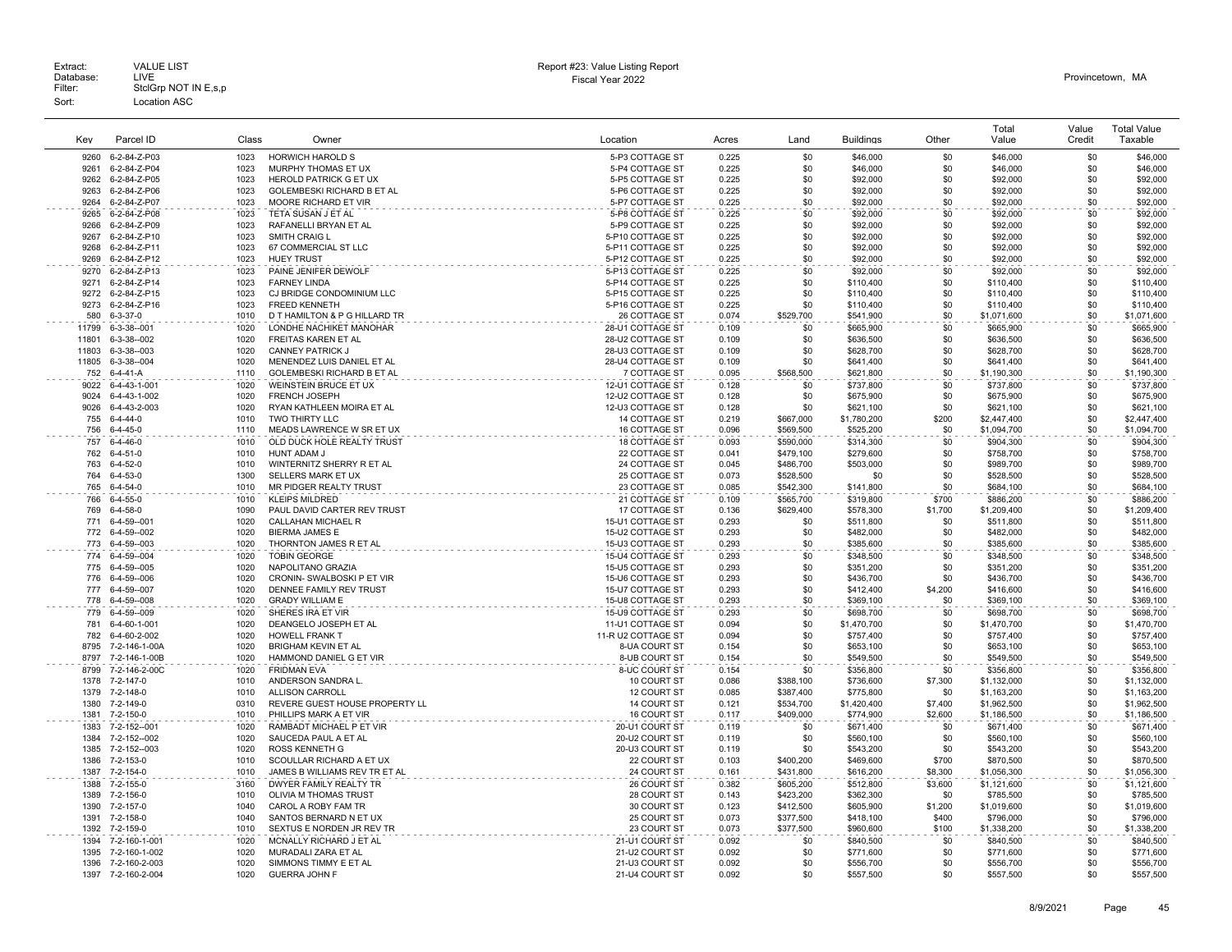| Kev            | Parcel ID                         | Class        | Owner                                                     | Location                             | Acres          | Land                   | <b>Buildings</b>       | Other            | Total<br>Value           | Value<br>Credit | <b>Total Value</b><br>Taxable |
|----------------|-----------------------------------|--------------|-----------------------------------------------------------|--------------------------------------|----------------|------------------------|------------------------|------------------|--------------------------|-----------------|-------------------------------|
| 9260           | 6-2-84-Z-P03                      | 1023         | HORWICH HAROLD S                                          | 5-P3 COTTAGE ST                      | 0.225          | \$0                    | \$46,000               | \$0              | \$46,000                 | \$0             | \$46,000                      |
| 9261           | 6-2-84-Z-P04                      | 1023         | MURPHY THOMAS ET UX                                       | 5-P4 COTTAGE ST                      | 0.225          | \$0                    | \$46,000               | \$0              | \$46,000                 | \$0             | \$46,000                      |
| 9262           | 6-2-84-Z-P05                      | 1023         | <b>HEROLD PATRICK G ET UX</b>                             | 5-P5 COTTAGE ST                      | 0.225          | \$0                    | \$92,000               | \$0              | \$92,000                 | \$0             | \$92,000                      |
| 9263           | 6-2-84-Z-P06                      | 1023         | GOLEMBESKI RICHARD B ET AL                                | 5-P6 COTTAGE ST                      | 0.225          | \$0                    | \$92,000               | \$0              | \$92,000                 | \$0             | \$92,000                      |
| 9264           | 6-2-84-Z-P07                      | 1023         | MOORE RICHARD ET VIR                                      | 5-P7 COTTAGE ST                      | 0.225          | \$0                    | \$92,000               | \$0              | \$92,000                 | \$0             | \$92,000                      |
| 9265           | 6-2-84-Z-P08                      | 1023         | TETA SUSAN J ET AL                                        | 5-P8 COTTAGE ST                      | 0.225          | \$0                    | \$92,000               | \$0              | \$92,000                 | \$0             | \$92,000                      |
| 9266           | 6-2-84-Z-P09                      | 1023         | RAFANELLI BRYAN ET AL                                     | 5-P9 COTTAGE ST                      | 0.225          | \$0                    | \$92,000               | \$0              | \$92,000                 | \$0             | \$92,000                      |
| 9267           | 6-2-84-Z-P10                      | 1023         | SMITH CRAIG L                                             | 5-P10 COTTAGE ST                     | 0.225          | \$0                    | \$92,000               | \$0              | \$92,000                 | \$0             | \$92,000                      |
| 9268           | 6-2-84-Z-P11                      | 1023         | 67 COMMERCIAL ST LLC                                      | 5-P11 COTTAGE ST                     | 0.225          | \$0                    | \$92,000               | \$0              | \$92,000                 | \$0             | \$92,000                      |
| 9269           | 6-2-84-Z-P12                      | 1023         | <b>HUEY TRUST</b>                                         | 5-P12 COTTAGE ST                     | 0.225          | \$0                    | \$92,000               | \$0              | \$92,000                 | \$0             | \$92,000                      |
| 9270           | 6-2-84-Z-P13                      | 1023         | PAINE JENIFER DEWOLF                                      | 5-P13 COTTAGE ST                     | 0.225          | \$0                    | \$92,000               | \$0              | \$92,000                 | \$0             | \$92,000                      |
| 9271           | 6-2-84-Z-P14                      | 1023         | <b>FARNEY LINDA</b>                                       | 5-P14 COTTAGE ST                     | 0.225          | \$0                    | \$110,400              | \$0              | \$110,400                | \$0             | \$110,400                     |
| 9272<br>9273   | 6-2-84-Z-P15                      | 1023         | CJ BRIDGE CONDOMINIUM LLC<br><b>FREED KENNETH</b>         | 5-P15 COTTAGE ST                     | 0.225          | \$0<br>\$0             | \$110,400              | \$0<br>\$0       | \$110,400                | \$0             | \$110,400                     |
| 580            | 6-2-84-Z-P16<br>$6 - 3 - 37 - 0$  | 1023<br>1010 | D T HAMILTON & P G HILLARD TR                             | 5-P16 COTTAGE ST<br>26 COTTAGE ST    | 0.225<br>0.074 | \$529,700              | \$110,400<br>\$541,900 | \$0              | \$110,400<br>\$1,071,600 | \$0<br>\$0      | \$110,400<br>\$1,071,600      |
|                |                                   | 1020         | LONDHE NACHIKET MANOHAR                                   |                                      |                |                        |                        | \$0              | \$665,900                | \$0             |                               |
| 11799<br>11801 | $6 - 3 - 38 - 001$<br>6-3-38--002 | 1020         | <b>FREITAS KAREN ET AL</b>                                | 28-U1 COTTAGE ST<br>28-U2 COTTAGE ST | 0.109<br>0.109 | \$0<br>\$0             | \$665,900<br>\$636,500 | \$0              | \$636,500                | \$0             | \$665,900<br>\$636,500        |
| 11803          | $6 - 3 - 38 - 003$                | 1020         | <b>CANNEY PATRICK J</b>                                   | 28-U3 COTTAGE ST                     | 0.109          | \$0                    | \$628,700              | \$0              | \$628,700                | \$0             | \$628,700                     |
| 11805          | 6-3-38--004                       | 1020         | MENENDEZ LUIS DANIEL ET AL                                | 28-U4 COTTAGE ST                     | 0.109          | \$0                    | \$641,400              | \$0              | \$641,400                | \$0             | \$641,400                     |
| 752            | 6-4-41-A                          | 1110         | GOLEMBESKI RICHARD B ET AL                                | 7 COTTAGE ST                         | 0.095          | \$568,500              | \$621,800              | \$0              | \$1,190,300              | \$0             | \$1,190,300                   |
| 9022           | 6-4-43-1-001                      | 1020         | WEINSTEIN BRUCE ET UX                                     | 12-U1 COTTAGE ST                     | 0.128          | \$0                    | \$737,800              | \$0              | \$737,800                | \$0             | \$737,800                     |
| 9024           | 6-4-43-1-002                      | 1020         | FRENCH JOSEPH                                             | 12-U2 COTTAGE ST                     | 0.128          | \$0                    | \$675,900              | \$0              | \$675,900                | \$0             | \$675,900                     |
| 9026           | 6-4-43-2-003                      | 1020         | RYAN KATHLEEN MOIRA ET AL                                 | 12-U3 COTTAGE ST                     | 0.128          | \$0                    | \$621,100              | \$0              | \$621,100                | \$0             | \$621,100                     |
| 755            | $6 - 4 - 44 - 0$                  | 1010         | TWO THIRTY LLC                                            | <b>14 COTTAGE ST</b>                 | 0.219          | \$667,000              | \$1,780,200            | \$200            | \$2,447,400              | \$0             | \$2,447.400                   |
| 756            | $6 - 4 - 45 - 0$                  | 1110         | MEADS LAWRENCE W SR ET UX                                 | 16 COTTAGE ST                        | 0.096          | \$569,500              | \$525,200              | \$0              | \$1,094,700              | \$0             | \$1,094,700                   |
| 757            | $6 - 4 - 46 - 0$                  | 1010         | OLD DUCK HOLE REALTY TRUST                                | <b>18 COTTAGE ST</b>                 | 0.093          | \$590,000              | \$314,300              | \$0              | \$904,300                | \$0             | \$904,300                     |
| 762            | $6 - 4 - 51 - 0$                  | 1010         | HUNT ADAM J                                               | 22 COTTAGE ST                        | 0.041          | \$479,100              | \$279,600              | \$0              | \$758,700                | \$0             | \$758,700                     |
| 763            | $6 - 4 - 52 - 0$                  | 1010         | WINTERNITZ SHERRY R ET AL                                 | 24 COTTAGE ST                        | 0.045          | \$486,700              | \$503,000              | \$0              | \$989,700                | \$0             | \$989,700                     |
| 764            | $6 - 4 - 53 - 0$                  | 1300         | SELLERS MARK ET UX                                        | 25 COTTAGE ST                        | 0.073          | \$528,500              | \$0                    | \$0              | \$528,500                | \$0             | \$528,500                     |
| 765            | $6 - 4 - 54 - 0$                  | 1010         | MR PIDGER REALTY TRUST                                    | 23 COTTAGE ST                        | 0.085          | \$542,300              | \$141,800              | \$0              | \$684,100                | \$0             | \$684,100                     |
| 766            | $6 - 4 - 55 - 0$                  | 1010         | <b>KLEIPS MILDRED</b>                                     | 21 COTTAGE ST                        | 0.109          | \$565,700              | \$319,800              | \$700            | \$886,200                | \$0             | \$886,200                     |
| 769            | $6 - 4 - 58 - 0$                  | 1090         | PAUL DAVID CARTER REV TRUST                               | 17 COTTAGE ST                        | 0.136          | \$629,400              | \$578,300              | \$1,700          | \$1,209,400              | \$0             | \$1,209,400                   |
| 771            | 6-4-59--001                       | 1020         | <b>CALLAHAN MICHAEL R</b>                                 | 15-U1 COTTAGE ST                     | 0.293          | \$0                    | \$511,800              | \$0              | \$511,800                | \$0<br>\$0      | \$511,800                     |
| 772<br>773     | 6-4-59--002<br>6-4-59--003        | 1020<br>1020 | <b>BIERMA JAMES E</b><br>THORNTON JAMES R ET AL           | 15-U2 COTTAGE ST<br>15-U3 COTTAGE ST | 0.293<br>0.293 | \$0<br>\$0             | \$482,000<br>\$385,600 | \$0<br>\$0       | \$482,000<br>\$385,600   | \$0             | \$482,000<br>\$385,600        |
| 774            |                                   | 1020         |                                                           |                                      |                |                        |                        | \$0              | \$348,500                | \$0             |                               |
|                | 6-4-59--004<br>775 6-4-59--005    | 1020         | <b>TOBIN GEORGE</b><br>NAPOLITANO GRAZIA                  | 15-U4 COTTAGE ST<br>15-U5 COTTAGE ST | 0.293<br>0.293 | \$0<br>\$0             | \$348,500<br>\$351,200 | \$0              | \$351,200                | \$0             | \$348,500<br>\$351,200        |
| 776            | 6-4-59--006                       | 1020         | CRONIN- SWALBOSKI P ET VIR                                | 15-U6 COTTAGE ST                     | 0.293          | \$0                    | \$436,700              | \$0              | \$436,700                | \$0             | \$436,700                     |
| 777            | 6-4-59--007                       | 1020         | DENNEE FAMILY REV TRUST                                   | 15-U7 COTTAGE ST                     | 0.293          | \$0                    | \$412,400              | \$4,200          | \$416,600                | \$0             | \$416,600                     |
| 778            | 6-4-59--008                       | 1020         | <b>GRADY WILLIAM E</b>                                    | 15-U8 COTTAGE ST                     | 0.293          | \$0                    | \$369,100              | \$0              | \$369,100                | \$0             | \$369,100                     |
| 779            | 6-4-59--009                       | 1020         | SHERES IRA ET VIR                                         | 15-U9 COTTAGE ST                     | 0.293          | \$0                    | \$698,700              | \$0              | \$698,700                | \$0             | \$698,700                     |
| 781            | 6-4-60-1-001                      | 1020         | DEANGELO JOSEPH ET AL                                     | 11-U1 COTTAGE ST                     | 0.094          | \$0                    | \$1,470,700            | \$0              | \$1,470,700              | \$0             | \$1,470,700                   |
| 782            | 6-4-60-2-002                      | 1020         | <b>HOWELL FRANK T</b>                                     | 11-R U2 COTTAGE ST                   | 0.094          | \$0                    | \$757,400              | \$0              | \$757,400                | \$0             | \$757,400                     |
| 8795           | 7-2-146-1-00A                     | 1020         | <b>BRIGHAM KEVIN ET AL</b>                                | 8-UA COURT ST                        | 0.154          | \$0                    | \$653,100              | \$0              | \$653,100                | \$0             | \$653,100                     |
| 8797           | 7-2-146-1-00B                     | 1020         | HAMMOND DANIEL G ET VIR                                   | 8-UB COURT ST                        | 0.154          | \$0                    | \$549,500              | \$0              | \$549,500                | \$0             | \$549,500                     |
| 8799           | 7-2-146-2-00C                     | 1020         | <b>FRIDMAN EVA</b>                                        | 8-UC COURT ST                        | 0.154          | \$0                    | \$356,800              | \$0              | \$356,800                | \$0             | \$356,800                     |
| 1378           | 7-2-147-0                         | 1010         | ANDERSON SANDRA L.                                        | 10 COURT ST                          | 0.086          | \$388,100              | \$736,600              | \$7,300          | \$1,132,000              | \$0             | \$1,132,000                   |
| 1379           | 7-2-148-0                         | 1010         | <b>ALLISON CARROLL</b>                                    | 12 COURT ST                          | 0.085          | \$387,400              | \$775,800              | \$0              | \$1,163,200              | \$0             | \$1,163,200                   |
| 1380           | 7-2-149-0                         | 0310         | REVERE GUEST HOUSE PROPERTY LL                            | <b>14 COURT ST</b>                   | 0.121          | \$534,700              | \$1,420,400            | \$7,400          | \$1,962,500              | \$0             | \$1,962,500                   |
| 1381           | 7-2-150-0                         | 1010         | PHILLIPS MARK A ET VIR                                    | 16 COURT ST                          | 0.117          | \$409,000              | \$774,900              | \$2,600          | \$1,186,500              | \$0             | \$1,186,500                   |
| 1383           | 7-2-152--001                      | 1020         | RAMBADT MICHAEL P ET VIR                                  | 20-U1 COURT ST                       | 0.119          | \$0                    | \$671,400              | \$0              | \$671,400                | \$0             | \$671,400                     |
| 1384           | 7-2-152--002                      | 1020         | SAUCEDA PAUL A ET AL                                      | 20-U2 COURT ST                       | 0.119          | \$0                    | \$560,100              | \$0              | \$560,100                | \$0             | \$560,100                     |
| 1385           | 7-2-152--003                      | 1020         | <b>ROSS KENNETH G</b>                                     | 20-U3 COURT ST                       | 0.119          | \$0                    | \$543,200              | \$0              | \$543,200                | \$0<br>\$0      | \$543,200                     |
| 1386<br>1387   | 7-2-153-0<br>7-2-154-0            | 1010<br>1010 | SCOULLAR RICHARD A ET UX<br>JAMES B WILLIAMS REV TR ET AL | 22 COURT ST<br>24 COURT ST           | 0.103<br>0.161 | \$400,200<br>\$431,800 | \$469,600<br>\$616,200 | \$700<br>\$8,300 | \$870,500<br>\$1,056,300 | \$0             | \$870,500<br>\$1,056,300      |
| 1388           | 7-2-155-0                         | 3160         | DWYER FAMILY REALTY TR                                    | 26 COURT ST                          | 0.382          | \$605,200              | \$512,800              | \$3,600          | \$1,121,600              | \$0             | \$1,121,600                   |
| 1389           | 7-2-156-0                         | 1010         | <b>OLIVIA M THOMAS TRUST</b>                              | 28 COURT ST                          | 0.143          | \$423,200              | \$362,300              | \$0              | \$785,500                | \$0             | \$785,500                     |
| 1390           | 7-2-157-0                         | 1040         | CAROL A ROBY FAM TR                                       | 30 COURT ST                          | 0.123          | \$412,500              | \$605,900              | \$1,200          | \$1,019,600              | \$0             | \$1,019,600                   |
| 1391           | 7-2-158-0                         | 1040         | SANTOS BERNARD N ET UX                                    | 25 COURT ST                          | 0.073          | \$377,500              | \$418,100              | \$400            | \$796,000                | \$0             | \$796,000                     |
| 1392           | 7-2-159-0                         | 1010         | SEXTUS E NORDEN JR REV TR                                 | 23 COURT ST                          | 0.073          | \$377,500              | \$960,600              | \$100            | \$1,338,200              | \$0             | \$1,338,200                   |
| 1394           | 7-2-160-1-001                     | 1020         | MCNALLY RICHARD J ET AL                                   | 21-U1 COURT ST                       | 0.092          | \$0                    | \$840,500              | \$0              | \$840,500                | \$0             | \$840,500                     |
| 1395           | 7-2-160-1-002                     | 1020         | MURADALI ZARA ET AL                                       | 21-U2 COURT ST                       | 0.092          | \$0                    | \$771,600              | \$0              | \$771,600                | \$0             | \$771,600                     |
|                | 1396 7-2-160-2-003                | 1020         | SIMMONS TIMMY E ET AL                                     | 21-U3 COURT ST                       | 0.092          | \$0                    | \$556,700              | \$0              | \$556,700                | \$0             | \$556,700                     |
|                | 1397 7-2-160-2-004                | 1020         | <b>GUERRA JOHN F</b>                                      | 21-U4 COURT ST                       | 0.092          | \$0                    | \$557.500              | \$0              | \$557.500                | \$0             | \$557,500                     |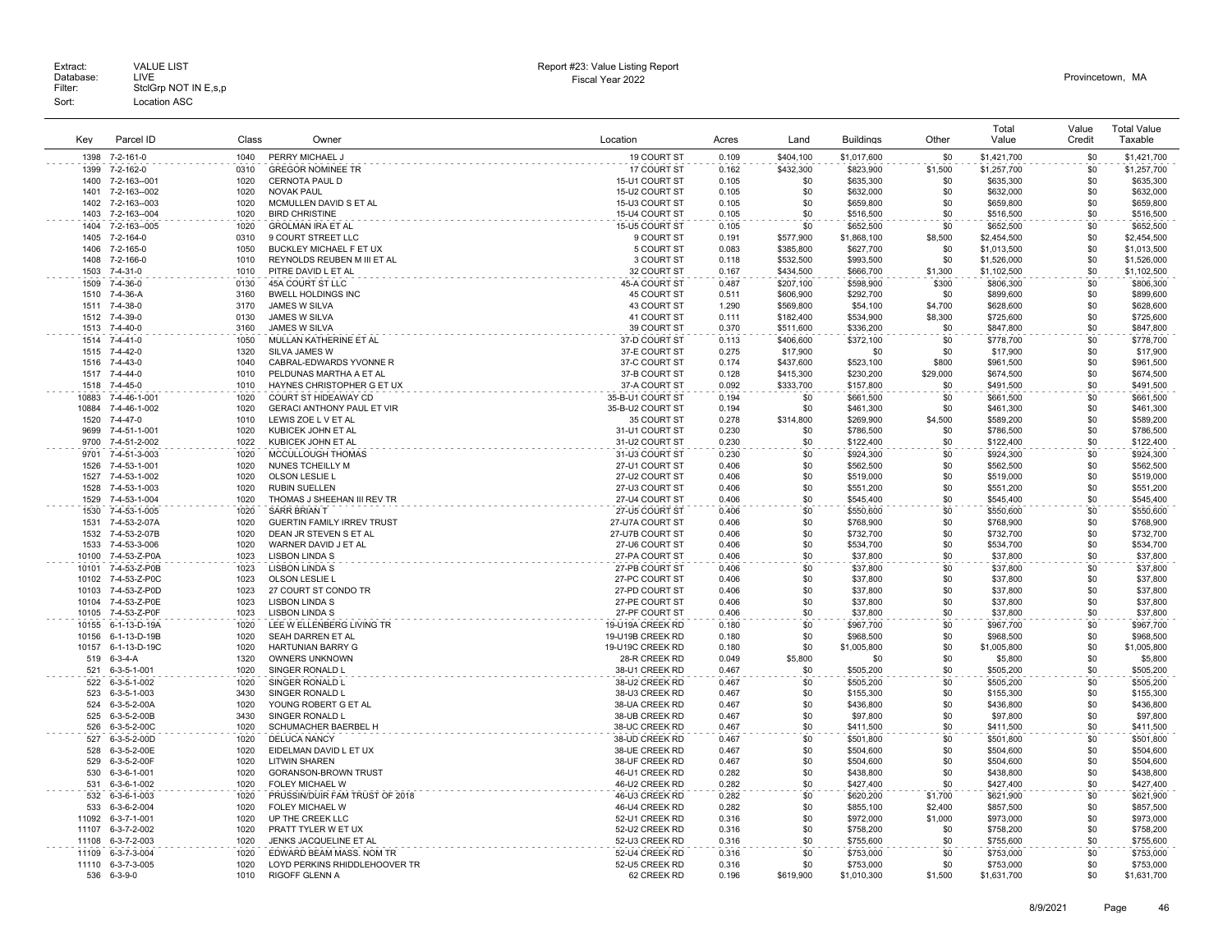|              |                               |              |                                                     |                                  |                |                        |                        |              | Total                  | Value      | <b>Total Value</b>     |
|--------------|-------------------------------|--------------|-----------------------------------------------------|----------------------------------|----------------|------------------------|------------------------|--------------|------------------------|------------|------------------------|
| Kev          | Parcel ID                     | Class        | Owner                                               | Location                         | Acres          | Land                   | <b>Buildings</b>       | Other        | Value                  | Credit     | Taxable                |
| 1398         | 7-2-161-0                     | 1040         | PERRY MICHAEL J                                     | 19 COURT ST                      | 0.109          | \$404,100              | \$1,017,600            | \$0          | \$1,421,700            | \$0        | \$1,421,700            |
| 1399         | 7-2-162-0                     | 0310         | <b>GREGOR NOMINEE TR</b>                            | 17 COURT ST                      | 0.162          | \$432,300              | \$823,900              | \$1,500      | \$1,257,700            | \$0        | \$1,257,700            |
| 1400         | 7-2-163--001                  | 1020         | CERNOTA PAUL D                                      | 15-U1 COURT ST                   | 0.105          | \$0                    | \$635,300              | \$0          | \$635,300              | \$0        | \$635,300              |
| 1401         | 7-2-163--002                  | 1020         | <b>NOVAK PAUL</b>                                   | 15-U2 COURT ST                   | 0.105          | \$0                    | \$632,000              | \$0          | \$632,000              | \$0        | \$632,000              |
| 1402         | 7-2-163--003                  | 1020         | MCMULLEN DAVID S ET AL                              | 15-U3 COURT ST                   | 0.105          | \$0                    | \$659,800              | \$0          | \$659,800              | \$0        | \$659,800              |
| 1403         | 7-2-163--004                  | 1020         | <b>BIRD CHRISTINE</b>                               | 15-U4 COURT ST                   | 0.105          | \$0                    | \$516,500              | \$0          | \$516,500              | \$0        | \$516,500              |
| 1404         | 7-2-163--005                  | 1020         | <b>GROLMAN IRA ET AL</b>                            | 15-U5 COURT ST                   | 0.105          | \$0                    | \$652,500              | \$0          | \$652,500              | \$0        | \$652,500              |
| 1405         | 7-2-164-0                     | 0310         | 9 COURT STREET LLC                                  | 9 COURT ST                       | 0.191          | \$577,900              | \$1,868,100            | \$8,500      | \$2,454,500            | \$0        | \$2,454,500            |
| 1406         | 7-2-165-0                     | 1050         | BUCKLEY MICHAEL F ET UX                             | 5 COURT ST                       | 0.083          | \$385,800              | \$627,700              | \$0          | \$1,013,500            | \$0        | \$1,013,500            |
| 1408<br>1503 | 7-2-166-0<br>$7 - 4 - 31 - 0$ | 1010<br>1010 | REYNOLDS REUBEN M III ET AL                         | 3 COURT ST                       | 0.118<br>0.167 | \$532,500              | \$993,500              | \$0          | \$1,526,000            | \$0<br>\$0 | \$1,526,000            |
|              |                               |              | PITRE DAVID L ET AL<br>45A COURT ST LLC             | 32 COURT ST                      |                | \$434,500              | \$666,700              | \$1,300      | \$1,102,500            | \$0        | \$1,102,500            |
| 1509<br>1510 | 7-4-36-0<br>7-4-36-A          | 0130<br>3160 | <b>BWELL HOLDINGS INC</b>                           | 45-A COURT ST<br>45 COURT ST     | 0.487<br>0.511 | \$207.100<br>\$606,900 | \$598,900<br>\$292,700 | \$300<br>\$0 | \$806.300<br>\$899,600 | \$0        | \$806,300<br>\$899,600 |
| 1511         | 7-4-38-0                      | 3170         | JAMES W SILVA                                       | 43 COURT ST                      | 1.290          | \$569,800              | \$54,100               | \$4,700      | \$628,600              | \$0        | \$628,600              |
| 1512         | 7-4-39-0                      | 0130         | JAMES W SILVA                                       | 41 COURT ST                      | 0.111          | \$182,400              | \$534,900              | \$8,300      | \$725,600              | \$0        | \$725,600              |
| 1513         | 7-4-40-0                      | 3160         | <b>JAMES W SILVA</b>                                | 39 COURT ST                      | 0.370          | \$511,600              | \$336,200              | \$0          | \$847,800              | \$0        | \$847,800              |
| 1514         | 7-4-41-0                      | 1050         | MULLAN KATHERINE ET AL                              | 37-D COURT ST                    | 0.113          | \$406,600              | \$372.100              | \$0          | \$778,700              | \$0        | \$778,700              |
| 1515         | 7-4-42-0                      | 1320         | SILVA JAMES W                                       | 37-E COURT ST                    | 0.275          | \$17,900               | \$0                    | \$0          | \$17,900               | \$0        | \$17,900               |
| 1516         | 7-4-43-0                      | 1040         | CABRAL-EDWARDS YVONNE R                             | 37-C COURT ST                    | 0.174          | \$437,600              | \$523,100              | \$800        | \$961,500              | \$0        | \$961,500              |
| 1517         | $7 - 4 - 44 - 0$              | 1010         | PELDUNAS MARTHA A ET AL                             | 37-B COURT ST                    | 0.128          | \$415,300              | \$230,200              | \$29,000     | \$674,500              | \$0        | \$674,500              |
| 1518         | 7-4-45-0                      | 1010         | HAYNES CHRISTOPHER G ET UX                          | 37-A COURT ST                    | 0.092          | \$333,700              | \$157,800              | \$0          | \$491,500              | \$0        | \$491,500              |
| 10883        | 7-4-46-1-001                  | 1020         | COURT ST HIDEAWAY CD                                | 35-B-U1 COURT ST                 | 0.194          | \$0                    | \$661,500              | \$0          | \$661,500              | \$0        | \$661,500              |
| 10884        | 7-4-46-1-002                  | 1020         | <b>GERACI ANTHONY PAUL ET VIR</b>                   | 35-B-U2 COURT ST                 | 0.194          | \$0                    | \$461,300              | \$0          | \$461,300              | \$0        | \$461,300              |
| 1520         | $7 - 4 - 47 - 0$              | 1010         | LEWIS ZOE L V ET AL                                 | 35 COURT ST                      | 0.278          | \$314,800              | \$269,900              | \$4,500      | \$589,200              | \$0        | \$589,200              |
| 9699         | 7-4-51-1-001                  | 1020         | KUBICEK JOHN ET AL                                  | 31-U1 COURT ST                   | 0.230          | \$0                    | \$786,500              | \$0          | \$786,500              | \$0        | \$786,500              |
| 9700         | 7-4-51-2-002                  | 1022         | KUBICEK JOHN ET AL                                  | 31-U2 COURT ST                   | 0.230          | \$0                    | \$122,400              | \$0          | \$122,400              | \$0        | \$122,400              |
| 9701         | 7-4-51-3-003                  | 1020         | MCCULLOUGH THOMAS                                   | 31-U3 COURT ST                   | 0.230          | \$0                    | \$924,300              | \$0          | \$924,300              | \$0        | \$924,300              |
| 1526         | 7-4-53-1-001                  | 1020         | NUNES TCHEILLY M                                    | 27-U1 COURT ST                   | 0.406          | \$0                    | \$562.500              | \$0          | \$562.500              | \$0        | \$562,500              |
| 1527         | 7-4-53-1-002                  | 1020         | OLSON LESLIE L                                      | 27-U2 COURT ST                   | 0.406          | \$0                    | \$519,000              | \$0          | \$519,000              | \$0        | \$519,000              |
| 1528<br>1529 | 7-4-53-1-003<br>7-4-53-1-004  | 1020<br>1020 | <b>RUBIN SUELLEN</b><br>THOMAS J SHEEHAN III REV TR | 27-U3 COURT ST<br>27-U4 COURT ST | 0.406<br>0.406 | \$0<br>\$0             | \$551,200              | \$0<br>\$0   | \$551,200<br>\$545,400 | \$0<br>\$0 | \$551,200              |
| 1530         | 7-4-53-1-005                  | 1020         | <b>SARR BRIAN T</b>                                 | 27-U5 COURT ST                   | 0.406          | \$0                    | \$545,400<br>\$550,600 | \$0          | \$550,600              | \$0        | \$545,400<br>\$550,600 |
| 1531         | 7-4-53-2-07A                  | 1020         | <b>GUERTIN FAMILY IRREV TRUST</b>                   | 27-U7A COURT ST                  | 0.406          | \$0                    | \$768,900              | \$0          | \$768,900              | \$0        | \$768,900              |
| 1532         | 7-4-53-2-07B                  | 1020         | DEAN JR STEVEN S ET AL                              | 27-U7B COURT ST                  | 0.406          | \$0                    | \$732,700              | \$0          | \$732,700              | \$0        | \$732,700              |
| 1533         | 7-4-53-3-006                  | 1020         | WARNER DAVID J ET AL                                | 27-U6 COURT ST                   | 0.406          | \$0                    | \$534,700              | \$0          | \$534,700              | \$0        | \$534,700              |
| 10100        | 7-4-53-Z-P0A                  | 1023         | <b>LISBON LINDA S</b>                               | 27-PA COURT ST                   | 0.406          | \$0                    | \$37,800               | \$0          | \$37,800               | \$0        | \$37,800               |
| 10101        | 7-4-53-Z-P0B                  | 1023         | <b>LISBON LINDA S</b>                               | 27-PB COURT ST                   | 0.406          | \$0                    | \$37,800               | \$0          | \$37,800               | \$0        | \$37,800               |
| 10102        | 7-4-53-Z-P0C                  | 1023         | OLSON LESLIE L                                      | 27-PC COURT ST                   | 0.406          | \$0                    | \$37,800               | \$0          | \$37,800               | \$0        | \$37,800               |
| 10103        | 7-4-53-Z-P0D                  | 1023         | 27 COURT ST CONDO TR                                | 27-PD COURT ST                   | 0.406          | \$0                    | \$37,800               | \$0          | \$37,800               | \$0        | \$37,800               |
| 10104        | 7-4-53-Z-P0E                  | 1023         | <b>LISBON LINDA S</b>                               | 27-PE COURT ST                   | 0.406          | \$0                    | \$37,800               | \$0          | \$37,800               | \$0        | \$37,800               |
| 10105        | 7-4-53-Z-P0F                  | 1023         | LISBON LINDA S                                      | 27-PF COURT ST                   | 0.406          | \$0                    | \$37,800               | \$0          | \$37,800               | \$0        | \$37,800               |
| 10155        | 6-1-13-D-19A                  | 1020         | LEE W ELLENBERG LIVING TR                           | 19-U19A CREEK RD                 | 0.180          | \$0                    | \$967,700              | \$0          | \$967,700              | \$0        | \$967,700              |
| 10156        | 6-1-13-D-19B                  | 1020         | SEAH DARREN ET AL                                   | 19-U19B CREEK RD                 | 0.180          | \$0                    | \$968,500              | \$0          | \$968,500              | \$0        | \$968,500              |
| 10157        | 6-1-13-D-19C                  | 1020         | <b>HARTUNIAN BARRY G</b>                            | 19-U19C CREEK RD                 | 0.180          | \$0                    | \$1,005,800            | \$0          | \$1,005,800            | \$0        | \$1,005,800            |
| 519          | $6 - 3 - 4 - A$               | 1320         | OWNERS UNKNOWN                                      | 28-R CREEK RD                    | 0.049          | \$5,800                | \$0                    | \$0          | \$5,800                | \$0        | \$5,800                |
| 521          | 6-3-5-1-001                   | 1020         | SINGER RONALD L                                     | 38-U1 CREEK RD                   | 0.467          | \$0                    | \$505,200              | \$0          | \$505,200              | \$0        | \$505,200              |
| 522<br>523   | 6-3-5-1-002<br>6-3-5-1-003    | 1020<br>3430 | SINGER RONALD L<br>SINGER RONALD L                  | 38-U2 CREEK RD<br>38-U3 CREEK RD | 0.467<br>0.467 | \$0<br>\$0             | \$505,200<br>\$155,300 | \$0<br>\$0   | \$505,200              | \$0<br>\$0 | \$505,200<br>\$155,300 |
| 524          | 6-3-5-2-00A                   | 1020         | YOUNG ROBERT G ET AL                                | 38-UA CREEK RD                   | 0.467          | \$0                    | \$436,800              | \$0          | \$155,300<br>\$436,800 | \$0        | \$436,800              |
| 525          | 6-3-5-2-00B                   | 3430         | SINGER RONALD L                                     | 38-UB CREEK RD                   | 0.467          | \$0                    | \$97,800               | \$0          | \$97,800               | \$0        | \$97,800               |
| 526          | 6-3-5-2-00C                   | 1020         | SCHUMACHER BAERBEL H                                | 38-UC CREEK RD                   | 0.467          | \$0                    | \$411,500              | \$0          | \$411,500              | \$0        | \$411,500              |
| 527          | 6-3-5-2-00D                   | 1020         | <b>DELUCA NANCY</b>                                 | 38-UD CREEK RD                   | 0.467          | \$0                    | \$501.800              | \$0          | \$501.800              | \$0        | \$501.800              |
| 528          | 6-3-5-2-00E                   | 1020         | EIDELMAN DAVID L ET UX                              | 38-UE CREEK RD                   | 0.467          | \$0                    | \$504,600              | \$0          | \$504,600              | \$0        | \$504,600              |
| 529          | 6-3-5-2-00F                   | 1020         | <b>LITWIN SHAREN</b>                                | 38-UF CREEK RD                   | 0.467          | \$0                    | \$504,600              | \$0          | \$504,600              | \$0        | \$504,600              |
| 530          | 6-3-6-1-001                   | 1020         | <b>GORANSON-BROWN TRUST</b>                         | 46-U1 CREEK RD                   | 0.282          | \$0                    | \$438,800              | \$0          | \$438,800              | \$0        | \$438,800              |
| 531          | 6-3-6-1-002                   | 1020         | FOLEY MICHAEL W                                     | 46-U2 CREEK RD                   | 0.282          | \$0                    | \$427,400              | \$0          | \$427,400              | \$0        | \$427,400              |
| 532          | 6-3-6-1-003                   | 1020         | PRUSSIN/DUIR FAM TRUST OF 2018                      | 46-U3 CREEK RD                   | 0.282          | \$0                    | \$620,200              | \$1,700      | \$621,900              | \$0        | \$621,900              |
| 533          | 6-3-6-2-004                   | 1020         | FOLEY MICHAEL W                                     | 46-U4 CREEK RD                   | 0.282          | \$0                    | \$855,100              | \$2,400      | \$857,500              | \$0        | \$857,500              |
| 11092        | 6-3-7-1-001                   | 1020         | UP THE CREEK LLC                                    | 52-U1 CREEK RD                   | 0.316          | \$0                    | \$972,000              | \$1,000      | \$973,000              | \$0        | \$973,000              |
| 11107        | 6-3-7-2-002                   | 1020         | PRATT TYLER W ET UX                                 | 52-U2 CREEK RD                   | 0.316          | \$0                    | \$758,200              | \$0          | \$758,200              | \$0        | \$758,200              |
| 11108        | 6-3-7-2-003                   | 1020         | JENKS JACQUELINE ET AL                              | 52-U3 CREEK RD                   | 0.316          | \$0                    | \$755,600              | \$0          | \$755,600              | \$0        | \$755,600              |
| 11109        | 6-3-7-3-004                   | 1020         | EDWARD BEAM MASS. NOM TR                            | 52-U4 CREEK RD                   | 0.316          | \$0                    | \$753,000              | \$0          | \$753,000              | \$0        | \$753,000              |
| 11110        | 6-3-7-3-005                   | 1020         | LOYD PERKINS RHIDDLEHOOVER TR                       | 52-U5 CREEK RD                   | 0.316          | \$0                    | \$753,000              | \$0          | \$753,000              | \$0        | \$753,000              |
| 536          | $6 - 3 - 9 - 0$               | 1010         | <b>RIGOFF GLENN A</b>                               | 62 CREEK RD                      | 0.196          | \$619,900              | \$1,010,300            | \$1,500      | \$1,631,700            | \$0        | \$1.631.700            |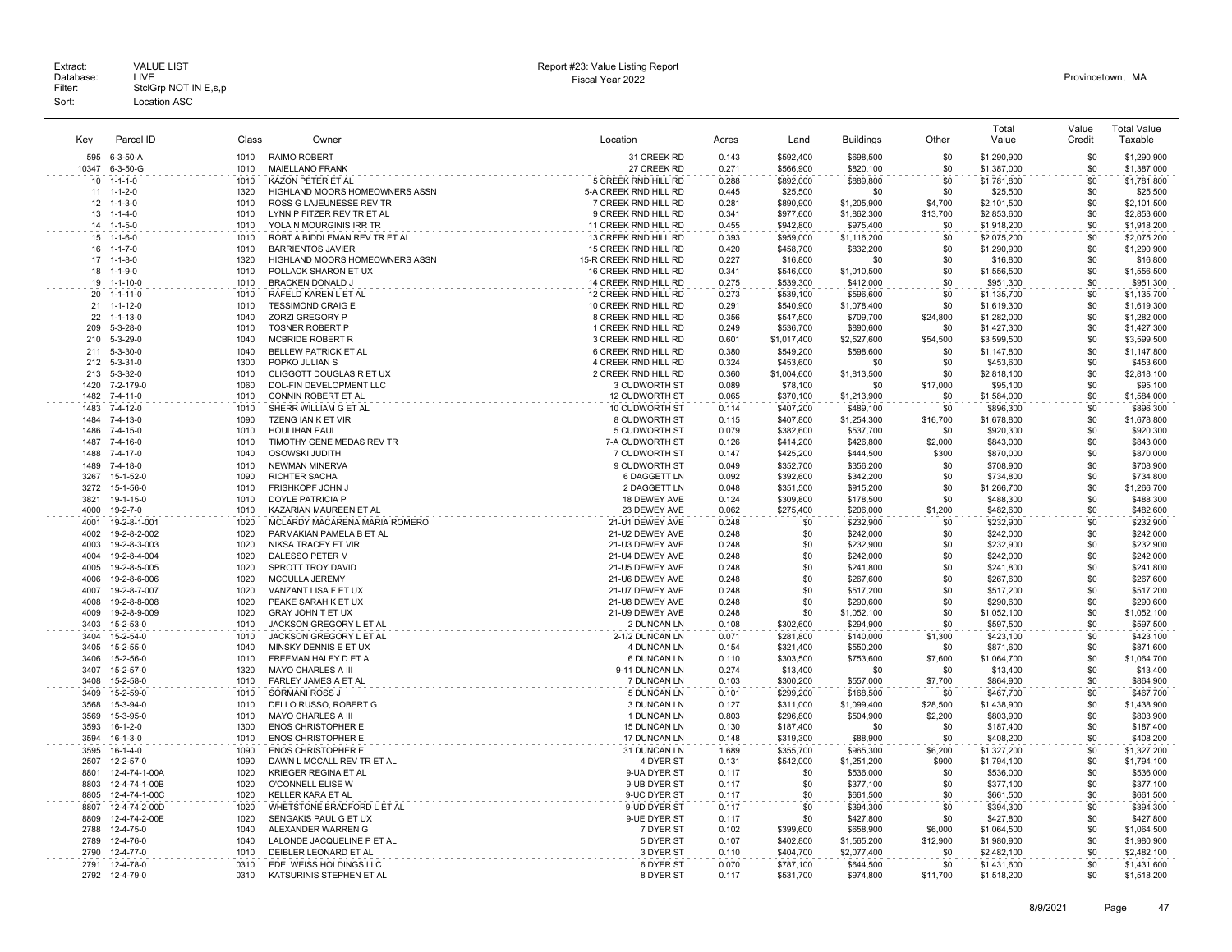| Kev          | Parcel ID                          | Class        | Owner                                           | Location                                     | Acres          | Land                   | <b>Buildings</b>         | Other          | Total<br>Value           | Value<br>Credit | <b>Total Value</b><br>Taxable |
|--------------|------------------------------------|--------------|-------------------------------------------------|----------------------------------------------|----------------|------------------------|--------------------------|----------------|--------------------------|-----------------|-------------------------------|
| 595          | $6-3-50-A$                         | 1010         | <b>RAIMO ROBERT</b>                             | 31 CREEK RD                                  | 0.143          | \$592,400              | \$698,500                | \$0            | \$1,290,900              | \$0             | \$1,290,900                   |
| 10347        | 6-3-50-G                           | 1010         | <b>MAIELLANO FRANK</b>                          | 27 CREEK RD                                  | 0.271          | \$566,900              | \$820,100                | \$0            | \$1,387,000              | \$0             | \$1,387,000                   |
| 10           | $1 - 1 - 1 - 0$                    | 1010         | KAZON PETER ET AL                               | 5 CREEK RND HILL RD                          | 0.288          | \$892,000              | \$889,800                | \$0            | \$1,781,800              | \$0             | \$1,781,800                   |
| 11           | $1 - 1 - 2 - 0$                    | 1320         | HIGHLAND MOORS HOMEOWNERS ASSN                  | 5-A CREEK RND HILL RD                        | 0.445          | \$25,500               | \$0                      | \$0            | \$25,500                 | \$0             | \$25,500                      |
| 12           | $1 - 1 - 3 - 0$                    | 1010         | ROSS G LAJEUNESSE REV TR                        | 7 CREEK RND HILL RD                          | 0.281          | \$890,900              | \$1,205,900              | \$4,700        | \$2,101,500              | \$0             | \$2,101,500                   |
| 13           | $1 - 1 - 4 - 0$                    | 1010         | LYNN P FITZER REV TR ET AL                      | 9 CREEK RND HILL RD                          | 0.341          | \$977,600              | \$1,862,300              | \$13,700       | \$2,853,600              | \$0             | \$2,853,600                   |
| 14           | $1 - 1 - 5 - 0$                    | 1010         | YOLA N MOURGINIS IRR TR                         | 11 CREEK RND HILL RD                         | 0.455          | \$942,800              | \$975,400                | \$0            | \$1,918,200              | \$0             | \$1,918,200                   |
| 15           | $1 - 1 - 6 - 0$                    | 1010         | ROBT A BIDDLEMAN REV TR ET AL                   | 13 CREEK RND HILL RD                         | 0.393          | \$959.000              | \$1,116,200              | \$0            | \$2,075.200              | \$0             | \$2.075.200                   |
| 16           | $1 - 1 - 7 - 0$                    | 1010         | <b>BARRIENTOS JAVIER</b>                        | 15 CREEK RND HILL RD                         | 0.420          | \$458,700              | \$832,200                | \$0            | \$1,290,900              | \$0             | \$1,290,900                   |
| 17<br>18     | $1 - 1 - 8 - 0$<br>$1 - 1 - 9 - 0$ | 1320<br>1010 | HIGHLAND MOORS HOMEOWNERS ASSN                  | 15-R CREEK RND HILL RD                       | 0.227          | \$16,800               | \$0                      | \$0<br>\$0     | \$16,800                 | \$0<br>\$0      | \$16,800                      |
| 19           | $1 - 1 - 10 - 0$                   | 1010         | POLLACK SHARON ET UX<br><b>BRACKEN DONALD J</b> | 16 CREEK RND HILL RD<br>14 CREEK RND HILL RD | 0.341<br>0.275 | \$546,000<br>\$539,300 | \$1,010,500<br>\$412,000 | \$0            | \$1,556,500<br>\$951,300 | \$0             | \$1,556,500<br>\$951,300      |
| 20           | $1 - 1 - 11 - 0$                   | 1010         | RAFELD KAREN L ET AL                            | 12 CREEK RND HILL RD                         | 0.273          | \$539,100              | \$596,600                | \$0            | \$1,135,700              | \$0             | \$1,135,700                   |
| 21           | $1 - 1 - 12 - 0$                   | 1010         | <b>TESSIMOND CRAIG E</b>                        | 10 CREEK RND HILL RD                         | 0.291          | \$540,900              | \$1,078,400              | \$0            | \$1,619,300              | \$0             | \$1,619,300                   |
| 22           | $1 - 1 - 13 - 0$                   | 1040         | ZORZI GREGORY P                                 | 8 CREEK RND HILL RD                          | 0.356          | \$547,500              | \$709,700                | \$24,800       | \$1,282,000              | \$0             | \$1,282,000                   |
| 209          | $5 - 3 - 28 - 0$                   | 1010         | <b>TOSNER ROBERT P</b>                          | 1 CREEK RND HILL RD                          | 0.249          | \$536,700              | \$890,600                | \$0            | \$1,427,300              | \$0             | \$1,427,300                   |
| 210          | $5 - 3 - 29 - 0$                   | 1040         | MCBRIDE ROBERT R                                | 3 CREEK RND HILL RD                          | 0.601          | \$1,017,400            | \$2,527,600              | \$54,500       | \$3,599,500              | \$0             | \$3,599,500                   |
| 211          | $5 - 3 - 30 - 0$                   | 1040         | BELLEW PATRICK ET AL                            | 6 CREEK RND HILL RD                          | 0.380          | \$549,200              | \$598,600                | \$0            | \$1,147,800              | \$0             | \$1,147,800                   |
| 212          | $5 - 3 - 31 - 0$                   | 1300         | POPKO JULIAN S                                  | 4 CREEK RND HILL RD                          | 0.324          | \$453,600              | \$0                      | \$0            | \$453,600                | \$0             | \$453,600                     |
| 213          | $5 - 3 - 32 - 0$                   | 1010         | CLIGGOTT DOUGLAS R ET UX                        | 2 CREEK RND HILL RD                          | 0.360          | \$1,004,600            | \$1,813,500              | \$0            | \$2,818,100              | \$0             | \$2,818,100                   |
| 1420         | 7-2-179-0                          | 1060         | DOL-FIN DEVELOPMENT LLC                         | 3 CUDWORTH ST                                | 0.089          | \$78,100               | \$0                      | \$17,000       | \$95,100                 | \$0             | \$95,100                      |
| 1482         | 7-4-11-0                           | 1010         | CONNIN ROBERT ET AL                             | <b>12 CUDWORTH ST</b>                        | 0.065          | \$370,100              | \$1,213,900              | \$0            | \$1,584,000              | \$0             | \$1,584,000                   |
| 1483         | 7-4-12-0                           | 1010         | SHERR WILLIAM G ET AL                           | 10 CUDWORTH ST                               | 0.114          | \$407,200              | \$489,100                | \$0            | \$896,300                | \$0             | \$896,300                     |
| 1484         | $7 - 4 - 13 - 0$                   | 1090         | TZENG IAN K ET VIR                              | 8 CUDWORTH ST                                | 0.115          | \$407.800              | \$1,254,300              | \$16,700       | \$1,678,800              | \$0             | \$1,678,800                   |
| 1486         | 7-4-15-0                           | 1010         | <b>HOULIHAN PAUL</b>                            | 5 CUDWORTH ST                                | 0.079          | \$382,600              | \$537,700                | \$0            | \$920,300                | \$0             | \$920,300                     |
| 1487         | 7-4-16-0                           | 1010         | TIMOTHY GENE MEDAS REV TR                       | 7-A CUDWORTH ST                              | 0.126          | \$414,200              | \$426,800                | \$2,000        | \$843,000                | \$0             | \$843,000                     |
| 1488         | $7 - 4 - 17 - 0$                   | 1040         | OSOWSKI JUDITH                                  | 7 CUDWORTH ST                                | 0.147          | \$425,200              | \$444,500                | \$300          | \$870,000                | \$0             | \$870,000                     |
| 1489         | $7 - 4 - 18 - 0$                   | 1010         | <b>NEWMAN MINERVA</b>                           | 9 CUDWORTH ST                                | 0.049          | \$352.700              | \$356.200                | \$0            | \$708,900                | \$0             | \$708,900                     |
| 3267         | 15-1-52-0                          | 1090         | <b>RICHTER SACHA</b>                            | 6 DAGGETT LN                                 | 0.092          | \$392,600              | \$342,200                | \$0            | \$734,800                | \$0             | \$734,800                     |
| 3272<br>3821 | 15-1-56-0                          | 1010<br>1010 | FRISHKOPF JOHN J<br>DOYLE PATRICIA P            | 2 DAGGETT LN                                 | 0.048          | \$351,500              | \$915,200                | \$0            | \$1,266,700              | \$0             | \$1,266,700                   |
| 4000         | 19-1-15-0<br>19-2-7-0              | 1010         | KAZARIAN MAUREEN ET AL                          | 18 DEWEY AVE<br>23 DEWEY AVE                 | 0.124<br>0.062 | \$309,800<br>\$275,400 | \$178,500<br>\$206,000   | \$0<br>\$1,200 | \$488,300<br>\$482,600   | \$0<br>\$0      | \$488,300<br>\$482,600        |
| 4001         | 19-2-8-1-001                       | 1020         | MCLARDY MACARENA MARIA ROMERO                   | 21-U1 DEWEY AVE                              | 0.248          | \$0                    | \$232,900                | \$0            | \$232,900                | \$0             | \$232,900                     |
| 4002         | 19-2-8-2-002                       | 1020         | PARMAKIAN PAMELA B ET AL                        | 21-U2 DEWEY AVE                              | 0.248          | \$0                    | \$242,000                | \$0            | \$242,000                | \$0             | \$242,000                     |
| 4003         | 19-2-8-3-003                       | 1020         | NIKSA TRACEY ET VIR                             | 21-U3 DEWEY AVE                              | 0.248          | \$0                    | \$232,900                | \$0            | \$232,900                | \$0             | \$232,900                     |
| 4004         | 19-2-8-4-004                       | 1020         | DALESSO PETER M                                 | 21-U4 DEWEY AVE                              | 0.248          | \$0                    | \$242,000                | \$0            | \$242,000                | \$0             | \$242,000                     |
| 4005         | 19-2-8-5-005                       | 1020         | SPROTT TROY DAVID                               | 21-U5 DEWEY AVE                              | 0.248          | \$0                    | \$241,800                | \$0            | \$241,800                | \$0             | \$241,800                     |
| 4006         | 19-2-8-6-006                       | 1020         | MCCULLA JEREMY                                  | 21-U6 DEWEY AVE                              | 0.248          | \$0                    | \$267,600                | \$0            | \$267,600                | \$0             | \$267,600                     |
| 4007         | 19-2-8-7-007                       | 1020         | VANZANT LISA F ET UX                            | 21-U7 DEWEY AVE                              | 0.248          | \$0                    | \$517,200                | \$0            | \$517,200                | \$0             | \$517,200                     |
| 4008         | 19-2-8-8-008                       | 1020         | PEAKE SARAH K ET UX                             | 21-U8 DEWEY AVE                              | 0.248          | \$0                    | \$290,600                | \$0            | \$290,600                | \$0             | \$290,600                     |
| 4009         | 19-2-8-9-009                       | 1020         | <b>GRAY JOHN T ET UX</b>                        | 21-U9 DEWEY AVE                              | 0.248          | \$0                    | \$1,052,100              | \$0            | \$1,052,100              | \$0             | \$1,052,100                   |
| 3403         | 15-2-53-0                          | 1010         | JACKSON GREGORY L ET AL                         | 2 DUNCAN LN                                  | 0.108          | \$302,600              | \$294,900                | \$0            | \$597,500                | \$0             | \$597,500                     |
| 3404         | 15-2-54-0                          | 1010         | JACKSON GREGORY L ET AL                         | 2-1/2 DUNCAN LN                              | 0.071          | \$281,800              | \$140,000                | \$1,300        | \$423,100                | \$0             | \$423,100                     |
| 3405         | 15-2-55-0                          | 1040         | MINSKY DENNIS E ET UX                           | <b>4 DUNCAN LN</b>                           | 0.154          | \$321,400              | \$550,200                | \$0            | \$871,600                | \$0             | \$871,600                     |
| 3406         | 15-2-56-0                          | 1010         | FREEMAN HALEY D ET AL                           | 6 DUNCAN LN                                  | 0.110          | \$303,500              | \$753,600                | \$7,600        | \$1,064,700              | \$0             | \$1,064,700                   |
| 3407<br>3408 | 15-2-57-0<br>15-2-58-0             | 1320<br>1010 | MAYO CHARLES A III                              | 9-11 DUNCAN LN<br>7 DUNCAN LN                | 0.274          | \$13,400<br>\$300,200  | \$0                      | \$0            | \$13,400                 | \$0<br>\$0      | \$13,400                      |
| 3409         | 15-2-59-0                          | 1010         | FARLEY JAMES A ET AL<br><b>SORMANI ROSS J</b>   | 5 DUNCAN LN                                  | 0.103<br>0.101 | \$299.200              | \$557,000<br>\$168,500   | \$7,700<br>\$0 | \$864,900<br>\$467.700   | \$0             | \$864,900<br>\$467,700        |
| 3568         | 15-3-94-0                          | 1010         | DELLO RUSSO, ROBERT G                           | 3 DUNCAN LN                                  | 0.127          | \$311,000              | \$1,099,400              | \$28,500       | \$1,438,900              | \$0             | \$1,438,900                   |
| 3569         | 15-3-95-0                          | 1010         | MAYO CHARLES A III                              | 1 DUNCAN LN                                  | 0.803          | \$296,800              | \$504,900                | \$2,200        | \$803,900                | \$0             | \$803,900                     |
| 3593         | $16-1-2-0$                         | 1300         | <b>ENOS CHRISTOPHER E</b>                       | <b>15 DUNCAN LN</b>                          | 0.130          | \$187,400              | \$0                      | \$0            | \$187,400                | \$0             | \$187,400                     |
| 3594         | $16 - 1 - 3 - 0$                   | 1010         | <b>ENOS CHRISTOPHER E</b>                       | 17 DUNCAN LN                                 | 0.148          | \$319,300              | \$88,900                 | \$0            | \$408,200                | \$0             | \$408,200                     |
| 3595         | $16 - 1 - 4 - 0$                   | 1090         | <b>ENOS CHRISTOPHER E</b>                       | 31 DUNCAN LN                                 | 1.689          | \$355,700              | \$965,300                | \$6,200        | \$1,327,200              | \$0             | \$1,327,200                   |
| 2507         | 12-2-57-0                          | 1090         | DAWN L MCCALL REV TR ET AL                      | 4 DYER ST                                    | 0.131          | \$542,000              | \$1,251,200              | \$900          | \$1,794,100              | \$0             | \$1,794,100                   |
| 8801         | 12-4-74-1-00A                      | 1020         | KRIEGER REGINA ET AL                            | 9-UA DYER ST                                 | 0.117          | \$0                    | \$536,000                | \$0            | \$536,000                | \$0             | \$536,000                     |
| 8803         | 12-4-74-1-00B                      | 1020         | O'CONNELL ELISE W                               | 9-UB DYER ST                                 | 0.117          | \$0                    | \$377,100                | \$0            | \$377,100                | \$0             | \$377,100                     |
| 8805         | 12-4-74-1-00C                      | 1020         | KELLER KARA ET AL                               | 9-UC DYER ST                                 | 0.117          | \$0                    | \$661,500                | \$0            | \$661,500                | \$0             | \$661,500                     |
| 8807         | 12-4-74-2-00D                      | 1020         | WHETSTONE BRADFORD L ET AL                      | 9-UD DYER ST                                 | 0.117          | \$0                    | \$394,300                | \$0            | \$394,300                | \$0             | \$394,300                     |
| 8809         | 12-4-74-2-00E                      | 1020         | SENGAKIS PAUL G ET UX                           | 9-UE DYER ST                                 | 0.117          | \$0                    | \$427,800                | \$0            | \$427,800                | \$0             | \$427,800                     |
| 2788         | 12-4-75-0                          | 1040         | ALEXANDER WARREN G                              | 7 DYER ST                                    | 0.102          | \$399,600              | \$658,900                | \$6,000        | \$1,064,500              | \$0             | \$1,064,500                   |
| 2789         | 12-4-76-0                          | 1040         | LALONDE JACQUELINE P ET AL                      | 5 DYER ST                                    | 0.107          | \$402,800              | \$1,565,200              | \$12,900       | \$1,980,900              | \$0             | \$1,980,900                   |
| 2790         | 12-4-77-0                          | 1010         | DEIBLER LEONARD ET AL                           | 3 DYER ST                                    | 0.110          | \$404,700              | \$2,077,400              | \$0            | \$2,482,100              | \$0             | \$2,482,100                   |
| 2791         | 12-4-78-0                          | 0310         | EDELWEISS HOLDINGS LLC                          | 6 DYER ST                                    | 0.070          | \$787,100              | \$644,500                | \$0            | \$1,431,600              | \$0             | \$1,431,600                   |
| 2792         | 12-4-79-0                          | 0310         | KATSURINIS STEPHEN ET AL                        | 8 DYER ST                                    | 0.117          | \$531.700              | \$974.800                | \$11,700       | \$1,518,200              | \$0             | \$1,518,200                   |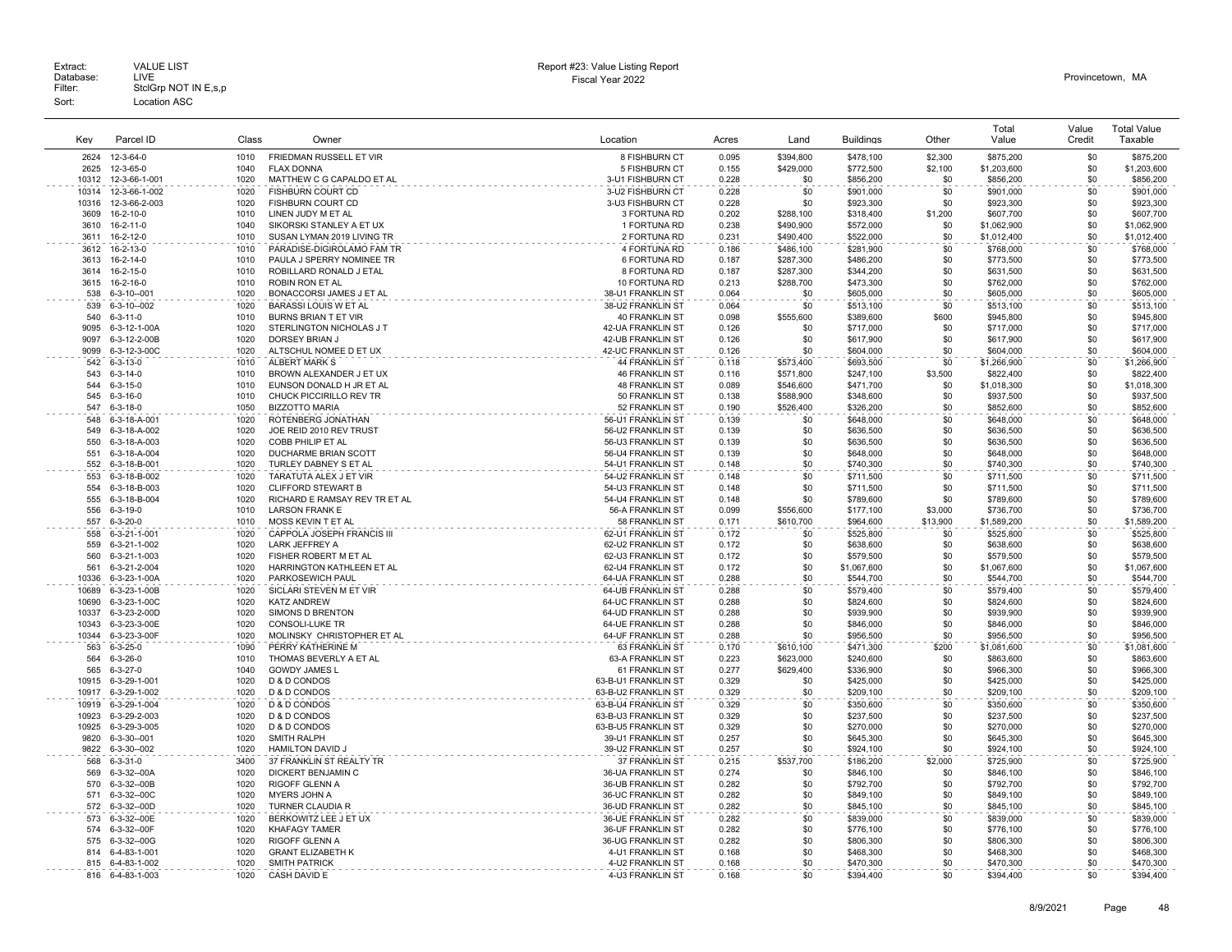| Key            | Parcel ID                       | Class        | Owner                                         | Location                               | Acres          | Land             | <b>Buildings</b>       | Other          | Total<br>Value         | Value<br>Credit | <b>Total Value</b><br>Taxable |
|----------------|---------------------------------|--------------|-----------------------------------------------|----------------------------------------|----------------|------------------|------------------------|----------------|------------------------|-----------------|-------------------------------|
| 2624           | 12-3-64-0                       | 1010         | FRIEDMAN RUSSELL ET VIR                       | 8 FISHBURN CT                          | 0.095          | \$394,800        | \$478,100              | \$2.300        | \$875,200              | \$0             | \$875,200                     |
| 2625           | 12-3-65-0                       | 1040         | <b>FLAX DONNA</b>                             | 5 FISHBURN CT                          | 0.155          | \$429,000        | \$772.500              | \$2,100        | \$1,203,600            | \$0             | \$1,203,600                   |
| 10312          | 12-3-66-1-001                   | 1020         | MATTHEW C G CAPALDO ET AL                     | 3-U1 FISHBURN CT                       | 0.228          | \$0              | \$856.200              | \$0            | \$856,200              | \$0             | \$856,200                     |
| 10314          | 12-3-66-1-002                   | 1020         | FISHBURN COURT CD                             | 3-U2 FISHBURN CT                       | 0.228          | \$0              | \$901,000              | \$0            | \$901,000              | \$0             | \$901,000                     |
| 10316          | 12-3-66-2-003                   | 1020         | FISHBURN COURT CD                             | 3-U3 FISHBURN CT                       | 0.228          | \$0              | \$923,300              | \$0            | \$923,300              | \$0             | \$923,300                     |
| 3609           | 16-2-10-0                       | 1010         | LINEN JUDY M ET AL                            | 3 FORTUNA RD                           | 0.202          | \$288,100        | \$318,400              | \$1,200        | \$607,700              | \$0             | \$607,700                     |
| 3610           | 16-2-11-0                       | 1040         | SIKORSKI STANLEY A ET UX                      | 1 FORTUNA RD                           | 0.238          | \$490,900        | \$572,000              | \$0            | \$1,062,900            | \$0             | \$1,062,900                   |
| 3611           | 16-2-12-0                       | 1010         | SUSAN LYMAN 2019 LIVING TR                    | 2 FORTUNA RD                           | 0.231          | \$490,400        | \$522,000              | \$0            | \$1,012,400            | \$0             | \$1,012,400                   |
| 3612           | 16-2-13-0                       | 1010         | PARADISE-DIGIROLAMO FAM TR                    | 4 FORTUNA RD                           | 0.186          | \$486,100        | \$281,900              | \$0            | \$768,000              | \$0             | \$768,000                     |
| 3613           | $16 - 2 - 14 - 0$               | 1010         | PAULA J SPERRY NOMINEE TR                     | 6 FORTUNA RD                           | 0.187          | \$287,300        | \$486,200              | \$0            | \$773,500              | \$0             | \$773,500                     |
| 3614           | 16-2-15-0                       | 1010         | ROBILLARD RONALD J ETAL                       | 8 FORTUNA RD                           | 0.187          | \$287,300        | \$344,200              | \$0            | \$631,500              | \$0             | \$631,500                     |
| 3615<br>538    | 16-2-16-0<br>$6 - 3 - 10 - 001$ | 1010<br>1020 | ROBIN RON ET AL<br>BONACCORSI JAMES J ET AL   | 10 FORTUNA RD<br>38-U1 FRANKLIN ST     | 0.213<br>0.064 | \$288,700<br>\$0 | \$473,300<br>\$605,000 | \$0<br>\$0     | \$762,000<br>\$605,000 | \$0<br>\$0      | \$762,000<br>\$605,000        |
| 539            | 6-3-10--002                     | 1020         | <b>BARASSI LOUIS W ET AL</b>                  | 38-U2 FRANKLIN ST                      | 0.064          | \$0              | \$513,100              | \$0            | \$513,100              | \$0             | \$513,100                     |
| 540            | $6 - 3 - 11 - 0$                | 1010         | BURNS BRIAN T ET VIR                          | <b>40 FRANKLIN ST</b>                  | 0.098          | \$555,600        | \$389,600              | \$600          | \$945,800              | \$0             | \$945,800                     |
| 9095           | 6-3-12-1-00A                    | 1020         | STERLINGTON NICHOLAS J T                      | 42-HA FRANKLIN ST                      | 0.126          | \$0              | \$717,000              | \$0            | \$717,000              | \$0             | \$717,000                     |
| 9097           | 6-3-12-2-00B                    | 1020         | DORSEY BRIAN J                                | 42-UB FRANKLIN ST                      | 0.126          | \$0              | \$617,900              | \$0            | \$617,900              | \$0             | \$617,900                     |
| 9099           | 6-3-12-3-00C                    | 1020         | ALTSCHUL NOMEE D ET UX                        | 42-UC FRANKLIN ST                      | 0.126          | \$0              | \$604,000              | \$0            | \$604,000              | \$0             | \$604,000                     |
| 542            | $6 - 3 - 13 - 0$                | 1010         | ALBERT MARK S                                 | <b>44 FRANKLIN ST</b>                  | 0.118          | \$573,400        | \$693,500              | \$0            | \$1,266,900            | \$0             | \$1,266,900                   |
| 543            | $6 - 3 - 14 - 0$                | 1010         | BROWN ALEXANDER J ET UX                       | <b>46 FRANKLIN ST</b>                  | 0.116          | \$571,800        | \$247,100              | \$3,500        | \$822,400              | \$0             | \$822,400                     |
| 544            | $6 - 3 - 15 - 0$                | 1010         | EUNSON DONALD H JR ET AL                      | 48 FRANKLIN ST                         | 0.089          | \$546,600        | \$471,700              | \$0            | \$1,018,300            | \$0             | \$1,018,300                   |
| 545            | $6 - 3 - 16 - 0$                | 1010         | CHUCK PICCIRILLO REV TR                       | 50 FRANKLIN ST                         | 0.138          | \$588,900        | \$348,600              | \$0            | \$937,500              | \$0             | \$937,500                     |
| 547            | $6 - 3 - 18 - 0$                | 1050         | <b>BIZZOTTO MARIA</b>                         | 52 FRANKLIN ST                         | 0.190          | \$526,400        | \$326,200              | \$0            | \$852,600              | \$0             | \$852,600                     |
| 548            | 6-3-18-A-001                    | 1020         | ROTENBERG JONATHAN                            | 56-U1 FRANKLIN ST                      | 0.139          | \$0              | \$648,000              | \$0            | \$648,000              | \$0             | \$648,000                     |
| 549            | 6-3-18-A-002                    | 1020         | JOE REID 2010 REV TRUST                       | 56-U2 FRANKLIN ST                      | 0.139          | \$0              | \$636,500              | \$0            | \$636,500              | \$0             | \$636,500                     |
| 550            | 6-3-18-A-003                    | 1020         | COBB PHILIP ET AL                             | 56-U3 FRANKLIN ST                      | 0.139          | \$0              | \$636,500              | \$0            | \$636,500              | \$0             | \$636,500                     |
| 551<br>552     | 6-3-18-A-004<br>6-3-18-B-001    | 1020<br>1020 | DUCHARME BRIAN SCOTT<br>TURLEY DABNEY S ET AL | 56-U4 FRANKLIN ST<br>54-U1 FRANKLIN ST | 0.139<br>0.148 | \$0<br>\$0       | \$648,000<br>\$740,300 | \$0<br>\$0     | \$648,000<br>\$740,300 | \$0<br>\$0      | \$648,000<br>\$740,300        |
| 553            | 6-3-18-B-002                    | 1020         | TARATUTA ALEX J ET VIR                        | 54-U2 FRANKLIN ST                      | 0.148          | \$0              | \$711,500              | \$0            | \$711,500              | \$0             | \$711,500                     |
| 554            | 6-3-18-B-003                    | 1020         | <b>CLIFFORD STEWART B</b>                     | 54-U3 FRANKLIN ST                      | 0.148          | \$0              | \$711,500              | \$0            | \$711,500              | \$0             | \$711,500                     |
| 555            | 6-3-18-B-004                    | 1020         | RICHARD E RAMSAY REV TR ET AL                 | 54-U4 FRANKLIN ST                      | 0.148          | \$0              | \$789,600              | \$0            | \$789,600              | \$0             | \$789,600                     |
| 556            | $6 - 3 - 19 - 0$                | 1010         | <b>LARSON FRANK E</b>                         | 56-A FRANKLIN ST                       | 0.099          | \$556,600        | \$177,100              | \$3,000        | \$736,700              | \$0             | \$736,700                     |
| 557            | $6 - 3 - 20 - 0$                | 1010         | MOSS KEVIN T ET AL                            | 58 FRANKLIN ST                         | 0.171          | \$610,700        | \$964,600              | \$13,900       | \$1,589,200            | \$0             | \$1,589,200                   |
| 558            | 6-3-21-1-001                    | 1020         | CAPPOLA JOSEPH FRANCIS III                    | 62-U1 FRANKLIN ST                      | 0.172          | \$0              | \$525,800              | \$0            | \$525,800              | \$0             | \$525,800                     |
| 559            | 6-3-21-1-002                    | 1020         | <b>LARK JEFFREY A</b>                         | 62-U2 FRANKLIN ST                      | 0.172          | \$0              | \$638,600              | \$0            | \$638,600              | \$0             | \$638,600                     |
| 560            | 6-3-21-1-003                    | 1020         | FISHER ROBERT M ET AL                         | 62-U3 FRANKLIN ST                      | 0.172          | \$0              | \$579,500              | \$0            | \$579,500              | \$0             | \$579,500                     |
| 561            | 6-3-21-2-004                    | 1020         | HARRINGTON KATHLEEN ET AL                     | 62-U4 FRANKLIN ST                      | 0.172          | \$0              | \$1,067,600            | \$0            | \$1,067,600            | \$0             | \$1,067,600                   |
| 10336          | 6-3-23-1-00A                    | 1020         | PARKOSEWICH PAUL                              | 64-UA FRANKLIN ST                      | 0.288          | \$0              | \$544.700              | \$0            | \$544.700              | \$0             | \$544,700                     |
| 10689          | 6-3-23-1-00B                    | 1020         | SICLARI STEVEN M ET VIR                       | 64-UB FRANKLIN ST                      | 0.288          | \$0              | \$579,400              | \$0            | \$579,400              | \$0             | \$579,400                     |
| 10690<br>10337 | 6-3-23-1-00C                    | 1020<br>1020 | <b>KATZ ANDREW</b><br>SIMONS D BRENTON        | 64-UC FRANKLIN ST<br>64-UD FRANKLIN ST | 0.288<br>0.288 | \$0<br>\$0       | \$824,600              | \$0<br>\$0     | \$824,600              | \$0             | \$824,600<br>\$939,900        |
| 10343          | 6-3-23-2-00D<br>6-3-23-3-00E    | 1020         | <b>CONSOLI-LUKE TR</b>                        | <b>64-UE FRANKLIN ST</b>               | 0.288          | \$0              | \$939,900<br>\$846,000 | \$0            | \$939,900<br>\$846,000 | \$0<br>\$0      | \$846,000                     |
| 10344          | 6-3-23-3-00F                    | 1020         | MOLINSKY CHRISTOPHER ET AL                    | 64-UF FRANKLIN ST                      | 0.288          | \$0              | \$956,500              | \$0            | \$956,500              | \$0             | \$956,500                     |
| 563            | $6 - 3 - 25 - 0$                | 1090         | PERRY KATHERINE M                             | 63 FRANKLIN ST                         | 0.170          | \$610,100        | \$471,300              | \$200          | \$1,081,600            | \$0             | \$1,081,600                   |
| 564            | $6 - 3 - 26 - 0$                | 1010         | THOMAS BEVERLY A ET AL                        | 63-A FRANKLIN ST                       | 0.223          | \$623,000        | \$240,600              | \$0            | \$863,600              | \$0             | \$863,600                     |
| 565            | $6 - 3 - 27 - 0$                | 1040         | <b>GOWDY JAMES L</b>                          | 61 FRANKLIN ST                         | 0.277          | \$629,400        | \$336,900              | \$0            | \$966,300              | \$0             | \$966,300                     |
| 10915          | 6-3-29-1-001                    | 1020         | D & D CONDOS                                  | 63-B-U1 FRANKLIN ST                    | 0.329          | \$0              | \$425,000              | \$0            | \$425,000              | \$0             | \$425,000                     |
| 10917          | 6-3-29-1-002                    | 1020         | D & D CONDOS                                  | 63-B-U2 FRANKLIN ST                    | 0.329          | \$0              | \$209,100              | \$0            | \$209,100              | \$0             | \$209,100                     |
| 10919          | 6-3-29-1-004                    | 1020         | D & D CONDOS                                  | 63-B-U4 FRANKLIN ST                    | 0.329          | \$0              | \$350,600              | \$0            | \$350,600              | \$0             | \$350,600                     |
| 10923          | 6-3-29-2-003                    | 1020         | D & D CONDOS                                  | 63-B-U3 FRANKLIN ST                    | 0.329          | \$0              | \$237,500              | \$0            | \$237,500              | \$0             | \$237,500                     |
| 10925          | 6-3-29-3-005                    | 1020         | D & D CONDOS                                  | 63-B-U5 FRANKLIN ST                    | 0.329          | \$0              | \$270,000              | \$0            | \$270,000              | \$0             | \$270,000                     |
| 9820<br>9822   | 6-3-30--001                     | 1020<br>1020 | <b>SMITH RALPH</b><br><b>HAMILTON DAVID J</b> | 39-U1 FRANKLIN ST                      | 0.257          | \$0<br>\$0       | \$645,300              | \$0<br>\$0     | \$645,300              | \$0             | \$645,300                     |
| 568            | 6-3-30--002                     | 3400         | 37 FRANKLIN ST REALTY TR                      | 39-U2 FRANKLIN ST<br>37 FRANKLIN ST    | 0.257          |                  | \$924,100              |                | \$924,100<br>\$725,900 | \$0<br>\$0      | \$924,100<br>\$725,900        |
| 569            | $6 - 3 - 31 - 0$<br>6-3-32--00A | 1020         | DICKERT BENJAMIN C                            | 36-UA FRANKLIN ST                      | 0.215<br>0.274 | \$537,700<br>\$0 | \$186,200<br>\$846,100 | \$2,000<br>\$0 | \$846,100              | \$0             | \$846,100                     |
| 570            | 6-3-32--00B                     | 1020         | <b>RIGOFF GLENN A</b>                         | 36-UB FRANKLIN ST                      | 0.282          | \$0              | \$792,700              | \$0            | \$792,700              | \$0             | \$792,700                     |
| 571            | 6-3-32--00C                     | 1020         | MYERS JOHN A                                  | 36-UC FRANKLIN ST                      | 0.282          | \$0              | \$849,100              | \$0            | \$849,100              | \$0             | \$849,100                     |
| 572            | 6-3-32--00D                     | 1020         | TURNER CLAUDIA R                              | 36-UD FRANKLIN ST                      | 0.282          | \$0              | \$845,100              | \$0            | \$845,100              | \$0             | \$845,100                     |
| 573            | 6-3-32--00E                     | 1020         | BERKOWITZ LEE J ET UX                         | 36-UE FRANKLIN ST                      | 0.282          | \$0              | \$839,000              | \$0            | \$839,000              | \$0             | \$839,000                     |
| 574            | 6-3-32--00F                     | 1020         | <b>KHAFAGY TAMER</b>                          | <b>36-UF FRANKLIN ST</b>               | 0.282          | \$0              | \$776.100              | \$0            | \$776,100              | \$0             | \$776.100                     |
| 575            | 6-3-32--00G                     | 1020         | RIGOFF GLENN A                                | 36-UG FRANKLIN ST                      | 0.282          | \$0              | \$806,300              | \$0            | \$806,300              | \$0             | \$806,300                     |
| 814            | 6-4-83-1-001                    | 1020         | <b>GRANT ELIZABETH K</b>                      | 4-U1 FRANKLIN ST                       | 0.168          | \$0              | \$468,300              | \$0            | \$468,300              | \$0             | \$468,300                     |
| 815            | 6-4-83-1-002                    | 1020         | <b>SMITH PATRICK</b>                          | 4-U2 FRANKLIN ST                       | 0.168          | \$0              | \$470,300              | \$0            | \$470,300              | \$0             | \$470,300                     |
| 816            | 6-4-83-1-003                    | 1020         | CASH DAVID E                                  | 4-U3 FRANKLIN ST                       | 0.168          | \$0              | \$394.400              | \$0            | \$394.400              | \$0             | \$394,400                     |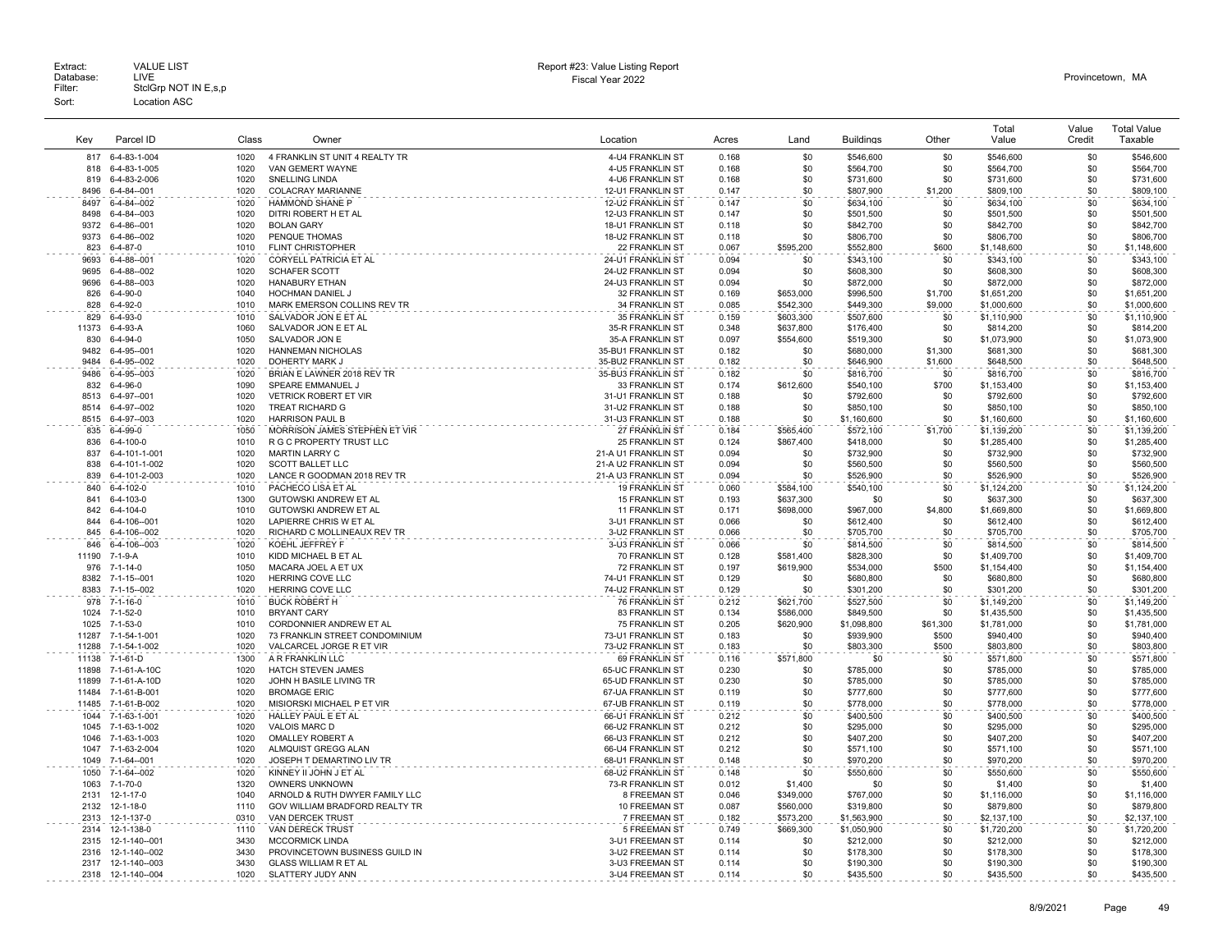|       |                    |       |                                |                          |       |           |                  |          | Total       | Value  | <b>Total Value</b> |
|-------|--------------------|-------|--------------------------------|--------------------------|-------|-----------|------------------|----------|-------------|--------|--------------------|
| Key   | Parcel ID          | Class | Owner                          | Location                 | Acres | Land      | <b>Buildings</b> | Other    | Value       | Credit | Taxable            |
|       |                    |       |                                |                          |       |           |                  |          |             |        |                    |
| 817   | 6-4-83-1-004       | 1020  | 4 FRANKLIN ST UNIT 4 REALTY TR | 4-U4 FRANKLIN ST         | 0.168 | \$0       | \$546,600        | \$0      | \$546,600   | \$0    | \$546,600          |
| 818   | 6-4-83-1-005       | 1020  | VAN GEMERT WAYNE               | 4-U5 FRANKLIN ST         | 0.168 | \$0       | \$564.700        | \$0      | \$564.700   | \$0    | \$564.700          |
| 819   | 6-4-83-2-006       | 1020  | SNELLING LINDA                 | 4-U6 FRANKLIN ST         | 0.168 | \$0       | \$731,600        | \$0      | \$731,600   | \$0    | \$731,600          |
| 8496  | 6-4-84--001        | 1020  | COLACRAY MARIANNE              | 12-U1 FRANKLIN ST        | 0.147 | \$0       | \$807,900        | \$1,200  | \$809,100   | \$0    | \$809,100          |
| 8497  | 6-4-84--002        | 1020  | HAMMOND SHANE P                | 12-U2 FRANKLIN ST        | 0.147 | \$0       | \$634,100        | \$0      | \$634,100   | \$0    | \$634,100          |
| 8498  | 6-4-84--003        | 1020  | DITRI ROBERT H ET AL           | 12-U3 FRANKLIN ST        | 0.147 | \$0       | \$501,500        | \$0      | \$501,500   | \$0    | \$501,500          |
| 9372  | 6-4-86--001        | 1020  | <b>BOLAN GARY</b>              | <b>18-U1 FRANKLIN ST</b> | 0.118 | \$0       | \$842,700        | \$0      | \$842.700   | \$0    | \$842,700          |
| 9373  | 6-4-86--002        | 1020  | PENQUE THOMAS                  | 18-U2 FRANKLIN ST        | 0.118 | \$0       | \$806,700        | \$0      | \$806,700   | \$0    | \$806,700          |
| 823   | $6 - 4 - 87 - 0$   | 1010  | <b>FLINT CHRISTOPHER</b>       | 22 FRANKLIN ST           | 0.067 | \$595,200 | \$552,800        | \$600    | \$1,148,600 | \$0    | \$1,148,600        |
| 9693  | $6 - 4 - 88 - 001$ | 1020  | CORYELL PATRICIA ET AL         | 24-U1 FRANKLIN ST        | 0.094 | \$0       | \$343,100        | \$0      | \$343,100   | \$0    | \$343,100          |
| 9695  | 6-4-88--002        | 1020  | <b>SCHAFER SCOTT</b>           | 24-U2 FRANKLIN ST        | 0.094 | \$0       | \$608,300        | \$0      | \$608,300   | \$0    | \$608,300          |
| 9696  | 6-4-88--003        | 1020  | <b>HANABURY ETHAN</b>          | 24-U3 FRANKLIN ST        | 0.094 | \$0       | \$872,000        | \$0      | \$872,000   | \$0    | \$872,000          |
| 826   | $6 - 4 - 90 - 0$   | 1040  | HOCHMAN DANIEL J               | 32 FRANKLIN ST           | 0.169 | \$653,000 | \$996,500        | \$1,700  | \$1,651,200 | \$0    | \$1,651,200        |
| 828   | $6 - 4 - 92 - 0$   | 1010  | MARK EMERSON COLLINS REV TR    | 34 FRANKLIN ST           | 0.085 | \$542,300 | \$449,300        | \$9,000  | \$1,000,600 | \$0    | \$1,000,600        |
| 829   | $6-4-93-0$         | 1010  | SALVADOR JON E ET AL           | 35 FRANKLIN ST           | 0.159 | \$603,300 | \$507,600        | \$0      | \$1,110,900 | \$0    | \$1,110,900        |
| 11373 | $6-4-93-A$         | 1060  | SALVADOR JON E ET AL           | 35-R FRANKLIN ST         | 0.348 | \$637,800 | \$176,400        | \$0      | \$814,200   | \$0    | \$814,200          |
| 830   | $6-4-94-0$         | 1050  | SALVADOR JON E                 | 35-A FRANKLIN ST         | 0.097 | \$554,600 | \$519,300        | \$0      | \$1,073,900 | \$0    | \$1,073,900        |
| 9482  | $6 - 4 - 95 - 001$ | 1020  | <b>HANNEMAN NICHOLAS</b>       | 35-BU1 FRANKLIN ST       | 0.182 | \$0       | \$680,000        | \$1,300  | \$681,300   | \$0    | \$681,300          |
| 9484  | 6-4-95--002        | 1020  | DOHERTY MARK J                 | 35-BU2 FRANKLIN ST       | 0.182 | \$0       | \$646,900        | \$1,600  | \$648,500   | \$0    | \$648,500          |
| 9486  | 6-4-95-003         | 1020  | BRIAN E LAWNER 2018 REV TR     | 35-BU3 FRANKLIN ST       | 0.182 | \$0       | \$816,700        | \$0      | \$816,700   | \$0    | \$816,700          |
| 832   | $6 - 4 - 96 - 0$   | 1090  | SPEARE EMMANUEL J              | 33 FRANKLIN ST           | 0.174 | \$612,600 | \$540,100        | \$700    | \$1,153,400 | \$0    | \$1,153,400        |
| 8513  | 6-4-97--001        | 1020  | <b>VETRICK ROBERT ET VIR</b>   | 31-U1 FRANKLIN ST        | 0.188 | \$0       | \$792,600        | \$0      | \$792,600   | \$0    | \$792,600          |
| 8514  | 6-4-97--002        | 1020  | <b>TREAT RICHARD G</b>         | 31-U2 FRANKLIN ST        | 0.188 | \$0       | \$850,100        | \$0      | \$850,100   | \$0    | \$850,100          |
| 8515  | 6-4-97--003        | 1020  | <b>HARRISON PAUL B</b>         | 31-U3 FRANKLIN ST        | 0.188 | \$0       | \$1,160,600      | \$0      | \$1,160,600 | \$0    | \$1,160,600        |
| 835   | $6 - 4 - 99 - 0$   | 1050  | MORRISON JAMES STEPHEN ET VIR  | 27 FRANKLIN ST           | 0.184 | \$565.400 | \$572.100        | \$1,700  | \$1,139,200 | \$0    | \$1,139,200        |
| 836   | $6 - 4 - 100 - 0$  | 1010  | R G C PROPERTY TRUST LLC       | <b>25 FRANKLIN ST</b>    | 0.124 | \$867,400 | \$418,000        | \$0      | \$1,285,400 | \$0    | \$1,285,400        |
| 837   | 6-4-101-1-001      | 1020  | <b>MARTIN LARRY C</b>          | 21-A U1 FRANKLIN ST      | 0.094 | \$0       | \$732,900        | \$0      | \$732,900   | \$0    | \$732,900          |
| 838   | 6-4-101-1-002      | 1020  | <b>SCOTT BALLET LLC</b>        | 21-A U2 FRANKLIN ST      | 0.094 | \$0       | \$560,500        | \$0      | \$560,500   | \$0    | \$560,500          |
| 839   | 6-4-101-2-003      | 1020  | LANCE R GOODMAN 2018 REV TR    | 21-A U3 FRANKLIN ST      | 0.094 | \$0       | \$526,900        | \$0      | \$526,900   | \$0    | \$526,900          |
| 840   | 6-4-102-0          | 1010  | PACHECO LISA ET AL             | 19 FRANKLIN ST           | 0.060 | \$584,100 | \$540,100        | \$0      | \$1,124,200 | \$0    | \$1,124,200        |
| 841   | $6 - 4 - 103 - 0$  | 1300  | GUTOWSKI ANDREW ET AL          | 15 FRANKLIN ST           | 0.193 | \$637,300 | \$0              | \$0      | \$637,300   | \$0    | \$637,300          |
| 842   | 6-4-104-0          | 1010  | GUTOWSKI ANDREW ET AL          | 11 FRANKLIN ST           | 0.171 | \$698,000 | \$967,000        | \$4,800  | \$1,669,800 | \$0    | \$1,669,800        |
| 844   | 6-4-106--001       | 1020  | LAPIERRE CHRIS W ET AL         | 3-U1 FRANKLIN ST         | 0.066 | \$0       | \$612,400        | \$0      | \$612,400   | \$0    | \$612,400          |
| 845   | 6-4-106--002       | 1020  | RICHARD C MOLLINEAUX REV TR    | 3-U2 FRANKLIN ST         | 0.066 | \$0       | \$705,700        | \$0      | \$705,700   | \$0    | \$705,700          |
| 846   | 6-4-106--003       | 1020  | KOEHL JEFFREY F                | 3-U3 FRANKLIN ST         | 0.066 | \$0       | \$814,500        | \$0      | \$814,500   | \$0    | \$814,500          |
| 11190 | 7-1-9-A            | 1010  | KIDD MICHAEL B ET AL           | 70 FRANKLIN ST           | 0.128 | \$581,400 | \$828,300        | \$0      | \$1,409,700 | \$0    | \$1,409,700        |
| 976   | $7 - 1 - 14 - 0$   | 1050  | MACARA JOEL A ET UX            | <b>72 FRANKLIN ST</b>    | 0.197 | \$619,900 | \$534,000        | \$500    | \$1,154,400 | \$0    | \$1.154.400        |
| 8382  | 7-1-15--001        | 1020  | <b>HERRING COVE LLC</b>        | 74-U1 FRANKLIN ST        | 0.129 | \$0       | \$680,800        | \$0      | \$680,800   | \$0    | \$680,800          |
| 8383  | 7-1-15--002        | 1020  | HERRING COVE LLC               | 74-U2 FRANKLIN ST        | 0.129 | \$0       | \$301,200        | \$0      | \$301,200   | \$0    | \$301,200          |
|       |                    |       |                                |                          |       |           |                  |          |             |        |                    |
| 978   | 7-1-16-0           | 1010  | <b>BUCK ROBERT H</b>           | 76 FRANKLIN ST           | 0.212 | \$621,700 | \$527,500        | \$0      | \$1,149,200 | \$0    | \$1,149,200        |
| 1024  | $7 - 1 - 52 - 0$   | 1010  | <b>BRYANT CARY</b>             | 83 FRANKLIN ST           | 0.134 | \$586,000 | \$849,500        | \$0      | \$1,435,500 | \$0    | \$1,435,500        |
| 1025  | $7 - 1 - 53 - 0$   | 1010  | CORDONNIER ANDREW ET AL        | <b>75 FRANKLIN ST</b>    | 0.205 | \$620,900 | \$1,098,800      | \$61,300 | \$1,781,000 | \$0    | \$1,781,000        |
| 11287 | 7-1-54-1-001       | 1020  | 73 FRANKLIN STREET CONDOMINIUM | 73-U1 FRANKLIN ST        | 0.183 | \$0       | \$939,900        | \$500    | \$940,400   | \$0    | \$940,400          |
| 11288 | 7-1-54-1-002       | 1020  | VALCARCEL JORGE R ET VIR       | 73-U2 FRANKLIN ST        | 0.183 | \$0       | \$803,300        | \$500    | \$803,800   | \$0    | \$803,800          |
| 11138 | 7-1-61-D           | 1300  | A R FRANKLIN LLC               | 69 FRANKLIN ST           | 0.116 | \$571,800 | \$0              | \$0      | \$571,800   | \$0    | \$571,800          |
| 11898 | 7-1-61-A-10C       | 1020  | HATCH STEVEN JAMES             | 65-UC FRANKLIN ST        | 0.230 | \$0       | \$785,000        | \$0      | \$785,000   | \$0    | \$785,000          |
| 11899 | 7-1-61-A-10D       | 1020  | JOHN H BASILE LIVING TR        | 65-UD FRANKLIN ST        | 0.230 | \$0       | \$785,000        | \$0      | \$785,000   | \$0    | \$785,000          |
| 11484 | 7-1-61-B-001       | 1020  | <b>BROMAGE ERIC</b>            | 67-UA FRANKLIN ST        | 0.119 | \$0       | \$777,600        | \$0      | \$777,600   | \$0    | \$777,600          |
| 11485 | 7-1-61-B-002       | 1020  | MISIORSKI MICHAEL P ET VIR     | 67-UB FRANKLIN ST        | 0.119 | \$0       | \$778,000        | \$0      | \$778,000   | \$0    | \$778,000          |
| 1044  | 7-1-63-1-001       | 1020  | HALLEY PAUL E ET AL            | 66-U1 FRANKLIN ST        | 0.212 | \$0       | \$400,500        | \$0      | \$400,500   | \$0    | \$400,500          |
| 1045  | 7-1-63-1-002       | 1020  | <b>VALOIS MARC D</b>           | 66-U2 FRANKLIN ST        | 0.212 | \$0       | \$295,000        | \$0      | \$295,000   | \$0    | \$295,000          |
| 1046  | 7-1-63-1-003       | 1020  | OMALLEY ROBERT A               | 66-U3 FRANKLIN ST        | 0.212 | \$0       | \$407,200        | \$0      | \$407,200   | \$0    | \$407,200          |
| 1047  | 7-1-63-2-004       | 1020  | ALMQUIST GREGG ALAN            | 66-U4 FRANKLIN ST        | 0.212 | \$0       | \$571,100        | \$0      | \$571,100   | \$0    | \$571,100          |
| 1049  | 7-1-64--001        | 1020  | JOSEPH T DEMARTINO LIV TR      | 68-U1 FRANKLIN ST        | 0.148 | \$0       | \$970,200        | \$0      | \$970,200   | \$0    | \$970,200          |
| 1050  | 7-1-64--002        | 1020  | KINNEY II JOHN J ET AL         | 68-U2 FRANKLIN ST        | 0.148 | \$0       | \$550,600        | \$0      | \$550,600   | \$0    | \$550,600          |
| 1063  | $7 - 1 - 70 - 0$   | 1320  | <b>OWNERS UNKNOWN</b>          | 73-R FRANKLIN ST         | 0.012 | \$1,400   | \$0              | \$0      | \$1,400     | \$0    | \$1,400            |
| 2131  | 12-1-17-0          | 1040  | ARNOLD & RUTH DWYER FAMILY LLC | 8 FREEMAN ST             | 0.046 | \$349,000 | \$767,000        | \$0      | \$1,116,000 | \$0    | \$1,116,000        |
| 2132  | 12-1-18-0          | 1110  | GOV WILLIAM BRADFORD REALTY TR | 10 FREEMAN ST            | 0.087 | \$560,000 | \$319,800        | \$0      | \$879,800   | \$0    | \$879,800          |
| 2313  | 12-1-137-0         | 0310  | <b>VAN DERCEK TRUST</b>        | 7 FREEMAN ST             | 0.182 | \$573,200 | \$1,563,900      | \$0      | \$2,137,100 | \$0    | \$2,137,100        |
| 2314  | 12-1-138-0         | 1110  | <b>VAN DERECK TRUST</b>        | 5 FREEMAN ST             | 0.749 | \$669.300 | \$1,050,900      | \$0      | \$1,720,200 | \$0    | \$1,720,200        |
| 2315  | 12-1-140--001      | 3430  | <b>MCCORMICK LINDA</b>         | 3-U1 FREEMAN ST          | 0.114 | \$0       | \$212,000        | \$0      | \$212,000   | \$0    | \$212,000          |
| 2316  | 12-1-140--002      | 3430  | PROVINCETOWN BUSINESS GUILD IN | 3-U2 FREEMAN ST          | 0.114 | \$0       | \$178,300        | \$0      | \$178,300   | \$0    | \$178,300          |
| 2317  | 12-1-140--003      | 3430  | <b>GLASS WILLIAM R ET AL</b>   | 3-U3 FREEMAN ST          | 0.114 | \$0       | \$190,300        | \$0      | \$190,300   | \$0    | \$190,300          |
|       | 2318 12-1-140--004 | 1020  | SLATTERY JUDY ANN              | 3-U4 FREEMAN ST          | 0.114 | .\$በ      | \$435,500        | \$0      | \$435,500   | \$0    | \$435,500          |
|       |                    |       |                                |                          |       |           |                  |          |             |        |                    |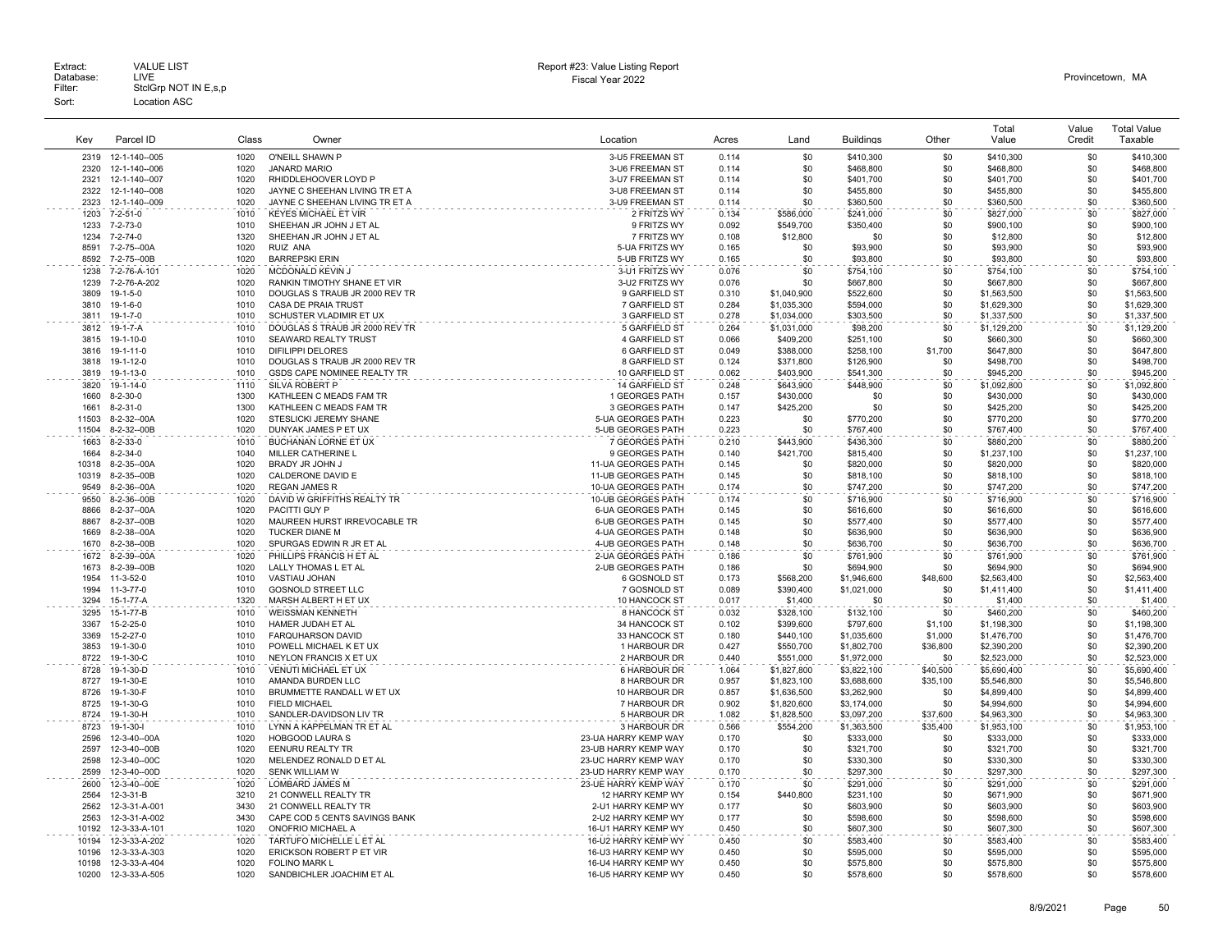| Kev           | Parcel ID                       | Class        | Owner                                            | Location                                     | Acres          | Land                   | <b>Buildings</b>       | Other          | Total<br>Value           | Value<br>Credit | <b>Total Value</b><br>Taxable |
|---------------|---------------------------------|--------------|--------------------------------------------------|----------------------------------------------|----------------|------------------------|------------------------|----------------|--------------------------|-----------------|-------------------------------|
| 2319          | 12-1-140--005                   | 1020         | O'NEILL SHAWN P                                  | 3-U5 FREEMAN ST                              | 0.114          | \$0                    | \$410,300              | \$0            | \$410,300                | \$0             | \$410,300                     |
| 2320          | 12-1-140--006                   | 1020         | <b>JANARD MARIO</b>                              | 3-U6 FREEMAN ST                              | 0.114          | \$0                    | \$468,800              | \$0            | \$468,800                | \$0             | \$468,800                     |
| 2321          | 12-1-140--007                   | 1020         | RHIDDLEHOOVER LOYD P                             | 3-U7 FREEMAN ST                              | 0.114          | \$0                    | \$401,700              | \$0            | \$401,700                | \$0             | \$401,700                     |
| 2322          | 12-1-140--008                   | 1020         | JAYNE C SHEEHAN LIVING TR ET A                   | 3-U8 FREEMAN ST                              | 0.114          | \$0                    | \$455,800              | \$0            | \$455,800                | \$0             | \$455,800                     |
| 2323          | 12-1-140--009                   | 1020         | JAYNE C SHEEHAN LIVING TR ET A                   | 3-U9 FREEMAN ST                              | 0.114          | \$0                    | \$360,500              | \$0            | \$360,500                | \$0             | \$360,500                     |
| 1203          | 7-2-51-0                        | 1010         | <b>KEYES MICHAEL ET VIR</b>                      | 2 FRITZS WY                                  | 0.134          | \$586,000              | \$241,000              | \$0            | \$827,000                | \$0             | \$827,000                     |
| 1233          | 7-2-73-0                        | 1010         | SHEEHAN JR JOHN J ET AL                          | 9 FRITZS WY                                  | 0.092          | \$549,700              | \$350,400              | \$0            | \$900,100                | \$0             | \$900,100                     |
| 1234          | 7-2-74-0                        | 1320         | SHEEHAN JR JOHN J ET AL                          | 7 FRITZS WY                                  | 0.108          | \$12,800               | \$0                    | \$0            | \$12,800                 | \$0             | \$12,800                      |
| 8591          | 7-2-75--00A                     | 1020         | <b>RUIZ ANA</b>                                  | 5-UA FRITZS WY                               | 0.165          | .\$በ                   | \$93,900               | \$0            | \$93,900                 | \$0             | \$93,900                      |
| 8592          | 7-2-75--00B                     | 1020<br>1020 | <b>BARREPSKI ERIN</b>                            | 5-UB FRITZS WY                               | 0.165          | \$0<br>\$0             | \$93,800               | \$0<br>\$0     | \$93,800                 | \$0<br>\$0      | \$93,800                      |
| 1238<br>1239  | 7-2-76-A-101<br>7-2-76-A-202    | 1020         | MCDONALD KEVIN J<br>RANKIN TIMOTHY SHANE ET VIR  | 3-U1 FRITZS WY<br>3-U2 FRITZS WY             | 0.076<br>0.076 | \$0                    | \$754,100<br>\$667,800 | \$0            | \$754,100<br>\$667,800   | \$0             | \$754,100<br>\$667,800        |
| 3809          | $19-1-5-0$                      | 1010         | DOUGLAS S TRAUB JR 2000 REV TR                   | 9 GARFIELD ST                                | 0.310          | \$1,040,900            | \$522,600              | \$0            | \$1,563,500              | \$0             | \$1,563,500                   |
| 3810          | $19 - 1 - 6 - 0$                | 1010         | <b>CASA DE PRAIA TRUST</b>                       | 7 GARFIELD ST                                | 0.284          | \$1,035,300            | \$594,000              | \$0            | \$1,629,300              | \$0             | \$1,629,300                   |
| 3811          | 19-1-7-0                        | 1010         | SCHUSTER VLADIMIR ET UX                          | 3 GARFIELD ST                                | 0.278          | \$1,034,000            | \$303,500              | \$0            | \$1,337,500              | \$0             | \$1,337,500                   |
| 3812          | 19-1-7-A                        | 1010         | DOUGLAS S TRAUB JR 2000 REV TR                   | 5 GARFIELD ST                                | 0.264          | \$1,031,000            | \$98,200               | \$0            | \$1,129,200              | \$0             | \$1,129,200                   |
| 3815          | 19-1-10-0                       | 1010         | <b>SEAWARD REALTY TRUST</b>                      | 4 GARFIELD ST                                | 0.066          | \$409,200              | \$251.100              | \$0            | \$660,300                | \$0             | \$660,300                     |
| 3816          | $19 - 1 - 11 - 0$               | 1010         | <b>DIFILIPPI DELORES</b>                         | 6 GARFIELD ST                                | 0.049          | \$388,000              | \$258,100              | \$1,700        | \$647,800                | \$0             | \$647,800                     |
| 3818          | 19-1-12-0                       | 1010         | DOUGLAS S TRAUB JR 2000 REV TR                   | 8 GARFIELD ST                                | 0.124          | \$371,800              | \$126,900              | \$0            | \$498,700                | \$0             | \$498,700                     |
| 3819          | 19-1-13-0                       | 1010         | GSDS CAPE NOMINEE REALTY TR                      | 10 GARFIELD ST                               | 0.062          | \$403,900              | \$541,300              | \$0            | \$945,200                | \$0             | \$945,200                     |
| 3820          | 19-1-14-0                       | 1110         | <b>SILVA ROBERT P</b>                            | 14 GARFIELD ST                               | 0.248          | \$643,900              | \$448,900              | \$0            | \$1,092,800              | \$0             | \$1,092,800                   |
| 1660          | $8-2-30-0$                      | 1300         | KATHLEEN C MEADS FAM TR                          | 1 GEORGES PATH                               | 0.157          | \$430,000              | \$0                    | \$0            | \$430,000                | \$0             | \$430,000                     |
| 1661          | $8 - 2 - 31 - 0$                | 1300         | KATHLEEN C MEADS FAM TR                          | 3 GEORGES PATH                               | 0.147          | \$425,200              | \$0                    | \$0            | \$425,200                | \$0             | \$425,200                     |
| 11503         | 8-2-32--00A                     | 1020         | STESLICKI JEREMY SHANE                           | 5-UA GEORGES PATH                            | 0.223          | \$0                    | \$770.200              | \$0            | \$770,200                | \$0             | \$770,200                     |
| 11504         | 8-2-32--00B                     | 1020         | DUNYAK JAMES P ET UX                             | 5-UB GEORGES PATH                            | 0.223          | \$0                    | \$767,400              | \$0            | \$767,400                | \$0             | \$767,400                     |
| 1663          | 8-2-33-0                        | 1010<br>1040 | BUCHANAN LORNE ET UX                             | 7 GEORGES PATH                               | 0.210          | \$443.900              | \$436,300              | \$0            | \$880,200                | \$0             | \$880,200                     |
| 1664<br>10318 | $8 - 2 - 34 - 0$<br>8-2-35--00A | 1020         | MILLER CATHERINE L<br>BRADY JR JOHN J            | 9 GEORGES PATH<br>11-UA GEORGES PATH         | 0.140<br>0.145 | \$421,700<br>\$0       | \$815,400<br>\$820,000 | \$0<br>\$0     | \$1,237,100<br>\$820,000 | \$0<br>\$0      | \$1,237,100<br>\$820,000      |
| 10319         | 8-2-35--00B                     | 1020         | CALDERONE DAVID E                                | 11-UB GEORGES PATH                           | 0.145          | \$0                    | \$818,100              | \$0            | \$818,100                | \$0             | \$818,100                     |
| 9549          | 8-2-36--00A                     | 1020         | <b>REGAN JAMES R</b>                             | 10-UA GEORGES PATH                           | 0.174          | \$0                    | \$747,200              | \$0            | \$747,200                | \$0             | \$747,200                     |
| 9550          | 8-2-36--00B                     | 1020         | DAVID W GRIFFITHS REALTY TR                      | 10-UB GEORGES PATH                           | 0.174          | \$0                    | \$716,900              | \$0            | \$716,900                | \$0             | \$716,900                     |
| 8866          | 8-2-37--00A                     | 1020         | PACITTI GUY P                                    | 6-UA GEORGES PATH                            | 0.145          | \$0                    | \$616,600              | \$0            | \$616,600                | \$0             | \$616,600                     |
| 8867          | 8-2-37--00B                     | 1020         | MAUREEN HURST IRREVOCABLE TR                     | 6-UB GEORGES PATH                            | 0.145          | \$0                    | \$577,400              | \$0            | \$577,400                | \$0             | \$577,400                     |
| 1669          | 8-2-38--00A                     | 1020         | TUCKER DIANE M                                   | 4-UA GEORGES PATH                            | 0.148          | \$0                    | \$636,900              | \$0            | \$636,900                | \$0             | \$636,900                     |
| 1670          | 8-2-38--00B                     | 1020         | SPURGAS EDWIN R JR ET AL                         | 4-UB GEORGES PATH                            | 0.148          | \$0                    | \$636,700              | \$0            | \$636,700                | \$0             | \$636,700                     |
| 1672          | 8-2-39--00A                     | 1020         | PHILLIPS FRANCIS H ET AL                         | 2-UA GEORGES PATH                            | 0.186          | \$0                    | \$761,900              | \$0            | \$761,900                | \$0             | \$761,900                     |
| 1673          | 8-2-39--00B                     | 1020         | LALLY THOMAS L ET AL                             | 2-UB GEORGES PATH                            | 0.186          | \$0                    | \$694,900              | \$0            | \$694,900                | \$0             | \$694,900                     |
| 1954          | 11-3-52-0                       | 1010         | VASTIAU JOHAN                                    | 6 GOSNOLD ST                                 | 0.173          | \$568,200              | \$1,946,600            | \$48,600       | \$2,563,400              | \$0             | \$2,563,400                   |
| 1994          | $11-3-77-0$<br>15-1-77-A        | 1010<br>1320 | <b>GOSNOLD STREET LLC</b>                        | 7 GOSNOLD ST                                 | 0.089          | \$390,400              | \$1,021,000            | \$0            | \$1,411,400              | \$0             | \$1,411,400                   |
| 3294          |                                 | 1010         | MARSH ALBERT H ET UX                             | 10 HANCOCK ST                                | 0.017          | \$1,400                | \$0                    | \$0            | \$1,400                  | \$0             | \$1,400                       |
| 3295<br>3367  | 15-1-77-B<br>15-2-25-0          | 1010         | <b>WEISSMAN KENNETH</b><br>HAMER JUDAH ET AL     | 8 HANCOCK ST<br>34 HANCOCK ST                | 0.032<br>0.102 | \$328,100<br>\$399,600 | \$132,100<br>\$797,600 | \$0<br>\$1,100 | \$460,200<br>\$1,198,300 | \$0<br>\$0      | \$460,200<br>\$1,198,300      |
| 3369          | 15-2-27-0                       | 1010         | <b>FARQUHARSON DAVID</b>                         | 33 HANCOCK ST                                | 0.180          | \$440,100              | \$1,035,600            | \$1,000        | \$1,476,700              | \$0             | \$1,476,700                   |
| 3853          | 19-1-30-0                       | 1010         | POWELL MICHAEL K ET UX                           | 1 HARBOUR DR                                 | 0.427          | \$550,700              | \$1,802,700            | \$36,800       | \$2,390,200              | \$0             | \$2,390,200                   |
| 8722          | 19-1-30-C                       | 1010         | NEYLON FRANCIS X ET UX                           | 2 HARBOUR DR                                 | 0.440          | \$551,000              | \$1,972,000            | \$0            | \$2,523,000              | \$0             | \$2,523,000                   |
| 8728          | 19-1-30-D                       | 1010         | <b>VENUTI MICHAEL ET UX</b>                      | 6 HARBOUR DR                                 | 1.064          | \$1,827,800            | \$3,822,100            | \$40,500       | \$5,690,400              | \$0             | \$5,690,400                   |
| 8727          | 19-1-30-E                       | 1010         | AMANDA BURDEN LLC                                | 8 HARBOUR DR                                 | 0.957          | \$1,823,100            | \$3,688,600            | \$35,100       | \$5,546,800              | \$0             | \$5,546,800                   |
| 8726          | 19-1-30-F                       | 1010         | BRUMMETTE RANDALL W ET UX                        | 10 HARBOUR DR                                | 0.857          | \$1,636,500            | \$3,262,900            | \$0            | \$4,899,400              | \$0             | \$4,899,400                   |
| 8725          | 19-1-30-G                       | 1010         | <b>FIELD MICHAEL</b>                             | 7 HARBOUR DR                                 | 0.902          | \$1,820,600            | \$3,174,000            | \$0            | \$4,994,600              | \$0             | \$4,994,600                   |
| 8724          | 19-1-30-H                       | 1010         | SANDLER-DAVIDSON LIV TR                          | 5 HARBOUR DR                                 | 1.082          | \$1,828,500            | \$3,097,200            | \$37,600       | \$4,963,300              | \$0             | \$4,963,300                   |
| 8723          | 19-1-30-                        | 1010         | LYNN A KAPPELMAN TR ET AL                        | 3 HARBOUR DR                                 | 0.566          | \$554,200              | \$1,363,500            | \$35,400       | \$1,953,100              | \$0             | \$1,953,100                   |
| 2596          | 12-3-40--00A                    | 1020         | <b>HOBGOOD LAURA S</b>                           | 23-UA HARRY KEMP WAY                         | 0.170          | \$0                    | \$333,000              | \$0            | \$333,000                | \$0             | \$333,000                     |
| 2597          | 12-3-40--00B                    | 1020         | <b>EENURU REALTY TR</b>                          | 23-UB HARRY KEMP WAY                         | 0.170          | \$0                    | \$321.700              | \$0            | \$321,700                | \$0             | \$321,700                     |
| 2598<br>2599  | 12-3-40--00C<br>12-3-40--00D    | 1020<br>1020 | MELENDEZ RONALD D ET AL<br><b>SENK WILLIAM W</b> | 23-UC HARRY KEMP WAY<br>23-UD HARRY KEMP WAY | 0.170<br>0.170 | \$0<br>\$0             | \$330,300<br>\$297,300 | \$0<br>\$0     | \$330,300<br>\$297,300   | \$0<br>\$0      | \$330,300<br>\$297,300        |
| 2600          | 12-3-40--00E                    | 1020         | LOMBARD JAMES M                                  | 23-UE HARRY KEMP WAY                         | 0.170          | \$0                    | \$291,000              | \$0            | \$291,000                | \$0             | \$291,000                     |
| 2564          | 12-3-31-B                       | 3210         | 21 CONWELL REALTY TR                             | 12 HARRY KEMP WY                             | 0.154          | \$440,800              | \$231.100              | \$0            | \$671,900                | \$0             | \$671,900                     |
| 2562          | 12-3-31-A-001                   | 3430         | 21 CONWELL REALTY TR                             | 2-U1 HARRY KEMP WY                           | 0.177          | \$0                    | \$603,900              | \$0            | \$603,900                | \$0             | \$603,900                     |
| 2563          | 12-3-31-A-002                   | 3430         | CAPE COD 5 CENTS SAVINGS BANK                    | 2-U2 HARRY KEMP WY                           | 0.177          | \$0                    | \$598,600              | \$0            | \$598,600                | \$0             | \$598,600                     |
| 10192         | 12-3-33-A-101                   | 1020         | ONOFRIO MICHAEL A                                | 16-U1 HARRY KEMP WY                          | 0.450          | \$0                    | \$607,300              | \$0            | \$607,300                | \$0             | \$607,300                     |
| 10194         | 12-3-33-A-202                   | 1020         | TARTUFO MICHELLE L ET AL                         | 16-U2 HARRY KEMP WY                          | 0.450          | \$0                    | \$583.400              | \$0            | \$583,400                | \$0             | \$583.400                     |
| 10196         | 12-3-33-A-303                   | 1020         | ERICKSON ROBERT P ET VIR                         | 16-U3 HARRY KEMP WY                          | 0.450          | \$0                    | \$595,000              | \$0            | \$595,000                | \$0             | \$595,000                     |
| 10198         | 12-3-33-A-404                   | 1020         | <b>FOLINO MARK L</b>                             | 16-U4 HARRY KEMP WY                          | 0.450          | \$0                    | \$575,800              | \$0            | \$575,800                | \$0             | \$575,800                     |
| 10200         | 12-3-33-A-505                   | 1020         | SANDBICHLER JOACHIM ET AL                        | 16-U5 HARRY KEMP WY                          | 0.450          | \$0                    | \$578,600              | \$0            | \$578,600                | \$0             | \$578,600                     |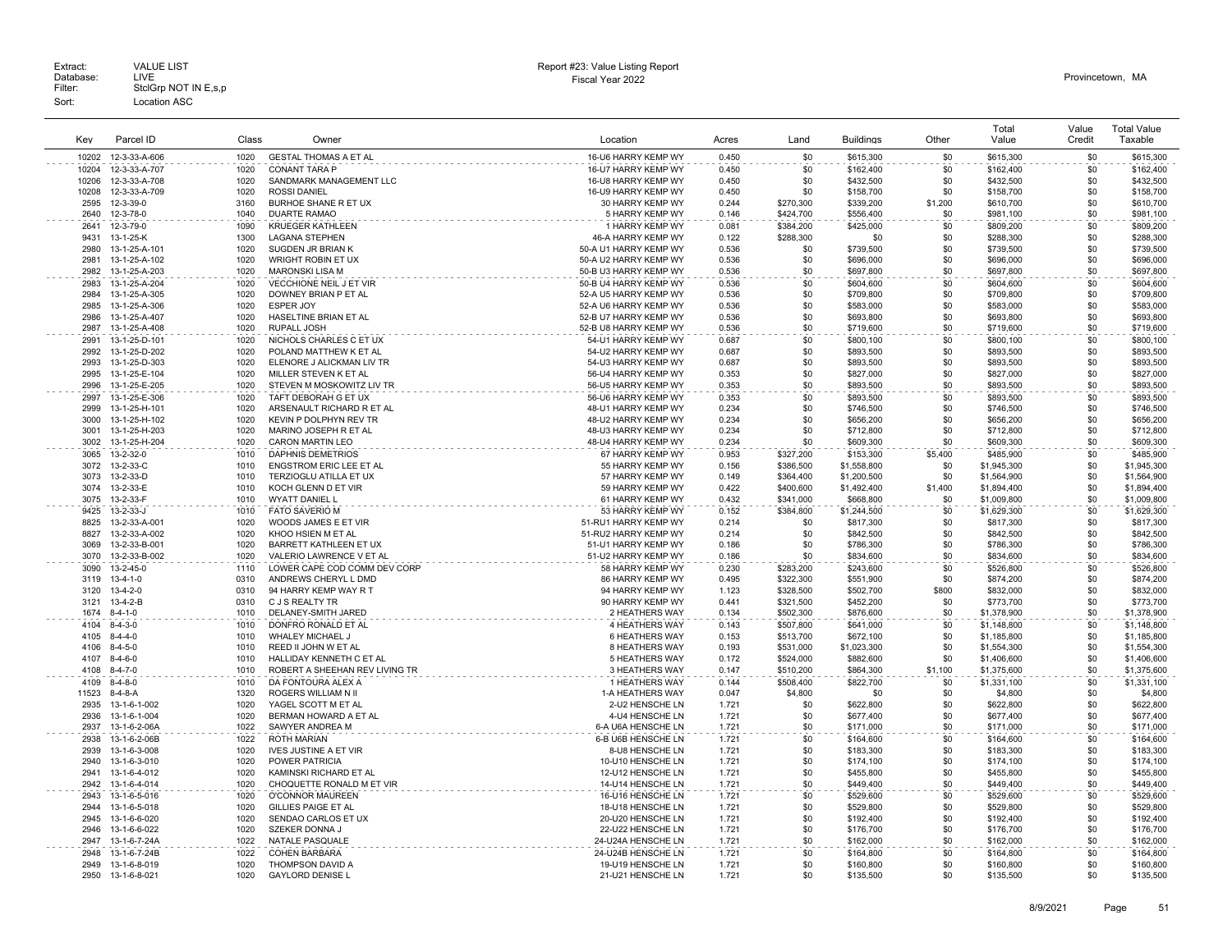|              |                                |       |                                                    |                                            |                |           |                        |            | Total       | Value  | <b>Total Value</b>     |
|--------------|--------------------------------|-------|----------------------------------------------------|--------------------------------------------|----------------|-----------|------------------------|------------|-------------|--------|------------------------|
| Kev          | Parcel ID                      | Class | Owner                                              | Location                                   | Acres          | Land      | <b>Buildings</b>       | Other      | Value       | Credit | Taxable                |
|              |                                |       |                                                    |                                            |                |           |                        |            |             |        |                        |
| 10202        | 12-3-33-A-606                  | 1020  | <b>GESTAL THOMAS A ET AL</b>                       | 16-U6 HARRY KEMP WY                        | 0.450          | \$0       | \$615,300              | \$0        | \$615,300   | \$0    | \$615,300              |
| 10204        | 12-3-33-A-707                  | 1020  | <b>CONANT TARA P</b>                               | 16-U7 HARRY KEMP WY                        | 0.450          | \$0       | \$162,400              | \$0        | \$162,400   | \$0    | \$162,400              |
| 10206        | 12-3-33-A-708                  | 1020  | SANDMARK MANAGEMENT LLC                            | 16-U8 HARRY KEMP WY                        | 0.450          | \$0       | \$432,500              | \$0        | \$432,500   | \$0    | \$432,500              |
| 10208        | 12-3-33-A-709                  | 1020  | <b>ROSSI DANIEL</b>                                | 16-U9 HARRY KEMP WY                        | 0.450          | \$0       | \$158,700              | \$0        | \$158,700   | \$0    | \$158,700              |
| 2595         | 12-3-39-0                      | 3160  | BURHOE SHANE R ET UX                               | 30 HARRY KEMP WY                           | 0.244          | \$270,300 | \$339,200              | \$1,200    | \$610,700   | \$0    | \$610,700              |
| 2640         | 12-3-78-0                      | 1040  | <b>DUARTE RAMAO</b>                                | 5 HARRY KEMP WY                            | 0.146          | \$424,700 | \$556,400              | \$0        | \$981,100   | \$0    | \$981,100              |
| 2641         | 12-3-79-0                      | 1090  | <b>KRUEGER KATHLEEN</b>                            | 1 HARRY KEMP WY                            | 0.081          | \$384,200 | \$425,000              | \$0        | \$809,200   | \$0    | \$809,200              |
| 9431         | 13-1-25-K                      | 1300  | <b>LAGANA STEPHEN</b>                              | 46-A HARRY KEMP WY                         | 0.122          | \$288.300 | \$0                    | \$0        | \$288,300   | \$0    | \$288,300              |
| 2980         | 13-1-25-A-101                  | 1020  | SUGDEN JR BRIAN K                                  | 50-A U1 HARRY KEMP WY                      | 0.536          | \$0       | \$739,500              | \$0        | \$739,500   | \$0    | \$739,500              |
| 2981         | 13-1-25-A-102                  | 1020  | WRIGHT ROBIN ET UX                                 | 50-A U2 HARRY KEMP WY                      | 0.536          | \$0       | \$696,000              | \$0        | \$696,000   | \$0    | \$696,000              |
| 2982         | 13-1-25-A-203                  | 1020  | MARONSKI LISA M                                    | 50-B U3 HARRY KEMP WY                      | 0.536          | \$0       | \$697,800              | \$0        | \$697,800   | \$0    | \$697,800              |
| 2983         | 13-1-25-A-204                  | 1020  | <b>VECCHIONE NEIL J ET VIR</b>                     | 50-B U4 HARRY KEMP WY                      | 0.536          | \$0       | \$604,600              | \$0        | \$604,600   | \$0    | \$604,600              |
| 2984         | 13-1-25-A-305                  | 1020  | DOWNEY BRIAN P ET AL                               | 52-A U5 HARRY KEMP WY                      | 0.536          | \$0       | \$709,800              | \$0        | \$709,800   | \$0    | \$709,800              |
| 2985         | 13-1-25-A-306                  | 1020  | <b>ESPER JOY</b>                                   | 52-A U6 HARRY KEMP WY                      | 0.536          | \$0       | \$583,000              | \$0        | \$583,000   | \$0    | \$583,000              |
| 2986         | 13-1-25-A-407                  | 1020  | HASELTINE BRIAN ET AL                              | 52-B U7 HARRY KEMP WY                      | 0.536          | \$0       | \$693,800              | \$0        | \$693,800   | \$0    | \$693,800              |
| 2987         | 13-1-25-A-408                  | 1020  | <b>RUPALL JOSH</b>                                 | 52-B U8 HARRY KEMP WY                      | 0.536          | \$0       | \$719,600              | \$0        | \$719,600   | \$0    | \$719,600              |
| 2991         | 13-1-25-D-101                  | 1020  | NICHOLS CHARLES C ET UX                            | 54-U1 HARRY KEMP WY                        | 0.687          | \$0       | \$800.100              | \$0        | \$800,100   | \$0    | \$800,100              |
| 2992         | 13-1-25-D-202                  | 1020  | POLAND MATTHEW K ET AL                             | 54-U2 HARRY KEMP WY                        | 0.687          | \$0       | \$893,500              | \$0        | \$893,500   | \$0    | \$893,500              |
|              |                                | 1020  |                                                    |                                            |                | \$0       |                        |            | \$893,500   | \$0    |                        |
| 2993<br>2995 | 13-1-25-D-303<br>13-1-25-E-104 | 1020  | ELENORE J ALICKMAN LIV TR<br>MILLER STEVEN K ET AL | 54-U3 HARRY KEMP WY<br>56-U4 HARRY KEMP WY | 0.687<br>0.353 | \$0       | \$893,500<br>\$827,000 | \$0<br>\$0 | \$827,000   | \$0    | \$893,500<br>\$827,000 |
|              |                                |       |                                                    |                                            |                |           |                        |            |             |        |                        |
| 2996         | 13-1-25-E-205                  | 1020  | STEVEN M MOSKOWITZ LIV TR                          | 56-U5 HARRY KEMP WY                        | 0.353          | \$0       | \$893,500              | \$0        | \$893,500   | \$0    | \$893,500              |
| 2997         | 13-1-25-E-306                  | 1020  | TAFT DEBORAH G ET UX                               | 56-U6 HARRY KEMP WY                        | 0.353          | \$0       | \$893,500              | \$0        | \$893,500   | \$0    | \$893,500              |
| 2999         | 13-1-25-H-101                  | 1020  | ARSENAULT RICHARD R ET AL                          | 48-U1 HARRY KEMP WY                        | 0.234          | \$0       | \$746,500              | \$0        | \$746,500   | \$0    | \$746,500              |
| 3000         | 13-1-25-H-102                  | 1020  | KEVIN P DOLPHYN REV TR                             | 48-U2 HARRY KEMP WY                        | 0.234          | \$0       | \$656,200              | \$0        | \$656,200   | \$0    | \$656,200              |
| 3001         | 13-1-25-H-203                  | 1020  | MARINO JOSEPH R ET AL                              | 48-U3 HARRY KEMP WY                        | 0.234          | \$0       | \$712,800              | \$0        | \$712,800   | \$0    | \$712,800              |
| 3002         | 13-1-25-H-204                  | 1020  | <b>CARON MARTIN LEO</b>                            | 48-U4 HARRY KEMP WY                        | 0.234          | \$0       | \$609,300              | \$0        | \$609,300   | \$0    | \$609,300              |
| 3065         | 13-2-32-0                      | 1010  | <b>DAPHNIS DEMETRIOS</b>                           | 67 HARRY KEMP WY                           | 0.953          | \$327,200 | \$153,300              | \$5,400    | \$485,900   | \$0    | \$485,900              |
| 3072         | 13-2-33-C                      | 1010  | <b>ENGSTROM ERIC LEE ET AL</b>                     | 55 HARRY KEMP WY                           | 0.156          | \$386.500 | \$1,558,800            | \$0        | \$1,945,300 | \$0    | \$1,945,300            |
| 3073         | 13-2-33-D                      | 1010  | TERZIOGLU ATILLA ET UX                             | 57 HARRY KEMP WY                           | 0.149          | \$364,400 | \$1,200,500            | \$0        | \$1,564,900 | \$0    | \$1,564,900            |
| 3074         | 13-2-33-E                      | 1010  | KOCH GLENN D ET VIR                                | 59 HARRY KEMP WY                           | 0.422          | \$400,600 | \$1,492,400            | \$1,400    | \$1,894,400 | \$0    | \$1,894,400            |
| 3075         | 13-2-33-F                      | 1010  | <b>WYATT DANIEL L</b>                              | 61 HARRY KEMP WY                           | 0.432          | \$341,000 | \$668,800              | \$0        | \$1,009,800 | \$0    | \$1,009,800            |
| 9425         | $13 - 2 - 33 - J$              | 1010  | <b>FATO SAVERIO M</b>                              | 53 HARRY KEMP WY                           | 0.152          | \$384.800 | \$1,244.500            | \$0        | \$1,629,300 | \$0    | \$1,629,300            |
| 8825         | 13-2-33-A-001                  | 1020  | WOODS JAMES E ET VIR                               | 51-RU1 HARRY KEMP WY                       | 0.214          | \$0       | \$817,300              | \$0        | \$817,300   | \$0    | \$817,300              |
| 8827         | 13-2-33-A-002                  | 1020  | KHOO HSIEN M ET AL                                 | 51-RU2 HARRY KEMP WY                       | 0.214          | \$0       | \$842,500              | \$0        | \$842,500   | \$0    | \$842,500              |
| 3069         | 13-2-33-B-001                  | 1020  | BARRETT KATHLEEN ET UX                             | 51-U1 HARRY KEMP WY                        | 0.186          | \$0       | \$786,300              | \$0        | \$786,300   | \$0    | \$786,300              |
| 3070         | 13-2-33-B-002                  | 1020  | VALERIO LAWRENCE V ET AL                           | 51-U2 HARRY KEMP WY                        | 0.186          | -\$0      | \$834,600              | \$0        | \$834,600   | \$0    | \$834,600              |
| 3090         | $13 - 2 - 45 - 0$              | 1110  | LOWER CAPE COD COMM DEV CORP                       | 58 HARRY KEMP WY                           | 0.230          | \$283,200 | \$243,600              | \$0        | \$526,800   | \$0    | \$526,800              |
| 3119         | $13 - 4 - 1 - 0$               | 0310  | ANDREWS CHERYL L DMD                               | 86 HARRY KEMP WY                           | 0.495          | \$322,300 | \$551,900              | \$0        | \$874,200   | \$0    | \$874,200              |
| 3120         | $13 - 4 - 2 - 0$               | 0310  | 94 HARRY KEMP WAY R T                              | 94 HARRY KEMP WY                           | 1.123          | \$328,500 | \$502,700              | \$800      | \$832,000   | \$0    | \$832,000              |
| 3121         | $13 - 4 - 2 - B$               | 0310  | C J S REALTY TR                                    | 90 HARRY KEMP WY                           | 0.441          | \$321,500 | \$452,200              | \$0        | \$773,700   | \$0    | \$773,700              |
| 1674         | $8 - 4 - 1 - 0$                | 1010  | DELANEY-SMITH JARED                                | 2 HEATHERS WAY                             | 0.134          | \$502,300 | \$876,600              | \$0        | \$1,378,900 | \$0    | \$1,378,900            |
| 4104         | $8 - 4 - 3 - 0$                | 1010  | DONFRO RONALD ET AL                                | 4 HEATHERS WAY                             | 0.143          | \$507,800 | \$641,000              | \$0        | \$1,148,800 | \$0    | \$1,148,800            |
| 4105         | $8 - 4 - 4 - 0$                | 1010  | <b>WHALEY MICHAEL J</b>                            | 6 HEATHERS WAY                             | 0.153          | \$513,700 | \$672,100              | \$0        | \$1,185,800 | \$0    | \$1,185,800            |
| 4106         | $8 - 4 - 5 - 0$                | 1010  | REED II JOHN W ET AL                               | 8 HEATHERS WAY                             | 0.193          | \$531,000 | \$1,023,300            | \$0        | \$1,554,300 | \$0    | \$1,554,300            |
| 4107         | $8-4-6-0$                      | 1010  | HALLIDAY KENNETH C ET AL                           | 5 HEATHERS WAY                             | 0.172          | \$524,000 | \$882,600              | \$0        | \$1,406,600 | \$0    | \$1,406,600            |
|              |                                | 1010  |                                                    |                                            |                | \$510,200 |                        |            |             | \$0    |                        |
| 4108         | $8 - 4 - 7 - 0$                |       | ROBERT A SHEEHAN REV LIVING TR                     | 3 HEATHERS WAY                             | 0.147          |           | \$864,300              | \$1,100    | \$1,375,600 |        | \$1,375,600            |
| 4109         | $8 - 4 - 8 - 0$                | 1010  | DA FONTOURA ALEX A                                 | 1 HEATHERS WAY                             | 0.144          | \$508,400 | \$822,700              | \$0        | \$1,331,100 | \$0    | \$1,331,100            |
| 11523        | $8-4-8-A$                      | 1320  | <b>ROGERS WILLIAM N II</b>                         | 1-A HEATHERS WAY                           | 0.047          | \$4,800   | \$0                    | \$0        | \$4,800     | \$0    | \$4,800                |
| 2935         | 13-1-6-1-002                   | 1020  | YAGEL SCOTT M ET AL                                | 2-U2 HENSCHE LN                            | 1.721          | \$0       | \$622,800              | \$0        | \$622,800   | \$0    | \$622,800              |
| 2936         | 13-1-6-1-004                   | 1020  | BERMAN HOWARD A ET AL                              | 4-U4 HENSCHE LN                            | 1.721          | \$0       | \$677,400              | \$0        | \$677,400   | \$0    | \$677,400              |
| 2937         | 13-1-6-2-06A                   | 1022  | SAWYER ANDREA M                                    | 6-A U6A HENSCHE LN                         | 1.721          | \$0       | \$171,000              | \$0        | \$171,000   | \$0    | \$171,000              |
| 2938         | 13-1-6-2-06B                   | 1022  | <b>ROTH MARIAN</b>                                 | 6-B U6B HENSCHE LN                         | 1.721          | \$0       | \$164,600              | \$0        | \$164,600   | \$0    | \$164,600              |
| 2939         | 13-1-6-3-008                   | 1020  | <b>IVES JUSTINE A ET VIR</b>                       | 8-U8 HENSCHE LN                            | 1.721          | \$0       | \$183,300              | \$0        | \$183,300   | \$0    | \$183,300              |
| 2940         | 13-1-6-3-010                   | 1020  | POWER PATRICIA                                     | 10-U10 HENSCHE LN                          | 1.721          | \$0       | \$174,100              | \$0        | \$174,100   | \$0    | \$174,100              |
| 2941         | 13-1-6-4-012                   | 1020  | KAMINSKI RICHARD ET AL                             | 12-U12 HENSCHE LN                          | 1.721          | \$0       | \$455,800              | \$0        | \$455,800   | \$0    | \$455,800              |
| 2942         | 13-1-6-4-014                   | 1020  | CHOQUETTE RONALD M ET VIR                          | 14-U14 HENSCHE LN                          | 1.721          | \$0       | \$449,400              | \$0        | \$449,400   | \$0    | \$449,400              |
| 2943         | 13-1-6-5-016                   | 1020  | O'CONNOR MAUREEN                                   | 16-U16 HENSCHE LN                          | 1.721          | \$0       | \$529,600              | \$0        | \$529,600   | \$0    | \$529,600              |
| 2944         | 13-1-6-5-018                   | 1020  | <b>GILLIES PAIGE ET AL</b>                         | 18-U18 HENSCHE LN                          | 1.721          | \$0       | \$529,800              | \$0        | \$529,800   | \$0    | \$529,800              |
| 2945         | 13-1-6-6-020                   | 1020  | SENDAO CARLOS ET UX                                | 20-U20 HENSCHE LN                          | 1.721          | \$0       | \$192,400              | \$0        | \$192,400   | \$0    | \$192,400              |
| 2946         | 13-1-6-6-022                   | 1020  | <b>SZEKER DONNA J</b>                              | 22-U22 HENSCHE LN                          | 1.721          | \$0       | \$176,700              | \$0        | \$176,700   | \$0    | \$176,700              |
| 2947         | 13-1-6-7-24A                   | 1022  | NATALE PASQUALE                                    | 24-U24A HENSCHE LN                         | 1.721          | \$0       | \$162,000              | \$0        | \$162,000   | \$0    | \$162,000              |
| 2948         | 13-1-6-7-24B                   | 1022  | <b>COHEN BARBARA</b>                               | 24-U24B HENSCHE LN                         | 1.721          | \$0       | \$164,800              | \$0        | \$164,800   | \$0    | \$164,800              |
| 2949         | 13-1-6-8-019                   | 1020  | THOMPSON DAVID A                                   | 19-U19 HENSCHE LN                          | 1.721          | \$0       | \$160,800              | \$0        | \$160,800   | \$0    | \$160,800              |
| 2950         | 13-1-6-8-021                   | 1020  | <b>GAYLORD DENISE L</b>                            | 21-U21 HENSCHE LN                          | 1.721          | \$0       | \$135,500              | \$0        | \$135,500   | \$0    | \$135,500              |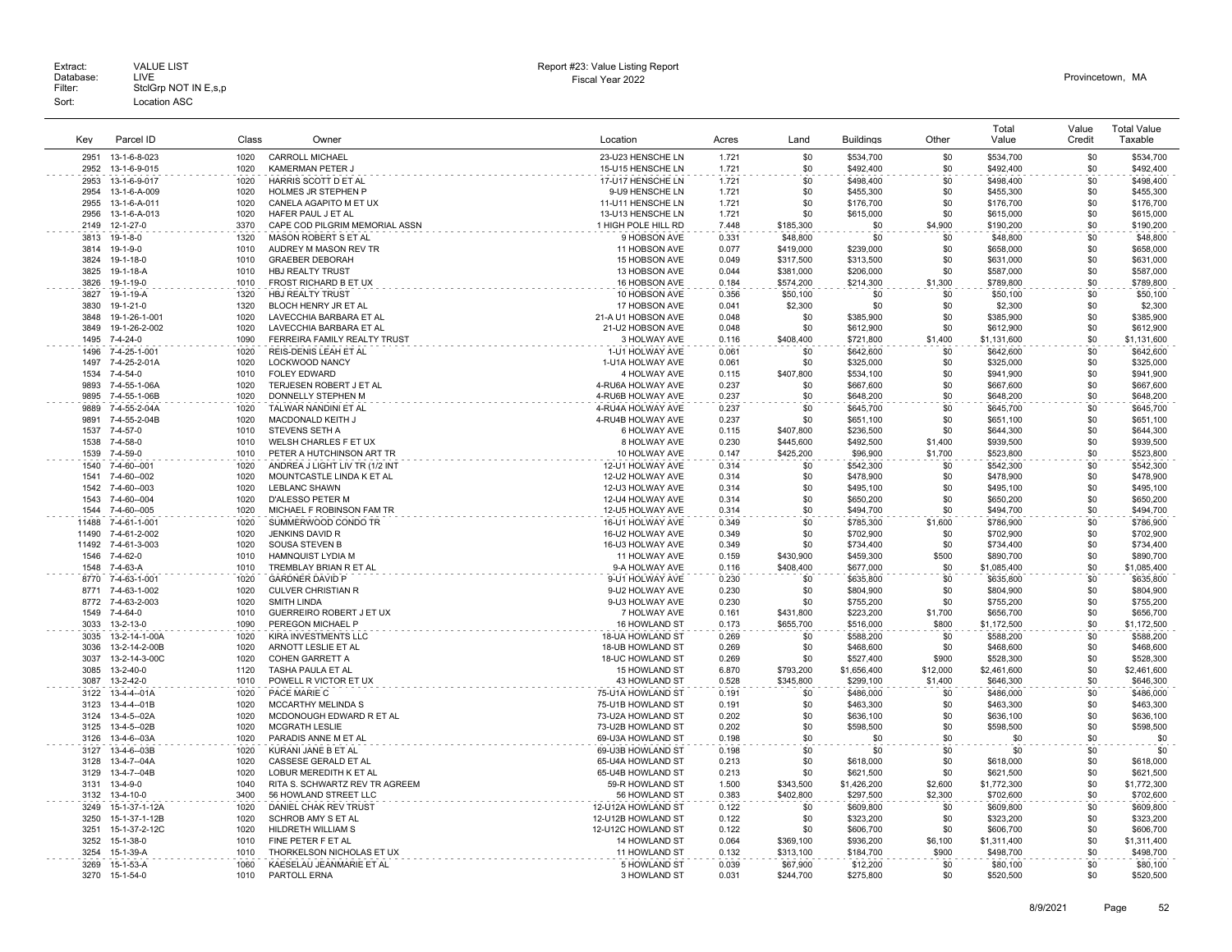| Key   | Parcel ID        | Class | Owner                          | Location            | Acres | Land      | <b>Buildings</b> | Other    | Total<br>Value | Value<br>Credit | <b>Total Value</b><br>Taxable |
|-------|------------------|-------|--------------------------------|---------------------|-------|-----------|------------------|----------|----------------|-----------------|-------------------------------|
| 2951  | 13-1-6-8-023     | 1020  | <b>CARROLL MICHAEL</b>         | 23-U23 HENSCHE LN   | 1.721 | \$0       | \$534,700        | \$0      | \$534,700      | \$0             | \$534,700                     |
| 2952  | 13-1-6-9-015     | 1020  | KAMERMAN PETER J               | 15-U15 HENSCHE LN   | 1.721 | \$0       | \$492,400        | \$0      | \$492,400      | \$0             | \$492,400                     |
| 2953  | 13-1-6-9-017     | 1020  | HARRIS SCOTT D ET AL           | 17-U17 HENSCHE LN   | 1.721 | \$0       | \$498,400        | \$0      | \$498,400      | \$0             | \$498,400                     |
| 2954  | 13-1-6-A-009     | 1020  | HOLMES JR STEPHEN P            | 9-U9 HENSCHE LN     | 1.721 | \$0       | \$455,300        | \$0      | \$455,300      | \$0             | \$455,300                     |
| 2955  | 13-1-6-A-011     | 1020  | CANELA AGAPITO M ET UX         | 11-U11 HENSCHE LN   | 1.721 | \$0       | \$176,700        | \$0      | \$176,700      | \$0             | \$176,700                     |
| 2956  | 13-1-6-A-013     | 1020  | HAFER PAUL J ET AL             | 13-U13 HENSCHE LN   | 1.721 | \$0       | \$615,000        | \$0      | \$615,000      | \$0             | \$615,000                     |
| 2149  | 12-1-27-0        | 3370  | CAPE COD PILGRIM MEMORIAL ASSN | 1 HIGH POLE HILL RD | 7.448 | \$185,300 | \$0              | \$4,900  | \$190,200      | \$0             | \$190,200                     |
| 3813  | $19-1-8-0$       | 1320  | MASON ROBERT S ET AL           | 9 HOBSON AVE        | 0.331 | \$48,800  | \$0              | \$0      | \$48,800       | \$0             | \$48,800                      |
| 3814  | 19-1-9-0         | 1010  | AUDREY M MASON REV TR          | 11 HOBSON AVE       | 0.077 | \$419,000 | \$239,000        | \$0      | \$658,000      | \$0             | \$658,000                     |
| 3824  | 19-1-18-0        | 1010  | <b>GRAEBER DEBORAH</b>         | 15 HOBSON AVE       | 0.049 | \$317,500 | \$313,500        | \$0      | \$631,000      | \$0             | \$631,000                     |
| 3825  | 19-1-18-A        | 1010  | HBJ REALTY TRUST               | 13 HOBSON AVE       | 0.044 | \$381,000 | \$206,000        | \$0      | \$587,000      | \$0             | \$587,000                     |
| 3826  | 19-1-19-0        | 1010  | FROST RICHARD B ET UX          | 16 HOBSON AVE       | 0.184 | \$574,200 | \$214,300        | \$1,300  | \$789,800      | \$0             | \$789,800                     |
| 3827  | 19-1-19-A        | 1320  | HBJ REALTY TRUST               | 10 HOBSON AVE       | 0.356 | \$50,100  | \$0              | \$0      | \$50,100       | \$0             | \$50,100                      |
| 3830  | 19-1-21-0        | 1320  | BLOCH HENRY JR ET AL           | 17 HOBSON AVE       | 0.041 | \$2,300   | \$0              | \$0      | \$2,300        | \$0             | \$2,300                       |
| 3848  | 19-1-26-1-001    | 1020  | LAVECCHIA BARBARA ET AL        | 21-A U1 HOBSON AVE  | 0.048 | \$0       | \$385,900        | \$0      | \$385,900      | \$0             | \$385,900                     |
| 3849  | 19-1-26-2-002    | 1020  | LAVECCHIA BARBARA ET AL        | 21-U2 HOBSON AVE    | 0.048 | \$0       | \$612,900        | \$0      | \$612,900      | \$0             | \$612,900                     |
| 1495  | 7-4-24-0         | 1090  | FERREIRA FAMILY REALTY TRUST   | 3 HOLWAY AVE        | 0.116 | \$408,400 | \$721,800        | \$1,400  | \$1,131,600    | \$0             | \$1,131,600                   |
| 1496  | 7-4-25-1-001     | 1020  | REIS-DENIS LEAH ET AL          | 1-U1 HOLWAY AVE     | 0.061 | \$0       | \$642,600        | \$0      | \$642,600      | \$0             | \$642,600                     |
| 1497  | 7-4-25-2-01A     | 1020  | LOCKWOOD NANCY                 | 1-U1A HOLWAY AVE    | 0.061 | \$0       | \$325,000        | \$0      | \$325,000      | \$0             | \$325,000                     |
| 1534  | 7-4-54-0         | 1010  | <b>FOLEY EDWARD</b>            | 4 HOLWAY AVE        | 0.115 | \$407,800 | \$534,100        | \$0      | \$941,900      | \$0             | \$941,900                     |
| 9893  | 7-4-55-1-06A     | 1020  | TERJESEN ROBERT J ET AL        | 4-RU6A HOLWAY AVE   | 0.237 | \$0       | \$667,600        | \$0      | \$667,600      | \$0             | \$667,600                     |
| 9895  | 7-4-55-1-06B     | 1020  | DONNELLY STEPHEN M             | 4-RU6B HOLWAY AVE   | 0.237 | \$0       | \$648,200        | \$0      | \$648,200      | \$0             | \$648,200                     |
| 9889  | 7-4-55-2-04A     | 1020  | TALWAR NANDINI ET AL           | 4-RU4A HOLWAY AVE   | 0.237 | \$0       | \$645,700        | \$0      | \$645,700      | \$0             | \$645,700                     |
| 9891  | 7-4-55-2-04B     | 1020  | MACDONALD KEITH J              | 4-RU4B HOLWAY AVE   | 0.237 | \$0       | \$651,100        | \$0      | \$651,100      | \$0             | \$651,100                     |
| 1537  | 7-4-57-0         | 1010  | STEVENS SETH A                 | 6 HOLWAY AVE        | 0.115 | \$407,800 | \$236,500        | \$0      | \$644,300      | \$0             | \$644,300                     |
| 1538  | 7-4-58-0         | 1010  | WELSH CHARLES F ET UX          | 8 HOLWAY AVE        | 0.230 | \$445,600 | \$492,500        | \$1,400  | \$939,500      | \$0             | \$939,500                     |
| 1539  | 7-4-59-0         | 1010  | PETER A HUTCHINSON ART TR      | 10 HOLWAY AVE       | 0.147 | \$425,200 | \$96,900         | \$1,700  | \$523,800      | \$0             | \$523,800                     |
| 1540  | 7-4-60--001      | 1020  | ANDREA J LIGHT LIV TR (1/2 INT | 12-U1 HOLWAY AVE    | 0.314 | \$0       | \$542,300        | \$0      | \$542,300      | \$0             | \$542,300                     |
| 1541  | 7-4-60--002      | 1020  | MOUNTCASTLE LINDA K ET AL      | 12-U2 HOLWAY AVE    | 0.314 | \$0       | \$478,900        | \$0      | \$478,900      | \$0             | \$478,900                     |
| 1542  | 7-4-60--003      | 1020  | <b>LEBLANC SHAWN</b>           | 12-U3 HOLWAY AVE    | 0.314 | \$0       | \$495,100        | \$0      | \$495,100      | \$0             | \$495,100                     |
| 1543  | 7-4-60--004      | 1020  | D'ALESSO PETER M               | 12-U4 HOLWAY AVE    | 0.314 | \$0       | \$650,200        | \$0      | \$650,200      | \$0             | \$650,200                     |
| 1544  | 7-4-60--005      | 1020  | MICHAEL F ROBINSON FAM TR      | 12-U5 HOLWAY AVE    | 0.314 | \$0       | \$494,700        | \$0      | \$494,700      | \$0             | \$494,700                     |
| 11488 | 7-4-61-1-001     | 1020  | SUMMERWOOD CONDO TR            | 16-U1 HOLWAY AVE    | 0.349 | \$0       | \$785,300        | \$1,600  | \$786,900      | \$0             | \$786.900                     |
| 11490 | 7-4-61-2-002     | 1020  | <b>JENKINS DAVID R</b>         | 16-U2 HOLWAY AVE    | 0.349 | \$0       | \$702,900        | \$0      | \$702,900      | \$0             | \$702,900                     |
| 11492 | 7-4-61-3-003     | 1020  | <b>SOUSA STEVEN B</b>          | 16-U3 HOLWAY AVE    | 0.349 | \$0       | \$734,400        | \$0      | \$734,400      | \$0             | \$734,400                     |
| 1546  | 7-4-62-0         | 1010  | HAMNQUIST LYDIA M              | 11 HOLWAY AVE       | 0.159 | \$430,900 | \$459,300        | \$500    | \$890,700      | \$0             | \$890,700                     |
| 1548  | 7-4-63-A         | 1010  | TREMBLAY BRIAN R ET AL         | 9-A HOLWAY AVE      | 0.116 | \$408,400 | \$677,000        | \$0      | \$1,085,400    | \$0             | \$1,085,400                   |
| 8770  | 7-4-63-1-001     | 1020  | <b>GARDNER DAVID P</b>         | 9-U1 HOLWAY AVE     | 0.230 | \$0       | \$635,800        | \$0      | \$635,800      | \$0             | \$635,800                     |
| 8771  | 7-4-63-1-002     | 1020  | <b>CULVER CHRISTIAN R</b>      | 9-U2 HOLWAY AVE     | 0.230 | \$0       | \$804,900        | \$0      | \$804,900      | \$0             | \$804,900                     |
| 8772  | 7-4-63-2-003     | 1020  | <b>SMITH LINDA</b>             | 9-U3 HOLWAY AVE     | 0.230 | \$0       | \$755,200        | \$0      | \$755,200      | \$0             | \$755,200                     |
| 1549  | $7 - 4 - 64 - 0$ | 1010  | GUERREIRO ROBERT J ET UX       | 7 HOLWAY AVE        | 0.161 | \$431,800 | \$223,200        | \$1,700  | \$656,700      | \$0             | \$656,700                     |
| 3033  | 13-2-13-0        | 1090  | PEREGON MICHAEL P              | 16 HOWLAND ST       | 0.173 | \$655,700 | \$516,000        | \$800    | \$1,172,500    | \$0             | \$1,172,500                   |
| 3035  | 13-2-14-1-00A    | 1020  | KIRA INVESTMENTS LLC           | 18-UA HOWLAND ST    | 0.269 | \$0       | \$588,200        | \$0      | \$588,200      | \$0             | \$588,200                     |
| 3036  | 13-2-14-2-00B    | 1020  | ARNOTT LESLIE ET AL            | 18-UB HOWLAND ST    | 0.269 | \$0       | \$468,600        | \$0      | \$468,600      | \$0             | \$468,600                     |
| 3037  | 13-2-14-3-00C    | 1020  | <b>COHEN GARRETT A</b>         | 18-UC HOWLAND ST    | 0.269 | \$0       | \$527,400        | \$900    | \$528,300      | \$0             | \$528,300                     |
| 3085  | 13-2-40-0        | 1120  | TASHA PAULA ET AL              | 15 HOWLAND ST       | 6.870 | \$793,200 | \$1,656,400      | \$12,000 | \$2,461,600    | \$0             | \$2,461,600                   |
| 3087  | 13-2-42-0        | 1010  | POWELL R VICTOR ET UX          | 43 HOWLAND ST       | 0.528 | \$345,800 | \$299,100        | \$1,400  | \$646,300      | \$0             | \$646,300                     |
| 3122  | 13-4-4--01A      | 1020  | PACE MARIE C                   | 75-U1A HOWLAND ST   | 0.191 | \$0       | \$486,000        | \$0      | \$486,000      | \$0             | \$486,000                     |
| 3123  | 13-4-4--01B      | 1020  | <b>MCCARTHY MELINDA S</b>      | 75-U1B HOWLAND ST   | 0.191 | \$0       | \$463,300        | \$0      | \$463,300      | \$0             | \$463,300                     |
| 3124  | 13-4-5--02A      | 1020  | MCDONOUGH EDWARD R ET AL       | 73-U2A HOWLAND ST   | 0.202 | \$0       | \$636,100        | \$0      | \$636,100      | \$0             | \$636,100                     |
| 3125  | 13-4-5--02B      | 1020  | <b>MCGRATH LESLIE</b>          | 73-U2B HOWLAND ST   | 0.202 | \$0       | \$598,500        | \$0      | \$598,500      | \$0             | \$598,500                     |
| 3126  | 13-4-6-03A       | 1020  | PARADIS ANNE M ET AL           | 69-U3A HOWLAND ST   | 0.198 | \$0       | \$0              | \$0      | \$0            | \$0             | \$0                           |
| 3127  | 13-4-6--03B      | 1020  | KURANI JANE B ET AL            | 69-U3B HOWLAND ST   | 0.198 | \$0       | \$0              | \$0      | \$0            | \$0             | \$0                           |
| 3128  | 13-4-7--04A      | 1020  | CASSESE GERALD ET AL           | 65-U4A HOWLAND ST   | 0.213 | \$0       | \$618,000        | \$0      | \$618,000      | \$0             | \$618,000                     |
| 3129  | 13-4-7--04B      | 1020  | LOBUR MEREDITH K ET AL         | 65-U4B HOWLAND ST   | 0.213 | \$0       | \$621,500        | \$0      | \$621,500      | \$0             | \$621,500                     |
| 3131  | $13 - 4 - 9 - 0$ | 1040  | RITA S. SCHWARTZ REV TR AGREEM | 59-R HOWLAND ST     | 1.500 | \$343.500 | \$1,426,200      | \$2,600  | \$1,772,300    | \$0             | \$1,772,300                   |
| 3132  | 13-4-10-0        | 3400  | 56 HOWLAND STREET LLC          | 56 HOWLAND ST       | 0.383 | \$402,800 | \$297,500        | \$2,300  | \$702,600      | \$0             | \$702,600                     |
| 3249  | 15-1-37-1-12A    | 1020  | DANIEL CHAK REV TRUST          | 12-U12A HOWLAND ST  | 0.122 | \$0       | \$609,800        | \$0      | \$609,800      | \$0             | \$609,800                     |
| 3250  | 15-1-37-1-12B    | 1020  | SCHROB AMY S ET AL             | 12-U12B HOWLAND ST  | 0.122 | \$0       | \$323,200        | \$0      | \$323,200      | \$0             | \$323,200                     |
| 3251  | 15-1-37-2-12C    | 1020  | HILDRETH WILLIAM S             | 12-U12C HOWLAND ST  | 0.122 | \$0       | \$606,700        | \$0      | \$606,700      | \$0             | \$606,700                     |
| 3252  | 15-1-38-0        | 1010  | FINE PETER F ET AL             | 14 HOWLAND ST       | 0.064 | \$369,100 | \$936,200        | \$6,100  | \$1,311,400    | \$0             | \$1,311,400                   |
| 3254  | 15-1-39-A        | 1010  | THORKELSON NICHOLAS ET UX      | 11 HOWLAND ST       | 0.132 | \$313,100 | \$184,700        | \$900    | \$498,700      | \$0             | \$498,700                     |
| 3269  | 15-1-53-A        | 1060  | KAESELAU JEANMARIE ET AL       | 5 HOWLAND ST        | 0.039 | \$67,900  | \$12,200         | \$0      | \$80,100       | \$0             | \$80,100                      |
| 3270  | 15-1-54-0        | 1010  | PARTOLL ERNA                   | 3 HOWLAND ST        | 0.031 | \$244.700 | \$275,800        | \$0      | \$520,500      | \$0             | \$520,500                     |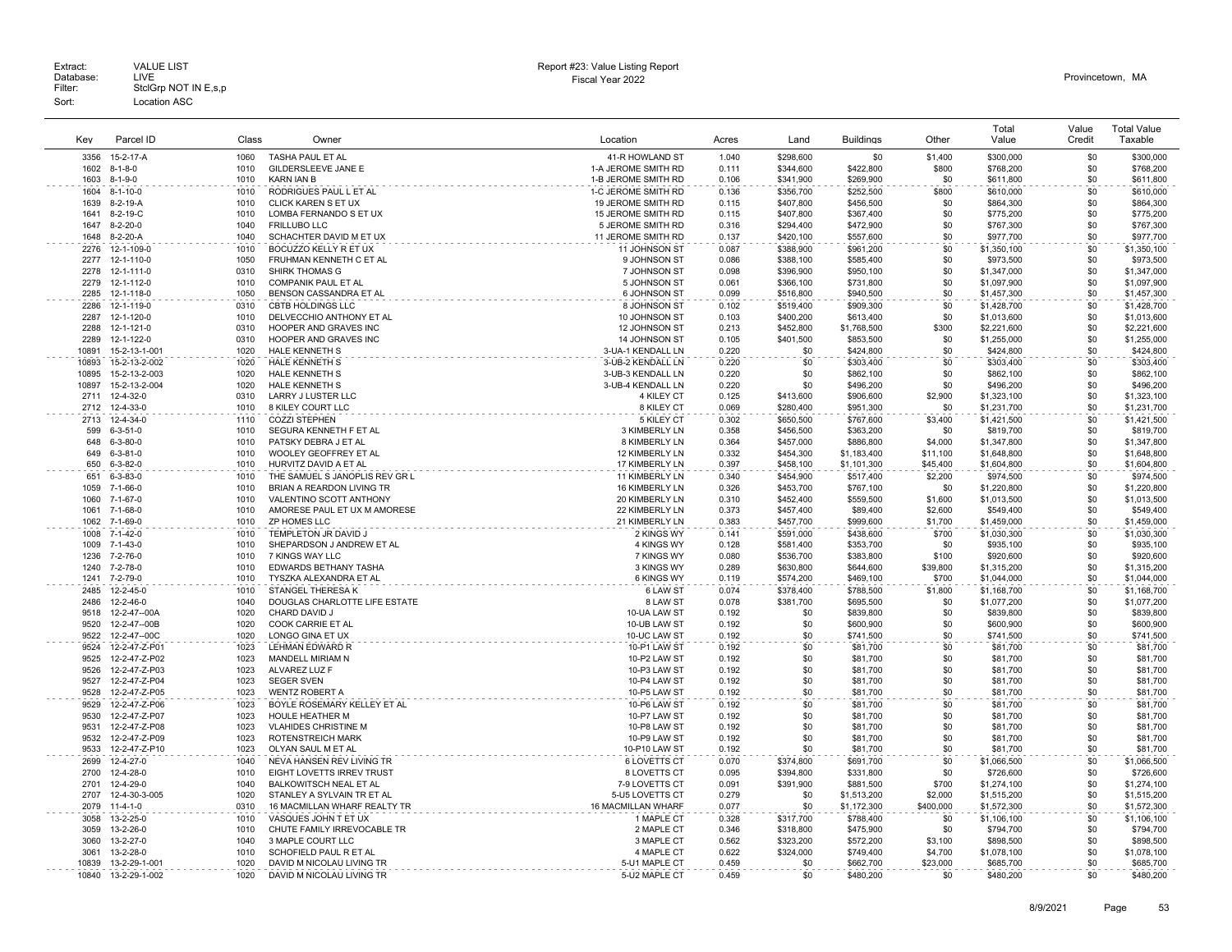Extract: VALUE LIST<br>Database: LIVE<br>Filter: StclGrp NOT IN E,s,p Fiscal Year 2022 Database: LIVE Provincetown, MA Extract: Call VALUE LIST CHARGE STATES AND REPORT HERE AND REPORT HERE AND REPORT THE REPORT OF DETAILS AND REPORT CHARGE STATES AND REPORT CHARGE STATES AND REPORT OF DETAILS AND REPORT CHARGE STATES OF DETAILS AND REPORT Sort: Location ASC

|                |                                |              |                                                         |                                            |                |                        |                        |                    | Total                      | Value      | <b>Total Value</b>         |
|----------------|--------------------------------|--------------|---------------------------------------------------------|--------------------------------------------|----------------|------------------------|------------------------|--------------------|----------------------------|------------|----------------------------|
| Key            | Parcel ID                      | Class        | Owner                                                   | Location                                   | Acres          | Land                   | <b>Buildings</b>       | Other              | Value                      | Credit     | Taxable                    |
| 3356           | 15-2-17-A                      | 1060         | TASHA PAUL ET AL                                        | 41-R HOWLAND ST                            | 1.040          | \$298,600              | \$0                    | \$1,400            | \$300,000                  | \$0        | \$300,000                  |
| 1602<br>1603   | $8 - 1 - 8 - 0$                | 1010<br>1010 | GILDERSLEEVE JANE E<br><b>KARN IAN B</b>                | 1-A JEROME SMITH RD<br>1-B JEROME SMITH RD | 0.111<br>0.106 | \$344,600<br>\$341,900 | \$422,800<br>\$269,900 | \$800<br>\$0       | \$768,200<br>\$611,800     | \$0<br>\$0 | \$768,200<br>\$611,800     |
| 1604           | 8-1-9-0<br>$8 - 1 - 10 - 0$    | 1010         | RODRIGUES PAUL L ET AL                                  | 1-C JEROME SMITH RD                        | 0.136          | \$356,700              | \$252,500              | \$800              | \$610,000                  | \$0        | \$610,000                  |
| 1639           | 8-2-19-A                       | 1010         | CLICK KAREN S ET UX                                     | 19 JEROME SMITH RD                         | 0.115          | \$407,800              | \$456,500              | \$0                | \$864,300                  | \$0        | \$864,300                  |
| 1641           | 8-2-19-C                       | 1010         | LOMBA FERNANDO S ET UX                                  | 15 JEROME SMITH RD                         | 0.115          | \$407,800              | \$367,400              | \$0                | \$775,200                  | \$0        | \$775,200                  |
| 1647           | $8 - 2 - 20 - 0$               | 1040         | FRILLUBO LLC                                            | 5 JEROME SMITH RD                          | 0.316          | \$294.400              | \$472,900              | \$0                | \$767,300                  | \$0        | \$767,300                  |
| 1648           | 8-2-20-A                       | 1040         | SCHACHTER DAVID M ET UX                                 | 11 JEROME SMITH RD                         | 0.137          | \$420,100              | \$557,600              | \$0                | \$977,700                  | \$0        | \$977,700                  |
| 2276           | 12-1-109-0                     | 1010         | BOCUZZO KELLY R ET UX                                   | 11 JOHNSON ST                              | 0.087          | \$388,900              | \$961,200              | \$0                | \$1,350,100                | \$0        | \$1,350,100                |
| 2277<br>2278   | 12-1-110-0                     | 1050<br>0310 | FRUHMAN KENNETH C ET AL                                 | 9 JOHNSON ST                               | 0.086          | \$388,100              | \$585,400              | \$0<br>\$0         | \$973,500                  | \$0        | \$973,500                  |
| 2279           | 12-1-111-0<br>12-1-112-0       | 1010         | SHIRK THOMAS G<br><b>COMPANIK PAUL ET AL</b>            | 7 JOHNSON ST<br>5 JOHNSON ST               | 0.098<br>0.061 | \$396,900<br>\$366,100 | \$950,100<br>\$731,800 | \$0                | \$1,347,000<br>\$1,097,900 | \$0<br>\$0 | \$1,347,000<br>\$1,097,900 |
| 2285           | 12-1-118-0                     | 1050         | BENSON CASSANDRA ET AL                                  | 6 JOHNSON ST                               | 0.099          | \$516,800              | \$940,500              | \$0                | \$1,457,300                | \$0        | \$1,457,300                |
| 2286           | 12-1-119-0                     | 0310         | <b>CBTB HOLDINGS LLC</b>                                | 8 JOHNSON ST                               | 0.102          | \$519,400              | \$909,300              | \$0                | \$1,428,700                | \$0        | \$1,428,700                |
| 2287           | 12-1-120-0                     | 1010         | DELVECCHIO ANTHONY ET AL                                | 10 JOHNSON ST                              | 0.103          | \$400,200              | \$613,400              | \$0                | \$1,013,600                | \$0        | \$1,013,600                |
| 2288           | 12-1-121-0                     | 0310         | HOOPER AND GRAVES INC                                   | 12 JOHNSON ST                              | 0.213          | \$452,800              | \$1,768,500            | \$300              | \$2,221,600                | \$0        | \$2,221,600                |
| 2289           | 12-1-122-0                     | 0310         | HOOPER AND GRAVES INC                                   | 14 JOHNSON ST                              | 0.105          | \$401,500              | \$853,500              | \$0                | \$1,255,000                | \$0        | \$1,255,000                |
| 10891          | 15-2-13-1-001                  | 1020         | <b>HALE KENNETH S</b>                                   | 3-UA-1 KENDALL LN                          | 0.220          | \$0                    | \$424,800              | \$0                | \$424,800                  | \$0        | \$424,800                  |
| 10893          | 15-2-13-2-002                  | 1020<br>1020 | HALE KENNETH S<br><b>HALE KENNETH S</b>                 | 3-UB-2 KENDALL LN                          | 0.220<br>0.220 | \$0<br>\$0             | \$303,400              | \$0<br>\$0         | \$303,400                  | \$0<br>\$0 | \$303,400                  |
| 10895<br>10897 | 15-2-13-2-003<br>15-2-13-2-004 | 1020         | <b>HALE KENNETH S</b>                                   | 3-UB-3 KENDALL LN<br>3-UB-4 KENDALL LN     | 0.220          | \$0                    | \$862,100<br>\$496,200 | \$0                | \$862,100<br>\$496,200     | \$0        | \$862,100<br>\$496,200     |
| 2711           | 12-4-32-0                      | 0310         | LARRY J LUSTER LLC                                      | 4 KILEY CT                                 | 0.125          | \$413,600              | \$906,600              | \$2,900            | \$1,323,100                | \$0        | \$1,323,100                |
| 2712           | 12-4-33-0                      | 1010         | 8 KILEY COURT LLC                                       | 8 KILEY CT                                 | 0.069          | \$280,400              | \$951,300              | \$0                | \$1,231,700                | \$0        | \$1,231,700                |
| 2713           | 12-4-34-0                      | 1110         | <b>COZZI STEPHEN</b>                                    | 5 KILEY CT                                 | 0.302          | \$650,500              | \$767,600              | \$3,400            | \$1,421,500                | \$0        | \$1,421,500                |
| 599            | $6 - 3 - 51 - 0$               | 1010         | SEGURA KENNETH F ET AL                                  | 3 KIMBERLY LN                              | 0.358          | \$456,500              | \$363,200              | \$0                | \$819,700                  | \$0        | \$819,700                  |
| 648            | $6 - 3 - 80 - 0$               | 1010         | PATSKY DEBRA J ET AL                                    | 8 KIMBERLY LN                              | 0.364          | \$457,000              | \$886,800              | \$4,000            | \$1,347,800                | \$0        | \$1,347,800                |
| 649            | $6 - 3 - 81 - 0$               | 1010         | WOOLEY GEOFFREY ET AL                                   | 12 KIMBERLY LN                             | 0.332          | \$454,300              | \$1,183,400            | \$11,100           | \$1,648,800                | \$0        | \$1,648,800                |
| 650            | $6 - 3 - 82 - 0$               | 1010         | HURVITZ DAVID A ET AL                                   | 17 KIMBERLY LN                             | 0.397          | \$458,100              | \$1,101,300            | \$45,400           | \$1,604,800                | \$0        | \$1,604,800                |
| 651            | $6 - 3 - 83 - 0$               | 1010         | THE SAMUEL S JANOPLIS REV GR L                          | 11 KIMBERLY LN                             | 0.340          | \$454,900              | \$517,400              | \$2,200            | \$974,500                  | \$0        | \$974,500                  |
| 1059           | 7-1-66-0                       | 1010<br>1010 | BRIAN A REARDON LIVING TR                               | 16 KIMBERLY LN                             | 0.326          | \$453,700              | \$767,100              | \$0                | \$1,220,800                | \$0        | \$1,220,800                |
| 1060<br>1061   | 7-1-67-0<br>7-1-68-0           | 1010         | VALENTINO SCOTT ANTHONY<br>AMORESE PAUL ET UX M AMORESE | 20 KIMBERLY LN<br>22 KIMBERLY LN           | 0.310<br>0.373 | \$452,400<br>\$457,400 | \$559,500<br>\$89,400  | \$1,600<br>\$2,600 | \$1,013,500<br>\$549,400   | \$0<br>\$0 | \$1,013,500<br>\$549,400   |
| 1062           | $7 - 1 - 69 - 0$               | 1010         | ZP HOMES LLC                                            | 21 KIMBERLY LN                             | 0.383          | \$457,700              | \$999,600              | \$1,700            | \$1,459,000                | \$0        | \$1,459,000                |
| 1008           | 7-1-42-0                       | 1010         | TEMPLETON JR DAVID J                                    | 2 KINGS WY                                 | 0.141          | \$591,000              | \$438,600              | \$700              | \$1,030,300                | \$0        | \$1,030,300                |
| 1009           | $7 - 1 - 43 - 0$               | 1010         | SHEPARDSON J ANDREW ET AL                               | 4 KINGS WY                                 | 0.128          | \$581,400              | \$353,700              | \$0                | \$935,100                  | \$0        | \$935,100                  |
| 1236           | 7-2-76-0                       | 1010         | 7 KINGS WAY LLC                                         | 7 KINGS WY                                 | 0.080          | \$536,700              | \$383,800              | \$100              | \$920,600                  | \$0        | \$920,600                  |
| 1240           | 7-2-78-0                       | 1010         | EDWARDS BETHANY TASHA                                   | 3 KINGS WY                                 | 0.289          | \$630,800              | \$644,600              | \$39,800           | \$1,315,200                | \$0        | \$1,315,200                |
| 1241           | 7-2-79-0                       | 1010         | TYSZKA ALEXANDRA ET AL                                  | 6 KINGS WY                                 | 0.119          | \$574,200              | \$469,100              | \$700              | \$1,044,000                | \$0        | \$1,044,000                |
| 2485           | 12-2-45-0                      | 1010         | STANGEL THERESA K                                       | 6 LAW ST                                   | 0.074          | \$378,400              | \$788,500              | \$1,800            | \$1,168,700                | \$0        | \$1,168,700                |
| 2486           | 12-2-46-0                      | 1040         | DOUGLAS CHARLOTTE LIFE ESTATE                           | 8 LAW ST                                   | 0.078          | \$381,700              | \$695,500              | \$0                | \$1,077,200                | \$0        | \$1,077,200                |
| 9518<br>9520   | 12-2-47--00A<br>12-2-47--00B   | 1020<br>1020 | CHARD DAVID J<br>COOK CARRIE ET AL                      | 10-UA LAW ST<br>10-UB LAW ST               | 0.192<br>0.192 | \$0<br>\$0             | \$839,800<br>\$600,900 | \$0<br>\$0         | \$839,800<br>\$600,900     | \$0<br>\$0 | \$839,800<br>\$600,900     |
| 9522           | 12-2-47--00C                   | 1020         | LONGO GINA ET UX                                        | 10-UC LAW ST                               | 0.192          | \$0                    | \$741,500              | \$0                | \$741,500                  | \$0        | \$741,500                  |
| 9524           | 12-2-47-Z-P01                  | 1023         | <b>LEHMAN EDWARD R</b>                                  | 10-P1 LAW ST                               | 0.192          | \$0                    | \$81,700               | \$0                | \$81,700                   | \$0        | \$81,700                   |
| 9525           | 12-2-47-Z-P02                  | 1023         | MANDELL MIRIAM N                                        | 10-P2 LAW ST                               | 0.192          | \$0                    | \$81,700               | \$0                | \$81,700                   | \$0        | \$81,700                   |
| 9526           | 12-2-47-Z-P03                  | 1023         | ALVAREZ LUZ F                                           | 10-P3 LAW ST                               | 0.192          | \$0                    | \$81,700               | \$0                | \$81,700                   | \$0        | \$81,700                   |
| 9527           | 12-2-47-Z-P04                  | 1023         | <b>SEGER SVEN</b>                                       | 10-P4 LAW ST                               | 0.192          | \$0                    | \$81,700               | \$0                | \$81,700                   | \$0        | \$81,700                   |
| 9528           | 12-2-47-Z-P05                  | 1023         | <b>WENTZ ROBERT A</b>                                   | 10-P5 LAW ST                               | 0.192          | \$0                    | \$81,700               | \$0                | \$81,700                   | \$0        | \$81,700                   |
| 9529           | 12-2-47-Z-P06                  | 1023         | BOYLE ROSEMARY KELLEY ET AL                             | 10-P6 LAW ST                               | 0.192          | \$0                    | \$81,700               | \$0                | \$81,700                   | \$0        | \$81,700                   |
| 9530<br>9531   | 12-2-47-Z-P07                  | 1023<br>1023 | HOULE HEATHER M                                         | 10-P7 LAW ST                               | 0.192          | \$0<br>\$0             | \$81,700               | \$0<br>\$0         | \$81,700                   | \$0        | \$81,700                   |
| 9532           | 12-2-47-Z-P08<br>12-2-47-Z-P09 | 1023         | <b>VLAHIDES CHRISTINE M</b><br><b>ROTENSTREICH MARK</b> | 10-P8 LAW ST<br>10-P9 LAW S1               | 0.192<br>0.192 | \$0                    | \$81,700<br>\$81,700   | \$0                | \$81,700<br>\$81,700       | \$0<br>\$0 | \$81,700<br>\$81,700       |
| 9533           | 12-2-47-Z-P10                  | 1023         | OLYAN SAUL M ET AL                                      | 10-P10 LAW ST                              | 0.192          | \$0                    | \$81,700               | \$0                | \$81,700                   | \$0        | \$81,700                   |
| 2699           | 12-4-27-0                      | 1040         | NEVA HANSEN REV LIVING TR                               | 6 LOVETTS CT                               | 0.070          | \$374,800              | \$691,700              | \$0                | \$1,066,500                | \$0        | \$1,066,500                |
| 2700           | 12-4-28-0                      | 1010         | EIGHT LOVETTS IRREV TRUST                               | 8 LOVETTS CT                               | 0.095          | \$394,800              | \$331,800              | \$0                | \$726,600                  | \$0        | \$726,600                  |
| 2701           | 12-4-29-0                      | 1040         | BALKOWITSCH NEAL ET AL                                  | 7-9 LOVETTS CT                             | 0.091          | \$391,900              | \$881,500              | \$700              | \$1,274,100                | \$0        | \$1,274,100                |
| 2707           | 12-4-30-3-005                  | 1020         | STANLEY A SYLVAIN TR ET AL                              | 5-U5 LOVETTS CT                            | 0.279          | \$0                    | \$1,513,200            | \$2,000            | \$1,515,200                | \$0        | \$1,515,200                |
| 2079           | $11 - 4 - 1 - 0$               | 0310         | 16 MACMILLAN WHARF REALTY TR                            | 16 MACMILLAN WHARF                         | 0.077          | \$0                    | \$1,172,300            | \$400,000          | \$1,572,300                | \$0        | \$1,572,300                |
| 3058           | 13-2-25-0                      | 1010         | VASQUES JOHN T ET UX                                    | 1 MAPLE CT                                 | 0.328          | \$317,700              | \$788,400              | \$0                | \$1,106,100                | \$0        | \$1,106,100                |
| 3059           | 13-2-26-0                      | 1010         | CHUTE FAMILY IRREVOCABLE TR                             | 2 MAPLE CT                                 | 0.346          | \$318,800              | \$475,900              | \$0                | \$794,700                  | \$0        | \$794,700                  |
| 3060           | 13-2-27-0                      | 1040         | 3 MAPLE COURT LLC                                       | 3 MAPLE CT                                 | 0.562          | \$323,200              | \$572,200              | \$3,100            | \$898,500                  | \$0        | \$898,500                  |
| 3061           | 13-2-28-0                      | 1010<br>1020 | SCHOFIELD PAUL R ET AL                                  | 4 MAPLE CT                                 | 0.622          | \$324,000              | \$749,400              | \$4,700            | \$1,078,100                | \$0        | \$1,078,100                |
| 10839<br>10840 | 13-2-29-1-001<br>13-2-29-1-002 | 1020         | DAVID M NICOLAU LIVING TR<br>DAVID M NICOLAU LIVING TR  | 5-U1 MAPLE CT<br>5-U2 MAPLE CT             | 0.459<br>0.459 | \$0<br>\$0             | \$662,700<br>\$480.200 | \$23,000<br>\$0    | \$685,700<br>\$480.200     | \$0<br>\$0 | \$685,700<br>\$480,200     |
|                |                                |              |                                                         |                                            |                |                        |                        |                    |                            |            |                            |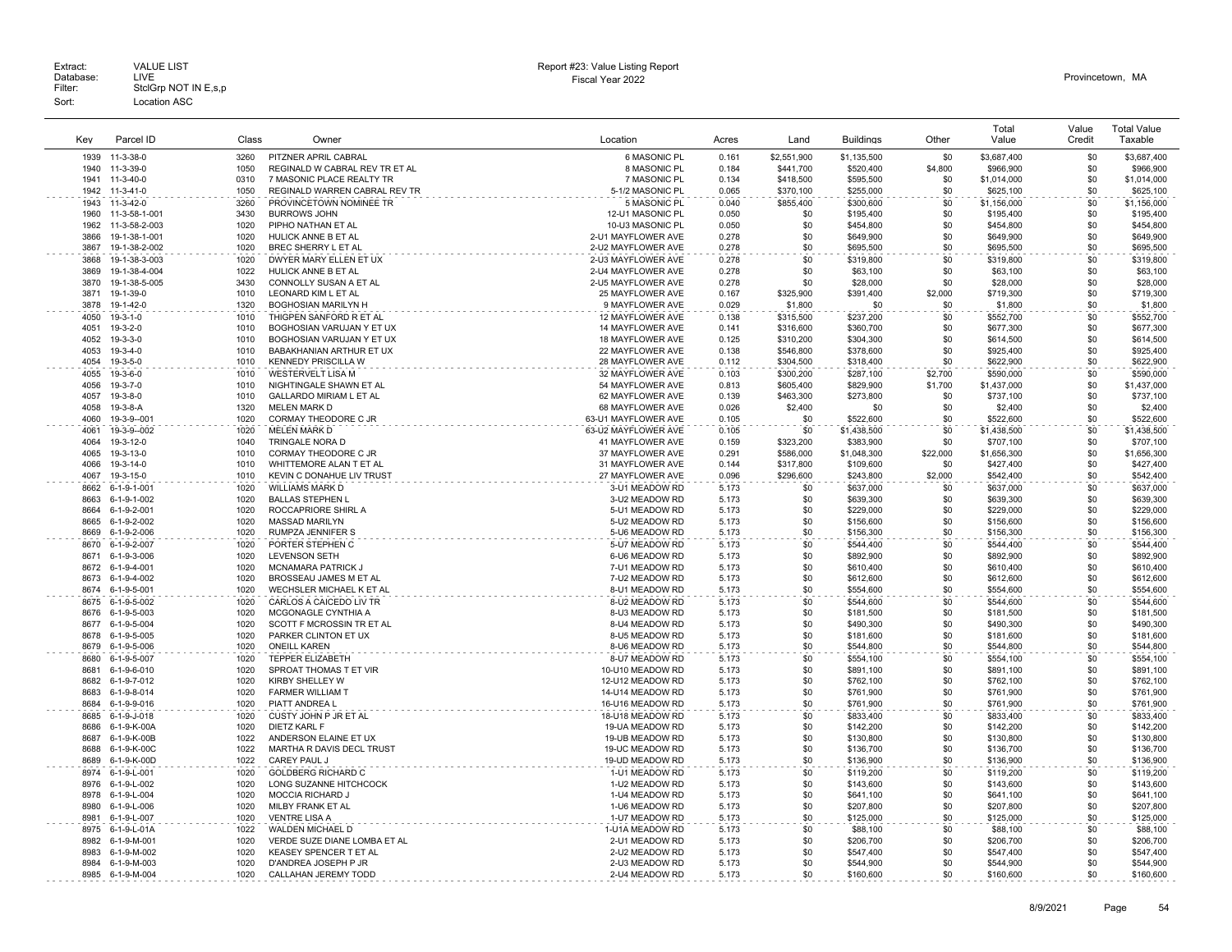| Key          | Parcel ID                            | Class        | Owner                                                       | Location                             | Acres          | Land                   | <b>Buildings</b>         | Other           | Total<br>Value           | Value<br>Credit | <b>Total Value</b><br>Taxable |
|--------------|--------------------------------------|--------------|-------------------------------------------------------------|--------------------------------------|----------------|------------------------|--------------------------|-----------------|--------------------------|-----------------|-------------------------------|
|              |                                      |              |                                                             |                                      |                |                        |                          |                 |                          |                 |                               |
| 1939         | $11-3-38-0$                          | 3260         | PITZNER APRIL CABRAL                                        | 6 MASONIC PL                         | 0.161          | \$2,551,900            | \$1,135,500              | \$0             | \$3,687,400              | \$0             | \$3,687,400                   |
| 1940<br>1941 | 11-3-39-0<br>11-3-40-0               | 1050<br>0310 | REGINALD W CABRAL REV TR ET AL<br>7 MASONIC PLACE REALTY TR | 8 MASONIC PL<br>7 MASONIC PL         | 0.184<br>0.134 | \$441.700<br>\$418,500 | \$520,400<br>\$595,500   | \$4,800<br>\$0  | \$966,900<br>\$1,014,000 | \$0<br>\$0      | \$966,900<br>\$1,014,000      |
| 1942         | 11-3-41-0                            | 1050         | REGINALD WARREN CABRAL REV TR                               | 5-1/2 MASONIC PL                     | 0.065          | \$370,100              | \$255,000                | \$0             | \$625,100                | \$0             | \$625,100                     |
| 1943         | 11-3-42-0                            | 3260         | PROVINCETOWN NOMINEE TR                                     | 5 MASONIC PL                         | 0.040          | \$855,400              | \$300,600                | \$0             | \$1,156,000              | \$0             | \$1,156,000                   |
| 1960         | 11-3-58-1-001                        | 3430         | <b>BURROWS JOHN</b>                                         | 12-U1 MASONIC PL                     | 0.050          | \$0                    | \$195,400                | \$0             | \$195,400                | \$0             | \$195,400                     |
| 1962         | 11-3-58-2-003                        | 1020         | PIPHO NATHAN ET AL                                          | 10-U3 MASONIC PL                     | 0.050          | \$0                    | \$454,800                | \$0             | \$454,800                | \$0             | \$454,800                     |
| 3866         | 19-1-38-1-001                        | 1020         | HULICK ANNE B ET AL                                         | 2-U1 MAYFLOWER AVE                   | 0.278          | \$0                    | \$649,900                | \$0             | \$649,900                | \$0             | \$649,900                     |
| 3867         | 19-1-38-2-002                        | 1020         | BREC SHERRY L ET AL                                         | 2-U2 MAYFLOWER AVE                   | 0.278          | \$0                    | \$695,500                | \$0             | \$695,500                | \$0             | \$695,500                     |
| 3868         | 19-1-38-3-003                        | 1020         | DWYER MARY ELLEN ET UX                                      | 2-U3 MAYFLOWER AVE                   | 0.278          | \$0                    | \$319,800                | \$0             | \$319,800                | \$0             | \$319,800                     |
| 3869         | 19-1-38-4-004                        | 1022         | HULICK ANNE B ET AL                                         | 2-U4 MAYFLOWER AVE                   | 0.278          | \$0                    | \$63,100                 | \$0             | \$63,100                 | \$0             | \$63,100                      |
| 3870         | 19-1-38-5-005                        | 3430         | CONNOLLY SUSAN A ET AL                                      | 2-U5 MAYFLOWER AVE                   | 0.278          | \$0                    | \$28,000                 | \$0             | \$28,000                 | \$0             | \$28,000                      |
| 3871<br>3878 | 19-1-39-0                            | 1010         | LEONARD KIM L ET AL                                         | 25 MAYFLOWER AVE                     | 0.167          | \$325,900              | \$391,400                | \$2,000         | \$719,300                | \$0             | \$719,300                     |
|              | 19-1-42-0                            | 1320         | <b>BOGHOSIAN MARILYN H</b><br>THIGPEN SANFORD R ET AL       | 9 MAYFLOWER AVE                      | 0.029<br>0.138 | \$1,800                | \$0                      | \$0<br>\$0      | \$1,800<br>\$552,700     | \$0<br>\$0      | \$1,800<br>\$552,700          |
| 4050<br>4051 | $19-3-1-0$<br>$19-3-2-0$             | 1010<br>1010 | BOGHOSIAN VARUJAN Y ET UX                                   | 12 MAYFLOWER AVE<br>14 MAYFLOWER AVE | 0.141          | \$315,500<br>\$316,600 | \$237,200<br>\$360,700   | \$0             | \$677,300                | \$0             | \$677,300                     |
| 4052         | 19-3-3-0                             | 1010         | BOGHOSIAN VARUJAN Y ET UX                                   | 18 MAYFLOWER AVE                     | 0.125          | \$310,200              | \$304,300                | \$0             | \$614,500                | \$0             | \$614,500                     |
| 4053         | $19 - 3 - 4 - 0$                     | 1010         | BABAKHANIAN ARTHUR ET UX                                    | 22 MAYFLOWER AVE                     | 0.138          | \$546.800              | \$378,600                | \$0             | \$925,400                | \$0             | \$925,400                     |
| 4054         | 19-3-5-0                             | 1010         | <b>KENNEDY PRISCILLA W</b>                                  | 28 MAYFLOWER AVE                     | 0.112          | \$304.500              | \$318,400                | \$0             | \$622,900                | \$0             | \$622.900                     |
| 4055         | $19-3-6-0$                           | 1010         | <b>WESTERVELT LISA M</b>                                    | 32 MAYFLOWER AVE                     | 0.103          | \$300.200              | \$287,100                | \$2,700         | \$590,000                | \$0             | \$590,000                     |
| 4056         | $19 - 3 - 7 - 0$                     | 1010         | NIGHTINGALE SHAWN ET AL                                     | 54 MAYFLOWER AVE                     | 0.813          | \$605,400              | \$829,900                | \$1,700         | \$1,437,000              | \$0             | \$1,437,000                   |
| 4057         | 19-3-8-0                             | 1010         | GALLARDO MIRIAM L ET AL                                     | 62 MAYFLOWER AVE                     | 0.139          | \$463,300              | \$273,800                | \$0             | \$737,100                | \$0             | \$737,100                     |
| 4058         | 19-3-8-A                             | 1320         | <b>MELEN MARK D</b>                                         | 68 MAYFLOWER AVE                     | 0.026          | \$2,400                | \$0                      | \$0             | \$2,400                  | \$0             | \$2,400                       |
| 4060         | 19-3-9--001                          | 1020         | CORMAY THEODORE C JR                                        | 63-U1 MAYFLOWER AVE                  | 0.105          | \$0                    | \$522,600                | \$0             | \$522,600                | \$0             | \$522,600                     |
| 4061         | 19-3-9--002                          | 1020         | <b>MELEN MARK D</b>                                         | 63-U2 MAYFLOWER AVE                  | 0.105          | \$0                    | \$1,438,500              | \$0             | \$1,438,500              | \$0             | \$1.438.500                   |
| 4064         | 19-3-12-0                            | 1040         | TRINGALE NORA D                                             | 41 MAYFLOWER AVE                     | 0.159          | \$323,200              | \$383,900                | \$0             | \$707,100                | \$0<br>\$0      | \$707,100                     |
| 4065<br>4066 | 19-3-13-0<br>19-3-14-0               | 1010<br>1010 | CORMAY THEODORE C JR<br>WHITTEMORE ALAN T ET AL             | 37 MAYFLOWER AVE<br>31 MAYFLOWER AVE | 0.291<br>0.144 | \$586,000<br>\$317,800 | \$1,048,300<br>\$109,600 | \$22,000<br>\$0 | \$1,656,300<br>\$427,400 | \$0             | \$1,656,300<br>\$427,400      |
| 4067         | 19-3-15-0                            | 1010         | KEVIN C DONAHUE LIV TRUST                                   | 27 MAYFLOWER AVE                     | 0.096          | \$296,600              | \$243,800                | \$2,000         | \$542,400                | \$0             | \$542,400                     |
| 8662         | 6-1-9-1-001                          | 1020         | WILLIAMS MARK D                                             | 3-U1 MEADOW RD                       | 5.173          | \$0                    | \$637,000                | \$0             | \$637,000                | \$0             | \$637,000                     |
| 8663         | 6-1-9-1-002                          | 1020         | <b>BALLAS STEPHEN L</b>                                     | 3-U2 MEADOW RD                       | 5.173          | \$0                    | \$639,300                | \$0             | \$639,300                | \$0             | \$639,300                     |
| 8664         | 6-1-9-2-001                          | 1020         | ROCCAPRIORE SHIRL A                                         | 5-U1 MEADOW RD                       | 5.173          | \$0                    | \$229,000                | \$0             | \$229,000                | \$0             | \$229,000                     |
| 8665         | 6-1-9-2-002                          | 1020         | <b>MASSAD MARILYN</b>                                       | 5-U2 MEADOW RD                       | 5.173          | \$0                    | \$156,600                | \$0             | \$156,600                | \$0             | \$156,600                     |
| 8669         | 6-1-9-2-006                          | 1020         | RUMPZA JENNIFER S                                           | 5-U6 MEADOW RD                       | 5.173          | \$0                    | \$156,300                | \$0             | \$156,300                | \$0             | \$156,300                     |
| 8670         | 6-1-9-2-007                          | 1020         | PORTER STEPHEN C                                            | 5-U7 MEADOW RD                       | 5.173          | \$0                    | \$544,400                | \$0             | \$544,400                | \$0             | \$544,400                     |
| 8671         | 6-1-9-3-006                          | 1020         | <b>LEVENSON SETH</b>                                        | 6-U6 MEADOW RD                       | 5.173          | \$0                    | \$892,900                | \$0             | \$892,900                | \$0             | \$892,900                     |
| 8672         | 6-1-9-4-001                          | 1020         | <b>MCNAMARA PATRICK J</b>                                   | 7-U1 MEADOW RD                       | 5.173          | \$0                    | \$610,400                | \$0             | \$610,400                | \$0             | \$610,400                     |
| 8673<br>8674 | 6-1-9-4-002<br>6-1-9-5-001           | 1020<br>1020 | BROSSEAU JAMES M ET AL<br>WECHSLER MICHAEL K ET AL          | 7-U2 MEADOW RD<br>8-U1 MEADOW RD     | 5.173<br>5.173 | \$0<br>\$0             | \$612,600<br>\$554,600   | \$0<br>\$0      | \$612,600<br>\$554,600   | \$0<br>\$0      | \$612,600<br>\$554,600        |
| 8675         | 6-1-9-5-002                          | 1020         | CARLOS A CAICEDO LIV TR                                     | 8-U2 MEADOW RD                       | 5.173          | \$0                    | \$544,600                | \$0             | \$544,600                | \$0             | \$544,600                     |
| 8676         | 6-1-9-5-003                          | 1020         | MCGONAGLE CYNTHIA A                                         | 8-U3 MEADOW RD                       | 5.173          | \$0                    | \$181,500                | \$0             | \$181,500                | \$0             | \$181,500                     |
| 8677         | 6-1-9-5-004                          | 1020         | SCOTT F MCROSSIN TR ET AL                                   | 8-U4 MEADOW RD                       | 5.173          | \$0                    | \$490,300                | \$0             | \$490,300                | \$0             | \$490,300                     |
| 8678         | 6-1-9-5-005                          | 1020         | PARKER CLINTON ET UX                                        | 8-U5 MEADOW RD                       | 5.173          | \$0                    | \$181,600                | \$0             | \$181,600                | \$0             | \$181,600                     |
| 8679         | 6-1-9-5-006                          | 1020         | <b>ONEILL KAREN</b>                                         | 8-U6 MEADOW RD                       | 5.173          | \$0                    | \$544,800                | \$0             | \$544,800                | \$0             | \$544,800                     |
| 8680         | 6-1-9-5-007                          | 1020         | TEPPER ELIZABETH                                            | 8-U7 MEADOW RD                       | 5.173          | \$0                    | \$554,100                | \$0             | \$554,100                | \$0             | \$554,100                     |
| 8681         | 6-1-9-6-010                          | 1020         | SPROAT THOMAS T ET VIR                                      | 10-U10 MEADOW RD                     | 5.173          | \$0                    | \$891,100                | \$0             | \$891,100                | \$0             | \$891,100                     |
| 8682         | 6-1-9-7-012                          | 1020         | KIRBY SHELLEY W                                             | 12-U12 MEADOW RD                     | 5.173          | \$0                    | \$762,100                | \$0             | \$762,100                | \$0             | \$762,100                     |
| 8683         | 6-1-9-8-014                          | 1020         | <b>FARMER WILLIAM T</b>                                     | 14-U14 MEADOW RD                     | 5.173          | \$0                    | \$761,900                | \$0             | \$761,900                | \$0             | \$761,900                     |
| 8684         | 6-1-9-9-016                          | 1020         | PIATT ANDREA L                                              | 16-U16 MEADOW RD                     | 5.173          | \$0                    | \$761,900                | \$0<br>\$0      | \$761.900                | \$0<br>\$0      | \$761,900                     |
| 8685<br>8686 | $6 - 1 - 9 - J - 018$<br>6-1-9-K-00A | 1020<br>1020 | CUSTY JOHN P JR ET AL<br><b>DIETZ KARL F</b>                | 18-U18 MEADOW RD<br>19-UA MEADOW RD  | 5.173<br>5.173 | \$0<br>\$0             | \$833,400<br>\$142,200   | \$0             | \$833,400<br>\$142,200   | \$0             | \$833,400<br>\$142,200        |
| 8687         | 6-1-9-K-00B                          | 1022         | ANDERSON ELAINE ET UX                                       | 19-UB MEADOW RD                      | 5.173          | \$0                    | \$130,800                | \$0             | \$130,800                | \$0             | \$130,800                     |
| 8688         | 6-1-9-K-00C                          | 1022         | MARTHA R DAVIS DECL TRUST                                   | 19-UC MEADOW RD                      | 5.173          | \$0                    | \$136,700                | \$0             | \$136,700                | \$0             | \$136,700                     |
| 8689         | 6-1-9-K-00D                          | 1022         | CAREY PAUL J                                                | 19-UD MEADOW RD                      | 5.173          | \$0                    | \$136,900                | \$0             | \$136,900                | \$0             | \$136,900                     |
| 8974         | 6-1-9-L-001                          | 1020         | <b>GOLDBERG RICHARD C</b>                                   | 1-U1 MEADOW RD                       | 5.173          | \$0                    | \$119,200                | \$0             | \$119,200                | \$0             | \$119,200                     |
| 8976         | 6-1-9-L-002                          | 1020         | LONG SUZANNE HITCHCOCK                                      | 1-U2 MEADOW RD                       | 5.173          | \$0                    | \$143,600                | \$0             | \$143,600                | \$0             | \$143,600                     |
| 8978         | 6-1-9-L-004                          | 1020         | <b>MOCCIA RICHARD J</b>                                     | 1-U4 MEADOW RD                       | 5.173          | \$0                    | \$641,100                | \$0             | \$641,100                | \$0             | \$641,100                     |
| 8980         | 6-1-9-L-006                          | 1020         | MILBY FRANK ET AL                                           | 1-U6 MEADOW RD                       | 5.173          | \$0                    | \$207,800                | \$0             | \$207,800                | \$0             | \$207,800                     |
| 8981         | 6-1-9-L-007                          | 1020         | VENTRE LISA A                                               | 1-U7 MEADOW RD                       | 5.173          | \$0                    | \$125,000                | \$0             | \$125,000                | \$0             | \$125,000                     |
| 8975         | 6-1-9-L-01A                          | 1022         | <b>WALDEN MICHAEL D</b>                                     | 1-U1A MEADOW RD                      | 5.173          | \$0                    | \$88,100                 | \$0             | \$88,100                 | \$0             | \$88,100                      |
| 8982<br>8983 | 6-1-9-M-001<br>6-1-9-M-002           | 1020<br>1020 | VERDE SUZE DIANE LOMBA ET AL<br>KEASEY SPENCER T ET AL      | 2-U1 MEADOW RD<br>2-U2 MEADOW RD     | 5.173<br>5.173 | \$0<br>\$0             | \$206,700<br>\$547,400   | \$0<br>\$0      | \$206,700<br>\$547,400   | \$0<br>\$0      | \$206,700<br>\$547,400        |
| 8984         | 6-1-9-M-003                          | 1020         | D'ANDREA JOSEPH P JR                                        | 2-U3 MEADOW RD                       | 5.173          | \$0                    | \$544.900                | \$0             | \$544,900                | \$0             | \$544.900                     |
| 8985         | 6-1-9-M-004                          | 1020         | CALLAHAN JEREMY TODD                                        | 2-U4 MEADOW RD                       | 5.173          | \$0                    | \$160,600                | \$0             | \$160,600                | \$0             | \$160,600                     |
|              |                                      |              |                                                             |                                      |                |                        |                          |                 |                          |                 |                               |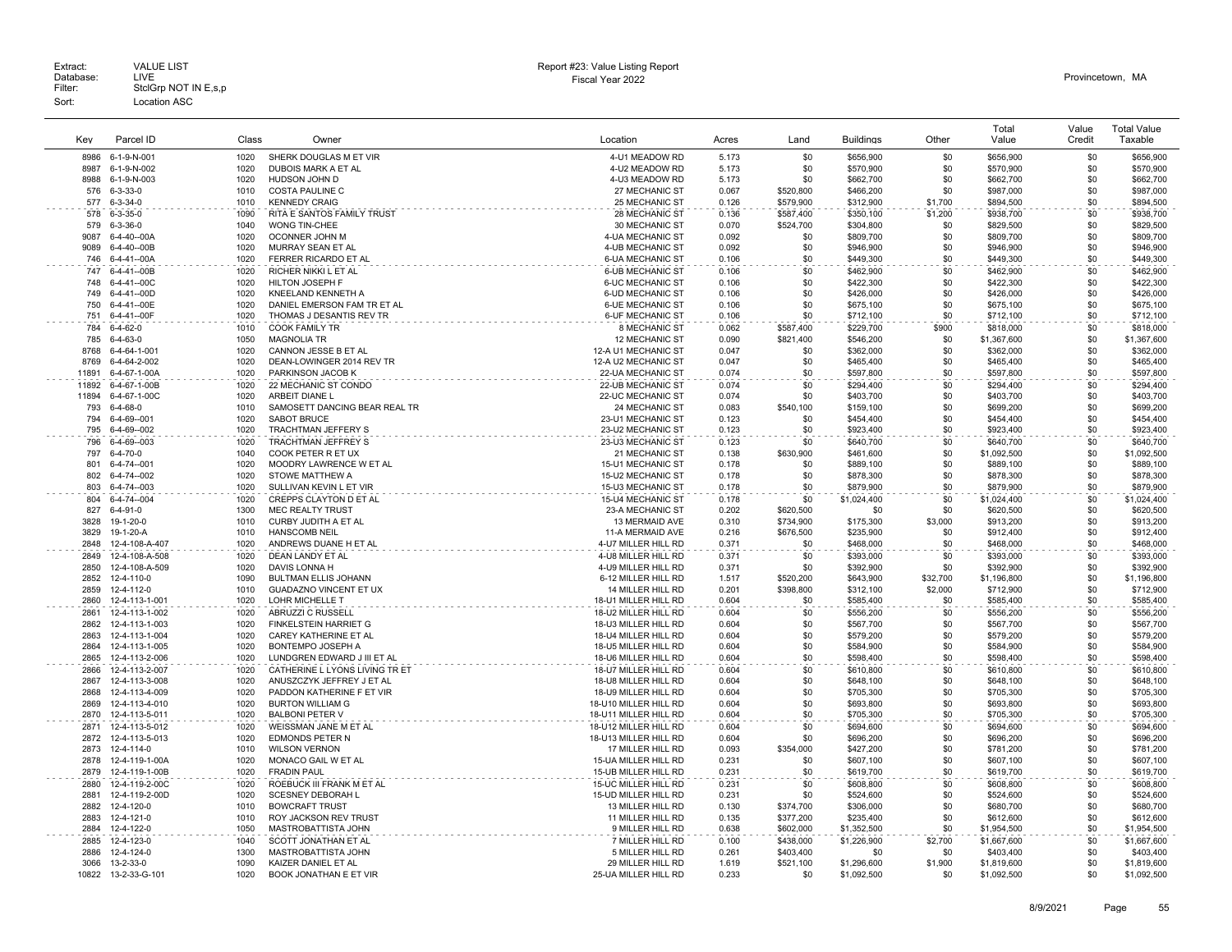| Key          | Parcel ID                    | Class        | Owner                                     | Location                                  | Acres          | Land             | <b>Buildings</b>       | Other          | Total<br>Value         | Value<br>Credit | <b>Total Value</b><br>Taxable |
|--------------|------------------------------|--------------|-------------------------------------------|-------------------------------------------|----------------|------------------|------------------------|----------------|------------------------|-----------------|-------------------------------|
| 8986         | 6-1-9-N-001                  | 1020         | SHERK DOUGLAS M ET VIR                    | 4-U1 MEADOW RD                            | 5.173          | \$0              | \$656,900              | \$0            | \$656,900              | \$0             | \$656,900                     |
| 8987         | 6-1-9-N-002                  | 1020         | DUBOIS MARK A ET AL                       | 4-U2 MEADOW RD                            | 5.173          | \$0              | \$570,900              | \$0            | \$570,900              | \$0             | \$570,900                     |
| 8988         | 6-1-9-N-003                  | 1020         | HUDSON JOHN D                             | 4-U3 MEADOW RD                            | 5.173          | \$0              | \$662,700              | \$0            | \$662,700              | \$0             | \$662,700                     |
| 576          | 6-3-33-0                     | 1010         | <b>COSTA PAULINE C</b>                    | 27 MECHANIC ST                            | 0.067          | \$520,800        | \$466,200              | \$0            | \$987,000              | \$0             | \$987,000                     |
| 577          | 6-3-34-0                     | 1010         | <b>KENNEDY CRAIG</b>                      | 25 MECHANIC ST                            | 0.126          | \$579,900        | \$312,900              | \$1,700        | \$894.500              | \$0             | \$894,500                     |
| 578          | $6 - 3 - 35 - 0$             | 1090         | RITA E SANTOS FAMILY TRUST                | 28 MECHANIC ST                            | 0.136          | \$587,400        | \$350,100              | \$1,200        | \$938,700              | \$0             | \$938,700                     |
| 579          | $6 - 3 - 36 - 0$             | 1040         | <b>WONG TIN-CHEE</b>                      | 30 MECHANIC ST                            | 0.070          | \$524,700        | \$304,800              | \$0            | \$829,500              | \$0             | \$829,500                     |
| 9087         | 6-4-40--00A                  | 1020         | OCONNER JOHN M                            | 4-UA MECHANIC ST                          | 0.092          | \$0              | \$809,700              | \$0            | \$809,700              | \$0             | \$809,700                     |
| 9089         | 6-4-40--00B                  | 1020         | MURRAY SEAN ET AL                         | 4-UB MECHANIC ST                          | 0.092          | \$0              | \$946.900              | \$0            | \$946,900              | \$0             | \$946,900                     |
| 746          | 6-4-41--00A                  | 1020         | FERRER RICARDO ET AL                      | <b>6-UA MECHANIC ST</b>                   | 0.106          | \$0              | \$449,300              | \$0            | \$449,300              | \$0             | \$449,300                     |
| 747          | 6-4-41--00B                  | 1020         | RICHER NIKKI L ET AL                      | <b>6-UB MECHANIC ST</b>                   | 0.106          | \$0              | \$462,900              | \$0            | \$462,900              | \$0             | \$462,900                     |
| 748          | 6-4-41--00C                  | 1020         | HILTON JOSEPH F                           | <b>6-UC MECHANIC ST</b>                   | 0.106          | \$0              | \$422,300              | \$0            | \$422,300              | \$0             | \$422,300                     |
| 749          | 6-4-41--00D                  | 1020         | KNEELAND KENNETH A                        | 6-UD MECHANIC ST                          | 0.106          | \$0              | \$426,000              | \$0            | \$426,000              | \$0             | \$426,000                     |
| 750          | 6-4-41--00E                  | 1020         | DANIEL EMERSON FAM TR ET AL               | 6-UE MECHANIC ST                          | 0.106          | \$0              | \$675,100              | \$0            | \$675,100              | \$0             | \$675,100                     |
| 751          | 6-4-41--00F                  | 1020         | THOMAS J DESANTIS REV TR                  | 6-UF MECHANIC ST                          | 0.106          | \$0              | \$712,100              | \$0            | \$712,100              | \$0             | \$712,100                     |
| 784          | 6-4-62-0                     | 1010         | <b>COOK FAMILY TR</b>                     | 8 MECHANIC ST                             | 0.062          | \$587,400        | \$229,700              | \$900          | \$818,000              | \$0             | \$818,000                     |
| 785          | $6 - 4 - 63 - 0$             | 1050         | <b>MAGNOLIA TR</b>                        | 12 MECHANIC ST                            | 0.090          | \$821,400        | \$546,200              | \$0            | \$1,367,600            | \$0             | \$1,367,600                   |
| 8768         | 6-4-64-1-001                 | 1020         | CANNON JESSE B ET AL                      | 12-A U1 MECHANIC ST                       | 0.047          | \$0              | \$362,000              | \$0            | \$362,000              | \$0             | \$362,000                     |
| 8769         | 6-4-64-2-002                 | 1020         | DEAN-LOWINGER 2014 REV TR                 | 12-A U2 MECHANIC ST                       | 0.047          | \$0              | \$465,400              | \$0            | \$465,400              | \$0             | \$465,400                     |
| 11891        | 6-4-67-1-00A                 | 1020         | PARKINSON JACOB K                         | 22-UA MECHANIC ST                         | 0.074          | \$0              | \$597,800              | \$0            | \$597,800              | \$0             | \$597,800                     |
| 11892        | 6-4-67-1-00B                 | 1020         | 22 MECHANIC ST CONDO                      | 22-UB MECHANIC ST                         | 0.074          | \$0              | \$294,400              | \$0            | \$294,400              | \$0             | \$294,400                     |
| 11894        | 6-4-67-1-00C                 | 1020         | ARBEIT DIANE L                            | 22-UC MECHANIC ST                         | 0.074          | \$0              | \$403,700              | \$0            | \$403,700              | \$0             | \$403,700                     |
| 793          | $6 - 4 - 68 - 0$             | 1010         | SAMOSETT DANCING BEAR REAL TR             | 24 MECHANIC ST                            | 0.083          | \$540,100        | \$159,100              | \$0            | \$699,200              | \$0             | \$699,200                     |
| 794          | 6-4-69--001                  | 1020         | SABOT BRUCE                               | 23-U1 MECHANIC ST                         | 0.123          | \$0              | \$454,400              | \$0            | \$454,400              | \$0             | \$454,400                     |
| 795          | 6-4-69--002                  | 1020         | TRACHTMAN JEFFERY S                       | 23-U2 MECHANIC ST                         | 0.123          | \$0              | \$923,400              | \$0            | \$923,400              | \$0             | \$923,400                     |
| 796          | 6-4-69--003                  | 1020         | TRACHTMAN JEFFREY S                       | 23-U3 MECHANIC ST                         | 0.123          | \$0              | \$640,700              | \$0            | \$640,700              | \$0             | \$640,700                     |
| 797          | 6-4-70-0                     | 1040         | COOK PETER R ET UX                        | 21 MECHANIC ST                            | 0.138          | \$630,900        | \$461,600              | \$0            | \$1,092,500            | \$0             | \$1,092,500                   |
| 801          | 6-4-74--001                  | 1020         | MOODRY LAWRENCE W ET AL                   | 15-U1 MECHANIC ST                         | 0.178          | \$0              | \$889,100              | \$0            | \$889,100              | \$0             | \$889,100                     |
| 802          | 6-4-74--002                  | 1020         | STOWE MATTHEW A                           | 15-U2 MECHANIC ST                         | 0.178          | \$0              | \$878,300              | \$0            | \$878,300              | \$0             | \$878,300                     |
| 803          | 6-4-74--003                  | 1020         | SULLIVAN KEVIN L ET VIR                   | 15-U3 MECHANIC ST                         | 0.178          | \$0              | \$879,900              | \$0            | \$879,900              | \$0             | \$879,900                     |
| 804          | 6-4-74--004                  | 1020         | CREPPS CLAYTON D ET AL                    | 15-U4 MECHANIC ST                         | 0.178          | \$0              | \$1,024,400            | \$0            | \$1,024,400            | \$0             | \$1,024,400                   |
| 827          | $6-4-91-0$                   | 1300         | <b>MEC REALTY TRUST</b>                   | 23-A MECHANIC ST                          | 0.202          | \$620,500        | \$0                    | \$0            | \$620,500              | \$0             | \$620,500                     |
| 3828         | 19-1-20-0                    | 1010         | <b>CURBY JUDITH A ET AL</b>               | 13 MERMAID AVE                            | 0.310          | \$734.900        | \$175,300              | \$3,000        | \$913.200              | \$0             | \$913,200                     |
| 3829         | 19-1-20-A                    | 1010         | <b>HANSCOMB NEIL</b>                      | 11-A MERMAID AVE                          | 0.216          | \$676,500        | \$235,900              | \$0            | \$912,400              | \$0             | \$912,400                     |
| 2848         | 12-4-108-A-407               | 1020         | ANDREWS DUANE H ET AL                     | 4-U7 MILLER HILL RD                       | 0.371          | \$0              | \$468,000              | \$0            | \$468,000              | \$0             | \$468,000                     |
| 2849         | 12-4-108-A-508               | 1020         | DEAN LANDY ET AL                          | 4-U8 MILLER HILL RD                       | 0.371          | \$0              | \$393,000              | \$0            | \$393,000              | \$0             | \$393,000                     |
| 2850         | 12-4-108-A-509               | 1020         | DAVIS LONNA H                             | 4-U9 MILLER HILL RD                       | 0.371          | \$0              | \$392.900              | \$0            | \$392.900              | \$0             | \$392,900                     |
| 2852         | 12-4-110-0                   | 1090         | <b>BULTMAN ELLIS JOHANN</b>               | 6-12 MILLER HILL RD                       | 1.517          | \$520,200        | \$643,900              | \$32,700       | \$1,196,800            | \$0<br>\$0      | \$1,196,800                   |
| 2859<br>2860 | 12-4-112-0<br>12-4-113-1-001 | 1010<br>1020 | GUADAZNO VINCENT ET UX<br>LOHR MICHELLE T | 14 MILLER HILL RD<br>18-U1 MILLER HILL RD | 0.201<br>0.604 | \$398,800<br>\$0 | \$312,100<br>\$585,400 | \$2,000<br>\$0 | \$712,900<br>\$585,400 | \$0             | \$712,900<br>\$585,400        |
| 2861         | 12-4-113-1-002               | 1020         | ABRUZZI C RUSSELL                         | 18-U2 MILLER HILL RD                      | 0.604          | \$0              | \$556,200              | \$0            | \$556,200              | \$0             | \$556,200                     |
| 2862         | 12-4-113-1-003               | 1020         | FINKELSTEIN HARRIET G                     | 18-U3 MILLER HILL RD                      | 0.604          | \$0              | \$567,700              | \$0            | \$567,700              | \$0             | \$567,700                     |
| 2863         | 12-4-113-1-004               | 1020         | CAREY KATHERINE ET AL                     | 18-U4 MILLER HILL RD                      | 0.604          | \$0              | \$579,200              | \$0            | \$579,200              | \$0             | \$579,200                     |
| 2864         | 12-4-113-1-005               | 1020         | BONTEMPO JOSEPH A                         | 18-U5 MILLER HILL RD                      | 0.604          | \$0              | \$584,900              | \$0            | \$584,900              | \$0             | \$584,900                     |
| 2865         | 12-4-113-2-006               | 1020         | LUNDGREN EDWARD J III ET AL               | 18-U6 MILLER HILL RD                      | 0.604          | \$0              | \$598,400              | \$0            | \$598,400              | \$0             | \$598,400                     |
| 2866         | 12-4-113-2-007               | 1020         | CATHERINE L LYONS LIVING TR ET            | 18-U7 MILLER HILL RD                      | 0.604          | \$0              | \$610,800              | \$0            | \$610,800              | \$0             | \$610,800                     |
| 2867         | 12-4-113-3-008               | 1020         | ANUSZCZYK JEFFREY J ET AL                 | 18-U8 MILLER HILL RD                      | 0.604          | \$0              | \$648,100              | \$0            | \$648,100              | \$0             | \$648,100                     |
| 2868         | 12-4-113-4-009               | 1020         | PADDON KATHERINE F ET VIR                 | 18-U9 MILLER HILL RD                      | 0.604          | \$0              | \$705,300              | \$0            | \$705,300              | \$0             | \$705,300                     |
| 2869         | 12-4-113-4-010               | 1020         | <b>BURTON WILLIAM G</b>                   | 18-U10 MILLER HILL RD                     | 0.604          | \$0              | \$693,800              | \$0            | \$693,800              | \$0             | \$693,800                     |
| 2870         | 12-4-113-5-011               | 1020         | <b>BALBONI PETER V</b>                    | 18-U11 MILLER HILL RD                     | 0.604          | \$0              | \$705,300              | \$0            | \$705,300              | \$0             | \$705,300                     |
| 2871         | 12-4-113-5-012               | 1020         | WEISSMAN JANE M ET AL                     | 18-U12 MILLER HILL RD                     | 0.604          | \$0              | \$694,600              | \$0            | \$694,600              | \$0             | \$694,600                     |
| 2872         | 12-4-113-5-013               | 1020         | <b>EDMONDS PETER N</b>                    | 18-U13 MILLER HILL RD                     | 0.604          | \$0              | \$696,200              | \$0            | \$696,200              | \$0             | \$696,200                     |
| 2873         | 12-4-114-0                   | 1010         | <b>WILSON VERNON</b>                      | 17 MILLER HILL RD                         | 0.093          | \$354,000        | \$427,200              | \$0            | \$781,200              | \$0             | \$781,200                     |
| 2878         | 12-4-119-1-00A               | 1020         | MONACO GAIL W ET AL                       | 15-UA MILLER HILL RD                      | 0.231          | \$0              | \$607,100              | \$0            | \$607,100              | \$0             | \$607,100                     |
| 2879         | 12-4-119-1-00B               | 1020         | <b>FRADIN PAUL</b>                        | 15-UB MILLER HILL RD                      | 0.231          | \$0              | \$619,700              | \$0            | \$619,700              | \$0             | \$619,700                     |
| 2880         | 12-4-119-2-00C               | 1020         | ROEBUCK III FRANK M ET AL                 | 15-UC MILLER HILL RD                      | 0.231          | \$0              | \$608,800              | \$0            | \$608,800              | \$0             | \$608,800                     |
| 2881         | 12-4-119-2-00D               | 1020         | SCESNEY DEBORAH L                         | 15-UD MILLER HILL RD                      | 0.231          | \$0              | \$524,600              | \$0            | \$524,600              | \$0             | \$524,600                     |
| 2882         | 12-4-120-0                   | 1010         | <b>BOWCRAFT TRUST</b>                     | 13 MILLER HILL RD                         | 0.130          | \$374,700        | \$306,000              | \$0            | \$680,700              | \$0             | \$680,700                     |
| 2883         | 12-4-121-0                   | 1010         | ROY JACKSON REV TRUST                     | 11 MILLER HILL RD                         | 0.135          | \$377,200        | \$235,400              | \$0            | \$612,600              | \$0             | \$612,600                     |
| 2884         | 12-4-122-0                   | 1050         | MASTROBATTISTA JOHN                       | 9 MILLER HILL RD                          | 0.638          | \$602,000        | \$1,352,500            | \$0            | \$1,954,500            | \$0             | \$1,954,500                   |
| 2885         | 12-4-123-0                   | 1040         | <b>SCOTT JONATHAN ET AL</b>               | 7 MILLER HILL RD                          | 0.100          | \$438.000        | \$1,226,900            | \$2,700        | \$1,667,600            | \$0             | \$1,667,600                   |
| 2886         | 12-4-124-0                   | 1300         | MASTROBATTISTA JOHN                       | 5 MILLER HILL RD                          | 0.261          | \$403,400        | \$0                    | \$0            | \$403,400              | \$0             | \$403,400                     |
| 3066         | 13-2-33-0                    | 1090         | KAIZER DANIEL ET AL                       | 29 MILLER HILL RD                         | 1.619          | \$521,100        | \$1,296,600            | \$1,900        | \$1,819,600            | \$0             | \$1,819,600                   |
| 10822        | 13-2-33-G-101                | 1020         | <b>BOOK JONATHAN E ET VIR</b>             | 25-UA MILLER HILL RD                      | 0.233          | \$0              | \$1,092.500            | \$0            | \$1,092.500            | \$0             | \$1,092,500                   |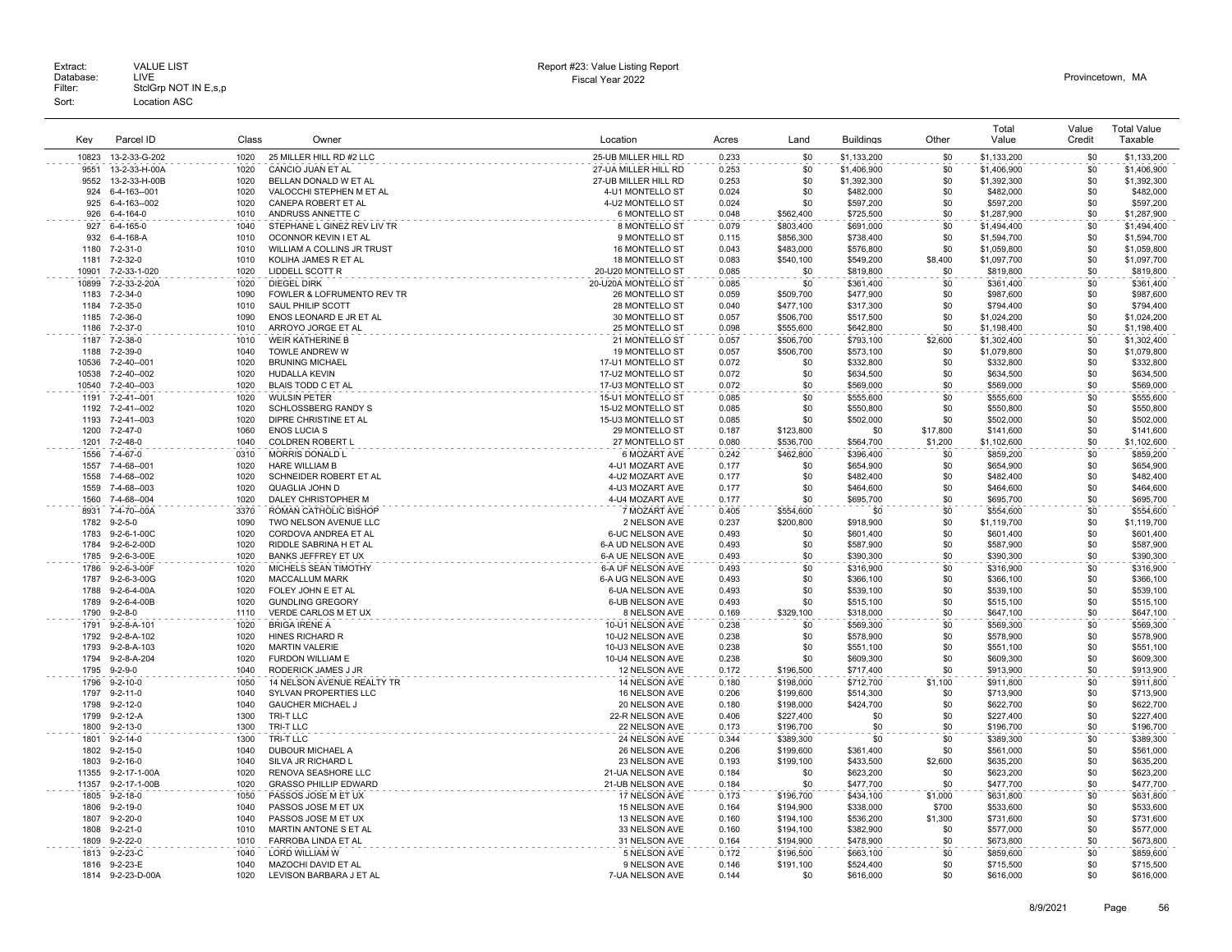|              |                            |              |                                          |                                        |                |                  |                        |            | Total                  | Value  | <b>Total Value</b>     |
|--------------|----------------------------|--------------|------------------------------------------|----------------------------------------|----------------|------------------|------------------------|------------|------------------------|--------|------------------------|
| Kev          | Parcel ID                  | Class        | Owner                                    | Location                               | Acres          | Land             | <b>Buildings</b>       | Other      | Value                  | Credit | Taxable                |
| 10823        | 13-2-33-G-202              | 1020         | 25 MILLER HILL RD #2 LLC                 | 25-UB MILLER HILL RD                   | 0.233          | \$0              | \$1,133,200            | \$0        | \$1,133,200            | \$0    | \$1,133,200            |
| 9551         | 13-2-33-H-00A              | 1020         | CANCIO JUAN ET AL                        | 27-UA MILLER HILL RD                   | 0.253          | \$0              | \$1,406,900            | \$0        | \$1,406,900            | \$0    | \$1,406,900            |
| 9552         | 13-2-33-H-00B              | 1020         | BELLAN DONALD W ET AL                    | 27-UB MILLER HILL RD                   | 0.253          | \$0              | \$1,392,300            | \$0        | \$1,392,300            | \$0    | \$1,392,300            |
| 924          | 6-4-163--001               | 1020         | VALOCCHI STEPHEN M ET AL                 | 4-U1 MONTELLO ST                       | 0.024          | \$0              | \$482,000              | \$0        | \$482,000              | \$0    | \$482,000              |
| 925          | 6-4-163--002               | 1020         | CANEPA ROBERT ET AL                      | 4-U2 MONTELLO ST                       | 0.024          | \$0              | \$597,200              | \$0        | \$597,200              | \$0    | \$597,200              |
| 926          | 6-4-164-0                  | 1010         | ANDRUSS ANNETTE C                        | 6 MONTELLO ST                          | 0.048          | \$562,400        | \$725,500              | \$0        | \$1,287,900            | \$0    | \$1,287,900            |
| 927          | 6-4-165-0                  | 1040         | STEPHANE L GINEZ REV LIV TR              | 8 MONTELLO ST                          | 0.079          | \$803,400        | \$691,000              | \$0        | \$1,494,400            | \$0    | \$1,494,400            |
| 932          | 6-4-168-A                  | 1010         | OCONNOR KEVIN I ET AL                    | 9 MONTELLO ST                          | 0.115          | \$856.300        | \$738,400              | \$0        | \$1,594,700            | \$0    | \$1,594,700            |
| 1180         | 7-2-31-0                   | 1010         | WILLIAM A COLLINS JR TRUST               | 16 MONTELLO ST                         | 0.043          | \$483,000        | \$576,800              | \$0        | \$1,059,800            | \$0    | \$1,059,800            |
| 1181         | 7-2-32-0                   | 1010         | KOLIHA JAMES R ET AL                     | <b>18 MONTELLO ST</b>                  | 0.083          | \$540,100        | \$549,200              | \$8,400    | \$1,097,700            | \$0    | \$1,097,700            |
| 10901        | 7-2-33-1-020               | 1020         | LIDDELL SCOTT R                          | 20-U20 MONTELLO ST                     | 0.085          | \$0              | \$819,800              | \$0        | \$819,800              | \$0    | \$819,800              |
| 10899        | 7-2-33-2-20A               | 1020         | <b>DIEGEL DIRK</b>                       | 20-U20A MONTELLO ST                    | 0.085          | \$0              | \$361.400              | \$0        | \$361.400              | \$0    | \$361,400              |
| 1183         | $7 - 2 - 34 - 0$           | 1090         | FOWLER & LOFRUMENTO REV TR               | 26 MONTELLO ST                         | 0.059          | \$509,700        | \$477,900              | \$0        | \$987,600              | \$0    | \$987,600              |
| 1184         | $7 - 2 - 35 - 0$           | 1010         | SAUL PHILIP SCOTT                        | 28 MONTELLO ST                         | 0.040          | \$477,100        | \$317,300              | \$0        | \$794,400              | \$0    | \$794,400              |
| 1185         | 7-2-36-0                   | 1090         | ENOS LEONARD E JR ET AL                  | 30 MONTELLO ST                         | 0.057          | \$506,700        | \$517,500              | \$0        | \$1,024,200            | \$0    | \$1,024,200            |
| 1186         | 7-2-37-0                   | 1010         | ARROYO JORGE ET AL                       | 25 MONTELLO ST                         | 0.098          | \$555,600        | \$642,800              | \$0        | \$1,198,400            | \$0    | \$1,198,400            |
| 1187         | 7-2-38-0                   | 1010         | <b>WEIR KATHERINE B</b>                  | 21 MONTELLO ST                         | 0.057          | \$506.700        | \$793.100              | \$2,600    | \$1,302,400            | \$0    | \$1,302,400            |
| 1188         | 7-2-39-0                   | 1040         | TOWLE ANDREW W                           | <b>19 MONTELLO ST</b>                  | 0.057          | \$506,700        | \$573,100              | \$0        | \$1,079,800            | \$0    | \$1,079,800            |
| 10536        | 7-2-40--001                | 1020         | <b>BRUNING MICHAEL</b>                   | 17-U1 MONTELLO ST                      | 0.072          | \$0              | \$332,800              | \$0        | \$332,800              | \$0    | \$332,800              |
| 10538        | 7-2-40--002                | 1020         | <b>HUDALLA KEVIN</b>                     | 17-U2 MONTELLO ST                      | 0.072          | \$0              | \$634,500              | \$0        | \$634,500              | \$0    | \$634,500              |
| 10540        | 7-2-40--003                | 1020         | <b>BLAIS TODD C ET AL</b>                | 17-U3 MONTELLO ST                      | 0.072          | \$0              | \$569,000              | \$0        | \$569,000              | \$0    | \$569,000              |
| 1191         |                            | 1020         | <b>WULSIN PETER</b>                      |                                        | 0.085          | \$0              |                        | \$0        |                        | \$0    | \$555,600              |
| 1192         | 7-2-41--001<br>7-2-41--002 | 1020         | <b>SCHLOSSBERG RANDY S</b>               | 15-U1 MONTELLO ST<br>15-U2 MONTELLO ST | 0.085          | \$0              | \$555,600              | \$0        | \$555,600              | \$0    | \$550,800              |
| 1193         | 7-2-41--003                | 1020         | DIPRE CHRISTINE ET AL                    | 15-U3 MONTELLO ST                      | 0.085          | \$0              | \$550,800<br>\$502,000 | \$0        | \$550,800<br>\$502,000 | \$0    | \$502,000              |
| 1200         | 7-2-47-0                   | 1060         | <b>ENOS LUCIA S</b>                      | 29 MONTELLO ST                         | 0.187          | \$123,800        | \$0                    | \$17,800   | \$141,600              | \$0    | \$141,600              |
| 1201         | 7-2-48-0                   | 1040         | COLDREN ROBERT L                         | 27 MONTELLO ST                         | 0.080          | \$536,700        | \$564,700              | \$1,200    | \$1,102,600            | \$0    | \$1,102,600            |
|              |                            |              |                                          |                                        |                |                  |                        |            |                        | \$0    |                        |
| 1556<br>1557 | 7-4-67-0<br>7-4-68--001    | 0310<br>1020 | MORRIS DONALD L<br><b>HARE WILLIAM B</b> | 6 MOZART AVE<br>4-U1 MOZART AVE        | 0.242<br>0.177 | \$462,800<br>\$0 | \$396,400<br>\$654.900 | \$0<br>\$0 | \$859,200<br>\$654.900 | \$0    | \$859,200<br>\$654,900 |
| 1558         | 7-4-68--002                | 1020         | SCHNEIDER ROBERT ET AL                   | 4-U2 MOZART AVE                        | 0.177          | \$0              | \$482,400              | \$0        | \$482,400              | \$0    | \$482,400              |
| 1559         | 7-4-68--003                | 1020         | QUAGLIA JOHN D                           | 4-U3 MOZART AVE                        | 0.177          | \$0              | \$464,600              | \$0        | \$464,600              | \$0    | \$464,600              |
| 1560         | 7-4-68--004                | 1020         | DALEY CHRISTOPHER M                      | 4-U4 MOZART AVE                        | 0.177          | \$0              | \$695,700              | \$0        | \$695,700              | \$0    | \$695,700              |
| 8931         | 7-4-70--00A                | 3370         | ROMAN CATHOLIC BISHOP                    | 7 MOZART AVE                           | 0.405          | \$554.600        | \$0                    | \$0        | \$554,600              | \$0    | \$554,600              |
| 1782         | $9 - 2 - 5 - 0$            | 1090         | TWO NELSON AVENUE LLC                    | 2 NELSON AVE                           | 0.237          | \$200,800        | \$918,900              | \$0        | \$1,119,700            | \$0    | \$1,119,700            |
| 1783         | 9-2-6-1-00C                | 1020         | CORDOVA ANDREA ET AL                     | 6-UC NELSON AVE                        | 0.493          | \$0              | \$601,400              | \$0        | \$601,400              | \$0    | \$601,400              |
| 1784         | 9-2-6-2-00D                | 1020         | RIDDLE SABRINA H ET AL                   | 6-A UD NELSON AVE                      | 0.493          | \$0              | \$587,900              | \$0        | \$587,900              | \$0    | \$587,900              |
| 1785         | 9-2-6-3-00E                | 1020         | BANKS JEFFREY ET UX                      | 6-A UE NELSON AVE                      | 0.493          | \$0              | \$390,300              | \$0        | \$390,300              | \$0    | \$390,300              |
| 1786         | 9-2-6-3-00F                | 1020         | MICHELS SEAN TIMOTHY                     | 6-A UF NELSON AVE                      | 0.493          | \$0              | \$316,900              | \$0        | \$316,900              | \$0    | \$316,900              |
| 1787         | 9-2-6-3-00G                | 1020         | <b>MACCALLUM MARK</b>                    | 6-A UG NELSON AVE                      | 0.493          | \$0              | \$366,100              | \$0        | \$366,100              | \$0    | \$366,100              |
| 1788         | $9-2-6-4-00A$              | 1020         | FOLEY JOHN E ET AL                       | 6-UA NELSON AVE                        | 0.493          | \$0              | \$539,100              | \$0        | \$539,100              | \$0    | \$539,100              |
| 1789         | 9-2-6-4-00B                | 1020         | <b>GUNDLING GREGORY</b>                  | 6-UB NELSON AVE                        | 0.493          | \$0              | \$515,100              | \$0        | \$515,100              | \$0    | \$515,100              |
| 1790         | $9 - 2 - 8 - 0$            | 1110         | VERDE CARLOS M ET UX                     | 8 NELSON AVE                           | 0.169          | \$329,100        | \$318,000              | \$0        | \$647,100              | \$0    | \$647,100              |
| 1791         | $9-2-8-A-101$              | 1020         | <b>BRIGA IRENE A</b>                     | 10-U1 NELSON AVE                       | 0.238          | \$0              | \$569,300              | \$0        | \$569,300              | \$0    | \$569,300              |
| 1792         | 9-2-8-A-102                | 1020         | HINES RICHARD R                          | 10-U2 NELSON AVE                       | 0.238          | \$0              | \$578,900              | \$0        | \$578,900              | \$0    | \$578,900              |
| 1793         | $9 - 2 - 8 - A - 103$      | 1020         | <b>MARTIN VALERIE</b>                    | 10-U3 NELSON AVE                       | 0.238          | \$0              | \$551,100              | \$0        | \$551.100              | \$0    | \$551,100              |
| 1794         | 9-2-8-A-204                | 1020         | FURDON WILLIAM E                         | 10-U4 NELSON AVE                       | 0.238          | \$0              | \$609,300              | \$0        | \$609,300              | \$0    | \$609,300              |
| 1795         | $9 - 2 - 9 - 0$            | 1040         | RODERICK JAMES J JR                      | 12 NELSON AVE                          | 0.172          | \$196,500        | \$717,400              | \$0        | \$913,900              | \$0    | \$913,900              |
| 1796         | $9 - 2 - 10 - 0$           | 1050         | 14 NELSON AVENUE REALTY TR               | 14 NELSON AVE                          | 0.180          | \$198,000        | \$712,700              | \$1,100    | \$911,800              | \$0    | \$911,800              |
| 1797         | $9 - 2 - 11 - 0$           | 1040         | <b>SYLVAN PROPERTIES LLC</b>             | 16 NELSON AVE                          | 0.206          | \$199,600        | \$514,300              | \$0        | \$713,900              | \$0    | \$713,900              |
| 1798         | $9 - 2 - 12 - 0$           | 1040         | <b>GAUCHER MICHAEL J</b>                 | 20 NELSON AVE                          | 0.180          | \$198,000        | \$424,700              | \$0        | \$622,700              | \$0    | \$622,700              |
| 1799         | $9 - 2 - 12 - A$           | 1300         | TRI-T LLC                                | 22-R NELSON AVE                        | 0.406          | \$227,400        | \$0                    | \$0        | \$227,400              | \$0    | \$227,400              |
| 1800         | $9 - 2 - 13 - 0$           | 1300         | TRI-T LLC                                | 22 NELSON AVE                          | 0.173          | \$196,700        | \$0                    | \$0        | \$196,700              | \$0    | \$196,700              |
| 1801         | $9 - 2 - 14 - 0$           | 1300         | TRI-T LLC                                | 24 NELSON AVE                          | 0.344          | \$389.300        | \$0                    | \$0        | \$389,300              | \$0    | \$389,300              |
| 1802         | $9 - 2 - 15 - 0$           | 1040         | DUBOUR MICHAEL A                         | 26 NELSON AVE                          | 0.206          | \$199,600        | \$361,400              | \$0        | \$561,000              | \$0    | \$561,000              |
| 1803         | $9 - 2 - 16 - 0$           | 1040         | SILVA JR RICHARD L                       | 23 NELSON AVE                          | 0.193          | \$199,100        | \$433,500              | \$2,600    | \$635,200              | \$0    | \$635,200              |
| 11355        | 9-2-17-1-00A               | 1020         | RENOVA SEASHORE LLC                      | 21-UA NELSON AVE                       | 0.184          | \$0              | \$623,200              | \$0        | \$623,200              | \$0    | \$623,200              |
| 11357        | 9-2-17-1-00B               | 1020         | <b>GRASSO PHILLIP EDWARD</b>             | 21-UB NELSON AVE                       | 0.184          | \$0              | \$477,700              | \$0        | \$477,700              | \$0    | \$477,700              |
| 1805         | $9 - 2 - 18 - 0$           | 1050         | PASSOS JOSE M ET UX                      | 17 NELSON AVE                          | 0.173          | \$196.700        | \$434,100              | \$1,000    | \$631,800              | \$0    | \$631,800              |
| 1806         | $9 - 2 - 19 - 0$           | 1040         | PASSOS JOSE M ET UX                      | 15 NELSON AVE                          | 0.164          | \$194,900        | \$338,000              | \$700      | \$533,600              | \$0    | \$533,600              |
| 1807         | $9 - 2 - 20 - 0$           | 1040         | PASSOS JOSE M ET UX                      | 13 NELSON AVE                          | 0.160          | \$194,100        | \$536,200              | \$1,300    | \$731,600              | \$0    | \$731,600              |
| 1808         | $9 - 2 - 21 - 0$           | 1010         | MARTIN ANTONE S ET AL                    | 33 NELSON AVE                          | 0.160          | \$194,100        | \$382,900              | \$0        | \$577,000              | \$0    | \$577,000              |
| 1809         | $9 - 2 - 22 - 0$           | 1010         | FARROBA LINDA ET AL                      | 31 NELSON AVE                          | 0.164          | \$194,900        | \$478,900              | \$0        | \$673,800              | \$0    | \$673,800              |
| 1813         | $9 - 2 - 23 - C$           | 1040         | <b>LORD WILLIAM W</b>                    | 5 NELSON AVE                           | 0.172          | \$196,500        | \$663,100              | \$0        | \$859,600              | \$0    | \$859,600              |
| 1816         | 9-2-23-E                   | 1040         | MAZOCHI DAVID ET AL                      | 9 NELSON AVE                           | 0.146          | \$191,100        | \$524,400              | \$0        | \$715,500              | \$0    | \$715,500              |
|              | 1814 9-2-23-D-00A          | 1020         | LEVISON BARBARA J ET AL                  | 7-UA NELSON AVE                        | 0.144          | \$0              | \$616,000              | \$0        | \$616,000              | \$0    | \$616,000              |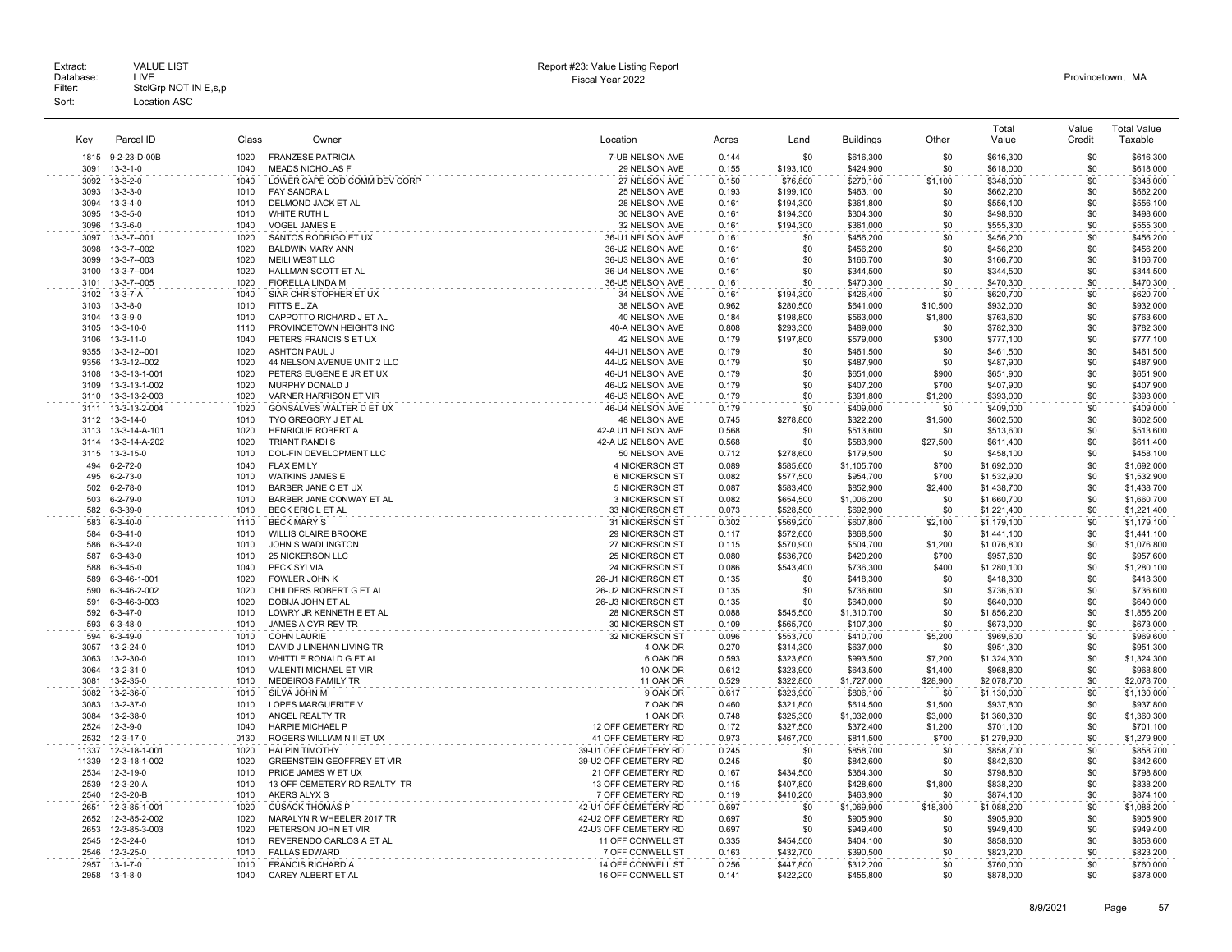| Key   | Parcel ID         | Class | Owner                        | Location              | Acres | Land             | <b>Buildings</b> | Other    | Total<br>Value | Value<br>Credit | <b>Total Value</b><br>Taxable |
|-------|-------------------|-------|------------------------------|-----------------------|-------|------------------|------------------|----------|----------------|-----------------|-------------------------------|
| 1815  | 9-2-23-D-00B      | 1020  | <b>FRANZESE PATRICIA</b>     | 7-UB NELSON AVE       | 0.144 | \$0              | \$616,300        | \$0      | \$616,300      | \$0             | \$616,300                     |
| 3091  | $13 - 3 - 1 - 0$  | 1040  | <b>MEADS NICHOLAS F</b>      | 29 NELSON AVE         | 0.155 | \$193,100        | \$424,900        | \$0      | \$618,000      | \$0             | \$618,000                     |
| 3092  | $13 - 3 - 2 - 0$  | 1040  | LOWER CAPE COD COMM DEV CORP | 27 NELSON AVE         | 0.150 | \$76,800         | \$270,100        | \$1,100  | \$348,000      | \$0             | \$348,000                     |
| 3093  | $13 - 3 - 3 - 0$  | 1010  | <b>FAY SANDRA L</b>          | 25 NELSON AVE         | 0.193 | \$199,100        | \$463,100        | \$0      | \$662,200      | \$0             | \$662,200                     |
| 3094  | $13 - 3 - 4 - 0$  | 1010  | DELMOND JACK ET AL           | 28 NELSON AVE         | 0.161 | \$194,300        | \$361,800        | \$0      | \$556,100      | \$0             | \$556,100                     |
| 3095  | $13 - 3 - 5 - 0$  | 1010  | WHITE RUTH L                 | 30 NELSON AVE         | 0.161 | \$194,300        | \$304,300        | \$0      | \$498,600      | \$0             | \$498,600                     |
| 3096  | $13 - 3 - 6 - 0$  | 1040  | <b>VOGEL JAMES E</b>         | 32 NELSON AVE         | 0.161 | \$194,300        | \$361,000        | \$0      | \$555,300      | \$0             | \$555,300                     |
| 3097  | 13-3-7-001        | 1020  | SANTOS RODRIGO ET UX         | 36-U1 NELSON AVE      | 0.161 | \$0              | \$456,200        | \$0      | \$456,200      | \$0             | \$456,200                     |
| 3098  | 13-3-7--002       | 1020  | <b>BALDWIN MARY ANN</b>      | 36-U2 NELSON AVE      | 0.161 | \$0              | \$456,200        | \$0      | \$456,200      | \$0             | \$456,200                     |
| 3099  | 13-3-7-003        | 1020  | MEILI WEST LLC               | 36-U3 NELSON AVE      | 0.161 | \$0              | \$166,700        | \$0      | \$166,700      | \$0             | \$166,700                     |
| 3100  | 13-3-7--004       | 1020  |                              | 36-U4 NELSON AVE      | 0.161 | \$0              |                  | \$0      |                | \$0             |                               |
|       |                   |       | HALLMAN SCOTT ET AL          |                       |       |                  | \$344,500        |          | \$344,500      |                 | \$344,500                     |
| 3101  | 13-3-7-005        | 1020  | FIORELLA LINDA M             | 36-U5 NELSON AVE      | 0.161 | \$0              | \$470,300        | \$0      | \$470,300      | \$0             | \$470,300                     |
| 3102  | 13-3-7-A          | 1040  | SIAR CHRISTOPHER ET UX       | 34 NELSON AVE         | 0.161 | \$194,300        | \$426,400        | \$0      | \$620,700      | \$0             | \$620,700                     |
| 3103  | $13 - 3 - 8 - 0$  | 1010  | <b>FITTS ELIZA</b>           | 38 NELSON AVE         | 0.962 | \$280,500        | \$641,000        | \$10,500 | \$932,000      | \$0             | \$932,000                     |
| 3104  | 13-3-9-0          | 1010  | CAPPOTTO RICHARD J ET AL     | 40 NELSON AVE         | 0.184 | \$198,800        | \$563,000        | \$1,800  | \$763,600      | \$0             | \$763,600                     |
| 3105  | 13-3-10-0         | 1110  | PROVINCETOWN HEIGHTS INC     | 40-A NELSON AVE       | 0.808 | \$293,300        | \$489,000        | \$0      | \$782,300      | \$0             | \$782,300                     |
| 3106  | 13-3-11-0         | 1040  | PETERS FRANCIS S ET UX       | 42 NELSON AVE         | 0.179 | \$197,800        | \$579,000        | \$300    | \$777,100      | \$0             | \$777,100                     |
| 9355  | 13-3-12--001      | 1020  | <b>ASHTON PAUL J</b>         | 44-U1 NELSON AVE      | 0.179 | \$0              | \$461,500        | \$0      | \$461,500      | \$0             | \$461.500                     |
| 9356  | 13-3-12--002      | 1020  | 44 NELSON AVENUE UNIT 2 LLC  | 44-U2 NELSON AVE      | 0.179 | \$0              | \$487,900        | \$0      | \$487,900      | \$0             | \$487,900                     |
| 3108  | 13-3-13-1-001     | 1020  | PETERS EUGENE E JR ET UX     | 46-U1 NELSON AVE      | 0.179 | \$0              | \$651,000        | \$900    | \$651,900      | \$0             | \$651,900                     |
| 3109  | 13-3-13-1-002     | 1020  | MURPHY DONALD J              | 46-U2 NELSON AVE      | 0.179 | \$0              | \$407,200        | \$700    | \$407,900      | \$0             | \$407,900                     |
| 3110  | 13-3-13-2-003     | 1020  | VARNER HARRISON ET VIR       | 46-U3 NELSON AVE      | 0.179 | \$0              | \$391,800        | \$1,200  | \$393,000      | \$0             | \$393,000                     |
| 3111  | 13-3-13-2-004     | 1020  | GONSALVES WALTER D ET UX     | 46-U4 NELSON AVE      | 0.179 | \$0              | \$409,000        | \$0      | \$409,000      | \$0             | \$409,000                     |
| 3112  | $13 - 3 - 14 - 0$ | 1010  |                              |                       |       |                  |                  |          |                |                 |                               |
| 3113  |                   | 1020  | TYO GREGORY J ET AL          | 48 NELSON AVE         | 0.745 | \$278,800<br>\$0 | \$322,200        | \$1,500  | \$602,500      | \$0             | \$602,500                     |
|       | 13-3-14-A-101     |       | HENRIQUE ROBERT A            | 42-A U1 NELSON AVE    | 0.568 |                  | \$513,600        | \$0      | \$513,600      | \$0             | \$513,600                     |
| 3114  | 13-3-14-A-202     | 1020  | TRIANT RANDI S               | 42-A U2 NELSON AVE    | 0.568 | \$0              | \$583,900        | \$27,500 | \$611,400      | \$0             | \$611,400                     |
|       | 3115 13-3-15-0    | 1010  | DOL-FIN DEVELOPMENT LLC      | 50 NELSON AVE         | 0.712 | \$278,600        | \$179,500        | \$0      | \$458,100      | \$0             | \$458,100                     |
| 494   | $6 - 2 - 72 - 0$  | 1040  | <b>FLAX EMILY</b>            | 4 NICKERSON ST        | 0.089 | \$585,600        | \$1,105,700      | \$700    | \$1,692,000    | \$0             | \$1,692,000                   |
| 495   | $6 - 2 - 73 - 0$  | 1010  | <b>WATKINS JAMES E</b>       | 6 NICKERSON ST        | 0.082 | \$577.500        | \$954.700        | \$700    | \$1,532,900    | \$0             | \$1,532,900                   |
| 502   | $6 - 2 - 78 - 0$  | 1010  | BARBER JANE C ET UX          | 5 NICKERSON ST        | 0.087 | \$583,400        | \$852,900        | \$2,400  | \$1,438,700    | \$0             | \$1,438,700                   |
| 503   | $6 - 2 - 79 - 0$  | 1010  | BARBER JANE CONWAY ET AL     | 3 NICKERSON ST        | 0.082 | \$654,500        | \$1,006,200      | \$0      | \$1,660,700    | \$0             | \$1,660,700                   |
| 582   | $6 - 3 - 39 - 0$  | 1010  | BECK ERIC L ET AL            | 33 NICKERSON ST       | 0.073 | \$528,500        | \$692,900        | \$0      | \$1,221,400    | \$0             | \$1,221,400                   |
| 583   | $6 - 3 - 40 - 0$  | 1110  | <b>BECK MARY S</b>           | 31 NICKERSON ST       | 0.302 | \$569,200        | \$607,800        | \$2,100  | \$1,179,100    | \$0             | \$1,179,100                   |
| 584   | $6 - 3 - 41 - 0$  | 1010  | <b>WILLIS CLAIRE BROOKE</b>  | 29 NICKERSON ST       | 0.117 | \$572,600        | \$868,500        | \$0      | \$1,441,100    | \$0             | \$1,441,100                   |
| 586   | $6 - 3 - 42 - 0$  | 1010  | JOHN S WADLINGTON            | 27 NICKERSON ST       | 0.115 | \$570,900        | \$504,700        | \$1,200  | \$1,076,800    | \$0             | \$1,076,800                   |
| 587   | $6 - 3 - 43 - 0$  | 1010  | <b>25 NICKERSON LLC</b>      | 25 NICKERSON ST       | 0.080 | \$536,700        | \$420,200        | \$700    | \$957,600      | \$0             | \$957,600                     |
| 588   | $6 - 3 - 45 - 0$  | 1040  | PECK SYLVIA                  | 24 NICKERSON ST       | 0.086 | \$543,400        | \$736,300        | \$400    | \$1,280,100    | \$0             | \$1,280,100                   |
|       |                   |       | FOWLER JOHN K                |                       |       | \$0              |                  | \$0      |                | \$0             |                               |
| 589   | 6-3-46-1-001      | 1020  |                              | 26-U1 NICKERSON ST    | 0.135 |                  | \$418,300        |          | \$418,300      |                 | \$418,300                     |
| 590   | 6-3-46-2-002      | 1020  | CHILDERS ROBERT G ET AL      | 26-U2 NICKERSON ST    | 0.135 | \$0              | \$736,600        | \$0      | \$736,600      | \$0             | \$736,600                     |
| 591   | 6-3-46-3-003      | 1020  | DOBIJA JOHN ET AL            | 26-U3 NICKERSON ST    | 0.135 | \$0              | \$640,000        | \$0      | \$640,000      | \$0             | \$640,000                     |
| 592   | $6 - 3 - 47 - 0$  | 1010  | LOWRY JR KENNETH E ET AL     | 28 NICKERSON ST       | 0.088 | \$545.500        | \$1,310,700      | \$0      | \$1,856,200    | \$0             | \$1,856,200                   |
| 593   | $6 - 3 - 48 - 0$  | 1010  | JAMES A CYR REV TR           | 30 NICKERSON ST       | 0.109 | \$565,700        | \$107,300        | \$0      | \$673,000      | \$0             | \$673,000                     |
| 594   | $6 - 3 - 49 - 0$  | 1010  | <b>COHN LAURIE</b>           | 32 NICKERSON ST       | 0.096 | \$553,700        | \$410,700        | \$5,200  | \$969,600      | \$0             | \$969,600                     |
| 3057  | 13-2-24-0         | 1010  | DAVID J LINEHAN LIVING TR    | 4 OAK DR              | 0.270 | \$314,300        | \$637,000        | \$0      | \$951,300      | \$0             | \$951,300                     |
| 3063  | 13-2-30-0         | 1010  | WHITTLE RONALD G ET AL       | 6 OAK DR              | 0.593 | \$323,600        | \$993,500        | \$7,200  | \$1,324,300    | \$0             | \$1,324,300                   |
| 3064  | 13-2-31-0         | 1010  | VALENTI MICHAEL ET VIR       | 10 OAK DR             | 0.612 | \$323,900        | \$643,500        | \$1,400  | \$968,800      | \$0             | \$968,800                     |
| 3081  | 13-2-35-0         | 1010  | MEDEIROS FAMILY TR           | 11 OAK DR             | 0.529 | \$322,800        | \$1,727,000      | \$28,900 | \$2,078,700    | \$0             | \$2,078,700                   |
| 3082  | 13-2-36-0         | 1010  | SILVA JOHN M                 | 9 OAK DR              | 0.617 | \$323,900        | \$806,100        | \$0      | \$1,130,000    | \$0             | \$1,130,000                   |
| 3083  | 13-2-37-0         | 1010  | <b>LOPES MARGUERITE V</b>    | 7 OAK DR              | 0.460 | \$321.800        | \$614,500        | \$1,500  | \$937,800      | \$0             | \$937,800                     |
| 3084  | 13-2-38-0         | 1010  | ANGEL REALTY TR              | 1 OAK DR              | 0.748 | \$325,300        | \$1,032,000      | \$3,000  | \$1,360,300    | \$0             | \$1,360,300                   |
| 2524  | 12-3-9-0          | 1040  | <b>HARPIE MICHAEL P</b>      | 12 OFF CEMETERY RD    | 0.172 | \$327,500        | \$372,400        | \$1,200  | \$701,100      | \$0             | \$701,100                     |
| 2532  | 12-3-17-0         | 0130  | ROGERS WILLIAM N II ET UX    | 41 OFF CEMETERY RD    | 0.973 | \$467,700        | \$811,500        | \$700    | \$1,279,900    | \$0             | \$1,279,900                   |
| 11337 | 12-3-18-1-001     | 1020  | <b>HALPIN TIMOTHY</b>        | 39-U1 OFF CEMETERY RD | 0.245 | \$0              | \$858,700        | \$0      | \$858,700      | \$0             |                               |
|       |                   |       |                              |                       |       |                  |                  |          |                |                 | \$858,700                     |
| 11339 | 12-3-18-1-002     | 1020  | GREENSTEIN GEOFFREY ET VIR   | 39-U2 OFF CEMETERY RD | 0.245 | \$0              | \$842,600        | \$0      | \$842,600      | \$0             | \$842,600                     |
| 2534  | 12-3-19-0         | 1010  | PRICE JAMES W ET UX          | 21 OFF CEMETERY RD    | 0.167 | \$434,500        | \$364,300        | \$0      | \$798,800      | \$0             | \$798,800                     |
| 2539  | 12-3-20-A         | 1010  | 13 OFF CEMETERY RD REALTY TR | 13 OFF CEMETERY RD    | 0.115 | \$407,800        | \$428,600        | \$1,800  | \$838,200      | \$0             | \$838,200                     |
| 2540  | 12-3-20-B         | 1010  | AKERS ALYX S                 | 7 OFF CEMETERY RD     | 0.119 | \$410,200        | \$463,900        | \$0      | \$874,100      | \$0             | \$874,100                     |
| 2651  | 12-3-85-1-001     | 1020  | <b>CUSACK THOMAS P</b>       | 42-U1 OFF CEMETERY RD | 0.697 | \$0              | \$1,069,900      | \$18,300 | \$1,088,200    | \$0             | \$1,088,200                   |
| 2652  | 12-3-85-2-002     | 1020  | MARALYN R WHEELER 2017 TR    | 42-U2 OFF CEMETERY RD | 0.697 | \$0              | \$905,900        | \$0      | \$905,900      | \$0             | \$905,900                     |
| 2653  | 12-3-85-3-003     | 1020  | PETERSON JOHN ET VIR         | 42-U3 OFF CEMETERY RD | 0.697 | \$0              | \$949,400        | \$0      | \$949,400      | \$0             | \$949,400                     |
| 2545  | 12-3-24-0         | 1010  | REVERENDO CARLOS A ET AL     | 11 OFF CONWELL ST     | 0.335 | \$454,500        | \$404,100        | \$0      | \$858,600      | \$0             | \$858,600                     |
| 2546  | 12-3-25-0         | 1010  | <b>FALLAS EDWARD</b>         | 7 OFF CONWELL ST      | 0.163 | \$432,700        | \$390,500        | \$0      | \$823,200      | \$0             | \$823,200                     |
| 2957  | $13 - 1 - 7 - 0$  | 1010  | <b>FRANCIS RICHARD A</b>     | 14 OFF CONWELL ST     | 0.256 | \$447,800        | \$312,200        | \$0      | \$760,000      | \$0             | \$760,000                     |
| 2958  | $13 - 1 - 8 - 0$  | 1040  | CAREY ALBERT ET AL           | 16 OFF CONWELL ST     | 0.141 | \$422.200        | \$455,800        | \$0      | \$878,000      | \$0             | \$878,000                     |
|       |                   |       |                              |                       |       |                  |                  |          |                |                 |                               |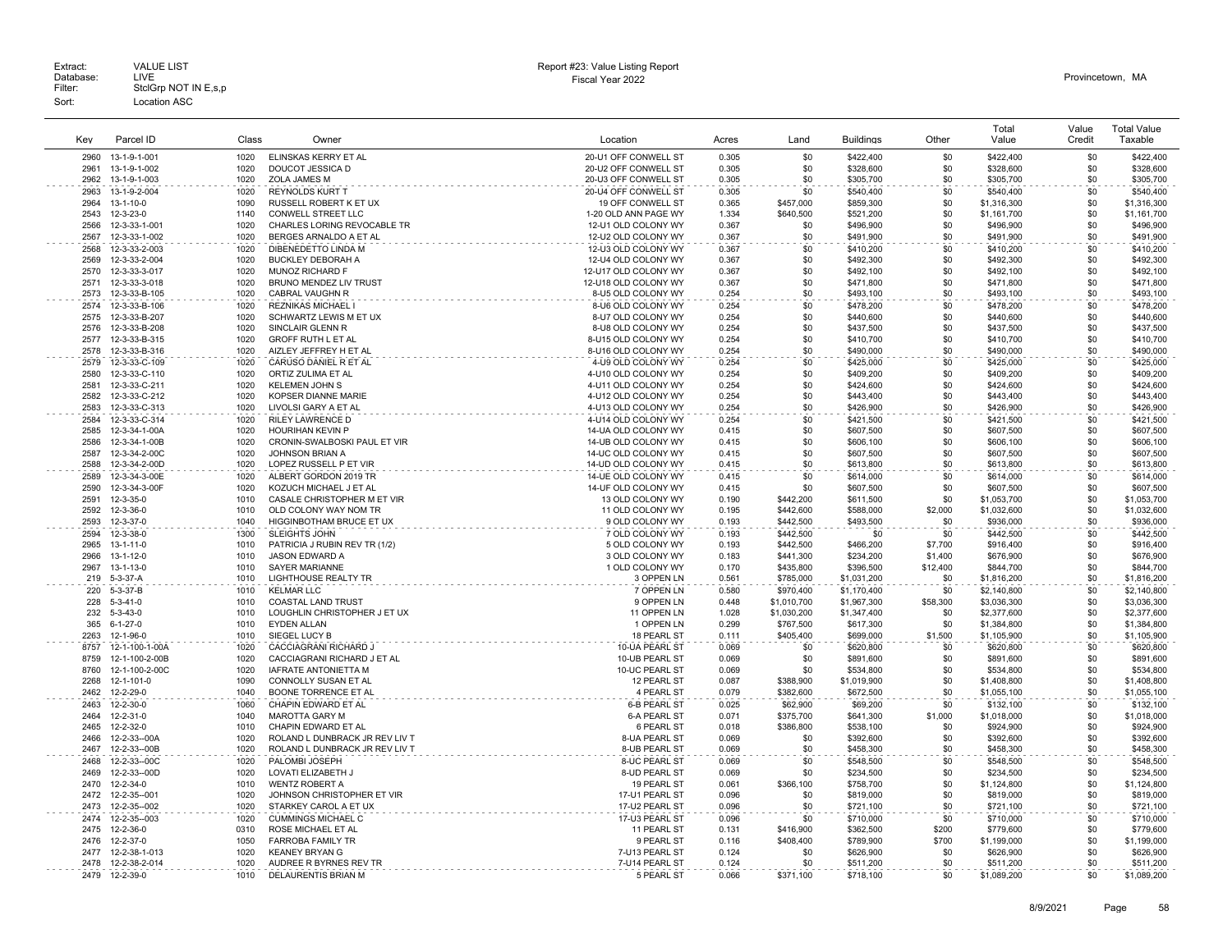|              |                   |              |                                |                      |                |             |                  |            | Total                      | Value      | <b>Total Value</b> |
|--------------|-------------------|--------------|--------------------------------|----------------------|----------------|-------------|------------------|------------|----------------------------|------------|--------------------|
| Key          | Parcel ID         | Class        | Owner                          | Location             | Acres          | Land        | <b>Buildings</b> | Other      | Value                      | Credit     | Taxable            |
| 2960         | 13-1-9-1-001      | 1020         | ELINSKAS KERRY ET AL           | 20-U1 OFF CONWELL ST | 0.305          | \$0         | \$422,400        | \$0        | \$422,400                  | \$0        | \$422,400          |
| 2961         | 13-1-9-1-002      | 1020         | DOUCOT JESSICA D               | 20-U2 OFF CONWELL ST | 0.305          | \$0         | \$328,600        | \$0        | \$328,600                  | \$0        | \$328,600          |
| 2962         | 13-1-9-1-003      | 1020         | <b>ZOLA JAMES M</b>            | 20-U3 OFF CONWELL ST | 0.305          | \$0         | \$305,700        | \$0        | \$305,700                  | \$0        | \$305,700          |
| 2963         | 13-1-9-2-004      | 1020         | <b>REYNOLDS KURT T</b>         | 20-U4 OFF CONWELL ST | 0.305          | \$0         | \$540,400        | \$0        | \$540,400                  | \$0        | \$540,400          |
| 2964         | 13-1-10-0         | 1090         | RUSSELL ROBERT K ET UX         | 19 OFF CONWELL ST    | 0.365          | \$457,000   | \$859,300        | \$0        |                            | \$0        | \$1,316,300        |
| 2543         | 12-3-23-0         | 1140         | CONWELL STREET LLC             | 1-20 OLD ANN PAGE WY | 1.334          | \$640,500   | \$521,200        | \$0        | \$1,316,300<br>\$1,161,700 | \$0        | \$1,161,700        |
| 2566         | 12-3-33-1-001     | 1020         | CHARLES LORING REVOCABLE TR    | 12-U1 OLD COLONY WY  | 0.367          | \$0         | \$496,900        | \$0        | \$496,900                  | \$0        | \$496,900          |
| 2567         | 12-3-33-1-002     | 1020         | BERGES ARNALDO A ET AL         | 12-U2 OLD COLONY WY  | 0.367          | \$0         | \$491,900        | \$0        | \$491,900                  | \$0        | \$491,900          |
|              |                   | 1020         | DIBENEDETTO LINDA M            | 12-U3 OLD COLONY WY  | 0.367          | \$0         |                  | \$0        | \$410,200                  | \$0        |                    |
| 2568         | 12-3-33-2-003     |              |                                |                      |                |             | \$410,200        |            |                            |            | \$410,200          |
| 2569         | 12-3-33-2-004     | 1020         | <b>BUCKLEY DEBORAH A</b>       | 12-U4 OLD COLONY WY  | 0.367          | \$0         | \$492,300        | \$0        | \$492,300                  | \$0        | \$492,300          |
| 2570<br>2571 | 12-3-33-3-017     | 1020<br>1020 | MUNOZ RICHARD F                | 12-U17 OLD COLONY WY | 0.367<br>0.367 | \$0<br>\$0  | \$492,100        | \$0<br>\$0 | \$492,100                  | \$0<br>\$0 | \$492,100          |
|              | 12-3-33-3-018     | 1020         | BRUNO MENDEZ LIV TRUST         | 12-U18 OLD COLONY WY | 0.254          | \$0         | \$471,800        | \$0        | \$471,800                  | \$0        | \$471,800          |
| 2573         | 12-3-33-B-105     |              | CABRAL VAUGHN R                | 8-U5 OLD COLONY WY   |                |             | \$493,100        |            | \$493,100                  |            | \$493,100          |
| 2574         | 12-3-33-B-106     | 1020         | <b>REZNIKAS MICHAEL</b>        | 8-U6 OLD COLONY WY   | 0.254          | \$0         | \$478,200        | \$0        | \$478,200                  | \$0        | \$478,200          |
| 2575         | 12-3-33-B-207     | 1020         | SCHWARTZ LEWIS M ET UX         | 8-U7 OLD COLONY WY   | 0.254          | \$0         | \$440,600        | \$0        | \$440,600                  | \$0        | \$440,600          |
| 2576         | 12-3-33-B-208     | 1020         | SINCLAIR GLENN R               | 8-U8 OLD COLONY WY   | 0.254          | \$0         | \$437,500        | \$0        | \$437,500                  | \$0        | \$437,500          |
| 2577         | 12-3-33-B-315     | 1020         | GROFF RUTH L ET AL             | 8-U15 OLD COLONY WY  | 0.254          | \$0         | \$410,700        | \$0        | \$410,700                  | \$0        | \$410,700          |
| 2578         | 12-3-33-B-316     | 1020         | AIZLEY JEFFREY H ET AL         | 8-U16 OLD COLONY WY  | 0.254          | \$0         | \$490,000        | \$0        | \$490,000                  | \$0        | \$490,000          |
| 2579         | 12-3-33-C-109     | 1020         | CARUSO DANIEL R ET AL          | 4-U9 OLD COLONY WY   | 0.254          | \$0         | \$425,000        | \$0        | \$425,000                  | \$0        | \$425,000          |
| 2580         | 12-3-33-C-110     | 1020         | ORTIZ ZULIMA ET AL             | 4-U10 OLD COLONY WY  | 0.254          | \$0         | \$409,200        | \$0        | \$409,200                  | \$0        | \$409,200          |
| 2581         | 12-3-33-C-211     | 1020         | <b>KELEMEN JOHN S</b>          | 4-U11 OLD COLONY WY  | 0.254          | \$0         | \$424,600        | \$0        | \$424,600                  | \$0        | \$424,600          |
| 2582         | 12-3-33-C-212     | 1020         | KOPSER DIANNE MARIE            | 4-U12 OLD COLONY WY  | 0.254          | \$0         | \$443,400        | \$0        | \$443,400                  | \$0        | \$443,400          |
| 2583         | 12-3-33-C-313     | 1020         | LIVOLSI GARY A ET AL           | 4-U13 OLD COLONY WY  | 0.254          | \$0         | \$426,900        | \$0        | \$426,900                  | \$0        | \$426,900          |
| 2584         | 12-3-33-C-314     | 1020         | <b>RILEY LAWRENCE D</b>        | 4-U14 OLD COLONY WY  | 0.254          | \$0         | \$421.500        | \$0        | \$421.500                  | \$0        | \$421,500          |
| 2585         | 12-3-34-1-00A     | 1020         | <b>HOURIHAN KEVIN P</b>        | 14-UA OLD COLONY WY  | 0.415          | \$0         | \$607,500        | \$0        | \$607,500                  | \$0        | \$607,500          |
| 2586         | 12-3-34-1-00B     | 1020         | CRONIN-SWALBOSKI PAUL ET VIR   | 14-UB OLD COLONY WY  | 0.415          | \$0         | \$606,100        | \$0        | \$606,100                  | \$0        | \$606,100          |
| 2587         | 12-3-34-2-00C     | 1020         | JOHNSON BRIAN A                | 14-UC OLD COLONY WY  | 0.415          | \$0         | \$607,500        | \$0        | \$607,500                  | \$0        | \$607,500          |
| 2588         | 12-3-34-2-00D     | 1020         | LOPEZ RUSSELL P ET VIR         | 14-UD OLD COLONY WY  | 0.415          | \$0         | \$613,800        | \$0        | \$613,800                  | \$0        | \$613,800          |
| 2589         | 12-3-34-3-00E     | 1020         | ALBERT GORDON 2019 TR          | 14-UE OLD COLONY WY  | 0.415          | \$0         | \$614,000        | \$0        | \$614,000                  | \$0        | \$614,000          |
| 2590         | 12-3-34-3-00F     | 1020         | KOZUCH MICHAEL J ET AL         | 14-UF OLD COLONY WY  | 0.415          | \$0         | \$607,500        | \$0        | \$607,500                  | \$0        | \$607,500          |
| 2591         | 12-3-35-0         | 1010         | CASALE CHRISTOPHER M ET VIR    | 13 OLD COLONY WY     | 0.190          | \$442,200   | \$611.500        | \$0        | \$1.053.700                | \$0        | \$1,053,700        |
| 2592         | 12-3-36-0         | 1010         | OLD COLONY WAY NOM TR          | 11 OLD COLONY WY     | 0.195          | \$442,600   | \$588,000        | \$2,000    | \$1,032,600                | \$0        | \$1,032,600        |
| 2593         | 12-3-37-0         | 1040         | HIGGINBOTHAM BRUCE ET UX       | 9 OLD COLONY WY      | 0.193          | \$442,500   | \$493,500        | \$0        | \$936,000                  | \$0        | \$936,000          |
| 2594         | 12-3-38-0         | 1300         | <b>SLEIGHTS JOHN</b>           | 7 OLD COLONY WY      | 0.193          | \$442,500   | \$0              | \$0        | \$442,500                  | \$0        | \$442,500          |
| 2965         | $13 - 1 - 11 - 0$ | 1010         | PATRICIA J RUBIN REV TR (1/2)  | 5 OLD COLONY WY      | 0.193          | \$442,500   | \$466,200        | \$7,700    | \$916,400                  | \$0        | \$916,400          |
| 2966         | 13-1-12-0         | 1010         | <b>JASON EDWARD A</b>          | 3 OLD COLONY WY      | 0.183          | \$441,300   | \$234,200        | \$1,400    | \$676,900                  | \$0        | \$676,900          |
| 2967         | 13-1-13-0         | 1010         | <b>SAYER MARIANNE</b>          | 1 OLD COLONY WY      | 0.170          | \$435,800   | \$396,500        | \$12,400   | \$844,700                  | \$0        | \$844,700          |
| 219          | 5-3-37-A          | 1010         | <b>LIGHTHOUSE REALTY TR</b>    | 3 OPPEN LN           | 0.561          | \$785,000   | \$1,031,200      | \$0        | \$1,816,200                | \$0        | \$1,816,200        |
| 220          | $5-3-37-B$        | 1010         | <b>KELMAR LLC</b>              | 7 OPPEN LN           | 0.580          | \$970,400   | \$1,170,400      | \$0        | \$2,140,800                | \$0        | \$2,140,800        |
| 228          | $5 - 3 - 41 - 0$  | 1010         | <b>COASTAL LAND TRUST</b>      | 9 OPPEN LN           | 0.448          | \$1,010,700 | \$1,967,300      | \$58,300   | \$3,036,300                | \$0        | \$3,036,300        |
| 232          | $5 - 3 - 43 - 0$  | 1010         | LOUGHLIN CHRISTOPHER J ET UX   | 11 OPPEN LN          | 1.028          | \$1,030,200 | \$1,347,400      | \$0        | \$2,377,600                | \$0        | \$2,377,600        |
| 365          | $6 - 1 - 27 - 0$  | 1010         | <b>EYDEN ALLAN</b>             | 1 OPPEN LN           | 0.299          | \$767,500   | \$617,300        | \$0        | \$1,384,800                | \$0        | \$1,384,800        |
| 2263         | 12-1-96-0         | 1010         | SIEGEL LUCY B                  | 18 PEARL ST          | 0.111          | \$405,400   | \$699,000        | \$1,500    | \$1,105,900                | \$0        | \$1,105,900        |
| 8757         | 12-1-100-1-00A    | 1020         | CACCIAGRANI RICHARD J          | 10-UA PEARL ST       | 0.069          | \$0         | \$620,800        | \$0        | \$620,800                  | \$0        | \$620,800          |
| 8759         | 12-1-100-2-00B    | 1020         | CACCIAGRANI RICHARD J ET AL    | 10-UB PEARL ST       | 0.069          | \$0         | \$891,600        | \$0        | \$891,600                  | \$0        | \$891,600          |
| 8760         | 12-1-100-2-00C    | 1020         | IAFRATE ANTONIETTA M           | 10-UC PEARL ST       | 0.069          | \$0         | \$534,800        | \$0        | \$534,800                  | \$0        | \$534,800          |
| 2268         | 12-1-101-0        | 1090         | CONNOLLY SUSAN ET AL           | 12 PEARL ST          | 0.087          | \$388,900   | \$1,019,900      | \$0        | \$1,408,800                | \$0        | \$1,408,800        |
| 2462         | 12-2-29-0         | 1040         | BOONE TORRENCE ET AL           | 4 PEARL ST           | 0.079          | \$382,600   | \$672,500        | \$0        | \$1,055,100                | \$0        | \$1,055,100        |
| 2463         | 12-2-30-0         | 1060         | CHAPIN EDWARD ET AL            | <b>6-B PEARL ST</b>  | 0.025          | \$62,900    | \$69,200         | \$0        | \$132,100                  | \$0        | \$132,100          |
| 2464         | 12-2-31-0         | 1040         | MAROTTA GARY M                 | <b>6-A PEARL ST</b>  | 0.071          | \$375,700   | \$641,300        | \$1,000    | \$1,018,000                | \$0        | \$1,018,000        |
| 2465         | 12-2-32-0         | 1010         | CHAPIN EDWARD ET AL            | 6 PEARL ST           | 0.018          | \$386,800   | \$538,100        | \$0        | \$924.900                  | \$0        | \$924,900          |
| 2466         | 12-2-33--00A      | 1020         | ROLAND L DUNBRACK JR REV LIV T | 8-UA PEARL ST        | 0.069          | \$0         | \$392,600        | \$0        | \$392,600                  | \$0        | \$392,600          |
| 2467         | 12-2-33--00B      | 1020         | ROLAND L DUNBRACK JR REV LIV T | 8-UB PEARL ST        | 0.069          | \$0         | \$458,300        | \$0        | \$458,300                  | \$0        | \$458,300          |
| 2468         | 12-2-33--00C      | 1020         | PALOMBI JOSEPH                 | 8-UC PEARL ST        | 0.069          | \$0         | \$548,500        | \$0        | \$548,500                  | \$0        | \$548,500          |
| 2469         | 12-2-33--00D      | 1020         | LOVATI ELIZABETH J             | 8-UD PEARL ST        | 0.069          | \$0         | \$234,500        | \$0        | \$234,500                  | \$0        | \$234,500          |
| 2470         | 12-2-34-0         | 1010         | <b>WENTZ ROBERT A</b>          | 19 PEARL ST          | 0.061          | \$366,100   | \$758,700        | \$0        | \$1,124,800                | \$0        | \$1,124,800        |
| 2472         | 12-2-35--001      | 1020         | JOHNSON CHRISTOPHER ET VIR     | 17-U1 PEARL ST       | 0.096          |             |                  | \$0        |                            | \$0        |                    |
|              |                   |              |                                |                      |                | \$0         | \$819,000        |            | \$819,000                  |            | \$819,000          |
| 2473         | 12-2-35--002      | 1020         | STARKEY CAROL A ET UX          | 17-U2 PEARL ST       | 0.096          | \$0         | \$721,100        | \$0        | \$721,100                  | \$0        | \$721,100          |
| 2474         | 12-2-35--003      | 1020         | <b>CUMMINGS MICHAEL C</b>      | 17-U3 PEARL ST       | 0.096          | \$0         | \$710,000        | \$0        | \$710,000                  | \$0        | \$710,000          |
| 2475         | 12-2-36-0         | 0310         | ROSE MICHAEL ET AL             | 11 PEARL ST          | 0.131          | \$416,900   | \$362,500        | \$200      | \$779,600                  | \$0        | \$779,600          |
| 2476         | 12-2-37-0         | 1050         | FARROBA FAMILY TR              | 9 PEARL ST           | 0.116          | \$408,400   | \$789,900        | \$700      | \$1,199,000                | \$0        | \$1,199,000        |
| 2477         | 12-2-38-1-013     | 1020         | <b>KEANEY BRYAN G</b>          | 7-U13 PEARL ST       | 0.124          | \$0         | \$626,900        | \$0        | \$626,900                  | \$0        | \$626,900          |
| 2478         | 12-2-38-2-014     | 1020         | AUDREE R BYRNES REV TR         | 7-U14 PEARL ST       | 0.124          | \$0         | \$511,200        | \$0        | \$511,200                  | \$0        | \$511,200          |
| 2479         | 12-2-39-0         | 1010         | DELAURENTIS BRIAN M            | 5 PEARL ST           | 0.066          | \$371.100   | \$718.100        | \$0        | \$1,089,200                | \$0        | \$1,089,200        |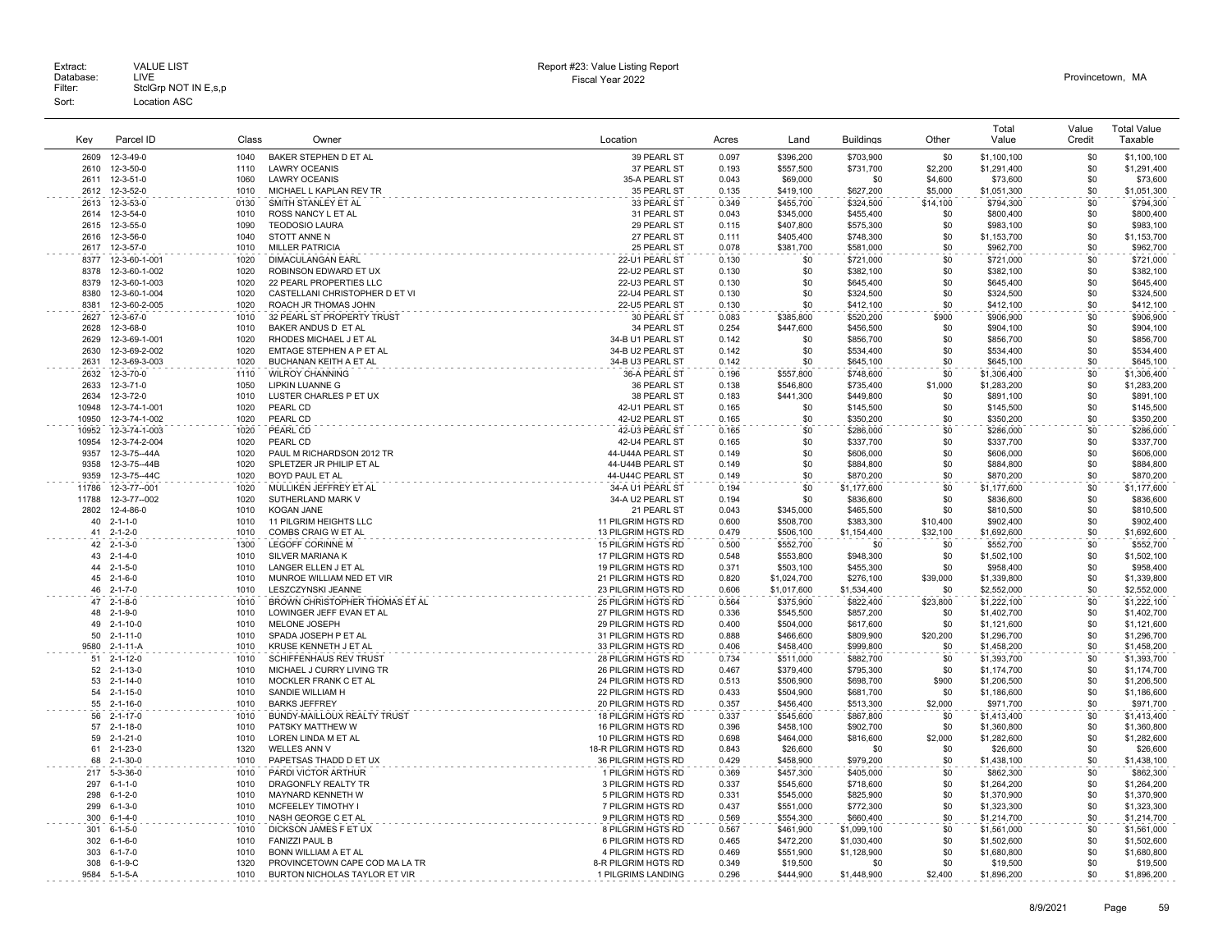|                |                                    |              |                                                           |                                          |                |                        |                        |                    | Total                      | Value      | <b>Total Value</b>         |
|----------------|------------------------------------|--------------|-----------------------------------------------------------|------------------------------------------|----------------|------------------------|------------------------|--------------------|----------------------------|------------|----------------------------|
| Kev            | Parcel ID                          | Class        | Owner                                                     | Location                                 | Acres          | Land                   | <b>Buildings</b>       | Other              | Value                      | Credit     | Taxable                    |
| 2609           | 12-3-49-0                          | 1040         | BAKER STEPHEN D ET AL                                     | 39 PEARL ST                              | 0.097          | \$396,200              | \$703,900              | \$0                | \$1,100,100                | \$0        | \$1,100,100                |
| 2610<br>2611   | 12-3-50-0<br>12-3-51-0             | 1110<br>1060 | <b>LAWRY OCEANIS</b><br><b>LAWRY OCEANIS</b>              | 37 PEARL ST<br>35-A PEARL ST             | 0.193<br>0.043 | \$557,500<br>\$69,000  | \$731,700<br>\$0       | \$2,200<br>\$4,600 | \$1,291,400<br>\$73,600    | \$0<br>\$0 | \$1,291,400<br>\$73,600    |
| 2612           | 12-3-52-0                          | 1010         | MICHAEL L KAPLAN REV TR                                   | 35 PEARL ST                              | 0.135          | \$419.100              | \$627,200              | \$5,000            | \$1,051,300                | \$0        | \$1.051.300                |
| 2613           | 12-3-53-0                          | 0130         | SMITH STANLEY ET AL                                       | 33 PEARL ST                              | 0.349          | \$455,700              | \$324,500              | \$14,100           | \$794,300                  | \$0        | \$794,300                  |
| 2614           | 12-3-54-0                          | 1010         | ROSS NANCY L ET AL                                        | 31 PEARL ST                              | 0.043          | \$345.000              | \$455,400              | \$0                | \$800,400                  | \$0        | \$800,400                  |
| 2615           | 12-3-55-0                          | 1090         | <b>TEODOSIO LAURA</b>                                     | 29 PEARL ST                              | 0.115          | \$407,800              | \$575,300              | \$0                | \$983,100                  | \$0        | \$983,100                  |
| 2616           | 12-3-56-0                          | 1040         | STOTT ANNE N                                              | 27 PEARL ST                              | 0.111          | \$405,400              | \$748,300              | \$0                | \$1,153,700                | \$0        | \$1,153,700                |
| 2617           | 12-3-57-0                          | 1010         | <b>MILLER PATRICIA</b>                                    | 25 PEARL ST                              | 0.078          | \$381,700              | \$581,000              | \$0                | \$962,700                  | \$0        | \$962,700                  |
| 8377           | 12-3-60-1-001                      | 1020         | <b>DIMACULANGAN EARL</b>                                  | 22-U1 PEARL ST                           | 0.130          | \$0                    | \$721,000              | \$0                | \$721,000                  | \$0        | \$721,000                  |
| 8378           | 12-3-60-1-002                      | 1020         | ROBINSON EDWARD ET UX                                     | 22-U2 PEARL ST                           | 0.130          | \$0                    | \$382,100              | \$0                | \$382,100                  | \$0        | \$382,100                  |
| 8379<br>8380   | 12-3-60-1-003<br>12-3-60-1-004     | 1020<br>1020 | 22 PEARL PROPERTIES LLC<br>CASTELLANI CHRISTOPHER D ET VI | 22-U3 PEARL ST<br>22-U4 PEARL ST         | 0.130          | \$0<br>\$0             | \$645,400              | \$0<br>\$0         | \$645,400<br>\$324,500     | \$0<br>\$0 | \$645,400                  |
| 8381           | 12-3-60-2-005                      | 1020         | ROACH JR THOMAS JOHN                                      | 22-U5 PEARL ST                           | 0.130<br>0.130 | \$0                    | \$324,500<br>\$412,100 | \$0                | \$412,100                  | \$0        | \$324,500<br>\$412,100     |
| 2627           | 12-3-67-0                          | 1010         | 32 PEARL ST PROPERTY TRUST                                | 30 PEARL ST                              | 0.083          | \$385,800              | \$520,200              | \$900              | \$906,900                  | \$0        | \$906,900                  |
| 2628           | 12-3-68-0                          | 1010         | BAKER ANDUS D ET AL                                       | 34 PEARL ST                              | 0.254          | \$447,600              | \$456,500              | \$0                | \$904,100                  | \$0        | \$904,100                  |
| 2629           | 12-3-69-1-001                      | 1020         | RHODES MICHAEL J ET AL                                    | 34-B U1 PEARL ST                         | 0.142          | \$0                    | \$856,700              | \$0                | \$856,700                  | \$0        | \$856,700                  |
| 2630           | 12-3-69-2-002                      | 1020         | EMTAGE STEPHEN A P ET AL                                  | 34-B U2 PEARL ST                         | 0.142          | \$0                    | \$534,400              | \$0                | \$534,400                  | \$0        | \$534,400                  |
| 2631           | 12-3-69-3-003                      | 1020         | BUCHANAN KEITH A ET AL                                    | 34-B U3 PEARL ST                         | 0.142          | \$0                    | \$645,100              | \$0                | \$645,100                  | \$0        | \$645,100                  |
| 2632           | 12-3-70-0                          | 1110         | <b>WILROY CHANNING</b>                                    | 36-A PEARL ST                            | 0.196          | \$557,800              | \$748,600              | \$0                | \$1,306,400                | \$0        | \$1,306,400                |
| 2633           | 12-3-71-0                          | 1050         | LIPKIN LUANNE G                                           | 36 PEARL ST                              | 0.138          | \$546,800              | \$735,400              | \$1,000            | \$1,283,200                | \$0        | \$1,283,200                |
| 2634           | 12-3-72-0                          | 1010         | LUSTER CHARLES P ET UX                                    | 38 PEARL ST                              | 0.183          | \$441,300              | \$449,800              | \$0                | \$891,100                  | \$0        | \$891,100                  |
| 10948          | 12-3-74-1-001                      | 1020         | PEARL CD                                                  | 42-U1 PEARL ST                           | 0.165          | \$0                    | \$145,500              | \$0                | \$145,500                  | \$0        | \$145,500                  |
| 10950          | 12-3-74-1-002                      | 1020         | PEARL CD                                                  | 42-U2 PEARL ST                           | 0.165          | \$0                    | \$350,200              | \$0                | \$350,200                  | \$0        | \$350,200                  |
| 10952<br>10954 | 12-3-74-1-003<br>12-3-74-2-004     | 1020<br>1020 | PEARL CD<br>PEARL CD                                      | 42-U3 PEARL ST<br>42-U4 PEARL ST         | 0.165<br>0.165 | \$0<br>\$0             | \$286,000<br>\$337,700 | \$0<br>\$0         | \$286,000<br>\$337,700     | \$0<br>\$0 | \$286,000<br>\$337,700     |
| 9357           | 12-3-75--44A                       | 1020         | PAUL M RICHARDSON 2012 TR                                 | 44-U44A PEARL ST                         | 0.149          | \$0                    | \$606,000              | \$0                | \$606,000                  | \$0        | \$606,000                  |
| 9358           | 12-3-75--44B                       | 1020         | SPLETZER JR PHILIP ET AL                                  | 44-U44B PEARL ST                         | 0.149          | \$0                    | \$884,800              | \$0                | \$884,800                  | \$0        | \$884,800                  |
| 9359           | 12-3-75--44C                       | 1020         | BOYD PAUL ET AL                                           | 44-U44C PEARL ST                         | 0.149          | \$0                    | \$870,200              | \$0                | \$870,200                  | \$0        | \$870,200                  |
| 11786          | 12-3-77--001                       | 1020         | MULLIKEN JEFFREY ET AL                                    | 34-A U1 PEARL ST                         | 0.194          | \$0                    | \$1,177,600            | \$0                | \$1,177,600                | \$0        | \$1,177,600                |
| 11788          | 12-3-77--002                       | 1020         | SUTHERLAND MARK V                                         | 34-A U2 PEARL ST                         | 0.194          | \$0                    | \$836,600              | \$0                | \$836,600                  | \$0        | \$836,600                  |
| 2802           | 12-4-86-0                          | 1010         | <b>KOGAN JANE</b>                                         | 21 PEARL ST                              | 0.043          | \$345,000              | \$465,500              | \$0                | \$810,500                  | \$0        | \$810,500                  |
| 40             | $2 - 1 - 1 - 0$                    | 1010         | 11 PILGRIM HEIGHTS LLC                                    | 11 PILGRIM HGTS RD                       | 0.600          | \$508,700              | \$383,300              | \$10,400           | \$902,400                  | \$0        | \$902,400                  |
| 41             | $2 - 1 - 2 - 0$                    | 1010         | COMBS CRAIG W ET AL                                       | 13 PILGRIM HGTS RD                       | 0.479          | \$506,100              | \$1,154,400            | \$32,100           | \$1,692,600                | \$0        | \$1,692,600                |
| 42<br>43       | $2 - 1 - 3 - 0$                    | 1300<br>1010 | <b>LEGOFF CORINNE M</b>                                   | 15 PILGRIM HGTS RD                       | 0.500          | \$552,700              | \$0                    | \$0<br>\$0         | \$552,700                  | \$0<br>\$0 | \$552,700                  |
| 44             | $2 - 1 - 4 - 0$<br>$2 - 1 - 5 - 0$ | 1010         | SILVER MARIANA K<br>LANGER ELLEN J ET AL                  | 17 PILGRIM HGTS RD<br>19 PILGRIM HGTS RD | 0.548<br>0.371 | \$553,800<br>\$503,100 | \$948,300<br>\$455,300 | \$0                | \$1,502,100<br>\$958,400   | \$0        | \$1,502,100<br>\$958,400   |
| 45             | $2 - 1 - 6 - 0$                    | 1010         | MUNROE WILLIAM NED ET VIR                                 | 21 PILGRIM HGTS RD                       | 0.820          | \$1,024,700            | \$276,100              | \$39,000           | \$1,339,800                | \$0        | \$1,339,800                |
| 46             | $2 - 1 - 7 - 0$                    | 1010         | LESZCZYNSKI JEANNE                                        | 23 PILGRIM HGTS RD                       | 0.606          | \$1,017,600            | \$1,534,400            | \$0                | \$2,552,000                | \$0        | \$2,552,000                |
| 47             | $2 - 1 - 8 - 0$                    | 1010         | BROWN CHRISTOPHER THOMAS ET AL                            | 25 PILGRIM HGTS RD                       | 0.564          | \$375,900              | \$822,400              | \$23,800           | \$1,222,100                | \$0        | \$1,222,100                |
| 48             | $2 - 1 - 9 - 0$                    | 1010         | LOWINGER JEFF EVAN ET AL                                  | 27 PILGRIM HGTS RD                       | 0.336          | \$545,500              | \$857,200              | \$0                | \$1,402,700                | \$0        | \$1,402,700                |
| 49             | $2 - 1 - 10 - 0$                   | 1010         | MELONE JOSEPH                                             | 29 PILGRIM HGTS RD                       | 0.400          | \$504,000              | \$617,600              | \$0                | \$1,121,600                | \$0        | \$1,121,600                |
| 50             | $2 - 1 - 11 - 0$                   | 1010         | SPADA JOSEPH P ET AL                                      | 31 PILGRIM HGTS RD                       | 0.888          | \$466,600              | \$809,900              | \$20,200           | \$1,296,700                | \$0        | \$1,296,700                |
| 9580           | 2-1-11-A                           | 1010         | KRUSE KENNETH J ET AL                                     | 33 PILGRIM HGTS RD                       | 0.406          | \$458,400              | \$999,800              | \$0                | \$1,458,200                | \$0        | \$1,458,200                |
| 51             | $2 - 1 - 12 - 0$                   | 1010<br>1010 | <b>SCHIFFENHAUS REV TRUST</b>                             | 28 PILGRIM HGTS RD                       | 0.734          | \$511.000              | \$882.700              | \$0<br>\$0         | \$1,393,700                | \$0<br>\$0 | \$1,393,700                |
| 52<br>53       | 2-1-13-0<br>$2 - 1 - 14 - 0$       | 1010         | MICHAEL J CURRY LIVING TR<br>MOCKLER FRANK C ET AL        | 26 PILGRIM HGTS RD<br>24 PILGRIM HGTS RD | 0.467<br>0.513 | \$379,400<br>\$506,900 | \$795,300<br>\$698,700 | \$900              | \$1,174,700<br>\$1,206,500 | \$0        | \$1,174,700<br>\$1,206,500 |
| 54             | $2 - 1 - 15 - 0$                   | 1010         | SANDIE WILLIAM H                                          | 22 PILGRIM HGTS RD                       | 0.433          | \$504.900              | \$681.700              | \$0                | \$1,186,600                | \$0        | \$1,186,600                |
| 55             | $2 - 1 - 16 - 0$                   | 1010         | <b>BARKS JEFFREY</b>                                      | 20 PILGRIM HGTS RD                       | 0.357          | \$456,400              | \$513,300              | \$2,000            | \$971,700                  | \$0        | \$971,700                  |
| 56             | $2 - 1 - 17 - 0$                   | 1010         | BUNDY-MAILLOUX REALTY TRUST                               | 18 PILGRIM HGTS RD                       | 0.337          | \$545,600              | \$867,800              | \$0                | \$1,413,400                | \$0        | \$1,413,400                |
| 57             | $2 - 1 - 18 - 0$                   | 1010         | PATSKY MATTHEW W                                          | 16 PILGRIM HGTS RD                       | 0.396          | \$458,100              | \$902,700              | \$0                | \$1,360,800                | \$0        | \$1,360,800                |
| 59             | $2 - 1 - 21 - 0$                   | 1010         | LOREN LINDA M ET AL                                       | 10 PILGRIM HGTS RD                       | 0.698          | \$464,000              | \$816,600              | \$2,000            | \$1,282,600                | \$0        | \$1,282,600                |
| 61             | $2 - 1 - 23 - 0$                   | 1320         | WFLLES ANN V                                              | 18-R PILGRIM HGTS RD                     | 0.843          | \$26,600               | \$0                    | \$0                | \$26,600                   | \$0        | \$26,600                   |
| 68             | $2 - 1 - 30 - 0$                   | 1010         | PAPETSAS THADD D ET UX                                    | 36 PILGRIM HGTS RD                       | 0.429          | \$458,900              | \$979,200              | \$0                | \$1,438,100                | \$0        | \$1,438,100                |
| 217            | 5-3-36-0                           | 1010         | PARDI VICTOR ARTHUR                                       | 1 PILGRIM HGTS RD                        | 0.369          | \$457,300              | \$405,000              | \$0<br>\$0         | \$862,300                  | \$0<br>\$0 | \$862,300                  |
| 297<br>298     | $6 - 1 - 1 - 0$<br>$6 - 1 - 2 - 0$ | 1010<br>1010 | DRAGONFLY REALTY TR<br>MAYNARD KENNETH W                  | 3 PILGRIM HGTS RD<br>5 PILGRIM HGTS RD   | 0.337<br>0.331 | \$545,600<br>\$545,000 | \$718,600<br>\$825,900 | \$0                | \$1,264,200<br>\$1,370,900 | \$0        | \$1,264,200<br>\$1,370,900 |
| 299            | $6 - 1 - 3 - 0$                    | 1010         | MCFEELEY TIMOTHY I                                        | 7 PILGRIM HGTS RD                        | 0.437          | \$551,000              | \$772,300              | \$0                | \$1,323,300                | \$0        | \$1,323,300                |
| 300            | $6 - 1 - 4 - 0$                    | 1010         | NASH GEORGE C ET AL                                       | 9 PILGRIM HGTS RD                        | 0.569          | \$554,300              | \$660,400              | \$0                | \$1,214,700                | \$0        | \$1,214,700                |
| 301            | $6 - 1 - 5 - 0$                    | 1010         | DICKSON JAMES F ET UX                                     | 8 PILGRIM HGTS RD                        | 0.567          | \$461,900              | \$1,099,100            | \$0                | \$1,561,000                | \$0        | \$1,561,000                |
| 302            | $6 - 1 - 6 - 0$                    | 1010         | <b>FANIZZI PAUL B</b>                                     | 6 PILGRIM HGTS RD                        | 0.465          | \$472,200              | \$1,030,400            | \$0                | \$1,502,600                | \$0        | \$1,502,600                |
| 303            | $6 - 1 - 7 - 0$                    | 1010         | <b>BONN WILLIAM A ET AL</b>                               | 4 PILGRIM HGTS RD                        | 0.469          | \$551,900              | \$1,128,900            | \$0                | \$1,680,800                | \$0        | \$1,680,800                |
| 308            | $6 - 1 - 9 - C$                    | 1320         | PROVINCETOWN CAPE COD MA LA TR                            | 8-R PILGRIM HGTS RD                      | 0.349          | \$19,500               | \$0                    | \$0                | \$19,500                   | \$0        | \$19,500                   |
| 9584           | $5 - 1 - 5 - A$                    | 1010         | BURTON NICHOLAS TAYLOR ET VIR                             | 1 PILGRIMS LANDING                       | 0.296          | \$444.900              | \$1,448,900            | \$2,400            | \$1,896,200                | \$0        | \$1,896,200                |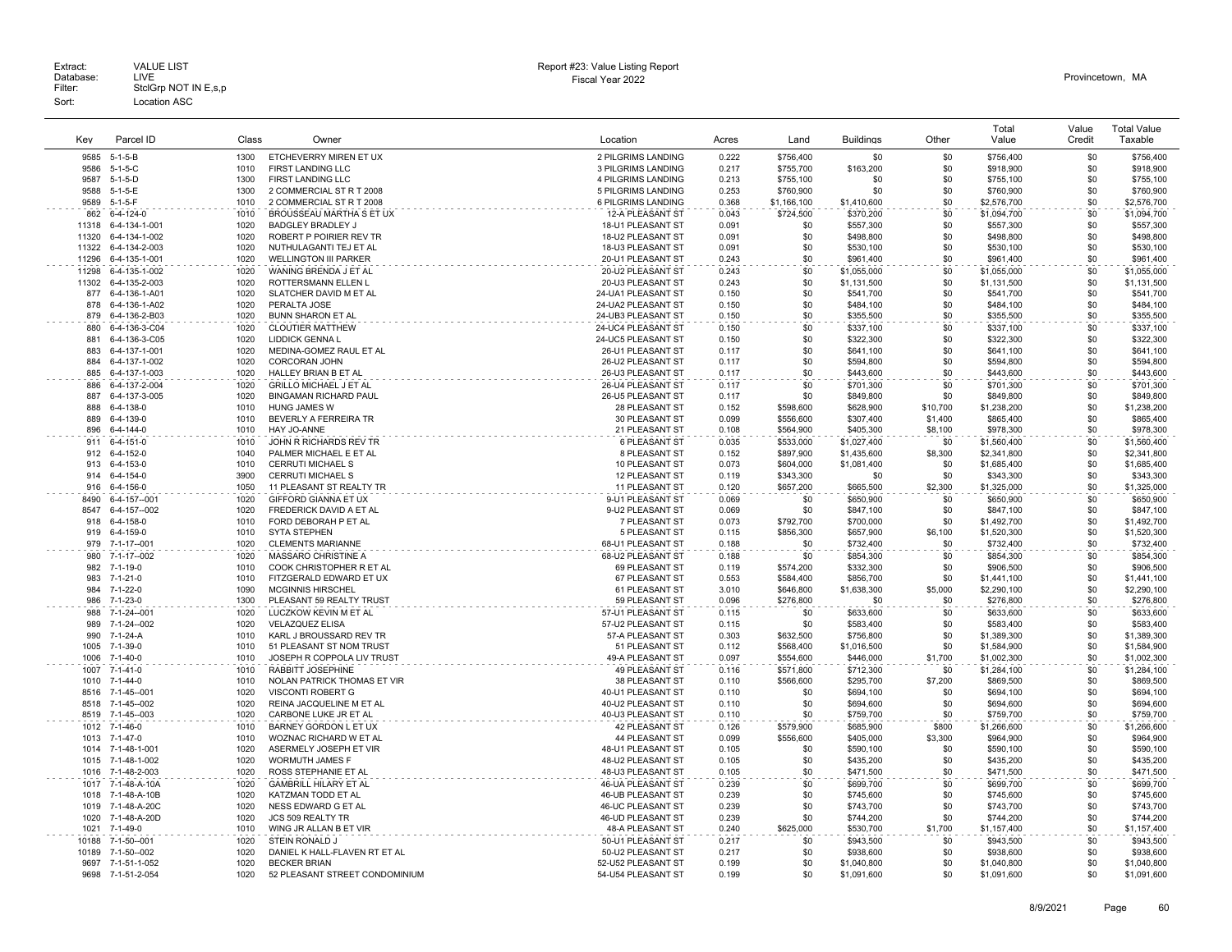| Key            | Parcel ID                      | Class        | Owner                                                  | Location                                 | Acres          | Land                   | <b>Buildings</b>         | Other          | Total<br>Value             | Value<br>Credit | <b>Total Value</b><br>Taxable |
|----------------|--------------------------------|--------------|--------------------------------------------------------|------------------------------------------|----------------|------------------------|--------------------------|----------------|----------------------------|-----------------|-------------------------------|
| 9585           | $5 - 1 - 5 - B$                | 1300         | ETCHEVERRY MIREN ET UX                                 | 2 PILGRIMS LANDING                       | 0.222          | \$756,400              | \$0                      | \$0            | \$756,400                  | \$0             | \$756,400                     |
| 9586           | $5-1-5-C$                      | 1010         | FIRST LANDING LLC                                      | 3 PILGRIMS LANDING                       | 0.217          | \$755,700              | \$163,200                | \$0            | \$918,900                  | \$0             | \$918,900                     |
| 9587           | $5-1-5-D$                      | 1300         | FIRST LANDING LLC                                      | 4 PILGRIMS LANDING                       | 0.213          | \$755,100              | \$0                      | \$0            | \$755,100                  | \$0             | \$755,100                     |
| 9588           | $5 - 1 - 5 - E$                | 1300         | 2 COMMERCIAL ST R T 2008                               | 5 PILGRIMS LANDING                       | 0.253          | \$760,900              | \$0                      | \$0            | \$760,900                  | \$0             | \$760,900                     |
| 9589           | $5-1-5-F$                      | 1010         | 2 COMMERCIAL ST R T 2008                               | 6 PILGRIMS LANDING                       | 0.368          | \$1,166,100            | \$1,410,600              | \$0            | \$2,576,700                | \$0             | \$2,576,700                   |
| 862            | 6-4-124-0                      | 1010         | BROUSSEAU MARTHA S ET UX                               | 12-A PLEASANT ST                         | 0.043          | \$724,500              | \$370,200                | \$0            | \$1,094,700                | \$0             | \$1,094,700                   |
| 11318          | 6-4-134-1-001                  | 1020         | <b>BADGLEY BRADLEY J</b>                               | 18-U1 PLEASANT ST                        | 0.091          | \$0                    | \$557,300                | \$0            | \$557,300                  | \$0             | \$557,300                     |
| 11320          | 6-4-134-1-002                  | 1020         | ROBERT P POIRIER REV TR                                | 18-U2 PLEASANT ST                        | 0.091          | \$0                    | \$498,800                | \$0            | \$498,800                  | \$0             | \$498,800                     |
| 11322          | 6-4-134-2-003                  | 1020         | NUTHULAGANTI TEJ ET AL                                 | 18-U3 PLEASANT ST                        | 0.091          | \$0                    | \$530,100                | \$0            | \$530,100                  | \$0             | \$530,100                     |
| 11296          | 6-4-135-1-001                  | 1020         | <b>WELLINGTON III PARKER</b>                           | 20-U1 PLEASANT ST                        | 0.243          | \$0                    | \$961,400                | \$0            | \$961,400                  | \$0             | \$961,400                     |
| 11298          | 6-4-135-1-002                  | 1020         | WANING BRENDA J ET AL                                  | 20-U2 PLEASANT ST                        | 0.243          | \$0                    | \$1,055,000              | \$0            | \$1,055,000                | \$0             | \$1,055,000                   |
| 877            | 11302 6-4-135-2-003            | 1020<br>1020 | ROTTERSMANN ELLEN L                                    | 20-U3 PLEASANT ST                        | 0.243          | \$0<br>\$0             | \$1,131,500              | \$0<br>\$0     | \$1,131,500                | \$0<br>\$0      | \$1,131,500                   |
| 878            | 6-4-136-1-A01<br>6-4-136-1-A02 | 1020         | SLATCHER DAVID M ET AL<br>PERALTA JOSE                 | 24-UA1 PLEASANT ST<br>24-UA2 PLEASANT ST | 0.150<br>0.150 | \$0                    | \$541,700<br>\$484,100   | \$0            | \$541,700<br>\$484,100     | \$0             | \$541,700<br>\$484,100        |
| 879            | 6-4-136-2-B03                  | 1020         | <b>BUNN SHARON ET AL</b>                               | 24-UB3 PLEASANT ST                       | 0.150          | \$0                    | \$355,500                | \$0            | \$355,500                  | \$0             | \$355,500                     |
| 880            | 6-4-136-3-C04                  | 1020         | <b>CLOUTIER MATTHEW</b>                                | 24-UC4 PLEASANT ST                       | 0.150          | \$0                    | \$337,100                | \$0            | \$337,100                  | \$0             | \$337,100                     |
| 881            | 6-4-136-3-C05                  | 1020         | <b>LIDDICK GENNA L</b>                                 | 24-UC5 PLEASANT ST                       | 0.150          | \$0                    | \$322,300                | \$0            | \$322,300                  | \$0             | \$322,300                     |
| 883            | 6-4-137-1-001                  | 1020         | MEDINA-GOMEZ RAUL ET AL                                | 26-U1 PLEASANT ST                        | 0.117          | \$0                    | \$641,100                | \$0            | \$641,100                  | \$0             | \$641,100                     |
| 884            | 6-4-137-1-002                  | 1020         | CORCORAN JOHN                                          | 26-U2 PLEASANT ST                        | 0.117          | \$0                    | \$594,800                | \$0            | \$594,800                  | \$0             | \$594,800                     |
| 885            | 6-4-137-1-003                  | 1020         | HALLEY BRIAN B ET AL                                   | 26-U3 PLEASANT ST                        | 0.117          | \$0                    | \$443,600                | \$0            | \$443,600                  | \$0             | \$443,600                     |
| 886            | 6-4-137-2-004                  | 1020         | <b>GRILLO MICHAEL J ET AL</b>                          | 26-U4 PLEASANT ST                        | 0.117          | \$0                    | \$701,300                | \$0            | \$701,300                  | \$0             | \$701,300                     |
| 887            | 6-4-137-3-005                  | 1020         | <b>BINGAMAN RICHARD PAUL</b>                           | 26-U5 PLEASANT ST                        | 0.117          | \$0                    | \$849,800                | \$0            | \$849,800                  | \$0             | \$849,800                     |
| 888            | 6-4-138-0                      | 1010         | <b>HUNG JAMES W</b>                                    | 28 PLEASANT ST                           | 0.152          | \$598,600              | \$628,900                | \$10,700       | \$1,238,200                | \$0             | \$1,238,200                   |
| 889            | 6-4-139-0                      | 1010         | BEVERLY A FERREIRA TR                                  | 30 PLEASANT ST                           | 0.099          | \$556,600              | \$307,400                | \$1,400        | \$865,400                  | \$0             | \$865,400                     |
| 896            | 6-4-144-0                      | 1010         | HAY JO-ANNE                                            | 21 PLEASANT ST                           | 0.108          | \$564,900              | \$405,300                | \$8,100        | \$978,300                  | \$0             | \$978,300                     |
| 911            | 6-4-151-0                      | 1010         | JOHN R RICHARDS REV TR                                 | 6 PLEASANT ST                            | 0.035          | \$533,000              | \$1,027,400              | \$0            | \$1,560,400                | \$0             | \$1,560,400                   |
| 912            | 6-4-152-0                      | 1040         | PALMER MICHAEL E ET AL                                 | 8 PLEASANT ST                            | 0.152          | \$897.900              | \$1,435,600              | \$8,300        | \$2,341,800                | \$0             | \$2,341,800                   |
| 913<br>914     | 6-4-153-0                      | 1010         | CERRUTI MICHAEL S                                      | 10 PLEASANT ST                           | 0.073          | \$604,000              | \$1,081,400              | \$0            | \$1,685,400                | \$0             | \$1,685,400                   |
| 916            | 6-4-154-0<br>6-4-156-0         | 3900<br>1050 | <b>CERRUTI MICHAEL S</b><br>11 PLEASANT ST REALTY TR   | 12 PLEASANT ST<br>11 PLEASANT ST         | 0.119<br>0.120 | \$343,300<br>\$657,200 | \$0                      | \$0<br>\$2,300 | \$343,300<br>\$1,325,000   | \$0<br>\$0      | \$343,300<br>\$1,325,000      |
| 8490           | 6-4-157--001                   | 1020         | GIFFORD GIANNA ET UX                                   | 9-U1 PLEASANT ST                         | 0.069          | \$0                    | \$665,500<br>\$650,900   | \$0            | \$650,900                  | \$0             | \$650,900                     |
| 8547           | 6-4-157--002                   | 1020         | FREDERICK DAVID A ET AL                                | 9-U2 PLEASANT ST                         | 0.069          | \$0                    | \$847,100                | \$0            | \$847,100                  | \$0             | \$847,100                     |
| 918            | 6-4-158-0                      | 1010         | FORD DEBORAH P ET AL                                   | 7 PLEASANT ST                            | 0.073          | \$792,700              | \$700,000                | \$0            | \$1,492,700                | \$0             | \$1,492,700                   |
| 919            | 6-4-159-0                      | 1010         | <b>SYTA STEPHEN</b>                                    | 5 PLEASANT ST                            | 0.115          | \$856,300              | \$657,900                | \$6,100        | \$1,520,300                | \$0             | \$1,520,300                   |
| 979            | 7-1-17--001                    | 1020         | <b>CLEMENTS MARIANNE</b>                               | 68-U1 PLEASANT ST                        | 0.188          | \$0                    | \$732,400                | \$0            | \$732,400                  | \$0             | \$732,400                     |
| 980            | 7-1-17--002                    | 1020         | MASSARO CHRISTINE A                                    | 68-U2 PLEASANT ST                        | 0.188          | \$0                    | \$854,300                | \$0            | \$854,300                  | \$0             | \$854,300                     |
| 982            | 7-1-19-0                       | 1010         | COOK CHRISTOPHER R ET AL                               | 69 PLEASANT ST                           | 0.119          | \$574,200              | \$332,300                | \$0            | \$906,500                  | \$0             | \$906,500                     |
| 983            | $7 - 1 - 21 - 0$               | 1010         | FITZGERALD EDWARD ET UX                                | 67 PLEASANT ST                           | 0.553          | \$584,400              | \$856,700                | \$0            | \$1,441,100                | \$0             | \$1,441,100                   |
| 984            | 7-1-22-0                       | 1090         | <b>MCGINNIS HIRSCHEL</b>                               | 61 PLEASANT ST                           | 3.010          | \$646,800              | \$1,638,300              | \$5,000        | \$2,290,100                | \$0             | \$2,290,100                   |
| 986            | 7-1-23-0                       | 1300         | PLEASANT 59 REALTY TRUST                               | 59 PLEASANT ST                           | 0.096          | \$276,800              | \$0                      | \$0            | \$276,800                  | \$0             | \$276,800                     |
| 988            | 7-1-24--001                    | 1020         | LUCZKOW KEVIN M ET AL                                  | 57-U1 PLEASANT ST                        | 0.115          | \$0                    | \$633,600                | \$0            | \$633,600                  | \$0             | \$633,600                     |
| 989            | 7-1-24--002                    | 1020         | <b>VELAZQUEZ ELISA</b>                                 | 57-U2 PLEASANT ST                        | 0.115          | \$0                    | \$583,400                | \$0            | \$583.400                  | \$0             | \$583,400                     |
| 990            | 7-1-24-A                       | 1010         | KARL J BROUSSARD REV TR                                | 57-A PLEASANT ST                         | 0.303          | \$632,500              | \$756,800                | \$0            | \$1,389,300                | \$0             | \$1,389,300                   |
| 1005<br>1006   | 7-1-39-0<br>$7 - 1 - 40 - 0$   | 1010<br>1010 | 51 PLEASANT ST NOM TRUST<br>JOSEPH R COPPOLA LIV TRUST | 51 PLEASANT ST<br>49-A PLEASANT ST       | 0.112<br>0.097 | \$568,400<br>\$554,600 | \$1,016,500<br>\$446,000 | \$0<br>\$1,700 | \$1,584,900<br>\$1,002,300 | \$0<br>\$0      | \$1,584,900<br>\$1,002,300    |
| 1007           | $7 - 1 - 41 - 0$               | 1010         | RABBITT JOSEPHINE                                      | <b>49 PLEASANT ST</b>                    | 0.116          | \$571.800              | \$712.300                | \$0            |                            | \$0             |                               |
| 1010           | 7-1-44-0                       | 1010         | NOLAN PATRICK THOMAS ET VIR                            | 38 PLEASANT ST                           | 0.110          | \$566,600              | \$295,700                | \$7,200        | \$1,284,100<br>\$869,500   | \$0             | \$1,284,100<br>\$869,500      |
| 8516           | 7-1-45--001                    | 1020         | <b>VISCONTI ROBERT G</b>                               | 40-U1 PLEASANT ST                        | 0.110          | \$0                    | \$694,100                | \$0            | \$694,100                  | \$0             | \$694,100                     |
| 8518           | 7-1-45--002                    | 1020         | REINA JACQUELINE M ET AL                               | 40-U2 PLEASANT ST                        | 0.110          | \$0                    | \$694,600                | \$0            | \$694,600                  | \$0             | \$694,600                     |
| 8519           | 7-1-45--003                    | 1020         | CARBONE LUKE JR ET AL                                  | 40-U3 PLEASANT ST                        | 0.110          | \$0                    | \$759,700                | \$0            | \$759,700                  | \$0             | \$759,700                     |
| 1012           | 7-1-46-0                       | 1010         | BARNEY GORDON L ET UX                                  | 42 PLEASANT ST                           | 0.126          | \$579,900              | \$685,900                | \$800          | \$1,266,600                | \$0             | \$1,266,600                   |
| 1013           | $7 - 1 - 47 - 0$               | 1010         | WOZNAC RICHARD W ET AL                                 | 44 PLEASANT ST                           | 0.099          | \$556,600              | \$405,000                | \$3,300        | \$964,900                  | \$0             | \$964,900                     |
|                | 1014 7-1-48-1-001              | 1020         | ASERMELY JOSEPH ET VIR                                 | 48-U1 PLEASANT ST                        | 0.105          | \$0                    | \$590,100                | \$0            | \$590,100                  | \$0             | \$590,100                     |
| 1015           | 7-1-48-1-002                   | 1020         | WORMUTH JAMES F                                        | 48-U2 PLEASANT ST                        | 0.105          | \$0                    | \$435,200                | \$0            | \$435,200                  | \$0             | \$435,200                     |
| 1016           | 7-1-48-2-003                   | 1020         | ROSS STEPHANIE ET AL                                   | 48-U3 PLEASANT ST                        | 0.105          | \$0                    | \$471,500                | \$0            | \$471,500                  | \$0             | \$471,500                     |
| 1017           | 7-1-48-A-10A                   | 1020         | <b>GAMBRILL HILARY ET AL</b>                           | 46-UA PLEASANT ST                        | 0.239          | \$0                    | \$699,700                | \$0            | \$699,700                  | \$0             | \$699,700                     |
| 1018           | 7-1-48-A-10B                   | 1020         | KATZMAN TODD ET AL                                     | <b>46-UB PLEASANT ST</b>                 | 0.239          | \$0                    | \$745,600                | \$0            | \$745,600                  | \$0             | \$745,600                     |
| 1019           | 7-1-48-A-20C                   | 1020         | NESS EDWARD G ET AL                                    | 46-UC PLEASANT ST                        | 0.239          | \$0                    | \$743,700                | \$0            | \$743,700                  | \$0             | \$743,700                     |
| 1020           | 7-1-48-A-20D                   | 1020<br>1010 | JCS 509 REALTY TR                                      | 46-UD PLEASANT ST                        | 0.239          | \$0                    | \$744,200                | \$0            | \$744,200                  | \$0             | \$744,200                     |
| 1021           | $7 - 1 - 49 - 0$               |              | WING JR ALLAN B ET VIR                                 | 48-A PLEASANT ST                         | 0.240          | \$625,000              | \$530,700                | \$1,700        | \$1,157,400                | \$0<br>\$0      | \$1,157,400                   |
| 10188<br>10189 | 7-1-50--001<br>7-1-50--002     | 1020<br>1020 | STEIN RONALD J<br>DANIEL K HALL-FLAVEN RT ET AL        | 50-U1 PLEASANT ST<br>50-U2 PLEASANT ST   | 0.217<br>0.217 | \$0<br>\$0             | \$943.500<br>\$938,600   | \$0<br>\$0     | \$943,500<br>\$938,600     | \$0             | \$943,500<br>\$938,600        |
|                | 9697 7-1-51-1-052              | 1020         | <b>BECKER BRIAN</b>                                    | 52-U52 PLEASANT ST                       | 0.199          | \$0                    | \$1,040,800              | \$0            | \$1,040,800                | \$0             | \$1,040,800                   |
| 9698           | 7-1-51-2-054                   | 1020         | 52 PLEASANT STREET CONDOMINIUM                         | 54-U54 PLEASANT ST                       | 0.199          | \$0                    | \$1,091,600              | \$0            | \$1,091,600                | \$0             | \$1,091,600                   |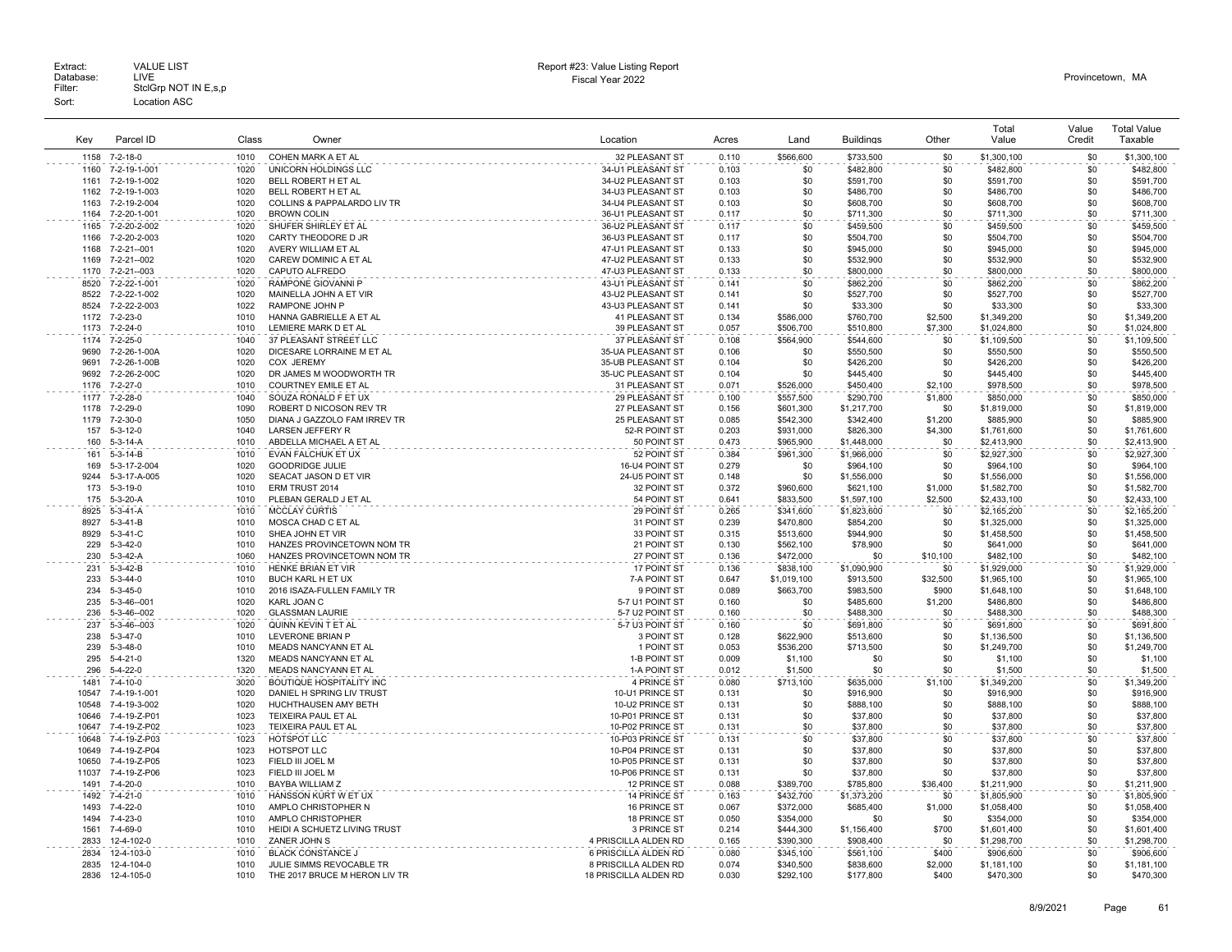| Kev            | Parcel ID                    | Class        | Owner                                                     | Location                                      | Acres          | Land                   | <b>Buildings</b>       | Other              | Total<br>Value             | Value<br>Credit | <b>Total Value</b><br>Taxable |
|----------------|------------------------------|--------------|-----------------------------------------------------------|-----------------------------------------------|----------------|------------------------|------------------------|--------------------|----------------------------|-----------------|-------------------------------|
| 1158           | 7-2-18-0                     | 1010         | COHEN MARK A ET AL                                        | 32 PLEASANT ST                                | 0.110          | \$566,600              | \$733,500              | \$0                | \$1,300,100                | \$0             | \$1,300,100                   |
| 1160           | 7-2-19-1-001                 | 1020         | UNICORN HOLDINGS LLC                                      | 34-U1 PLEASANT ST                             | 0.103          | \$0                    | \$482,800              | \$0                | \$482,800                  | \$0             | \$482,800                     |
| 1161           | 7-2-19-1-002                 | 1020         | BELL ROBERT H ET AL                                       | 34-U2 PLEASANT ST                             | 0.103          | \$0                    | \$591,700              | \$0                | \$591,700                  | \$0             | \$591,700                     |
| 1162           | 7-2-19-1-003                 | 1020         | BELL ROBERT H ET AL                                       | 34-U3 PLEASANT ST                             | 0.103          | \$0                    | \$486,700              | \$0                | \$486,700                  | \$0             | \$486,700                     |
| 1163           | 7-2-19-2-004                 | 1020         | COLLINS & PAPPALARDO LIV TR                               | 34-U4 PLEASANT ST                             | 0.103          | \$0                    | \$608,700              | \$0                | \$608,700                  | \$0             | \$608,700                     |
| 1164           | 7-2-20-1-001                 | 1020         | <b>BROWN COLIN</b>                                        | 36-U1 PLEASANT ST                             | 0.117          | \$0                    | \$711,300              | \$0                | \$711,300                  | \$0             | \$711,300                     |
| 1165           | 7-2-20-2-002                 | 1020         | SHUFER SHIRLEY ET AL                                      | 36-U2 PLEASANT ST                             | 0.117          | \$0                    | \$459,500              | \$0                | \$459,500                  | \$0             | \$459,500                     |
| 1166           | 7-2-20-2-003                 | 1020         | CARTY THEODORE D JR                                       | 36-U3 PLEASANT ST                             | 0.117          | \$0                    | \$504,700              | \$0                | \$504,700                  | \$0             | \$504,700                     |
| 1168           | 7-2-21--001                  | 1020         | AVERY WILLIAM ET AL                                       | 47-U1 PLEASANT ST                             | 0.133          | \$0                    | \$945,000              | \$0                | \$945,000                  | \$0             | \$945,000                     |
| 1169<br>1170   | 7-2-21--002<br>7-2-21--003   | 1020<br>1020 | CAREW DOMINIC A ET AL<br>CAPUTO ALFREDO                   | 47-U2 PLEASANT ST<br>47-U3 PLEASANT ST        | 0.133<br>0.133 | \$0<br>\$0             | \$532,900<br>\$800,000 | \$0<br>\$0         | \$532,900<br>\$800,000     | \$0<br>\$0      | \$532,900<br>\$800,000        |
| 8520           | 7-2-22-1-001                 | 1020         | <b>RAMPONE GIOVANNI P</b>                                 | 43-U1 PLEASANT ST                             | 0.141          | \$0                    | \$862,200              | \$0                | \$862,200                  | \$0             | \$862,200                     |
| 8522           | 7-2-22-1-002                 | 1020         | MAINELLA JOHN A ET VIR                                    | 43-U2 PLEASANT ST                             | 0.141          | \$0                    | \$527,700              | \$0                | \$527,700                  | \$0             | \$527,700                     |
| 8524           | 7-2-22-2-003                 | 1022         | RAMPONE JOHN P                                            | 43-U3 PLEASANT ST                             | 0.141          | \$0                    | \$33,300               | \$0                | \$33,300                   | \$0             | \$33,300                      |
| 1172           | $7 - 2 - 23 - 0$             | 1010         | HANNA GABRIELLE A ET AL                                   | 41 PLEASANT ST                                | 0.134          | \$586,000              | \$760,700              | \$2,500            | \$1,349,200                | \$0             | \$1,349,200                   |
| 1173           | $7 - 2 - 24 - 0$             | 1010         | LEMIERE MARK D ET AL                                      | 39 PLEASANT ST                                | 0.057          | \$506,700              | \$510,800              | \$7,300            | \$1,024,800                | \$0             | \$1,024,800                   |
| 1174           | 7-2-25-0                     | 1040         | 37 PLEASANT STREET LLC                                    | 37 PLEASANT ST                                | 0.108          | \$564,900              | \$544,600              | \$0                | \$1,109,500                | \$0             | \$1,109,500                   |
| 9690           | 7-2-26-1-00A                 | 1020         | DICESARE LORRAINE M ET AL                                 | 35-UA PLEASANT ST                             | 0.106          | \$0                    | \$550,500              | \$0                | \$550,500                  | \$0             | \$550,500                     |
| 9691           | 7-2-26-1-00B                 | 1020         | COX JEREMY                                                | 35-UB PLEASANT ST                             | 0.104          | \$0                    | \$426,200              | \$0                | \$426,200                  | \$0             | \$426,200                     |
| 9692<br>1176   | 7-2-26-2-00C                 | 1020<br>1010 | DR JAMES M WOODWORTH TR                                   | 35-UC PLEASANT ST                             | 0.104          | \$0                    | \$445,400              | \$0                | \$445,400                  | \$0<br>\$0      | \$445,400                     |
| 1177           | $7 - 2 - 27 - 0$<br>7-2-28-0 | 1040         | COURTNEY EMILE ET AL<br>SOUZA RONALD F ET UX              | 31 PLEASANT ST<br>29 PLEASANT ST              | 0.071<br>0.100 | \$526,000<br>\$557.500 | \$450,400<br>\$290.700 | \$2,100<br>\$1,800 | \$978,500<br>\$850,000     | \$0             | \$978,500<br>\$850,000        |
| 1178           | 7-2-29-0                     | 1090         | ROBERT D NICOSON REV TR                                   | 27 PLEASANT ST                                | 0.156          | \$601,300              | \$1,217,700            | \$0                | \$1,819,000                | \$0             | \$1,819,000                   |
| 1179           | $7 - 2 - 30 - 0$             | 1050         | DIANA J GAZZOLO FAM IRREV TR                              | 25 PLEASANT ST                                | 0.085          | \$542,300              | \$342,400              | \$1,200            | \$885,900                  | \$0             | \$885,900                     |
| 157            | $5 - 3 - 12 - 0$             | 1040         | <b>LARSEN JEFFERY R</b>                                   | 52-R POINT ST                                 | 0.203          | \$931,000              | \$826,300              | \$4,300            | \$1,761,600                | \$0             | \$1,761,600                   |
| 160            | $5 - 3 - 14 - A$             | 1010         | ABDELLA MICHAEL A ET AL                                   | 50 POINT ST                                   | 0.473          | \$965,900              | \$1,448,000            | \$0                | \$2,413,900                | \$0             | \$2,413,900                   |
| 161            | $5 - 3 - 14 - B$             | 1010         | EVAN FALCHUK ET UX                                        | 52 POINT ST                                   | 0.384          | \$961,300              | \$1,966,000            | \$0                | \$2,927,300                | \$0             | \$2,927,300                   |
| 169            | 5-3-17-2-004                 | 1020         | <b>GOODRIDGE JULIE</b>                                    | 16-U4 POINT ST                                | 0.279          | \$0                    | \$964,100              | \$0                | \$964,100                  | \$0             | \$964,100                     |
| 9244           | 5-3-17-A-005                 | 1020         | SEACAT JASON D ET VIR                                     | 24-U5 POINT ST                                | 0.148          | \$0                    | \$1,556,000            | \$0                | \$1,556,000                | \$0             | \$1,556,000                   |
| 173            | $5 - 3 - 19 - 0$             | 1010         | ERM TRUST 2014                                            | 32 POINT ST                                   | 0.372          | \$960,600              | \$621,100              | \$1,000            | \$1,582,700                | \$0             | \$1,582,700                   |
| 175            | $5-3-20-A$                   | 1010         | PLEBAN GERALD J ET AL                                     | 54 POINT ST                                   | 0.641          | \$833.500              | \$1,597,100            | \$2,500            | \$2,433,100                | \$0             | \$2,433,100                   |
| 8925<br>8927   | $5-3-41-A$<br>$5-3-41-B$     | 1010<br>1010 | <b>MCCLAY CURTIS</b>                                      | 29 POINT ST<br>31 POINT ST                    | 0.265          | \$341,600              | \$1,823,600            | \$0                | \$2,165,200                | \$0             | \$2,165,200                   |
| 8929           | $5 - 3 - 41 - C$             | 1010         | MOSCA CHAD C ET AL<br>SHEA JOHN ET VIR                    | 33 POINT ST                                   | 0.239<br>0.315 | \$470,800<br>\$513,600 | \$854,200<br>\$944,900 | \$0<br>\$0         | \$1,325,000<br>\$1,458,500 | \$0<br>\$0      | \$1,325,000<br>\$1,458,500    |
| 229            | $5 - 3 - 42 - 0$             | 1010         | HANZES PROVINCETOWN NOM TR                                | 21 POINT ST                                   | 0.130          | \$562,100              | \$78,900               | \$0                | \$641,000                  | \$0             | \$641,000                     |
| 230            | $5-3-42-A$                   | 1060         | HANZES PROVINCETOWN NOM TR                                | 27 POINT ST                                   | 0.136          | \$472,000              | \$0                    | \$10,100           | \$482,100                  | \$0             | \$482,100                     |
| 231            | $5-3-42-B$                   | 1010         | HENKE BRIAN ET VIR                                        | 17 POINT ST                                   | 0.136          | \$838,100              | \$1,090,900            | \$0                | \$1,929,000                | \$0             | \$1,929,000                   |
| 233            | $5 - 3 - 44 - 0$             | 1010         | BUCH KARL H ET UX                                         | 7-A POINT ST                                  | 0.647          | \$1,019,100            | \$913,500              | \$32,500           | \$1,965,100                | \$0             | \$1,965.100                   |
| 234            | $5 - 3 - 45 - 0$             | 1010         | 2016 ISAZA-FULLEN FAMILY TR                               | 9 POINT ST                                    | 0.089          | \$663,700              | \$983,500              | \$900              | \$1,648,100                | \$0             | \$1,648,100                   |
| 235            | 5-3-46--001                  | 1020         | KARL JOAN C                                               | 5-7 U1 POINT ST                               | 0.160          | \$0                    | \$485,600              | \$1,200            | \$486,800                  | \$0             | \$486,800                     |
| 236            | 5-3-46--002                  | 1020         | <b>GLASSMAN LAURIE</b>                                    | 5-7 U2 POINT ST                               | 0.160          | \$0                    | \$488,300              | \$0                | \$488,300                  | \$0             | \$488,300                     |
| 237            | $5 - 3 - 46 - 003$           | 1020         | QUINN KEVIN T ET AL                                       | 5-7 U3 POINT ST                               | 0.160          | \$0                    | \$691,800              | \$0                | \$691,800                  | \$0             | \$691,800                     |
| 238<br>239     | $5 - 3 - 47 - 0$<br>5-3-48-0 | 1010<br>1010 | <b>LEVERONE BRIAN P</b><br>MEADS NANCYANN ET AL           | 3 POINT ST<br>1 POINT ST                      | 0.128<br>0.053 | \$622,900<br>\$536,200 | \$513,600<br>\$713,500 | \$0<br>\$0         | \$1,136,500<br>\$1,249,700 | \$0<br>\$0      | \$1,136,500<br>\$1,249,700    |
| 295            | $5 - 4 - 21 - 0$             | 1320         | MEADS NANCYANN ET AL                                      | 1-B POINT ST                                  | 0.009          | \$1,100                | \$0                    | \$0                | \$1,100                    | \$0             | \$1,100                       |
| 296            | $5 - 4 - 22 - 0$             | 1320         | MEADS NANCYANN ET AL                                      | 1-A POINT ST                                  | 0.012          | \$1,500                | \$0                    | \$0                | \$1,500                    | \$0             | \$1,500                       |
| 1481           | $7 - 4 - 10 - 0$             | 3020         | <b>BOUTIQUE HOSPITALITY INC</b>                           | 4 PRINCE ST                                   | 0.080          | \$713.100              | \$635,000              | \$1,100            | \$1,349,200                | \$0             | \$1,349,200                   |
| 10547          | 7-4-19-1-001                 | 1020         | DANIEL H SPRING LIV TRUST                                 | 10-U1 PRINCE ST                               | 0.131          | \$0                    | \$916,900              | \$0                | \$916,900                  | \$0             | \$916,900                     |
| 10548          | 7-4-19-3-002                 | 1020         | HUCHTHAUSEN AMY BETH                                      | 10-U2 PRINCE ST                               | 0.131          | \$0                    | \$888,100              | \$0                | \$888,100                  | \$0             | \$888,100                     |
| 10646          | 7-4-19-Z-P01                 | 1023         | TEIXEIRA PAUL ET AL                                       | 10-P01 PRINCE ST                              | 0.131          | \$0                    | \$37,800               | \$0                | \$37,800                   | \$0             | \$37,800                      |
| 10647          | 7-4-19-Z-P02                 | 1023         | TEIXEIRA PAUL ET AL                                       | 10-P02 PRINCE ST                              | 0.131          | \$0                    | \$37,800               | \$0                | \$37,800                   | \$0             | \$37,800                      |
| 10648          | 7-4-19-Z-P03                 | 1023         | HOTSPOT LLC                                               | 10-P03 PRINCE ST                              | 0.131          | \$0                    | \$37,800               | \$0                | \$37,800                   | \$0             | \$37,800                      |
| 10649<br>10650 | 7-4-19-Z-P04<br>7-4-19-Z-P05 | 1023<br>1023 | HOTSPOT LLC<br>FIELD III JOEL M                           | 10-P04 PRINCE ST<br>10-P05 PRINCE ST          | 0.131<br>0.131 | \$0<br>\$0             | \$37,800<br>\$37,800   | \$0<br>\$0         | \$37,800<br>\$37,800       | \$0<br>\$0      | \$37,800<br>\$37,800          |
| 11037          | 7-4-19-Z-P06                 | 1023         | FIELD III JOEL M                                          | 10-P06 PRINCE ST                              | 0.131          | \$0                    | \$37,800               | \$0                | \$37,800                   | \$0             | \$37,800                      |
| 1491           | 7-4-20-0                     | 1010         | BAYBA WILLIAM Z                                           | 12 PRINCE ST                                  | 0.088          | \$389,700              | \$785,800              | \$36,400           | \$1,211,900                | \$0             | \$1,211,900                   |
| 1492           | $7 - 4 - 21 - 0$             | 1010         | HANSSON KURT W ET UX                                      | 14 PRINCE ST                                  | 0.163          | \$432,700              | \$1,373,200            | \$0                | \$1,805,900                | \$0             | \$1,805,900                   |
| 1493           | $7 - 4 - 22 - 0$             | 1010         | AMPLO CHRISTOPHER N                                       | 16 PRINCE ST                                  | 0.067          | \$372,000              | \$685,400              | \$1,000            | \$1,058,400                | \$0             | \$1,058,400                   |
| 1494           | 7-4-23-0                     | 1010         | AMPLO CHRISTOPHER                                         | 18 PRINCE ST                                  | 0.050          | \$354,000              | \$0                    | \$0                | \$354,000                  | \$0             | \$354,000                     |
| 1561           | 7-4-69-0                     | 1010         | HEIDI A SCHUETZ LIVING TRUST                              | 3 PRINCE ST                                   | 0.214          | \$444,300              | \$1,156,400            | \$700              | \$1,601,400                | \$0             | \$1,601,400                   |
| 2833           | 12-4-102-0                   | 1010         | ZANER JOHN S                                              | 4 PRISCILLA ALDEN RD                          | 0.165          | \$390,300              | \$908,400              | \$0                | \$1,298,700                | \$0             | \$1,298,700                   |
| 2834           | 12-4-103-0                   | 1010         | <b>BLACK CONSTANCE J</b>                                  | 6 PRISCILLA ALDEN RD                          | 0.080          | \$345,100              | \$561,100              | \$400              | \$906,600                  | \$0             | \$906,600                     |
| 2835<br>2836   | 12-4-104-0<br>12-4-105-0     | 1010<br>1010 | JULIE SIMMS REVOCABLE TR<br>THE 2017 BRUCE M HERON LIV TR | 8 PRISCILLA ALDEN RD<br>18 PRISCILLA ALDEN RD | 0.074<br>0.030 | \$340,500<br>\$292.100 | \$838,600<br>\$177,800 | \$2,000<br>\$400   | \$1,181,100<br>\$470,300   | \$0<br>\$0      | \$1,181,100<br>\$470,300      |
|                |                              |              |                                                           |                                               |                |                        |                        |                    |                            |                 |                               |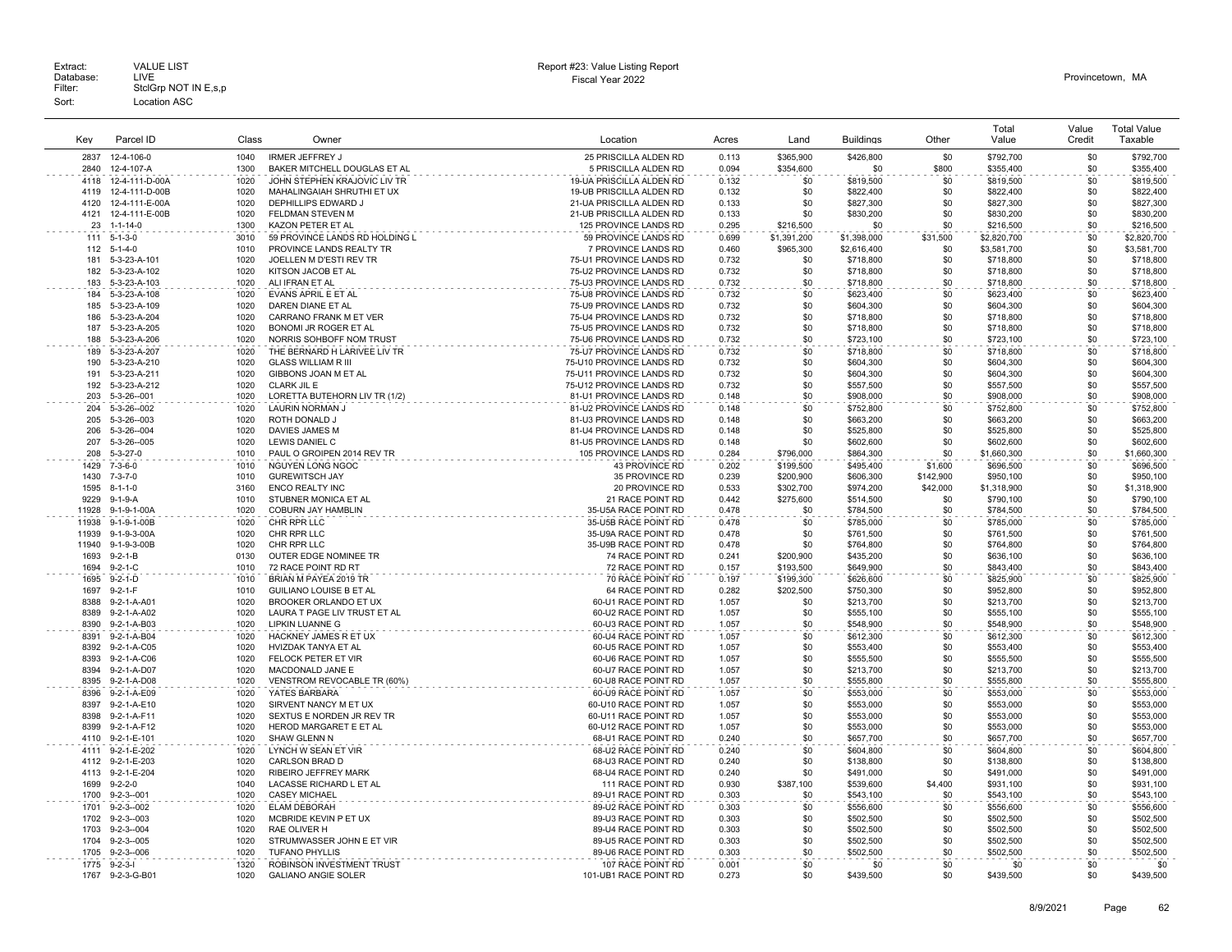| Key   | Parcel ID         | Class | Owner                          | Location                  | Acres | Land        | <b>Buildings</b> | Other     | Total<br>Value | Value<br>Credit | <b>Total Value</b><br>Taxable |
|-------|-------------------|-------|--------------------------------|---------------------------|-------|-------------|------------------|-----------|----------------|-----------------|-------------------------------|
| 2837  | 12-4-106-0        | 1040  | <b>IRMER JEFFREY J</b>         | 25 PRISCILLA ALDEN RD     | 0.113 | \$365,900   | \$426,800        | \$0       | \$792,700      | \$0             | \$792,700                     |
| 2840  | 12-4-107-A        | 1300  | BAKER MITCHELL DOUGLAS ET AL   | 5 PRISCILLA ALDEN RD      | 0.094 | \$354,600   | \$0              | \$800     | \$355,400      | \$0             | \$355,400                     |
| 4118  | 12-4-111-D-00A    | 1020  | JOHN STEPHEN KRAJOVIC LIV TR   | 19-UA PRISCILLA ALDEN RD  | 0.132 | \$0         | \$819,500        | \$0       | \$819,500      | \$0             | \$819,500                     |
| 4119  | 12-4-111-D-00B    | 1020  | MAHALINGAIAH SHRUTHI ET UX     | 19-UB PRISCILLA ALDEN RD  | 0.132 | \$0         | \$822,400        | \$0       | \$822,400      | \$0             | \$822,400                     |
| 4120  | 12-4-111-E-00A    | 1020  | DEPHILLIPS EDWARD J            | 21-UA PRISCILLA ALDEN RD  | 0.133 | \$0         | \$827,300        | \$0       | \$827,300      | \$0             | \$827,300                     |
| 4121  | 12-4-111-E-00B    | 1020  | FELDMAN STEVEN M               | 21-UB PRISCILLA ALDEN RD  | 0.133 | \$0         | \$830,200        | \$0       | \$830,200      | \$0             | \$830,200                     |
| 23    | $1 - 1 - 14 - 0$  | 1300  | KAZON PETER ET AL              | 125 PROVINCE LANDS RD     | 0.295 | \$216,500   | \$0              | \$0       | \$216,500      | \$0             | \$216,500                     |
| 111   | $5 - 1 - 3 - 0$   | 3010  | 59 PROVINCE LANDS RD HOLDING L | .<br>59 PROVINCE LANDS RD | 0.699 | \$1,391,200 | \$1,398,000      | \$31,500  | \$2,820,700    | \$0             | \$2,820,700                   |
| 112   | $5 - 1 - 4 - 0$   | 1010  | PROVINCE LANDS REALTY TR       | 7 PROVINCE LANDS RD       | 0.460 | \$965,300   | \$2,616,400      | \$0       | \$3,581,700    | \$0             | \$3,581,700                   |
| 181   | 5-3-23-A-101      | 1020  | JOELLEN M D'ESTI REV TR        | 75-U1 PROVINCE LANDS RD   | 0.732 | \$0         | \$718,800        | \$0       | \$718,800      | \$0             | \$718,800                     |
| 182   | 5-3-23-A-102      | 1020  | KITSON JACOB ET AL             | 75-U2 PROVINCE LANDS RD   | 0.732 | \$0         | \$718,800        | \$0       | \$718,800      | \$0             | \$718,800                     |
| 183   | 5-3-23-A-103      | 1020  | ALI IFRAN ET AL                | 75-U3 PROVINCE LANDS RD   | 0.732 | \$0         | \$718,800        | \$0       | \$718,800      | \$0             | \$718,800                     |
| 184   | 5-3-23-A-108      | 1020  | EVANS APRIL E ET AL            | 75-U8 PROVINCE LANDS RD   | 0.732 | \$0         | \$623,400        | \$0       | \$623,400      | \$0             | \$623,400                     |
| 185   | 5-3-23-A-109      | 1020  | DAREN DIANE ET AL              | 75-U9 PROVINCE LANDS RD   | 0.732 | \$0         | \$604,300        | \$0       | \$604,300      | \$0             | \$604,300                     |
| 186   | 5-3-23-A-204      | 1020  | CARRANO FRANK M ET VER         | 75-U4 PROVINCE LANDS RD   | 0.732 | \$0         | \$718,800        | \$0       | \$718,800      | \$0             | \$718,800                     |
| 187   | 5-3-23-A-205      | 1020  | <b>BONOMI JR ROGER ET AL</b>   | 75-U5 PROVINCE LANDS RD   | 0.732 | \$0         | \$718,800        | \$0       | \$718,800      | \$0             | \$718,800                     |
| 188   | 5-3-23-A-206      | 1020  | NORRIS SOHBOFF NOM TRUST       | 75-U6 PROVINCE LANDS RD   | 0.732 | \$0         | \$723,100        | \$0       | \$723,100      | \$0             | \$723,100                     |
| 189   | 5-3-23-A-207      | 1020  | THE BERNARD H LARIVEE LIV TR   | 75-U7 PROVINCE LANDS RD   | 0.732 | \$0         | \$718,800        | \$0       | \$718,800      | \$0             | \$718,800                     |
| 190   | 5-3-23-A-210      | 1020  | <b>GLASS WILLIAM R III</b>     | 75-U10 PROVINCE LANDS RD  | 0.732 | \$0         | \$604,300        | \$0       | \$604,300      | \$0             | \$604,300                     |
| 191   | 5-3-23-A-211      | 1020  | GIBBONS JOAN M ET AL           | 75-U11 PROVINCE LANDS RD  | 0.732 | \$0         | \$604,300        | \$0       | \$604,300      | \$0             | \$604,300                     |
| 192   | 5-3-23-A-212      | 1020  | CLARK JIL E                    | 75-U12 PROVINCE LANDS RD  | 0.732 | \$0         | \$557,500        | \$0       | \$557,500      | \$0             | \$557,500                     |
| 203   | 5-3-26--001       | 1020  | LORETTA BUTEHORN LIV TR (1/2)  | 81-U1 PROVINCE LANDS RD   | 0.148 | \$0         | \$908,000        | \$0       | \$908,000      | \$0             | \$908,000                     |
| 204   | 5-3-26--002       | 1020  | LAURIN NORMAN J                | 81-U2 PROVINCE LANDS RD   | 0.148 | \$0         | \$752,800        | \$0       | \$752,800      | \$0             | \$752,800                     |
| 205   | 5-3-26--003       | 1020  | ROTH DONALD J                  | 81-U3 PROVINCE LANDS RD   | 0.148 | \$0         | \$663,200        | \$0       | \$663,200      | \$0             | \$663,200                     |
| 206   | 5-3-26--004       | 1020  | DAVIES JAMES M                 | 81-U4 PROVINCE LANDS RD   | 0.148 | \$0         | \$525,800        | \$0       | \$525,800      | \$0             | \$525,800                     |
| 207   | 5-3-26--005       | 1020  | LEWIS DANIEL C                 | 81-U5 PROVINCE LANDS RD   | 0.148 | \$0         | \$602,600        | \$0       | \$602,600      | \$0             | \$602,600                     |
| 208   | $5 - 3 - 27 - 0$  | 1010  | PAUL O GROIPEN 2014 REV TR     | 105 PROVINCE LANDS RD     | 0.284 | \$796,000   | \$864,300        | \$0       | \$1,660,300    | \$0             | \$1,660,300                   |
| 1429  | $7 - 3 - 6 - 0$   | 1010  | NGUYEN LONG NGOC               | <b>43 PROVINCE RD</b>     | 0.202 | \$199,500   | \$495,400        | \$1,600   | \$696,500      | \$0             | \$696,500                     |
| 1430  | $7 - 3 - 7 - 0$   | 1010  | <b>GUREWITSCH JAY</b>          | 35 PROVINCE RD            | 0.239 | \$200,900   | \$606,300        | \$142,900 | \$950,100      | \$0             | \$950,100                     |
| 1595  | $8 - 1 - 1 - 0$   | 3160  | <b>ENCO REALTY INC</b>         | 20 PROVINCE RD            | 0.533 | \$302,700   | \$974,200        | \$42,000  | \$1,318,900    | \$0             | \$1,318,900                   |
| 9229  | $9-1-9-A$         | 1010  | STUBNER MONICA ET AL           | 21 RACE POINT RD          | 0.442 | \$275.600   | \$514,500        | \$0       | \$790,100      | \$0             | \$790,100                     |
| 11928 | 9-1-9-1-00A       | 1020  | COBURN JAY HAMBLIN             | 35-U5A RACE POINT RD      | 0.478 | \$0         | \$784,500        | \$0       | \$784,500      | \$0             | \$784,500                     |
| 11938 | 9-1-9-1-00B       | 1020  | CHR RPR LLC                    | 35-U5B RACE POINT RD      | 0.478 | \$0         | \$785,000        | \$0       | \$785,000      | \$0             | \$785,000                     |
| 11939 | 9-1-9-3-00A       | 1020  | CHR RPR LLC                    | 35-U9A RACE POINT RD      | 0.478 | \$0         | \$761,500        | \$0       | \$761,500      | \$0             | \$761,500                     |
| 11940 | 9-1-9-3-00B       | 1020  | CHR RPR LLC                    | 35-U9B RACE POINT RD      | 0.478 | \$0         | \$764,800        | \$0       | \$764,800      | \$0             | \$764,800                     |
| 1693  | $9 - 2 - 1 - B$   | 0130  | <b>OUTER EDGE NOMINEE TR</b>   | 74 RACE POINT RD          | 0.241 | \$200.900   | \$435,200        | \$0       | \$636,100      | \$0             | \$636,100                     |
| 1694  | $9 - 2 - 1 - C$   | 1010  | 72 RACE POINT RD RT            | 72 RACE POINT RD          | 0.157 | \$193,500   | \$649,900        | \$0       | \$843,400      | \$0             | \$843,400                     |
| 1695  | $9 - 2 - 1 - D$   | 1010  | BRIAN M PAYEA 2019 TR          | 70 RACE POINT RD          | 0.197 | \$199,300   | \$626,600        | \$0       | \$825,900      | \$0             | \$825,900                     |
| 1697  | $9 - 2 - 1 - F$   | 1010  | <b>GUILIANO LOUISE B ET AL</b> | 64 RACE POINT RD          | 0.282 | \$202,500   | \$750,300        | \$0       | \$952,800      | \$0             | \$952,800                     |
| 8388  | 9-2-1-A-A01       | 1020  | BROOKER ORLANDO ET UX          | 60-U1 RACE POINT RD       | 1.057 | \$0         | \$213,700        | \$0       | \$213,700      | \$0             | \$213,700                     |
| 8389  | 9-2-1-A-A02       | 1020  | LAURA T PAGE LIV TRUST ET AL   | 60-U2 RACE POINT RD       | 1.057 | \$0         | \$555,100        | \$0       | \$555,100      | \$0             | \$555,100                     |
| 8390  | 9-2-1-A-B03       | 1020  | <b>LIPKIN LUANNE G</b>         | 60-U3 RACE POINT RD       | 1.057 | \$0         | \$548,900        | \$0       | \$548,900      | \$0             | \$548,900                     |
| 8391  | 9-2-1-A-B04       | 1020  | HACKNEY JAMES R ET UX          | 60-U4 RACE POINT RD       | 1.057 | \$0         | \$612,300        | \$0       | \$612,300      | \$0             | \$612,300                     |
|       | 8392 9-2-1-A-C05  | 1020  | HVIZDAK TANYA ET AL            | 60-U5 RACE POINT RD       | 1.057 | \$0         | \$553,400        | \$0       | \$553,400      | \$0             | \$553,400                     |
| 8393  | 9-2-1-A-C06       | 1020  | FELOCK PETER ET VIR            | 60-U6 RACE POINT RD       | 1.057 | \$0         | \$555,500        | \$0       | \$555,500      | \$0             | \$555,500                     |
| 8394  | 9-2-1-A-D07       | 1020  | MACDONALD JANE E               | 60-U7 RACE POINT RD       | 1.057 | \$0         | \$213,700        | \$0       | \$213,700      | \$0             | \$213,700                     |
| 8395  | 9-2-1-A-D08       | 1020  | VENSTROM REVOCABLE TR (60%)    | 60-U8 RACE POINT RD       | 1.057 | \$0         | \$555,800        | \$0       | \$555,800      | \$0             | \$555,800                     |
| 8396  | 9-2-1-A-E09       | 1020  | YATES BARBARA                  | 60-U9 RACE POINT RD       | 1.057 | \$0         | \$553,000        | \$0       | \$553,000      | \$0             | \$553,000                     |
| 8397  | 9-2-1-A-E10       | 1020  | SIRVENT NANCY M ET UX          | 60-U10 RACE POINT RD      | 1.057 | \$0         | \$553,000        | \$0       | \$553,000      | \$0             | \$553,000                     |
| 8398  | 9-2-1-A-F11       | 1020  | SEXTUS E NORDEN JR REV TR      | 60-U11 RACE POINT RD      | 1.057 | \$0         | \$553,000        | \$0       | \$553,000      | \$0             | \$553,000                     |
| 8399  | 9-2-1-A-F12       | 1020  | HEROD MARGARET E ET AL         | 60-U12 RACE POINT RD      | 1.057 | \$0         | \$553,000        | \$0       | \$553,000      | \$0             | \$553,000                     |
| 4110  | 9-2-1-E-101       | 1020  | SHAW GLENN N                   | 68-U1 RACE POINT RD       | 0.240 | \$0         | \$657,700        | \$0       | \$657,700      | \$0             | \$657,700                     |
| 4111  | 9-2-1-E-202       | 1020  | LYNCH W SEAN ET VIR            | 68-U2 RACE POINT RD       | 0.240 | \$0         | \$604,800        | \$0       | \$604,800      | \$0             | \$604.800                     |
| 4112  | 9-2-1-E-203       | 1020  | CARLSON BRAD D                 | 68-U3 RACE POINT RD       | 0.240 | \$0         | \$138,800        | \$0       | \$138,800      | \$0             | \$138,800                     |
| 4113  | 9-2-1-E-204       | 1020  | RIBEIRO JEFFREY MARK           | 68-U4 RACE POINT RD       | 0.240 | \$0         | \$491,000        | \$0       | \$491,000      | \$0             | \$491,000                     |
| 1699  | $9 - 2 - 2 - 0$   | 1040  | LACASSE RICHARD L ET AL        | 111 RACE POINT RD         | 0.930 | \$387.100   | \$539,600        | \$4,400   | \$931,100      | \$0             | \$931,100                     |
| 1700  | $9 - 2 - 3 - 001$ | 1020  | <b>CASEY MICHAEL</b>           | 89-U1 RACE POINT RD       | 0.303 | \$0         | \$543,100        | \$0       | \$543,100      | \$0             | \$543,100                     |
| 1701  | $9 - 2 - 3 - 002$ | 1020  | <b>ELAM DEBORAH</b>            | 89-U2 RACE POINT RD       | 0.303 | \$0         | \$556,600        | \$0       | \$556,600      | \$0             | \$556,600                     |
| 1702  | $9 - 2 - 3 - 003$ | 1020  | MCBRIDE KEVIN P ET UX          | 89-U3 RACE POINT RD       | 0.303 | \$0         | \$502,500        | \$0       | \$502,500      | \$0             | \$502,500                     |
| 1703  | $9 - 2 - 3 - 004$ | 1020  | RAE OLIVER H                   | 89-U4 RACE POINT RD       | 0.303 | \$0         | \$502,500        | \$0       | \$502,500      | \$0             | \$502,500                     |
| 1704  | $9 - 2 - 3 - 005$ | 1020  | STRUMWASSER JOHN E ET VIR      | 89-U5 RACE POINT RD       | 0.303 | \$0         | \$502,500        | \$0       | \$502,500      | \$0             | \$502,500                     |
| 1705  | $9 - 2 - 3 - 006$ | 1020  | <b>TUFANO PHYLLIS</b>          | 89-U6 RACE POINT RD       | 0.303 | \$0         | \$502,500        | \$0       | \$502,500      | \$0             | \$502,500                     |
|       | 1775 9-2-3-I      | 1320  | ROBINSON INVESTMENT TRUST      | 107 RACE POINT RD         | 0.001 | \$0         | \$0              | \$0       | \$0            | \$0             | \$0                           |
| 1767  | 9-2-3-G-B01       | 1020  | <b>GALIANO ANGIE SOLER</b>     | 101-UB1 RACE POINT RD     | 0.273 | \$0         | \$439.500        | \$0       | \$439,500      | \$0             | \$439,500                     |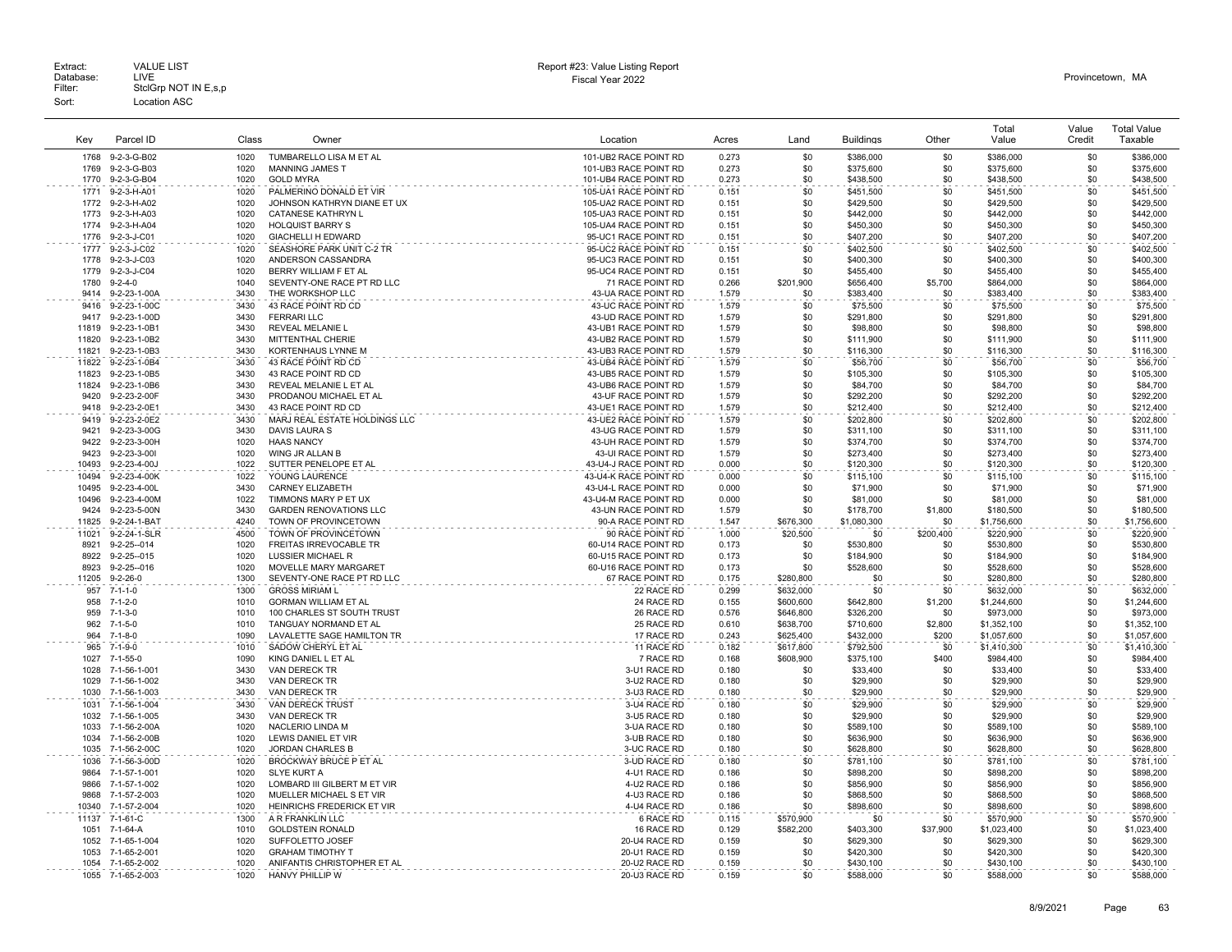|                |                              |       |                                          |                                                |                |            |                      |            | Total                | Value  | <b>Total Value</b>   |
|----------------|------------------------------|-------|------------------------------------------|------------------------------------------------|----------------|------------|----------------------|------------|----------------------|--------|----------------------|
| Key            | Parcel ID                    | Class | Owner                                    | Location                                       | Acres          | Land       | <b>Buildings</b>     | Other      | Value                | Credit | Taxable              |
|                |                              |       |                                          |                                                |                |            |                      |            |                      |        |                      |
| 1768           | 9-2-3-G-B02                  | 1020  | TUMBARELLO LISA M ET AL                  | 101-UB2 RACE POINT RD                          | 0.273          | \$0        | \$386,000            | \$0        | \$386,000            | \$0    | \$386,000            |
| 1769           | 9-2-3-G-B03                  | 1020  | <b>MANNING JAMES T</b>                   | 101-UB3 RACE POINT RD                          | 0.273          | \$0        | \$375,600            | \$0        | \$375,600            | \$0    | \$375,600            |
| 1770           | 9-2-3-G-B04                  | 1020  | <b>GOLD MYRA</b>                         | 101-UB4 RACE POINT RD                          | 0.273          | \$0        | \$438,500            | \$0        | \$438,500            | \$0    | \$438,500            |
| 1771           | 9-2-3-H-A01                  | 1020  | PALMERINO DONALD ET VIR                  | 105-UA1 RACE POINT RD                          | 0.151          | \$0        | \$451,500            | \$0        | \$451,500            | \$0    | \$451,500            |
| 1772           | 9-2-3-H-A02                  | 1020  | JOHNSON KATHRYN DIANE ET UX              | 105-UA2 RACE POINT RD                          | 0.151          | \$0        | \$429,500            | \$0        | \$429,500            | \$0    | \$429,500            |
| 1773           | 9-2-3-H-A03                  | 1020  | CATANESE KATHRYN L                       | 105-UA3 RACE POINT RD                          | 0.151          | \$0        | \$442,000            | \$0        | \$442,000            | \$0    | \$442,000            |
| 1774           | 9-2-3-H-A04                  | 1020  | <b>HOLQUIST BARRY S</b>                  | 105-UA4 RACE POINT RD                          | 0.151          | \$0        | \$450,300            | \$0        | \$450,300            | \$0    | \$450,300            |
| 1776           | 9-2-3-J-C01                  | 1020  | GIACHELLI H EDWARD                       | 95-UC1 RACE POINT RD                           | 0.151          | \$0        | \$407,200            | \$0        | \$407,200            | \$0    | \$407,200            |
| 1777           | 9-2-3-J-C02                  | 1020  | SEASHORE PARK UNIT C-2 TR                | 95-UC2 RACE POINT RD                           | 0.151          | \$0        | \$402,500            | \$0        | \$402,500            | \$0    | \$402,500            |
| 1778           | 9-2-3-J-C03                  | 1020  | ANDERSON CASSANDRA                       | 95-UC3 RACE POINT RD                           | 0.151          | \$0        | \$400,300            | \$0        | \$400,300            | \$0    | \$400,300            |
| 1779           | 9-2-3-J-C04                  | 1020  | BERRY WILLIAM F ET AL                    | 95-UC4 RACE POINT RD                           | 0.151          | \$0        | \$455,400            | \$0        | \$455,400            | \$0    | \$455,400            |
| 1780           | $9 - 2 - 4 - 0$              | 1040  | SEVENTY-ONE RACE PT RD LLC               | 71 RACE POINT RD                               | 0.266          | \$201,900  | \$656,400            | \$5,700    | \$864,000            | \$0    | \$864,000            |
| 9414           | 9-2-23-1-00A                 | 3430  | THE WORKSHOP LLC                         | 43-UA RACE POINT RD                            | 1.579          | \$0        | \$383,400            | \$0        | \$383,400            | \$0    | \$383,400            |
| 9416           | 9-2-23-1-00C                 | 3430  | 43 RACE POINT RD CD                      | 43-UC RACE POINT RD                            | 1.579          | \$0        | \$75,500             | \$0        | \$75,500             | \$0    | \$75,500             |
| 9417           | 9-2-23-1-00D                 | 3430  | <b>FERRARI LLC</b>                       | 43-UD RACE POINT RD                            | 1.579          | \$0        | \$291,800            | \$0        | \$291,800            | \$0    | \$291,800            |
| 11819          | 9-2-23-1-0B1                 | 3430  | REVEAL MELANIE L                         | 43-UB1 RACE POINT RD                           | 1.579          | \$0        | \$98,800             | \$0        | \$98,800             | \$0    | \$98,800             |
| 11820          | 9-2-23-1-0B2                 | 3430  | MITTENTHAL CHERIE                        | 43-UB2 RACE POINT RD                           | 1.579          | \$0        | \$111,900            | \$0        | \$111,900            | \$0    | \$111,900            |
| 11821          | 9-2-23-1-0B3                 | 3430  | KORTENHAUS LYNNE M                       | 43-UB3 RACE POINT RD                           | 1.579          | \$0        | \$116,300            | \$0        | \$116,300            | \$0    | \$116,300            |
| 11822          | 9-2-23-1-0B4                 | 3430  | 43 RACE POINT RD CD                      | 43-UB4 RACE POINT RD                           | 1.579          | \$0        | \$56,700             | \$0        | \$56,700             | \$0    | \$56,700             |
| 11823          | 9-2-23-1-0B5                 | 3430  | 43 RACE POINT RD CD                      | 43-UB5 RACE POINT RD                           | 1.579          | \$0        | \$105,300            | \$0        | \$105,300            | \$0    | \$105,300            |
| 11824          | 9-2-23-1-0B6                 | 3430  | REVEAL MELANIE L ET AL                   | 43-UB6 RACE POINT RD                           | 1.579          | \$0        | \$84,700             | \$0        | \$84,700             | \$0    | \$84,700             |
| 9420           | 9-2-23-2-00F                 | 3430  | PRODANOU MICHAEL ET AL                   | 43-UF RACE POINT RD                            | 1.579          | \$0        | \$292,200            | \$0        | \$292,200            | \$0    | \$292,200            |
| 9418           | 9-2-23-2-0E1                 | 3430  | 43 RACE POINT RD CD                      | 43-UE1 RACE POINT RD                           | 1.579          | \$0        | \$212,400            | \$0        | \$212,400            | \$0    | \$212,400            |
| 9419           | 9-2-23-2-0E2                 | 3430  | MARJ REAL ESTATE HOLDINGS LLC            | 43-UE2 RACE POINT RD                           | 1.579          | \$0        | \$202,800            | \$0        | \$202.800            | \$0    | \$202,800            |
| 9421           | 9-2-23-3-00G                 | 3430  | DAVIS LAURA S                            | 43-UG RACE POINT RD                            | 1.579          | \$0        | \$311,100            | \$0        | \$311,100            | \$0    | \$311,100            |
| 9422           | 9-2-23-3-00H                 | 1020  | <b>HAAS NANCY</b>                        | 43-UH RACE POINT RD                            | 1.579          | \$0        | \$374,700            | \$0        | \$374,700            | \$0    | \$374,700            |
| 9423           | 9-2-23-3-001                 | 1020  | WING JR ALLAN B                          | 43-UI RACE POINT RD                            | 1.579          | \$0        | \$273,400            | \$0        | \$273,400            | \$0    | \$273,400            |
| 10493          | 9-2-23-4-00J                 | 1022  | SUTTER PENELOPE ET AL                    | 43-U4-J RACE POINT RD                          | 0.000          | \$0        | \$120,300            | \$0        | \$120,300            | \$0    | \$120,300            |
| 10494          | 9-2-23-4-00K                 | 1022  | YOUNG LAURENCE                           | 43-U4-K RACE POINT RD                          | 0.000          | \$0        | \$115,100            | \$0        | \$115,100            | \$0    | \$115,100            |
|                |                              | 3430  |                                          |                                                |                |            |                      |            |                      | \$0    |                      |
| 10495<br>10496 | 9-2-23-4-00L<br>9-2-23-4-00M | 1022  | CARNEY ELIZABETH<br>TIMMONS MARY P ET UX | 43-U4-L RACE POINT RD<br>43-U4-M RACE POINT RD | 0.000<br>0.000 | \$0<br>\$0 | \$71,900<br>\$81,000 | \$0<br>\$0 | \$71,900<br>\$81,000 | \$0    | \$71,900<br>\$81,000 |
| 9424           |                              | 3430  |                                          |                                                |                | \$0        |                      |            |                      |        |                      |
|                | 9-2-23-5-00N                 |       | <b>GARDEN RENOVATIONS LLC</b>            | 43-UN RACE POINT RD                            | 1.579          |            | \$178,700            | \$1,800    | \$180,500            | \$0    | \$180,500            |
| 11825          | 9-2-24-1-BAT                 | 4240  | TOWN OF PROVINCETOWN                     | 90-A RACE POINT RD                             | 1.547          | \$676,300  | \$1,080,300          | \$0        | \$1,756,600          | \$0    | \$1,756,600          |
| 11021          | 9-2-24-1-SLR                 | 4500  | TOWN OF PROVINCETOWN                     | 90 RACE POINT RD                               | 1.000          | \$20,500   | \$0                  | \$200,400  | \$220,900            | \$0    | \$220,900            |
| 8921           | 9-2-25--014                  | 1020  | FREITAS IRREVOCABLE TR                   | 60-U14 RACE POINT RD                           | 0.173          | \$0        | \$530,800            | \$0        | \$530,800            | \$0    | \$530,800            |
| 8922           | $9 - 2 - 25 - 015$           | 1020  | <b>LUSSIER MICHAEL R</b>                 | 60-U15 RACE POINT RD                           | 0.173          | -\$0       | \$184,900            | \$0        | \$184,900            | \$0    | \$184,900            |
| 8923           | $9 - 2 - 25 - 016$           | 1020  | MOVELLE MARY MARGARET                    | 60-U16 RACE POINT RD                           | 0.173          | \$0        | \$528,600            | \$0        | \$528,600            | \$0    | \$528,600            |
| 11205          | $9 - 2 - 26 - 0$             | 1300  | SEVENTY-ONE RACE PT RD LLC               | 67 RACE POINT RD                               | 0.175          | \$280.800  | \$0                  | \$0        | \$280,800            | \$0    | \$280,800            |
| 957            | $7 - 1 - 1 - 0$              | 1300  | <b>GROSS MIRIAM L</b>                    | 22 RACE RD                                     | 0.299          | \$632,000  | \$0                  | \$0        | \$632,000            | \$0    | \$632,000            |
| 958            | $7 - 1 - 2 - 0$              | 1010  | <b>GORMAN WILLIAM ET AL</b>              | 24 RACE RD                                     | 0.155          | \$600,600  | \$642,800            | \$1,200    | \$1,244,600          | \$0    | \$1,244,600          |
| 959            | $7 - 1 - 3 - 0$              | 1010  | 100 CHARLES ST SOUTH TRUST               | 26 RACE RD                                     | 0.576          | \$646,800  | \$326,200            | \$0        | \$973,000            | \$0    | \$973,000            |
| 962            | $7 - 1 - 5 - 0$              | 1010  | TANGUAY NORMAND ET AL                    | 25 RACE RD                                     | 0.610          | \$638,700  | \$710,600            | \$2,800    | \$1,352,100          | \$0    | \$1,352,100          |
| 964            | $7 - 1 - 8 - 0$              | 1090  | LAVALETTE SAGE HAMILTON TR               | 17 RACE RD                                     | 0.243          | \$625,400  | \$432,000            | \$200      | \$1,057,600          | \$0    | \$1,057,600          |
| 965            | $7 - 1 - 9 - 0$              | 1010  | SADOW CHERYL ET AL                       | 11 RACE RD                                     | 0.182          | \$617,800  | \$792,500            | \$0        | \$1,410,300          | \$0    | \$1,410,300          |
| 1027           | $7 - 1 - 55 - 0$             | 1090  | KING DANIEL L ET AL                      | 7 RACE RD                                      | 0.168          | \$608,900  | \$375,100            | \$400      | \$984,400            | \$0    | \$984,400            |
| 1028           | 7-1-56-1-001                 | 3430  | VAN DERECK TR                            | 3-U1 RACE RD                                   | 0.180          | \$0        | \$33,400             | \$0        | \$33,400             | \$0    | \$33,400             |
| 1029           | 7-1-56-1-002                 | 3430  | VAN DERECK TR                            | 3-U2 RACE RD                                   | 0.180          | \$0        | \$29,900             | \$0        | \$29,900             | \$0    | \$29,900             |
| 1030           | 7-1-56-1-003                 | 3430  | VAN DERECK TR                            | 3-U3 RACE RD                                   | 0.180          | .\$በ       | \$29,900             | \$0        | \$29,900             | \$0    | \$29,900             |
| 1031           | 7-1-56-1-004                 | 3430  | <b>VAN DERECK TRUST</b>                  | 3-U4 RACE RD                                   | 0.180          | \$0        | \$29,900             | \$0        | \$29,900             | \$0    | \$29,900             |
| 1032           | 7-1-56-1-005                 | 3430  | VAN DERECK TR                            | 3-U5 RACE RD                                   | 0.180          | \$0        | \$29,900             | \$0        | \$29,900             | \$0    | \$29,900             |
| 1033           | 7-1-56-2-00A                 | 1020  | NACLERIO LINDA M                         | 3-UA RACE RD                                   | 0.180          | \$0        | \$589,100            | \$0        | \$589,100            | \$0    | \$589,100            |
| 1034           | 7-1-56-2-00B                 | 1020  | LEWIS DANIEL ET VIR                      | 3-UB RACE RD                                   | 0.180          | \$0        | \$636,900            | \$0        | \$636,900            | \$0    | \$636,900            |
| 1035           | 7-1-56-2-00C                 | 1020  | <b>JORDAN CHARLES B</b>                  | 3-UC RACE RD                                   | 0.180          | \$0        | \$628,800            | \$0        | \$628,800            | \$0    | \$628,800            |
| 1036           | 7-1-56-3-00D                 | 1020  | BROCKWAY BRUCE P ET AL                   | 3-UD RACE RD                                   | 0.180          | \$0        | \$781,100            | \$0        | \$781,100            | \$0    | \$781,100            |
| 9864           | 7-1-57-1-001                 | 1020  | <b>SLYE KURT A</b>                       | 4-U1 RACE RD                                   | 0.186          | \$0        | \$898,200            | \$0        | \$898,200            | \$0    | \$898,200            |
| 9866           | 7-1-57-1-002                 | 1020  | LOMBARD III GILBERT M ET VIR             | 4-U2 RACE RD                                   | 0.186          | \$0        | \$856,900            | \$0        | \$856,900            | \$0    | \$856,900            |
| 9868           | 7-1-57-2-003                 | 1020  | MUELLER MICHAEL S ET VIR                 | 4-U3 RACE RD                                   | 0.186          | \$0        | \$868,500            | \$0        | \$868,500            | \$0    | \$868,500            |
| 10340          | 7-1-57-2-004                 | 1020  | HEINRICHS FREDERICK ET VIR               | 4-U4 RACE RD                                   | 0.186          | -\$0       | \$898,600            | \$0        | \$898,600            | \$0    | \$898,600            |
| 11137          | 7-1-61-C                     | 1300  | A R FRANKLIN LLC                         | 6 RACE RD                                      | 0.115          | \$570,900  | \$0                  | \$0        | \$570,900            | \$0    | \$570,900            |
| 1051           | 7-1-64-A                     | 1010  | <b>GOLDSTEIN RONALD</b>                  | 16 RACE RD                                     | 0.129          | \$582,200  | \$403,300            | \$37,900   | \$1,023,400          | \$0    | \$1,023,400          |
| 1052           | 7-1-65-1-004                 | 1020  | SUFFOLETTO JOSEF                         | 20-U4 RACE RD                                  | 0.159          | \$0        | \$629,300            | \$0        | \$629,300            | \$0    | \$629,300            |
| 1053           | 7-1-65-2-001                 | 1020  | <b>GRAHAM TIMOTHY T</b>                  | 20-U1 RACE RD                                  | 0.159          | \$0        | \$420,300            | \$0        | \$420,300            | \$0    | \$420,300            |
|                | 1054 7-1-65-2-002            | 1020  | ANIFANTIS CHRISTOPHER ET AL              | 20-U2 RACE RD                                  | 0.159          | -\$0       | \$430,100            | \$0        | \$430,100            | \$0    | \$430,100            |
| 1055           | 7-1-65-2-003                 | 1020  | HANVY PHILLIP W                          | 20-U3 RACE RD                                  | 0.159          | \$0        | \$588,000            | \$0        | \$588,000            | \$0    | \$588,000            |
|                |                              |       |                                          |                                                |                |            |                      |            |                      |        |                      |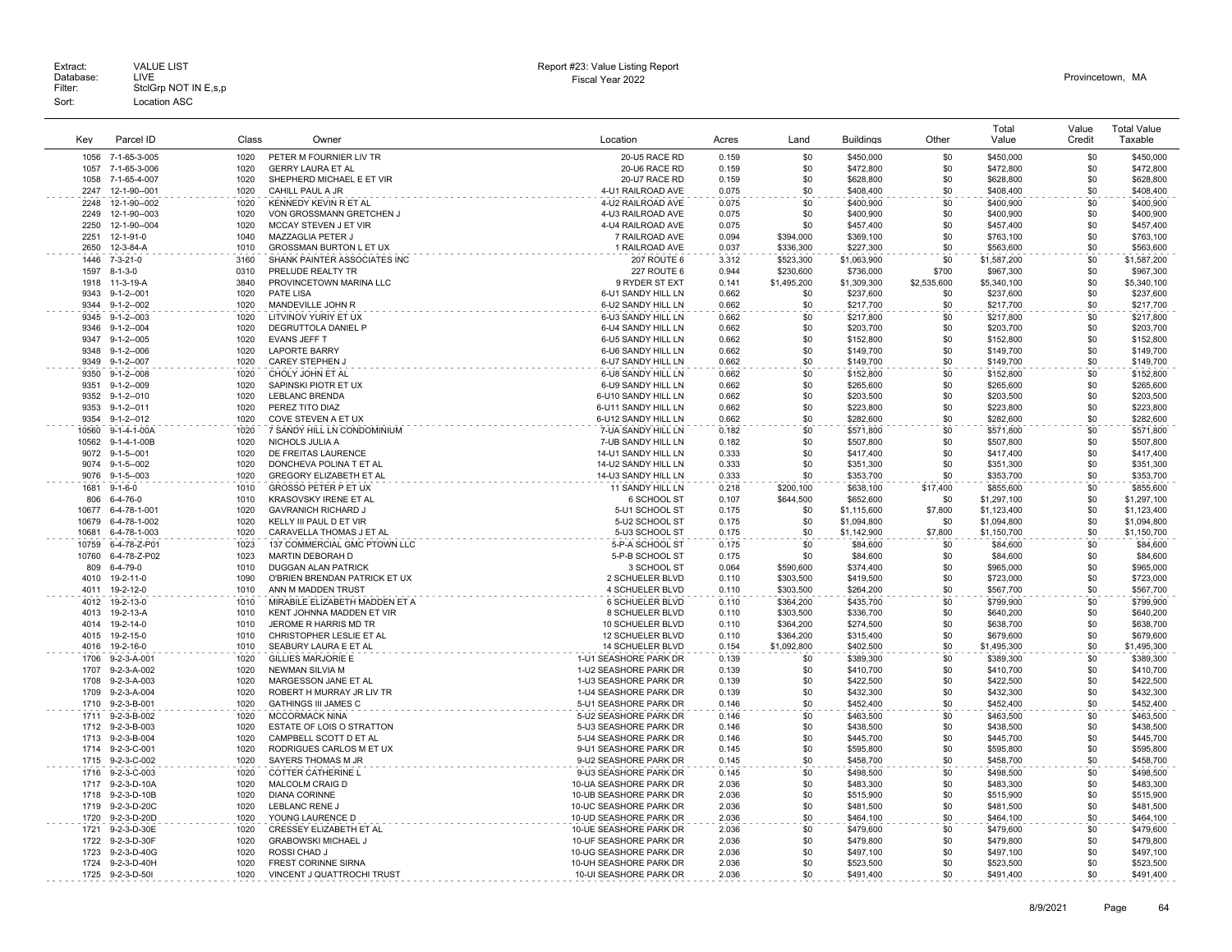|                |                              |              |                                                          |                                                  |                |             |                         |                | Total                      | Value      | <b>Total Value</b>      |
|----------------|------------------------------|--------------|----------------------------------------------------------|--------------------------------------------------|----------------|-------------|-------------------------|----------------|----------------------------|------------|-------------------------|
| Key            | Parcel ID                    | Class        | Owner                                                    | Location                                         | Acres          | Land        | <b>Buildings</b>        | Other          | Value                      | Credit     | Taxable                 |
| 1056           | 7-1-65-3-005                 | 1020         | PETER M FOURNIER LIV TR                                  | 20-U5 RACE RD                                    | 0.159          | \$0         | \$450,000               | \$0            | \$450,000                  | \$0        | \$450,000               |
| 1057           | 7-1-65-3-006                 | 1020         | <b>GERRY LAURA ET AL</b>                                 | 20-U6 RACE RD                                    | 0.159          | \$0         | \$472,800               | \$0            | \$472,800                  | \$0        | \$472,800               |
| 1058           | 7-1-65-4-007                 | 1020         | SHEPHERD MICHAEL E ET VIR                                | 20-U7 RACE RD                                    | 0.159          | \$0         | \$628,800               | \$0            | \$628,800                  | \$0        | \$628,800               |
| 2247           | 12-1-90--001                 | 1020         | CAHILL PAUL A JR                                         | 4-U1 RAILROAD AVE                                | 0.075          | \$0         | \$408,400               | \$0            | \$408,400                  | \$0        | \$408,400               |
| 2248           | 12-1-90--002                 | 1020         | KENNEDY KEVIN R ET AL                                    | 4-U2 RAILROAD AVE                                | 0.075          | \$0         | \$400,900               | \$0            | \$400,900                  | \$0        | \$400,900               |
| 2249           | 12-1-90--003                 | 1020         | VON GROSSMANN GRETCHEN J                                 | 4-U3 RAILROAD AVE                                | 0.075          | \$0         | \$400,900               | \$0            | \$400,900                  | \$0        | \$400,900               |
| 2250           | 12-1-90--004                 | 1020         | <b>MCCAY STEVEN J ET VIR</b>                             | 4-U4 RAILROAD AVE                                | 0.075          | \$0         | \$457,400               | \$0            | \$457.400                  | \$0        | \$457,400               |
| 2251           | 12-1-91-0                    | 1040         | MAZZAGLIA PETER J                                        | 7 RAILROAD AVE                                   | 0.094          | \$394,000   | \$369,100               | \$0            | \$763,100                  | \$0        | \$763,100               |
| 2650           | 12-3-84-A                    | 1010         | GROSSMAN BURTON L ET UX                                  | 1 RAILROAD AVE                                   | 0.037          | \$336,300   | \$227,300               | \$0            | \$563,600                  | \$0        | \$563,600               |
| 1446           | $7 - 3 - 21 - 0$             | 3160         | SHANK PAINTER ASSOCIATES INC                             | 207 ROUTE 6                                      | 3.312          | \$523,300   | \$1,063,900             | \$0            | \$1,587,200                | \$0        | \$1,587,200             |
| 1597           | $8 - 1 - 3 - 0$              | 0310         | PRELUDE REALTY TR                                        | <b>227 ROUTE 6</b>                               | 0.944          | \$230,600   | \$736,000               | \$700          | \$967,300                  | \$0        | \$967,300               |
| 1918           | 11-3-19-A                    | 3840         | PROVINCETOWN MARINA LLC                                  | 9 RYDER ST EXT                                   | 0.141          | \$1,495,200 | \$1,309,300             | \$2,535,600    | \$5,340,100                | \$0        | \$5,340,100             |
| 9343           | $9 - 1 - 2 - 001$            | 1020         | <b>PATE LISA</b>                                         | 6-U1 SANDY HILL LN                               | 0.662          | \$0         | \$237,600               | \$0            | \$237,600                  | \$0        | \$237,600               |
| 9344           | $9 - 1 - 2 - 002$            | 1020         | MANDEVILLE JOHN R                                        | 6-U2 SANDY HILL LN                               | 0.662          | \$0         | \$217,700               | \$0            | \$217,700                  | \$0        | \$217,700               |
| 9345           | $9 - 1 - 2 - 003$            | 1020         | LITVINOV YURIY ET UX                                     | 6-U3 SANDY HILL LN                               | 0.662          | \$0         | \$217,800               | \$0            | \$217,800                  | \$0        | \$217,800               |
| 9346           | $9 - 1 - 2 - 004$            | 1020         | DEGRUTTOLA DANIEL P                                      | 6-U4 SANDY HILL LN                               | 0.662          | \$0         | \$203,700               | \$0            | \$203,700                  | \$0        | \$203,700               |
| 9347           | $9 - 1 - 2 - 005$            | 1020         | EVANS JEFF T                                             | 6-U5 SANDY HILL LN                               | 0.662          | \$0         | \$152,800               | \$0            | \$152,800                  | \$0        | \$152,800               |
| 9348           | $9 - 1 - 2 - 006$            | 1020         | <b>LAPORTE BARRY</b>                                     | 6-U6 SANDY HILL LN                               | 0.662          | \$0         | \$149,700               | \$0            | \$149,700                  | \$0        | \$149,700               |
| 9349           | $9 - 1 - 2 - 007$            | 1020         | <b>CAREY STEPHEN J</b>                                   | 6-U7 SANDY HILL LN                               | 0.662          | \$0         | \$149,700               | \$0            | \$149,700                  | \$0        | \$149,700               |
| 9350           | $9 - 1 - 2 - 008$            | 1020         | CHOLY JOHN ET AL                                         | 6-U8 SANDY HILL LN                               | 0.662          | \$0         | \$152,800               | \$0            | \$152,800                  | \$0        | \$152,800               |
| 9351           | $9 - 1 - 2 - 009$            | 1020         | SAPINSKI PIOTR ET UX                                     | 6-U9 SANDY HILL LN                               | 0.662          | \$0         | \$265,600               | \$0            | \$265,600                  | \$0        | \$265,600               |
| 9352           | $9 - 1 - 2 - 010$            | 1020         | LEBLANC BRENDA                                           | 6-U10 SANDY HILL LN                              | 0.662          | \$0         | \$203,500               | \$0            | \$203,500                  | \$0        | \$203,500               |
| 9353           | $9 - 1 - 2 - 011$            | 1020         | PEREZ TITO DIAZ                                          | 6-U11 SANDY HILL LN                              | 0.662          | \$0         | \$223,800               | \$0            | \$223,800                  | \$0        | \$223,800               |
| 9354           | $9 - 1 - 2 - 012$            | 1020         | COVE STEVEN A ET UX                                      | 6-U12 SANDY HILL LN                              | 0.662          | \$0         | \$282,600               | \$0            | \$282,600                  | \$0        | \$282,600               |
| 10560          | 9-1-4-1-00A                  | 1020         | 7 SANDY HILL LN CONDOMINIUM                              | 7-UA SANDY HILL LN                               | 0.182          | \$0         | \$571,800               | \$0            | \$571.800                  | \$0        | \$571,800               |
| 10562          | 9-1-4-1-00B                  | 1020         | NICHOLS JULIA A                                          | 7-UB SANDY HILL LN                               | 0.182          | \$0         | \$507,800               | \$0            | \$507,800                  | \$0        | \$507,800               |
| 9072           | $9 - 1 - 5 - 001$            | 1020         | DE FREITAS LAURENCE                                      | 14-U1 SANDY HILL LN                              | 0.333          | \$0         | \$417,400               | \$0            | \$417,400                  | \$0        | \$417,400               |
| 9074           | $9 - 1 - 5 - 002$            | 1020         | DONCHEVA POLINA T ET AL                                  | 14-U2 SANDY HILL LN                              | 0.333          | \$0         | \$351,300               | \$0            | \$351,300                  | \$0        | \$351,300               |
| 9076           | $9 - 1 - 5 - 003$            | 1020         | GREGORY ELIZABETH ET AL                                  | 14-U3 SANDY HILL LN                              | 0.333          | \$0         | \$353,700               | \$0            | \$353,700                  | \$0        | \$353,700               |
| 1681           | $9 - 1 - 6 - 0$              | 1010         | GROSSO PETER P ET UX                                     | 11 SANDY HILL LN                                 | 0.218          | \$200,100   | \$638,100               | \$17,400       | \$855,600                  | \$0        | \$855,600               |
| 806            | $6 - 4 - 76 - 0$             | 1010         | KRASOVSKY IRENE ET AL                                    | 6 SCHOOL ST                                      | 0.107          | \$644,500   | \$652,600               | \$0            | \$1,297,100                | \$0        | \$1,297,100             |
| 10677<br>10679 | 6-4-78-1-001<br>6-4-78-1-002 | 1020<br>1020 | <b>GAVRANICH RICHARD J</b><br>KELLY III PAUL D ET VIR    | 5-U1 SCHOOL ST<br>5-U2 SCHOOL ST                 | 0.175<br>0.175 | \$0<br>-\$0 | \$1,115,600             | \$7,800<br>\$0 | \$1,123,400                | \$0        | \$1,123,400             |
| 10681          | 6-4-78-1-003                 | 1020         |                                                          | 5-U3 SCHOOL ST                                   | 0.175          | \$0         | \$1,094,800             |                | \$1,094,800<br>\$1,150,700 | \$0<br>\$0 | \$1,094,800             |
| 10759          | 6-4-78-Z-P01                 | 1023         | CARAVELLA THOMAS J ET AL<br>137 COMMERCIAL GMC PTOWN LLC | 5-P-A SCHOOL ST                                  | 0.175          | \$0         | \$1,142,900<br>\$84,600 | \$7,800<br>\$0 | \$84,600                   | \$0        | \$1,150,700<br>\$84,600 |
| 10760          | 6-4-78-Z-P02                 | 1023         | MARTIN DEBORAH D                                         | 5-P-B SCHOOL ST                                  | 0.175          | \$0         | \$84,600                | \$0            | \$84,600                   | \$0        | \$84,600                |
| 809            | 6-4-79-0                     | 1010         | <b>DUGGAN ALAN PATRICK</b>                               | 3 SCHOOL ST                                      | 0.064          | \$590,600   | \$374,400               | \$0            | \$965,000                  | \$0        | \$965,000               |
| 4010           | 19-2-11-0                    | 1090         | O'BRIEN BRENDAN PATRICK ET UX                            | 2 SCHUELER BLVD                                  | 0.110          | \$303,500   | \$419,500               | \$0            | \$723,000                  | \$0        | \$723,000               |
| 4011           | 19-2-12-0                    | 1010         | ANN M MADDEN TRUST                                       | 4 SCHUELER BLVD                                  | 0.110          | \$303,500   | \$264,200               | \$0            | \$567,700                  | \$0        | \$567,700               |
| 4012           | 19-2-13-0                    | 1010         | MIRABILE ELIZABETH MADDEN ET A                           | 6 SCHUELER BLVD                                  | 0.110          | \$364,200   | \$435,700               | \$0            | \$799,900                  | \$0        | \$799,900               |
| 4013           | 19-2-13-A                    | 1010         | KENT JOHNNA MADDEN ET VIR                                | 8 SCHUELER BLVD                                  | 0.110          | \$303,500   | \$336,700               | \$0            | \$640,200                  | \$0        | \$640,200               |
| 4014           | 19-2-14-0                    | 1010         | JEROME R HARRIS MD TR                                    | 10 SCHUELER BLVD                                 | 0.110          | \$364.200   | \$274,500               | \$0            | \$638,700                  | \$0        | \$638,700               |
| 4015           | 19-2-15-0                    | 1010         | CHRISTOPHER LESLIE ET AL                                 | 12 SCHUELER BLVD                                 | 0.110          | \$364,200   | \$315,400               | \$0            | \$679,600                  | \$0        | \$679,600               |
| 4016           | 19-2-16-0                    | 1010         | SEABURY LAURA E ET AL                                    | <b>14 SCHUELER BLVD</b>                          | 0.154          | \$1,092,800 | \$402,500               | \$0            | \$1,495,300                | \$0        | \$1,495,300             |
| 1706           | 9-2-3-A-001                  | 1020         | <b>GILLIES MARJORIE E</b>                                | 1-U1 SEASHORE PARK DR                            | 0.139          | \$0         | \$389,300               | \$0            | \$389,300                  | \$0        | \$389,300               |
| 1707           | 9-2-3-A-002                  | 1020         | NEWMAN SILVIA M                                          | 1-U2 SEASHORE PARK DR                            | 0.139          | \$0         | \$410,700               | \$0            | \$410,700                  | \$0        | \$410,700               |
| 1708           | 9-2-3-A-003                  | 1020         | MARGESSON JANE ET AL                                     | 1-U3 SEASHORE PARK DR                            | 0.139          | \$0         | \$422,500               | \$0            | \$422,500                  | \$0        | \$422,500               |
| 1709           | 9-2-3-A-004                  | 1020         | ROBERT H MURRAY JR LIV TR                                | 1-U4 SEASHORE PARK DR                            | 0.139          | \$0         | \$432,300               | \$0            | \$432,300                  | \$0        | \$432,300               |
| 1710           | 9-2-3-B-001                  | 1020         | <b>GATHINGS III JAMES C</b>                              | 5-U1 SEASHORE PARK DR                            | 0.146          | \$0         | \$452,400               | \$0            | \$452,400                  | \$0        | \$452,400               |
| 1711           | 9-2-3-B-002                  | 1020         | <b>MCCORMACK NINA</b>                                    | 5-U2 SEASHORE PARK DR                            | 0.146          | \$0         | \$463,500               | \$0            | \$463,500                  | \$0        | \$463,500               |
| 1712           | 9-2-3-B-003                  | 1020         | <b>ESTATE OF LOIS O STRATTON</b>                         | 5-U3 SEASHORE PARK DR                            | 0.146          | \$0         | \$438,500               | \$0            | \$438,500                  | \$0        | \$438,500               |
| 1713           | 9-2-3-B-004                  | 1020         | CAMPBELL SCOTT D ET AL                                   | 5-U4 SEASHORE PARK DR                            | 0.146          | \$0         | \$445,700               | \$0            | \$445,700                  | \$0        | \$445,700               |
| 1714           | 9-2-3-C-001                  | 1020         | RODRIGUES CARLOS M ET UX                                 | 9-U1 SEASHORE PARK DR                            | 0.145          | \$0         | \$595,800               | \$0            | \$595,800                  | \$0        | \$595,800               |
| 1715           | 9-2-3-C-002                  | 1020         | SAYERS THOMAS M JR                                       | 9-U2 SEASHORE PARK DR                            | 0.145          | \$0         | \$458,700               | \$0            | \$458,700                  | \$0        | \$458,700               |
| 1716           | 9-2-3-C-003                  | 1020         | <b>COTTER CATHERINE L</b>                                | 9-U3 SEASHORE PARK DR                            | 0.145          | \$0         | \$498,500               | \$0            | \$498,500                  | \$0        | \$498,500               |
| 1717           | 9-2-3-D-10A                  | 1020         | <b>MALCOLM CRAIG D</b>                                   | 10-UA SEASHORE PARK DR                           | 2.036          | \$0         | \$483,300               | \$0            | \$483,300                  | \$0        | \$483,300               |
| 1718           | 9-2-3-D-10B                  | 1020         | <b>DIANA CORINNE</b>                                     | 10-UB SEASHORE PARK DR                           | 2.036          | \$0         | \$515,900               | \$0            | \$515,900                  | \$0        | \$515,900               |
| 1719           | 9-2-3-D-20C                  | 1020         | LEBLANC RENE J                                           | 10-UC SEASHORE PARK DR                           | 2.036          | \$0         | \$481,500               | \$0            | \$481,500                  | \$0        | \$481,500               |
| 1720           | 9-2-3-D-20D                  | 1020         | YOUNG LAURENCE D                                         | 10-UD SEASHORE PARK DR                           | 2.036          | \$0         | \$464,100               | \$0            | \$464,100                  | \$0        | \$464,100               |
| 1721           | 9-2-3-D-30E                  | 1020<br>1020 | CRESSEY ELIZABETH ET AL                                  | 10-UE SEASHORE PARK DR                           | 2.036          | \$0         | \$479,600               | \$0            | \$479,600                  | \$0        | \$479,600               |
| 1722           | 9-2-3-D-30F                  | 1020         | <b>GRABOWSKI MICHAEL J</b>                               | 10-UF SEASHORE PARK DR                           | 2.036          | \$0         | \$479,800               | \$0            | \$479,800                  | \$0        | \$479,800               |
| 1723<br>1724   | 9-2-3-D-40G<br>9-2-3-D-40H   | 1020         | ROSSI CHAD J<br><b>FREST CORINNE SIRNA</b>               | 10-UG SEASHORE PARK DR<br>10-UH SEASHORE PARK DR | 2.036<br>2.036 | \$0<br>\$0  | \$497,100<br>\$523,500  | \$0<br>\$0     | \$497,100<br>\$523.500     | \$0<br>\$0 | \$497,100<br>\$523,500  |
|                | 1725 9-2-3-D-50I             | 1020         | VINCENT J QUATTROCHI TRUST                               | 10-UI SEASHORE PARK DR                           | 2.036          | .\$በ        | \$491,400               | \$0            |                            | \$0        | \$491,400               |
|                |                              |              |                                                          |                                                  |                |             |                         |                | \$491,400                  |            |                         |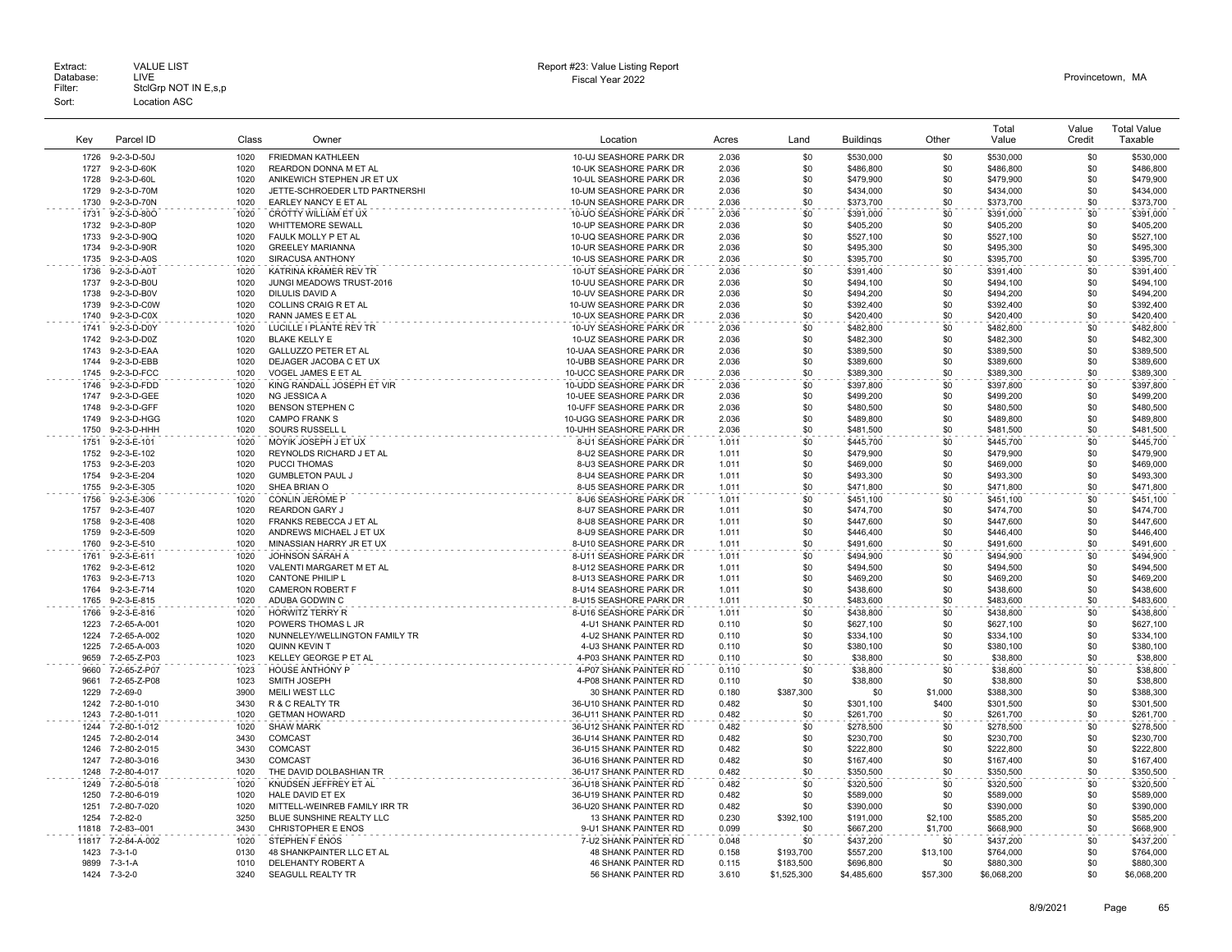|       |                 |       |                                |                            |       |             |                  |          | Total       | Value  | <b>Total Value</b> |
|-------|-----------------|-------|--------------------------------|----------------------------|-------|-------------|------------------|----------|-------------|--------|--------------------|
| Kev   | Parcel ID       | Class | Owner                          | Location                   | Acres | Land        | <b>Buildings</b> | Other    | Value       | Credit | Taxable            |
|       |                 |       |                                |                            |       |             |                  |          |             |        |                    |
| 1726  | 9-2-3-D-50J     | 1020  | <b>FRIEDMAN KATHLEEN</b>       | 10-UJ SEASHORE PARK DR     | 2.036 | \$0         | \$530,000        | \$0      | \$530,000   | \$0    | \$530,000          |
| 1727  | 9-2-3-D-60K     | 1020  | REARDON DONNA M ET AL          | 10-UK SEASHORE PARK DR     | 2.036 | \$0         | \$486,800        | \$0      | \$486,800   | \$0    | \$486,800          |
| 1728  | 9-2-3-D-60L     | 1020  | ANIKEWICH STEPHEN JR ET UX     | 10-UL SEASHORE PARK DR     | 2.036 | \$0         | \$479,900        | \$0      | \$479,900   | \$0    | \$479,900          |
| 1729  | 9-2-3-D-70M     | 1020  | JETTE-SCHROEDER LTD PARTNERSHI | 10-UM SEASHORE PARK DR     | 2.036 | \$0         | \$434,000        | \$0      | \$434,000   | \$0    | \$434,000          |
| 1730  | 9-2-3-D-70N     | 1020  | EARLEY NANCY E ET AL           | 10-UN SEASHORE PARK DR     | 2.036 | \$0         | \$373,700        | \$0      | \$373,700   | \$0    | \$373,700          |
| 1731  | 9-2-3-D-80O     | 1020  | CROTTY WILLIAM ET UX           | 10-UO SEASHORE PARK DR     | 2.036 | \$0         | \$391,000        | \$0      | \$391,000   | \$0    | \$391,000          |
| 1732  | 9-2-3-D-80F     | 1020  | WHITTEMORE SEWALL              | 10-UP SEASHORE PARK DR     | 2.036 | \$0         | \$405,200        | \$0      | \$405,200   | \$0    | \$405,200          |
| 1733  | 9-2-3-D-90Q     | 1020  | FAULK MOLLY P ET AL            | 10-UQ SEASHORE PARK DR     | 2.036 | \$0         | \$527,100        | \$0      | \$527,100   | \$0    | \$527,100          |
| 1734  | 9-2-3-D-90R     | 1020  | <b>GREELEY MARIANNA</b>        | 10-UR SEASHORE PARK DR     | 2.036 | \$0         | \$495,300        | \$0      | \$495.300   | \$0    | \$495,300          |
| 1735  | 9-2-3-D-A0S     | 1020  | SIRACUSA ANTHONY               | 10-US SEASHORE PARK DR     | 2.036 | \$0         | \$395,700        | \$0      | \$395,700   | \$0    | \$395,700          |
| 1736  | 9-2-3-D-A0T     | 1020  | KATRINA KRAMER REV TR          | 10-UT SEASHORE PARK DR     | 2.036 | \$0         | \$391,400        | \$0      | \$391,400   | \$0    | \$391,400          |
| 1737  | 9-2-3-D-B0U     | 1020  | JUNGI MEADOWS TRUST-2016       | 10-UU SEASHORE PARK DR     | 2.036 | \$0         | \$494,100        | \$0      | \$494,100   | \$0    | \$494,100          |
| 1738  | 9-2-3-D-B0V     | 1020  | DILULIS DAVID A                | 10-UV SEASHORE PARK DR     | 2.036 | \$0         | \$494,200        | \$0      | \$494,200   | \$0    | \$494,200          |
| 1739  | 9-2-3-D-C0W     | 1020  | COLLINS CRAIG R ET AL          | 10-UW SEASHORE PARK DR     | 2.036 | \$0         | \$392,400        | \$0      | \$392,400   | \$0    | \$392,400          |
| 1740  | 9-2-3-D-C0X     | 1020  | RANN JAMES E ET AL             | 10-UX SEASHORE PARK DR     | 2.036 | \$0         | \$420,400        | \$0      | \$420,400   | \$0    | \$420,400          |
| 1741  | 9-2-3-D-D0Y     | 1020  | LUCILLE I PLANTE REV TR        | 10-UY SEASHORE PARK DR     | 2.036 | \$0         | \$482,800        | \$0      | \$482,800   | \$0    | \$482,800          |
| 1742  | 9-2-3-D-D0Z     | 1020  | <b>BLAKE KELLY E</b>           | 10-UZ SEASHORE PARK DR     | 2.036 | \$0         | \$482,300        | \$0      | \$482,300   | \$0    | \$482,300          |
| 1743  | 9-2-3-D-EAA     | 1020  | <b>GALLUZZO PETER ET AL</b>    | 10-UAA SEASHORE PARK DR    | 2.036 | \$0         | \$389,500        | \$0      | \$389,500   | \$0    | \$389,500          |
| 1744  | 9-2-3-D-EBB     | 1020  | DEJAGER JACOBA C ET UX         | 10-UBB SEASHORE PARK DR    | 2.036 | \$0         | \$389,600        | \$0      | \$389,600   | \$0    | \$389,600          |
| 1745  | 9-2-3-D-FCC     | 1020  | VOGEL JAMES E ET AL            | 10-UCC SEASHORE PARK DR    | 2.036 | \$0         | \$389,300        | \$0      | \$389,300   | \$0    | \$389,300          |
| 1746  | 9-2-3-D-FDD     | 1020  | KING RANDALL JOSEPH ET VIR     | 10-UDD SEASHORE PARK DR    | 2.036 | \$0         | \$397,800        | \$0      | \$397,800   | \$0    | \$397,800          |
| 1747  | 9-2-3-D-GEE     | 1020  | NG JESSICA A                   | 10-UEE SEASHORE PARK DR    | 2.036 | \$0         | \$499,200        | \$0      | \$499,200   | \$0    | \$499,200          |
| 1748  | 9-2-3-D-GFF     | 1020  | <b>BENSON STEPHEN C</b>        | 10-UFF SEASHORE PARK DR    | 2.036 | \$0         | \$480,500        | \$0      | \$480,500   | \$0    | \$480,500          |
| 1749  | 9-2-3-D-HGG     | 1020  | <b>CAMPO FRANK S</b>           | 10-UGG SEASHORE PARK DR    | 2.036 | \$0         | \$489,800        | \$0      | \$489,800   | \$0    | \$489,800          |
| 1750  | 9-2-3-D-HHH     | 1020  | SOURS RUSSELL L                | 10-UHH SEASHORE PARK DR    | 2.036 | \$0         | \$481,500        | \$0      | \$481,500   | \$0    | \$481.500          |
| 1751  | 9-2-3-E-101     | 1020  | MOYIK JOSEPH J ET UX           | 8-U1 SEASHORE PARK DR      | 1.011 | \$0         | \$445,700        | \$0      | \$445,700   | \$0    | \$445.700          |
| 1752  | 9-2-3-E-102     | 1020  | REYNOLDS RICHARD J ET AL       | 8-U2 SEASHORE PARK DR      | 1.011 | \$0         | \$479,900        | \$0      | \$479,900   | \$0    | \$479,900          |
| 1753  | 9-2-3-E-203     | 1020  | <b>PUCCI THOMAS</b>            | 8-U3 SEASHORE PARK DR      | 1.011 | \$0         | \$469,000        | \$0      | \$469,000   | \$0    | \$469,000          |
| 1754  | 9-2-3-E-204     | 1020  | <b>GUMBLETON PAUL J</b>        | 8-U4 SEASHORE PARK DR      | 1.011 | \$0         | \$493,300        | \$0      | \$493.300   | \$0    | \$493,300          |
| 1755  | 9-2-3-E-305     | 1020  | SHEA BRIAN O                   | 8-U5 SEASHORE PARK DR      | 1.011 | \$0         | \$471,800        | \$0      | \$471,800   | \$0    | \$471,800          |
| 1756  | 9-2-3-E-306     | 1020  | <b>CONLIN JEROME P</b>         | 8-U6 SEASHORE PARK DR      | 1.011 | \$0         | \$451,100        | \$0      | \$451.100   | \$0    | \$451,100          |
| 1757  | 9-2-3-E-407     | 1020  | <b>REARDON GARY J</b>          | 8-U7 SEASHORE PARK DR      | 1.011 | \$0         | \$474,700        | \$0      | \$474,700   | \$0    | \$474,700          |
| 1758  | 9-2-3-E-408     | 1020  | FRANKS REBECCA J ET AL         | 8-U8 SEASHORE PARK DR      | 1.011 | \$0         | \$447,600        | \$0      | \$447,600   | \$0    | \$447,600          |
| 1759  | 9-2-3-E-509     | 1020  | ANDREWS MICHAEL J ET UX        | 8-U9 SEASHORE PARK DR      | 1.011 | \$0         | \$446,400        | \$0      | \$446,400   | \$0    | \$446,400          |
| 1760  | 9-2-3-E-510     | 1020  | MINASSIAN HARRY JR ET UX       | 8-U10 SEASHORE PARK DR     | 1.011 | \$0         | \$491,600        | \$0      | \$491,600   | \$0    | \$491,600          |
| 1761  | 9-2-3-E-611     | 1020  | JOHNSON SARAH A                | 8-U11 SEASHORE PARK DR     | 1.011 | \$0         | \$494,900        | \$0      | \$494,900   | \$0    | \$494,900          |
| 1762  | 9-2-3-E-612     | 1020  | VALENTI MARGARET M ET AL       | 8-U12 SEASHORE PARK DR     | 1.011 | \$0         | \$494,500        | \$0      | \$494,500   | \$0    | \$494,500          |
| 1763  | 9-2-3-E-713     | 1020  | <b>CANTONE PHILIP L</b>        | 8-U13 SEASHORE PARK DR     | 1.011 | \$0         | \$469,200        | \$0      | \$469,200   | \$0    | \$469,200          |
| 1764  | 9-2-3-E-714     | 1020  | <b>CAMERON ROBERT F</b>        | 8-U14 SEASHORE PARK DR     | 1.011 | \$0         | \$438,600        | \$0      | \$438,600   | \$0    | \$438,600          |
| 1765  | 9-2-3-E-815     | 1020  | ADUBA GODWIN C                 | 8-U15 SEASHORE PARK DR     | 1.011 | \$0         | \$483,600        | \$0      | \$483,600   | \$0    | \$483,600          |
| 1766  | 9-2-3-E-816     | 1020  | HORWITZ TERRY R                | 8-U16 SEASHORE PARK DR     | 1.011 | \$0         | \$438,800        | \$0      | \$438,800   | \$0    | \$438,800          |
| 1223  | 7-2-65-A-001    | 1020  | POWERS THOMAS L JR             | 4-U1 SHANK PAINTER RD      | 0.110 | \$0         | \$627,100        | \$0      | \$627,100   | \$0    | \$627,100          |
| 1224  | 7-2-65-A-002    | 1020  | NUNNELEY/WELLINGTON FAMILY TR  | 4-U2 SHANK PAINTER RD      | 0.110 | \$0         | \$334,100        | \$0      | \$334,100   | \$0    | \$334,100          |
| 1225  | 7-2-65-A-003    | 1020  | <b>QUINN KEVIN T</b>           | 4-U3 SHANK PAINTER RD      | 0.110 | \$0         | \$380,100        | \$0      | \$380,100   | \$0    | \$380,100          |
| 9659  | 7-2-65-Z-P03    | 1023  | KELLEY GEORGE P ET AL          | 4-P03 SHANK PAINTER RD     | 0.110 | \$0         | \$38,800         | \$0      | \$38,800    | \$0    | \$38,800           |
| 9660  | 7-2-65-Z-P07    | 1023  | <b>HOUSE ANTHONY P</b>         | 4-P07 SHANK PAINTER RD     | 0.110 | \$0         | \$38,800         | \$0      | \$38,800    | \$0    | \$38,800           |
| 9661  | 7-2-65-Z-P08    | 1023  | SMITH JOSEPH                   | 4-P08 SHANK PAINTER RD     | 0.110 | \$0         | \$38,800         | \$0      | \$38,800    | \$0    | \$38,800           |
| 1229  | 7-2-69-0        | 3900  | MEILI WEST LLC                 | 30 SHANK PAINTER RD        | 0.180 | \$387,300   | \$0              | \$1,000  | \$388,300   | \$0    | \$388,300          |
| 1242  | 7-2-80-1-010    | 3430  | R & C REALTY TR                | 36-U10 SHANK PAINTER RD    | 0.482 | \$0         | \$301,100        | \$400    | \$301,500   | \$0    | \$301,500          |
| 1243  | 7-2-80-1-011    | 1020  | <b>GETMAN HOWARD</b>           | 36-U11 SHANK PAINTER RD    | 0.482 | \$0         | \$261,700        | \$0      | \$261,700   | \$0    | \$261,700          |
| 1244  | 7-2-80-1-012    | 1020  | <b>SHAW MARK</b>               | 36-U12 SHANK PAINTER RD    | 0.482 | \$0         | \$278,500        | \$0      | \$278,500   | \$0    | \$278,500          |
| 1245  | 7-2-80-2-014    | 3430  | COMCAST                        | 36-U14 SHANK PAINTER RD    | 0.482 | \$0         | \$230,700        | \$0      | \$230,700   | \$0    | \$230,700          |
| 1246  | 7-2-80-2-015    | 3430  | <b>COMCAST</b>                 | 36-U15 SHANK PAINTER RD    | 0.482 | \$0         | \$222,800        | \$0      | \$222,800   | \$0    | \$222,800          |
| 1247  | 7-2-80-3-016    | 3430  | <b>COMCAST</b>                 | 36-U16 SHANK PAINTER RD    | 0.482 | \$0         | \$167,400        | \$0      | \$167,400   | \$0    | \$167,400          |
| 1248  | 7-2-80-4-017    | 1020  | THE DAVID DOLBASHIAN TR        | 36-U17 SHANK PAINTER RD    | 0.482 | \$0         | \$350,500        | \$0      | \$350,500   | \$0    | \$350,500          |
| 1249  | 7-2-80-5-018    | 1020  | KNUDSEN JEFFREY ET AL          | 36-U18 SHANK PAINTER RD    | 0.482 | \$0         | \$320,500        | \$0      | \$320,500   | \$0    | \$320,500          |
| 1250  | 7-2-80-6-019    | 1020  | HALE DAVID ET EX               | 36-U19 SHANK PAINTER RD    | 0.482 | \$0         | \$589,000        | \$0      | \$589,000   | \$0    | \$589,000          |
| 1251  | 7-2-80-7-020    | 1020  | MITTELL-WEINREB FAMILY IRR TR  | 36-U20 SHANK PAINTER RD    | 0.482 | \$0         | \$390,000        | \$0      | \$390,000   | \$0    | \$390,000          |
| 1254  | 7-2-82-0        | 3250  | BLUE SUNSHINE REALTY LLC       | 13 SHANK PAINTER RD        | 0.230 | \$392,100   | \$191,000        | \$2.100  | \$585,200   | \$0    | \$585,200          |
| 11818 | 7-2-83--001     | 3430  | <b>CHRISTOPHER E ENOS</b>      | 9-U1 SHANK PAINTER RD      | 0.099 | \$0         | \$667,200        | \$1,700  | \$668,900   | \$0    | \$668,900          |
| 11817 | 7-2-84-A-002    | 1020  | <b>STEPHEN F ENOS</b>          | 7-U2 SHANK PAINTER RD      | 0.048 | \$0         | \$437,200        | \$0      | \$437,200   | \$0    | \$437,200          |
| 1423  | 7-3-1-0         | 0130  | 48 SHANKPAINTER LLC ET AL      | <b>48 SHANK PAINTER RD</b> | 0.158 | \$193,700   | \$557,200        | \$13,100 | \$764,000   | \$0    | \$764,000          |
| 9899  | $7 - 3 - 1 - A$ | 1010  | DELEHANTY ROBERT A             | <b>46 SHANK PAINTER RD</b> | 0.115 | \$183,500   | \$696,800        | \$0      | \$880,300   | \$0    | \$880,300          |
|       | 1424 7-3-2-0    | 3240  | SEAGULL REALTY TR              | 56 SHANK PAINTER RD        | 3.610 | \$1,525,300 | \$4,485,600      | \$57,300 | \$6,068,200 | \$0    | \$6,068,200        |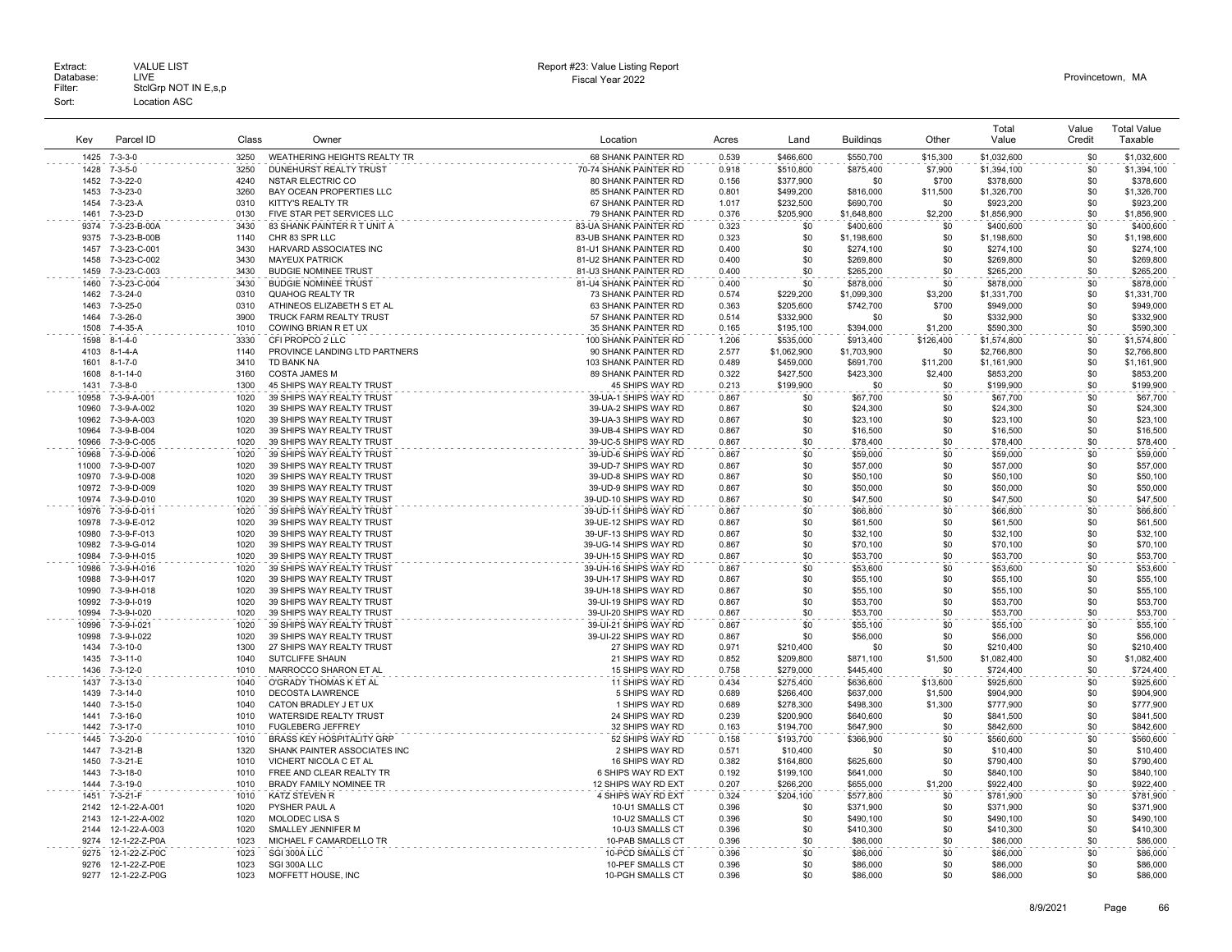|                |                                |              |                                                        |                                                  |                |                        |                        |                | Total                    | Value      | <b>Total Value</b>       |
|----------------|--------------------------------|--------------|--------------------------------------------------------|--------------------------------------------------|----------------|------------------------|------------------------|----------------|--------------------------|------------|--------------------------|
| Kev            | Parcel ID                      | Class        | Owner                                                  | Location                                         | Acres          | Land                   | <b>Buildings</b>       | Other          | Value                    | Credit     | Taxable                  |
| 1425           | $7 - 3 - 3 - 0$                | 3250         | WEATHERING HEIGHTS REALTY TR                           | 68 SHANK PAINTER RD                              | 0.539          | \$466,600              | \$550,700              | \$15,300       | \$1,032,600              | \$0        | \$1,032,600              |
| 1428           | $7 - 3 - 5 - 0$                | 3250         | <b>DUNEHURST REALTY TRUST</b>                          | 70-74 SHANK PAINTER RD                           | 0.918          | \$510,800              | \$875,400              | \$7,900        | \$1,394,100              | \$0        | \$1,394,100              |
| 1452           | $7 - 3 - 22 - 0$               | 4240         | NSTAR ELECTRIC CO                                      | 80 SHANK PAINTER RD                              | 0.156          | \$377,900              | \$0                    | \$700          | \$378,600                | \$0        | \$378,600                |
| 1453           | $7 - 3 - 23 - 0$               | 3260         | BAY OCEAN PROPERTIES LLC                               | 85 SHANK PAINTER RD                              | 0.801          | \$499,200              | \$816,000              | \$11,500       | \$1,326,700              | \$0        | \$1,326,700              |
| 1454           | 7-3-23-A                       | 0310         | KITTY'S REALTY TR                                      | 67 SHANK PAINTER RD                              | 1.017          | \$232,500              | \$690,700              | \$0            | \$923,200                | \$0        | \$923,200                |
| 1461           | 7-3-23-D                       | 0130         | FIVE STAR PET SERVICES LLC                             | 79 SHANK PAINTER RD                              | 0.376          | \$205,900              | \$1,648,800            | \$2,200        | \$1,856,900              | \$0        | \$1,856,900              |
| 9374           | 7-3-23-B-00A                   | 3430         | 83 SHANK PAINTER R T UNIT A                            | 83-UA SHANK PAINTER RD                           | 0.323          | \$0                    | \$400,600              | \$0            | \$400,600                | \$0        | \$400,600                |
| 9375<br>1457   | 7-3-23-B-00B                   | 1140<br>3430 | CHR 83 SPR LLC                                         | 83-UB SHANK PAINTER RD                           | 0.323<br>0.400 | \$0<br>\$0             | \$1,198,600            | \$0<br>\$0     | \$1,198,600              | \$0<br>\$0 | \$1,198,600              |
| 1458           | 7-3-23-C-001<br>7-3-23-C-002   | 3430         | HARVARD ASSOCIATES INC<br><b>MAYEUX PATRICK</b>        | 81-U1 SHANK PAINTER RD<br>81-U2 SHANK PAINTER RD | 0.400          | \$0                    | \$274,100<br>\$269,800 | \$0            | \$274,100<br>\$269,800   | \$0        | \$274,100<br>\$269,800   |
| 1459           | 7-3-23-C-003                   | 3430         | <b>BUDGIE NOMINEE TRUST</b>                            | 81-U3 SHANK PAINTER RD                           | 0.400          | \$0                    | \$265,200              | \$0            | \$265,200                | \$0        | \$265,200                |
| 1460           | 7-3-23-C-004                   | 3430         | <b>BUDGIE NOMINEE TRUST</b>                            | 81-U4 SHANK PAINTER RD                           | 0.400          | \$0                    | \$878,000              | \$0            | \$878,000                | \$0        | \$878,000                |
| 1462           | 7-3-24-0                       | 0310         | QUAHOG REALTY TR                                       | 73 SHANK PAINTER RD                              | 0.574          | \$229,200              | \$1,099,300            | \$3,200        | \$1,331,700              | \$0        | \$1,331,700              |
| 1463           | $7 - 3 - 25 - 0$               | 0310         | ATHINEOS ELIZABETH S ET AL                             | 63 SHANK PAINTER RD                              | 0.363          | \$205,600              | \$742,700              | \$700          | \$949,000                | \$0        | \$949,000                |
| 1464           | $7 - 3 - 26 - 0$               | 3900         | TRUCK FARM REALTY TRUST                                | 57 SHANK PAINTER RD                              | 0.514          | \$332,900              | \$0                    | \$0            | \$332,900                | \$0        | \$332,900                |
| 1508           | $7 - 4 - 35 - A$               | 1010         | COWING BRIAN R ET UX                                   | 35 SHANK PAINTER RD                              | 0.165          | \$195,100              | \$394,000              | \$1,200        | \$590,300                | \$0        | \$590,300                |
| 1598           | $8 - 1 - 4 - 0$                | 3330         | CFI PROPCO 2 LLC                                       | 100 SHANK PAINTER RD                             | 1.206          | \$535,000              | \$913,400              | \$126,400      | \$1,574,800              | \$0        | \$1,574,800              |
| 4103           | $8 - 1 - 4 - A$                | 1140         | PROVINCE LANDING LTD PARTNERS                          | 90 SHANK PAINTER RD                              | 2.577          | \$1,062,900            | \$1,703,900            | \$0            | \$2,766,800              | \$0        | \$2,766,800              |
| 1601           | $8 - 1 - 7 - 0$                | 3410         | <b>TD BANK NA</b>                                      | 103 SHANK PAINTER RD                             | 0.489          | \$459,000              | \$691,700              | \$11,200       | \$1,161,900              | \$0        | \$1,161,900              |
| 1608           | $8 - 1 - 14 - 0$               | 3160         | <b>COSTA JAMES M</b>                                   | 89 SHANK PAINTER RD                              | 0.322          | \$427,500              | \$423,300              | \$2,400        | \$853,200                | \$0        | \$853,200                |
| 1431           | 7-3-8-0                        | 1300         | 45 SHIPS WAY REALTY TRUST                              | 45 SHIPS WAY RD                                  | 0.213          | \$199,900              | \$0                    | \$0            | \$199,900                | \$0        | \$199,900                |
| 10958          | 7-3-9-A-001                    | 1020         | 39 SHIPS WAY REALTY TRUST                              | 39-UA-1 SHIPS WAY RD                             | 0.867          | \$0                    | \$67,700               | \$0            | \$67,700                 | \$0        | \$67,700                 |
| 10960          | 7-3-9-A-002                    | 1020         | 39 SHIPS WAY REALTY TRUST                              | 39-UA-2 SHIPS WAY RD                             | 0.867          | \$0                    | \$24,300               | \$0            | \$24,300                 | \$0        | \$24,300                 |
| 10962          | 7-3-9-A-003                    | 1020         | 39 SHIPS WAY REALTY TRUST                              | 39-UA-3 SHIPS WAY RD                             | 0.867          | \$0                    | \$23,100               | \$0            | \$23,100                 | \$0        | \$23,100                 |
| 10964          | 7-3-9-B-004                    | 1020         | 39 SHIPS WAY REALTY TRUST                              | 39-UB-4 SHIPS WAY RD                             | 0.867          | \$0                    | \$16,500               | \$0            | \$16,500                 | \$0        | \$16,500                 |
| 10966          | 7-3-9-C-005                    | 1020         | 39 SHIPS WAY REALTY TRUST                              | 39-UC-5 SHIPS WAY RD                             | 0.867          | \$0                    | \$78,400               | \$0            | \$78,400                 | \$0        | \$78,400                 |
| 10968<br>11000 | 7-3-9-D-006<br>7-3-9-D-007     | 1020<br>1020 | 39 SHIPS WAY REALTY TRUST<br>39 SHIPS WAY REALTY TRUST | 39-UD-6 SHIPS WAY RD<br>39-UD-7 SHIPS WAY RD     | 0.867<br>0.867 | \$0<br>\$0             | \$59,000<br>\$57,000   | \$0<br>\$0     | \$59,000<br>\$57,000     | \$0<br>\$0 | \$59,000<br>\$57,000     |
| 10970          | 7-3-9-D-008                    | 1020         | 39 SHIPS WAY REALTY TRUST                              | 39-UD-8 SHIPS WAY RD                             | 0.867          | \$0                    | \$50,100               | \$0            | \$50,100                 | \$0        | \$50,100                 |
| 10972          | 7-3-9-D-009                    | 1020         | 39 SHIPS WAY REALTY TRUST                              | 39-UD-9 SHIPS WAY RD                             | 0.867          | \$0                    | \$50,000               | \$0            | \$50,000                 | \$0        | \$50,000                 |
| 10974          | 7-3-9-D-010                    | 1020         | 39 SHIPS WAY REALTY TRUST                              | 39-UD-10 SHIPS WAY RD                            | 0.867          | \$0                    | \$47,500               | \$0            | \$47,500                 | \$0        | \$47,500                 |
| 10976          | 7-3-9-D-011                    | 1020         | 39 SHIPS WAY REALTY TRUST                              | 39-UD-11 SHIPS WAY RD                            | 0.867          | \$0                    | \$66,800               | \$0            | \$66,800                 | \$0        | \$66,800                 |
| 10978          | 7-3-9-E-012                    | 1020         | 39 SHIPS WAY REALTY TRUST                              | 39-UE-12 SHIPS WAY RD                            | 0.867          | \$0                    | \$61,500               | \$0            | \$61,500                 | \$0        | \$61,500                 |
| 10980          | 7-3-9-F-013                    | 1020         | 39 SHIPS WAY REALTY TRUST                              | 39-UF-13 SHIPS WAY RD                            | 0.867          | \$0                    | \$32,100               | \$0            | \$32,100                 | \$0        | \$32,100                 |
| 10982          | 7-3-9-G-014                    | 1020         | 39 SHIPS WAY REALTY TRUST                              | 39-UG-14 SHIPS WAY RD                            | 0.867          | \$0                    | \$70,100               | \$0            | \$70,100                 | \$0        | \$70,100                 |
| 10984          | 7-3-9-H-015                    | 1020         | 39 SHIPS WAY REALTY TRUST                              | 39-UH-15 SHIPS WAY RD                            | 0.867          | \$0                    | \$53,700               | \$0            | \$53,700                 | \$0        | \$53,700                 |
| 10986          | 7-3-9-H-016                    | 1020         | 39 SHIPS WAY REALTY TRUST                              | 39-UH-16 SHIPS WAY RD                            | 0.867          | \$0                    | \$53,600               | \$0            | \$53,600                 | \$0        | \$53,600                 |
| 10988          | 7-3-9-H-017                    | 1020         | 39 SHIPS WAY REALTY TRUST                              | 39-UH-17 SHIPS WAY RD                            | 0.867          | \$0                    | \$55,100               | \$0            | \$55,100                 | \$0        | \$55,100                 |
| 10990          | 7-3-9-H-018                    | 1020         | 39 SHIPS WAY REALTY TRUST                              | 39-UH-18 SHIPS WAY RD                            | 0.867          | \$0                    | \$55,100               | \$0            | \$55,100                 | \$0        | \$55,100                 |
| 10992          | 7-3-9-1-019                    | 1020         | 39 SHIPS WAY REALTY TRUST                              | 39-UI-19 SHIPS WAY RD                            | 0.867          | \$0                    | \$53,700               | \$0            | \$53,700                 | \$0        | \$53,700                 |
| 10994          | 7-3-9-1-020                    | 1020         | 39 SHIPS WAY REALTY TRUST                              | 39-UI-20 SHIPS WAY RD                            | 0.867          | \$0                    | \$53,700               | \$0            | \$53,700                 | \$0        | \$53,700                 |
| 10996          | 7-3-9-1-021                    | 1020         | 39 SHIPS WAY REALTY TRUST                              | 39-UI-21 SHIPS WAY RD                            | 0.867          | \$0                    | \$55.100               | \$0            | \$55,100                 | \$0        | \$55,100                 |
| 10998          | 7-3-9-1-022                    | 1020         | 39 SHIPS WAY REALTY TRUST                              | 39-UI-22 SHIPS WAY RD                            | 0.867          | \$0                    | \$56,000               | \$0            | \$56,000                 | \$0        | \$56,000                 |
| 1434<br>1435   | 7-3-10-0<br>$7 - 3 - 11 - 0$   | 1300<br>1040 | 27 SHIPS WAY REALTY TRUST<br>SUTCLIFFE SHAUN           | 27 SHIPS WAY RD<br>21 SHIPS WAY RD               | 0.971<br>0.852 | \$210,400<br>\$209.800 | \$0<br>\$871,100       | \$0<br>\$1,500 | \$210,400<br>\$1,082,400 | \$0<br>\$0 | \$210,400<br>\$1,082,400 |
| 1436           | $7 - 3 - 12 - 0$               | 1010         | MARROCCO SHARON ET AL                                  | 15 SHIPS WAY RD                                  | 0.758          | \$279,000              | \$445,400              | \$0            | \$724,400                | \$0        | \$724,400                |
| 1437           | $7 - 3 - 13 - 0$               | 1040         | O'GRADY THOMAS K ET AL                                 | 11 SHIPS WAY RD                                  | 0.434          | \$275,400              | \$636,600              | \$13,600       | \$925,600                | \$0        | \$925,600                |
| 1439           | $7 - 3 - 14 - 0$               | 1010         | <b>DECOSTA LAWRENCE</b>                                | 5 SHIPS WAY RD                                   | 0.689          | \$266,400              | \$637,000              | \$1,500        | \$904,900                | \$0        | \$904,900                |
| 1440           | $7 - 3 - 15 - 0$               | 1040         | CATON BRADLEY J ET UX                                  | 1 SHIPS WAY RD                                   | 0.689          | \$278,300              | \$498,300              | \$1,300        | \$777,900                | \$0        | \$777,900                |
| 1441           | 7-3-16-0                       | 1010         | <b>WATERSIDE REALTY TRUST</b>                          | 24 SHIPS WAY RD                                  | 0.239          | \$200,900              | \$640,600              | \$0            | \$841,500                | \$0        | \$841,500                |
| 1442           | $7 - 3 - 17 - 0$               | 1010         | <b>FUGLEBERG JEFFREY</b>                               | 32 SHIPS WAY RD                                  | 0.163          | \$194,700              | \$647,900              | \$0            | \$842,600                | \$0        | \$842,600                |
| 1445           | $7 - 3 - 20 - 0$               | 1010         | <b>BRASS KEY HOSPITALITY GRP</b>                       | 52 SHIPS WAY RD                                  | 0.158          | \$193,700              | \$366,900              | \$0            | \$560,600                | \$0        | \$560,600                |
| 1447           | 7-3-21-B                       | 1320         | SHANK PAINTER ASSOCIATES INC                           | 2 SHIPS WAY RD                                   | 0.571          | \$10,400               | \$0                    | \$0            | \$10,400                 | \$0        | \$10,400                 |
| 1450           | 7-3-21-E                       | 1010         | VICHERT NICOLA C ET AL                                 | 16 SHIPS WAY RD                                  | 0.382          | \$164,800              | \$625,600              | \$0            | \$790,400                | \$0        | \$790,400                |
| 1443           | $7 - 3 - 18 - 0$               | 1010         | FREE AND CLEAR REALTY TR                               | 6 SHIPS WAY RD EXT                               | 0.192          | \$199,100              | \$641,000              | \$0            | \$840,100                | \$0        | \$840,100                |
| 1444           | $7 - 3 - 19 - 0$               | 1010         | BRADY FAMILY NOMINEE TR                                | 12 SHIPS WAY RD EXT                              | 0.207          | \$266,200              | \$655,000              | \$1,200        | \$922,400                | \$0        | \$922,400                |
| 1451           | 7-3-21-F                       | 1010         | <b>KATZ STEVEN R</b>                                   | 4 SHIPS WAY RD EXT                               | 0.324          | \$204,100              | \$577,800              | \$0            | \$781,900                | \$0        | \$781,900                |
| 2142           | 12-1-22-A-001                  | 1020         | PYSHER PAUL A                                          | 10-U1 SMALLS CT                                  | 0.396          | \$0                    | \$371,900              | \$0            | \$371,900                | \$0        | \$371,900                |
| 2143           | 12-1-22-A-002                  | 1020         | <b>MOLODEC LISA S</b>                                  | 10-U2 SMALLS CT                                  | 0.396          | \$0                    | \$490,100              | \$0            | \$490,100                | \$0        | \$490,100                |
| 2144           | 12-1-22-A-003                  | 1020         | SMALLEY JENNIFER M                                     | 10-U3 SMALLS CT                                  | 0.396          | \$0                    | \$410,300              | \$0            | \$410,300                | \$0        | \$410,300                |
| 9274           | 12-1-22-Z-P0A                  | 1023         | MICHAEL F CAMARDELLO TR                                | 10-PAB SMALLS CT                                 | 0.396          | \$0                    | \$86,000               | \$0            | \$86,000                 | \$0        | \$86,000                 |
| 9275<br>9276   | 12-1-22-Z-P0C<br>12-1-22-Z-P0E | 1023<br>1023 | SGI 300A LLC<br>SGI 300A LLC                           | 10-PCD SMALLS CT<br>10-PEF SMALLS CT             | 0.396<br>0.396 | \$0<br>\$0             | \$86,000<br>\$86,000   | \$0<br>\$0     | \$86,000<br>\$86,000     | \$0<br>\$0 | \$86,000<br>\$86,000     |
| 9277           | 12-1-22-Z-P0G                  | 1023         | MOFFETT HOUSE, INC                                     | 10-PGH SMALLS CT                                 | 0.396          | \$0                    | \$86,000               | \$0            | \$86,000                 | \$0        | \$86,000                 |
|                |                                |              |                                                        |                                                  |                |                        |                        |                |                          |            |                          |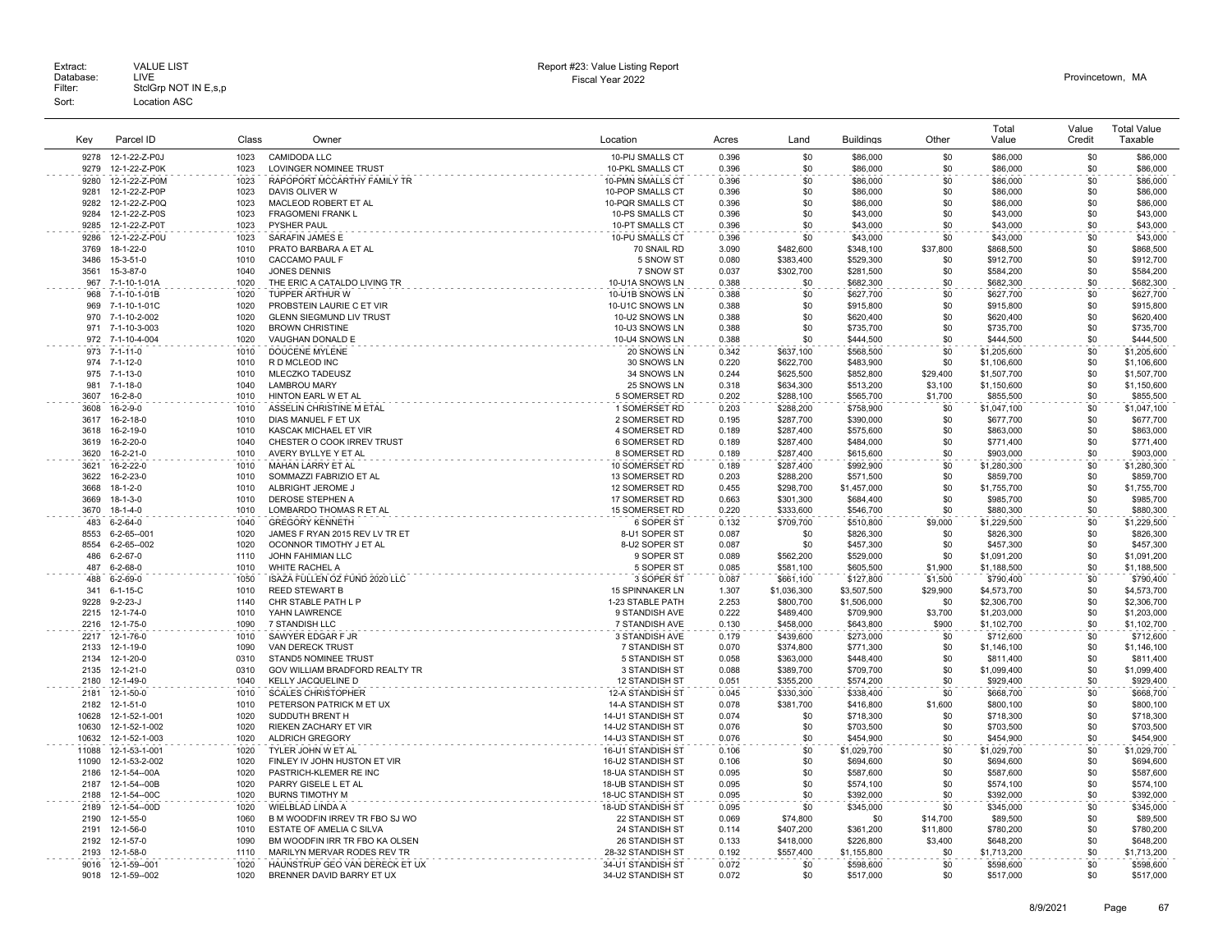| Key          | Parcel ID                       | Class        | Owner                                                      | Location                                    | Acres          | Land                   | <b>Buildings</b>       | Other               | Total<br>Value             | Value<br>Credit | <b>Total Value</b><br>Taxable |
|--------------|---------------------------------|--------------|------------------------------------------------------------|---------------------------------------------|----------------|------------------------|------------------------|---------------------|----------------------------|-----------------|-------------------------------|
| 9278         | 12-1-22-Z-P0J                   | 1023         | <b>CAMIDODA LLC</b>                                        | 10-PIJ SMALLS CT                            | 0.396          | \$0                    | \$86,000               | \$0                 | \$86,000                   | \$0             | \$86,000                      |
| 9279         | 12-1-22-Z-P0K                   | 1023         | <b>LOVINGER NOMINEE TRUST</b>                              | <b>10-PKL SMALLS CT</b>                     | 0.396          | \$0                    | \$86,000               | \$0                 | \$86,000                   | \$0             | \$86,000                      |
| 9280         | 12-1-22-Z-P0M                   | 1023         | RAPOPORT MCCARTHY FAMILY TR                                | 10-PMN SMALLS CT                            | 0.396          | \$0                    | \$86,000               | \$0                 | \$86,000                   | \$0             | \$86,000                      |
| 9281         | 12-1-22-Z-P0P                   | 1023         | DAVIS OLIVER W                                             | 10-POP SMALLS CT                            | 0.396          | \$0                    | \$86,000               | \$0                 | \$86,000                   | \$0             | \$86,000                      |
| 9282         | 12-1-22-Z-P0Q                   | 1023         | MACLEOD ROBERT ET AL                                       | 10-PQR SMALLS CT                            | 0.396          | \$0                    | \$86,000               | \$0                 | \$86,000                   | \$0             | \$86,000                      |
| 9284         | 12-1-22-Z-P0S                   | 1023         | FRAGOMENI FRANK L                                          | 10-PS SMALLS CT                             | 0.396          | \$0                    | \$43,000               | \$0                 | \$43,000                   | \$0             | \$43,000                      |
| 9285         | 12-1-22-Z-P0T                   | 1023         | <b>PYSHER PAUL</b>                                         | 10-PT SMALLS CT                             | 0.396          | \$0                    | \$43,000               | \$0                 | \$43,000                   | \$0             | \$43,000                      |
| 9286         | 12-1-22-Z-P0U                   | 1023         | SARAFIN JAMES E                                            | 10-PU SMALLS CT                             | 0.396          | \$0                    | \$43,000               | \$0                 | \$43,000                   | \$0             | \$43,000                      |
| 3769         | 18-1-22-0                       | 1010         | PRATO BARBARA A ET AL                                      | 70 SNAIL RD                                 | 3.090          | \$482,600              | \$348,100              | \$37,800            | \$868,500                  | \$0             | \$868,500                     |
| 3486         | 15-3-51-0                       | 1010         | CACCAMO PAUL F                                             | 5 SNOW ST                                   | 0.080          | \$383,400              | \$529,300              | \$0                 | \$912,700                  | \$0             | \$912,700                     |
| 3561<br>967  | 15-3-87-0<br>7-1-10-1-01A       | 1040<br>1020 | <b>JONES DENNIS</b><br>THE ERIC A CATALDO LIVING TR        | 7 SNOW ST<br>10-U1A SNOWS LN                | 0.037<br>0.388 | \$302,700<br>\$0       | \$281,500<br>\$682,300 | \$0<br>\$0          | \$584,200<br>\$682,300     | \$0<br>\$0      | \$584,200<br>\$682,300        |
| 968          | 7-1-10-1-01B                    | 1020         | TUPPER ARTHUR W                                            | 10-U1B SNOWS LN                             | 0.388          | \$0                    | \$627,700              | \$0                 | \$627,700                  | \$0             | \$627,700                     |
| 969          | 7-1-10-1-01C                    | 1020         | PROBSTEIN LAURIE C ET VIR                                  | 10-U1C SNOWS LN                             | 0.388          | \$0                    | \$915,800              | \$0                 | \$915,800                  | \$0             | \$915,800                     |
| 970          | 7-1-10-2-002                    | 1020         | <b>GLENN SIEGMUND LIV TRUST</b>                            | 10-U2 SNOWS LN                              | 0.388          | \$0                    | \$620,400              | \$0                 | \$620,400                  | \$0             | \$620,400                     |
| 971          | 7-1-10-3-003                    | 1020         | <b>BROWN CHRISTINE</b>                                     | 10-U3 SNOWS LN                              | 0.388          | \$0                    | \$735,700              | \$0                 | \$735,700                  | \$0             | \$735,700                     |
| 972          | 7-1-10-4-004                    | 1020         | VAUGHAN DONALD E                                           | 10-U4 SNOWS LN                              | 0.388          | \$0                    | \$444,500              | \$0                 | \$444,500                  | \$0             | \$444,500                     |
| 973          | $7 - 1 - 11 - 0$                | 1010         | <b>DOUCENE MYLENE</b>                                      | 20 SNOWS LN                                 | 0.342          | \$637,100              | \$568,500              | \$0                 | \$1,205,600                | \$0             | \$1,205,600                   |
| 974          | $7 - 1 - 12 - 0$                | 1010         | R D MCLEOD INC                                             | 30 SNOWS LN                                 | 0.220          | \$622,700              | \$483,900              | \$0                 | \$1,106,600                | \$0             | \$1,106,600                   |
| 975          | $7 - 1 - 13 - 0$                | 1010         | MLECZKO TADEUSZ                                            | 34 SNOWS LN                                 | 0.244          | \$625,500              | \$852,800              | \$29,400            | \$1,507,700                | \$0             | \$1,507,700                   |
| 981          | $7 - 1 - 18 - 0$                | 1040         | <b>LAMBROU MARY</b>                                        | 25 SNOWS LN                                 | 0.318          | \$634,300              | \$513,200              | \$3,100             | \$1,150,600                | \$0             | \$1,150,600                   |
| 3607         | $16 - 2 - 8 - 0$                | 1010         | HINTON EARL W ET AL                                        | 5 SOMERSET RD                               | 0.202          | \$288,100              | \$565,700              | \$1,700             | \$855,500                  | \$0             | \$855,500                     |
| 3608         | 16-2-9-0                        | 1010         | ASSELIN CHRISTINE M ETAL                                   | 1 SOMERSET RD                               | 0.203          | \$288,200              | \$758,900              | \$0                 | \$1,047,100                | \$0             | \$1,047,100                   |
| 3617<br>3618 | 16-2-18-0<br>16-2-19-0          | 1010<br>1010 | DIAS MANUEL F ET UX<br>KASCAK MICHAEL ET VIR               | 2 SOMERSET RD<br>4 SOMERSET RD              | 0.195<br>0.189 | \$287.700<br>\$287,400 | \$390,000<br>\$575,600 | \$0<br>\$0          | \$677.700<br>\$863,000     | \$0<br>\$0      | \$677,700<br>\$863,000        |
| 3619         | 16-2-20-0                       | 1040         | CHESTER O COOK IRREV TRUST                                 | 6 SOMERSET RD                               | 0.189          | \$287,400              | \$484,000              | \$0                 | \$771,400                  | \$0             | \$771,400                     |
| 3620         | 16-2-21-0                       | 1010         | AVERY BYLLYE Y ET AL                                       | 8 SOMERSET RD                               | 0.189          | \$287,400              | \$615,600              | \$0                 | \$903,000                  | \$0             | \$903,000                     |
| 3621         | 16-2-22-0                       | 1010         | <b>MAHAN LARRY ET AL</b>                                   | 10 SOMERSET RD                              | 0.189          | \$287.400              | \$992,900              | \$0                 | \$1,280,300                | \$0             | \$1.280.300                   |
| 3622         | 16-2-23-0                       | 1010         | SOMMAZZI FABRIZIO ET AL                                    | 13 SOMERSET RD                              | 0.203          | \$288,200              | \$571,500              | \$0                 | \$859,700                  | \$0             | \$859,700                     |
| 3668         | $18 - 1 - 2 - 0$                | 1010         | ALBRIGHT JEROME,                                           | 12 SOMERSET RD                              | 0.455          | \$298,700              | \$1,457,000            | \$0                 | \$1,755,700                | \$0             | \$1,755,700                   |
| 3669         | $18 - 1 - 3 - 0$                | 1010         | <b>DEROSE STEPHEN A</b>                                    | 17 SOMERSET RD                              | 0.663          | \$301.300              | \$684,400              | \$0                 | \$985,700                  | \$0             | \$985,700                     |
| 3670         | 18-1-4-0                        | 1010         | LOMBARDO THOMAS R ET AL                                    | 15 SOMERSET RD                              | 0.220          | \$333,600              | \$546,700              | \$0                 | \$880,300                  | \$0             | \$880,300                     |
| 483          | $6 - 2 - 64 - 0$                | 1040         | <b>GREGORY KENNETH</b>                                     | 6 SOPER ST                                  | 0.132          | \$709,700              | \$510,800              | \$9,000             | \$1,229,500                | \$0             | \$1,229,500                   |
| 8553         | 6-2-65--001                     | 1020         | JAMES F RYAN 2015 REV LV TR ET                             | 8-U1 SOPER ST                               | 0.087          | <b>\$0</b>             | \$826,300              | \$0                 | \$826,300                  | \$0             | \$826,300                     |
| 8554<br>486  | 6-2-65--002<br>$6 - 2 - 67 - 0$ | 1020<br>1110 | OCONNOR TIMOTHY J ET AL<br><b>JOHN FAHIMIAN LLC</b>        | 8-U2 SOPER ST                               | 0.087<br>0.089 | \$0<br>\$562.200       | \$457,300              | \$0<br>\$0          | \$457,300                  | \$0             | \$457,300                     |
| 487          | $6 - 2 - 68 - 0$                | 1010         | WHITE RACHEL A                                             | 9 SOPER ST<br>5 SOPER ST                    | 0.085          | \$581,100              | \$529,000<br>\$605,500 | \$1,900             | \$1,091,200<br>\$1,188,500 | \$0<br>\$0      | \$1,091,200<br>\$1,188,500    |
| 488          | $6 - 2 - 69 - 0$                | 1050         | ISAZA FULLEN OZ FUND 2020 LLC                              | 3 SOPER ST                                  | 0.087          | \$661,100              | \$127,800              | \$1,500             | \$790,400                  | \$0             | \$790,400                     |
| 341          | $6 - 1 - 15 - C$                | 1010         | <b>REED STEWART B</b>                                      | <b>15 SPINNAKER LN</b>                      | 1.307          | \$1,036,300            | \$3,507,500            | \$29,900            | \$4,573,700                | \$0             | \$4,573,700                   |
| 9228         | $9 - 2 - 23 - J$                | 1140         | CHR STABLE PATH L P                                        | 1-23 STABLE PATH                            | 2.253          | \$800,700              | \$1,506,000            | \$0                 | \$2,306,700                | \$0             | \$2,306,700                   |
| 2215         | 12-1-74-0                       | 1010         | YAHN LAWRENCE                                              | 9 STANDISH AVE                              | 0.222          | \$489,400              | \$709,900              | \$3,700             | \$1,203,000                | \$0             | \$1,203,000                   |
| 2216         | 12-1-75-0                       | 1090         | 7 STANDISH LLC                                             | 7 STANDISH AVE                              | 0.130          | \$458,000              | \$643,800              | \$900               | \$1,102,700                | \$0             | \$1,102,700                   |
| 2217         | 12-1-76-0                       | 1010         | SAWYER EDGAR F JR                                          | 3 STANDISH AVE                              | 0.179          | \$439,600              | \$273,000              | \$0                 | \$712,600                  | \$0             | \$712,600                     |
| 2133         | 12-1-19-0                       | 1090         | VAN DERECK TRUST                                           | 7 STANDISH ST                               | 0.070          | \$374,800              | \$771,300              | \$0                 | \$1,146,100                | \$0             | \$1,146,100                   |
| 2134         | 12-1-20-0                       | 0310         | STAND5 NOMINEE TRUST                                       | 5 STANDISH ST                               | 0.058          | \$363,000              | \$448,400              | \$0                 | \$811,400                  | \$0             | \$811,400                     |
| 2135         | 12-1-21-0                       | 0310         | GOV WILLIAM BRADFORD REALTY TR                             | 3 STANDISH ST                               | 0.088          | \$389,700              | \$709,700              | \$0                 | \$1,099,400                | \$0             | \$1,099,400                   |
| 2180         | 12-1-49-0                       | 1040         | KELLY JACQUELINE D                                         | 12 STANDISH ST                              | 0.051          | \$355,200              | \$574,200              | \$0                 | \$929,400                  | \$0             | \$929,400                     |
| 2181<br>2182 | 12-1-50-0<br>$12 - 1 - 51 - 0$  | 1010<br>1010 | <b>SCALES CHRISTOPHER</b><br>PETERSON PATRICK M ET UX      | 12-A STANDISH ST<br><b>14-A STANDISH ST</b> | 0.045<br>0.078 | \$330,300<br>\$381,700 | \$338,400<br>\$416,800 | \$0<br>\$1,600      | \$668,700<br>\$800,100     | \$0<br>\$0      | \$668,700<br>\$800,100        |
| 10628        | 12-1-52-1-001                   | 1020         | SUDDUTH BRENT H                                            | 14-U1 STANDISH ST                           | 0.074          | \$0                    | \$718,300              | \$0                 | \$718,300                  | \$0             | \$718,300                     |
| 10630        | 12-1-52-1-002                   | 1020         | <b>RIEKEN ZACHARY ET VIR</b>                               | 14-U2 STANDISH ST                           | 0.076          | \$0                    | \$703,500              | \$0                 | \$703,500                  | \$0             | \$703,500                     |
| 10632        | 12-1-52-1-003                   | 1020         | <b>ALDRICH GREGORY</b>                                     | 14-U3 STANDISH ST                           | 0.076          | <b>\$0</b>             | \$454,900              | \$0                 | \$454,900                  | \$0             | \$454,900                     |
| 11088        | 12-1-53-1-001                   | 1020         | TYLER JOHN W ET AL                                         | 16-U1 STANDISH ST                           | 0.106          | \$0                    | \$1,029,700            | \$0                 | \$1,029,700                | \$0             | \$1,029,700                   |
| 11090        | 12-1-53-2-002                   | 1020         | FINLEY IV JOHN HUSTON ET VIR                               | 16-U2 STANDISH ST                           | 0.106          | \$0                    | \$694,600              | \$0                 | \$694,600                  | \$0             | \$694,600                     |
| 2186         | 12-1-54--00A                    | 1020         | PASTRICH-KLEMER RE INC                                     | <b>18-UA STANDISH ST</b>                    | 0.095          | \$0                    | \$587,600              | \$0                 | \$587,600                  | \$0             | \$587,600                     |
| 2187         | 12-1-54--00B                    | 1020         | PARRY GISELE L ET AL                                       | <b>18-UB STANDISH ST</b>                    | 0.095          | \$0                    | \$574,100              | \$0                 | \$574,100                  | \$0             | \$574,100                     |
| 2188         | 12-1-54--00C                    | 1020         | <b>BURNS TIMOTHY M</b>                                     | 18-UC STANDISH ST                           | 0.095          | \$0                    | \$392,000              | \$0                 | \$392,000                  | \$0             | \$392,000                     |
| 2189         | 12-1-54--00D                    | 1020         | WIELBLAD LINDA A                                           | <b>18-UD STANDISH ST</b>                    | 0.095          | \$0                    | \$345,000              | \$0                 | \$345,000                  | \$0             | \$345,000                     |
| 2190<br>2191 | 12-1-55-0<br>12-1-56-0          | 1060<br>1010 | B M WOODFIN IRREV TR FBO SJ WO<br>ESTATE OF AMELIA C SILVA | 22 STANDISH ST<br>24 STANDISH ST            | 0.069<br>0.114 | \$74,800               | \$0                    | \$14,700            | \$89,500<br>\$780,200      | \$0<br>\$0      | \$89,500                      |
| 2192         | 12-1-57-0                       | 1090         | BM WOODFIN IRR TR FBO KA OLSEN                             | 26 STANDISH ST                              | 0.133          | \$407,200<br>\$418,000 | \$361,200<br>\$226,800 | \$11,800<br>\$3,400 | \$648,200                  | \$0             | \$780,200<br>\$648,200        |
| 2193         | 12-1-58-0                       | 1110         | MARILYN MERVAR RODES REV TR                                | 28-32 STANDISH ST                           | 0.192          | \$557,400              | \$1,155,800            | \$0                 | \$1,713,200                | \$0             | \$1,713,200                   |
| 9016         | 12-1-59--001                    | 1020         | HAUNSTRUP GEO VAN DERECK ET UX                             | 34-U1 STANDISH ST                           | 0.072          | \$0                    | \$598,600              | \$0                 | \$598,600                  | \$0             | \$598,600                     |
| 9018         | 12-1-59--002                    | 1020         | BRENNER DAVID BARRY ET UX                                  | 34-U2 STANDISH ST                           | 0.072          | \$0                    | \$517,000              | \$0                 | \$517,000                  | \$0             | \$517,000                     |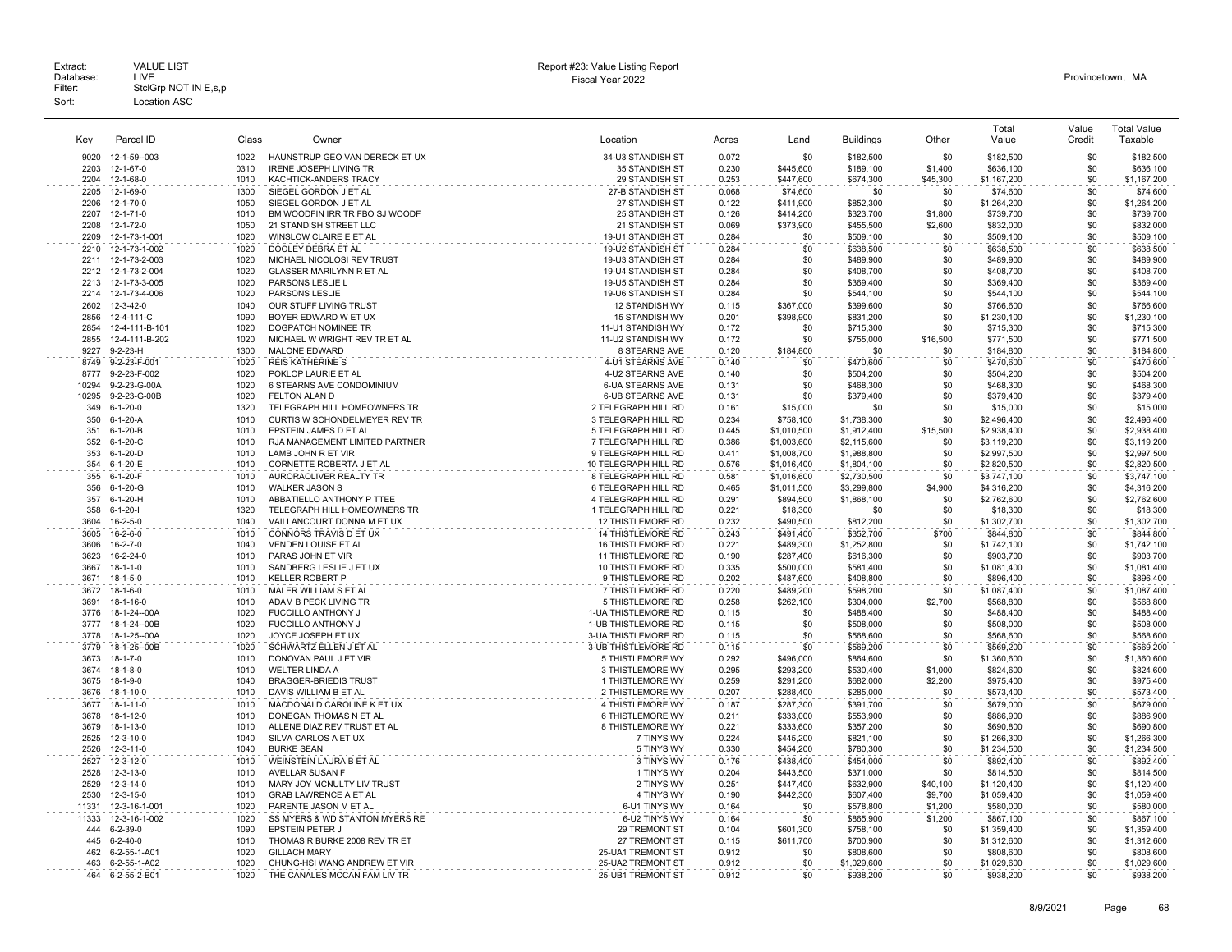Extract: VALUE LIST<br>Database: LIVE<br>Filter: StclGrp NOT IN E,s,p Fiscal Year 2022 Database: LIVE Provincetown, MA Extract: Call VALUE LIST CHARGE STATES AND REPORT HERE AND REPORT HERE AND REPORT THE REPORT OF DETAILS AND REPORT CHARGE STATES AND REPORT CHARGE STATES AND REPORT OF DETAILS AND REPORT CHARGE STATES OF DETAILS AND REPORT Sort: Location ASC

|              |                          |       |                                                     |                                         |                |             |                        |            | Total                    | Value      | <b>Total Value</b> |
|--------------|--------------------------|-------|-----------------------------------------------------|-----------------------------------------|----------------|-------------|------------------------|------------|--------------------------|------------|--------------------|
| Kev          | Parcel ID                | Class | Owner                                               | Location                                | Acres          | Land        | <b>Buildings</b>       | Other      | Value                    | Credit     | Taxable            |
|              |                          |       |                                                     |                                         |                |             |                        |            |                          |            |                    |
| 9020         | 12-1-59--003             | 1022  | HAUNSTRUP GEO VAN DERECK ET UX                      | 34-U3 STANDISH ST                       | 0.072          | \$0         | \$182,500              | \$0        | \$182,500                | \$0        | \$182,500          |
| 2203         | 12-1-67-0                | 0310  | <b>IRENE JOSEPH LIVING TR</b>                       | 35 STANDISH ST                          | 0.230          | \$445.600   | \$189,100              | \$1,400    | \$636,100                | \$0        | \$636,100          |
| 2204         | 12-1-68-0                | 1010  | KACHTICK-ANDERS TRACY                               | 29 STANDISH ST                          | 0.253          | \$447,600   | \$674,300              | \$45,300   | \$1,167,200              | \$0        | \$1,167,200        |
| 2205         | 12-1-69-0                | 1300  | SIEGEL GORDON J ET AL                               | 27-B STANDISH ST                        | 0.068          | \$74,600    | \$0                    | \$0        | \$74,600                 | \$0        | \$74,600           |
| 2206         | 12-1-70-0                | 1050  | SIEGEL GORDON J ET AL                               | 27 STANDISH ST                          | 0.122          | \$411,900   | \$852,300              | \$0        | \$1,264,200              | \$0        | \$1,264,200        |
| 2207         | $12 - 1 - 71 - 0$        | 1010  | BM WOODFIN IRR TR FBO SJ WOODF                      | 25 STANDISH ST                          | 0.126          | \$414,200   | \$323,700              | \$1,800    | \$739,700                | \$0        | \$739,700          |
| 2208         | 12-1-72-0                | 1050  | 21 STANDISH STREET LLC                              | 21 STANDISH ST                          | 0.069          | \$373,900   | \$455.500              | \$2,600    | \$832,000                | \$0        | \$832,000          |
| 2209         | 12-1-73-1-001            | 1020  | WINSLOW CLAIRE E ET AL                              | 19-U1 STANDISH ST                       | 0.284          | \$0         | \$509,100              | \$0        | \$509,100                | \$0        | \$509,100          |
| 2210         | 12-1-73-1-002            | 1020  | DOOLEY DEBRA ET AL                                  | 19-U2 STANDISH ST                       | 0.284          | \$0         | \$638,500              | \$0        | \$638,500                | \$0        | \$638,500          |
| 2211         | 12-1-73-2-003            | 1020  | MICHAEL NICOLOSI REV TRUST                          | 19-U3 STANDISH ST                       | 0.284          | \$0         | \$489,900              | \$0        | \$489,900                | \$0        | \$489,900          |
| 2212         | 12-1-73-2-004            | 1020  | <b>GLASSER MARILYNN R ET AL</b>                     | 19-U4 STANDISH ST                       | 0.284          | \$0         | \$408,700              | \$0        | \$408.700                | \$0        | \$408,700          |
| 2213         | 12-1-73-3-005            | 1020  | PARSONS LESLIE L                                    | 19-U5 STANDISH ST                       | 0.284          | \$0         | \$369,400              | \$0        | \$369,400                | \$0        | \$369,400          |
| 2214         | 12-1-73-4-006            | 1020  | <b>PARSONS LESLIE</b>                               | 19-U6 STANDISH ST                       | 0.284          | \$0         | \$544,100              | \$0        | \$544,100                | \$0        | \$544,100          |
| 2602         | 12-3-42-0                | 1040  | OUR STUFF LIVING TRUST                              | 12 STANDISH WY                          | 0.115          | \$367,000   | \$399,600              | \$0        | \$766,600                | \$0        | \$766,600          |
| 2856         | 12-4-111-C               | 1090  | BOYER EDWARD W ET UX                                | 15 STANDISH WY                          | 0.201          | \$398,900   | \$831,200              | \$0        | \$1,230,100              | \$0        | \$1,230,100        |
| 2854         | 12-4-111-B-101           | 1020  | DOGPATCH NOMINEE TR                                 | 11-U1 STANDISH WY                       | 0.172          | \$0         | \$715,300              | \$0        | \$715,300                | \$0        | \$715,300          |
| 2855         | 12-4-111-B-202           | 1020  | MICHAEL W WRIGHT REV TR ET AL                       | 11-U2 STANDISH WY                       | 0.172          | \$0         | \$755,000              | \$16,500   | \$771,500                | \$0        | \$771,500          |
| 9227         | $9 - 2 - 23 - H$         | 1300  | MALONE EDWARD                                       | 8 STEARNS AVE                           | 0.120          | \$184,800   | \$0                    | \$0        | \$184,800                | \$0        | \$184,800          |
| 8749         | 9-2-23-F-001             | 1020  | <b>REIS KATHERINE S</b>                             | 4-U1 STEARNS AVE                        | 0.140          | \$0         | \$470,600              | \$0        | \$470,600                | \$0        | \$470,600          |
| 8777         | 9-2-23-F-002             | 1020  | POKLOP LAURIE ET AL                                 | 4-U2 STEARNS AVE                        | 0.140          | \$0         | \$504,200              | \$0        | \$504,200                | \$0        | \$504,200          |
| 10294        | 9-2-23-G-00A             | 1020  | 6 STEARNS AVE CONDOMINIUM                           | <b>6-UA STEARNS AVE</b>                 | 0.131          | \$0         | \$468,300              | \$0        | \$468,300                | \$0        | \$468,300          |
| 10295        | 9-2-23-G-00B             | 1020  | FELTON ALAN D                                       | <b>6-UB STEARNS AVE</b>                 | 0.131          | \$0         | \$379,400              | \$0        | \$379,400                | \$0        | \$379,400          |
| 349          | $6 - 1 - 20 - 0$         | 1320  | TELEGRAPH HILL HOMEOWNERS TR                        | 2 TELEGRAPH HILL RD                     | 0.161          | \$15,000    | \$0                    | \$0        | \$15,000                 | \$0        | \$15,000           |
| 350          | $6-1-20-A$               | 1010  | CURTIS W SCHONDELMEYER REV TR                       | 3 TELEGRAPH HILL RD                     | 0.234          | \$758,100   | \$1,738,300            | \$0        | \$2,496,400              | \$0        | \$2,496,400        |
| 351          | $6-1-20-B$               | 1010  | EPSTEIN JAMES D ET AL                               | 5 TELEGRAPH HILL RD                     | 0.445          | \$1,010,500 | \$1,912,400            | \$15,500   | \$2,938,400              | \$0        | \$2,938,400        |
| 352          | $6 - 1 - 20 - C$         | 1010  | RJA MANAGEMENT LIMITED PARTNER                      | 7 TELEGRAPH HILL RD                     | 0.386          | \$1,003,600 | \$2,115,600            | \$0        | \$3,119,200              | \$0        | \$3,119,200        |
| 353          | 6-1-20-D                 | 1010  | LAMB JOHN R ET VIR                                  | 9 TELEGRAPH HILL RD                     | 0.411          | \$1,008,700 | \$1,988,800            | \$0        | \$2,997,500              | \$0        | \$2,997,500        |
| 354          | 6-1-20-E                 | 1010  | CORNETTE ROBERTA J ET AL                            | 10 TELEGRAPH HILL RD                    | 0.576          | \$1,016,400 | \$1,804,100            | \$0        | \$2,820,500              | \$0        | \$2,820,500        |
| 355          | $6 - 1 - 20 - F$         | 1010  | AURORAOLIVER REALTY TR                              | 8 TELEGRAPH HILL RD                     | 0.581          | \$1,016,600 | \$2,730,500            | \$0        | \$3,747,100              | \$0        | \$3,747,100        |
| 356          | $6 - 1 - 20 - G$         | 1010  | <b>WALKER JASON S</b>                               | 6 TELEGRAPH HILL RD                     | 0.465          | \$1,011,500 | \$3,299,800            | \$4,900    | \$4,316,200              | \$0        | \$4,316,200        |
| 357          | $6 - 1 - 20 - H$         | 1010  | ABBATIELLO ANTHONY P TTEE                           | 4 TELEGRAPH HILL RD                     | 0.291          | \$894,500   | \$1,868,100            | \$0        | \$2,762,600              | \$0        | \$2,762,600        |
| 358          | $6 - 1 - 20 - 1$         | 1320  | TELEGRAPH HILL HOMEOWNERS TR                        | 1 TELEGRAPH HILL RD                     | 0.221          | \$18,300    | \$0                    | \$0        | \$18,300                 | \$0        | \$18,300           |
| 3604         | $16 - 2 - 5 - 0$         | 1040  | VAILLANCOURT DONNA M ET UX                          | 12 THISTLEMORE RD                       | 0.232          | \$490,500   | \$812,200              | \$0        | \$1,302,700              | \$0        | \$1,302,700        |
| 3605         | $16 - 2 - 6 - 0$         | 1010  | CONNORS TRAVIS D ET UX                              | <b>14 THISTLEMORE RD</b>                | 0.243          | \$491.400   | \$352,700              | \$700      | \$844.800                | \$0        | \$844,800          |
| 3606         | 16-2-7-0                 | 1040  | VENDEN LOUISE ET AL                                 | <b>16 THISTLEMORE RD</b>                | 0.221          | \$489,300   | \$1,252,800            | \$0        | \$1,742,100              | \$0        | \$1,742,100        |
| 3623         | 16-2-24-0                | 1010  | PARAS JOHN ET VIR                                   | <b>11 THISTLEMORE RD</b>                | 0.190          | \$287,400   | \$616,300              | \$0        | \$903,700                | \$0        | \$903,700          |
| 3667         | $18 - 1 - 1 - 0$         | 1010  | SANDBERG LESLIE J ET UX                             | 10 THISTLEMORE RD                       | 0.335          | \$500,000   | \$581,400              | \$0        | \$1,081,400              | \$0        | \$1,081,400        |
| 3671         | 18-1-5-0                 | 1010  | <b>KELLER ROBERT P</b>                              | 9 THISTLEMORE RD                        | 0.202          | \$487,600   | \$408,800              | \$0        | \$896,400                | \$0        | \$896,400          |
| 3672         | $18 - 1 - 6 - 0$         | 1010  | MALER WILLIAM S ET AL                               | 7 THISTLEMORE RD                        | 0.220          | \$489,200   | \$598,200              | \$0        | \$1,087,400              | \$0        | \$1,087,400        |
| 3691         | 18-1-16-0                | 1010  | ADAM B PECK LIVING TR                               | 5 THISTLEMORE RD                        | 0.258          | \$262,100   | \$304,000              | \$2,700    | \$568,800                | \$0        | \$568,800          |
| 3776         | 18-1-24--00A             | 1020  | FUCCILLO ANTHONY J                                  | 1-UA THISTLEMORE RD                     | 0.115          | \$0         | \$488,400              | \$0        | \$488.400                | \$0        | \$488,400          |
| 3777         | 18-1-24--00B             | 1020  | FUCCILLO ANTHONY J                                  | 1-UB THISTLEMORE RD                     | 0.115          | \$0         | \$508,000              | \$0        | \$508,000                | \$0        | \$508,000          |
| 3778         | 18-1-25--00A             | 1020  | JOYCE JOSEPH ET UX                                  | 3-UA THISTLEMORE RD                     | 0.115          | \$0         | \$568,600              | \$0        | \$568,600                | \$0        | \$568,600          |
|              |                          | 1020  |                                                     |                                         |                | \$0         |                        | \$0        |                          | \$0        | \$569,200          |
| 3779<br>3673 | 18-1-25--00B<br>18-1-7-0 | 1010  | SCHWARTZ ELLEN J ET AL<br>DONOVAN PAUL J ET VIR     | 3-UB THISTLEMORE RD<br>5 THISTLEMORE WY | 0.115<br>0.292 | \$496,000   | \$569,200<br>\$864,600 | \$0        | \$569,200<br>\$1,360,600 | \$0        | \$1,360,600        |
| 3674         | $18 - 1 - 8 - 0$         | 1010  | <b>WELTER LINDA A</b>                               | 3 THISTLEMORE WY                        | 0.295          | \$293,200   | \$530,400              | \$1,000    | \$824,600                | \$0        | \$824,600          |
| 3675         | 18-1-9-0                 | 1040  | <b>BRAGGER-BRIEDIS TRUST</b>                        | 1 THISTLEMORE WY                        | 0.259          | \$291,200   | \$682,000              | \$2,200    | \$975,400                | \$0        | \$975,400          |
| 3676         | 18-1-10-0                | 1010  | DAVIS WILLIAM B ET AL                               | 2 THISTLEMORE WY                        | 0.207          | \$288,400   | \$285,000              | \$0        | \$573,400                | \$0        | \$573,400          |
| 3677         | 18-1-11-0                | 1010  | MACDONALD CAROLINE K ET UX                          | 4 THISTLEMORE WY                        | 0.187          | \$287,300   | \$391,700              | \$0        | \$679,000                | \$0        | \$679,000          |
| 3678         | 18-1-12-0                | 1010  | DONEGAN THOMAS N ET AL                              | 6 THISTLEMORE WY                        | 0.211          | \$333,000   | \$553,900              | \$0        | \$886,900                | \$0        | \$886,900          |
| 3679         |                          | 1010  |                                                     | 8 THISTLEMORE WY                        |                | \$333,600   |                        |            |                          |            | \$690,800          |
| 2525         | 18-1-13-0<br>12-3-10-0   | 1040  | ALLENE DIAZ REV TRUST ET AL<br>SILVA CARLOS A ET UX | 7 TINYS WY                              | 0.221<br>0.224 | \$445.200   | \$357,200<br>\$821.100 | \$0<br>\$0 | \$690,800<br>\$1,266,300 | \$0<br>\$0 | \$1,266,300        |
| 2526         | 12-3-11-0                | 1040  | <b>BURKE SEAN</b>                                   | 5 TINYS WY                              | 0.330          | \$454,200   | \$780,300              | \$0        | \$1,234,500              | \$0        | \$1,234,500        |
|              |                          |       |                                                     |                                         |                |             |                        |            |                          |            |                    |
| 2527         | 12-3-12-0                | 1010  | WEINSTEIN LAURA B ET AL                             | 3 TINYS WY                              | 0.176          | \$438,400   | \$454,000              | \$0        | \$892,400                | \$0        | \$892,400          |
| 2528         | $12 - 3 - 13 - 0$        | 1010  | AVELLAR SUSAN F                                     | 1 TINYS WY                              | 0.204          | \$443,500   | \$371,000              | \$0        | \$814,500                | \$0        | \$814,500          |
| 2529         | 12-3-14-0                | 1010  | MARY JOY MCNULTY LIV TRUST                          | 2 TINYS WY                              | 0.251          | \$447,400   | \$632,900              | \$40,100   | \$1,120,400              | \$0        | \$1,120,400        |
| 2530         | 12-3-15-0                | 1010  | <b>GRAB LAWRENCE A ET AL</b>                        | 4 TINYS WY                              | 0.190          | \$442.300   | \$607.400              | \$9,700    | \$1,059,400              | \$0        | \$1,059,400        |
| 11331        | 12-3-16-1-001            | 1020  | PARENTE JASON M ET AL                               | 6-U1 TINYS WY                           | 0.164          | \$0         | \$578,800              | \$1,200    | \$580,000                | \$0        | \$580,000          |
| 11333        | 12-3-16-1-002            | 1020  | SS MYERS & WD STANTON MYERS RE                      | 6-U2 TINYS WY                           | 0.164          | \$0         | \$865,900              | \$1,200    | \$867,100                | \$0        | \$867,100          |
| 444          | $6 - 2 - 39 - 0$         | 1090  | EPSTEIN PETER J                                     | 29 TREMONT ST                           | 0.104          | \$601,300   | \$758,100              | \$0        | \$1,359,400              | \$0        | \$1,359,400        |
| 445          | $6 - 2 - 40 - 0$         | 1010  | THOMAS R BURKE 2008 REV TR ET                       | 27 TREMONT ST                           | 0.115          | \$611,700   | \$700,900              | \$0        | \$1,312,600              | \$0        | \$1,312,600        |
| 462          | 6-2-55-1-A01             | 1020  | <b>GILLACH MARY</b>                                 | 25-UA1 TREMONT ST                       | 0.912          | \$0         | \$808,600              | \$0        | \$808,600                | \$0        | \$808,600          |
| 463          | 6-2-55-1-A02             | 1020  | CHUNG-HSI WANG ANDREW ET VIR                        | 25-UA2 TREMONT ST                       | 0.912          | \$0         | \$1,029,600            | \$0        | \$1,029,600              | \$0        | \$1,029,600        |
|              | 464 6-2-55-2-B01         | 1020  | THE CANALES MCCAN FAM LIV TR                        | 25-UB1 TREMONT ST                       | 0.912          | \$0         | \$938.200              | \$0        | \$938,200                | \$0        | \$938,200          |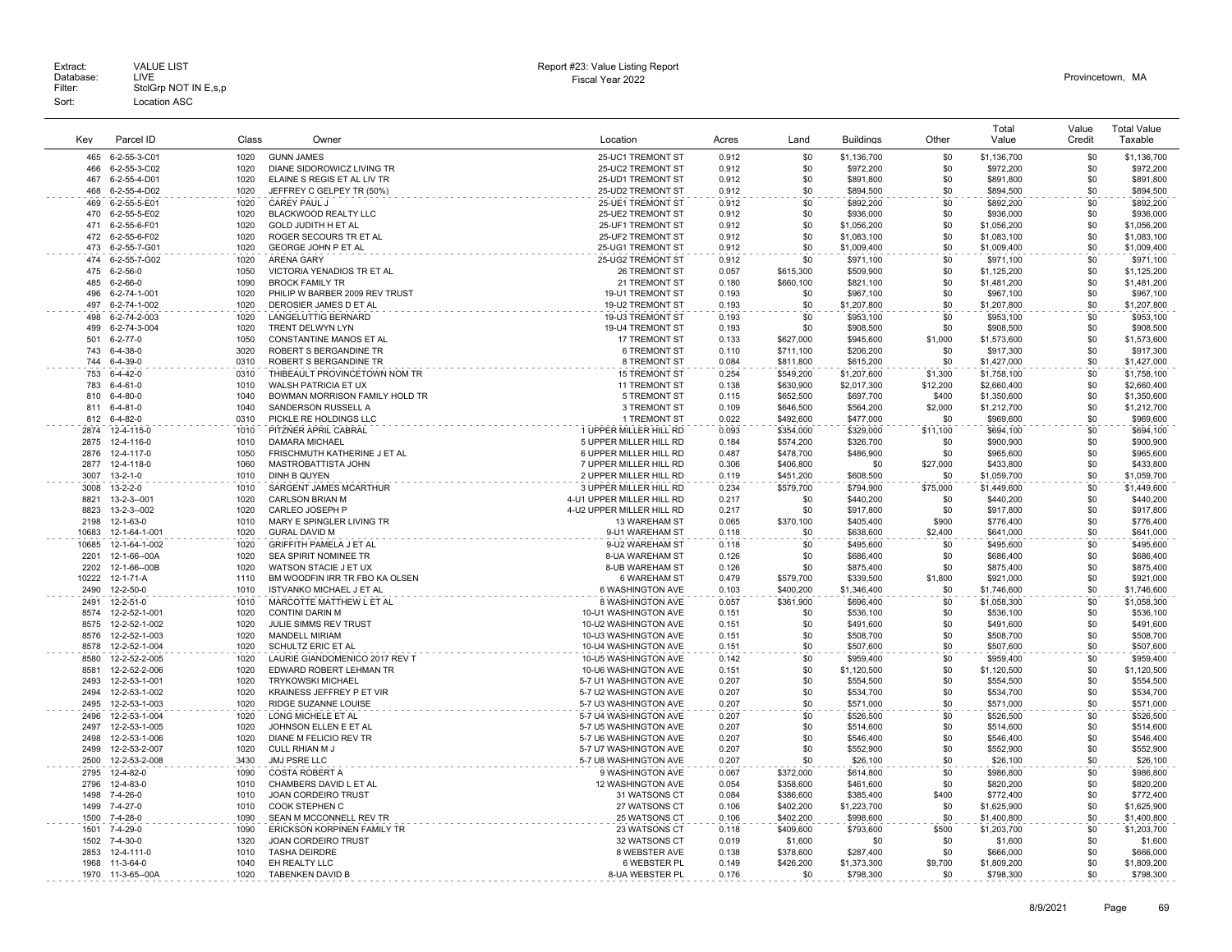| Key          | Parcel ID                      | Class        | Owner                                                     | Location                                               | Acres          | Land                   | <b>Buildings</b>         | Other          | Total<br>Value             | Value<br>Credit | <b>Total Value</b><br>Taxable |
|--------------|--------------------------------|--------------|-----------------------------------------------------------|--------------------------------------------------------|----------------|------------------------|--------------------------|----------------|----------------------------|-----------------|-------------------------------|
|              |                                |              |                                                           |                                                        |                |                        |                          |                |                            |                 |                               |
| 465<br>466   | 6-2-55-3-C01<br>6-2-55-3-C02   | 1020<br>1020 | <b>GUNN JAMES</b><br>DIANE SIDOROWICZ LIVING TR           | 25-UC1 TREMONT ST<br>25-UC2 TREMONT ST                 | 0.912<br>0.912 | \$0<br>\$0             | \$1,136,700<br>\$972,200 | \$0<br>\$0     | \$1,136,700<br>\$972,200   | \$0<br>\$0      | \$1,136,700<br>\$972,200      |
| 467          | 6-2-55-4-D01                   | 1020         | ELAINE S REGIS ET AL LIV TR                               | 25-UD1 TREMONT ST                                      | 0.912          | \$0                    | \$891,800                | \$0            | \$891,800                  | \$0             | \$891,800                     |
| 468          | 6-2-55-4-D02                   | 1020         | JEFFREY C GELPEY TR (50%)                                 | 25-UD2 TREMONT ST                                      | 0.912          | \$0                    | \$894,500                | \$0            | \$894,500                  | \$0             | \$894,500                     |
| 469          | 6-2-55-5-E01                   | 1020         | CAREY PAUL J                                              | 25-UE1 TREMONT ST                                      | 0.912          | \$0                    | \$892,200                | \$0            | \$892,200                  | \$0             | \$892,200                     |
| 470          | 6-2-55-5-E02                   | 1020         | BLACKWOOD REALTY LLC                                      | 25-UE2 TREMONT ST                                      | 0.912          | \$0                    | \$936,000                | \$0            | \$936,000                  | \$0             | \$936,000                     |
| 471          | 6-2-55-6-F01                   | 1020         | <b>GOLD JUDITH H ET AL</b>                                | 25-UF1 TREMONT ST                                      | 0.912          | \$0                    | \$1.056.200              | \$0            | \$1,056,200                | \$0             | \$1.056.200                   |
| 472          | 6-2-55-6-F02                   | 1020         | ROGER SECOURS TR ET AL                                    | 25-UF2 TREMONT ST                                      | 0.912          | \$0                    | \$1,083,100              | \$0            | \$1,083,100                | \$0             | \$1,083,100                   |
| 473          | 6-2-55-7-G01                   | 1020         | GEORGE JOHN P ET AL                                       | 25-UG1 TREMONT ST                                      | 0.912          | \$0                    | \$1,009,400              | \$0            | \$1,009,400                | \$0             | \$1,009,400                   |
| 474          | 6-2-55-7-G02                   | 1020         | ARENA GARY                                                | 25-UG2 TREMONT ST                                      | 0.912          | \$0                    | \$971,100                | \$0            | \$971,100                  | \$0             | \$971,100                     |
| 475          | $6 - 2 - 56 - 0$               | 1050         | VICTORIA YENADIOS TR ET AL                                | 26 TREMONT ST                                          | 0.057          | \$615,300              | \$509,900                | \$0            | \$1,125,200                | \$0             | \$1,125,200                   |
| 485          | $6 - 2 - 66 - 0$               | 1090         | <b>BROCK FAMILY TR</b>                                    | 21 TREMONT ST                                          | 0.180          | \$660,100              | \$821,100                | \$0            | \$1,481,200                | \$0             | \$1,481,200                   |
| 496          | 6-2-74-1-001                   | 1020         | PHILIP W BARBER 2009 REV TRUST                            | 19-U1 TREMONT ST                                       | 0.193          | \$0                    | \$967,100                | \$0            | \$967,100                  | \$0             | \$967,100                     |
| 497          | 6-2-74-1-002                   | 1020         | DEROSIER JAMES D ET AL                                    | 19-U2 TREMONT ST                                       | 0.193          | \$0                    | \$1,207,800              | \$0            | \$1,207,800                | \$0             | \$1,207,800                   |
| 498          | 6-2-74-2-003                   | 1020         | LANGELUTTIG BERNARD                                       | 19-U3 TREMONT ST                                       | 0.193          | \$0                    | \$953,100                | \$0            | \$953,100                  | \$0             | \$953,100                     |
| 499<br>501   | 6-2-74-3-004<br>6-2-77-0       | 1020<br>1050 | TRENT DELWYN LYN<br>CONSTANTINE MANOS ET AL               | 19-U4 TREMONT ST<br>17 TREMONT ST                      | 0.193          | \$0<br>\$627,000       | \$908,500                | \$0<br>\$1,000 | \$908,500                  | \$0<br>\$0      | \$908,500                     |
| 743          | $6 - 4 - 38 - 0$               | 3020         | ROBERT S BERGANDINE TR                                    | <b>6 TREMONT ST</b>                                    | 0.133<br>0.110 | \$711.100              | \$945,600<br>\$206,200   | \$0            | \$1,573,600<br>\$917,300   | \$0             | \$1,573,600<br>\$917,300      |
| 744          | $6 - 4 - 39 - 0$               | 0310         | ROBERT S BERGANDINE TR                                    | 8 TREMONT ST                                           | 0.084          | \$811.800              | \$615,200                | \$0            | \$1,427,000                | \$0             | \$1,427,000                   |
| 753          | $6 - 4 - 42 - 0$               | 0310         | THIBEAULT PROVINCETOWN NOM TR                             | <b>15 TREMONT ST</b>                                   | 0.254          | \$549.200              | \$1,207,600              | \$1,300        | \$1,758,100                | \$0             | \$1,758,100                   |
| 783          | $6 - 4 - 61 - 0$               | 1010         | WALSH PATRICIA ET UX                                      | <b>11 TREMONT ST</b>                                   | 0.138          | \$630,900              | \$2,017,300              | \$12,200       | \$2,660,400                | \$0             | \$2,660,400                   |
| 810          | $6 - 4 - 80 - 0$               | 1040         | BOWMAN MORRISON FAMILY HOLD TR                            | 5 TREMONT ST                                           | 0.115          | \$652,500              | \$697,700                | \$400          | \$1,350,600                | \$0             | \$1,350,600                   |
| 811          | $6 - 4 - 81 - 0$               | 1040         | SANDERSON RUSSELL A                                       | 3 TREMONT ST                                           | 0.109          | \$646,500              | \$564,200                | \$2,000        | \$1,212,700                | \$0             | \$1,212,700                   |
| 812          | $6 - 4 - 82 - 0$               | 0310         | PICKLE RE HOLDINGS LLC                                    | 1 TREMONT ST                                           | 0.022          | \$492,600              | \$477,000                | \$0            | \$969,600                  | \$0             | \$969,600                     |
| 2874         | 12-4-115-0                     | 1010         | PITZNER APRIL CABRAL                                      | 1 UPPER MILLER HILL RD                                 | 0.093          | \$354.000              | \$329,000                | \$11.100       | \$694.100                  | \$0             | \$694.100                     |
| 2875         | 12-4-116-0                     | 1010         | <b>DAMARA MICHAEL</b>                                     | 5 UPPER MILLER HILL RD                                 | 0.184          | \$574,200              | \$326,700                | \$0            | \$900,900                  | \$0             | \$900,900                     |
| 2876         | 12-4-117-0                     | 1050         | FRISCHMUTH KATHERINE J ET AL                              | 6 UPPER MILLER HILL RD                                 | 0.487          | \$478,700              | \$486,900                | \$0            | \$965,600                  | \$0             | \$965,600                     |
| 2877         | 12-4-118-0                     | 1060         | MASTROBATTISTA JOHN                                       | 7 UPPER MILLER HILL RD                                 | 0.306          | \$406,800              | \$0                      | \$27,000       | \$433,800                  | \$0             | \$433,800                     |
| 3007         | $13 - 2 - 1 - 0$               | 1010         | DINH B QUYEN                                              | 2 UPPER MILLER HILL RD                                 | 0.119          | \$451,200              | \$608,500                | \$0            | \$1,059,700                | \$0             | \$1,059,700                   |
| 3008         | $13 - 2 - 2 - 0$               | 1010         | SARGENT JAMES MCARTHUR                                    | 3 UPPER MILLER HILL RD                                 | 0.234          | \$579,700              | \$794,900                | \$75,000       | \$1,449,600                | \$0             | \$1,449,600                   |
| 8821<br>8823 | 13-2-3--001<br>13-2-3--002     | 1020<br>1020 | CARLSON BRIAN M<br>CARLEO JOSEPH P                        | 4-U1 UPPER MILLER HILL RD<br>4-U2 UPPER MILLER HILL RD | 0.217<br>0.217 | \$0<br>\$0             | \$440,200<br>\$917,800   | \$0<br>\$0     | \$440,200<br>\$917,800     | \$0<br>\$0      | \$440,200<br>\$917,800        |
| 2198         | 12-1-63-0                      | 1010         | MARY E SPINGLER LIVING TR                                 | 13 WAREHAM ST                                          | 0.065          | \$370.100              | \$405,400                | \$900          | \$776,400                  | \$0             | \$776,400                     |
| 10683        | 12-1-64-1-001                  | 1020         | <b>GURAL DAVID M</b>                                      | 9-U1 WAREHAM ST                                        | 0.118          | \$0                    | \$638,600                | \$2,400        | \$641,000                  | \$0             | \$641,000                     |
| 10685        | 12-1-64-1-002                  | 1020         | <b>GRIFFITH PAMELA J ET AL</b>                            | 9-U2 WAREHAM ST                                        | 0.118          | \$0                    | \$495,600                | \$0            | \$495,600                  | \$0             | \$495,600                     |
| 2201         | 12-1-66--00A                   | 1020         | SEA SPIRIT NOMINEE TR                                     | 8-UA WAREHAM ST                                        | 0.126          | \$0                    | \$686,400                | \$0            | \$686,400                  | \$0             | \$686,400                     |
| 2202         | 12-1-66--00B                   | 1020         | WATSON STACIE J ET UX                                     | 8-UB WAREHAM ST                                        | 0.126          | \$0                    | \$875,400                | \$0            | \$875,400                  | \$0             | \$875,400                     |
| 10222        | 12-1-71-A                      | 1110         | BM WOODFIN IRR TR FBO KA OLSEN                            | 6 WAREHAM ST                                           | 0.479          | \$579,700              | \$339,500                | \$1,800        | \$921,000                  | \$0             | \$921,000                     |
| 2490         | 12-2-50-0                      | 1010         | <b>ISTVANKO MICHAEL J ET AL</b>                           | 6 WASHINGTON AVE                                       | 0.103          | \$400,200              | \$1,346,400              | \$0            | \$1,746,600                | \$0             | \$1,746,600                   |
| 2491         | 12-2-51-0                      | 1010         | MARCOTTE MATTHEW L ET AL                                  | 8 WASHINGTON AVE                                       | 0.057          | \$361,900              | \$696,400                | \$0            | \$1,058,300                | \$0             | \$1,058,300                   |
| 8574         | 12-2-52-1-001                  | 1020         | <b>CONTINI DARIN M</b>                                    | 10-U1 WASHINGTON AVE                                   | 0.151          | \$0                    | \$536,100                | \$0            | \$536,100                  | \$0             | \$536,100                     |
| 8575         | 12-2-52-1-002                  | 1020         | JULIE SIMMS REV TRUST                                     | 10-U2 WASHINGTON AVE                                   | 0.151          | \$0                    | \$491,600                | \$0            | \$491.600                  | \$0             | \$491,600                     |
| 8576         | 12-2-52-1-003                  | 1020         | <b>MANDELL MIRIAM</b>                                     | 10-U3 WASHINGTON AVE                                   | 0.151          | \$0                    | \$508,700                | \$0            | \$508,700                  | \$0             | \$508,700                     |
| 8578         | 12-2-52-1-004                  | 1020         | SCHULTZ ERIC ET AL                                        | 10-U4 WASHINGTON AVE                                   | 0.151          | \$0                    | \$507,600                | \$0            | \$507,600                  | \$0             | \$507,600                     |
| 8580<br>8581 | 12-2-52-2-005<br>12-2-52-2-006 | 1020<br>1020 | LAURIE GIANDOMENICO 2017 REV T<br>EDWARD ROBERT LEHMAN TR | 10-U5 WASHINGTON AVE<br>10-U6 WASHINGTON AVE           | 0.142<br>0.151 | \$0<br>\$0             | \$959,400<br>\$1,120,500 | \$0<br>\$0     | \$959,400<br>\$1,120,500   | \$0<br>\$0      | \$959,400<br>\$1,120,500      |
| 2493         | 12-2-53-1-001                  | 1020         | <b>TRYKOWSKI MICHAEL</b>                                  | 5-7 U1 WASHINGTON AVE                                  | 0.207          | \$0                    | \$554,500                | \$0            | \$554,500                  | \$0             | \$554,500                     |
| 2494         | 12-2-53-1-002                  | 1020         | KRAINESS JEFFREY P ET VIR                                 | 5-7 U2 WASHINGTON AVE                                  | 0.207          | \$0                    | \$534,700                | \$0            | \$534,700                  | \$0             | \$534,700                     |
| 2495         | 12-2-53-1-003                  | 1020         | RIDGE SUZANNE LOUISE                                      | 5-7 U3 WASHINGTON AVE                                  | 0.207          | \$0                    | \$571,000                | \$0            | \$571.000                  | \$0             | \$571,000                     |
| 2496         | 12-2-53-1-004                  | 1020         | LONG MICHELE ET AL                                        | 5-7 U4 WASHINGTON AVE                                  | 0.207          | \$0                    | \$526,500                | \$0            | \$526,500                  | \$0             | \$526,500                     |
| 2497         | 12-2-53-1-005                  | 1020         | JOHNSON ELLEN E ET AL                                     | 5-7 U5 WASHINGTON AVE                                  | 0.207          | \$0                    | \$514,600                | \$0            | \$514,600                  | \$0             | \$514,600                     |
| 2498         | 12-2-53-1-006                  | 1020         | DIANE M FELICIO REV TR                                    | 5-7 U6 WASHINGTON AVE                                  | 0.207          | \$0                    | \$546,400                | \$0            | \$546,400                  | \$0             | \$546,400                     |
| 2499         | 12-2-53-2-007                  | 1020         | CULL RHIAN M J                                            | 5-7 U7 WASHINGTON AVE                                  | 0.207          | \$0                    | \$552,900                | \$0            | \$552,900                  | \$0             | \$552,900                     |
| 2500         | 12-2-53-2-008                  | 3430         | <b>JMJ PSRE LLC</b>                                       | 5-7 U8 WASHINGTON AVE                                  | 0.207          | \$0                    | \$26,100                 | \$0            | \$26,100                   | \$0             | \$26,100                      |
| 2795         | 12-4-82-0                      | 1090         | <b>COSTA ROBERT A</b>                                     | 9 WASHINGTON AVE                                       | 0.067          | \$372,000              | \$614,800                | \$0            | \$986,800                  | \$0             | \$986,800                     |
| 2796         | 12-4-83-0                      | 1010         | CHAMBERS DAVID L ET AL                                    | <b>12 WASHINGTON AVE</b>                               | 0.054          | \$358,600              | \$461,600                | \$0            | \$820,200                  | \$0             | \$820,200                     |
| 1498         | 7-4-26-0                       | 1010         | JOAN CORDEIRO TRUST                                       | 31 WATSONS CT                                          | 0.084          | \$386,600              | \$385,400                | \$400          | \$772,400                  | \$0             | \$772,400                     |
| 1499<br>1500 | 7-4-27-0<br>$7 - 4 - 28 - 0$   | 1010<br>1090 | COOK STEPHEN C<br>SEAN M MCCONNELL REV TR                 | 27 WATSONS CT<br>25 WATSONS CT                         | 0.106<br>0.106 | \$402,200<br>\$402,200 | \$1,223,700<br>\$998,600 | \$0<br>\$0     | \$1,625,900<br>\$1,400,800 | \$0<br>\$0      | \$1,625,900<br>\$1,400,800    |
| 1501         | $7 - 4 - 29 - 0$               | 1090         | <b>ERICKSON KORPINEN FAMILY TR</b>                        | 23 WATSONS CT                                          | 0.118          | \$409,600              | \$793,600                | \$500          | \$1,203,700                | \$0             | \$1,203,700                   |
| 1502         | $7 - 4 - 30 - 0$               | 1320         | JOAN CORDEIRO TRUST                                       | 32 WATSONS CT                                          | 0.019          | \$1,600                | \$0                      | \$0            | \$1,600                    | \$0             | \$1,600                       |
| 2853         | 12-4-111-0                     | 1010         | <b>TASHA DEIRDRE</b>                                      | 8 WEBSTER AVE                                          | 0.138          | \$378,600              | \$287,400                | \$0            | \$666,000                  | \$0             | \$666,000                     |
| 1968         | 11-3-64-0                      | 1040         | EH REALTY LLC                                             | 6 WEBSTER PL                                           | 0.149          | \$426.200              | \$1,373,300              | \$9,700        | \$1,809,200                | \$0             | \$1,809,200                   |
| 1970         | 11-3-65--00A                   | 1020         | TABENKEN DAVID B                                          | 8-UA WEBSTER PL                                        | 0.176          | .\$በ                   | \$798,300                | \$0            | \$798,300                  | \$0             | \$798,300                     |
|              |                                |              |                                                           |                                                        |                |                        |                          |                |                            |                 |                               |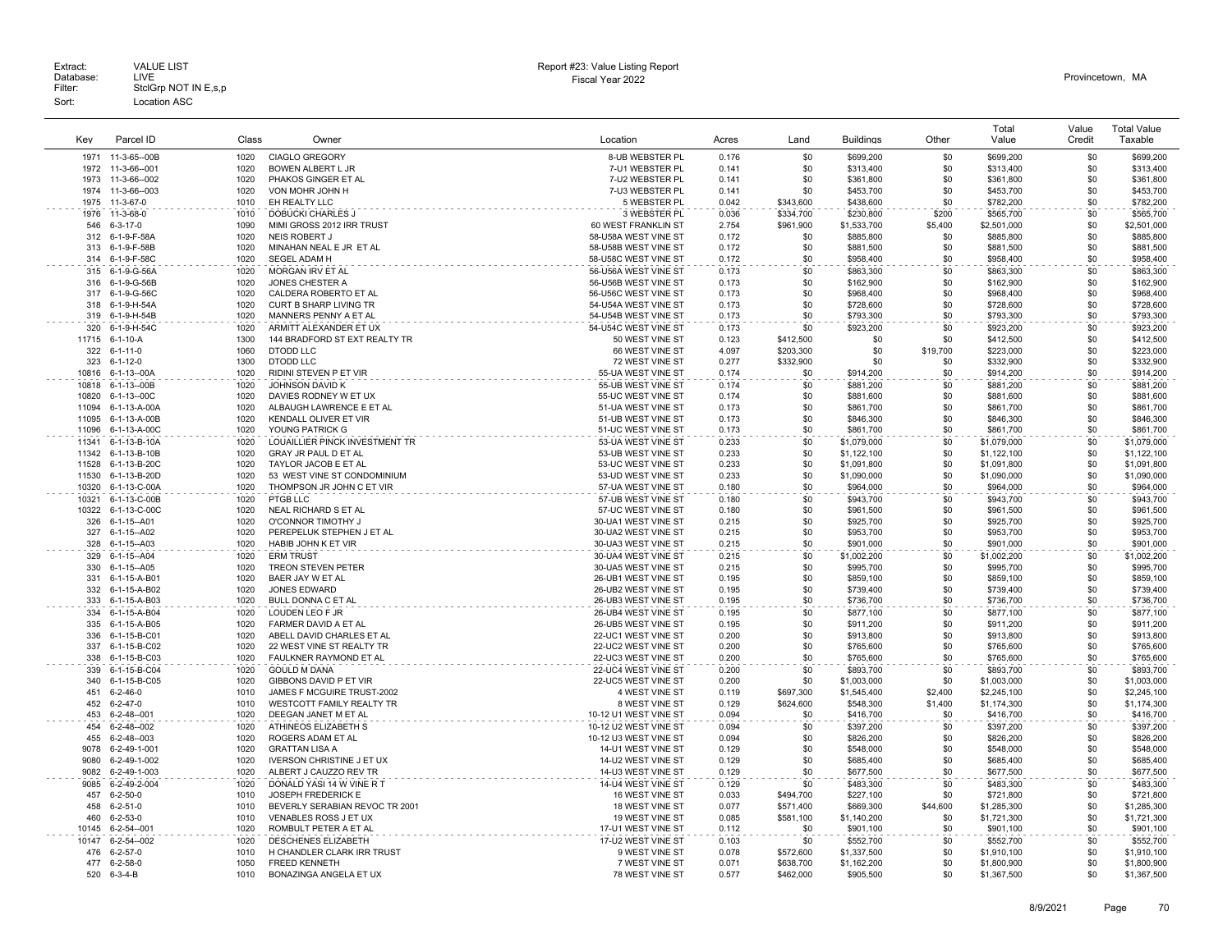| Key        | Parcel ID                    | Class        | Owner                                                  | Location                                   | Acres          | Land       | <b>Buildinas</b>       | Other      | Total<br>Value         | Value<br>Credit | <b>Total Value</b><br>Taxable |
|------------|------------------------------|--------------|--------------------------------------------------------|--------------------------------------------|----------------|------------|------------------------|------------|------------------------|-----------------|-------------------------------|
|            | 1971 11-3-65--00B            | 1020         | <b>CIAGLO GREGORY</b>                                  | 8-UB WEBSTER PL                            | 0.176          | \$0        | \$699,200              | \$0        | \$699,200              | \$0             | \$699,200                     |
| 1972       | 11-3-66--001                 | 1020         | BOWEN ALBERT L JR                                      | 7-U1 WEBSTER PL                            | 0.141          | \$0        | \$313,400              | \$0        | \$313,400              | \$0             | \$313,400                     |
| 1973       | 11-3-66--002                 | 1020         | PHAKOS GINGER ET AL                                    | 7-U2 WEBSTER PL                            | 0.141          | \$0        | \$361,800              | \$0        | \$361,800              | \$0             | \$361,800                     |
| 1974       | 11-3-66--003                 | 1020         | VON MOHR JOHN H                                        | 7-U3 WEBSTER PL                            | 0.141          | \$0        | \$453,700              | \$0        | \$453,700              | \$0             | \$453,700                     |
| 1975       | 11-3-67-0                    | 1010         | EH REALTY LLC                                          | 5 WEBSTER PL                               | 0.042          | \$343,600  | \$438,600              | \$0        | \$782,200              | \$0             | \$782,200                     |
| 1976       | 11-3-68-0                    | 1010         | <b>DOBUCKI CHARLES J</b>                               | 3 WEBSTER PL                               | 0.036          | \$334,700  | \$230,800              | \$200      | \$565,700              | \$0             | \$565,700                     |
| 546        | $6 - 3 - 17 - 0$             | 1090         | MIMI GROSS 2012 IRR TRUST                              | 60 WEST FRANKLIN ST                        | 2.754          | \$961,900  | \$1,533,700            | \$5,400    | \$2,501,000            | \$0             | \$2,501,000                   |
| 312        | 6-1-9-F-58A                  | 1020         | <b>NEIS ROBERT J</b>                                   | 58-U58A WEST VINE ST                       | 0.172          | \$0        | \$885,800              | \$0        | \$885,800              | \$0             | \$885,800                     |
| 313        | 6-1-9-F-58B                  | 1020         | MINAHAN NEAL E JR ET AL                                | 58-U58B WEST VINE ST                       | 0.172          | \$0        | \$881,500              | \$0        | \$881,500              | \$0             | \$881,500                     |
|            | 314 6-1-9-F-58C              | 1020         | SEGEL ADAM H                                           | 58-U58C WEST VINE ST                       | 0.172          | \$0        | \$958,400              | \$0        | \$958,400              | \$0             | \$958,400                     |
| 315        | 6-1-9-G-56A                  | 1020         | <b>MORGAN IRV ET AL</b>                                | 56-U56A WEST VINE ST                       | 0.173          | \$0        | \$863,300              | \$0        | \$863,300              | \$0             | \$863.300                     |
| 316        | 6-1-9-G-56B                  | 1020         | JONES CHESTER A                                        | 56-U56B WEST VINE ST                       | 0.173          | \$0        | \$162,900              | \$0        | \$162,900              | \$0             | \$162,900                     |
| 317        | 6-1-9-G-56C                  | 1020         | CALDERA ROBERTO ET AL                                  | 56-U56C WEST VINE ST                       | 0.173          | \$0        | \$968,400              | \$0        | \$968,400              | \$0             | \$968,400                     |
| 318        | 6-1-9-H-54A                  | 1020         | <b>CURT B SHARP LIVING TR</b>                          | 54-U54A WEST VINE ST                       | 0.173          | \$0        | \$728,600              | \$0        | \$728,600              | \$0             | \$728,600                     |
| 319        | 6-1-9-H-54B                  | 1020         | MANNERS PENNY A ET AL                                  | 54-U54B WEST VINE ST                       | 0.173          | \$0        | \$793,300              | \$0        | \$793,300              | \$0             | \$793,300                     |
| 320        | 6-1-9-H-54C                  | 1020         | ARMITT ALEXANDER ET UX                                 | 54-U54C WEST VINE ST                       | 0.173          | \$0        | \$923,200              | \$0        | \$923,200              | \$0             | \$923,200                     |
| 11715      | 6-1-10-A                     | 1300         | 144 BRADFORD ST EXT REALTY TR                          | 50 WEST VINE ST                            | 0.123          | \$412,500  | \$0                    | \$0        | \$412,500              | \$0             | \$412,500                     |
| 322        | 6-1-11-0                     | 1060         | <b>DTODD LLC</b>                                       | 66 WEST VINE ST                            | 4.097          | \$203,300  | \$0                    | \$19,700   | \$223,000              | \$0             | \$223,000                     |
| 323        | $6 - 1 - 12 - 0$             | 1300         | <b>DTODD LLC</b>                                       | 72 WEST VINE ST                            | 0.277          | \$332,900  | \$0                    | \$0        | \$332,900              | \$0             | \$332,900                     |
| 10816      | 6-1-13--00A                  | 1020         | RIDINI STEVEN P ET VIR                                 | 55-UA WEST VINE ST                         | 0.174          | \$0        | \$914,200              | \$0        | \$914,200              | \$0             | \$914,200                     |
| 10818      | 6-1-13--00B                  | 1020         | JOHNSON DAVID K                                        | 55-UB WEST VINE ST                         | 0.174          | \$0        | \$881,200              | \$0        | \$881,200              | \$0             | \$881,200                     |
| 10820      | 6-1-13--00C                  | 1020         | DAVIES RODNEY W ET UX                                  | 55-UC WEST VINE ST                         | 0.174          | \$0        | \$881,600              | \$0        | \$881,600              | \$0             | \$881,600                     |
| 11094      | 6-1-13-A-00A                 | 1020         | ALBAUGH LAWRENCE E ET AL                               | 51-UA WEST VINE ST                         | 0.173          | \$0        | \$861,700              | \$0        | \$861,700              | \$0             | \$861,700                     |
| 11095      | 6-1-13-A-00B                 | 1020         | KENDALL OLIVER ET VIR                                  | 51-UB WEST VINE ST                         | 0.173          | \$0        | \$846,300              | \$0        | \$846,300              | \$0             | \$846,300                     |
| 11096      | 6-1-13-A-00C                 | 1020         | YOUNG PATRICK G                                        | 51-UC WEST VINE ST                         | 0.173          | \$0        | \$861,700              | \$0        | \$861,700              | \$0             | \$861,700                     |
| 11341      | 6-1-13-B-10A                 | 1020         | LOUAILLIER PINCK INVESTMENT TR                         | 53-UA WEST VINE ST                         | 0.233          | \$0        | \$1,079,000            | \$0        | \$1,079,000            | \$0             | \$1,079,000                   |
|            | 11342 6-1-13-B-10B           | 1020         | <b>GRAY JR PAUL D ET AL</b>                            | 53-UB WEST VINE ST                         | 0.233          | \$0        | \$1,122,100            | \$0        | \$1,122,100            | \$0             | \$1,122,100                   |
| 11528      | 6-1-13-B-20C                 | 1020         | TAYLOR JACOB E ET AL                                   | 53-UC WEST VINE ST                         | 0.233          | \$0        | \$1,091,800            | \$0        | \$1,091,800            | \$0             | \$1,091,800                   |
| 11530      | 6-1-13-B-20D                 | 1020         | 53 WEST VINE ST CONDOMINIUM                            | 53-UD WEST VINE ST                         | 0.233          | \$0        | \$1,090,000            | \$0        | \$1,090,000            | \$0             | \$1,090,000                   |
| 10320      | 6-1-13-C-00A                 | 1020         | THOMPSON JR JOHN C ET VIR                              | 57-UA WEST VINE ST                         | 0.180          | \$0        | \$964,000              | \$0        | \$964,000              | \$0             | \$964,000                     |
| 10321      | 6-1-13-C-00B                 | 1020         | PTGB LLC                                               | 57-UB WEST VINE ST                         | 0.180          | \$0        | \$943,700              | \$0        | \$943,700              | \$0             | \$943,700                     |
| 10322      | 6-1-13-C-00C                 | 1020         | NEAL RICHARD S ET AL                                   | 57-UC WEST VINE ST                         | 0.180          | \$0        | \$961,500              | \$0        | \$961,500              | \$0             | \$961,500                     |
| 326        | 6-1-15--A01                  | 1020         | O'CONNOR TIMOTHY J                                     | 30-UA1 WEST VINE ST                        | 0.215          | \$0        | \$925,700              | \$0        | \$925,700              | \$0             | \$925,700                     |
| 327        | 6-1-15--A02                  | 1020         | PEREPELUK STEPHEN J ET AL                              | 30-UA2 WEST VINE ST                        | 0.215          | \$0        | \$953,700              | \$0        | \$953,700              | \$0             | \$953,700                     |
| 328        | 6-1-15--A03                  | 1020         | HABIB JOHN K ET VIR                                    | 30-UA3 WEST VINE ST                        | 0.215          | \$0        | \$901,000              | \$0        | \$901,000              | \$0             | \$901,000                     |
| 329        | 6-1-15--A04                  | 1020         | <b>ERM TRUST</b>                                       | 30-UA4 WEST VINE ST                        | 0.215          | \$0        | \$1,002,200            | \$0        | \$1,002,200            | \$0             | \$1,002,200                   |
| 330        | 6-1-15--A05                  | 1020         | TREON STEVEN PETER                                     | 30-UA5 WEST VINE ST                        | 0.215          | \$0        | \$995,700              | \$0        | \$995,700              | \$0             | \$995,700                     |
| 331        | 6-1-15-A-B01                 | 1020<br>1020 | BAER JAY W ET AL                                       | 26-UB1 WEST VINE ST                        | 0.195          | \$0<br>\$0 | \$859,100              | \$0<br>\$0 | \$859,100              | \$0<br>\$0      | \$859,100                     |
| 332<br>333 | 6-1-15-A-B02<br>6-1-15-A-B03 | 1020         | JONES EDWARD<br>BULL DONNA C ET AL                     | 26-UB2 WEST VINE ST<br>26-UB3 WEST VINE ST | 0.195<br>0.195 | \$0        | \$739,400<br>\$736,700 | \$0        | \$739,400<br>\$736,700 | \$0             | \$739,400<br>\$736,700        |
|            |                              |              |                                                        |                                            |                | \$0        |                        |            | \$877,100              | \$0             |                               |
| 334<br>335 | 6-1-15-A-B04<br>6-1-15-A-B05 | 1020<br>1020 | LOUDEN LEO F JR<br>FARMER DAVID A ET AL                | 26-UB4 WEST VINE ST<br>26-UB5 WEST VINE ST | 0.195<br>0.195 | \$0        | \$877,100<br>\$911.200 | \$0<br>\$0 | \$911,200              | \$0             | \$877,100<br>\$911,200        |
|            |                              | 1020         |                                                        |                                            |                | \$0        |                        | \$0        | \$913,800              | \$0             |                               |
| 336<br>337 | 6-1-15-B-C01<br>6-1-15-B-C02 | 1020         | ABELL DAVID CHARLES ET AL<br>22 WEST VINE ST REALTY TR | 22-UC1 WEST VINE ST<br>22-UC2 WEST VINE ST | 0.200<br>0.200 | \$0        | \$913,800<br>\$765,600 | \$0        | \$765,600              | \$0             | \$913,800<br>\$765,600        |
| 338        | 6-1-15-B-C03                 | 1020         | FAULKNER RAYMOND ET AL                                 | 22-UC3 WEST VINE ST                        | 0.200          | \$0        | \$765,600              | \$0        | \$765,600              | \$0             | \$765,600                     |
| 339        | 6-1-15-B-C04                 | 1020         | <b>GOULD M DANA</b>                                    | 22-UC4 WEST VINE ST                        | 0.200          | \$0        | \$893.700              | \$0        | \$893.700              | \$0             | \$893,700                     |
| 340        | 6-1-15-B-C05                 | 1020         | GIBBONS DAVID P ET VIR                                 | 22-UC5 WEST VINE ST                        | 0.200          | \$0        | \$1,003,000            | \$0        | \$1,003,000            | \$0             | \$1,003,000                   |
| 451        | $6 - 2 - 46 - 0$             | 1010         | JAMES F MCGUIRE TRUST-2002                             | 4 WEST VINE ST                             | 0.119          | \$697,300  | \$1,545,400            | \$2,400    | \$2,245,100            | \$0             | \$2,245,100                   |
| 452        | $6 - 2 - 47 - 0$             | 1010         | WESTCOTT FAMILY REALTY TR                              | 8 WEST VINE ST                             | 0.129          | \$624,600  | \$548,300              | \$1,400    | \$1,174,300            | \$0             | \$1,174,300                   |
| 453        | $6 - 2 - 48 - 001$           | 1020         | DEEGAN JANET M ET AL                                   | 10-12 U1 WEST VINE ST                      | 0.094          | \$0        | \$416,700              | \$0        | \$416,700              | \$0             | \$416,700                     |
| 454        | 6-2-48--002                  | 1020         | ATHINEOS ELIZABETH S                                   | 10-12 U2 WEST VINE ST                      | 0.094          | \$0        | \$397,200              | \$0        | \$397,200              | \$0             | \$397,200                     |
| 455        | 6-2-48--003                  | 1020         | ROGERS ADAM ET AL                                      | 10-12 U3 WEST VINE ST                      | 0.094          | \$0        | \$826,200              | \$0        | \$826,200              | \$0             | \$826,200                     |
| 9078       | 6-2-49-1-001                 | 1020         | <b>GRATTAN LISA A</b>                                  | 14-U1 WEST VINE ST                         | 0.129          | \$0        | \$548,000              | \$0        | \$548,000              | \$0             | \$548,000                     |
| 9080       | 6-2-49-1-002                 | 1020         | <b>IVERSON CHRISTINE J ET UX</b>                       | 14-U2 WEST VINE ST                         | 0.129          | \$0        | \$685,400              | \$0        | \$685,400              | \$0             | \$685,400                     |
| 9082       | 6-2-49-1-003                 | 1020         | ALBERT J CAUZZO REV TR                                 | 14-U3 WEST VINE ST                         | 0.129          | \$0        | \$677,500              | \$0        | \$677,500              | \$0             | \$677,500                     |
| 9085       | 6-2-49-2-004                 | 1020         | DONALD YASI 14 W VINE R T                              | 14-U4 WEST VINE ST                         | 0.129          | \$0        | \$483,300              | \$0        | \$483,300              | \$0             | \$483,300                     |
| 457        | $6 - 2 - 50 - 0$             | 1010         | <b>JOSEPH FREDERICK E</b>                              | 16 WEST VINE ST                            | 0.033          | \$494,700  | \$227,100              | \$0        | \$721,800              | \$0             | \$721,800                     |
| 458        | $6 - 2 - 51 - 0$             | 1010         | BEVERLY SERABIAN REVOC TR 2001                         | 18 WEST VINE ST                            | 0.077          | \$571,400  | \$669,300              | \$44,600   | \$1,285,300            | \$0             | \$1,285,300                   |
| 460        | $6 - 2 - 53 - 0$             | 1010         | VENABLES ROSS J ET UX                                  | 19 WEST VINE ST                            | 0.085          | \$581,100  | \$1,140,200            | \$0        | \$1,721,300            | \$0             | \$1,721,300                   |
| 10145      | 6-2-54--001                  | 1020         | ROMBULT PETER A ET AL                                  | 17-U1 WEST VINE ST                         | 0.112          | \$0        | \$901,100              | .\$በ       | \$901,100              | \$0             | \$901,100                     |
| 10147      | 6-2-54--002                  | 1020         | <b>DESCHENES ELIZABETH</b>                             | 17-U2 WEST VINE ST                         | 0.103          | \$0        | \$552,700              | \$0        | \$552,700              | \$0             | \$552,700                     |
| 476        | $6 - 2 - 57 - 0$             | 1010         | H CHANDLER CLARK IRR TRUST                             | 9 WEST VINE ST                             | 0.078          | \$572,600  | \$1,337,500            | \$0        | \$1,910,100            | \$0             | \$1,910,100                   |
| 477        | $6 - 2 - 58 - 0$             | 1050         | <b>FREED KENNETH</b>                                   | 7 WEST VINE ST                             | 0.071          | \$638,700  | \$1,162,200            | \$0        | \$1,800,900            | \$0             | \$1,800,900                   |
| 520        | $6 - 3 - 4 - B$              | 1010         | BONAZINGA ANGELA ET UX                                 | 78 WEST VINE ST                            | 0.577          | \$462.000  | \$905,500              | \$0        | \$1,367.500            | \$0             | \$1,367,500                   |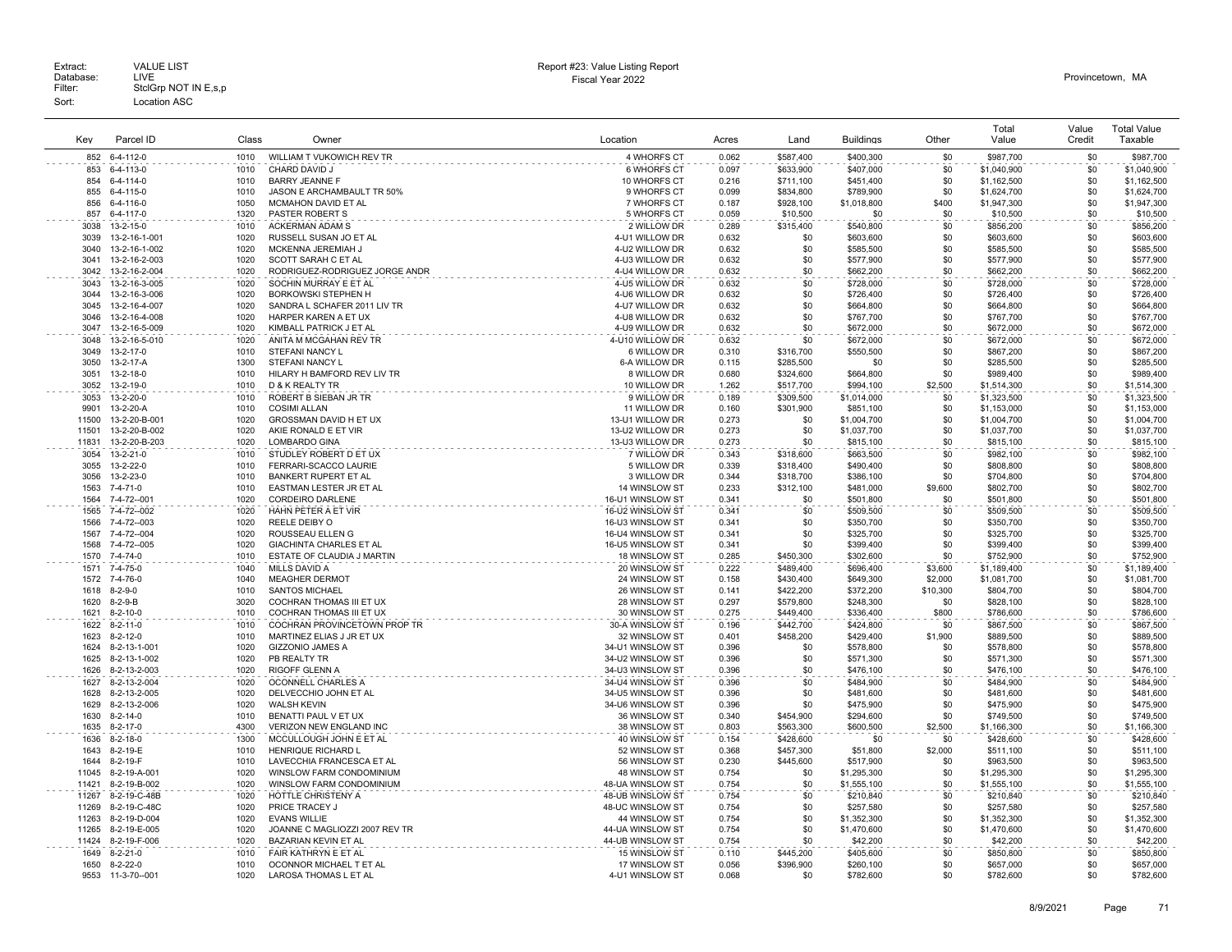|                |                              |              |                                                          |                                   |                |                        |                            |                 | Total                      | Value      | <b>Total Value</b>         |
|----------------|------------------------------|--------------|----------------------------------------------------------|-----------------------------------|----------------|------------------------|----------------------------|-----------------|----------------------------|------------|----------------------------|
| Kev            | Parcel ID                    | Class        | Owner                                                    | Location                          | Acres          | Land                   | <b>Buildings</b>           | Other           | Value                      | Credit     | Taxable                    |
| 852            | 6-4-112-0                    | 1010         | WILLIAM T VUKOWICH REV TR                                | 4 WHORFS CT                       | 0.062          | \$587,400              | \$400,300                  | \$0             | \$987,700                  | \$0        | \$987,700                  |
| 853            | 6-4-113-0                    | 1010         | CHARD DAVID J                                            | 6 WHORFS CT                       | 0.097          | \$633,900              | \$407,000                  | \$0             | \$1,040,900                | \$0        | \$1,040,900                |
| 854            | 6-4-114-0                    | 1010         | <b>BARRY JEANNE F</b>                                    | 10 WHORFS CT                      | 0.216          | \$711,100              | \$451,400                  | \$0             | \$1,162,500                | \$0        | \$1,162,500                |
| 855            | 6-4-115-0                    | 1010         | JASON E ARCHAMBAULT TR 50%                               | 9 WHORFS CT                       | 0.099          | \$834,800              | \$789,900                  | \$0             | \$1,624,700                | \$0        | \$1,624,700                |
| 856            | 6-4-116-0                    | 1050         | MCMAHON DAVID ET AL                                      | 7 WHORFS CT                       | 0.187          | \$928,100              | \$1,018,800                | \$400           | \$1,947,300                | \$0        | \$1,947,300                |
| 857            | 6-4-117-0                    | 1320         | PASTER ROBERT S                                          | 5 WHORFS CT                       | 0.059          | \$10,500               | \$0                        | \$0             | \$10,500                   | \$0        | \$10,500                   |
| 3038           | 13-2-15-0                    | 1010         | ACKERMAN ADAM S                                          | 2 WILLOW DR                       | 0.289          | \$315,400              | \$540,800                  | \$0             | \$856,200                  | \$0        | \$856,200                  |
| 3039           | 13-2-16-1-001                | 1020         | RUSSELL SUSAN JO ET AL                                   | 4-U1 WILLOW DR                    | 0.632          | \$0                    | \$603,600                  | \$0             | \$603,600                  | \$0        | \$603,600                  |
| 3040           | 13-2-16-1-002                | 1020         | MCKENNA JEREMIAH J                                       | 4-U2 WILLOW DR                    | 0.632          | \$0                    | \$585,500                  | \$0             | \$585,500                  | \$0        | \$585,500                  |
| 3041           | 13-2-16-2-003                | 1020         | SCOTT SARAH C ET AL                                      | 4-U3 WILLOW DR                    | 0.632          | \$0                    | \$577,900                  | \$0             | \$577,900                  | \$0        | \$577,900                  |
| 3042           | 13-2-16-2-004                | 1020         | RODRIGUEZ-RODRIGUEZ JORGE ANDR                           | 4-U4 WILLOW DR                    | 0.632          | \$0                    | \$662,200                  | \$0             | \$662,200                  | \$0        | \$662,200                  |
| 3043           | 13-2-16-3-005                | 1020         | SOCHIN MURRAY E ET AL                                    | 4-U5 WILLOW DR                    | 0.632          | \$0                    | \$728,000                  | \$0             | \$728,000                  | \$0        | \$728,000                  |
| 3044           | 13-2-16-3-006                | 1020         | <b>BORKOWSKI STEPHEN H</b>                               | 4-U6 WILLOW DR                    | 0.632          | \$0                    | \$726,400                  | \$0             | \$726,400                  | \$0        | \$726,400                  |
| 3045           | 13-2-16-4-007                | 1020         | SANDRA L SCHAFER 2011 LIV TR                             | 4-U7 WILLOW DR                    | 0.632          | \$0                    | \$664,800                  | \$0             | \$664,800                  | \$0        | \$664,800                  |
| 3046           | 13-2-16-4-008                | 1020         | HARPER KAREN A ET UX                                     | 4-U8 WILLOW DR                    | 0.632          | \$0                    | \$767,700                  | \$0             | \$767,700                  | \$0        | \$767,700                  |
| 3047           | 13-2-16-5-009                | 1020         | KIMBALL PATRICK J ET AL                                  | 4-U9 WILLOW DR                    | 0.632          | \$0                    | \$672,000                  | \$0             | \$672,000                  | \$0        | \$672,000                  |
| 3048           | 13-2-16-5-010                | 1020         | ANITA M MCGAHAN REV TR                                   | 4-U10 WILLOW DR                   | 0.632          | \$0                    | \$672,000                  | \$0             | \$672,000                  | \$0        | \$672,000                  |
| 3049           | 13-2-17-0                    | 1010         | STEFANI NANCY L                                          | 6 WILLOW DR                       | 0.310          | \$316,700              | \$550,500                  | \$0             | \$867,200                  | \$0<br>\$0 | \$867,200                  |
| 3050<br>3051   | 13-2-17-A<br>13-2-18-0       | 1300<br>1010 | STEFANI NANCY L<br>HILARY H BAMFORD REV LIV TR           | 6-A WILLOW DR<br>8 WILLOW DR      | 0.115<br>0.680 | \$285,500<br>\$324,600 | \$0<br>\$664,800           | \$0<br>\$0      | \$285,500<br>\$989,400     | \$0        | \$285,500<br>\$989,400     |
| 3052           | 13-2-19-0                    | 1010         | D & K REALTY TR                                          | 10 WILLOW DR                      | 1.262          | \$517,700              | \$994,100                  | \$2,500         | \$1,514,300                | \$0        | \$1,514,300                |
| 3053           | 13-2-20-0                    | 1010         | ROBERT B SIEBAN JR TR                                    | 9 WILLOW DR                       | 0.189          | \$309,500              | \$1,014,000                | \$0             | \$1,323,500                | \$0        | \$1,323,500                |
| 9901           | 13-2-20-A                    | 1010         | <b>COSIMI ALLAN</b>                                      | 11 WILLOW DR                      | 0.160          | \$301,900              | \$851,100                  | \$0             | \$1,153,000                | \$0        | \$1,153,000                |
| 11500          | 13-2-20-B-001                | 1020         | GROSSMAN DAVID H ET UX                                   | 13-U1 WILLOW DR                   | 0.273          | \$0                    | \$1,004,700                | \$0             | \$1,004,700                | \$0        | \$1,004,700                |
| 11501          | 13-2-20-B-002                | 1020         | AKIE RONALD E ET VIR                                     | 13-U2 WILLOW DR                   | 0.273          | \$0                    | \$1,037,700                | \$0             | \$1,037,700                | \$0        | \$1,037,700                |
| 11831          | 13-2-20-B-203                | 1020         | LOMBARDO GINA                                            | 13-U3 WILLOW DR                   | 0.273          | \$0                    | \$815,100                  | \$0             | \$815,100                  | \$0        | \$815,100                  |
| 3054           | 13-2-21-0                    | 1010         | STUDLEY ROBERT D ET UX                                   | 7 WILLOW DR                       | 0.343          | \$318,600              | \$663,500                  | \$0             | \$982,100                  | \$0        | \$982,100                  |
| 3055           | 13-2-22-0                    | 1010         | FERRARI-SCACCO LAURIE                                    | 5 WILLOW DR                       | 0.339          | \$318,400              | \$490,400                  | \$0             | \$808,800                  | \$0        | \$808,800                  |
| 3056           | 13-2-23-0                    | 1010         | BANKERT RUPERT ET AL                                     | 3 WILLOW DR                       | 0.344          | \$318,700              | \$386,100                  | \$0             | \$704,800                  | \$0        | \$704,800                  |
| 1563           | 7-4-71-0                     | 1010         | EASTMAN LESTER JR ET AL                                  | 14 WINSLOW ST                     | 0.233          | \$312,100              | \$481,000                  | \$9,600         | \$802,700                  | \$0        | \$802,700                  |
| 1564           | 7-4-72--001                  | 1020         | CORDEIRO DARLENE                                         | 16-U1 WINSLOW ST                  | 0.341          | \$0                    | \$501,800                  | \$0             | \$501,800                  | \$0        | \$501,800                  |
| 1565           | 7-4-72--002                  | 1020         | HAHN PETER A ET VIR                                      | 16-U2 WINSLOW ST                  | 0.341          | \$0                    | \$509,500                  | \$0             | \$509,500                  | \$0        | \$509,500                  |
| 1566           | 7-4-72--003                  | 1020         | REELE DEIBY O                                            | 16-U3 WINSLOW ST                  | 0.341          | \$0                    | \$350,700                  | \$0             | \$350,700                  | \$0        | \$350,700                  |
| 1567           | 7-4-72--004                  | 1020         | ROUSSEAU ELLEN G                                         | 16-U4 WINSLOW ST                  | 0.341          | \$0                    | \$325,700                  | \$0             | \$325,700                  | \$0        | \$325,700                  |
| 1568           | 7-4-72--005                  | 1020         | <b>GIACHINTA CHARLES ET AL</b>                           | 16-U5 WINSLOW ST                  | 0.341          | \$0                    | \$399,400                  | \$0             | \$399,400                  | \$0        | \$399,400                  |
| 1570           | 7-4-74-0                     | 1010         | ESTATE OF CLAUDIA J MARTIN                               | 18 WINSLOW ST                     | 0.285          | \$450,300              | \$302,600                  | \$0             | \$752,900                  | \$0        | \$752,900                  |
| 1571           | 7-4-75-0                     | 1040         | <b>MILLS DAVID A</b>                                     | 20 WINSLOW ST                     | 0.222          | \$489,400              | \$696,400                  | \$3,600         | \$1,189,400                | \$0        | \$1,189,400                |
| 1572           | 7-4-76-0                     | 1040         | <b>MEAGHER DERMOT</b>                                    | 24 WINSLOW ST                     | 0.158          | \$430,400              | \$649,300                  | \$2,000         | \$1,081,700                | \$0<br>\$0 | \$1,081,700                |
| 1618<br>1620   | $8-2-9-0$<br>$8 - 2 - 9 - B$ | 1010<br>3020 | <b>SANTOS MICHAEL</b><br><b>COCHRAN THOMAS III ET UX</b> | 26 WINSLOW ST<br>28 WINSLOW ST    | 0.141<br>0.297 | \$422,200<br>\$579,800 | \$372,200<br>\$248,300     | \$10,300<br>\$0 | \$804,700<br>\$828,100     | \$0        | \$804,700<br>\$828,100     |
| 1621           | $8 - 2 - 10 - 0$             | 1010         | COCHRAN THOMAS III ET UX                                 | 30 WINSLOW ST                     | 0.275          | \$449,400              | \$336,400                  | \$800           | \$786,600                  | \$0        | \$786,600                  |
| 1622           | $8 - 2 - 11 - 0$             | 1010         | COCHRAN PROVINCETOWN PROP TR                             | 30-A WINSLOW ST                   | 0.196          | \$442,700              | \$424,800                  | \$0             | \$867,500                  | \$0        | \$867,500                  |
| 1623           | $8 - 2 - 12 - 0$             | 1010         | MARTINEZ ELIAS J JR ET UX                                | 32 WINSLOW ST                     | 0.401          | \$458,200              | \$429,400                  | \$1,900         | \$889,500                  | \$0        | \$889,500                  |
| 1624           | 8-2-13-1-001                 | 1020         | <b>GIZZONIO JAMES A</b>                                  | 34-U1 WINSLOW ST                  | 0.396          | \$0                    | \$578,800                  | \$0             | \$578,800                  | \$0        | \$578,800                  |
| 1625           | 8-2-13-1-002                 | 1020         | PB REALTY TR                                             | 34-U2 WINSLOW ST                  | 0.396          | \$0                    | \$571,300                  | \$0             | \$571,300                  | \$0        | \$571,300                  |
| 1626           | 8-2-13-2-003                 | 1020         | <b>RIGOFF GLENN A</b>                                    | 34-U3 WINSLOW ST                  | 0.396          | \$0                    | \$476,100                  | \$0             | \$476,100                  | \$0        | \$476,100                  |
| 1627           | 8-2-13-2-004                 | 1020         | OCONNELL CHARLES A                                       | 34-U4 WINSLOW ST                  | 0.396          | \$0                    | \$484,900                  | \$0             | \$484,900                  | \$0        | \$484,900                  |
| 1628           | 8-2-13-2-005                 | 1020         | DELVECCHIO JOHN ET AL                                    | 34-U5 WINSLOW ST                  | 0.396          | \$0                    | \$481,600                  | \$0             | \$481,600                  | \$0        | \$481,600                  |
| 1629           | 8-2-13-2-006                 | 1020         | <b>WALSH KEVIN</b>                                       | 34-U6 WINSLOW ST                  | 0.396          | \$0                    | \$475,900                  | \$0             | \$475,900                  | \$0        | \$475,900                  |
| 1630           | $8 - 2 - 14 - 0$             | 1010         | BENATTI PAUL V ET UX                                     | 36 WINSLOW ST                     | 0.340          | \$454,900              | \$294,600                  | \$0             | \$749,500                  | \$0        | \$749,500                  |
| 1635           | $8 - 2 - 17 - 0$             | 4300         | VERIZON NEW ENGLAND INC                                  | 38 WINSLOW ST                     | 0.803          | \$563,300              | \$600,500                  | \$2,500         | \$1,166,300                | \$0        | \$1,166,300                |
| 1636           | $8 - 2 - 18 - 0$             | 1300         | MCCULLOUGH JOHN E ET AL                                  | 40 WINSLOW ST                     | 0.154          | \$428,600              | \$0                        | \$0             | \$428,600                  | \$0        | \$428,600                  |
| 1643           | 8-2-19-E                     | 1010         | HENRIQUE RICHARD L                                       | 52 WINSLOW ST                     | 0.368          | \$457,300              | \$51,800                   | \$2,000         | \$511,100                  | \$0        | \$511,100                  |
| 1644           | 8-2-19-F                     | 1010         | LAVECCHIA FRANCESCA ET AL                                | 56 WINSLOW ST                     | 0.230          | \$445,600              | \$517,900                  | \$0             | \$963,500                  | \$0        | \$963,500                  |
| 11045          | 8-2-19-A-001                 | 1020         | WINSLOW FARM CONDOMINIUM                                 | 48 WINSLOW ST                     | 0.754          | \$0                    | \$1,295,300                | \$0             | \$1,295,300                | \$0        | \$1,295,300                |
| 11421          | 8-2-19-B-002                 | 1020         | WINSLOW FARM CONDOMINIUM                                 | 48-UA WINSLOW ST                  | 0.754          | \$0                    | \$1,555,100                | \$0             | \$1,555,100                | \$0        | \$1,555,100                |
| 11267          | 8-2-19-C-48B                 | 1020         | HOTTLE CHRISTENY A                                       | 48-UB WINSLOW ST                  | 0.754          | \$0                    | \$210,840                  | \$0             | \$210,840                  | \$0        | \$210,840                  |
| 11269          | 8-2-19-C-48C                 | 1020         | PRICE TRACEY J                                           | 48-UC WINSLOW ST                  | 0.754          | \$0                    | \$257,580                  | \$0             | \$257,580                  | \$0        | \$257,580                  |
| 11263<br>11265 | 8-2-19-D-004<br>8-2-19-E-005 | 1020<br>1020 | <b>EVANS WILLIE</b><br>JOANNE C MAGLIOZZI 2007 REV TR    | 44 WINSLOW ST<br>44-UA WINSLOW ST | 0.754<br>0.754 | \$0<br>\$0             | \$1,352,300<br>\$1,470,600 | \$0<br>\$0      | \$1,352,300<br>\$1,470,600 | \$0<br>\$0 | \$1,352,300<br>\$1,470,600 |
| 11424          | 8-2-19-F-006                 | 1020         | BAZARIAN KEVIN ET AL                                     | 44-UB WINSLOW ST                  | 0.754          | \$0                    | \$42,200                   | \$0             | \$42,200                   | \$0        | \$42,200                   |
| 1649           | $8 - 2 - 21 - 0$             | 1010         | FAIR KATHRYN E ET AL                                     | 15 WINSLOW ST                     | 0.110          | \$445,200              | \$405,600                  | \$0             | \$850,800                  | \$0        | \$850,800                  |
| 1650           | $8 - 2 - 22 - 0$             | 1010         | OCONNOR MICHAEL T ET AL                                  | 17 WINSLOW ST                     | 0.056          | \$396,900              | \$260,100                  | \$0             | \$657,000                  | \$0        | \$657,000                  |
| 9553           | 11-3-70--001                 | 1020         | <b>LAROSA THOMAS L ET AL</b>                             | 4-U1 WINSLOW ST                   | 0.068          | \$0                    | \$782,600                  | \$0             | \$782,600                  | \$0        | \$782,600                  |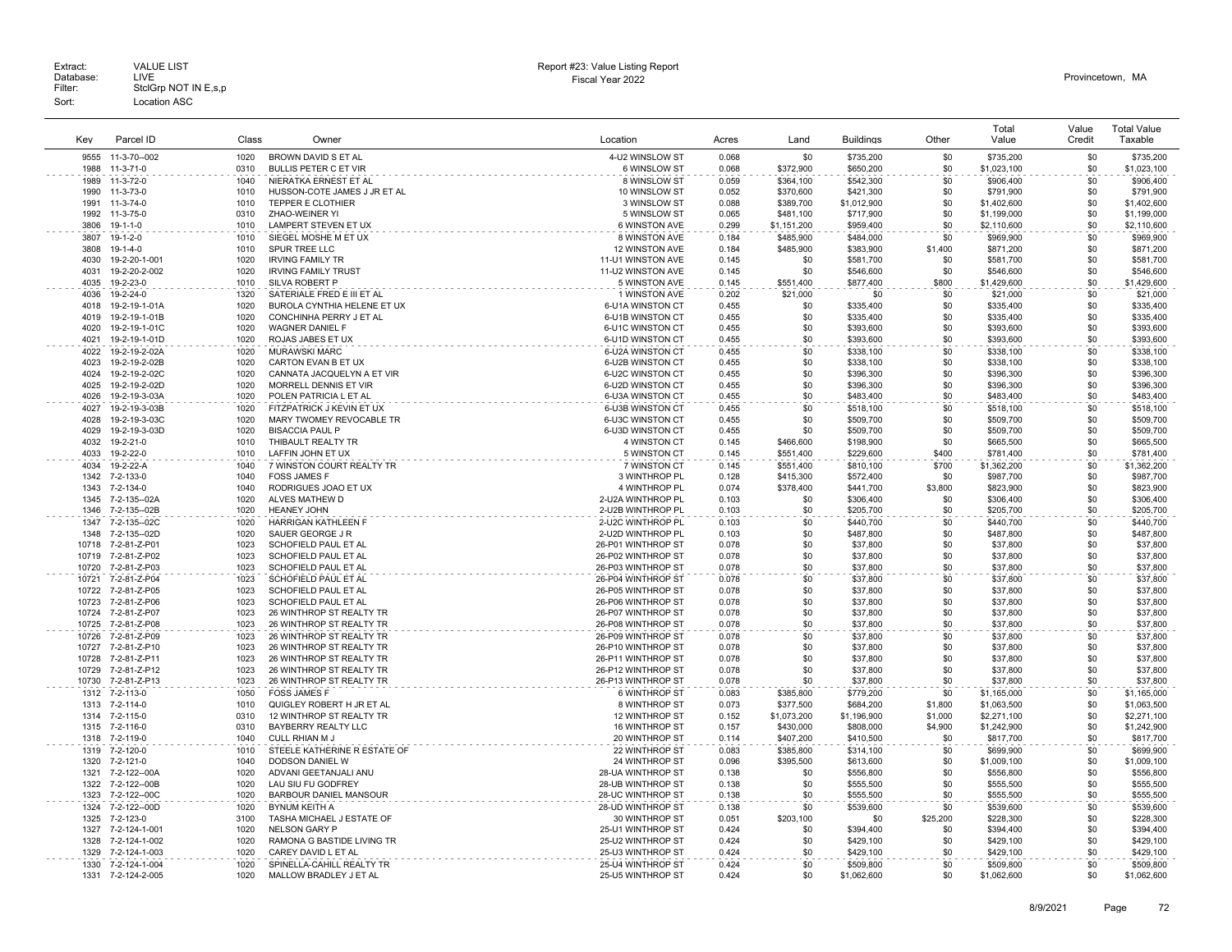| Kev            | Parcel ID                    | Class        | Owner                                           | Location                                 | Acres          | Land                  | <b>Buildings</b>       | Other        | Total<br>Value             | Value<br>Credit | <b>Total Value</b><br>Taxable |
|----------------|------------------------------|--------------|-------------------------------------------------|------------------------------------------|----------------|-----------------------|------------------------|--------------|----------------------------|-----------------|-------------------------------|
| 9555           | 11-3-70--002                 | 1020         | BROWN DAVID S ET AL                             | 4-U2 WINSLOW ST                          | 0.068          | \$0                   | \$735,200              | \$0          | \$735,200                  | \$0             | \$735,200                     |
| 1988           | $11-3-71-0$                  | 0310         | <b>BULLIS PETER C ET VIR</b>                    | 6 WINSLOW ST                             | 0.068          | \$372,900             | \$650,200              | \$0          | \$1,023,100                | \$0             | \$1,023,100                   |
| 1989           | 11-3-72-0                    | 1040         | NIERATKA ERNEST ET AL                           | 8 WINSLOW ST                             | 0.059          | \$364,100             | \$542,300              | \$0          | \$906,400                  | \$0             | \$906,400                     |
| 1990           | 11-3-73-0                    | 1010         | HUSSON-COTE JAMES J JR ET AL                    | 10 WINSLOW ST                            | 0.052          | \$370,600             | \$421,300              | \$0          | \$791,900                  | \$0             | \$791,900                     |
| 1991           | 11-3-74-0                    | 1010         | TEPPER E CLOTHIER                               | 3 WINSLOW ST                             | 0.088          | \$389,700             | \$1,012,900            | \$0          | \$1,402,600                | \$0             | \$1,402,600                   |
| 1992           | 11-3-75-0                    | 0310         | ZHAO-WEINER YI                                  | 5 WINSLOW ST                             | 0.065          | \$481,100             | \$717,900              | \$0          | \$1,199,000                | \$0             | \$1,199,000                   |
| 3806           | $19 - 1 - 1 - 0$             | 1010         | LAMPERT STEVEN ET UX                            | 6 WINSTON AVE                            | 0.299          | \$1,151,200           | \$959,400              | \$0          | \$2,110,600                | \$0             | \$2,110,600                   |
| 3807           | $19-1-2-0$                   | 1010         | SIEGEL MOSHE M ET UX                            | 8 WINSTON AVE                            | 0.184          | \$485.900             | \$484,000              | \$0          | \$969,900                  | \$0             | \$969,900                     |
| 3808           | $19 - 1 - 4 - 0$             | 1010         | SPUR TREE LLC                                   | 12 WINSTON AVE                           | 0.184          | \$485,900             | \$383,900              | \$1,400      | \$871,200                  | \$0             | \$871,200                     |
| 4030           | 19-2-20-1-001                | 1020         | <b>IRVING FAMILY TR</b>                         | 11-U1 WINSTON AVE                        | 0.145          | \$0                   | \$581,700              | \$0          | \$581,700                  | \$0             | \$581,700                     |
| 4031           | 19-2-20-2-002<br>19-2-23-0   | 1020<br>1010 | <b>IRVING FAMILY TRUST</b>                      | 11-U2 WINSTON AVE                        | 0.145          | \$0                   | \$546,600<br>\$877,400 | \$0<br>\$800 | \$546,600<br>\$1,429,600   | \$0<br>\$0      | \$546,600                     |
| 4035<br>4036   | 19-2-24-0                    | 1320         | SILVA ROBERT P<br>SATERIALE FRED E III ET AL    | 5 WINSTON AVE<br>1 WINSTON AVE           | 0.145<br>0.202 | \$551,400<br>\$21,000 | \$0                    | \$0          |                            | \$0             | \$1,429,600<br>\$21,000       |
| 4018           | 19-2-19-1-01A                | 1020         | BUROLA CYNTHIA HELENE ET UX                     | 6-U1A WINSTON CT                         | 0.455          | \$0                   | \$335,400              | \$0          | \$21,000<br>\$335,400      | \$0             | \$335,400                     |
| 4019           | 19-2-19-1-01B                | 1020         | CONCHINHA PERRY J ET AL                         | 6-U1B WINSTON CT                         | 0.455          | \$0                   | \$335,400              | \$0          | \$335,400                  | \$0             | \$335,400                     |
| 4020           | 19-2-19-1-01C                | 1020         | <b>WAGNER DANIEL F</b>                          | 6-U1C WINSTON CT                         | 0.455          | \$0                   | \$393,600              | \$0          | \$393,600                  | \$0             | \$393,600                     |
| 4021           | 19-2-19-1-01D                | 1020         | ROJAS JABES ET UX                               | 6-U1D WINSTON CT                         | 0.455          | \$0                   | \$393,600              | \$0          | \$393,600                  | \$0             | \$393,600                     |
| 4022           | 19-2-19-2-02A                | 1020         | <b>MURAWSKI MARC</b>                            | 6-U2A WINSTON CT                         | 0.455          | \$0                   | \$338,100              | \$0          | \$338,100                  | \$0             | \$338,100                     |
| 4023           | 19-2-19-2-02B                | 1020         | CARTON EVAN B ET UX                             | 6-U2B WINSTON CT                         | 0.455          | \$0                   | \$338,100              | \$0          | \$338,100                  | \$0             | \$338,100                     |
| 4024           | 19-2-19-2-02C                | 1020         | CANNATA JACQUELYN A ET VIR                      | 6-U2C WINSTON CT                         | 0.455          | \$0                   | \$396,300              | \$0          | \$396,300                  | \$0             | \$396,300                     |
| 4025           | 19-2-19-2-02D                | 1020         | MORRELL DENNIS ET VIR                           | 6-U2D WINSTON CT                         | 0.455          | \$0                   | \$396,300              | \$0          | \$396,300                  | \$0             | \$396,300                     |
| 4026           | 19-2-19-3-03A                | 1020         | POLEN PATRICIA L ET AL                          | 6-U3A WINSTON CT                         | 0.455          | \$0                   | \$483,400              | \$0          | \$483,400                  | \$0             | \$483,400                     |
| 4027           | 19-2-19-3-03B                | 1020         | FITZPATRICK J KEVIN ET UX                       | 6-U3B WINSTON CT                         | 0.455          | \$0                   | \$518,100              | \$0          | \$518,100                  | \$0             | \$518,100                     |
| 4028           | 19-2-19-3-03C                | 1020         | MARY TWOMEY REVOCABLE TR                        | 6-U3C WINSTON CT                         | 0.455          | \$0                   | \$509,700              | \$0          | \$509,700                  | \$0             | \$509,700                     |
| 4029           | 19-2-19-3-03D                | 1020         | <b>BISACCIA PAUL P</b>                          | 6-U3D WINSTON CT                         | 0.455          | \$0                   | \$509,700              | \$0          | \$509,700                  | \$0             | \$509,700                     |
| 4032           | 19-2-21-0                    | 1010         | THIBAULT REALTY TR                              | 4 WINSTON CT                             | 0.145          | \$466,600             | \$198,900              | \$0          | \$665,500                  | \$0             | \$665,500                     |
| 4033           | 19-2-22-0                    | 1010         | LAFFIN JOHN ET UX                               | 5 WINSTON CT                             | 0.145          | \$551,400             | \$229,600              | \$400        | \$781,400                  | \$0             | \$781,400                     |
| 4034           | 19-2-22-A                    | 1040         | 7 WINSTON COURT REALTY TR                       | 7 WINSTON CT                             | 0.145          | \$551.400             | \$810.100              | \$700        | \$1,362,200                | \$0             | \$1,362,200                   |
| 1342           | 7-2-133-0                    | 1040         | <b>FOSS JAMES F</b>                             | 3 WINTHROP PL                            | 0.128          | \$415,300             | \$572,400              | \$0          | \$987,700                  | \$0             | \$987,700                     |
| 1343<br>1345   | 7-2-134-0                    | 1040<br>1020 | RODRIGUES JOAO ET UX<br>ALVES MATHEW D          | 4 WINTHROP PL<br>2-U2A WINTHROP PL       | 0.074<br>0.103 | \$378,400             | \$441,700              | \$3,800      | \$823,900<br>\$306,400     | \$0<br>\$0      | \$823,900<br>\$306,400        |
| 1346           | 7-2-135--02A<br>7-2-135--02B | 1020         | <b>HEANEY JOHN</b>                              | 2-U2B WINTHROP PL                        | 0.103          | \$0<br>\$0            | \$306,400<br>\$205,700 | \$0<br>\$0   | \$205,700                  | \$0             | \$205,700                     |
| 1347           | 7-2-135--02C                 | 1020         | <b>HARRIGAN KATHLEEN F</b>                      | 2-U2C WINTHROP PL                        | 0.103          | \$0                   | \$440,700              | \$0          | \$440,700                  | \$0             | \$440,700                     |
| 1348           | 7-2-135--02D                 | 1020         | SAUER GEORGE J R                                | 2-U2D WINTHROP PL                        | 0.103          | \$0                   | \$487,800              | \$0          | \$487,800                  | \$0             | \$487,800                     |
|                | 10718 7-2-81-Z-P01           | 1023         | SCHOFIELD PAUL ET AL                            | 26-P01 WINTHROP ST                       | 0.078          | \$0                   | \$37,800               | \$0          | \$37,800                   | \$0             | \$37,800                      |
| 10719          | 7-2-81-Z-P02                 | 1023         | SCHOFIELD PAUL ET AL                            | 26-P02 WINTHROP ST                       | 0.078          | \$0                   | \$37,800               | \$0          | \$37,800                   | \$0             | \$37,800                      |
| 10720          | 7-2-81-Z-P03                 | 1023         | SCHOFIELD PAUL ET AL                            | 26-P03 WINTHROP ST                       | 0.078          | \$0                   | \$37,800               | \$0          | \$37,800                   | \$0             | \$37,800                      |
| 10721          | 7-2-81-Z-P04                 | 1023         | SCHOFIELD PAUL ET AL                            | 26-P04 WINTHROP ST                       | 0.078          | \$0                   | \$37,800               | \$0          | \$37,800                   | \$0             | \$37,800                      |
| 10722          | 7-2-81-Z-P05                 | 1023         | SCHOFIELD PAUL ET AL                            | 26-P05 WINTHROP ST                       | 0.078          | \$0                   | \$37,800               | \$0          | \$37,800                   | \$0             | \$37,800                      |
| 10723          | 7-2-81-Z-P06                 | 1023         | <b>SCHOFIELD PAUL ET AL</b>                     | 26-P06 WINTHROP ST                       | 0.078          | \$0                   | \$37,800               | \$0          | \$37,800                   | \$0             | \$37,800                      |
| 10724          | 7-2-81-Z-P07                 | 1023         | 26 WINTHROP ST REALTY TR                        | 26-P07 WINTHROP ST                       | 0.078          | \$0                   | \$37,800               | \$0          | \$37,800                   | \$0             | \$37,800                      |
| 10725          | 7-2-81-Z-P08                 | 1023         | 26 WINTHROP ST REALTY TR                        | 26-P08 WINTHROP ST                       | 0.078          | \$0                   | \$37,800               | \$0          | \$37,800                   | \$0             | \$37,800                      |
| 10726          | 7-2-81-Z-P09                 | 1023         | 26 WINTHROP ST REALTY TR                        | 26-P09 WINTHROP ST                       | 0.078          | \$0                   | \$37,800               | \$0          | \$37,800                   | \$0             | \$37,800                      |
| 10727          | 7-2-81-Z-P10                 | 1023         | 26 WINTHROP ST REALTY TR                        | 26-P10 WINTHROP ST                       | 0.078          | \$0                   | \$37,800               | \$0          | \$37,800                   | \$0             | \$37,800                      |
| 10728          | 7-2-81-Z-P11                 | 1023         | 26 WINTHROP ST REALTY TR                        | 26-P11 WINTHROP ST                       | 0.078          | \$0                   | \$37,800               | \$0          | \$37,800                   | \$0             | \$37,800                      |
| 10729<br>10730 | 7-2-81-Z-P12<br>7-2-81-Z-P13 | 1023<br>1023 | 26 WINTHROP ST REALTY TR                        | 26-P12 WINTHROP ST<br>26-P13 WINTHROP ST | 0.078<br>0.078 | \$0<br>\$0            | \$37,800               | \$0<br>\$0   | \$37,800                   | \$0<br>\$0      | \$37,800<br>\$37,800          |
| 1312           | 7-2-113-0                    | 1050         | 26 WINTHROP ST REALTY TR<br><b>FOSS JAMES F</b> | 6 WINTHROP ST                            | 0.083          | \$385.800             | \$37,800<br>\$779.200  | \$0          | \$37,800                   | \$0             | \$1,165,000                   |
| 1313           | 7-2-114-0                    | 1010         | QUIGLEY ROBERT H JR ET AL                       | 8 WINTHROP ST                            | 0.073          | \$377,500             | \$684,200              | \$1,800      | \$1,165,000<br>\$1,063,500 | \$0             | \$1,063,500                   |
| 1314           | 7-2-115-0                    | 0310         | 12 WINTHROP ST REALTY TR                        | 12 WINTHROP ST                           | 0.152          | \$1,073,200           | \$1,196,900            | \$1,000      | \$2,271,100                | \$0             | \$2,271,100                   |
| 1315           | 7-2-116-0                    | 0310         | BAYBERRY REALTY LLC                             | <b>16 WINTHROP ST</b>                    | 0.157          | \$430,000             | \$808,000              | \$4,900      | \$1,242,900                | \$0             | \$1,242,900                   |
| 1318           | 7-2-119-0                    | 1040         | CULL RHIAN M J                                  | 20 WINTHROP ST                           | 0.114          | \$407,200             | \$410,500              | \$0          | \$817,700                  | \$0             | \$817,700                     |
| 1319           | 7-2-120-0                    | 1010         | STEELE KATHERINE R ESTATE OF                    | 22 WINTHROP ST                           | 0.083          | \$385,800             | \$314,100              | \$0          | \$699,900                  | \$0             | \$699,900                     |
| 1320           | 7-2-121-0                    | 1040         | DODSON DANIEL W                                 | 24 WINTHROP ST                           | 0.096          | \$395,500             | \$613,600              | \$0          | \$1,009,100                | \$0             | \$1,009,100                   |
| 1321           | 7-2-122--00A                 | 1020         | ADVANI GEETANJALI ANU                           | 28-UA WINTHROP ST                        | 0.138          | \$0                   | \$556,800              | \$0          | \$556,800                  | \$0             | \$556,800                     |
| 1322           | 7-2-122--00B                 | 1020         | LAU SIU FU GODFREY                              | 28-UB WINTHROP ST                        | 0.138          | \$0                   | \$555,500              | \$0          | \$555,500                  | \$0             | \$555,500                     |
| 1323           | 7-2-122--00C                 | 1020         | BARBOUR DANIEL MANSOUR                          | 28-UC WINTHROP ST                        | 0.138          | \$0                   | \$555,500              | \$0          | \$555,500                  | \$0             | \$555,500                     |
| 1324           | 7-2-122--00D                 | 1020         | BYNUM KEITH A                                   | 28-UD WINTHROP ST                        | 0.138          | \$0                   | \$539,600              | \$0          | \$539,600                  | \$0             | \$539,600                     |
| 1325           | 7-2-123-0                    | 3100         | TASHA MICHAEL J ESTATE OF                       | 30 WINTHROP ST                           | 0.051          | \$203,100             | \$0                    | \$25,200     | \$228,300                  | \$0             | \$228,300                     |
| 1327           | 7-2-124-1-001                | 1020         | <b>NELSON GARY P</b>                            | 25-U1 WINTHROP ST                        | 0.424          | \$0                   | \$394,400              | \$0          | \$394,400                  | \$0             | \$394,400                     |
| 1328           | 7-2-124-1-002                | 1020         | RAMONA G BASTIDE LIVING TR                      | 25-U2 WINTHROP ST                        | 0.424          | \$0                   | \$429,100              | \$0          | \$429,100                  | \$0             | \$429,100                     |
| 1329           | 7-2-124-1-003                | 1020         | CAREY DAVID L ET AL                             | 25-U3 WINTHROP ST                        | 0.424          | \$0                   | \$429,100              | \$0          | \$429,100                  | \$0             | \$429,100                     |
| 1330           | 7-2-124-1-004                | 1020         | SPINELLA-CAHILL REALTY TR                       | 25-U4 WINTHROP ST                        | 0.424          | \$0                   | \$509,800              | \$0          | \$509,800                  | \$0             | \$509,800                     |
| 1331           | 7-2-124-2-005                | 1020         | MALLOW BRADLEY J ET AL                          | 25-U5 WINTHROP ST                        | 0.424          | \$0                   | \$1,062,600            | \$0          | \$1,062,600                | \$0             | \$1.062.600                   |